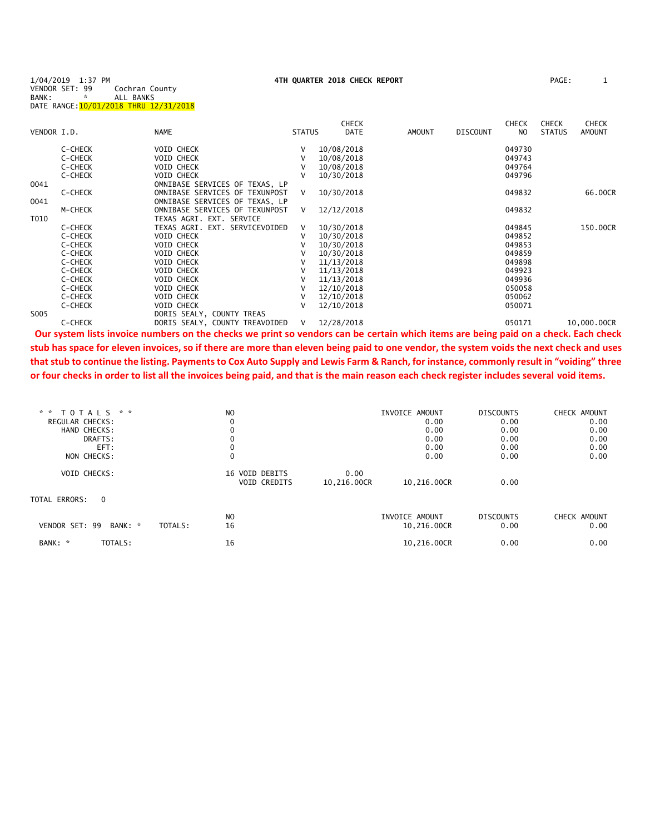| 1/04/2019 1:37 PM |   |                                        |
|-------------------|---|----------------------------------------|
| VENDOR SET: 99    |   | Cochran County                         |
| BANK:             | ÷ | ALL BANKS                              |
|                   |   | DATE RANGE: 10/01/2018 THRU 12/31/2018 |

|             |         |                                |               | <b>CHECK</b> |        |                 | <b>CHECK</b> | <b>CHECK</b>  | <b>CHECK</b>  |
|-------------|---------|--------------------------------|---------------|--------------|--------|-----------------|--------------|---------------|---------------|
| VENDOR I.D. |         | <b>NAME</b>                    | <b>STATUS</b> | DATE         | AMOUNT | <b>DISCOUNT</b> | NO.          | <b>STATUS</b> | <b>AMOUNT</b> |
|             | C-CHECK | VOID CHECK                     |               | 10/08/2018   |        |                 | 049730       |               |               |
|             | C-CHECK | VOID CHECK                     |               | 10/08/2018   |        |                 | 049743       |               |               |
|             | C-CHECK | VOID CHECK                     |               | 10/08/2018   |        |                 | 049764       |               |               |
|             | C-CHECK | VOID CHECK                     |               | 10/30/2018   |        |                 | 049796       |               |               |
| 0041        |         | OMNIBASE SERVICES OF TEXAS, LP |               |              |        |                 |              |               |               |
|             | C-CHECK | OMNIBASE SERVICES OF TEXUNPOST | V             | 10/30/2018   |        |                 | 049832       |               | 66.00CR       |
| 0041        |         | OMNIBASE SERVICES OF TEXAS. LP |               |              |        |                 |              |               |               |
|             | M-CHECK | OMNIBASE SERVICES OF TEXUNPOST | V             | 12/12/2018   |        |                 | 049832       |               |               |
| T010        |         | TEXAS AGRI. EXT. SERVICE       |               |              |        |                 |              |               |               |
|             | C-CHECK | TEXAS AGRI. EXT. SERVICEVOIDED | V             | 10/30/2018   |        |                 | 049845       |               | 150.00CR      |
|             | C-CHECK | <b>VOID CHECK</b>              |               | 10/30/2018   |        |                 | 049852       |               |               |
|             | C-CHECK | VOID CHECK                     |               | 10/30/2018   |        |                 | 049853       |               |               |
|             | C-CHECK | VOID CHECK                     |               | 10/30/2018   |        |                 | 049859       |               |               |
|             | C-CHECK | <b>VOID CHECK</b>              |               | 11/13/2018   |        |                 | 049898       |               |               |
|             | C-CHECK | VOID CHECK                     |               | 11/13/2018   |        |                 | 049923       |               |               |
|             | C-CHECK | VOID CHECK                     |               | 11/13/2018   |        |                 | 049936       |               |               |
|             | C-CHECK | <b>VOID CHECK</b>              |               | 12/10/2018   |        |                 | 050058       |               |               |
|             | C-CHECK | VOID CHECK                     |               | 12/10/2018   |        |                 | 050062       |               |               |
|             | C-CHECK | VOID CHECK                     |               | 12/10/2018   |        |                 | 050071       |               |               |
| S005        |         | DORIS SEALY, COUNTY TREAS      |               |              |        |                 |              |               |               |
|             | C-CHECK | DORIS SEALY, COUNTY TREAVOIDED | V             | 12/28/2018   |        |                 | 050171       |               | 10,000.00CR   |

**Our system lists invoice numbers on the checks we print so vendors can be certain which items are being paid on a check. Each check stub has space for eleven invoices, so if there are more than eleven being paid to one vendor, the system voids the next check and uses that stub to continue the listing. Payments to Cox Auto Supply and Lewis Farm & Ranch, for instance, commonly result in "voiding" three or four checks in order to list all the invoices being paid, and that is the main reason each check register includes several void items.**

| * *<br>* *<br>T O T A L S<br>REGULAR CHECKS:<br>HAND CHECKS:<br>DRAFTS:<br>EFT: |         | N <sub>O</sub><br>0                        |                     | INVOICE AMOUNT<br>0.00<br>0.00<br>0.00<br>0.00 | <b>DISCOUNTS</b><br>0.00<br>0.00<br>0.00<br>0.00 | CHECK AMOUNT<br>0.00<br>0.00<br>0.00<br>0.00 |
|---------------------------------------------------------------------------------|---------|--------------------------------------------|---------------------|------------------------------------------------|--------------------------------------------------|----------------------------------------------|
| NON CHECKS:<br><b>VOID CHECKS:</b><br>TOTAL ERRORS:<br>$\mathbf 0$              |         | 0<br>16 VOID DEBITS<br><b>VOID CREDITS</b> | 0.00<br>10,216.00CR | 0.00<br>10,216.00CR                            | 0.00<br>0.00                                     | 0.00                                         |
| VENDOR SET: 99<br>BANK: *<br>TOTALS:<br>BANK: *                                 | TOTALS: | N <sub>O</sub><br>16<br>16                 |                     | INVOICE AMOUNT<br>10,216.00CR<br>10,216.00CR   | <b>DISCOUNTS</b><br>0.00<br>0.00                 | CHECK AMOUNT<br>0.00<br>0.00                 |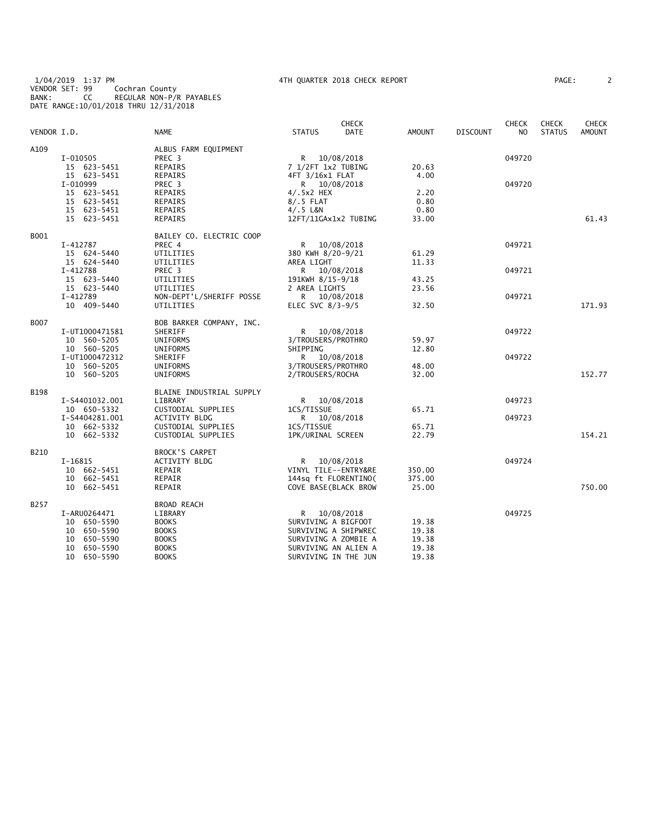1/04/2019 1:37 PM 4TH QUARTER 2018 CHECK REPORT PAGE: 2 VENDOR SET: 99 Cochran County BANK: CC REGULAR NON-P/R PAYABLES DATE RANGE:10/01/2018 THRU 12/31/2018

| 'AGE : |  |  |  |
|--------|--|--|--|
|        |  |  |  |

|             |                            |                              |                     | <b>CHECK</b>                                 |               |                 | <b>CHECK</b>   | <b>CHECK</b>  | <b>CHECK</b>  |
|-------------|----------------------------|------------------------------|---------------------|----------------------------------------------|---------------|-----------------|----------------|---------------|---------------|
| VENDOR I.D. |                            | <b>NAME</b>                  | <b>STATUS</b>       | <b>DATE</b>                                  | <b>AMOUNT</b> | <b>DISCOUNT</b> | N <sub>O</sub> | <b>STATUS</b> | <b>AMOUNT</b> |
| A109        |                            | ALBUS FARM EQUIPMENT         |                     |                                              |               |                 |                |               |               |
|             | I-010505                   | PREC 3                       | R                   | 10/08/2018                                   |               |                 | 049720         |               |               |
|             | 15 623-5451                | <b>REPAIRS</b>               | 7 1/2FT 1x2 TUBING  |                                              | 20.63         |                 |                |               |               |
|             | 15 623-5451                | REPAIRS                      | 4FT 3/16x1 FLAT     |                                              | 4.00          |                 |                |               |               |
|             | I-010999                   | PREC <sub>3</sub>            |                     | R 10/08/2018                                 |               |                 | 049720         |               |               |
|             | 15 623-5451                | <b>REPAIRS</b>               | $4/.5x2$ HEX        |                                              | 2.20          |                 |                |               |               |
|             | 15 623-5451                | REPAIRS                      | $8/.5$ FLAT         |                                              | 0.80          |                 |                |               |               |
|             | 15 623-5451                | <b>REPAIRS</b>               | $4/.5$ L&N          |                                              | 0.80          |                 |                |               |               |
|             | 15 623-5451                | REPAIRS                      |                     | 12FT/11GAx1x2 TUBING                         | 33.00         |                 |                |               | 61.43         |
|             |                            |                              |                     |                                              |               |                 |                |               |               |
| B001        |                            | BAILEY CO. ELECTRIC COOP     |                     |                                              |               |                 |                |               |               |
|             | I-412787                   | PREC 4                       | R                   | 10/08/2018                                   |               |                 | 049721         |               |               |
|             | 15 624-5440                | UTILITIES                    | 380 KWH 8/20-9/21   |                                              | 61.29         |                 |                |               |               |
|             | 15 624-5440                | UTILITIES                    | AREA LIGHT          |                                              | 11.33         |                 |                |               |               |
|             | I-412788                   | PREC 3                       | R.                  | 10/08/2018                                   |               |                 | 049721         |               |               |
|             | 15 623-5440                | UTILITIES                    | 191KWH 8/15-9/18    |                                              | 43.25         |                 |                |               |               |
|             | 15 623-5440                | UTILITIES                    | 2 AREA LIGHTS       |                                              | 23.56         |                 |                |               |               |
|             | I-412789                   | NON-DEPT'L/SHERIFF POSSE     | R                   | 10/08/2018                                   |               |                 | 049721         |               |               |
|             | 10 409-5440                | UTILITIES                    | ELEC SVC $8/3-9/5$  |                                              | 32.50         |                 |                |               | 171.93        |
|             |                            |                              |                     |                                              |               |                 |                |               |               |
| B007        |                            | BOB BARKER COMPANY, INC.     |                     |                                              |               |                 |                |               |               |
|             | I-UT1000471581             | SHERIFF                      | R                   | 10/08/2018                                   |               |                 | 049722         |               |               |
|             | 10 560-5205                | <b>UNIFORMS</b>              | 3/TROUSERS/PROTHRO  |                                              | 59.97         |                 |                |               |               |
|             | 10 560-5205                | UNIFORMS                     | SHIPPING            |                                              | 12.80         |                 |                |               |               |
|             | I-UT1000472312             | SHERIFF                      | R                   | 10/08/2018                                   |               |                 | 049722         |               |               |
|             | 10 560-5205                | UNIFORMS                     | 3/TROUSERS/PROTHRO  |                                              | 48.00         |                 |                |               |               |
|             | 10 560-5205                | <b>UNIFORMS</b>              | 2/TROUSERS/ROCHA    |                                              | 32.00         |                 |                |               | 152.77        |
| <b>B198</b> |                            | BLAINE INDUSTRIAL SUPPLY     |                     |                                              |               |                 |                |               |               |
|             | I-S4401032.001             | LIBRARY                      | R                   | 10/08/2018                                   |               |                 | 049723         |               |               |
|             | 10 650-5332                | CUSTODIAL SUPPLIES           | 1CS/TISSUE          |                                              | 65.71         |                 |                |               |               |
|             | I-S4404281.001             | <b>ACTIVITY BLDG</b>         | R <sub>a</sub>      | 10/08/2018                                   |               |                 | 049723         |               |               |
|             | 10 662-5332                | CUSTODIAL SUPPLIES           | 1CS/TISSUE          |                                              | 65.71         |                 |                |               |               |
|             | 10 662-5332                | CUSTODIAL SUPPLIES           | 1PK/URINAL SCREEN   |                                              | 22.79         |                 |                |               | 154.21        |
|             |                            |                              |                     |                                              |               |                 |                |               |               |
| B210        |                            | <b>BROCK'S CARPET</b>        |                     |                                              |               |                 |                |               |               |
|             | I-16815                    | ACTIVITY BLDG                | R                   | 10/08/2018                                   |               |                 | 049724         |               |               |
|             | 10 662-5451                | REPAIR                       |                     | VINYL TILE--ENTRY&RE                         | 350.00        |                 |                |               |               |
|             | 10 662-5451                | REPAIR                       |                     | 144sq ft FLORENTINO(                         | 375.00        |                 |                |               |               |
|             | 10 662-5451                | REPAIR                       |                     | COVE BASE(BLACK BROW                         | 25.00         |                 |                |               | 750.00        |
| B257        |                            | <b>BROAD REACH</b>           |                     |                                              |               |                 |                |               |               |
|             | I-ARU0264471               | LIBRARY                      | R                   | 10/08/2018                                   |               |                 | 049725         |               |               |
|             | 10 650-5590                | <b>BOOKS</b>                 | SURVIVING A BIGFOOT |                                              | 19.38         |                 |                |               |               |
|             | 10 650-5590                | <b>BOOKS</b>                 |                     | SURVIVING A SHIPWREC                         | 19.38         |                 |                |               |               |
|             |                            |                              |                     |                                              | 19.38         |                 |                |               |               |
|             | 10 650-5590<br>10 650-5590 | <b>BOOKS</b><br><b>BOOKS</b> |                     | SURVIVING A ZOMBIE A<br>SURVIVING AN ALIEN A | 19.38         |                 |                |               |               |
|             |                            |                              |                     |                                              |               |                 |                |               |               |
|             | 10<br>650-5590             | <b>BOOKS</b>                 |                     | SURVIVING IN THE JUN                         | 19.38         |                 |                |               |               |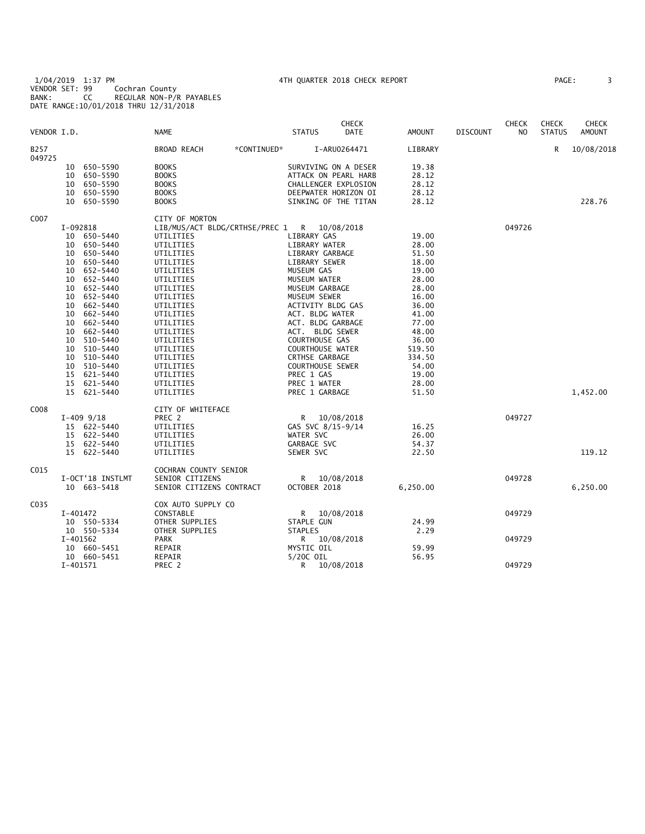1/04/2019 1:37 PM 4TH QUARTER 2018 CHECK REPORT PAGE: 3 VENDOR SET: 99 Cochran County BANK: CC REGULAR NON-P/R PAYABLES DATE RANGE:10/01/2018 THRU 12/31/2018

| VENDOR I.D.      |          |                  | NAME                                        |             | <b>STATUS</b>           | <b>CHECK</b><br>DATE | AMOUNT   | <b>DISCOUNT</b> | <b>CHECK</b><br>NO. | <b>CHECK</b><br><b>STATUS</b> | <b>CHECK</b><br><b>AMOUNT</b> |
|------------------|----------|------------------|---------------------------------------------|-------------|-------------------------|----------------------|----------|-----------------|---------------------|-------------------------------|-------------------------------|
| B257<br>049725   |          |                  | BROAD REACH                                 | *CONTINUED* |                         | I-ARU0264471         | LIBRARY  |                 |                     | R                             | 10/08/2018                    |
|                  |          | 10 650-5590      | <b>BOOKS</b>                                |             | SURVIVING ON A DESER    |                      | 19.38    |                 |                     |                               |                               |
|                  | 10       | 650-5590         | <b>BOOKS</b>                                |             | ATTACK ON PEARL HARB    |                      | 28.12    |                 |                     |                               |                               |
|                  |          | 10 650-5590      | <b>BOOKS</b>                                |             | CHALLENGER EXPLOSION    |                      | 28.12    |                 |                     |                               |                               |
|                  |          | 10 650-5590      | <b>BOOKS</b>                                |             | DEEPWATER HORIZON OI    |                      | 28.12    |                 |                     |                               |                               |
|                  |          | 10 650-5590      | <b>BOOKS</b>                                |             | SINKING OF THE TITAN    |                      | 28.12    |                 |                     |                               | 228.76                        |
| C007             |          |                  | CITY OF MORTON                              |             |                         |                      |          |                 |                     |                               |                               |
|                  | I-092818 |                  | LIB/MUS/ACT BLDG/CRTHSE/PREC 1 R 10/08/2018 |             |                         |                      |          |                 | 049726              |                               |                               |
|                  |          | 10 650-5440      | UTILITIES                                   |             | LIBRARY GAS             |                      | 19.00    |                 |                     |                               |                               |
|                  |          | 10 650-5440      | UTILITIES                                   |             | LIBRARY WATER           |                      | 28.00    |                 |                     |                               |                               |
|                  |          | 10 650-5440      | UTILITIES                                   |             | LIBRARY GARBAGE         |                      | 51.50    |                 |                     |                               |                               |
|                  |          | 10 650-5440      | UTILITIES                                   |             | LIBRARY SEWER           |                      | 18.00    |                 |                     |                               |                               |
|                  |          | 10 652-5440      | UTILITIES                                   |             | MUSEUM GAS              |                      | 19.00    |                 |                     |                               |                               |
|                  |          | 10 652-5440      | UTILITIES                                   |             | MUSEUM WATER            |                      | 28.00    |                 |                     |                               |                               |
|                  |          | 10 652-5440      | UTILITIES                                   |             | MUSEUM GARBAGE          |                      | 28.00    |                 |                     |                               |                               |
|                  |          | 10 652-5440      | UTILITIES                                   |             | MUSEUM SEWER            |                      | 16.00    |                 |                     |                               |                               |
|                  |          | 10 662-5440      | UTILITIES                                   |             | ACTIVITY BLDG GAS       |                      | 36.00    |                 |                     |                               |                               |
|                  |          | 10 662-5440      | UTILITIES                                   |             | ACT. BLDG WATER         |                      | 41.00    |                 |                     |                               |                               |
|                  |          | 10 662-5440      | UTILITIES                                   |             | ACT. BLDG GARBAGE       |                      | 77.00    |                 |                     |                               |                               |
|                  |          | 10 662-5440      | UTILITIES                                   |             | ACT. BLDG SEWER         |                      | 48.00    |                 |                     |                               |                               |
|                  |          |                  |                                             |             | COURTHOUSE GAS          |                      |          |                 |                     |                               |                               |
|                  |          | 10 510-5440      | UTILITIES                                   |             |                         |                      | 36.00    |                 |                     |                               |                               |
|                  | 10       | 510-5440         | UTILITIES                                   |             | <b>COURTHOUSE WATER</b> |                      | 519.50   |                 |                     |                               |                               |
|                  |          | 10 510-5440      | UTILITIES                                   |             | CRTHSE GARBAGE          |                      | 334.50   |                 |                     |                               |                               |
|                  |          | 10 510-5440      | UTILITIES                                   |             | COURTHOUSE SEWER        |                      | 54.00    |                 |                     |                               |                               |
|                  |          | 15 621-5440      | UTILITIES                                   |             | PREC 1 GAS              |                      | 19.00    |                 |                     |                               |                               |
|                  |          | 15 621-5440      | UTILITIES                                   |             | PREC 1 WATER            |                      | 28.00    |                 |                     |                               |                               |
|                  |          | 15 621-5440      | UTILITIES                                   |             | PREC 1 GARBAGE          |                      | 51.50    |                 |                     |                               | 1,452.00                      |
| C008             |          |                  | CITY OF WHITEFACE                           |             |                         |                      |          |                 |                     |                               |                               |
|                  |          | $I-409$ 9/18     | PREC 2                                      |             | R 10/08/2018            |                      |          |                 | 049727              |                               |                               |
|                  |          | 15 622-5440      | UTILITIES                                   |             | GAS SVC 8/15-9/14       |                      | 16.25    |                 |                     |                               |                               |
|                  |          | 15 622-5440      | UTILITIES                                   |             | WATER SVC               |                      | 26.00    |                 |                     |                               |                               |
|                  |          | 15 622-5440      | UTILITIES                                   |             | GARBAGE SVC             |                      | 54.37    |                 |                     |                               |                               |
|                  |          | 15 622-5440      | UTILITIES                                   |             | SEWER SVC               |                      | 22.50    |                 |                     |                               | 119.12                        |
| C <sub>015</sub> |          |                  | COCHRAN COUNTY SENIOR                       |             |                         |                      |          |                 |                     |                               |                               |
|                  |          | I-OCT'18 INSTLMT | SENIOR CITIZENS                             |             | R <sub>a</sub>          | 10/08/2018           |          |                 | 049728              |                               |                               |
|                  |          | 10 663-5418      | SENIOR CITIZENS CONTRACT                    |             | OCTOBER 2018            |                      | 6,250.00 |                 |                     |                               | 6,250.00                      |
| C035             |          |                  | COX AUTO SUPPLY CO                          |             |                         |                      |          |                 |                     |                               |                               |
|                  | I-401472 |                  | CONSTABLE                                   |             | R                       | 10/08/2018           |          |                 | 049729              |                               |                               |
|                  |          | 10 550-5334      | OTHER SUPPLIES                              |             | STAPLE GUN              |                      | 24.99    |                 |                     |                               |                               |
|                  |          | 10 550-5334      | OTHER SUPPLIES                              |             | <b>STAPLES</b>          |                      | 2.29     |                 |                     |                               |                               |
|                  | I-401562 |                  | PARK                                        |             | R 10/08/2018            |                      |          |                 | 049729              |                               |                               |
|                  |          | 10 660-5451      | REPAIR                                      |             | MYSTIC OIL              |                      | 59.99    |                 |                     |                               |                               |
|                  |          | 10 660-5451      | REPAIR                                      |             | 5/20C OIL               |                      | 56.95    |                 |                     |                               |                               |
|                  | I-401571 |                  | PREC 2                                      |             | R                       | 10/08/2018           |          |                 | 049729              |                               |                               |
|                  |          |                  |                                             |             |                         |                      |          |                 |                     |                               |                               |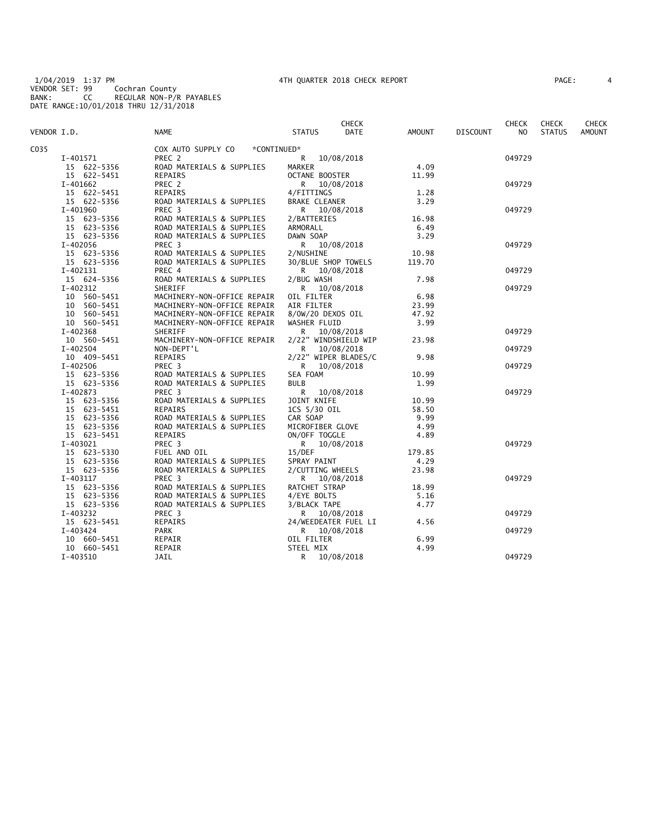1/04/2019 1:37 PM 4TH QUARTER 2018 CHECK REPORT PAGE: 4 VENDOR SET: 99 Cochran County BANK: CC REGULAR NON-P/R PAYABLES DATE RANGE:10/01/2018 THRU 12/31/2018

| PAGE : |  |
|--------|--|
|        |  |

| VENDOR I.D. |                            | NAME                                        | <b>CHECK</b><br>DATE<br><b>STATUS</b> | AMOUNT        | <b>DISCOUNT</b> | <b>CHECK</b><br>NO. | <b>CHECK</b><br><b>STATUS</b> | <b>CHECK</b><br><b>AMOUNT</b> |
|-------------|----------------------------|---------------------------------------------|---------------------------------------|---------------|-----------------|---------------------|-------------------------------|-------------------------------|
|             |                            |                                             |                                       |               |                 |                     |                               |                               |
| C035        |                            | COX AUTO SUPPLY CO<br>*CONTINUED*           |                                       |               |                 |                     |                               |                               |
|             | I-401571                   | PREC 2                                      | R<br>10/08/2018                       |               |                 | 049729              |                               |                               |
|             | 15 622-5356                | ROAD MATERIALS & SUPPLIES                   | <b>MARKER</b>                         | 4.09          |                 |                     |                               |                               |
|             | 15 622-5451                | REPAIRS                                     | OCTANE BOOSTER                        | 11.99         |                 |                     |                               |                               |
|             | I-401662                   | PREC 2                                      | R.<br>10/08/2018                      |               |                 | 049729              |                               |                               |
|             | 15 622-5451                | REPAIRS                                     | 4/FITTINGS                            | 1.28          |                 |                     |                               |                               |
|             | 15 622-5356                | ROAD MATERIALS & SUPPLIES                   | <b>BRAKE CLEANER</b>                  | 3.29          |                 |                     |                               |                               |
|             | I-401960                   | PREC <sub>3</sub>                           | R 10/08/2018                          |               |                 | 049729              |                               |                               |
|             | 15 623-5356                | ROAD MATERIALS & SUPPLIES                   | 2/BATTERIES                           | 16.98         |                 |                     |                               |                               |
|             | 15 623-5356                | ROAD MATERIALS & SUPPLIES                   | ARMORALL                              | 6.49          |                 |                     |                               |                               |
|             | 15 623-5356                | ROAD MATERIALS & SUPPLIES                   | DAWN SOAP                             | 3.29          |                 |                     |                               |                               |
|             | I-402056                   | PREC <sub>3</sub>                           | R 10/08/2018                          |               |                 | 049729              |                               |                               |
|             | 15 623-5356                | ROAD MATERIALS & SUPPLIES                   | 2/NUSHINE                             | 10.98         |                 |                     |                               |                               |
|             | 15 623-5356                | ROAD MATERIALS & SUPPLIES                   | 30/BLUE SHOP TOWELS                   | 119.70        |                 |                     |                               |                               |
|             | I-402131                   | PREC 4                                      | R 10/08/2018                          |               |                 | 049729              |                               |                               |
|             | 15 624-5356                | ROAD MATERIALS & SUPPLIES                   | 2/BUG WASH                            | 7.98          |                 |                     |                               |                               |
|             | I-402312                   | SHERIFF                                     | R<br>10/08/2018                       |               |                 | 049729              |                               |                               |
|             | 10 560-5451                | MACHINERY-NON-OFFICE REPAIR                 | OIL FILTER                            | 6.98          |                 |                     |                               |                               |
|             | 10 560-5451                | MACHINERY-NON-OFFICE REPAIR                 | AIR FILTER                            | 23.99         |                 |                     |                               |                               |
|             | 10 560-5451                | MACHINERY-NON-OFFICE REPAIR                 | 8/0W/20 DEXOS OIL                     | 47.92         |                 |                     |                               |                               |
|             | 10 560-5451                | MACHINERY-NON-OFFICE REPAIR                 | WASHER FLUID                          | 3.99          |                 |                     |                               |                               |
|             | I-402368                   | <b>SHERIFF</b>                              | 10/08/2018<br>R.                      |               |                 | 049729              |                               |                               |
|             | 10 560-5451                | MACHINERY-NON-OFFICE REPAIR                 | 2/22" WINDSHIELD WIP                  | 23.98         |                 |                     |                               |                               |
|             | I-402504                   | NON-DEPT'L                                  | R.<br>10/08/2018                      |               |                 | 049729              |                               |                               |
|             | 10 409-5451                | REPAIRS                                     | 2/22" WIPER BLADES/C                  | 9.98          |                 |                     |                               |                               |
|             | I-402506                   | PREC 3                                      | R 10/08/2018                          |               |                 | 049729              |                               |                               |
|             | 15 623-5356                | ROAD MATERIALS & SUPPLIES                   | SEA FOAM                              | 10.99         |                 |                     |                               |                               |
|             | 15 623-5356                | ROAD MATERIALS & SUPPLIES                   | <b>BULB</b>                           | 1.99          |                 |                     |                               |                               |
|             | I-402873                   | PREC <sub>3</sub>                           | R<br>10/08/2018                       |               |                 | 049729              |                               |                               |
|             | 15 623-5356                |                                             |                                       | 10.99         |                 |                     |                               |                               |
|             | 15 623-5451                | ROAD MATERIALS & SUPPLIES<br><b>REPAIRS</b> | JOINT KNIFE<br>1CS 5/30 OIL           |               |                 |                     |                               |                               |
|             | 15 623-5356                | ROAD MATERIALS & SUPPLIES                   | CAR SOAP                              | 58.50<br>9.99 |                 |                     |                               |                               |
|             |                            |                                             |                                       | 4.99          |                 |                     |                               |                               |
|             | 15 623-5356<br>15 623-5451 | ROAD MATERIALS & SUPPLIES                   | MICROFIBER GLOVE                      | 4.89          |                 |                     |                               |                               |
|             |                            | REPAIRS                                     | ON/OFF TOGGLE                         |               |                 |                     |                               |                               |
|             | I-403021                   | PREC 3                                      | R 10/08/2018                          |               |                 | 049729              |                               |                               |
|             | 15 623-5330                | FUEL AND OIL                                | 15/DEF                                | 179.85        |                 |                     |                               |                               |
|             | 15 623-5356                | ROAD MATERIALS & SUPPLIES                   | SPRAY PAINT                           | 4.29          |                 |                     |                               |                               |
|             | 15 623-5356                | ROAD MATERIALS & SUPPLIES                   | 2/CUTTING WHEELS                      | 23.98         |                 |                     |                               |                               |
|             | I-403117                   | PREC <sub>3</sub>                           | R 10/08/2018                          |               |                 | 049729              |                               |                               |
|             | 15 623-5356                | ROAD MATERIALS & SUPPLIES                   | RATCHET STRAP                         | 18.99         |                 |                     |                               |                               |
|             | 15 623-5356                | ROAD MATERIALS & SUPPLIES                   | 4/EYE BOLTS                           | 5.16          |                 |                     |                               |                               |
|             | 15 623-5356                | ROAD MATERIALS & SUPPLIES                   | 3/BLACK TAPE                          | 4.77          |                 |                     |                               |                               |
|             | I-403232                   | PREC <sub>3</sub>                           | 10/08/2018<br>R.                      |               |                 | 049729              |                               |                               |
|             | 15 623-5451                | REPAIRS                                     | 24/WEEDEATER FUEL LI                  | 4.56          |                 |                     |                               |                               |
|             | I-403424                   | PARK                                        | R 10/08/2018                          |               |                 | 049729              |                               |                               |
|             | 10 660-5451                | REPAIR                                      | OIL FILTER                            | 6.99          |                 |                     |                               |                               |
|             | 10 660-5451                | REPAIR                                      | STEEL MIX                             | 4.99          |                 |                     |                               |                               |
|             | I-403510                   | <b>JAIL</b>                                 | 10/08/2018<br>R.                      |               |                 | 049729              |                               |                               |
|             |                            |                                             |                                       |               |                 |                     |                               |                               |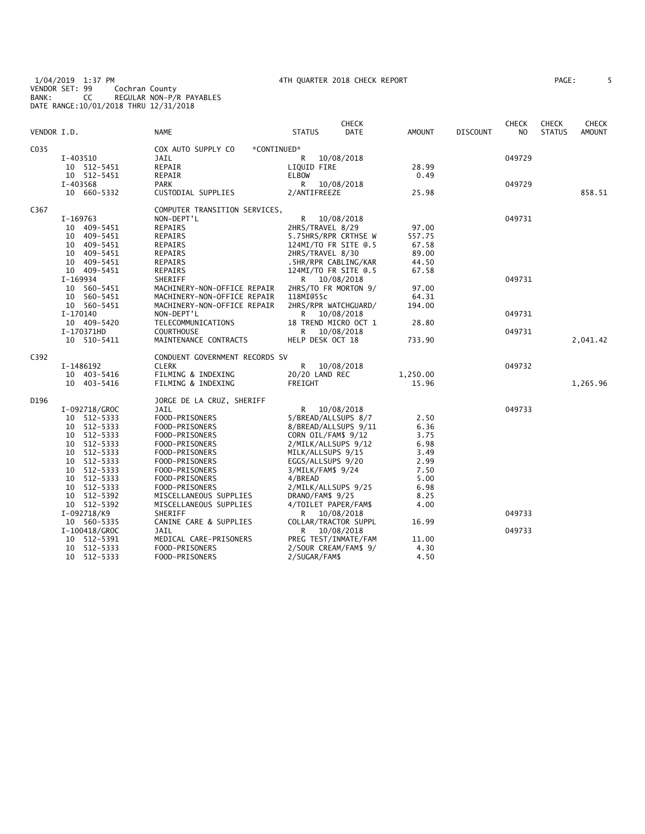1/04/2019 1:37 PM 4TH QUARTER 2018 CHECK REPORT PAGE: 5 VENDOR SET: 99 Cochran County BANK: CC REGULAR NON-P/R PAYABLES DATE RANGE:10/01/2018 THRU 12/31/2018

| VENDOR I.D. |               | <b>NAME</b>                       | <b>STATUS</b>         | CHECK<br><b>DATE</b> | AMOUNT   | <b>DISCOUNT</b> | <b>CHECK</b><br>NO | <b>CHECK</b><br><b>STATUS</b> | CHECK<br><b>AMOUNT</b> |
|-------------|---------------|-----------------------------------|-----------------------|----------------------|----------|-----------------|--------------------|-------------------------------|------------------------|
| C035        |               | COX AUTO SUPPLY CO<br>*CONTINUED* |                       |                      |          |                 |                    |                               |                        |
|             | I-403510      | JAIL                              | R                     | 10/08/2018           |          |                 | 049729             |                               |                        |
|             | 10 512-5451   | REPAIR                            | LIQUID FIRE           |                      | 28.99    |                 |                    |                               |                        |
|             | 10 512-5451   | REPAIR                            | <b>ELBOW</b>          |                      | 0.49     |                 |                    |                               |                        |
|             | I-403568      | <b>PARK</b>                       | R                     | 10/08/2018           |          |                 | 049729             |                               |                        |
|             | 10 660-5332   | CUSTODIAL SUPPLIES                | 2/ANTIFREEZE          |                      | 25.98    |                 |                    |                               | 858.51                 |
| C367        |               | COMPUTER TRANSITION SERVICES,     |                       |                      |          |                 |                    |                               |                        |
|             | I-169763      | NON-DEPT'L                        | R                     | 10/08/2018           |          |                 | 049731             |                               |                        |
|             | 10 409-5451   | REPAIRS                           | 2HRS/TRAVEL 8/29      |                      | 97.00    |                 |                    |                               |                        |
|             | 10 409-5451   | REPAIRS                           | 5.75HRS/RPR CRTHSE W  |                      | 557.75   |                 |                    |                               |                        |
|             | 10 409-5451   | REPAIRS                           | 124MI/TO FR SITE 0.5  |                      | 67.58    |                 |                    |                               |                        |
|             | 10 409-5451   | REPAIRS                           | 2HRS/TRAVEL 8/30      |                      | 89.00    |                 |                    |                               |                        |
|             | 10 409-5451   | REPAIRS                           |                       | .5HR/RPR CABLING/KAR | 44.50    |                 |                    |                               |                        |
|             | 10 409-5451   | REPAIRS                           | 124MI/TO FR SITE 0.5  |                      | 67.58    |                 |                    |                               |                        |
|             | I-169934      | SHERIFF                           | R 10/08/2018          |                      |          |                 | 049731             |                               |                        |
|             | 10 560-5451   | MACHINERY-NON-OFFICE REPAIR       | 2HRS/TO FR MORTON 9/  |                      | 97.00    |                 |                    |                               |                        |
|             | 10 560-5451   | MACHINERY-NON-OFFICE REPAIR       | 118MI@55c             |                      | 64.31    |                 |                    |                               |                        |
|             | 10 560-5451   | MACHINERY-NON-OFFICE REPAIR       | 2HRS/RPR WATCHGUARD/  |                      | 194.00   |                 |                    |                               |                        |
|             | I-170140      | NON-DEPT'L                        | R.                    | 10/08/2018           |          |                 | 049731             |                               |                        |
|             | 10 409-5420   | TELECOMMUNICATIONS                |                       | 18 TREND MICRO OCT 1 | 28.80    |                 |                    |                               |                        |
|             | I-170371HD    | <b>COURTHOUSE</b>                 | R —                   | 10/08/2018           |          |                 | 049731             |                               |                        |
|             | 10 510-5411   | MAINTENANCE CONTRACTS             | HELP DESK OCT 18      |                      | 733.90   |                 |                    |                               | 2,041.42               |
| C392        |               | CONDUENT GOVERNMENT RECORDS SV    |                       |                      |          |                 |                    |                               |                        |
|             | I-1486192     | <b>CLERK</b>                      | R.                    | 10/08/2018           |          |                 | 049732             |                               |                        |
|             | 10 403-5416   | FILMING & INDEXING                | 20/20 LAND REC        |                      | 1,250.00 |                 |                    |                               |                        |
|             | 10 403-5416   | FILMING & INDEXING                | FREIGHT               |                      | 15.96    |                 |                    |                               | 1,265.96               |
| D196        |               | JORGE DE LA CRUZ, SHERIFF         |                       |                      |          |                 |                    |                               |                        |
|             | I-092718/GROC | JAIL                              | R 10/08/2018          |                      |          |                 | 049733             |                               |                        |
|             | 10 512-5333   | FOOD-PRISONERS                    | 5/BREAD/ALLSUPS 8/7   |                      | 2.50     |                 |                    |                               |                        |
|             | 10 512-5333   | FOOD-PRISONERS                    |                       | 8/BREAD/ALLSUPS 9/11 | 6.36     |                 |                    |                               |                        |
|             | 10 512-5333   | FOOD-PRISONERS                    | CORN OIL/FAM\$ 9/12   |                      | 3.75     |                 |                    |                               |                        |
|             | 10 512-5333   | FOOD-PRISONERS                    | 2/MILK/ALLSUPS 9/12   |                      | 6.98     |                 |                    |                               |                        |
|             | 10 512-5333   | FOOD-PRISONERS                    | MILK/ALLSUPS 9/15     |                      | 3.49     |                 |                    |                               |                        |
|             | 10 512-5333   | FOOD-PRISONERS                    | EGGS/ALLSUPS 9/20     |                      | 2.99     |                 |                    |                               |                        |
|             | 10 512-5333   | FOOD-PRISONERS                    | 3/MILK/FAM\$ 9/24     |                      | 7.50     |                 |                    |                               |                        |
|             | 10 512-5333   | FOOD-PRISONERS                    | 4/BREAD               |                      | 5.00     |                 |                    |                               |                        |
|             | 10 512-5333   | FOOD-PRISONERS                    | 2/MILK/ALLSUPS 9/25   |                      | 6.98     |                 |                    |                               |                        |
|             | 10 512-5392   | MISCELLANEOUS SUPPLIES            | DRANO/FAM\$ 9/25      |                      | 8.25     |                 |                    |                               |                        |
|             | 10 512-5392   | MISCELLANEOUS SUPPLIES            | 4/TOILET PAPER/FAM\$  |                      | 4.00     |                 |                    |                               |                        |
|             | I-092718/K9   | SHERIFF                           | R 10/08/2018          |                      |          |                 | 049733             |                               |                        |
|             | 10 560-5335   | CANINE CARE & SUPPLIES            | COLLAR/TRACTOR SUPPL  |                      | 16.99    |                 |                    |                               |                        |
|             | I-100418/GROC | JAIL                              | R.                    | 10/08/2018           |          |                 | 049733             |                               |                        |
|             | 10 512-5391   | MEDICAL CARE-PRISONERS            |                       | PREG TEST/INMATE/FAM | 11.00    |                 |                    |                               |                        |
|             | 10 512-5333   | FOOD-PRISONERS                    | 2/SOUR CREAM/FAM\$ 9/ |                      | 4.30     |                 |                    |                               |                        |
|             | 10 512-5333   | FOOD-PRISONERS                    | 2/SUGAR/FAM\$         |                      | 4.50     |                 |                    |                               |                        |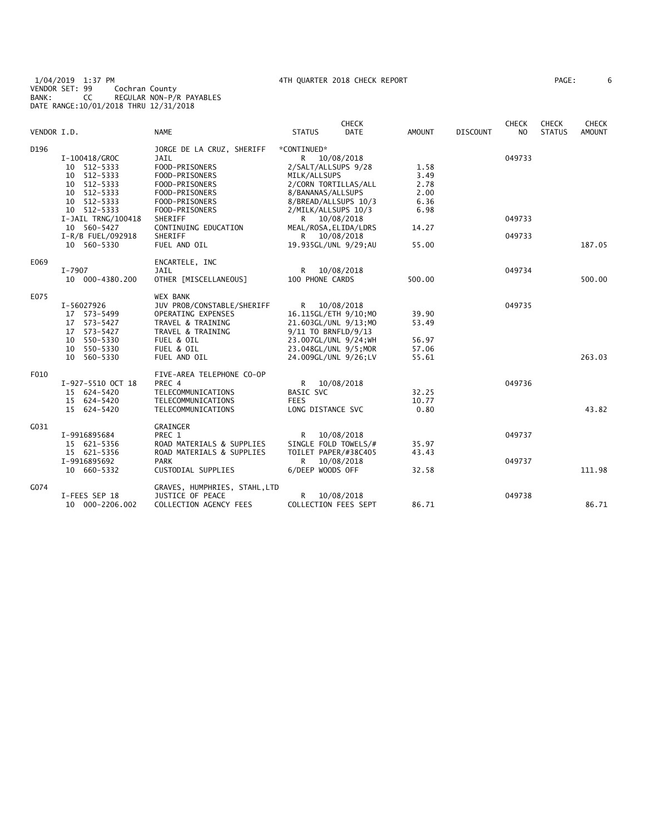1/04/2019 1:37 PM 4TH QUARTER 2018 CHECK REPORT PAGE: 6 VENDOR SET: 99 Cochran County BANK: CC REGULAR NON-P/R PAYABLES DATE RANGE:10/01/2018 THRU 12/31/2018

| VENDOR I.D. |                    | <b>NAME</b>                            | <b>STATUS</b>       | <b>CHECK</b><br><b>DATE</b> | <b>AMOUNT</b> | <b>DISCOUNT</b> | <b>CHECK</b><br>N <sub>O</sub> | <b>CHECK</b><br><b>STATUS</b> | <b>CHECK</b><br><b>AMOUNT</b> |
|-------------|--------------------|----------------------------------------|---------------------|-----------------------------|---------------|-----------------|--------------------------------|-------------------------------|-------------------------------|
| D196        |                    | JORGE DE LA CRUZ, SHERIFF              | *CONTINUED*         |                             |               |                 |                                |                               |                               |
|             | I-100418/GROC      | JAIL                                   |                     | R 10/08/2018                |               |                 | 049733                         |                               |                               |
|             | 10 512-5333        | FOOD-PRISONERS                         | 2/SALT/ALLSUPS 9/28 |                             | 1.58          |                 |                                |                               |                               |
|             | 10 512-5333        | FOOD-PRISONERS                         | MILK/ALLSUPS        |                             | 3.49          |                 |                                |                               |                               |
|             | 10 512-5333        | FOOD-PRISONERS                         |                     | 2/CORN TORTILLAS/ALL        | 2.78          |                 |                                |                               |                               |
|             | 10 512-5333        | FOOD-PRISONERS                         | 8/BANANAS/ALLSUPS   |                             | 2.00          |                 |                                |                               |                               |
|             | 10 512-5333        | FOOD-PRISONERS                         |                     | 8/BREAD/ALLSUPS 10/3        | 6.36          |                 |                                |                               |                               |
|             | 10 512-5333        | FOOD-PRISONERS                         | 2/MILK/ALLSUPS 10/3 |                             | 6.98          |                 | 049733                         |                               |                               |
|             | I-JAIL TRNG/100418 | SHERIFF                                |                     | R 10/08/2018                |               |                 |                                |                               |                               |
|             | 10 560-5427        | CONTINUING EDUCATION<br><b>SHERIFF</b> |                     | MEAL/ROSA, ELIDA/LDRS       | 14.27         |                 |                                |                               |                               |
|             | I-R/B FUEL/092918  |                                        |                     | R 10/08/2018                |               |                 | 049733                         |                               |                               |
|             | 10 560-5330        | FUEL AND OIL                           |                     | 19.935GL/UNL 9/29;AU        | 55.00         |                 |                                |                               | 187.05                        |
| E069        |                    | ENCARTELE, INC                         |                     |                             |               |                 |                                |                               |                               |
|             | I-7907             | JAIL                                   | $\mathsf{R}$        | 10/08/2018                  |               |                 | 049734                         |                               |                               |
|             | 10 000-4380.200    | OTHER [MISCELLANEOUS]                  | 100 PHONE CARDS     |                             | 500.00        |                 |                                |                               | 500.00                        |
| E075        |                    | <b>WEX BANK</b>                        |                     |                             |               |                 |                                |                               |                               |
|             | I-56027926         | JUV PROB/CONSTABLE/SHERIFF             |                     | R 10/08/2018                |               |                 | 049735                         |                               |                               |
|             | 17 573-5499        | OPERATING EXPENSES                     |                     | 16.115GL/ETH 9/10;MO        | 39.90         |                 |                                |                               |                               |
|             | 17 573-5427        | TRAVEL & TRAINING                      |                     | 21.603GL/UNL 9/13;MO        | 53.49         |                 |                                |                               |                               |
|             | 17 573-5427        | TRAVEL & TRAINING                      | 9/11 TO BRNFLD/9/13 |                             |               |                 |                                |                               |                               |
|             | 10 550-5330        | FUEL & OIL                             |                     | 23.007GL/UNL 9/24; WH       | 56.97         |                 |                                |                               |                               |
|             | 10 550-5330        | FUEL & OIL                             |                     | 23.048GL/UNL 9/5; MOR       | 57.06         |                 |                                |                               |                               |
|             | 10 560-5330        | FUEL AND OIL                           |                     | 24.009GL/UNL 9/26;LV        | 55.61         |                 |                                |                               | 263.03                        |
| F010        |                    | FIVE-AREA TELEPHONE CO-OP              |                     |                             |               |                 |                                |                               |                               |
|             | I-927-5510 OCT 18  | PREC 4                                 |                     | R 10/08/2018                |               |                 | 049736                         |                               |                               |
|             | 15 624-5420        | TELECOMMUNICATIONS                     | BASIC SVC           |                             | 32.25         |                 |                                |                               |                               |
|             | 15 624-5420        | TELECOMMUNICATIONS                     | <b>FEES</b>         |                             | 10.77         |                 |                                |                               |                               |
|             | 15 624-5420        | TELECOMMUNICATIONS                     | LONG DISTANCE SVC   |                             | 0.80          |                 |                                |                               | 43.82                         |
| G031        |                    | GRAINGER                               |                     |                             |               |                 |                                |                               |                               |
|             | I-9916895684       | PREC 1                                 | R                   | 10/08/2018                  |               |                 | 049737                         |                               |                               |
|             | 15 621-5356        | ROAD MATERIALS & SUPPLIES              |                     | SINGLE FOLD TOWELS/#        | 35.97         |                 |                                |                               |                               |
|             | 15 621-5356        | ROAD MATERIALS & SUPPLIES              |                     | TOILET PAPER/#38C405        | 43.43         |                 |                                |                               |                               |
|             | I-9916895692       | <b>PARK</b>                            | R                   | 10/08/2018                  |               |                 | 049737                         |                               |                               |
|             | 10 660-5332        | CUSTODIAL SUPPLIES                     | 6/DEEP WOODS OFF    |                             | 32.58         |                 |                                |                               | 111.98                        |
| G074        |                    | GRAVES, HUMPHRIES, STAHL, LTD          |                     |                             |               |                 |                                |                               |                               |
|             | I-FEES SEP 18      | <b>JUSTICE OF PEACE</b>                | R.                  | 10/08/2018                  |               |                 | 049738                         |                               |                               |
|             | 10 000-2206.002    | COLLECTION AGENCY FEES                 |                     | COLLECTION FEES SEPT        | 86.71         |                 |                                |                               | 86.71                         |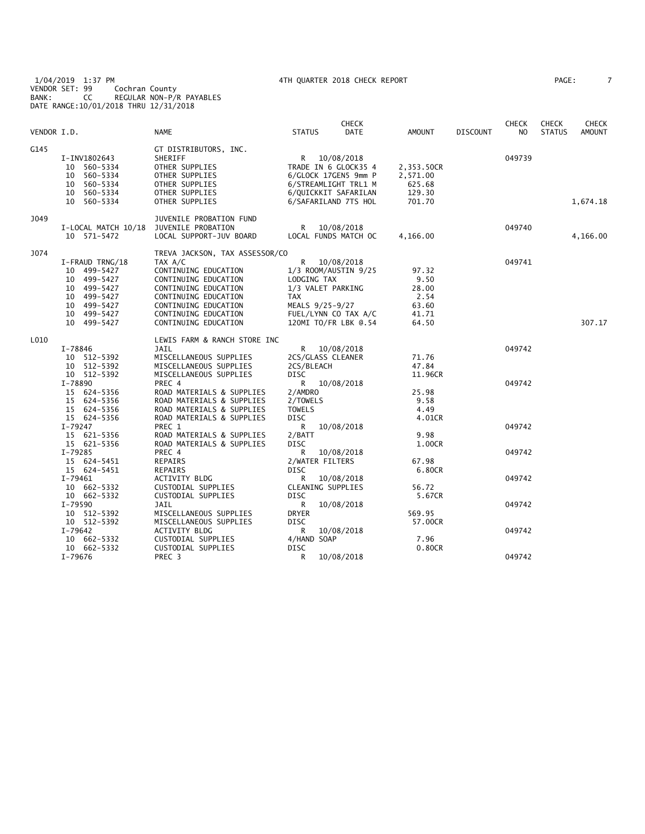1/04/2019 1:37 PM 4TH QUARTER 2018 CHECK REPORT PAGE: 7 VENDOR SET: 99 Cochran County BANK: CC REGULAR NON-P/R PAYABLES DATE RANGE:10/01/2018 THRU 12/31/2018

| 'AGE : |  |  |
|--------|--|--|
|        |  |  |

|             |                                                                                                                                |                                                                                                                                                                                                                            |                                                                                | <b>CHECK</b>                                                                                                                         |                                                           |                 | <b>CHECK</b>     | <b>CHECK</b>  | CHECK         |
|-------------|--------------------------------------------------------------------------------------------------------------------------------|----------------------------------------------------------------------------------------------------------------------------------------------------------------------------------------------------------------------------|--------------------------------------------------------------------------------|--------------------------------------------------------------------------------------------------------------------------------------|-----------------------------------------------------------|-----------------|------------------|---------------|---------------|
| VENDOR I.D. |                                                                                                                                | NAME                                                                                                                                                                                                                       | <b>STATUS</b>                                                                  | DATE                                                                                                                                 | AMOUNT                                                    | <b>DISCOUNT</b> | NO.              | <b>STATUS</b> | <b>AMOUNT</b> |
| G145        | I-INV1802643<br>10 560-5334<br>560-5334<br>10<br>10 560-5334<br>10 560-5334<br>10 560-5334                                     | GT DISTRIBUTORS, INC.<br>SHERIFF<br>OTHER SUPPLIES<br>OTHER SUPPLIES<br>OTHER SUPPLIES<br>OTHER SUPPLIES<br>OTHER SUPPLIES                                                                                                 |                                                                                | R 10/08/2018<br>TRADE IN 6 GLOCK35 4<br>6/GLOCK 17GEN5 9mm P<br>6/STREAMLIGHT TRL1 M<br>6/QUICKKIT SAFARILAN<br>6/SAFARILAND 7TS HOL | 2,353.50CR<br>2,571.00<br>625.68<br>129.30<br>701.70      |                 | 049739           |               | 1,674.18      |
| J049        | I-LOCAL MATCH 10/18<br>10 571-5472                                                                                             | JUVENILE PROBATION FUND<br>JUVENILE PROBATION<br>LOCAL SUPPORT-JUV BOARD                                                                                                                                                   | R                                                                              | 10/08/2018<br>LOCAL FUNDS MATCH OC                                                                                                   | 4,166.00                                                  |                 | 049740           |               | 4,166.00      |
| J074        | I-FRAUD TRNG/18<br>499-5427<br>10<br>10 499-5427<br>10 499-5427<br>499-5427<br>10<br>10 499-5427<br>10 499-5427<br>10 499-5427 | TREVA JACKSON, TAX ASSESSOR/CO<br>TAX A/C<br>CONTINUING EDUCATION<br>CONTINUING EDUCATION<br>CONTINUING EDUCATION<br>CONTINUING EDUCATION<br>CONTINUING EDUCATION<br>CONTINUING EDUCATION<br>CONTINUING EDUCATION          | R<br>LODGING TAX<br>TAX                                                        | 10/08/2018<br>1/3 ROOM/AUSTIN 9/25<br>1/3 VALET PARKING<br>MEALS 9/25-9/27<br>FUEL/LYNN CO TAX A/C<br>120MI TO/FR LBK @.54           | 97.32<br>9.50<br>28.00<br>2.54<br>63.60<br>41.71<br>64.50 |                 | 049741           |               | 307.17        |
| L010        | $I - 78846$<br>10 512-5392<br>10 512-5392<br>10 512-5392<br>I-78890<br>15 624-5356<br>15 624-5356<br>15 624-5356               | LEWIS FARM & RANCH STORE INC<br><b>JAIL</b><br>MISCELLANEOUS SUPPLIES<br>MISCELLANEOUS SUPPLIES<br>MISCELLANEOUS SUPPLIES<br>PREC 4<br>ROAD MATERIALS & SUPPLIES<br>ROAD MATERIALS & SUPPLIES<br>ROAD MATERIALS & SUPPLIES | R —<br>2CS/BLEACH<br><b>DISC</b><br>R.<br>2/AMDRO<br>2/TOWELS<br><b>TOWELS</b> | 10/08/2018<br>2CS/GLASS CLEANER<br>10/08/2018                                                                                        | 71.76<br>47.84<br>11.96CR<br>25.98<br>9.58<br>4.49        |                 | 049742<br>049742 |               |               |
|             | 15 624-5356<br>I-79247<br>15 621-5356<br>15 621-5356<br>I-79285<br>15 624-5451                                                 | ROAD MATERIALS & SUPPLIES<br>PREC 1<br>ROAD MATERIALS & SUPPLIES<br>ROAD MATERIALS & SUPPLIES<br>PREC 4<br>REPAIRS                                                                                                         | <b>DISC</b><br>R<br>2/BATT<br><b>DISC</b><br>R                                 | 10/08/2018<br>10/08/2018<br>2/WATER FILTERS                                                                                          | 4.01CR<br>9.98<br>1.00CR<br>67.98                         |                 | 049742<br>049742 |               |               |
|             | 15 624-5451<br>I-79461<br>10 662-5332<br>10 662-5332<br>I-79590<br>10 512-5392<br>10 512-5392                                  | <b>REPAIRS</b><br>ACTIVITY BLDG<br>CUSTODIAL SUPPLIES<br>CUSTODIAL SUPPLIES<br>JAIL<br>MISCELLANEOUS SUPPLIES<br>MISCELLANEOUS SUPPLIES                                                                                    | DISC<br>R<br><b>DISC</b><br>R<br>DRYER<br><b>DISC</b>                          | 10/08/2018<br>CLEANING SUPPLIES<br>10/08/2018                                                                                        | 6.80CR<br>56.72<br>5.67CR<br>569.95<br>57.00CR            |                 | 049742<br>049742 |               |               |
|             | $I - 79642$<br>10 662-5332<br>10 662-5332<br>I-79676                                                                           | ACTIVITY BLDG<br>CUSTODIAL SUPPLIES<br>CUSTODIAL SUPPLIES<br>PREC 3                                                                                                                                                        | R<br>4/HAND SOAP<br>DISC<br>R                                                  | 10/08/2018<br>10/08/2018                                                                                                             | 7.96<br>0.80CR                                            |                 | 049742<br>049742 |               |               |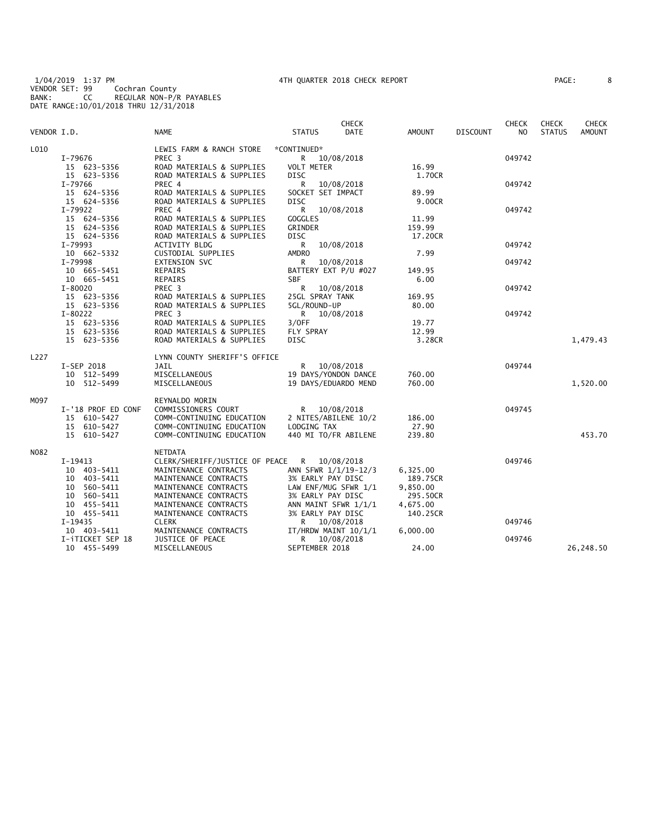1/04/2019 1:37 PM 4TH QUARTER 2018 CHECK REPORT PAGE: 8 VENDOR SET: 99 Cochran County BANK: CC REGULAR NON-P/R PAYABLES DATE RANGE:10/01/2018 THRU 12/31/2018

| PAGE : |  |
|--------|--|
|        |  |

|             |                    |                                |                      | <b>CHECK</b> |               |                 | <b>CHECK</b>   | <b>CHECK</b>  | <b>CHECK</b>  |
|-------------|--------------------|--------------------------------|----------------------|--------------|---------------|-----------------|----------------|---------------|---------------|
| VENDOR I.D. |                    | <b>NAME</b>                    | <b>STATUS</b>        | DATE         | <b>AMOUNT</b> | <b>DISCOUNT</b> | N <sub>O</sub> | <b>STATUS</b> | <b>AMOUNT</b> |
| L010        |                    | LEWIS FARM & RANCH STORE       | *CONTINUED*          |              |               |                 |                |               |               |
|             | I-79676            | PREC 3                         | R.                   | 10/08/2018   |               |                 | 049742         |               |               |
|             | 15 623-5356        | ROAD MATERIALS & SUPPLIES      | <b>VOLT METER</b>    |              | 16.99         |                 |                |               |               |
|             | 15 623-5356        | ROAD MATERIALS & SUPPLIES      | DISC                 |              | 1.70CR        |                 |                |               |               |
|             | I-79766            | PREC 4                         | R                    | 10/08/2018   |               |                 | 049742         |               |               |
|             | 15 624-5356        | ROAD MATERIALS & SUPPLIES      | SOCKET SET IMPACT    |              | 89.99         |                 |                |               |               |
|             | 15 624-5356        | ROAD MATERIALS & SUPPLIES      | <b>DISC</b>          |              | 9.00CR        |                 |                |               |               |
|             | I-79922            | PREC 4                         | $\mathsf{R}$         | 10/08/2018   |               |                 | 049742         |               |               |
|             | 15 624-5356        | ROAD MATERIALS & SUPPLIES      | <b>GOGGLES</b>       |              | 11.99         |                 |                |               |               |
|             | 15 624-5356        | ROAD MATERIALS & SUPPLIES      | <b>GRINDER</b>       |              | 159.99        |                 |                |               |               |
|             | 15 624-5356        | ROAD MATERIALS & SUPPLIES      | DISC                 |              | 17.20CR       |                 |                |               |               |
|             | I-79993            | <b>ACTIVITY BLDG</b>           | R                    | 10/08/2018   |               |                 | 049742         |               |               |
|             | 10 662-5332        | CUSTODIAL SUPPLIES             | <b>AMDRO</b>         |              | 7.99          |                 |                |               |               |
|             | I-79998            | <b>EXTENSION SVC</b>           | R                    | 10/08/2018   |               |                 | 049742         |               |               |
|             | 10 665-5451        | REPAIRS                        | BATTERY EXT P/U #027 |              | 149.95        |                 |                |               |               |
|             | 10 665-5451        | REPAIRS                        | <b>SBF</b>           |              | 6.00          |                 |                |               |               |
|             | $I - 80020$        | PREC 3                         | R 10/08/2018         |              |               |                 | 049742         |               |               |
|             | 15 623-5356        | ROAD MATERIALS & SUPPLIES      | 25GL SPRAY TANK      |              | 169.95        |                 |                |               |               |
|             | 15 623-5356        | ROAD MATERIALS & SUPPLIES      | 5GL/ROUND-UP         |              | 80.00         |                 |                |               |               |
|             | I-80222            | PREC <sub>3</sub>              | R.                   | 10/08/2018   |               |                 | 049742         |               |               |
|             | 15 623-5356        | ROAD MATERIALS & SUPPLIES      | 3/0FF                |              | 19.77         |                 |                |               |               |
|             | 15 623-5356        | ROAD MATERIALS & SUPPLIES      | FLY SPRAY            |              | 12.99         |                 |                |               |               |
|             | 15 623-5356        | ROAD MATERIALS & SUPPLIES      | <b>DISC</b>          |              | 3.28CR        |                 |                |               | 1,479.43      |
|             |                    |                                |                      |              |               |                 |                |               |               |
| L227        |                    | LYNN COUNTY SHERIFF'S OFFICE   |                      |              |               |                 |                |               |               |
|             | I-SEP 2018         | JAIL                           | R                    | 10/08/2018   |               |                 | 049744         |               |               |
|             | 10 512-5499        | MISCELLANEOUS                  | 19 DAYS/YONDON DANCE |              | 760.00        |                 |                |               |               |
|             | 10 512-5499        | MISCELLANEOUS                  | 19 DAYS/EDUARDO MEND |              | 760.00        |                 |                |               | 1,520.00      |
| M097        |                    | REYNALDO MORIN                 |                      |              |               |                 |                |               |               |
|             | I-'18 PROF ED CONF | COMMISSIONERS COURT            | R 10/08/2018         |              |               |                 | 049745         |               |               |
|             | 15 610-5427        | COMM-CONTINUING EDUCATION      | 2 NITES/ABILENE 10/2 |              | 186.00        |                 |                |               |               |
|             | 15 610-5427        | COMM-CONTINUING EDUCATION      | LODGING TAX          |              | 27.90         |                 |                |               |               |
|             | 15 610-5427        | COMM-CONTINUING EDUCATION      | 440 MI TO/FR ABILENE |              | 239.80        |                 |                |               | 453.70        |
| N082        |                    | NETDATA                        |                      |              |               |                 |                |               |               |
|             | I-19413            | CLERK/SHERIFF/JUSTICE OF PEACE | R 10/08/2018         |              |               |                 | 049746         |               |               |
|             | 10 403-5411        | MAINTENANCE CONTRACTS          | ANN SFWR 1/1/19-12/3 |              | 6,325.00      |                 |                |               |               |
|             | 10 403-5411        | MAINTENANCE CONTRACTS          | 3% EARLY PAY DISC    |              | 189.75CR      |                 |                |               |               |
|             | 10 560-5411        | MAINTENANCE CONTRACTS          | LAW ENF/MUG SFWR 1/1 |              | 9,850.00      |                 |                |               |               |
|             | 10 560-5411        | MAINTENANCE CONTRACTS          | 3% EARLY PAY DISC    |              | 295.50CR      |                 |                |               |               |
|             | 10 455-5411        | MAINTENANCE CONTRACTS          |                      |              | 4,675.00      |                 |                |               |               |
|             | 10 455-5411        | MAINTENANCE CONTRACTS          | ANN MAINT SFWR 1/1/1 |              |               |                 |                |               |               |
|             |                    |                                | 3% EARLY PAY DISC    |              | 140.25CR      |                 | 049746         |               |               |
|             | I-19435            | <b>CLERK</b>                   | R                    | 10/08/2018   |               |                 |                |               |               |
|             | 10 403-5411        | MAINTENANCE CONTRACTS          | IT/HRDW MAINT 10/1/1 |              | 6,000.00      |                 |                |               |               |
|             | I-iTICKET SEP 18   | JUSTICE OF PEACE               | R.                   | 10/08/2018   | 24.00         |                 | 049746         |               |               |
|             | 10 455-5499        | MISCELLANEOUS                  | SEPTEMBER 2018       |              |               |                 |                |               | 26,248.50     |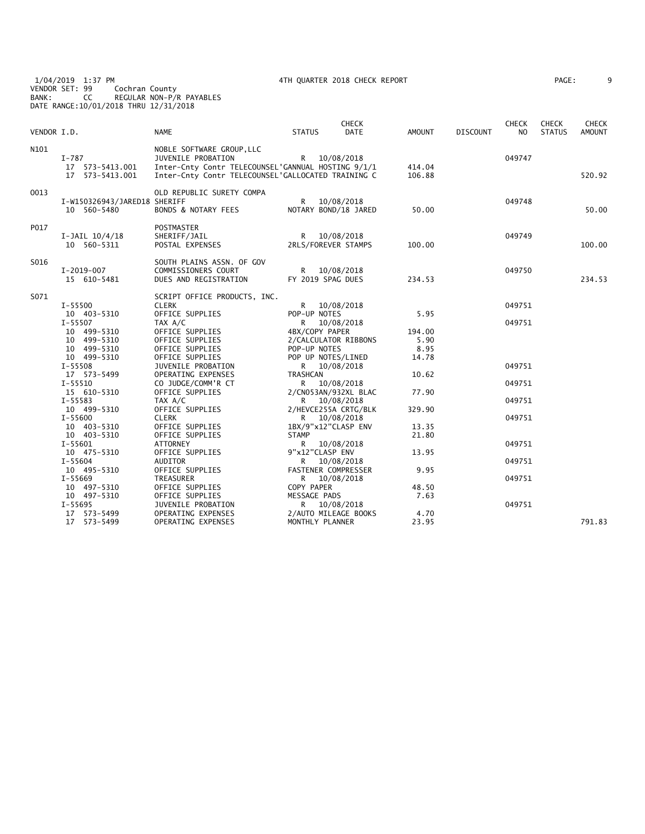1/04/2019 1:37 PM 4TH QUARTER 2018 CHECK REPORT PAGE: 9 VENDOR SET: 99 Cochran County BANK: CC REGULAR NON-P/R PAYABLES DATE RANGE:10/01/2018 THRU 12/31/2018

| AGE : |  |  |
|-------|--|--|
|       |  |  |

| VENDOR I.D. |                                                          | <b>NAME</b>                                                                                                                                                 | <b>STATUS</b>                                                 | <b>CHECK</b><br><b>DATE</b> | AMOUNT                          | <b>DISCOUNT</b> | <b>CHECK</b><br>N <sub>O</sub> | <b>CHECK</b><br><b>STATUS</b> | <b>CHECK</b><br><b>AMOUNT</b> |
|-------------|----------------------------------------------------------|-------------------------------------------------------------------------------------------------------------------------------------------------------------|---------------------------------------------------------------|-----------------------------|---------------------------------|-----------------|--------------------------------|-------------------------------|-------------------------------|
| N101        | $I-787$<br>17  573-5413.001<br>17  573-5413.001          | NOBLE SOFTWARE GROUP, LLC<br>JUVENILE PROBATION<br>Inter-Cnty Contr TELECOUNSEL'GANNUAL HOSTING 9/1/1<br>Inter-Cnty Contr TELECOUNSEL'GALLOCATED TRAINING C | R 10/08/2018                                                  |                             | 414.04<br>106.88                |                 | 049747                         |                               | 520.92                        |
| 0013        | I-W150326943/JARED18 SHERIFF<br>10 560-5480              | OLD REPUBLIC SURETY COMPA<br><b>BONDS &amp; NOTARY FEES</b>                                                                                                 | R.<br>NOTARY BOND/18 JARED                                    | 10/08/2018                  | 50.00                           |                 | 049748                         |                               | 50.00                         |
| P017        | I-JAIL 10/4/18<br>10 560-5311                            | <b>POSTMASTER</b><br>SHERIFF/JAIL<br>POSTAL EXPENSES                                                                                                        | R 10/08/2018<br>2RLS/FOREVER STAMPS                           |                             | 100.00                          |                 | 049749                         |                               | 100.00                        |
| S016        | I-2019-007<br>15 610-5481                                | SOUTH PLAINS ASSN. OF GOV<br>COMMISSIONERS COURT<br>DUES AND REGISTRATION                                                                                   | R 10/08/2018<br>FY 2019 SPAG DUES                             |                             | 234.53                          |                 | 049750                         |                               | 234.53                        |
| S071        | I-55500<br>10 403-5310                                   | SCRIPT OFFICE PRODUCTS, INC.<br><b>CLERK</b><br>OFFICE SUPPLIES                                                                                             | R —<br>POP-UP NOTES                                           | 10/08/2018                  | 5.95                            |                 | 049751                         |                               |                               |
|             | $I - 55507$<br>10 499-5310<br>10 499-5310<br>10 499-5310 | TAX A/C<br>OFFICE SUPPLIES<br>OFFICE SUPPLIES<br>OFFICE SUPPLIES                                                                                            | R —<br>4BX/COPY PAPER<br>2/CALCULATOR RIBBONS<br>POP-UP NOTES | 10/08/2018                  | 194.00<br>5.90<br>8.95<br>14.78 |                 | 049751                         |                               |                               |
|             | 10 499-5310<br>I-55508<br>17 573-5499                    | OFFICE SUPPLIES<br>JUVENILE PROBATION<br>OPERATING EXPENSES                                                                                                 | POP UP NOTES/LINED<br>R 10/08/2018<br>TRASHCAN                |                             | 10.62                           |                 | 049751                         |                               |                               |
|             | $I - 55510$<br>15 610-5310<br>I-55583                    | CO JUDGE/COMM'R CT<br>OFFICE SUPPLIES<br>TAX A/C                                                                                                            | R —<br>2/CN053AN/932XL BLAC<br>R 10/08/2018                   | 10/08/2018                  | 77.90                           |                 | 049751<br>049751               |                               |                               |
|             | 10 499-5310<br>I-55600<br>10 403-5310                    | OFFICE SUPPLIES<br><b>CLERK</b><br>OFFICE SUPPLIES                                                                                                          | 2/HEVCE255A CRTG/BLK<br>R 10/08/2018<br>1BX/9"x12"CLASP ENV   |                             | 329.90<br>13.35                 |                 | 049751                         |                               |                               |
|             | 10 403-5310<br>$I-55601$<br>10 475-5310                  | OFFICE SUPPLIES<br>ATTORNEY<br>OFFICE SUPPLIES                                                                                                              | <b>STAMP</b><br>R 10/08/2018<br>9"x12"CLASP ENV               |                             | 21.80<br>13.95                  |                 | 049751                         |                               |                               |
|             | $I - 55604$<br>10 495-5310                               | AUDITOR<br>OFFICE SUPPLIES                                                                                                                                  | R<br>FASTENER COMPRESSER                                      | 10/08/2018                  | 9.95                            |                 | 049751                         |                               |                               |
|             | I-55669<br>10 497-5310<br>10 497-5310                    | TREASURER<br>OFFICE SUPPLIES<br>OFFICE SUPPLIES                                                                                                             | R.<br>COPY PAPER<br>MESSAGE PADS                              | 10/08/2018                  | 48.50<br>7.63                   |                 | 049751                         |                               |                               |
|             | $I - 55695$<br>17 573-5499<br>17 573-5499                | JUVENILE PROBATION<br>OPERATING EXPENSES<br>OPERATING EXPENSES                                                                                              | R 10/08/2018<br>2/AUTO MILEAGE BOOKS<br>MONTHLY PLANNER       |                             | 4.70<br>23.95                   |                 | 049751                         |                               | 791.83                        |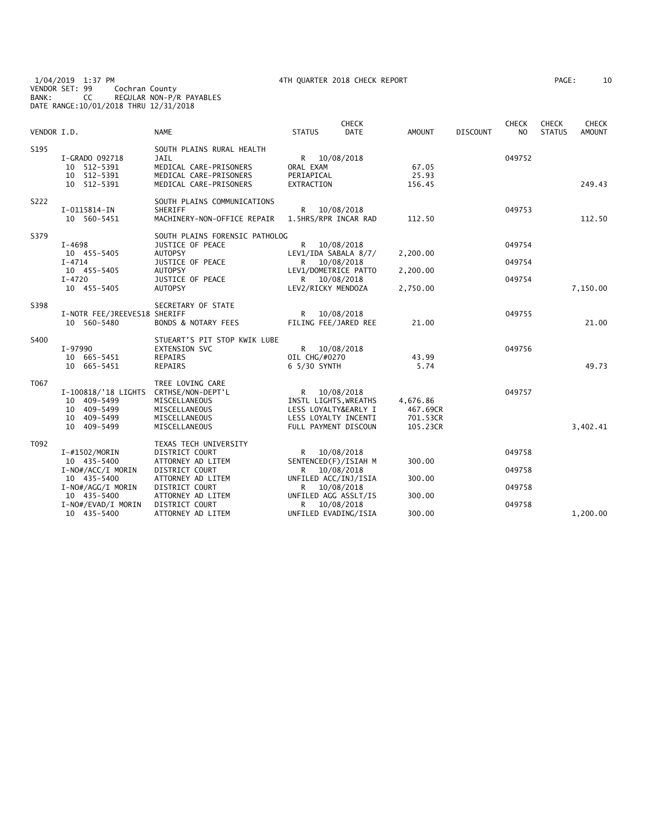1/04/2019 1:37 PM 4TH QUARTER 2018 CHECK REPORT PAGE: 10 VENDOR SET: 99 Cochran County BANK: CC REGULAR NON-P/R PAYABLES DATE RANGE:10/01/2018 THRU 12/31/2018

| AGE: | 10 |
|------|----|
|------|----|

|             |                                  |                                     |                           | <b>CHECK</b> |               |                 | <b>CHECK</b> | <b>CHECK</b>  | <b>CHECK</b>  |
|-------------|----------------------------------|-------------------------------------|---------------------------|--------------|---------------|-----------------|--------------|---------------|---------------|
| VENDOR I.D. |                                  | <b>NAME</b>                         | <b>STATUS</b>             | <b>DATE</b>  | <b>AMOUNT</b> | <b>DISCOUNT</b> | NO.          | <b>STATUS</b> | <b>AMOUNT</b> |
| S195        |                                  | SOUTH PLAINS RURAL HEALTH           |                           |              |               |                 |              |               |               |
|             | I-GRADO 092718                   | <b>JAIL</b>                         | R 10/08/2018              |              |               |                 | 049752       |               |               |
|             | 10 512-5391                      | MEDICAL CARE-PRISONERS              | ORAL EXAM                 |              | 67.05         |                 |              |               |               |
|             | 10 512-5391                      | MEDICAL CARE-PRISONERS              | PERIAPICAL                |              | 25.93         |                 |              |               |               |
|             | 10 512-5391                      | MEDICAL CARE-PRISONERS              | EXTRACTION                |              | 156.45        |                 |              |               | 249.43        |
| S222        |                                  | SOUTH PLAINS COMMUNICATIONS         |                           |              |               |                 |              |               |               |
|             | I-0115814-IN                     | <b>SHERIFF</b>                      | R.                        | 10/08/2018   |               |                 | 049753       |               |               |
|             | 10 560-5451                      | MACHINERY-NON-OFFICE REPAIR         | 1.5HRS/RPR INCAR RAD      |              | 112.50        |                 |              |               | 112.50        |
| S379        |                                  | SOUTH PLAINS FORENSIC PATHOLOG      |                           |              |               |                 |              |               |               |
|             | $I - 4698$                       | JUSTICE OF PEACE                    | R 10/08/2018              |              |               |                 | 049754       |               |               |
|             | 10 455-5405                      | <b>AUTOPSY</b>                      | LEV1/IDA SABALA 8/7/      |              | 2,200.00      |                 |              |               |               |
|             | $I - 4714$                       | JUSTICE OF PEACE                    | R.                        | 10/08/2018   |               |                 | 049754       |               |               |
|             | 10 455-5405                      | <b>AUTOPSY</b>                      | LEV1/DOMETRICE PATTO      |              | 2,200.00      |                 |              |               |               |
|             | $I - 4720$                       | JUSTICE OF PEACE                    | R 10/08/2018              |              |               |                 | 049754       |               |               |
|             | 10 455-5405                      | <b>AUTOPSY</b>                      | LEV2/RICKY MENDOZA        |              | 2,750.00      |                 |              |               | 7,150.00      |
| S398        |                                  | SECRETARY OF STATE                  |                           |              |               |                 |              |               |               |
|             | I-NOTR FEE/JREEVES18 SHERIFF     |                                     | R 10/08/2018              |              |               |                 | 049755       |               |               |
|             | 10 560-5480                      | <b>BONDS &amp; NOTARY FEES</b>      | FILING FEE/JARED REE      |              | 21.00         |                 |              |               | 21.00         |
| S400        |                                  | STUEART'S PIT STOP KWIK LUBE        |                           |              |               |                 |              |               |               |
|             | I-97990                          | <b>EXTENSION SVC</b>                | R 10/08/2018              |              |               |                 | 049756       |               |               |
|             | 10 665-5451                      | REPAIRS                             | OIL CHG/#0270             |              | 43.99         |                 |              |               |               |
|             | 10 665-5451                      | REPAIRS                             | 6 5/30 SYNTH              |              | 5.74          |                 |              |               | 49.73         |
| T067        |                                  | TREE LOVING CARE                    |                           |              |               |                 |              |               |               |
|             | I-100818/'18 LIGHTS              | CRTHSE/NON-DEPT'L                   | R 10/08/2018              |              |               |                 | 049757       |               |               |
|             | 10 409-5499                      | MISCELLANEOUS                       | INSTL LIGHTS, WREATHS     |              | 4,676.86      |                 |              |               |               |
|             | 10 409-5499                      | MISCELLANEOUS                       | LESS LOYALTY&EARLY I      |              | 467.69CR      |                 |              |               |               |
|             | 10 409-5499                      | MISCELLANEOUS                       | LESS LOYALTY INCENTI      |              | 701.53CR      |                 |              |               |               |
|             | 10 409-5499                      | MISCELLANEOUS                       | FULL PAYMENT DISCOUN      |              | 105.23CR      |                 |              |               | 3,402.41      |
| T092        |                                  | TEXAS TECH UNIVERSITY               |                           |              |               |                 |              |               |               |
|             | I-#1502/MORIN                    | <b>DISTRICT COURT</b>               | R 10/08/2018              |              |               |                 | 049758       |               |               |
|             | 10 435-5400                      | ATTORNEY AD LITEM                   | SENTENCED(F)/ISIAH M      |              | 300.00        |                 |              |               |               |
|             | I-NO#/ACC/I MORIN                | DISTRICT COURT                      | R                         | 10/08/2018   |               |                 | 049758       |               |               |
|             | 10 435-5400                      | ATTORNEY AD LITEM                   | UNFILED ACC/INJ/ISIA      |              | 300.00        |                 |              |               |               |
|             | I-NO#/AGG/I MORIN<br>10 435-5400 | DISTRICT COURT<br>ATTORNEY AD LITEM | R<br>UNFILED AGG ASSLT/IS | 10/08/2018   | 300.00        |                 | 049758       |               |               |
|             | I-NO#/EVAD/I MORIN               | <b>DISTRICT COURT</b>               | R —                       | 10/08/2018   |               |                 | 049758       |               |               |
|             | 10 435-5400                      | ATTORNEY AD LITEM                   | UNFILED EVADING/ISIA      |              | 300.00        |                 |              |               | 1,200.00      |
|             |                                  |                                     |                           |              |               |                 |              |               |               |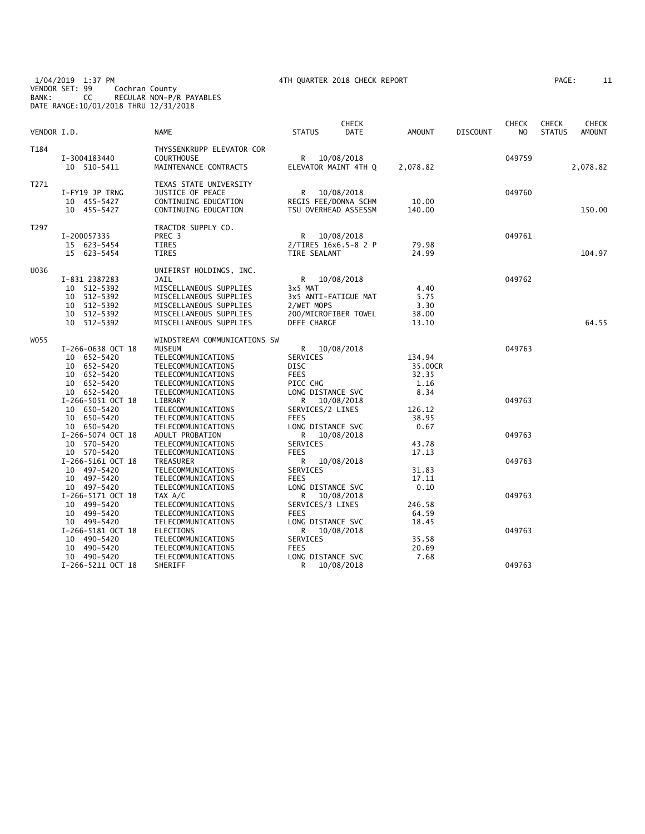1/04/2019 1:37 PM 4TH QUARTER 2018 CHECK REPORT PAGE: 11 VENDOR SET: 99 Cochran County BANK: CC REGULAR NON-P/R PAYABLES DATE RANGE:10/01/2018 THRU 12/31/2018

| 'AGE : |  |  |
|--------|--|--|
|--------|--|--|

| VENDOR I.D. |                                                                                                   | <b>NAME</b>                                                                                                                                                       | <b>STATUS</b>                                                                | <b>CHECK</b><br><b>DATE</b>                                  | <b>AMOUNT</b>                              | <b>DISCOUNT</b> | <b>CHECK</b><br>NO. | <b>CHECK</b><br><b>STATUS</b> | CHECK<br><b>AMOUNT</b> |
|-------------|---------------------------------------------------------------------------------------------------|-------------------------------------------------------------------------------------------------------------------------------------------------------------------|------------------------------------------------------------------------------|--------------------------------------------------------------|--------------------------------------------|-----------------|---------------------|-------------------------------|------------------------|
| T184        | I-3004183440<br>10 510-5411                                                                       | THYSSENKRUPP ELEVATOR COR<br><b>COURTHOUSE</b><br>MAINTENANCE CONTRACTS                                                                                           | R                                                                            | 10/08/2018<br>ELEVATOR MAINT 4TH Q                           | 2,078.82                                   |                 | 049759              |                               | 2,078.82               |
| T271        | I-FY19 JP TRNG<br>10 455-5427<br>10 455-5427                                                      | TEXAS STATE UNIVERSITY<br>JUSTICE OF PEACE<br>CONTINUING EDUCATION<br>CONTINUING EDUCATION                                                                        | R                                                                            | 10/08/2018<br>REGIS FEE/DONNA SCHM<br>TSU OVERHEAD ASSESSM   | 10.00<br>140.00                            |                 | 049760              |                               | 150.00                 |
| T297        | I-200057335<br>15 623-5454<br>15 623-5454                                                         | TRACTOR SUPPLY CO.<br>PREC 3<br>TIRES<br><b>TIRES</b>                                                                                                             | R<br>TIRE SEALANT                                                            | 10/08/2018<br>2/TIRES 16x6.5-8 2 P                           | 79.98<br>24.99                             |                 | 049761              |                               | 104.97                 |
| U036        | I-831 2387283<br>512-5392<br>10<br>512-5392<br>10<br>10<br>512-5392<br>10 512-5392<br>10 512-5392 | UNIFIRST HOLDINGS, INC.<br>JAIL<br>MISCELLANEOUS SUPPLIES<br>MISCELLANEOUS SUPPLIES<br>MISCELLANEOUS SUPPLIES<br>MISCELLANEOUS SUPPLIES<br>MISCELLANEOUS SUPPLIES | 3x5 MAT<br>2/WET MOPS<br>DEFE CHARGE                                         | R 10/08/2018<br>3x5 ANTI-FATIGUE MAT<br>200/MICROFIBER TOWEL | 4.40<br>5.75<br>3.30<br>38.00<br>13.10     |                 | 049762              |                               | 64.55                  |
| W055        | I-266-0638 OCT 18<br>10 652-5420<br>10 652-5420<br>10 652-5420<br>10<br>652-5420<br>10 652-5420   | WINDSTREAM COMMUNICATIONS SW<br><b>MUSEUM</b><br>TELECOMMUNICATIONS<br>TELECOMMUNICATIONS<br>TELECOMMUNICATIONS<br>TELECOMMUNICATIONS<br>TELECOMMUNICATIONS       | R<br><b>SERVICES</b><br>DISC<br><b>FEES</b><br>PICC CHG<br>LONG DISTANCE SVC | 10/08/2018                                                   | 134.94<br>35.00CR<br>32.35<br>1.16<br>8.34 |                 | 049763              |                               |                        |
|             | I-266-5051 OCT 18<br>10 650-5420<br>10 650-5420<br>10 650-5420                                    | LIBRARY<br>TELECOMMUNICATIONS<br>TELECOMMUNICATIONS<br>TELECOMMUNICATIONS                                                                                         | R<br>SERVICES/2 LINES<br><b>FEES</b><br>LONG DISTANCE SVC                    | 10/08/2018                                                   | 126.12<br>38.95<br>0.67                    |                 | 049763              |                               |                        |
|             | I-266-5074 OCT 18<br>10 570-5420<br>10 570-5420<br>I-266-5161 OCT 18<br>10 497-5420               | ADULT PROBATION<br>TELECOMMUNICATIONS<br>TELECOMMUNICATIONS<br>TREASURER<br>TELECOMMUNICATIONS                                                                    | R<br>SERVICES<br><b>FEES</b><br>R<br>SERVICES                                | 10/08/2018<br>10/08/2018                                     | 43.78<br>17.13<br>31.83                    |                 | 049763<br>049763    |                               |                        |
|             | 10 497-5420<br>10 497-5420<br>I-266-5171 OCT 18<br>10 499-5420<br>10 499-5420                     | TELECOMMUNICATIONS<br>TELECOMMUNICATIONS<br>TAX A/C<br>TELECOMMUNICATIONS<br>TELECOMMUNICATIONS                                                                   | <b>FEES</b><br>LONG DISTANCE SVC<br>R<br>SERVICES/3 LINES<br><b>FEES</b>     | 10/08/2018                                                   | 17.11<br>0.10<br>246.58<br>64.59           |                 | 049763              |                               |                        |
|             | 10 499-5420<br>I-266-5181 OCT 18<br>10<br>490-5420<br>10 490-5420                                 | TELECOMMUNICATIONS<br><b>ELECTIONS</b><br>TELECOMMUNICATIONS<br>TELECOMMUNICATIONS                                                                                | LONG DISTANCE SVC<br>R<br>SERVICES<br><b>FEES</b>                            | 10/08/2018                                                   | 18.45<br>35.58<br>20.69                    |                 | 049763              |                               |                        |
|             | 10 490-5420<br>I-266-5211 OCT 18                                                                  | TELECOMMUNICATIONS<br>SHERIFF                                                                                                                                     | LONG DISTANCE SVC<br>R                                                       | 10/08/2018                                                   | 7.68                                       |                 | 049763              |                               |                        |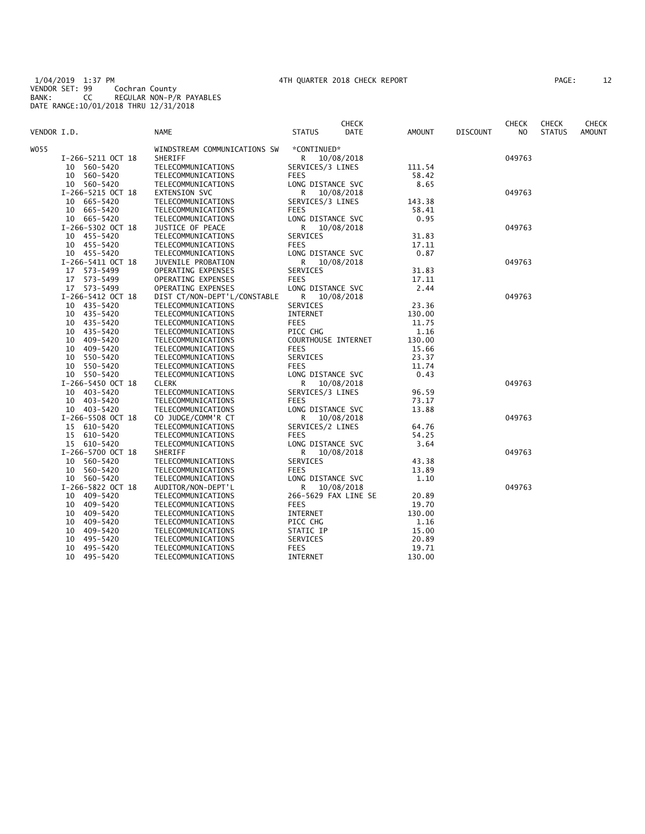1/04/2019 1:37 PM 4TH QUARTER 2018 CHECK REPORT PAGE: 12 VENDOR SET: 99 Cochran County BANK: CC REGULAR NON-P/R PAYABLES DATE RANGE:10/01/2018 THRU 12/31/2018

| AGE: | 12 |
|------|----|
|------|----|

|             |                   |                              |                      | <b>CHECK</b> |               |                 | <b>CHECK</b> | <b>CHECK</b>  | CHECK  |
|-------------|-------------------|------------------------------|----------------------|--------------|---------------|-----------------|--------------|---------------|--------|
| VENDOR I.D. |                   | NAME                         | <b>STATUS</b>        | <b>DATE</b>  | <b>AMOUNT</b> | <b>DISCOUNT</b> | NO.          | <b>STATUS</b> | AMOUNT |
| WO55        |                   | WINDSTREAM COMMUNICATIONS SW | *CONTINUED*          |              |               |                 |              |               |        |
|             | I-266-5211 OCT 18 | SHERIFF                      | R 10/08/2018         |              |               |                 | 049763       |               |        |
|             | 10 560-5420       | TELECOMMUNICATIONS           | SERVICES/3 LINES     |              | 111.54        |                 |              |               |        |
|             | 10 560-5420       | TELECOMMUNICATIONS           | <b>FEES</b>          |              | 58.42         |                 |              |               |        |
|             | 10 560-5420       | TELECOMMUNICATIONS           | LONG DISTANCE SVC    |              | 8.65          |                 |              |               |        |
|             | I-266-5215 OCT 18 | EXTENSION SVC                | R                    | 10/08/2018   |               |                 | 049763       |               |        |
|             | 10 665-5420       | TELECOMMUNICATIONS           | SERVICES/3 LINES     |              | 143.38        |                 |              |               |        |
|             | 10 665-5420       | TELECOMMUNICATIONS           | <b>FEES</b>          |              | 58.41         |                 |              |               |        |
|             | 10 665-5420       | TELECOMMUNICATIONS           | LONG DISTANCE SVC    |              | 0.95          |                 |              |               |        |
|             | I-266-5302 OCT 18 | JUSTICE OF PEACE             | R                    | 10/08/2018   |               |                 | 049763       |               |        |
|             | 10 455-5420       | TELECOMMUNICATIONS           | SERVICES             |              | 31.83         |                 |              |               |        |
|             | 10 455-5420       | TELECOMMUNICATIONS           | <b>FEES</b>          |              | 17.11         |                 |              |               |        |
|             | 10 455-5420       | TELECOMMUNICATIONS           | LONG DISTANCE SVC    |              | 0.87          |                 |              |               |        |
|             | I-266-5411 OCT 18 | JUVENILE PROBATION           | R.                   | 10/08/2018   |               |                 | 049763       |               |        |
|             | 17 573-5499       | OPERATING EXPENSES           | SERVICES             |              | 31.83         |                 |              |               |        |
|             | 17 573-5499       | OPERATING EXPENSES           | <b>FEES</b>          |              | 17.11         |                 |              |               |        |
|             | 17 573-5499       | OPERATING EXPENSES           | LONG DISTANCE SVC    |              | 2.44          |                 |              |               |        |
|             | I-266-5412 OCT 18 | DIST CT/NON-DEPT'L/CONSTABLE | R 10/08/2018         |              |               |                 | 049763       |               |        |
|             | 10 435-5420       | TELECOMMUNICATIONS           | SERVICES             |              | 23.36         |                 |              |               |        |
|             | 10 435-5420       | TELECOMMUNICATIONS           | <b>INTERNET</b>      |              | 130.00        |                 |              |               |        |
|             | 10 435-5420       | TELECOMMUNICATIONS           | <b>FEES</b>          |              | 11.75         |                 |              |               |        |
|             | 10 435-5420       | TELECOMMUNICATIONS           | PICC CHG             |              | 1.16          |                 |              |               |        |
|             | 10 409-5420       | TELECOMMUNICATIONS           | COURTHOUSE INTERNET  |              | 130.00        |                 |              |               |        |
|             | 10 409-5420       | TELECOMMUNICATIONS           | <b>FEES</b>          |              | 15.66         |                 |              |               |        |
|             | 10 550-5420       | TELECOMMUNICATIONS           | SERVICES             |              | 23.37         |                 |              |               |        |
|             | 10<br>550-5420    | TELECOMMUNICATIONS           | <b>FEES</b>          |              | 11.74         |                 |              |               |        |
|             | 10 550-5420       | TELECOMMUNICATIONS           | LONG DISTANCE SVC    |              | 0.43          |                 |              |               |        |
|             | I-266-5450 OCT 18 | <b>CLERK</b>                 | R.                   | 10/08/2018   |               |                 | 049763       |               |        |
|             | 10 403-5420       | TELECOMMUNICATIONS           | SERVICES/3 LINES     |              | 96.59         |                 |              |               |        |
|             | 10 403-5420       | TELECOMMUNICATIONS           | <b>FEES</b>          |              | 73.17         |                 |              |               |        |
|             | 10 403-5420       | TELECOMMUNICATIONS           | LONG DISTANCE SVC    |              | 13.88         |                 |              |               |        |
|             | I-266-5508 OCT 18 | CO JUDGE/COMM'R CT           | R.                   | 10/08/2018   |               |                 | 049763       |               |        |
|             | 15 610-5420       | TELECOMMUNICATIONS           | SERVICES/2 LINES     |              | 64.76         |                 |              |               |        |
|             | 610-5420<br>15    | TELECOMMUNICATIONS           | <b>FEES</b>          |              | 54.25         |                 |              |               |        |
|             | 15 610-5420       | TELECOMMUNICATIONS           | LONG DISTANCE SVC    |              | 3.64          |                 |              |               |        |
|             | I-266-5700 OCT 18 | SHERIFF                      | R                    | 10/08/2018   |               |                 | 049763       |               |        |
|             | 10 560-5420       | TELECOMMUNICATIONS           | SERVICES             |              | 43.38         |                 |              |               |        |
|             | 10 560-5420       | TELECOMMUNICATIONS           | <b>FEES</b>          |              | 13.89         |                 |              |               |        |
|             | 10 560-5420       | TELECOMMUNICATIONS           | LONG DISTANCE SVC    |              | 1.10          |                 |              |               |        |
|             | I-266-5822 OCT 18 | AUDITOR/NON-DEPT'L           | R 10/08/2018         |              |               |                 | 049763       |               |        |
|             | 10 409-5420       | TELECOMMUNICATIONS           | 266-5629 FAX LINE SE |              | 20.89         |                 |              |               |        |
|             | 10 409-5420       | TELECOMMUNICATIONS           | <b>FEES</b>          |              | 19.70         |                 |              |               |        |
|             | 10 409-5420       | TELECOMMUNICATIONS           | INTERNET             |              | 130.00        |                 |              |               |        |
|             | 10 409-5420       | TELECOMMUNICATIONS           | PICC CHG             |              | 1.16          |                 |              |               |        |
|             | 409-5420<br>10    | TELECOMMUNICATIONS           | STATIC IP            |              | 15.00         |                 |              |               |        |
|             | 10<br>495-5420    | TELECOMMUNICATIONS           | SERVICES             |              | 20.89         |                 |              |               |        |
|             | 10<br>495-5420    | TELECOMMUNICATIONS           | <b>FEES</b>          |              | 19.71         |                 |              |               |        |
|             | 10<br>495-5420    | TELECOMMUNICATIONS           | INTERNET             |              | 130.00        |                 |              |               |        |
|             |                   |                              |                      |              |               |                 |              |               |        |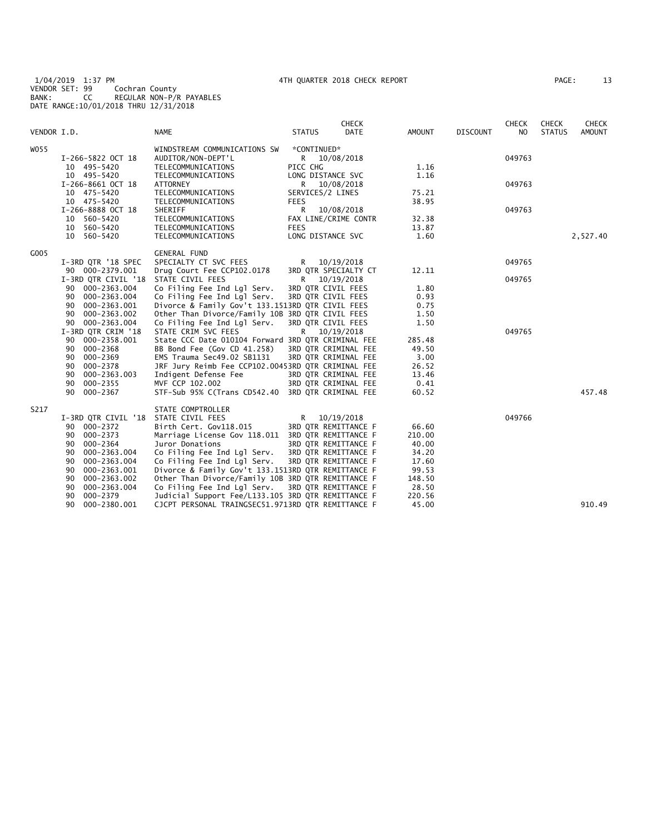1/04/2019 1:37 PM 4TH QUARTER 2018 CHECK REPORT PAGE: 13 VENDOR SET: 99 Cochran County BANK: CC REGULAR NON-P/R PAYABLES DATE RANGE:10/01/2018 THRU 12/31/2018

| 13<br>AGE: |  |
|------------|--|
|------------|--|

|             |                     |                                                    |                      | <b>CHECK</b> |               |                 | <b>CHECK</b>   | <b>CHECK</b>  | <b>CHECK</b>  |
|-------------|---------------------|----------------------------------------------------|----------------------|--------------|---------------|-----------------|----------------|---------------|---------------|
| VENDOR I.D. |                     | <b>NAME</b>                                        | <b>STATUS</b>        | DATE         | <b>AMOUNT</b> | <b>DISCOUNT</b> | N <sub>O</sub> | <b>STATUS</b> | <b>AMOUNT</b> |
| W055        |                     | WINDSTREAM COMMUNICATIONS SW                       | *CONTINUED*          |              |               |                 |                |               |               |
|             | I-266-5822 OCT 18   | AUDITOR/NON-DEPT'L                                 | R 10/08/2018         |              |               |                 | 049763         |               |               |
|             | 10 495-5420         | TELECOMMUNICATIONS                                 | PICC CHG             |              | 1.16          |                 |                |               |               |
|             | 10 495-5420         | TELECOMMUNICATIONS                                 | LONG DISTANCE SVC    |              | 1.16          |                 |                |               |               |
|             | I-266-8661 OCT 18   | ATTORNEY                                           | R                    | 10/08/2018   |               |                 | 049763         |               |               |
|             | 10 475-5420         | TELECOMMUNICATIONS                                 | SERVICES/2 LINES     |              | 75.21         |                 |                |               |               |
|             | 10 475-5420         | TELECOMMUNICATIONS                                 | <b>FEES</b>          |              | 38.95         |                 |                |               |               |
|             | I-266-8888 OCT 18   | SHERIFF                                            | R                    | 10/08/2018   |               |                 | 049763         |               |               |
|             | 10 560-5420         | TELECOMMUNICATIONS                                 | FAX LINE/CRIME CONTR |              | 32.38         |                 |                |               |               |
|             | 10 560-5420         | TELECOMMUNICATIONS                                 | <b>FEES</b>          |              | 13.87         |                 |                |               |               |
|             | 10 560-5420         | TELECOMMUNICATIONS                                 | LONG DISTANCE SVC    |              | 1.60          |                 |                |               | 2,527.40      |
| G005        |                     | <b>GENERAL FUND</b>                                |                      |              |               |                 |                |               |               |
|             | I-3RD QTR '18 SPEC  | SPECIALTY CT SVC FEES                              | R                    | 10/19/2018   |               |                 | 049765         |               |               |
|             | 90 000-2379.001     | Drug Court Fee CCP102.0178                         | 3RD QTR SPECIALTY CT |              | 12.11         |                 |                |               |               |
|             | I-3RD QTR CIVIL '18 | STATE CIVIL FEES                                   | R                    | 10/19/2018   |               |                 | 049765         |               |               |
|             | 000-2363.004<br>90  | Co Filing Fee Ind Lgl Serv.                        | 3RD QTR CIVIL FEES   |              | 1.80          |                 |                |               |               |
|             | 000-2363.004<br>90  | Co Filing Fee Ind Lgl Serv.                        | 3RD QTR CIVIL FEES   |              | 0.93          |                 |                |               |               |
|             | 000-2363.001<br>90  | Divorce & Family Gov't 133.1513RD QTR CIVIL FEES   |                      |              | 0.75          |                 |                |               |               |
|             | 000-2363.002<br>90  | Other Than Divorce/Family 10B 3RD QTR CIVIL FEES   |                      |              | 1.50          |                 |                |               |               |
|             | 90 000-2363.004     | Co Filing Fee Ind Lgl Serv.                        | 3RD QTR CIVIL FEES   |              | 1.50          |                 |                |               |               |
|             | I-3RD QTR CRIM '18  | STATE CRIM SVC FEES                                | R 10/19/2018         |              |               |                 | 049765         |               |               |
|             | 90 000-2358.001     | State CCC Date 010104 Forward 3RD QTR CRIMINAL FEE |                      |              | 285.48        |                 |                |               |               |
|             | 90 000-2368         | BB Bond Fee (Gov CD 41.258)                        | 3RD QTR CRIMINAL FEE |              | 49.50         |                 |                |               |               |
|             | 000-2369<br>90      | EMS Trauma Sec49.02 SB1131                         | 3RD QTR CRIMINAL FEE |              | 3.00          |                 |                |               |               |
|             | 000-2378<br>90      | JRF Jury Reimb Fee CCP102.00453RD QTR CRIMINAL FEE |                      |              | 26.52         |                 |                |               |               |
|             | 000-2363.003<br>90  | Indigent Defense Fee                               | 3RD QTR CRIMINAL FEE |              | 13.46         |                 |                |               |               |
|             | 000-2355<br>90      | MVF CCP 102.002                                    | 3RD QTR CRIMINAL FEE |              | 0.41          |                 |                |               |               |
|             | 000-2367<br>90      | STF-Sub 95% C(Trans CD542.40 3RD QTR CRIMINAL FEE  |                      |              | 60.52         |                 |                |               | 457.48        |
| S217        |                     | STATE COMPTROLLER                                  |                      |              |               |                 |                |               |               |
|             | I-3RD QTR CIVIL '18 | STATE CIVIL FEES                                   | R                    | 10/19/2018   |               |                 | 049766         |               |               |
|             | 90 000-2372         | Birth Cert. Gov118.015                             | 3RD QTR REMITTANCE F |              | 66.60         |                 |                |               |               |
|             | 000-2373<br>90      | Marriage License Gov 118.011 3RD QTR REMITTANCE F  |                      |              | 210.00        |                 |                |               |               |
|             | 000-2364<br>90      | Juror Donations                                    | 3RD OTR REMITTANCE F |              | 40.00         |                 |                |               |               |
|             | 000-2363.004<br>90  | Co Filing Fee Ind Lgl Serv.                        | 3RD QTR REMITTANCE F |              | 34.20         |                 |                |               |               |
|             | 90<br>000-2363.004  | Co Filing Fee Ind Lgl Serv.                        | 3RD QTR REMITTANCE F |              | 17.60         |                 |                |               |               |
|             | 000-2363.001<br>90  | Divorce & Family Gov't 133.1513RD QTR REMITTANCE F |                      |              | 99.53         |                 |                |               |               |
|             | 000-2363.002<br>90  | Other Than Divorce/Family 10B 3RD QTR REMITTANCE F |                      |              | 148.50        |                 |                |               |               |
|             | 90<br>000-2363.004  | Co Filing Fee Ind Lgl Serv.                        | 3RD QTR REMITTANCE F |              | 28.50         |                 |                |               |               |
|             | 000-2379<br>90      | Judicial Support Fee/L133.105 3RD QTR REMITTANCE F |                      |              | 220.56        |                 |                |               |               |
|             | 000-2380.001<br>90  | CJCPT PERSONAL TRAINGSEC51.9713RD QTR REMITTANCE F |                      |              | 45.00         |                 |                |               | 910.49        |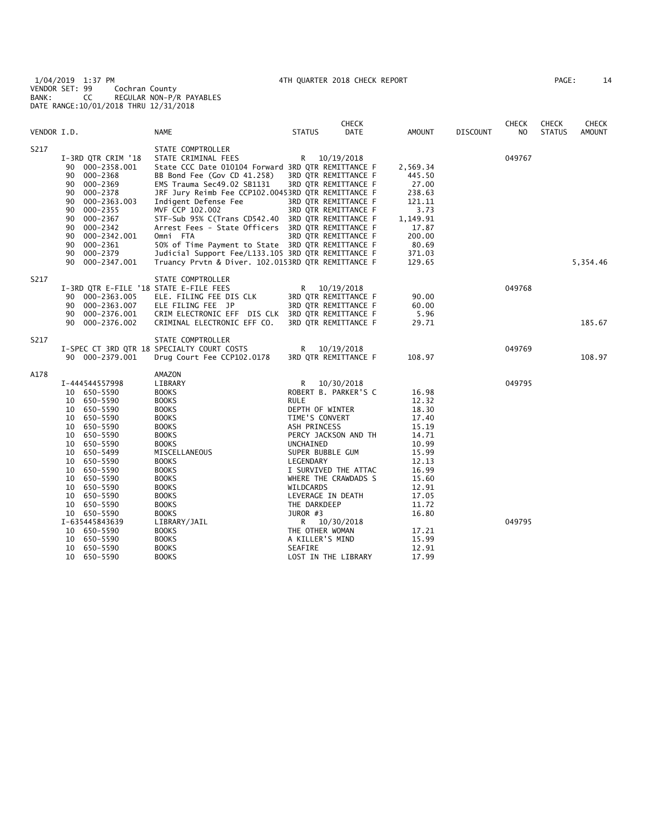1/04/2019 1:37 PM 4TH QUARTER 2018 CHECK REPORT PAGE: 14 VENDOR SET: 99 Cochran County BANK: CC REGULAR NON-P/R PAYABLES DATE RANGE:10/01/2018 THRU 12/31/2018

| AGE: |  | 14 |
|------|--|----|
|      |  |    |

|             |                                                                                                                                                                                                                                                                                                                |                                                                                                                                                                                                                                                                                                                                                                                                                                                                                                                                                     |                                                                                                                                                                                                                                         | <b>CHECK</b>                                                                                                                       |                                                                                                                                                                |                 | <b>CHECK</b>     | <b>CHECK</b>  | CHECK         |
|-------------|----------------------------------------------------------------------------------------------------------------------------------------------------------------------------------------------------------------------------------------------------------------------------------------------------------------|-----------------------------------------------------------------------------------------------------------------------------------------------------------------------------------------------------------------------------------------------------------------------------------------------------------------------------------------------------------------------------------------------------------------------------------------------------------------------------------------------------------------------------------------------------|-----------------------------------------------------------------------------------------------------------------------------------------------------------------------------------------------------------------------------------------|------------------------------------------------------------------------------------------------------------------------------------|----------------------------------------------------------------------------------------------------------------------------------------------------------------|-----------------|------------------|---------------|---------------|
| VENDOR I.D. |                                                                                                                                                                                                                                                                                                                | <b>NAME</b>                                                                                                                                                                                                                                                                                                                                                                                                                                                                                                                                         | <b>STATUS</b>                                                                                                                                                                                                                           | DATE                                                                                                                               | AMOUNT                                                                                                                                                         | <b>DISCOUNT</b> | NO               | <b>STATUS</b> | <b>AMOUNT</b> |
| S217        | I-3RD QTR CRIM '18<br>90 000-2358.001<br>90 000-2368<br>90 000-2369<br>90 000-2378<br>90<br>000-2363.003<br>90<br>000-2355<br>90 000-2367<br>90 000-2342<br>90<br>000-2342.001<br>90 000-2361<br>90 000-2379<br>90 000-2347.001                                                                                | STATE COMPTROLLER<br>STATE CRIMINAL FEES<br>State CCC Date 010104 Forward 3RD QTR REMITTANCE F<br>BB Bond Fee (Gov CD 41.258)<br>EMS Trauma Sec49.02 SB1131<br>JRF Jury Reimb Fee CCP102.00453RD QTR REMITTANCE F<br>Indigent Defense Fee<br>MVF CCP 102.002<br>STF-Sub 95% C(Trans CD542.40 3RD QTR REMITTANCE F<br>Arrest Fees - State Officers 3RD QTR REMITTANCE F<br>Omni FTA<br>50% of Time Payment to State 3RD QTR REMITTANCE F<br>Judicial Support Fee/L133.105 3RD QTR REMITTANCE F<br>Truancy Prvtn & Diver. 102.0153RD QTR REMITTANCE F | R                                                                                                                                                                                                                                       | 10/19/2018<br>3RD QTR REMITTANCE F<br>3RD QTR REMITTANCE F<br>3RD QTR REMITTANCE F<br>3RD QTR REMITTANCE F<br>3RD QTR REMITTANCE F | 2,569.34<br>445.50<br>27.00<br>238.63<br>121.11<br>3.73<br>1,149.91<br>17.87<br>200.00<br>80.69<br>371.03<br>129.65                                            |                 | 049767           |               | 5,354.46      |
| S217        | I-3RD QTR E-FILE '18 STATE E-FILE FEES<br>90 000-2363.005<br>90 000-2363.007<br>90 000-2376.001<br>90 000-2376.002                                                                                                                                                                                             | STATE COMPTROLLER<br>ELE. FILING FEE DIS CLK<br>ELE FILING FEE JP<br>CRIM ELECTRONIC EFF DIS CLK 3RD QTR REMITTANCE F<br>CRIMINAL ELECTRONIC EFF CO.                                                                                                                                                                                                                                                                                                                                                                                                | R                                                                                                                                                                                                                                       | 10/19/2018<br>3RD QTR REMITTANCE F<br>3RD QTR REMITTANCE F<br>3RD QTR REMITTANCE F                                                 | 90.00<br>60.00<br>5.96<br>29.71                                                                                                                                |                 | 049768           |               | 185.67        |
| S217        | 90 000-2379.001                                                                                                                                                                                                                                                                                                | STATE COMPTROLLER<br>I-SPEC CT 3RD QTR 18 SPECIALTY COURT COSTS<br>Drug Court Fee CCP102.0178                                                                                                                                                                                                                                                                                                                                                                                                                                                       | R                                                                                                                                                                                                                                       | 10/19/2018<br>3RD QTR REMITTANCE F                                                                                                 | 108.97                                                                                                                                                         |                 | 049769           |               | 108.97        |
| A178        | I-444544557998<br>10 650-5590<br>10 650-5590<br>10 650-5590<br>10 650-5590<br>10 650-5590<br>10 650-5590<br>10 650-5590<br>10 650-5499<br>10 650-5590<br>10 650-5590<br>10 650-5590<br>10 650-5590<br>10 650-5590<br>10 650-5590<br>10 650-5590<br>I-635445843639<br>10 650-5590<br>10 650-5590<br>10 650-5590 | AMAZON<br>LIBRARY<br><b>BOOKS</b><br><b>BOOKS</b><br><b>BOOKS</b><br><b>BOOKS</b><br><b>BOOKS</b><br><b>BOOKS</b><br><b>BOOKS</b><br>MISCELLANEOUS<br><b>BOOKS</b><br><b>BOOKS</b><br><b>BOOKS</b><br><b>BOOKS</b><br><b>BOOKS</b><br><b>BOOKS</b><br><b>BOOKS</b><br>LIBRARY/JAIL<br><b>BOOKS</b><br><b>BOOKS</b><br><b>BOOKS</b>                                                                                                                                                                                                                  | R<br><b>RULE</b><br>DEPTH OF WINTER<br>TIME'S CONVERT<br>ASH PRINCESS<br>UNCHAINED<br>SUPER BUBBLE GUM<br>LEGENDARY<br>WILDCARDS<br>LEVERAGE IN DEATH<br>THE DARKDEEP<br>JUROR #3<br>R<br>THE OTHER WOMAN<br>A KILLER'S MIND<br>SEAFIRE | 10/30/2018<br>ROBERT B. PARKER'S C<br>PERCY JACKSON AND TH<br>I SURVIVED THE ATTAC<br>WHERE THE CRAWDADS S<br>10/30/2018           | 16.98<br>12.32<br>18.30<br>17.40<br>15.19<br>14.71<br>10.99<br>15.99<br>12.13<br>16.99<br>15.60<br>12.91<br>17.05<br>11.72<br>16.80<br>17.21<br>15.99<br>12.91 |                 | 049795<br>049795 |               |               |
|             | 10 650-5590                                                                                                                                                                                                                                                                                                    | <b>BOOKS</b>                                                                                                                                                                                                                                                                                                                                                                                                                                                                                                                                        |                                                                                                                                                                                                                                         | LOST IN THE LIBRARY                                                                                                                | 17.99                                                                                                                                                          |                 |                  |               |               |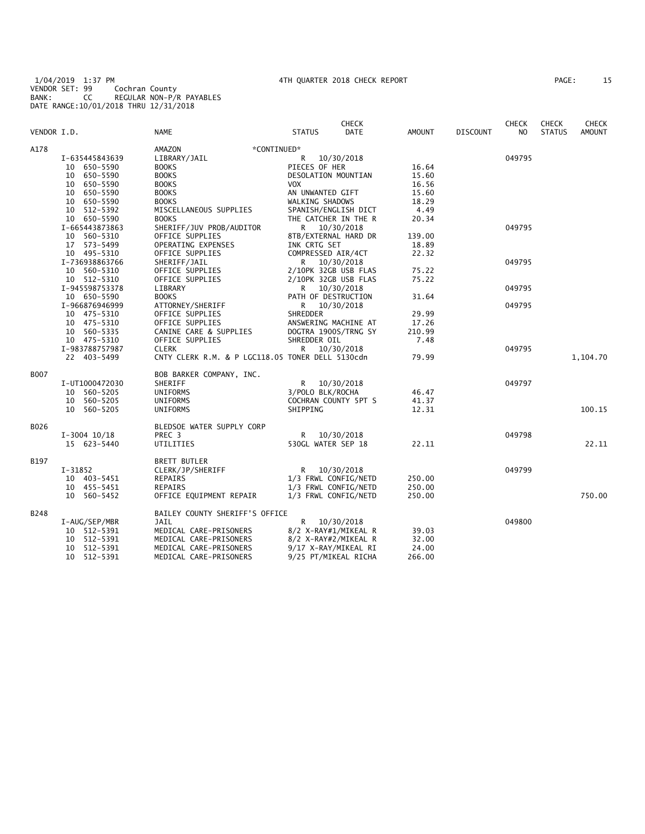1/04/2019 1:37 PM 4TH QUARTER 2018 CHECK REPORT PAGE: 15 VENDOR SET: 99 Cochran County BANK: CC REGULAR NON-P/R PAYABLES DATE RANGE:10/01/2018 THRU 12/31/2018

| VENDOR I.D. |                | <b>NAME</b>                                      | <b>STATUS</b>        | <b>CHECK</b><br><b>DATE</b> | <b>AMOUNT</b> | <b>DISCOUNT</b> | <b>CHECK</b><br>N <sub>O</sub> | CHECK<br><b>STATUS</b> | <b>CHECK</b><br><b>AMOUNT</b> |
|-------------|----------------|--------------------------------------------------|----------------------|-----------------------------|---------------|-----------------|--------------------------------|------------------------|-------------------------------|
| A178        |                | AMAZON<br>*CONTINUED*                            |                      |                             |               |                 |                                |                        |                               |
|             | I-635445843639 | LIBRARY/JAIL                                     | R                    | 10/30/2018                  |               |                 | 049795                         |                        |                               |
|             | 10 650-5590    | <b>BOOKS</b>                                     | PIECES OF HER        |                             | 16.64         |                 |                                |                        |                               |
|             | 10 650-5590    | <b>BOOKS</b>                                     | DESOLATION MOUNTIAN  |                             | 15.60         |                 |                                |                        |                               |
|             | 10 650-5590    | <b>BOOKS</b>                                     | VOX.                 |                             | 16.56         |                 |                                |                        |                               |
|             | 10 650-5590    | <b>BOOKS</b>                                     | AN UNWANTED GIFT     |                             | 15.60         |                 |                                |                        |                               |
|             | 10 650-5590    | <b>BOOKS</b>                                     | WALKING SHADOWS      |                             | 18.29         |                 |                                |                        |                               |
|             | 10 512-5392    | MISCELLANEOUS SUPPLIES                           | SPANISH/ENGLISH DICT |                             | 4.49          |                 |                                |                        |                               |
|             | 10 650-5590    | <b>BOOKS</b>                                     | THE CATCHER IN THE R |                             | 20.34         |                 |                                |                        |                               |
|             | I-665443873863 | SHERIFF/JUV PROB/AUDITOR                         | R 10/30/2018         |                             |               |                 | 049795                         |                        |                               |
|             | 10 560-5310    | OFFICE SUPPLIES                                  | 8TB/EXTERNAL HARD DR |                             | 139.00        |                 |                                |                        |                               |
|             | 17 573-5499    | OPERATING EXPENSES                               | INK CRTG SET         |                             | 18.89         |                 |                                |                        |                               |
|             | 10 495-5310    | OFFICE SUPPLIES                                  | COMPRESSED AIR/4CT   |                             | 22.32         |                 |                                |                        |                               |
|             | I-736938863766 | SHERIFF/JAIL                                     | R                    | 10/30/2018                  |               |                 | 049795                         |                        |                               |
|             | 10 560-5310    | OFFICE SUPPLIES                                  | 2/10PK 32GB USB FLAS |                             | 75.22         |                 |                                |                        |                               |
|             | 10 512-5310    | OFFICE SUPPLIES                                  | 2/10PK 32GB USB FLAS |                             | 75.22         |                 |                                |                        |                               |
|             | I-945598753378 | LIBRARY                                          | R 10/30/2018         |                             |               |                 | 049795                         |                        |                               |
|             | 10 650-5590    | <b>BOOKS</b>                                     | PATH OF DESTRUCTION  |                             | 31.64         |                 |                                |                        |                               |
|             | I-966876946999 | ATTORNEY/SHERIFF                                 | R.                   | 10/30/2018                  |               |                 | 049795                         |                        |                               |
|             | 10 475-5310    | OFFICE SUPPLIES                                  | <b>SHREDDER</b>      |                             | 29.99         |                 |                                |                        |                               |
|             | 10 475-5310    | OFFICE SUPPLIES                                  | ANSWERING MACHINE AT |                             | 17.26         |                 |                                |                        |                               |
|             | 10 560-5335    | CANINE CARE & SUPPLIES                           | DOGTRA 1900S/TRNG SY |                             | 210.99        |                 |                                |                        |                               |
|             | 10 475-5310    | OFFICE SUPPLIES                                  | SHREDDER OIL         |                             | 7.48          |                 |                                |                        |                               |
|             | I-983788757987 | <b>CLERK</b>                                     | R 10/30/2018         |                             |               |                 | 049795                         |                        |                               |
|             | 22 403-5499    | CNTY CLERK R.M. & P LGC118.05 TONER DELL 5130cdn |                      |                             | 79.99         |                 |                                |                        | 1,104.70                      |
| <b>B007</b> |                | BOB BARKER COMPANY, INC.                         |                      |                             |               |                 |                                |                        |                               |
|             | I-UT1000472030 | SHERIFF                                          | R 10/30/2018         |                             |               |                 | 049797                         |                        |                               |
|             | 10 560-5205    | UNIFORMS                                         | 3/POLO BLK/ROCHA     |                             | 46.47         |                 |                                |                        |                               |
|             | 10 560-5205    | <b>UNIFORMS</b>                                  | COCHRAN COUNTY 5PT S |                             | 41.37         |                 |                                |                        |                               |
|             | 10 560-5205    | UNIFORMS                                         | SHIPPING             |                             | 12.31         |                 |                                |                        | 100.15                        |
| B026        |                | BLEDSOE WATER SUPPLY CORP                        |                      |                             |               |                 |                                |                        |                               |
|             | $I-3004$ 10/18 | PREC <sub>3</sub>                                | R                    | 10/30/2018                  |               |                 | 049798                         |                        |                               |
|             | 15 623-5440    | UTILITIES                                        | 530GL WATER SEP 18   |                             | 22.11         |                 |                                |                        | 22.11                         |
| B197        |                | <b>BRETT BUTLER</b>                              |                      |                             |               |                 |                                |                        |                               |
|             | I-31852        | CLERK/JP/SHERIFF                                 | R 10/30/2018         |                             |               |                 | 049799                         |                        |                               |
|             | 10 403-5451    | REPAIRS                                          | 1/3 FRWL CONFIG/NETD |                             | 250.00        |                 |                                |                        |                               |
|             | 10 455-5451    | REPAIRS                                          | 1/3 FRWL CONFIG/NETD |                             | 250.00        |                 |                                |                        |                               |
|             | 10 560-5452    | OFFICE EQUIPMENT REPAIR                          | 1/3 FRWL CONFIG/NETD |                             | 250.00        |                 |                                |                        | 750.00                        |
| B248        |                | BAILEY COUNTY SHERIFF'S OFFICE                   |                      |                             |               |                 |                                |                        |                               |
|             | I-AUG/SEP/MBR  | JAIL                                             | R.                   | 10/30/2018                  |               |                 | 049800                         |                        |                               |
|             | 10 512-5391    | MEDICAL CARE-PRISONERS                           | 8/2 X-RAY#1/MIKEAL R |                             | 39.03         |                 |                                |                        |                               |
|             | 10 512-5391    | MEDICAL CARE-PRISONERS                           | 8/2 X-RAY#2/MIKEAL R |                             | 32.00         |                 |                                |                        |                               |
|             | 10 512-5391    | MEDICAL CARE-PRISONERS                           | 9/17 X-RAY/MIKEAL RI |                             | 24.00         |                 |                                |                        |                               |
|             | 10 512-5391    | MEDICAL CARE-PRISONERS                           | 9/25 PT/MIKEAL RICHA |                             | 266.00        |                 |                                |                        |                               |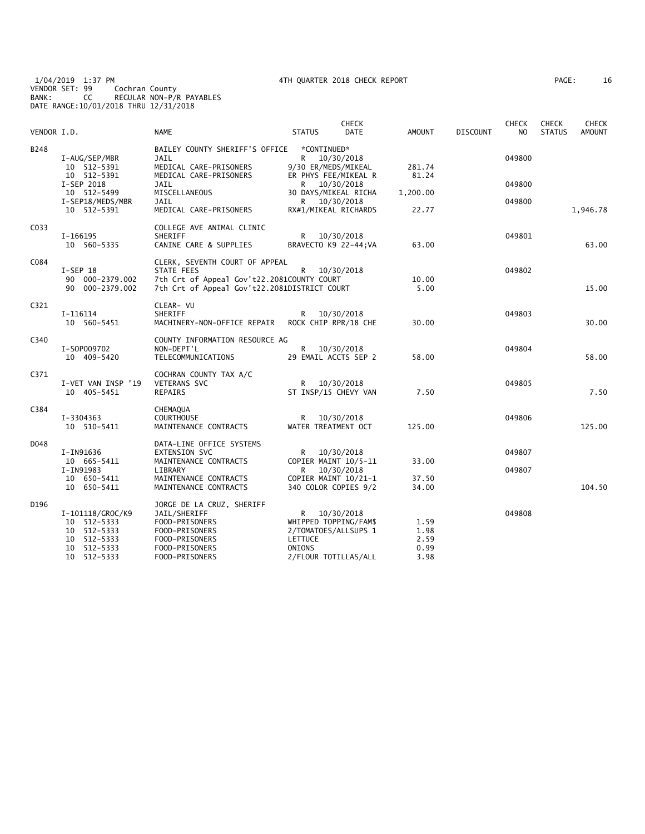1/04/2019 1:37 PM 4TH QUARTER 2018 CHECK REPORT PAGE: 16 VENDOR SET: 99 Cochran County BANK: CC REGULAR NON-P/R PAYABLES DATE RANGE:10/01/2018 THRU 12/31/2018

| 16<br>PAGE: |  |
|-------------|--|
|-------------|--|

| VENDOR I.D. |                                                                                                | <b>NAME</b>                                                                                                                                | <b>STATUS</b>                                                                                   | <b>CHECK</b><br><b>DATE</b> | <b>AMOUNT</b>                        | <b>DISCOUNT</b> | CHECK<br>N <sub>O</sub> | <b>CHECK</b><br><b>STATUS</b> | <b>CHECK</b><br><b>AMOUNT</b> |
|-------------|------------------------------------------------------------------------------------------------|--------------------------------------------------------------------------------------------------------------------------------------------|-------------------------------------------------------------------------------------------------|-----------------------------|--------------------------------------|-----------------|-------------------------|-------------------------------|-------------------------------|
| B248        | I-AUG/SEP/MBR<br>10 512-5391                                                                   | BAILEY COUNTY SHERIFF'S OFFICE<br><b>JAIL</b><br>MEDICAL CARE-PRISONERS                                                                    | *CONTINUED*<br>R 10/30/2018<br>9/30 ER/MEDS/MIKEAL                                              |                             | 281.74                               |                 | 049800                  |                               |                               |
|             | 10 512-5391<br>I-SEP 2018<br>10 512-5499                                                       | MEDICAL CARE-PRISONERS<br><b>JAIL</b><br>MISCELLANEOUS                                                                                     | ER PHYS FEE/MIKEAL R<br>R 10/30/2018<br>30 DAYS/MIKEAL RICHA                                    |                             | 81.24<br>1,200.00                    |                 | 049800                  |                               |                               |
|             | I-SEP18/MEDS/MBR<br>10 512-5391                                                                | JAIL<br>MEDICAL CARE-PRISONERS                                                                                                             | R 10/30/2018<br>RX#1/MIKEAL RICHARDS                                                            |                             | 22.77                                |                 | 049800                  |                               | 1,946.78                      |
| C033        | I-166195<br>10 560-5335                                                                        | COLLEGE AVE ANIMAL CLINIC<br><b>SHERIFF</b><br>CANINE CARE & SUPPLIES                                                                      | R.<br>BRAVECTO K9 22-44; VA                                                                     | 10/30/2018                  | 63.00                                |                 | 049801                  |                               | 63.00                         |
| C084        | $I-SEP$ 18<br>90 000-2379.002<br>90 000-2379.002                                               | CLERK, SEVENTH COURT OF APPEAL<br>STATE FEES<br>7th Crt of Appeal Gov't22.2081COUNTY COURT<br>7th Crt of Appeal Gov't22.2081DISTRICT COURT | R                                                                                               | 10/30/2018                  | 10.00<br>5.00                        |                 | 049802                  |                               | 15.00                         |
| C321        | I-116114<br>10 560-5451                                                                        | CLEAR- VU<br>SHERIFF<br>MACHINERY-NON-OFFICE REPAIR                                                                                        | R.<br>ROCK CHIP RPR/18 CHE                                                                      | 10/30/2018                  | 30.00                                |                 | 049803                  |                               | 30.00                         |
| C340        | I-S0P009702<br>10 409-5420                                                                     | COUNTY INFORMATION RESOURCE AG<br>NON-DEPT'L<br>TELECOMMUNICATIONS                                                                         | R 10/30/2018<br>29 EMAIL ACCTS SEP 2                                                            |                             | 58.00                                |                 | 049804                  |                               | 58.00                         |
| C371        | I-VET VAN INSP '19<br>10 405-5451                                                              | COCHRAN COUNTY TAX A/C<br>VETERANS SVC<br>REPAIRS                                                                                          | R 10/30/2018<br>ST INSP/15 CHEVY VAN                                                            |                             | 7.50                                 |                 | 049805                  |                               | 7.50                          |
| C384        | I-3304363<br>10 510-5411                                                                       | CHEMAQUA<br><b>COURTHOUSE</b><br>MAINTENANCE CONTRACTS                                                                                     | R<br>WATER TREATMENT OCT                                                                        | 10/30/2018                  | 125.00                               |                 | 049806                  |                               | 125.00                        |
| D048        | I-IN91636<br>10 665-5411                                                                       | DATA-LINE OFFICE SYSTEMS<br>EXTENSION SVC<br>MAINTENANCE CONTRACTS                                                                         | R<br>COPIER MAINT 10/5-11                                                                       | 10/30/2018                  | 33.00                                |                 | 049807                  |                               |                               |
|             | I-IN91983<br>10 650-5411<br>10 650-5411                                                        | LIBRARY<br>MAINTENANCE CONTRACTS<br>MAINTENANCE CONTRACTS                                                                                  | R<br>COPIER MAINT 10/21-1<br>340 COLOR COPIES 9/2                                               | 10/30/2018                  | 37.50<br>34.00                       |                 | 049807                  |                               | 104.50                        |
| D196        | I-101118/GROC/K9<br>10 512-5333<br>10 512-5333<br>512-5333<br>10<br>10 512-5333<br>10 512-5333 | JORGE DE LA CRUZ, SHERIFF<br>JAIL/SHERIFF<br>FOOD-PRISONERS<br>FOOD-PRISONERS<br>FOOD-PRISONERS<br>FOOD-PRISONERS<br>FOOD-PRISONERS        | R<br>WHIPPED TOPPING/FAM\$<br>2/TOMATOES/ALLSUPS 1<br>LETTUCE<br>ONIONS<br>2/FLOUR TOTILLAS/ALL | 10/30/2018                  | 1.59<br>1.98<br>2.59<br>0.99<br>3.98 |                 | 049808                  |                               |                               |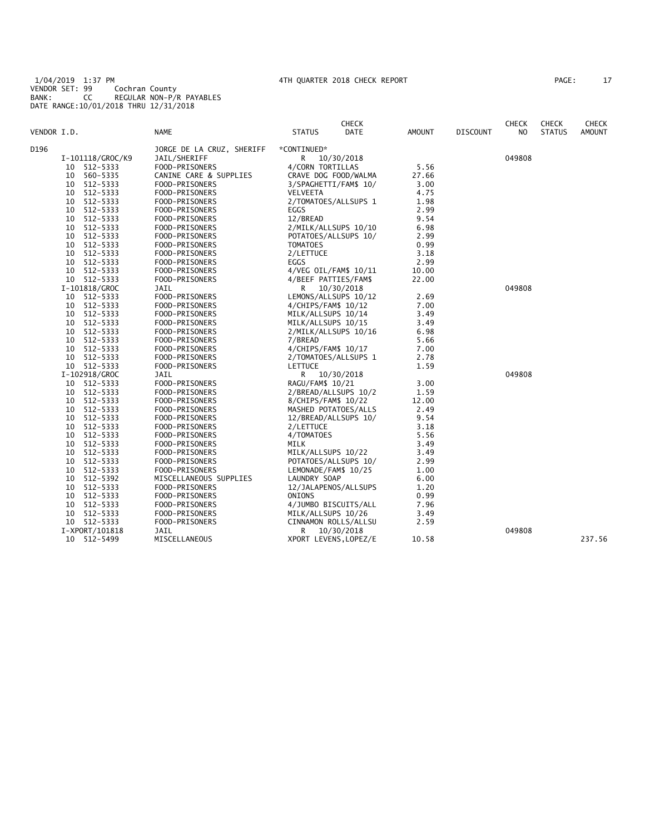1/04/2019 1:37 PM 4TH QUARTER 2018 CHECK REPORT PAGE: 17 VENDOR SET: 99 Cochran County BANK: CC REGULAR NON-P/R PAYABLES DATE RANGE:10/01/2018 THRU 12/31/2018

| PAGE : |  |
|--------|--|
|--------|--|

| VENDOR I.D. |    |                            | <b>NAME</b>                      | <b>STATUS</b>                             | <b>CHECK</b><br><b>DATE</b> | AMOUNT       | <b>DISCOUNT</b> | <b>CHECK</b><br>NO. | <b>CHECK</b><br><b>STATUS</b> | CHECK<br><b>AMOUNT</b> |
|-------------|----|----------------------------|----------------------------------|-------------------------------------------|-----------------------------|--------------|-----------------|---------------------|-------------------------------|------------------------|
|             |    |                            |                                  |                                           |                             |              |                 |                     |                               |                        |
| D196        |    |                            | JORGE DE LA CRUZ, SHERIFF        | *CONTINUED*                               |                             |              |                 |                     |                               |                        |
|             |    | I-101118/GROC/K9           | JAIL/SHERIFF                     | R                                         | 10/30/2018                  |              |                 | 049808              |                               |                        |
|             |    | 10 512 - 5333              | FOOD-PRISONERS                   | 4/CORN TORTILLAS                          |                             | 5.56         |                 |                     |                               |                        |
|             |    | 10 560-5335                | CANINE CARE & SUPPLIES           |                                           | CRAVE DOG FOOD/WALMA        | 27.66        |                 |                     |                               |                        |
|             |    | 10 512-5333                | FOOD-PRISONERS                   |                                           | 3/SPAGHETTI/FAM\$ 10/       | 3.00         |                 |                     |                               |                        |
|             |    | 10 512-5333                | FOOD-PRISONERS                   | VELVEETA                                  |                             | 4.75         |                 |                     |                               |                        |
|             |    | 10 512-5333                | FOOD-PRISONERS                   |                                           | 2/TOMATOES/ALLSUPS 1        | 1.98         |                 |                     |                               |                        |
|             |    | 10 512-5333                | FOOD-PRISONERS                   | EGGS                                      |                             | 2.99         |                 |                     |                               |                        |
|             |    | 10 512-5333                | FOOD-PRISONERS                   | 12/BREAD                                  |                             | 9.54<br>6.98 |                 |                     |                               |                        |
|             |    | 10 512-5333                | FOOD-PRISONERS                   |                                           | 2/MILK/ALLSUPS 10/10        |              |                 |                     |                               |                        |
|             |    | 10 512-5333                | FOOD-PRISONERS                   |                                           | POTATOES/ALLSUPS 10/        | 2.99         |                 |                     |                               |                        |
|             |    | 10 512-5333                | FOOD-PRISONERS                   | <b>TOMATOES</b>                           |                             | 0.99         |                 |                     |                               |                        |
|             |    | 10 512-5333                | FOOD-PRISONERS                   | 2/LETTUCE                                 |                             | 3.18         |                 |                     |                               |                        |
|             |    | 10 512-5333                | FOOD-PRISONERS                   | EGGS                                      |                             | 2.99         |                 |                     |                               |                        |
|             |    | 10 512-5333                | FOOD-PRISONERS                   |                                           | 4/VEG OIL/FAM\$ 10/11       | 10.00        |                 |                     |                               |                        |
|             |    | 10 512-5333                | FOOD-PRISONERS                   | 4/BEEF PATTIES/FAM\$                      |                             | 22.00        |                 | 049808              |                               |                        |
|             |    | I-101818/GROC              | JAIL                             | R                                         | 10/30/2018                  |              |                 |                     |                               |                        |
|             |    | 10 512-5333                | FOOD-PRISONERS                   |                                           | LEMONS/ALLSUPS 10/12        | 2.69         |                 |                     |                               |                        |
|             |    | 10 512-5333<br>10 512-5333 | FOOD-PRISONERS<br>FOOD-PRISONERS | 4/CHIPS/FAM\$ 10/12<br>MILK/ALLSUPS 10/14 |                             | 7.00<br>3.49 |                 |                     |                               |                        |
|             |    |                            |                                  |                                           |                             |              |                 |                     |                               |                        |
|             |    | 10 512-5333<br>10 512-5333 | FOOD-PRISONERS                   | MILK/ALLSUPS 10/15                        |                             | 3.49<br>6.98 |                 |                     |                               |                        |
|             |    | 10 512-5333                | FOOD-PRISONERS                   |                                           | 2/MILK/ALLSUPS 10/16        | 5.66         |                 |                     |                               |                        |
|             |    |                            | FOOD-PRISONERS                   | 7/BREAD                                   |                             |              |                 |                     |                               |                        |
|             |    | 10 512-5333<br>10 512-5333 | FOOD-PRISONERS                   | 4/CHIPS/FAM\$ 10/17                       |                             | 7.00<br>2.78 |                 |                     |                               |                        |
|             |    | 10 512-5333                | FOOD-PRISONERS<br>FOOD-PRISONERS | LETTUCE                                   | 2/TOMATOES/ALLSUPS 1        | 1.59         |                 |                     |                               |                        |
|             |    | I-102918/GROC              | JAIL                             |                                           | R 10/30/2018                |              |                 | 049808              |                               |                        |
|             |    | 10 512-5333                | FOOD-PRISONERS                   | RAGU/FAM\$ 10/21                          |                             | 3.00         |                 |                     |                               |                        |
|             |    | 10 512-5333                | FOOD-PRISONERS                   |                                           | 2/BREAD/ALLSUPS 10/2        | 1.59         |                 |                     |                               |                        |
|             |    | 10 512-5333                | FOOD-PRISONERS                   | 8/CHIPS/FAM\$ 10/22                       |                             | 12.00        |                 |                     |                               |                        |
|             |    | 10 512-5333                | FOOD-PRISONERS                   | MASHED POTATOES/ALLS                      |                             | 2.49         |                 |                     |                               |                        |
|             |    | 10 512-5333                | FOOD-PRISONERS                   |                                           | 12/BREAD/ALLSUPS 10/        | 9.54         |                 |                     |                               |                        |
|             |    | 10 512-5333                | FOOD-PRISONERS                   | 2/LETTUCE                                 |                             | 3.18         |                 |                     |                               |                        |
|             |    | 10 512-5333                | FOOD-PRISONERS                   | 4/TOMATOES                                |                             | 5.56         |                 |                     |                               |                        |
|             |    | 10 512-5333                | FOOD-PRISONERS                   | MILK                                      |                             | 3.49         |                 |                     |                               |                        |
|             |    | 10 512-5333                | FOOD-PRISONERS                   | MILK/ALLSUPS 10/22                        |                             | 3.49         |                 |                     |                               |                        |
|             |    | 10 512-5333                | FOOD-PRISONERS                   |                                           | POTATOES/ALLSUPS 10/        | 2.99         |                 |                     |                               |                        |
|             |    | 10 512-5333                | FOOD-PRISONERS                   | LEMONADE/FAM\$ 10/25                      |                             | 1.00         |                 |                     |                               |                        |
|             |    | 10 512-5392                | MISCELLANEOUS SUPPLIES           | LAUNDRY SOAP                              |                             | 6.00         |                 |                     |                               |                        |
|             |    | 10 512-5333                | FOOD-PRISONERS                   |                                           | 12/JALAPENOS/ALLSUPS        | 1.20         |                 |                     |                               |                        |
|             |    | 10 512-5333                | FOOD-PRISONERS                   | ONIONS                                    |                             | 0.99         |                 |                     |                               |                        |
|             |    | 10 512-5333                | FOOD-PRISONERS                   | 4/JUMBO BISCUITS/ALL                      |                             | 7.96         |                 |                     |                               |                        |
|             | 10 | 512-5333                   | FOOD-PRISONERS                   | MILK/ALLSUPS 10/26                        |                             | 3.49         |                 |                     |                               |                        |
|             |    | 10 512-5333                | FOOD-PRISONERS                   |                                           | CINNAMON ROLLS/ALLSU        | 2.59         |                 |                     |                               |                        |
|             |    | I-XPORT/101818             | JAIL                             | R                                         | 10/30/2018                  |              |                 | 049808              |                               |                        |
|             |    | 10 512-5499                | MISCELLANEOUS                    | XPORT LEVENS, LOPEZ/E                     |                             | 10.58        |                 |                     |                               | 237.56                 |
|             |    |                            |                                  |                                           |                             |              |                 |                     |                               |                        |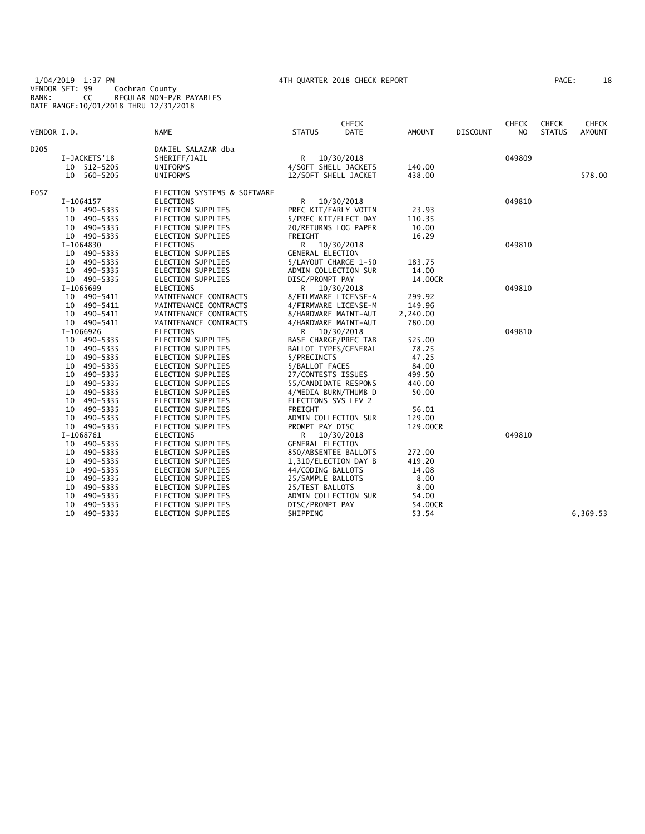1/04/2019 1:37 PM 4TH QUARTER 2018 CHECK REPORT PAGE: 18 VENDOR SET: 99 Cochran County BANK: CC REGULAR NON-P/R PAYABLES DATE RANGE:10/01/2018 THRU 12/31/2018

| AGE: | 18 |
|------|----|
|------|----|

|                  |                |                             |                         | <b>CHECK</b> |               |                 | <b>CHECK</b> | <b>CHECK</b>  | <b>CHECK</b>  |
|------------------|----------------|-----------------------------|-------------------------|--------------|---------------|-----------------|--------------|---------------|---------------|
| VENDOR I.D.      |                | <b>NAME</b>                 | <b>STATUS</b>           | DATE         | <b>AMOUNT</b> | <b>DISCOUNT</b> | NO.          | <b>STATUS</b> | <b>AMOUNT</b> |
| D <sub>205</sub> |                | DANIEL SALAZAR dba          |                         |              |               |                 |              |               |               |
|                  | I-JACKETS'18   | SHERIFF/JAIL                | R.                      | 10/30/2018   |               |                 | 049809       |               |               |
|                  | 10 512-5205    | UNIFORMS                    | 4/SOFT SHELL JACKETS    |              | 140.00        |                 |              |               |               |
|                  | 10 560-5205    | <b>UNIFORMS</b>             | 12/SOFT SHELL JACKET    |              | 438.00        |                 |              |               | 578.00        |
| E057             |                | ELECTION SYSTEMS & SOFTWARE |                         |              |               |                 |              |               |               |
|                  | I-1064157      | ELECTIONS                   | R                       | 10/30/2018   |               |                 | 049810       |               |               |
|                  | 10 490-5335    | ELECTION SUPPLIES           | PREC KIT/EARLY VOTIN    |              | 23.93         |                 |              |               |               |
|                  | 10 490-5335    | ELECTION SUPPLIES           | 5/PREC KIT/ELECT DAY    |              | 110.35        |                 |              |               |               |
|                  | 10 490-5335    | <b>ELECTION SUPPLIES</b>    | 20/RETURNS LOG PAPER    |              | 10.00         |                 |              |               |               |
|                  | 10 490-5335    | <b>ELECTION SUPPLIES</b>    | FREIGHT                 |              | 16.29         |                 |              |               |               |
|                  | I-1064830      | ELECTIONS                   | R 10/30/2018            |              |               |                 | 049810       |               |               |
|                  | 10 490-5335    | <b>ELECTION SUPPLIES</b>    | <b>GENERAL ELECTION</b> |              |               |                 |              |               |               |
|                  | 10 490-5335    | ELECTION SUPPLIES           | 5/LAYOUT CHARGE 1-50    |              | 183.75        |                 |              |               |               |
|                  | 10 490-5335    | ELECTION SUPPLIES           | ADMIN COLLECTION SUR    |              | 14.00         |                 |              |               |               |
|                  | 10 490-5335    | <b>ELECTION SUPPLIES</b>    | DISC/PROMPT PAY         |              | 14.00CR       |                 |              |               |               |
|                  | I-1065699      | <b>ELECTIONS</b>            | R.                      | 10/30/2018   |               |                 | 049810       |               |               |
|                  | 10<br>490-5411 | MAINTENANCE CONTRACTS       | 8/FILMWARE LICENSE-A    |              | 299.92        |                 |              |               |               |
|                  | 10 490-5411    | MAINTENANCE CONTRACTS       | 4/FIRMWARE LICENSE-M    |              | 149.96        |                 |              |               |               |
|                  | 10 490-5411    | MAINTENANCE CONTRACTS       | 8/HARDWARE MAINT-AUT    |              | 2,240.00      |                 |              |               |               |
|                  | 10 490-5411    | MAINTENANCE CONTRACTS       | 4/HARDWARE MAINT-AUT    |              | 780.00        |                 |              |               |               |
|                  | I-1066926      | <b>ELECTIONS</b>            | R 10/30/2018            |              |               |                 | 049810       |               |               |
|                  | 10 490-5335    | <b>ELECTION SUPPLIES</b>    | BASE CHARGE/PREC TAB    |              | 525.00        |                 |              |               |               |
|                  | 10 490-5335    | <b>ELECTION SUPPLIES</b>    | BALLOT TYPES/GENERAL    |              | 78.75         |                 |              |               |               |
|                  | 10 490-5335    | <b>ELECTION SUPPLIES</b>    | 5/PRECINCTS             |              | 47.25         |                 |              |               |               |
|                  | 10 490-5335    | <b>ELECTION SUPPLIES</b>    | 5/BALLOT FACES          |              | 84.00         |                 |              |               |               |
|                  | 490-5335<br>10 | <b>ELECTION SUPPLIES</b>    | 27/CONTESTS ISSUES      |              | 499.50        |                 |              |               |               |
|                  | 490-5335<br>10 | <b>ELECTION SUPPLIES</b>    | 55/CANDIDATE RESPONS    |              | 440.00        |                 |              |               |               |
|                  | 490-5335<br>10 | <b>ELECTION SUPPLIES</b>    | 4/MEDIA BURN/THUMB D    |              | 50.00         |                 |              |               |               |
|                  | 490-5335<br>10 | <b>ELECTION SUPPLIES</b>    | ELECTIONS SVS LEV 2     |              |               |                 |              |               |               |
|                  | 490-5335<br>10 | <b>ELECTION SUPPLIES</b>    | FREIGHT                 |              | 56.01         |                 |              |               |               |
|                  | 10<br>490-5335 | ELECTION SUPPLIES           | ADMIN COLLECTION SUR    |              | 129.00        |                 |              |               |               |
|                  | 10 490-5335    | <b>ELECTION SUPPLIES</b>    | PROMPT PAY DISC         |              | 129.00CR      |                 |              |               |               |
|                  | I-1068761      | <b>ELECTIONS</b>            | R                       | 10/30/2018   |               |                 | 049810       |               |               |
|                  | 10 490-5335    | <b>ELECTION SUPPLIES</b>    | <b>GENERAL ELECTION</b> |              |               |                 |              |               |               |
|                  | 490-5335<br>10 | ELECTION SUPPLIES           | 850/ABSENTEE BALLOTS    |              | 272.00        |                 |              |               |               |
|                  | 490-5335<br>10 | <b>ELECTION SUPPLIES</b>    | 1,310/ELECTION DAY B    |              | 419.20        |                 |              |               |               |
|                  | 490-5335<br>10 | <b>ELECTION SUPPLIES</b>    | 44/CODING BALLOTS       |              | 14.08         |                 |              |               |               |
|                  | 10<br>490-5335 | <b>ELECTION SUPPLIES</b>    | 25/SAMPLE BALLOTS       |              | 8.00          |                 |              |               |               |
|                  | 490-5335<br>10 | <b>ELECTION SUPPLIES</b>    | 25/TEST BALLOTS         |              | 8.00          |                 |              |               |               |
|                  | 490-5335<br>10 | <b>ELECTION SUPPLIES</b>    | ADMIN COLLECTION SUR    |              | 54.00         |                 |              |               |               |
|                  | 10<br>490-5335 | ELECTION SUPPLIES           | DISC/PROMPT PAY         |              | 54.00CR       |                 |              |               |               |
|                  | 10<br>490-5335 | <b>ELECTION SUPPLIES</b>    | SHIPPING                |              | 53.54         |                 |              |               | 6,369.53      |
|                  |                |                             |                         |              |               |                 |              |               |               |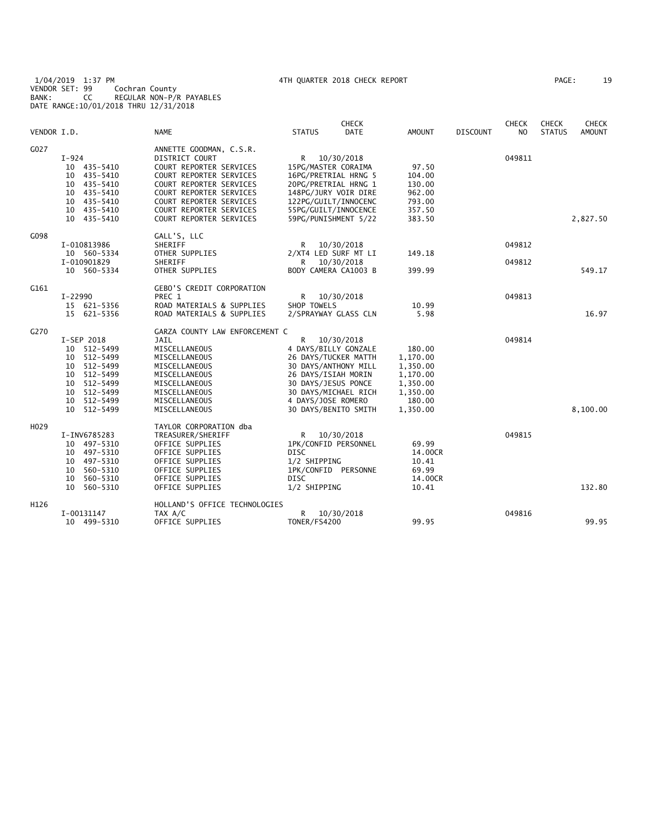1/04/2019 1:37 PM 4TH QUARTER 2018 CHECK REPORT PAGE: 19 VENDOR SET: 99 Cochran County BANK: CC REGULAR NON-P/R PAYABLES DATE RANGE:10/01/2018 THRU 12/31/2018

| AGE: | 19 |
|------|----|
|------|----|

|                  |                                                                                                                                             |                                                                                                                                                                                                                                               |                                                                                                                                                                                               | <b>CHECK</b>             |                                                                                          |                 | <b>CHECK</b>     | CHECK         | <b>CHECK</b>  |
|------------------|---------------------------------------------------------------------------------------------------------------------------------------------|-----------------------------------------------------------------------------------------------------------------------------------------------------------------------------------------------------------------------------------------------|-----------------------------------------------------------------------------------------------------------------------------------------------------------------------------------------------|--------------------------|------------------------------------------------------------------------------------------|-----------------|------------------|---------------|---------------|
| VENDOR I.D.      |                                                                                                                                             | <b>NAME</b>                                                                                                                                                                                                                                   | <b>STATUS</b>                                                                                                                                                                                 | <b>DATE</b>              | <b>AMOUNT</b>                                                                            | <b>DISCOUNT</b> | N <sub>O</sub>   | <b>STATUS</b> | <b>AMOUNT</b> |
| G027             | $I - 924$<br>10 435-5410<br>10 435-5410<br>10 435-5410<br>435–5410<br>10<br>10 435-5410<br>10 435-5410<br>10 435-5410                       | ANNETTE GOODMAN, C.S.R.<br>DISTRICT COURT<br>COURT REPORTER SERVICES<br>COURT REPORTER SERVICES<br>COURT REPORTER SERVICES<br><b>COURT REPORTER SERVICES</b><br>COURT REPORTER SERVICES<br>COURT REPORTER SERVICES<br>COURT REPORTER SERVICES | R<br>15PG/MASTER CORAIMA<br>16PG/PRETRIAL HRNG 5<br>20PG/PRETRIAL HRNG 1<br>148PG/JURY VOIR DIRE<br>122PG/GUILT/INNOCENC<br>55PG/GUILT/INNOCENCE<br>59PG/PUNISHMENT 5/22                      | 10/30/2018               | 97.50<br>104.00<br>130.00<br>962.00<br>793.00<br>357.50<br>383.50                        |                 | 049811           |               | 2,827.50      |
| G098             | I-010813986<br>10 560-5334<br>I-010901829<br>10 560-5334                                                                                    | GALL'S, LLC<br>SHERIFF<br>OTHER SUPPLIES<br>SHERIFF<br>OTHER SUPPLIES                                                                                                                                                                         | R<br>2/XT4 LED SURF MT LI<br>R.<br>BODY CAMERA CA1003 B                                                                                                                                       | 10/30/2018<br>10/30/2018 | 149.18<br>399.99                                                                         |                 | 049812<br>049812 |               | 549.17        |
| G161             | I-22990<br>15 621-5356<br>15 621-5356                                                                                                       | <b>GEBO'S CREDIT CORPORATION</b><br>PREC 1<br>ROAD MATERIALS & SUPPLIES<br>ROAD MATERIALS & SUPPLIES                                                                                                                                          | R<br>SHOP TOWELS<br>2/SPRAYWAY GLASS CLN                                                                                                                                                      | 10/30/2018               | 10.99<br>5.98                                                                            |                 | 049813           |               | 16.97         |
| G270             | I-SEP 2018<br>10 512-5499<br>10 512-5499<br>10 512-5499<br>10 512-5499<br>512-5499<br>10<br>512-5499<br>10<br>512-5499<br>10<br>10 512-5499 | GARZA COUNTY LAW ENFORCEMENT C<br>JAIL<br>MISCELLANEOUS<br>MISCELLANEOUS<br>MISCELLANEOUS<br>MISCELLANEOUS<br>MISCELLANEOUS<br>MISCELLANEOUS<br>MISCELLANEOUS<br>MISCELLANEOUS                                                                | R<br>4 DAYS/BILLY GONZALE<br>26 DAYS/TUCKER MATTH<br>30 DAYS/ANTHONY MILL<br>26 DAYS/ISIAH MORIN<br>30 DAYS/JESUS PONCE<br>30 DAYS/MICHAEL RICH<br>4 DAYS/JOSE ROMERO<br>30 DAYS/BENITO SMITH | 10/30/2018               | 180.00<br>1,170.00<br>1,350.00<br>1,170.00<br>1,350.00<br>1,350.00<br>180.00<br>1,350.00 |                 | 049814           |               | 8,100.00      |
| H <sub>029</sub> | I-INV6785283<br>10 497-5310<br>10 497-5310<br>10 497-5310<br>560-5310<br>10<br>10<br>560-5310<br>560-5310<br>10                             | TAYLOR CORPORATION dba<br>TREASURER/SHERIFF<br>OFFICE SUPPLIES<br>OFFICE SUPPLIES<br>OFFICE SUPPLIES<br>OFFICE SUPPLIES<br>OFFICE SUPPLIES<br>OFFICE SUPPLIES                                                                                 | R<br>1PK/CONFID PERSONNEL<br><b>DISC</b><br>1/2 SHIPPING<br>1PK/CONFID PERSONNE<br>DISC<br>1/2 SHIPPING                                                                                       | 10/30/2018               | 69.99<br>14.00CR<br>10.41<br>69.99<br>14.00CR<br>10.41                                   |                 | 049815           |               | 132.80        |
| H126             | I-00131147<br>10 499-5310                                                                                                                   | HOLLAND'S OFFICE TECHNOLOGIES<br>TAX A/C<br>OFFICE SUPPLIES                                                                                                                                                                                   | R<br>TONER/FS4200                                                                                                                                                                             | 10/30/2018               | 99.95                                                                                    |                 | 049816           |               | 99.95         |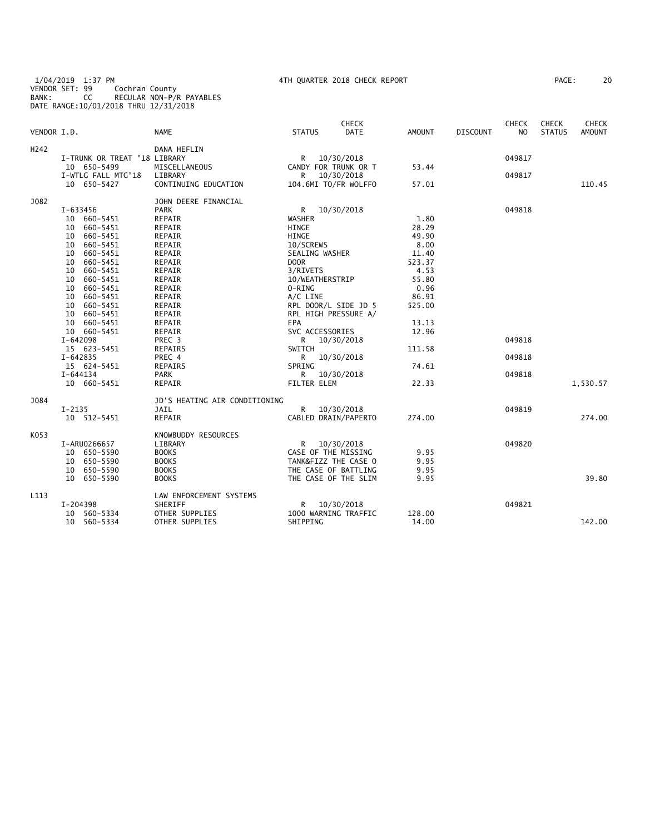1/04/2019 1:37 PM 4TH QUARTER 2018 CHECK REPORT PAGE: 20 VENDOR SET: 99 Cochran County BANK: CC REGULAR NON-P/R PAYABLES DATE RANGE:10/01/2018 THRU 12/31/2018

| PAGE : | 20 |  |
|--------|----|--|
|--------|----|--|

| VENDOR I.D.      |                              | <b>NAME</b>                   | <b>STATUS</b>        | <b>CHECK</b><br><b>DATE</b> | <b>AMOUNT</b> | <b>DISCOUNT</b> | CHECK<br>N <sub>O</sub> | CHECK<br><b>STATUS</b> | <b>CHECK</b><br><b>AMOUNT</b> |
|------------------|------------------------------|-------------------------------|----------------------|-----------------------------|---------------|-----------------|-------------------------|------------------------|-------------------------------|
| H <sub>242</sub> |                              | DANA HEFLIN                   |                      |                             |               |                 |                         |                        |                               |
|                  | I-TRUNK OR TREAT '18 LIBRARY |                               | R                    | 10/30/2018                  |               |                 | 049817                  |                        |                               |
|                  | 10 650-5499                  | MISCELLANEOUS                 |                      | CANDY FOR TRUNK OR T        | 53.44         |                 |                         |                        |                               |
|                  | I-WTLG FALL MTG'18           | LIBRARY                       | R                    | 10/30/2018                  |               |                 | 049817                  |                        |                               |
|                  | 10 650-5427                  | CONTINUING EDUCATION          |                      | 104.6MI TO/FR WOLFFO        | 57.01         |                 |                         |                        | 110.45                        |
| <b>J082</b>      |                              | JOHN DEERE FINANCIAL          |                      |                             |               |                 |                         |                        |                               |
|                  | I-633456                     | <b>PARK</b>                   | R                    | 10/30/2018                  |               |                 | 049818                  |                        |                               |
|                  | 10 660-5451                  | REPAIR                        | <b>WASHER</b>        |                             | 1.80          |                 |                         |                        |                               |
|                  | 660-5451<br>10               | REPAIR                        | <b>HINGE</b>         |                             | 28.29         |                 |                         |                        |                               |
|                  | 10<br>660-5451               | REPAIR                        | <b>HINGE</b>         |                             | 49.90         |                 |                         |                        |                               |
|                  | 660-5451<br>10               | REPAIR                        | 10/SCREWS            |                             | 8.00          |                 |                         |                        |                               |
|                  | 660-5451<br>10               | REPAIR                        | SEALING WASHER       |                             | 11.40         |                 |                         |                        |                               |
|                  | 660-5451<br>10               | REPAIR                        | <b>DOOR</b>          |                             | 523.37        |                 |                         |                        |                               |
|                  | 660-5451<br>10               | REPAIR                        | 3/RIVETS             |                             | 4.53          |                 |                         |                        |                               |
|                  | 660-5451<br>10               | REPAIR                        | 10/WEATHERSTRIP      |                             | 55.80         |                 |                         |                        |                               |
|                  | 10<br>660-5451               | REPAIR                        | 0-RING               |                             | 0.96          |                 |                         |                        |                               |
|                  | 660-5451<br>10               | REPAIR                        | A/C LINE             |                             | 86.91         |                 |                         |                        |                               |
|                  | 10<br>660-5451               | REPAIR                        |                      | RPL DOOR/L SIDE JD 5        | 525.00        |                 |                         |                        |                               |
|                  | 10<br>660-5451               | REPAIR                        |                      | RPL HIGH PRESSURE A/        |               |                 |                         |                        |                               |
|                  | 660-5451<br>10               | REPAIR                        | EPA                  |                             | 13.13         |                 |                         |                        |                               |
|                  | 10 660-5451                  | REPAIR                        | SVC ACCESSORIES      |                             | 12.96         |                 |                         |                        |                               |
|                  | I-642098                     | PREC 3                        | R                    | 10/30/2018                  |               |                 | 049818                  |                        |                               |
|                  | 15 623-5451                  | REPAIRS                       | SWITCH               |                             | 111.58        |                 |                         |                        |                               |
|                  | I-642835                     | PREC 4                        | $\mathsf{R}$         | 10/30/2018                  |               |                 | 049818                  |                        |                               |
|                  |                              |                               | SPRING               |                             |               |                 |                         |                        |                               |
|                  | 15 624-5451<br>$I - 644134$  | REPAIRS                       |                      |                             | 74.61         |                 |                         |                        |                               |
|                  |                              | <b>PARK</b>                   | R                    | 10/30/2018                  |               |                 | 049818                  |                        |                               |
|                  | 10 660-5451                  | REPAIR                        | FILTER ELEM          |                             | 22.33         |                 |                         |                        | 1,530.57                      |
| <b>J084</b>      |                              | JD'S HEATING AIR CONDITIONING |                      |                             |               |                 |                         |                        |                               |
|                  | $I-2135$<br>10 512-5451      | JAIL<br>REPAIR                | R                    | 10/30/2018                  | 274.00        |                 | 049819                  |                        | 274.00                        |
|                  |                              |                               |                      | CABLED DRAIN/PAPERTO        |               |                 |                         |                        |                               |
| K053             |                              | KNOWBUDDY RESOURCES           |                      |                             |               |                 |                         |                        |                               |
|                  | I-ARU0266657                 | LIBRARY                       | R                    | 10/30/2018                  |               |                 | 049820                  |                        |                               |
|                  | 10 650-5590                  | <b>BOOKS</b>                  | CASE OF THE MISSING  |                             | 9.95          |                 |                         |                        |                               |
|                  | 10 650-5590                  | <b>BOOKS</b>                  | TANK&FIZZ THE CASE O |                             | 9.95          |                 |                         |                        |                               |
|                  | 10 650-5590                  | <b>BOOKS</b>                  |                      | THE CASE OF BATTLING        | 9.95          |                 |                         |                        |                               |
|                  | 10 650-5590                  | <b>BOOKS</b>                  |                      | THE CASE OF THE SLIM        | 9.95          |                 |                         |                        | 39.80                         |
| L <sub>113</sub> |                              | LAW ENFORCEMENT SYSTEMS       |                      |                             |               |                 |                         |                        |                               |
|                  | I-204398                     | SHERIFF                       | R                    | 10/30/2018                  |               |                 | 049821                  |                        |                               |
|                  | 10 560-5334                  | OTHER SUPPLIES                |                      | 1000 WARNING TRAFFIC        | 128.00        |                 |                         |                        |                               |
|                  | 10 560-5334                  | OTHER SUPPLIES                | SHIPPING             |                             | 14.00         |                 |                         |                        | 142.00                        |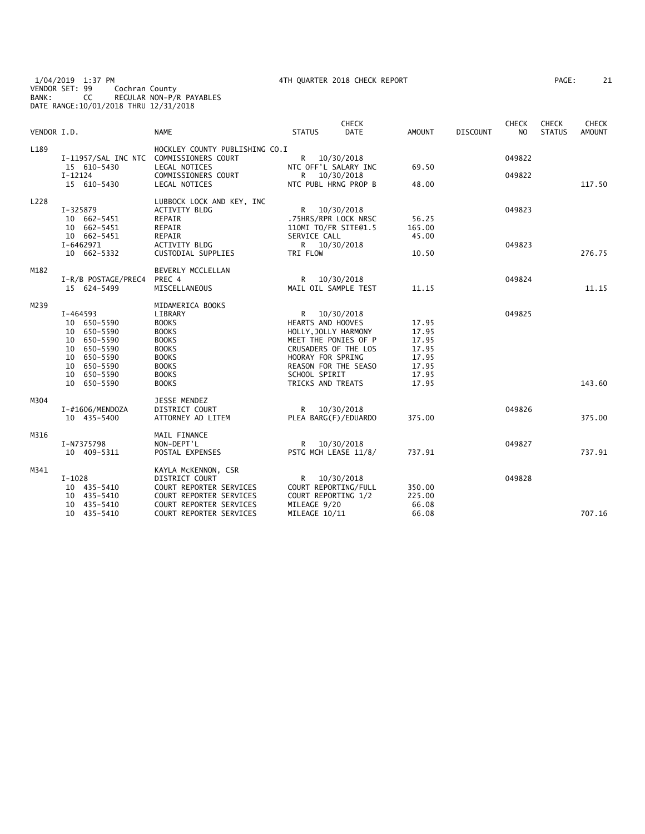1/04/2019 1:37 PM 4TH QUARTER 2018 CHECK REPORT PAGE: 21 VENDOR SET: 99 Cochran County BANK: CC REGULAR NON-P/R PAYABLES DATE RANGE:10/01/2018 THRU 12/31/2018

|  | AGE: | 21 |  |
|--|------|----|--|
|  |      |    |  |

| VENDOR I.D. |                                         | <b>NAME</b>                    | <b>STATUS</b>               | <b>CHECK</b><br><b>DATE</b> | AMOUNT | <b>DISCOUNT</b> | <b>CHECK</b><br>N <sub>O</sub> | <b>CHECK</b><br><b>STATUS</b> | CHECK<br><b>AMOUNT</b> |
|-------------|-----------------------------------------|--------------------------------|-----------------------------|-----------------------------|--------|-----------------|--------------------------------|-------------------------------|------------------------|
| L189        | I-11957/SAL INC NTC COMMISSIONERS COURT | HOCKLEY COUNTY PUBLISHING CO.I | R 10/30/2018                |                             |        |                 | 049822                         |                               |                        |
|             | 15 610-5430                             | LEGAL NOTICES                  | NTC OFF'L SALARY INC        |                             | 69.50  |                 |                                |                               |                        |
|             | $I-12124$<br>15 610-5430                | COMMISSIONERS COURT            | R —<br>NTC PUBL HRNG PROP B | 10/30/2018                  |        |                 | 049822                         |                               | 117.50                 |
|             |                                         | LEGAL NOTICES                  |                             |                             | 48.00  |                 |                                |                               |                        |
| L228        |                                         | LUBBOCK LOCK AND KEY, INC      |                             |                             |        |                 |                                |                               |                        |
|             | I-325879                                | <b>ACTIVITY BLDG</b>           | R —                         | 10/30/2018                  |        |                 | 049823                         |                               |                        |
|             | 10 662-5451                             | REPAIR                         | .75HRS/RPR LOCK NRSC        |                             | 56.25  |                 |                                |                               |                        |
|             | 10 662-5451                             | REPAIR                         | 110MI TO/FR SITE@1.5        |                             | 165.00 |                 |                                |                               |                        |
|             | 10 662-5451                             | REPAIR                         | SERVICE CALL                |                             | 45.00  |                 |                                |                               |                        |
|             | I-6462971                               | ACTIVITY BLDG                  | R 10/30/2018                |                             |        |                 | 049823                         |                               |                        |
|             | 10 662-5332                             | CUSTODIAL SUPPLIES             | TRI FLOW                    |                             | 10.50  |                 |                                |                               | 276.75                 |
| M182        |                                         | BEVERLY MCCLELLAN              |                             |                             |        |                 |                                |                               |                        |
|             | I-R/B POSTAGE/PREC4                     | PREC 4                         | R 10/30/2018                |                             |        |                 | 049824                         |                               |                        |
|             | 15 624-5499                             | MISCELLANEOUS                  | MAIL OIL SAMPLE TEST        |                             | 11.15  |                 |                                |                               | 11.15                  |
| M239        |                                         | MIDAMERICA BOOKS               |                             |                             |        |                 |                                |                               |                        |
|             | I-464593                                | LIBRARY                        | R                           | 10/30/2018                  |        |                 | 049825                         |                               |                        |
|             | 10 650-5590                             | <b>BOOKS</b>                   | HEARTS AND HOOVES           |                             | 17.95  |                 |                                |                               |                        |
|             | 10 650-5590                             | <b>BOOKS</b>                   | HOLLY, JOLLY HARMONY        |                             | 17.95  |                 |                                |                               |                        |
|             | 10 650-5590                             | <b>BOOKS</b>                   | MEET THE PONIES OF P        |                             | 17.95  |                 |                                |                               |                        |
|             | 650-5590<br>10                          | <b>BOOKS</b>                   | CRUSADERS OF THE LOS        |                             | 17.95  |                 |                                |                               |                        |
|             | 10 650-5590                             | <b>BOOKS</b>                   | HOORAY FOR SPRING           |                             | 17.95  |                 |                                |                               |                        |
|             | 10 650-5590                             | <b>BOOKS</b>                   | REASON FOR THE SEASO        |                             | 17.95  |                 |                                |                               |                        |
|             | 10 650-5590                             | <b>BOOKS</b>                   | SCHOOL SPIRIT               |                             | 17.95  |                 |                                |                               |                        |
|             | 10 650-5590                             | <b>BOOKS</b>                   | TRICKS AND TREATS           |                             | 17.95  |                 |                                |                               | 143.60                 |
|             |                                         |                                |                             |                             |        |                 |                                |                               |                        |
| M304        |                                         | <b>JESSE MENDEZ</b>            |                             |                             |        |                 |                                |                               |                        |
|             | I-#1606/MENDOZA                         | <b>DISTRICT COURT</b>          | R 10/30/2018                |                             |        |                 | 049826                         |                               |                        |
|             | 10 435-5400                             | ATTORNEY AD LITEM              | PLEA BARG(F)/EDUARDO        |                             | 375.00 |                 |                                |                               | 375.00                 |
| M316        |                                         | MAIL FINANCE                   |                             |                             |        |                 |                                |                               |                        |
|             | I-N7375798                              | NON-DEPT'L                     | R 10/30/2018                |                             |        |                 | 049827                         |                               |                        |
|             | 10 409-5311                             | POSTAL EXPENSES                | PSTG MCH LEASE 11/8/        |                             | 737.91 |                 |                                |                               | 737.91                 |
| M341        |                                         | KAYLA MCKENNON, CSR            |                             |                             |        |                 |                                |                               |                        |
|             | $I-1028$                                | DISTRICT COURT                 | R.                          | 10/30/2018                  |        |                 | 049828                         |                               |                        |
|             | 10 435-5410                             | COURT REPORTER SERVICES        | COURT REPORTING/FULL        |                             | 350.00 |                 |                                |                               |                        |
|             | 10 435-5410                             | COURT REPORTER SERVICES        | COURT REPORTING 1/2         |                             | 225.00 |                 |                                |                               |                        |
|             | 10 435-5410                             | COURT REPORTER SERVICES        | MILEAGE 9/20                |                             | 66.08  |                 |                                |                               |                        |
|             | 10 435-5410                             | COURT REPORTER SERVICES        | MILEAGE 10/11               |                             | 66.08  |                 |                                |                               | 707.16                 |
|             |                                         |                                |                             |                             |        |                 |                                |                               |                        |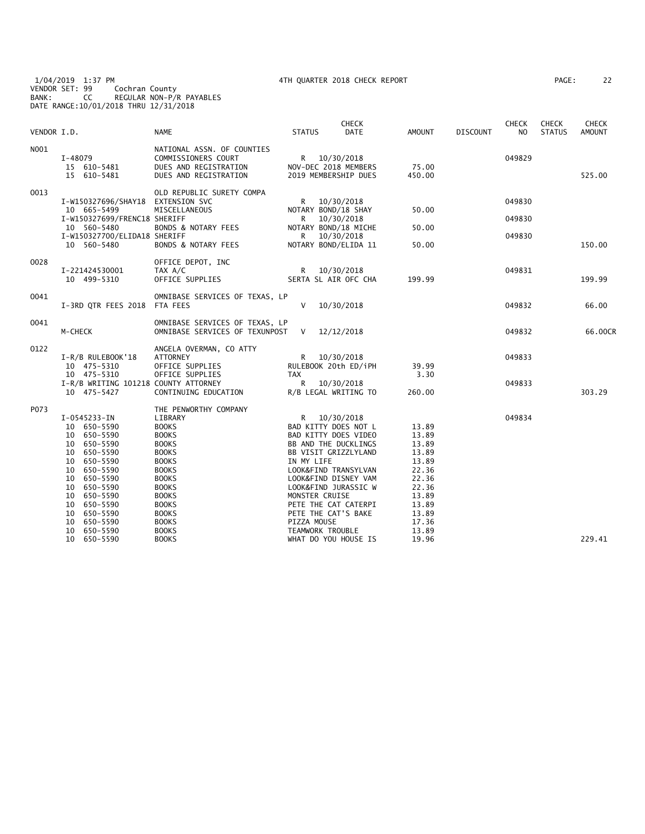| VENDOR I.D. |                                                                                                                                                                                                                                         | <b>NAME</b>                                                                                                                                                                                                                                      | <b>STATUS</b>                                                         | <b>CHECK</b><br><b>DATE</b>                                                                                                                                                                                                       | <b>AMOUNT</b>                                                                                                     | <b>DISCOUNT</b> | <b>CHECK</b><br>NO. | <b>CHECK</b><br><b>STATUS</b> | <b>CHECK</b><br><b>AMOUNT</b> |
|-------------|-----------------------------------------------------------------------------------------------------------------------------------------------------------------------------------------------------------------------------------------|--------------------------------------------------------------------------------------------------------------------------------------------------------------------------------------------------------------------------------------------------|-----------------------------------------------------------------------|-----------------------------------------------------------------------------------------------------------------------------------------------------------------------------------------------------------------------------------|-------------------------------------------------------------------------------------------------------------------|-----------------|---------------------|-------------------------------|-------------------------------|
| N001        | I-48079<br>15 610-5481<br>15 610-5481                                                                                                                                                                                                   | NATIONAL ASSN. OF COUNTIES<br>COMMISSIONERS COURT<br>DUES AND REGISTRATION<br>DUES AND REGISTRATION                                                                                                                                              |                                                                       | R 10/30/2018<br>NOV-DEC 2018 MEMBERS<br>2019 MEMBERSHIP DUES                                                                                                                                                                      | 75.00<br>450.00                                                                                                   |                 | 049829              |                               | 525.00                        |
| 0013        | I-W150327696/SHAY18<br>10 665-5499<br>I-W150327699/FRENC18 SHERIFF<br>10 560-5480                                                                                                                                                       | OLD REPUBLIC SURETY COMPA<br><b>EXTENSION SVC</b><br>MISCELLANEOUS<br>BONDS & NOTARY FEES                                                                                                                                                        | R.<br>R.                                                              | 10/30/2018<br>NOTARY BOND/18 SHAY<br>10/30/2018<br>NOTARY BOND/18 MICHE                                                                                                                                                           | 50.00<br>50.00                                                                                                    |                 | 049830<br>049830    |                               |                               |
|             | I-W150327700/ELIDA18 SHERIFF<br>10 560-5480                                                                                                                                                                                             | BONDS & NOTARY FEES                                                                                                                                                                                                                              | R.                                                                    | 10/30/2018<br>NOTARY BOND/ELIDA 11                                                                                                                                                                                                | 50.00                                                                                                             |                 | 049830              |                               | 150.00                        |
| 0028        | I-221424530001<br>10 499-5310                                                                                                                                                                                                           | OFFICE DEPOT, INC<br>TAX A/C<br>OFFICE SUPPLIES                                                                                                                                                                                                  | R                                                                     | 10/30/2018<br>SERTA SL AIR OFC CHA                                                                                                                                                                                                | 199.99                                                                                                            |                 | 049831              |                               | 199.99                        |
| 0041        | I-3RD QTR FEES 2018 FTA FEES                                                                                                                                                                                                            | OMNIBASE SERVICES OF TEXAS, LP                                                                                                                                                                                                                   | V                                                                     | 10/30/2018                                                                                                                                                                                                                        |                                                                                                                   |                 | 049832              |                               | 66.00                         |
| 0041        | M-CHECK                                                                                                                                                                                                                                 | OMNIBASE SERVICES OF TEXAS, LP<br>OMNIBASE SERVICES OF TEXUNPOST                                                                                                                                                                                 | V                                                                     | 12/12/2018                                                                                                                                                                                                                        |                                                                                                                   |                 | 049832              |                               | 66.00CR                       |
| 0122        | I-R/B RULEBOOK'18<br>10 475-5310<br>10 475-5310<br>I-R/B WRITING 101218 COUNTY ATTORNEY                                                                                                                                                 | ANGELA OVERMAN, CO ATTY<br>ATTORNEY<br>OFFICE SUPPLIES<br>OFFICE SUPPLIES                                                                                                                                                                        | R.<br><b>TAX</b><br>R <sub>a</sub>                                    | 10/30/2018<br>RULEBOOK 20th ED/iPH<br>10/30/2018                                                                                                                                                                                  | 39.99<br>3.30                                                                                                     |                 | 049833<br>049833    |                               |                               |
|             | 10 475-5427                                                                                                                                                                                                                             | CONTINUING EDUCATION                                                                                                                                                                                                                             |                                                                       | R/B LEGAL WRITING TO                                                                                                                                                                                                              | 260.00                                                                                                            |                 |                     |                               | 303.29                        |
| P073        | I-0545233-IN<br>10 650-5590<br>10 650-5590<br>10 650-5590<br>10 650-5590<br>650-5590<br>10<br>650-5590<br>10<br>10<br>650-5590<br>10 650-5590<br>10<br>650-5590<br>10<br>650-5590<br>650-5590<br>10<br>10<br>650–5590<br>650-5590<br>10 | THE PENWORTHY COMPANY<br>LIBRARY<br><b>BOOKS</b><br><b>BOOKS</b><br><b>BOOKS</b><br><b>BOOKS</b><br><b>BOOKS</b><br><b>BOOKS</b><br><b>BOOKS</b><br><b>BOOKS</b><br><b>BOOKS</b><br><b>BOOKS</b><br><b>BOOKS</b><br><b>BOOKS</b><br><b>BOOKS</b> | R.<br>IN MY LIFE<br>MONSTER CRUISE<br>PIZZA MOUSE<br>TEAMWORK TROUBLE | 10/30/2018<br>BAD KITTY DOES NOT L<br>BAD KITTY DOES VIDEO<br>BB AND THE DUCKLINGS<br>BB VISIT GRIZZLYLAND<br>LOOK&FIND TRANSYLVAN<br>LOOK&FIND DISNEY VAM<br>LOOK&FIND JURASSIC W<br>PETE THE CAT CATERPI<br>PETE THE CAT'S BAKE | 13.89<br>13.89<br>13.89<br>13.89<br>13.89<br>22.36<br>22.36<br>22.36<br>13.89<br>13.89<br>13.89<br>17.36<br>13.89 |                 | 049834              |                               |                               |
|             | 10 650-5590                                                                                                                                                                                                                             | <b>BOOKS</b>                                                                                                                                                                                                                                     |                                                                       | WHAT DO YOU HOUSE IS                                                                                                                                                                                                              | 19.96                                                                                                             |                 |                     |                               | 229.41                        |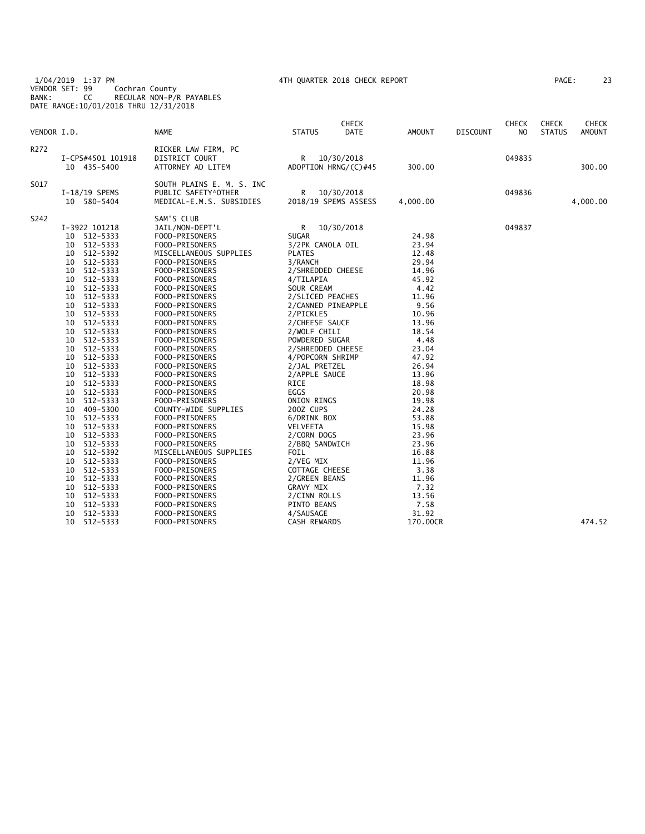1/04/2019 1:37 PM 4TH QUARTER 2018 CHECK REPORT PAGE: 23 VENDOR SET: 99 Cochran County BANK: CC REGULAR NON-P/R PAYABLES DATE RANGE:10/01/2018 THRU 12/31/2018

| 23<br>PAGE : |
|--------------|
|              |

| VENDOR I.D.      |                   | <b>NAME</b>               | <b>STATUS</b>         | <b>CHECK</b><br><b>DATE</b> | AMOUNT   | DISCOUNT | <b>CHECK</b><br>N <sub>O</sub> | <b>CHECK</b><br><b>STATUS</b> | <b>CHECK</b><br><b>AMOUNT</b> |
|------------------|-------------------|---------------------------|-----------------------|-----------------------------|----------|----------|--------------------------------|-------------------------------|-------------------------------|
| R <sub>272</sub> |                   | RICKER LAW FIRM, PC       |                       |                             |          |          |                                |                               |                               |
|                  | I-CPS#4501 101918 | DISTRICT COURT            | R                     | 10/30/2018                  |          |          | 049835                         |                               |                               |
|                  | 10 435-5400       | ATTORNEY AD LITEM         |                       | ADOPTION HRNG/(C)#45        | 300.00   |          |                                |                               | 300.00                        |
| S017             |                   | SOUTH PLAINS E. M. S. INC |                       |                             |          |          |                                |                               |                               |
|                  | I-18/19 SPEMS     | PUBLIC SAFETY*OTHER       | R                     | 10/30/2018                  |          |          | 049836                         |                               |                               |
|                  | 10 580-5404       | MEDICAL-E.M.S. SUBSIDIES  |                       | 2018/19 SPEMS ASSESS        | 4,000.00 |          |                                |                               | 4,000.00                      |
| S242             |                   | SAM'S CLUB                |                       |                             |          |          |                                |                               |                               |
|                  | I-3922 101218     | JAIL/NON-DEPT'L           | R                     | 10/30/2018                  |          |          | 049837                         |                               |                               |
|                  | 512-5333<br>10    | FOOD-PRISONERS            | <b>SUGAR</b>          |                             | 24.98    |          |                                |                               |                               |
|                  | 512-5333<br>10    | FOOD-PRISONERS            | 3/2PK CANOLA OIL      |                             | 23.94    |          |                                |                               |                               |
|                  | 512-5392<br>10    | MISCELLANEOUS SUPPLIES    | <b>PLATES</b>         |                             | 12.48    |          |                                |                               |                               |
|                  | 512-5333<br>10    | FOOD-PRISONERS            | 3/RANCH               |                             | 29.94    |          |                                |                               |                               |
|                  | 512-5333<br>10    | FOOD-PRISONERS            | 2/SHREDDED CHEESE     |                             | 14.96    |          |                                |                               |                               |
|                  | 10<br>512-5333    | FOOD-PRISONERS            | 4/TILAPIA             |                             | 45.92    |          |                                |                               |                               |
|                  | 512-5333<br>10    | FOOD-PRISONERS            | SOUR CREAM            |                             | 4.42     |          |                                |                               |                               |
|                  | 512-5333<br>10    | FOOD-PRISONERS            | 2/SLICED PEACHES      |                             | 11.96    |          |                                |                               |                               |
|                  | 512-5333<br>10    | FOOD-PRISONERS            | 2/CANNED PINEAPPLE    |                             | 9.56     |          |                                |                               |                               |
|                  | 10<br>512-5333    | FOOD-PRISONERS            | 2/PICKLES             |                             | 10.96    |          |                                |                               |                               |
|                  | 512-5333<br>10    | FOOD-PRISONERS            | 2/CHEESE SAUCE        |                             | 13.96    |          |                                |                               |                               |
|                  | 10<br>512-5333    | FOOD-PRISONERS            | 2/WOLF CHILI          |                             | 18.54    |          |                                |                               |                               |
|                  | 10<br>512-5333    | FOOD-PRISONERS            | POWDERED SUGAR        |                             | 4.48     |          |                                |                               |                               |
|                  | 512-5333<br>10    | FOOD-PRISONERS            | 2/SHREDDED CHEESE     |                             | 23.04    |          |                                |                               |                               |
|                  | 512-5333<br>10    | FOOD-PRISONERS            | 4/POPCORN SHRIMP      |                             | 47.92    |          |                                |                               |                               |
|                  | 10<br>512-5333    | FOOD-PRISONERS            | 2/JAL PRETZEL         |                             | 26.94    |          |                                |                               |                               |
|                  | 512-5333<br>10    | FOOD-PRISONERS            | 2/APPLE SAUCE         |                             | 13.96    |          |                                |                               |                               |
|                  | 512-5333<br>10    | FOOD-PRISONERS            | RICE                  |                             | 18.98    |          |                                |                               |                               |
|                  | 512-5333<br>10    | FOOD-PRISONERS            | EGGS                  |                             | 20.98    |          |                                |                               |                               |
|                  | 10<br>512-5333    | FOOD-PRISONERS            | ONION RINGS           |                             | 19.98    |          |                                |                               |                               |
|                  | 409-5300<br>10    | COUNTY-WIDE SUPPLIES      | 200Z CUPS             |                             | 24.28    |          |                                |                               |                               |
|                  | 512-5333<br>10    | FOOD-PRISONERS            | 6/DRINK BOX           |                             | 53.88    |          |                                |                               |                               |
|                  | 10<br>512-5333    | FOOD-PRISONERS            | VELVEETA              |                             | 15.98    |          |                                |                               |                               |
|                  | 512-5333<br>10    | FOOD-PRISONERS            | 2/CORN DOGS           |                             | 23.96    |          |                                |                               |                               |
|                  | 512-5333<br>10    | FOOD-PRISONERS            | 2/BBQ SANDWICH        |                             | 23.96    |          |                                |                               |                               |
|                  | 10<br>512-5392    | MISCELLANEOUS SUPPLIES    | FOIL                  |                             | 16.88    |          |                                |                               |                               |
|                  | 10<br>512-5333    | FOOD-PRISONERS            | 2/VEG MIX             |                             | 11.96    |          |                                |                               |                               |
|                  | 512-5333<br>10    | FOOD-PRISONERS            | <b>COTTAGE CHEESE</b> |                             | 3.38     |          |                                |                               |                               |
|                  | 10<br>512-5333    | FOOD-PRISONERS            | 2/GREEN BEANS         |                             | 11.96    |          |                                |                               |                               |
|                  | 10<br>512-5333    | FOOD-PRISONERS            | <b>GRAVY MIX</b>      |                             | 7.32     |          |                                |                               |                               |
|                  | 10<br>512-5333    | FOOD-PRISONERS            | 2/CINN ROLLS          |                             | 13.56    |          |                                |                               |                               |
|                  | 10<br>512-5333    | FOOD-PRISONERS            | PINTO BEANS           |                             | 7.58     |          |                                |                               |                               |
|                  | 512-5333<br>10    | FOOD-PRISONERS            | 4/SAUSAGE             |                             | 31.92    |          |                                |                               |                               |
|                  | 512-5333<br>10    | FOOD-PRISONERS            | <b>CASH REWARDS</b>   |                             | 170.00CR |          |                                |                               | 474.52                        |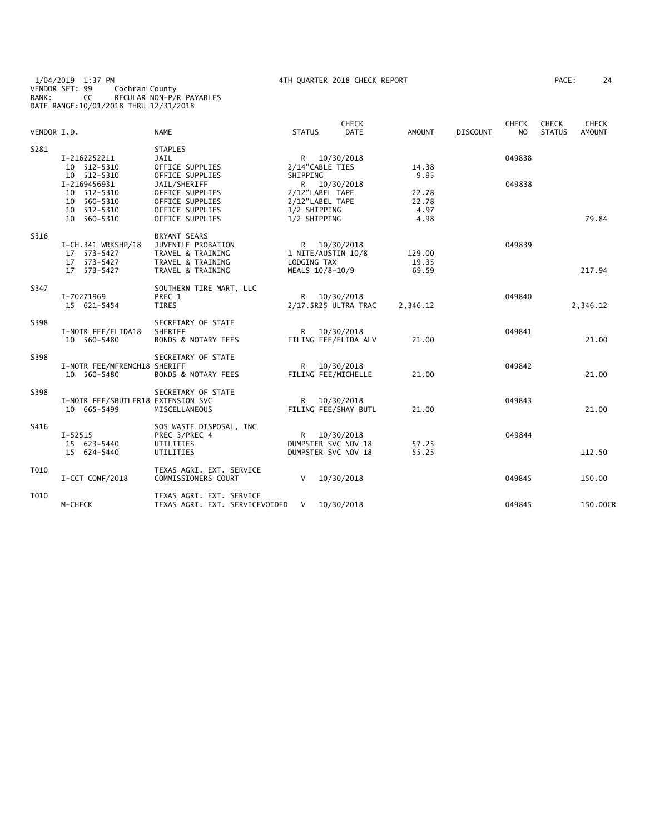|             |                                                                 |                                                                                                          |                              | <b>CHECK</b>                                             |                          |                 | <b>CHECK</b> | <b>CHECK</b>  | <b>CHECK</b>  |
|-------------|-----------------------------------------------------------------|----------------------------------------------------------------------------------------------------------|------------------------------|----------------------------------------------------------|--------------------------|-----------------|--------------|---------------|---------------|
| VENDOR I.D. |                                                                 | <b>NAME</b>                                                                                              | <b>STATUS</b>                | <b>DATE</b>                                              | AMOUNT                   | <b>DISCOUNT</b> | NO.          | <b>STATUS</b> | <b>AMOUNT</b> |
| S281        | I-2162252211<br>10 512-5310<br>10 512-5310                      | <b>STAPLES</b><br><b>JAIL</b><br>OFFICE SUPPLIES<br>OFFICE SUPPLIES                                      | SHIPPING                     | R 10/30/2018<br>2/14"CABLE TIES                          | 14.38<br>9.95            |                 | 049838       |               |               |
|             | I-2169456931<br>10 512-5310<br>10 560-5310                      | JAIL/SHERIFF<br>OFFICE SUPPLIES<br>OFFICE SUPPLIES                                                       | R.                           | 10/30/2018<br>2/12"LABEL TAPE<br>2/12"LABEL TAPE         | 22.78<br>22.78           |                 | 049838       |               |               |
|             | 10 512-5310<br>10 560-5310                                      | OFFICE SUPPLIES<br>OFFICE SUPPLIES                                                                       | 1/2 SHIPPING<br>1/2 SHIPPING |                                                          | 4.97<br>4.98             |                 |              |               | 79.84         |
| S316        | I-CH.341 WRKSHP/18<br>17 573-5427<br>17 573-5427<br>17 573-5427 | <b>BRYANT SEARS</b><br>JUVENILE PROBATION<br>TRAVEL & TRAINING<br>TRAVEL & TRAINING<br>TRAVEL & TRAINING | R.<br>LODGING TAX            | 10/30/2018<br>1 NITE/AUSTIN 10/8<br>MEALS 10/8-10/9      | 129.00<br>19.35<br>69.59 |                 | 049839       |               | 217.94        |
| S347        | I-70271969<br>15 621-5454                                       | SOUTHERN TIRE MART, LLC<br>PREC 1<br>TIRES                                                               |                              | R 10/30/2018<br>2/17.5R25 ULTRA TRAC                     | 2,346.12                 |                 | 049840       |               | 2,346.12      |
| S398        | I-NOTR FEE/ELIDA18<br>10 560-5480                               | SECRETARY OF STATE<br>SHERIFF<br><b>BONDS &amp; NOTARY FEES</b>                                          | R —                          | 10/30/2018<br>FILING FEE/ELIDA ALV                       | 21.00                    |                 | 049841       |               | 21.00         |
| S398        | I-NOTR FEE/MFRENCH18 SHERIFF<br>10 560-5480                     | SECRETARY OF STATE<br><b>BONDS &amp; NOTARY FEES</b>                                                     | R.                           | 10/30/2018<br>FILING FEE/MICHELLE                        | 21.00                    |                 | 049842       |               | 21.00         |
| S398        | I-NOTR FEE/SBUTLER18 EXTENSION SVC<br>10 665-5499               | SECRETARY OF STATE<br>MISCELLANEOUS                                                                      | R.                           | 10/30/2018<br>FILING FEE/SHAY BUTL                       | 21.00                    |                 | 049843       |               | 21.00         |
| S416        | $I - 52515$<br>15 623-5440<br>15 624-5440                       | SOS WASTE DISPOSAL, INC<br>PREC 3/PREC 4<br>UTILITIES<br>UTILITIES                                       | R                            | 10/30/2018<br>DUMPSTER SVC NOV 18<br>DUMPSTER SVC NOV 18 | 57.25<br>55.25           |                 | 049844       |               | 112.50        |
| T010        | I-CCT CONF/2018                                                 | TEXAS AGRI. EXT. SERVICE<br>COMMISSIONERS COURT                                                          | V                            | 10/30/2018                                               |                          |                 | 049845       |               | 150.00        |
| T010        | M-CHECK                                                         | TEXAS AGRI. EXT. SERVICE<br>TEXAS AGRI. EXT. SERVICEVOIDED                                               | V                            | 10/30/2018                                               |                          |                 | 049845       |               | 150.00CR      |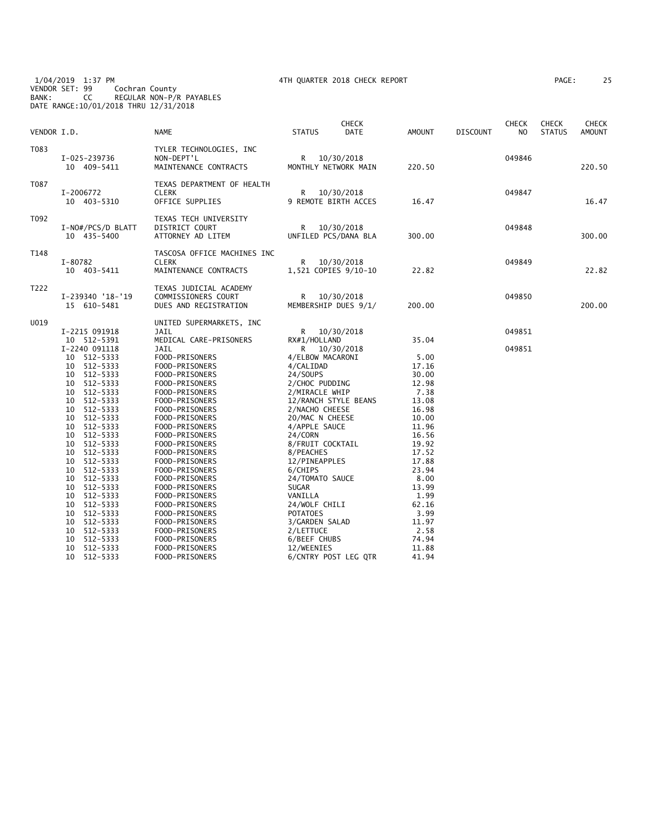1/04/2019 1:37 PM 4TH QUARTER 2018 CHECK REPORT PAGE: 25 VENDOR SET: 99 Cochran County BANK: CC REGULAR NON-P/R PAYABLES DATE RANGE:10/01/2018 THRU 12/31/2018

| AGE: | っ<br>- |
|------|--------|
|------|--------|

| VENDOR I.D. |                                                                                                                                                                                                                                                                                                                                                                                                                                          | NAME                                                                                                                                                                                                                                                                                                                                                                                                                               | <b>STATUS</b>                                                                                                                                                                                                                                                                                                                                                                     | <b>CHECK</b><br>DATE | AMOUNT                                                                                                                                                                                                | <b>DISCOUNT</b> | <b>CHECK</b><br>NO. | <b>CHECK</b><br><b>STATUS</b> | <b>CHECK</b><br><b>AMOUNT</b> |
|-------------|------------------------------------------------------------------------------------------------------------------------------------------------------------------------------------------------------------------------------------------------------------------------------------------------------------------------------------------------------------------------------------------------------------------------------------------|------------------------------------------------------------------------------------------------------------------------------------------------------------------------------------------------------------------------------------------------------------------------------------------------------------------------------------------------------------------------------------------------------------------------------------|-----------------------------------------------------------------------------------------------------------------------------------------------------------------------------------------------------------------------------------------------------------------------------------------------------------------------------------------------------------------------------------|----------------------|-------------------------------------------------------------------------------------------------------------------------------------------------------------------------------------------------------|-----------------|---------------------|-------------------------------|-------------------------------|
| T083        | I-025-239736<br>10 409-5411                                                                                                                                                                                                                                                                                                                                                                                                              | TYLER TECHNOLOGIES, INC<br>NON-DEPT'L<br>MAINTENANCE CONTRACTS                                                                                                                                                                                                                                                                                                                                                                     | R<br>MONTHLY NETWORK MAIN                                                                                                                                                                                                                                                                                                                                                         | 10/30/2018           | 220.50                                                                                                                                                                                                |                 | 049846              |                               | 220.50                        |
| T087        | I-2006772<br>10 403-5310                                                                                                                                                                                                                                                                                                                                                                                                                 | TEXAS DEPARTMENT OF HEALTH<br><b>CLERK</b><br>OFFICE SUPPLIES                                                                                                                                                                                                                                                                                                                                                                      | R<br>9 REMOTE BIRTH ACCES                                                                                                                                                                                                                                                                                                                                                         | 10/30/2018           | 16.47                                                                                                                                                                                                 |                 | 049847              |                               | 16.47                         |
| T092        | I-NO#/PCS/D BLATT<br>10 435-5400                                                                                                                                                                                                                                                                                                                                                                                                         | TEXAS TECH UNIVERSITY<br>DISTRICT COURT<br>ATTORNEY AD LITEM                                                                                                                                                                                                                                                                                                                                                                       | R<br>UNFILED PCS/DANA BLA                                                                                                                                                                                                                                                                                                                                                         | 10/30/2018           | 300.00                                                                                                                                                                                                |                 | 049848              |                               | 300.00                        |
| T148        | I-80782<br>10 403-5411                                                                                                                                                                                                                                                                                                                                                                                                                   | TASCOSA OFFICE MACHINES INC<br><b>CLERK</b><br>MAINTENANCE CONTRACTS                                                                                                                                                                                                                                                                                                                                                               | R<br>1,521 COPIES 9/10-10                                                                                                                                                                                                                                                                                                                                                         | 10/30/2018           | 22.82                                                                                                                                                                                                 |                 | 049849              |                               | 22.82                         |
| T222        | I-239340 '18-'19<br>15 610-5481                                                                                                                                                                                                                                                                                                                                                                                                          | TEXAS JUDICIAL ACADEMY<br>COMMISSIONERS COURT<br>DUES AND REGISTRATION                                                                                                                                                                                                                                                                                                                                                             | R<br>MEMBERSHIP DUES 9/1/                                                                                                                                                                                                                                                                                                                                                         | 10/30/2018           | 200.00                                                                                                                                                                                                |                 | 049850              |                               | 200.00                        |
| U019        | I-2215 091918<br>10 512-5391                                                                                                                                                                                                                                                                                                                                                                                                             | UNITED SUPERMARKETS, INC<br>JAIL<br>MEDICAL CARE-PRISONERS                                                                                                                                                                                                                                                                                                                                                                         | R<br>RX#1/HOLLAND                                                                                                                                                                                                                                                                                                                                                                 | 10/30/2018           | 35.04                                                                                                                                                                                                 |                 | 049851              |                               |                               |
|             | I-2240 091118<br>10 512-5333<br>512-5333<br>10<br>512-5333<br>10<br>512-5333<br>10<br>512-5333<br>10<br>512-5333<br>10<br>512-5333<br>10<br>512-5333<br>10<br>512-5333<br>10<br>512-5333<br>10<br>512-5333<br>10<br>512-5333<br>10<br>512-5333<br>10<br>512-5333<br>10<br>512-5333<br>10<br>512-5333<br>10<br>512-5333<br>10<br>512-5333<br>10<br>512-5333<br>10<br>512-5333<br>10<br>10<br>512-5333<br>512-5333<br>10<br>512-5333<br>10 | JAIL<br>FOOD-PRISONERS<br>FOOD-PRISONERS<br>FOOD-PRISONERS<br>FOOD-PRISONERS<br>FOOD-PRISONERS<br>FOOD-PRISONERS<br>FOOD-PRISONERS<br>FOOD-PRISONERS<br>FOOD-PRISONERS<br>FOOD-PRISONERS<br>FOOD-PRISONERS<br>FOOD-PRISONERS<br>FOOD-PRISONERS<br>FOOD-PRISONERS<br>FOOD-PRISONERS<br>FOOD-PRISONERS<br>FOOD-PRISONERS<br>FOOD-PRISONERS<br>FOOD-PRISONERS<br>FOOD-PRISONERS<br>FOOD-PRISONERS<br>FOOD-PRISONERS<br>FOOD-PRISONERS | R.<br>4/ELBOW MACARONI<br>4/CALIDAD<br>24/SOUPS<br>2/CHOC PUDDING<br>2/MIRACLE WHIP<br>12/RANCH STYLE BEANS<br>2/NACHO CHEESE<br>20/MAC N CHEESE<br>4/APPLE SAUCE<br>24/CORN<br>8/FRUIT COCKTAIL<br>8/PEACHES<br>12/PINEAPPLES<br>6/CHIPS<br>24/TOMATO SAUCE<br>SUGAR<br>VANILLA<br>24/WOLF CHILI<br><b>POTATOES</b><br>3/GARDEN SALAD<br>2/LETTUCE<br>6/BEEF CHUBS<br>12/WEENIES | 10/30/2018           | 5.00<br>17.16<br>30.00<br>12.98<br>7.38<br>13.08<br>16.98<br>10.00<br>11.96<br>16.56<br>19.92<br>17.52<br>17.88<br>23.94<br>8.00<br>13.99<br>1.99<br>62.16<br>3.99<br>11.97<br>2.58<br>74.94<br>11.88 |                 | 049851              |                               |                               |
|             | 10<br>512-5333                                                                                                                                                                                                                                                                                                                                                                                                                           | FOOD-PRISONERS                                                                                                                                                                                                                                                                                                                                                                                                                     | 6/CNTRY POST LEG QTR                                                                                                                                                                                                                                                                                                                                                              |                      | 41.94                                                                                                                                                                                                 |                 |                     |                               |                               |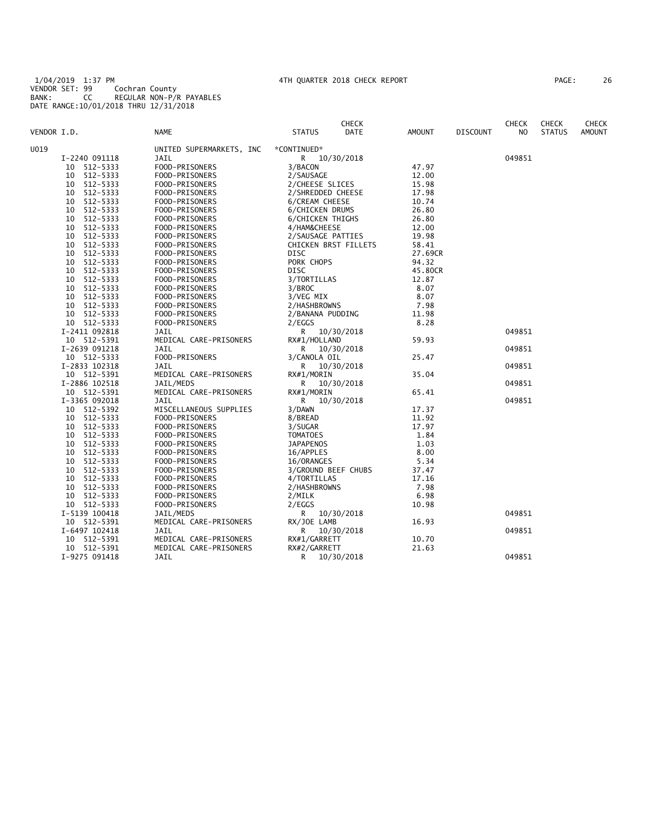1/04/2019 1:37 PM 4TH QUARTER 2018 CHECK REPORT PAGE: 26 VENDOR SET: 99 Cochran County BANK: CC REGULAR NON-P/R PAYABLES DATE RANGE:10/01/2018 THRU 12/31/2018

| 26<br>AGE: |
|------------|
|------------|

|                |                          | <b>CHECK</b>          |               |                 | <b>CHECK</b> | <b>CHECK</b>  | <b>CHECK</b>  |
|----------------|--------------------------|-----------------------|---------------|-----------------|--------------|---------------|---------------|
| VENDOR I.D.    | NAME                     | DATE<br><b>STATUS</b> | <b>AMOUNT</b> | <b>DISCOUNT</b> | NO           | <b>STATUS</b> | <b>AMOUNT</b> |
| U019           | UNITED SUPERMARKETS, INC | *CONTINUED*           |               |                 |              |               |               |
| I-2240 091118  | JAIL                     | 10/30/2018<br>R.      |               |                 | 049851       |               |               |
| 512-5333<br>10 | FOOD-PRISONERS           | 3/BACON               | 47.97         |                 |              |               |               |
| 512-5333<br>10 | FOOD-PRISONERS           | 2/SAUSAGE             | 12.00         |                 |              |               |               |
| 512-5333<br>10 | FOOD-PRISONERS           | 2/CHEESE SLICES       | 15.98         |                 |              |               |               |
| 512-5333<br>10 | FOOD-PRISONERS           | 2/SHREDDED CHEESE     | 17.98         |                 |              |               |               |
| 512-5333<br>10 | FOOD-PRISONERS           | 6/CREAM CHEESE        | 10.74         |                 |              |               |               |
| 512-5333<br>10 | FOOD-PRISONERS           | 6/CHICKEN DRUMS       | 26.80         |                 |              |               |               |
| 10<br>512-5333 | FOOD-PRISONERS           | 6/CHICKEN THIGHS      | 26.80         |                 |              |               |               |
| 512-5333<br>10 | FOOD-PRISONERS           | 4/HAM&CHEESE          | 12.00         |                 |              |               |               |
| 512-5333<br>10 | FOOD-PRISONERS           | 2/SAUSAGE PATTIES     | 19.98         |                 |              |               |               |
| 512-5333<br>10 | FOOD-PRISONERS           | CHICKEN BRST FILLETS  | 58.41         |                 |              |               |               |
| 512-5333<br>10 | FOOD-PRISONERS           | DISC                  | 27.69CR       |                 |              |               |               |
| 512-5333<br>10 | FOOD-PRISONERS           | PORK CHOPS            | 94.32         |                 |              |               |               |
| 512-5333<br>10 | FOOD-PRISONERS           | <b>DISC</b>           | 45.80CR       |                 |              |               |               |
| 512-5333<br>10 | FOOD-PRISONERS           | 3/TORTILLAS           | 12.87         |                 |              |               |               |
| 10<br>512-5333 | FOOD-PRISONERS           | 3/BROC                | 8.07          |                 |              |               |               |
| 512-5333<br>10 | FOOD-PRISONERS           | 3/VEG MIX             | 8.07          |                 |              |               |               |
| 512-5333<br>10 | FOOD-PRISONERS           | 2/HASHBROWNS          | 7.98          |                 |              |               |               |
| 10<br>512-5333 | FOOD-PRISONERS           | 2/BANANA PUDDING      | 11.98         |                 |              |               |               |
| 10 512-5333    | FOOD-PRISONERS           | 2/EGGS                | 8.28          |                 |              |               |               |
| I-2411 092818  | JAIL                     | R —<br>10/30/2018     |               |                 | 049851       |               |               |
| 10 512-5391    | MEDICAL CARE-PRISONERS   | RX#1/HOLLAND          | 59.93         |                 |              |               |               |
| I-2639 091218  | <b>JAIL</b>              | R.<br>10/30/2018      |               |                 | 049851       |               |               |
| 10 512-5333    | FOOD-PRISONERS           | 3/CANOLA OIL          | 25.47         |                 |              |               |               |
| I-2833 102318  | JAIL                     | R<br>10/30/2018       |               |                 | 049851       |               |               |
| 10 512-5391    | MEDICAL CARE-PRISONERS   | RX#1/MORIN            | 35.04         |                 |              |               |               |
| I-2886 102518  | JAIL/MEDS                | 10/30/2018<br>R       |               |                 | 049851       |               |               |
| 10 512-5391    | MEDICAL CARE-PRISONERS   | RX#1/MORIN            | 65.41         |                 |              |               |               |
| I-3365 092018  | JAIL                     | R<br>10/30/2018       |               |                 | 049851       |               |               |
| 10 512-5392    | MISCELLANEOUS SUPPLIES   | 3/DAWN                | 17.37         |                 |              |               |               |
| 10 512-5333    | FOOD-PRISONERS           | 8/BREAD               | 11.92         |                 |              |               |               |
| 512-5333<br>10 | FOOD-PRISONERS           | 3/SUGAR               | 17.97         |                 |              |               |               |
| 512-5333<br>10 | FOOD-PRISONERS           | <b>TOMATOES</b>       | 1.84          |                 |              |               |               |
| 512-5333<br>10 | FOOD-PRISONERS           | <b>JAPAPENOS</b>      | 1.03          |                 |              |               |               |
| 512-5333<br>10 | FOOD-PRISONERS           | 16/APPLES             | 8.00          |                 |              |               |               |
| 10<br>512-5333 | FOOD-PRISONERS           | 16/ORANGES            | 5.34          |                 |              |               |               |
| 512-5333<br>10 | FOOD-PRISONERS           | 3/GROUND BEEF CHUBS   | 37.47         |                 |              |               |               |
| 512-5333<br>10 | FOOD-PRISONERS           | 4/TORTILLAS           | 17.16         |                 |              |               |               |
| 10<br>512-5333 | FOOD-PRISONERS           | 2/HASHBROWNS          | 7.98          |                 |              |               |               |
| 512-5333<br>10 | FOOD-PRISONERS           | 2/MILK                | 6.98          |                 |              |               |               |
| 10 512-5333    | FOOD-PRISONERS           | 2/EGGS                | 10.98         |                 |              |               |               |
| I-5139 100418  | JAIL/MEDS                | R.<br>10/30/2018      |               |                 | 049851       |               |               |
| 10 512-5391    | MEDICAL CARE-PRISONERS   | RX/JOE LAMB           | 16.93         |                 |              |               |               |
| I-6497 102418  | JAIL                     | R<br>10/30/2018       |               |                 | 049851       |               |               |
| 10 512-5391    | MEDICAL CARE-PRISONERS   | RX#1/GARRETT          | 10.70         |                 |              |               |               |
| 10 512-5391    | MEDICAL CARE-PRISONERS   | RX#2/GARRETT          | 21.63         |                 |              |               |               |
| I-9275 091418  | JAIL                     | R<br>10/30/2018       |               |                 | 049851       |               |               |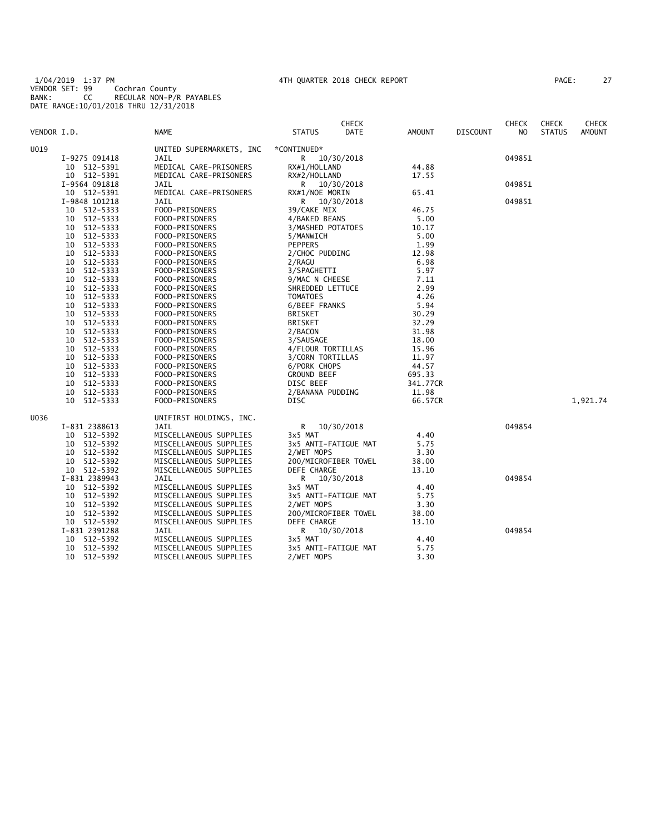1/04/2019 1:37 PM 4TH QUARTER 2018 CHECK REPORT PAGE: 27 VENDOR SET: 99 Cochran County BANK: CC REGULAR NON-P/R PAYABLES DATE RANGE:10/01/2018 THRU 12/31/2018

| PAGE: |  |  |
|-------|--|--|
|       |  |  |

|                |                          | <b>CHECK</b>                 |          |                 | <b>CHECK</b> | <b>CHECK</b>  | <b>CHECK</b>  |
|----------------|--------------------------|------------------------------|----------|-----------------|--------------|---------------|---------------|
| VENDOR I.D.    | <b>NAME</b>              | <b>STATUS</b><br>DATE        | AMOUNT   | <b>DISCOUNT</b> | NO.          | <b>STATUS</b> | <b>AMOUNT</b> |
| U019           | UNITED SUPERMARKETS, INC | *CONTINUED*                  |          |                 |              |               |               |
| I-9275 091418  | JAIL                     | 10/30/2018<br>R.             |          |                 | 049851       |               |               |
| 10 512-5391    | MEDICAL CARE-PRISONERS   | RX#1/HOLLAND                 | 44.88    |                 |              |               |               |
| 10 512-5391    | MEDICAL CARE-PRISONERS   | RX#2/HOLLAND                 | 17.55    |                 |              |               |               |
| I-9564 091818  | JAIL                     | R 10/30/2018                 |          |                 | 049851       |               |               |
| 10 512-5391    | MEDICAL CARE-PRISONERS   | RX#1/NOE MORIN               | 65.41    |                 |              |               |               |
| I-9848 101218  | JAIL                     | R —<br>10/30/2018            |          |                 | 049851       |               |               |
| 10 512-5333    | FOOD-PRISONERS           | 39/CAKE MIX                  | 46.75    |                 |              |               |               |
| 10 512-5333    | FOOD-PRISONERS           | 4/BAKED BEANS                | 5.00     |                 |              |               |               |
| 10 512-5333    | FOOD-PRISONERS           | 3/MASHED POTATOES            | 10.17    |                 |              |               |               |
| 10 512-5333    | FOOD-PRISONERS           | 5/MANWICH                    | 5.00     |                 |              |               |               |
| 10 512-5333    | FOOD-PRISONERS           | <b>PEPPERS</b>               | 1.99     |                 |              |               |               |
| 10 512-5333    | FOOD-PRISONERS           | 2/CHOC PUDDING               | 12.98    |                 |              |               |               |
| 512-5333<br>10 | FOOD-PRISONERS           | 2/RAGU                       | 6.98     |                 |              |               |               |
| 10 512-5333    | FOOD-PRISONERS           | 3/SPAGHETTI                  | 5.97     |                 |              |               |               |
| 512-5333<br>10 | FOOD-PRISONERS           | 9/MAC N CHEESE               | 7.11     |                 |              |               |               |
| 10 512-5333    | FOOD-PRISONERS           | SHREDDED LETTUCE             | 2.99     |                 |              |               |               |
| 512-5333<br>10 | FOOD-PRISONERS           | <b>TOMATOES</b>              | 4.26     |                 |              |               |               |
| 10 512-5333    | FOOD-PRISONERS           | 6/BEEF FRANKS                | 5.94     |                 |              |               |               |
| 10 512-5333    | FOOD-PRISONERS           | <b>BRISKET</b>               | 30.29    |                 |              |               |               |
| 10 512-5333    | FOOD-PRISONERS           | <b>BRISKET</b>               | 32.29    |                 |              |               |               |
| 10 512-5333    | FOOD-PRISONERS           | 2/BACON                      | 31.98    |                 |              |               |               |
| 10 512-5333    | FOOD-PRISONERS           | 3/SAUSAGE                    | 18.00    |                 |              |               |               |
| 10 512-5333    | FOOD-PRISONERS           | 4/FLOUR TORTILLAS            | 15.96    |                 |              |               |               |
| 10 512-5333    | FOOD-PRISONERS           | 3/CORN TORTILLAS             | 11.97    |                 |              |               |               |
| 10 512-5333    | FOOD-PRISONERS           | 6/PORK CHOPS                 | 44.57    |                 |              |               |               |
| 10 512-5333    | FOOD-PRISONERS           | <b>GROUND BEEF</b>           | 695.33   |                 |              |               |               |
| 10 512-5333    | FOOD-PRISONERS           | DISC BEEF                    | 341.77CR |                 |              |               |               |
| 10 512-5333    | FOOD-PRISONERS           | 2/BANANA PUDDING             | 11.98    |                 |              |               |               |
| 10 512-5333    | FOOD-PRISONERS           | DISC                         | 66.57CR  |                 |              |               | 1,921.74      |
| U036           | UNIFIRST HOLDINGS, INC.  |                              |          |                 |              |               |               |
| I-831 2388613  | JAIL                     | R <sub>a</sub><br>10/30/2018 |          |                 | 049854       |               |               |
| 10 512-5392    | MISCELLANEOUS SUPPLIES   | 3x5 MAT                      | 4.40     |                 |              |               |               |
| 10 512-5392    | MISCELLANEOUS SUPPLIES   | 3x5 ANTI-FATIGUE MAT         | 5.75     |                 |              |               |               |
| 10 512-5392    | MISCELLANEOUS SUPPLIES   | 2/WET MOPS                   | 3.30     |                 |              |               |               |
| 10 512-5392    | MISCELLANEOUS SUPPLIES   | 200/MICROFIBER TOWEL         | 38.00    |                 |              |               |               |
| 10 512-5392    | MISCELLANEOUS SUPPLIES   | DEFE CHARGE                  | 13.10    |                 |              |               |               |
| I-831 2389943  | JAIL                     | R 10/30/2018                 |          |                 | 049854       |               |               |
| 10 512-5392    | MISCELLANEOUS SUPPLIES   | 3x5 MAT                      | 4.40     |                 |              |               |               |
| 10 512-5392    | MISCELLANEOUS SUPPLIES   | 3x5 ANTI-FATIGUE MAT         | 5.75     |                 |              |               |               |
| 10 512-5392    | MISCELLANEOUS SUPPLIES   | 2/WET MOPS                   | 3.30     |                 |              |               |               |
| 10 512-5392    | MISCELLANEOUS SUPPLIES   | 200/MICROFIBER TOWEL         | 38.00    |                 |              |               |               |
| 10 512-5392    | MISCELLANEOUS SUPPLIES   | DEFE CHARGE                  | 13.10    |                 |              |               |               |
| I-831 2391288  | JAIL                     | R.<br>10/30/2018             |          |                 | 049854       |               |               |
| 10 512-5392    | MISCELLANEOUS SUPPLIES   | 3x5 MAT                      | 4.40     |                 |              |               |               |
| 10 512-5392    | MISCELLANEOUS SUPPLIES   | 3x5 ANTI-FATIGUE MAT         | 5.75     |                 |              |               |               |
| 10 512-5392    | MISCELLANEOUS SUPPLIES   | 2/WET MOPS                   | 3.30     |                 |              |               |               |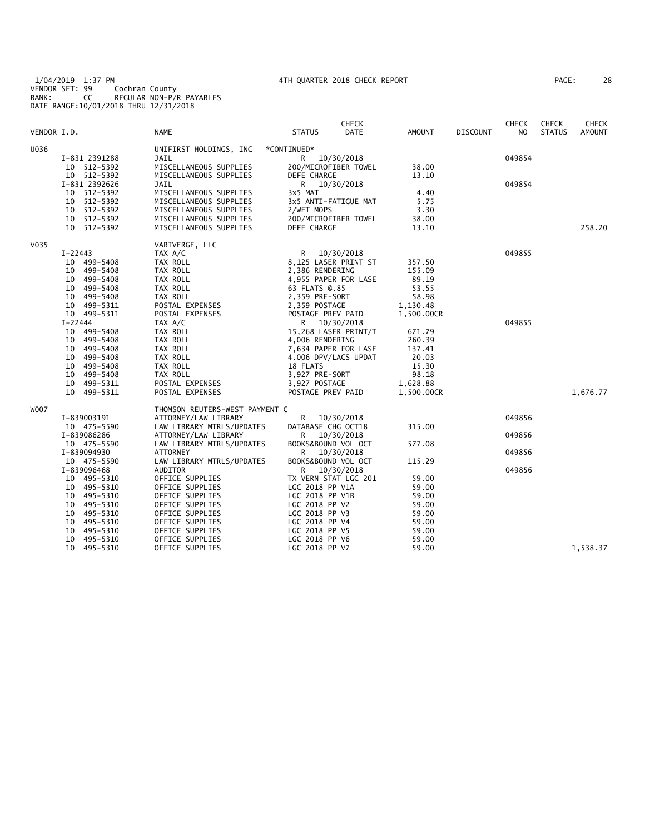1/04/2019 1:37 PM 4TH QUARTER 2018 CHECK REPORT PAGE: 28 VENDOR SET: 99 Cochran County BANK: CC REGULAR NON-P/R PAYABLES DATE RANGE:10/01/2018 THRU 12/31/2018

|  |  | AGE: |  | 28 |  |
|--|--|------|--|----|--|
|--|--|------|--|----|--|

|             |               |                                |                      | <b>CHECK</b> |            |                 | <b>CHECK</b>   | <b>CHECK</b>  | CHECK         |
|-------------|---------------|--------------------------------|----------------------|--------------|------------|-----------------|----------------|---------------|---------------|
| VENDOR I.D. |               | <b>NAME</b>                    | <b>STATUS</b>        | DATE         | AMOUNT     | <b>DISCOUNT</b> | N <sub>O</sub> | <b>STATUS</b> | <b>AMOUNT</b> |
| U036        |               | UNIFIRST HOLDINGS, INC         | *CONTINUED*          |              |            |                 |                |               |               |
|             | I-831 2391288 | JAIL                           | R 10/30/2018         |              |            |                 | 049854         |               |               |
|             | 10 512-5392   | MISCELLANEOUS SUPPLIES         | 200/MICROFIBER TOWEL |              | 38.00      |                 |                |               |               |
|             | 10 512-5392   | MISCELLANEOUS SUPPLIES         | DEFE CHARGE          |              | 13.10      |                 |                |               |               |
|             | I-831 2392626 | JAIL                           | R 10/30/2018         |              |            |                 | 049854         |               |               |
|             | 10 512-5392   | MISCELLANEOUS SUPPLIES         | 3x5 MAT              |              | 4.40       |                 |                |               |               |
|             | 10 512-5392   | MISCELLANEOUS SUPPLIES         | 3x5 ANTI-FATIGUE MAT |              | 5.75       |                 |                |               |               |
|             | 10 512-5392   | MISCELLANEOUS SUPPLIES         | 2/WET MOPS           |              | 3.30       |                 |                |               |               |
|             | 10 512-5392   | MISCELLANEOUS SUPPLIES         | 200/MICROFIBER TOWEL |              | 38.00      |                 |                |               |               |
|             | 10 512-5392   | MISCELLANEOUS SUPPLIES         | DEFE CHARGE          |              | 13.10      |                 |                |               | 258.20        |
| V035        |               | VARIVERGE, LLC                 |                      |              |            |                 |                |               |               |
|             | $I - 22443$   | TAX A/C                        | R 10/30/2018         |              |            |                 | 049855         |               |               |
|             | 10 499-5408   | TAX ROLL                       | 8,125 LASER PRINT ST |              | 357.50     |                 |                |               |               |
|             | 10 499-5408   | TAX ROLL                       | 2,386 RENDERING      |              | 155.09     |                 |                |               |               |
|             | 10 499-5408   | TAX ROLL                       | 4,955 PAPER FOR LASE |              | 89.19      |                 |                |               |               |
|             | 10 499-5408   | TAX ROLL                       | 63 FLATS @.85        |              | 53.55      |                 |                |               |               |
|             | 10 499-5408   | TAX ROLL                       | 2,359 PRE-SORT       |              | 58.98      |                 |                |               |               |
|             | 10 499-5311   | POSTAL EXPENSES                | 2,359 POSTAGE        |              | 1,130.48   |                 |                |               |               |
|             | 10 499-5311   | POSTAL EXPENSES                | POSTAGE PREV PAID    |              | 1,500.00CR |                 |                |               |               |
|             | $I - 22444$   | TAX A/C                        | R 10/30/2018         |              |            |                 | 049855         |               |               |
|             | 10 499-5408   | TAX ROLL                       | 15,268 LASER PRINT/T |              | 671.79     |                 |                |               |               |
|             | 10 499-5408   | TAX ROLL                       | 4,006 RENDERING      |              | 260.39     |                 |                |               |               |
|             | 10 499-5408   | TAX ROLL                       | 7,634 PAPER FOR LASE |              | 137.41     |                 |                |               |               |
|             | 10 499-5408   | TAX ROLL                       | 4.006 DPV/LACS UPDAT |              | 20.03      |                 |                |               |               |
|             | 10 499-5408   | TAX ROLL                       | 18 FLATS             |              | 15.30      |                 |                |               |               |
|             | 10 499-5408   | TAX ROLL                       | 3,927 PRE-SORT       |              | 98.18      |                 |                |               |               |
|             | 10 499-5311   | POSTAL EXPENSES                | 3,927 POSTAGE        |              | 1,628.88   |                 |                |               |               |
|             | 10 499-5311   | POSTAL EXPENSES                | POSTAGE PREV PAID    |              | 1,500.00CR |                 |                |               | 1,676.77      |
| <b>WOO7</b> |               | THOMSON REUTERS-WEST PAYMENT C |                      |              |            |                 |                |               |               |
|             | I-839003191   | ATTORNEY/LAW LIBRARY           | R 10/30/2018         |              |            |                 | 049856         |               |               |
|             | 10 475-5590   | LAW LIBRARY MTRLS/UPDATES      | DATABASE CHG OCT18   |              | 315.00     |                 |                |               |               |
|             | I-839086286   | ATTORNEY/LAW LIBRARY           | R.                   | 10/30/2018   |            |                 | 049856         |               |               |
|             | 10 475-5590   | LAW LIBRARY MTRLS/UPDATES      | BOOKS&BOUND VOL OCT  |              | 577.08     |                 |                |               |               |
|             | I-839094930   | ATTORNEY                       | R                    | 10/30/2018   |            |                 | 049856         |               |               |
|             | 10 475-5590   | LAW LIBRARY MTRLS/UPDATES      | BOOKS&BOUND VOL OCT  |              | 115.29     |                 |                |               |               |
|             | I-839096468   | AUDITOR                        | R                    | 10/30/2018   |            |                 | 049856         |               |               |
|             | 10 495-5310   | OFFICE SUPPLIES                | TX VERN STAT LGC 201 |              | 59.00      |                 |                |               |               |
|             | 10 495-5310   | OFFICE SUPPLIES                | LGC 2018 PP V1A      |              | 59.00      |                 |                |               |               |
|             | 10 495-5310   | OFFICE SUPPLIES                | LGC 2018 PP V1B      |              | 59.00      |                 |                |               |               |
|             | 10 495-5310   | OFFICE SUPPLIES                | LGC 2018 PP V2       |              | 59.00      |                 |                |               |               |
|             | 10 495-5310   | OFFICE SUPPLIES                | LGC 2018 PP V3       |              | 59.00      |                 |                |               |               |
|             | 10 495-5310   | OFFICE SUPPLIES                | LGC 2018 PP V4       |              | 59.00      |                 |                |               |               |
|             | 10 495-5310   | OFFICE SUPPLIES                | LGC 2018 PP V5       |              | 59.00      |                 |                |               |               |
|             | 10 495-5310   | OFFICE SUPPLIES                | LGC 2018 PP V6       |              | 59.00      |                 |                |               |               |
|             | 10 495-5310   | OFFICE SUPPLIES                | LGC 2018 PP V7       |              | 59.00      |                 |                |               | 1,538.37      |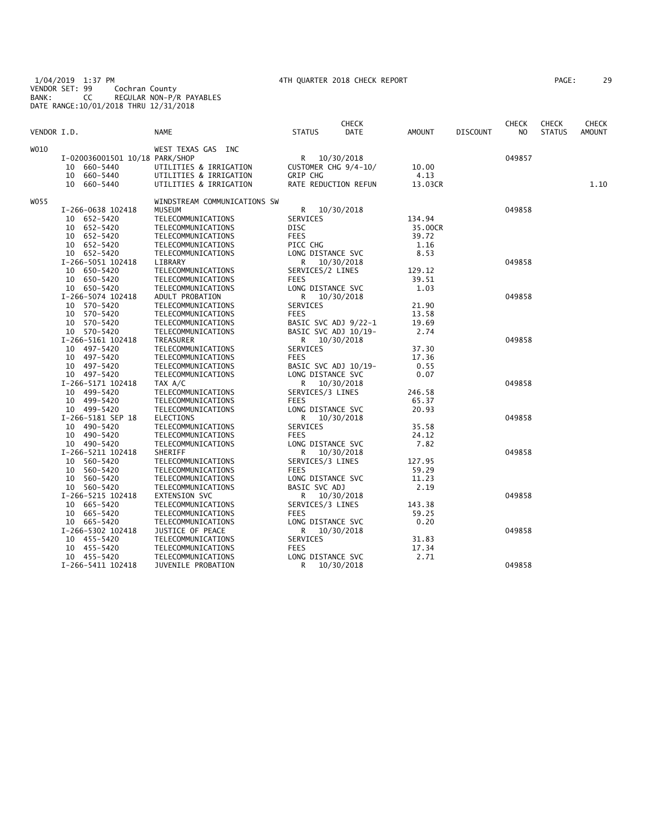1/04/2019 1:37 PM 4TH QUARTER 2018 CHECK REPORT PAGE: 29 VENDOR SET: 99 Cochran County BANK: CC REGULAR NON-P/R PAYABLES DATE RANGE:10/01/2018 THRU 12/31/2018

| PAGE: | 29 |
|-------|----|
|-------|----|

|             |                                |                                        |                           | <b>CHECK</b> |                |                 | <b>CHECK</b>   | <b>CHECK</b>  | <b>CHECK</b>  |
|-------------|--------------------------------|----------------------------------------|---------------------------|--------------|----------------|-----------------|----------------|---------------|---------------|
| VENDOR I.D. |                                | <b>NAME</b>                            | <b>STATUS</b>             | <b>DATE</b>  | <b>AMOUNT</b>  | <b>DISCOUNT</b> | N <sub>O</sub> | <b>STATUS</b> | <b>AMOUNT</b> |
| W010        |                                | WEST TEXAS GAS INC                     |                           |              |                |                 |                |               |               |
|             | I-020036001501 10/18 PARK/SHOP |                                        | R                         | 10/30/2018   |                |                 | 049857         |               |               |
|             | 10<br>660–5440                 | UTILITIES & IRRIGATION                 | CUSTOMER CHG 9/4-10/      |              | 10.00          |                 |                |               |               |
|             | 10<br>660-5440                 | UTILITIES & IRRIGATION                 | GRIP CHG                  |              | 4.13           |                 |                |               |               |
|             | 660-5440<br>10                 | UTILITIES & IRRIGATION                 | RATE REDUCTION REFUN      |              | 13.03CR        |                 |                |               | 1.10          |
| W055        |                                | WINDSTREAM COMMUNICATIONS SW           |                           |              |                |                 |                |               |               |
|             | I-266-0638 102418              | <b>MUSEUM</b>                          | R                         | 10/30/2018   |                |                 | 049858         |               |               |
|             | 10 652-5420                    | TELECOMMUNICATIONS                     | SERVICES                  |              | 134.94         |                 |                |               |               |
|             | 652-5420<br>10                 | TELECOMMUNICATIONS                     | <b>DISC</b>               |              | 35.00CR        |                 |                |               |               |
|             | 652-5420<br>10                 | TELECOMMUNICATIONS                     | <b>FEES</b>               |              | 39.72          |                 |                |               |               |
|             | 10 652-5420                    | TELECOMMUNICATIONS                     | PICC CHG                  |              | 1.16           |                 |                |               |               |
|             | 10 652-5420                    | TELECOMMUNICATIONS                     | LONG DISTANCE SVC         |              | 8.53           |                 |                |               |               |
|             | I-266-5051 102418              | LIBRARY                                | R                         | 10/30/2018   |                |                 | 049858         |               |               |
|             | 650-5420<br>10                 | TELECOMMUNICATIONS                     | SERVICES/2 LINES          |              | 129.12         |                 |                |               |               |
|             | 10 650-5420                    | TELECOMMUNICATIONS                     | <b>FEES</b>               |              | 39.51          |                 |                |               |               |
|             | 10 650-5420                    | TELECOMMUNICATIONS                     | LONG DISTANCE SVC         |              | 1.03           |                 |                |               |               |
|             | I-266-5074 102418              | ADULT PROBATION                        | R 10/30/2018              |              |                |                 | 049858         |               |               |
|             | 10 570-5420                    | TELECOMMUNICATIONS                     | SERVICES                  |              | 21.90          |                 |                |               |               |
|             | 570-5420<br>10                 | TELECOMMUNICATIONS                     | <b>FEES</b>               |              | 13.58          |                 |                |               |               |
|             | 570-5420<br>10                 | TELECOMMUNICATIONS                     | BASIC SVC ADJ 9/22-1      |              | 19.69          |                 |                |               |               |
|             | 10 570-5420                    | TELECOMMUNICATIONS                     | BASIC SVC ADJ 10/19-      |              | 2.74           |                 |                |               |               |
|             | I-266-5161 102418              | TREASURER                              | R                         | 10/30/2018   |                |                 | 049858         |               |               |
|             | 497-5420<br>10                 | TELECOMMUNICATIONS                     | SERVICES                  |              | 37.30          |                 |                |               |               |
|             | 10 497-5420                    | TELECOMMUNICATIONS                     | <b>FEES</b>               |              | 17.36          |                 |                |               |               |
|             | 10 497-5420                    | TELECOMMUNICATIONS                     | BASIC SVC ADJ 10/19-      |              | 0.55           |                 |                |               |               |
|             | 10 497-5420                    | TELECOMMUNICATIONS                     | LONG DISTANCE SVC         |              | 0.07           |                 |                |               |               |
|             | I-266-5171 102418              | TAX A/C                                | R                         | 10/30/2018   |                |                 | 049858         |               |               |
|             | 10 499-5420                    | TELECOMMUNICATIONS                     | SERVICES/3 LINES          |              | 246.58         |                 |                |               |               |
|             | 10 499-5420                    |                                        |                           |              |                |                 |                |               |               |
|             | 10 499-5420                    | TELECOMMUNICATIONS                     | FEES<br>LONG DISTANCE SVC |              | 65.37<br>20.93 |                 |                |               |               |
|             | I-266-5181 SEP 18              | TELECOMMUNICATIONS<br><b>ELECTIONS</b> | R                         | 10/30/2018   |                |                 | 049858         |               |               |
|             | 10 490-5420                    | TELECOMMUNICATIONS                     | SERVICES                  |              | 35.58          |                 |                |               |               |
|             | 10 490-5420                    | TELECOMMUNICATIONS                     | <b>FEES</b>               |              | 24.12          |                 |                |               |               |
|             | 10 490-5420                    | TELECOMMUNICATIONS                     | LONG DISTANCE SVC         |              | 7.82           |                 |                |               |               |
|             | I-266-5211 102418              | SHERIFF                                |                           |              |                |                 | 049858         |               |               |
|             | 560-5420<br>10                 | TELECOMMUNICATIONS                     | R<br>SERVICES/3 LINES     | 10/30/2018   | 127.95         |                 |                |               |               |
|             |                                |                                        |                           |              |                |                 |                |               |               |
|             | 560-5420<br>10                 | TELECOMMUNICATIONS                     | FEES                      |              | 59.29          |                 |                |               |               |
|             | 560-5420<br>10                 | TELECOMMUNICATIONS                     | LONG DISTANCE SVC         |              | 11.23          |                 |                |               |               |
|             | 10 560-5420                    | TELECOMMUNICATIONS                     | BASIC SVC ADJ             |              | 2.19           |                 |                |               |               |
|             | I-266-5215 102418              | EXTENSION SVC                          | R                         | 10/30/2018   |                |                 | 049858         |               |               |
|             | 10 665-5420                    | TELECOMMUNICATIONS                     | SERVICES/3 LINES          |              | 143.38         |                 |                |               |               |
|             | 10 665-5420                    | TELECOMMUNICATIONS                     | <b>FEES</b>               |              | 59.25          |                 |                |               |               |
|             | 10 665-5420                    | TELECOMMUNICATIONS                     | LONG DISTANCE SVC         |              | 0.20           |                 |                |               |               |
|             | I-266-5302 102418              | JUSTICE OF PEACE                       | R                         | 10/30/2018   |                |                 | 049858         |               |               |
|             | 10 455-5420                    | TELECOMMUNICATIONS                     | SERVICES                  |              | 31.83          |                 |                |               |               |
|             | 10 455-5420                    | TELECOMMUNICATIONS                     | <b>FEES</b>               |              | 17.34          |                 |                |               |               |
|             | 10 455-5420                    | TELECOMMUNICATIONS                     | LONG DISTANCE SVC         |              | 2.71           |                 |                |               |               |
|             | I-266-5411 102418              | JUVENILE PROBATION                     | R                         | 10/30/2018   |                |                 | 049858         |               |               |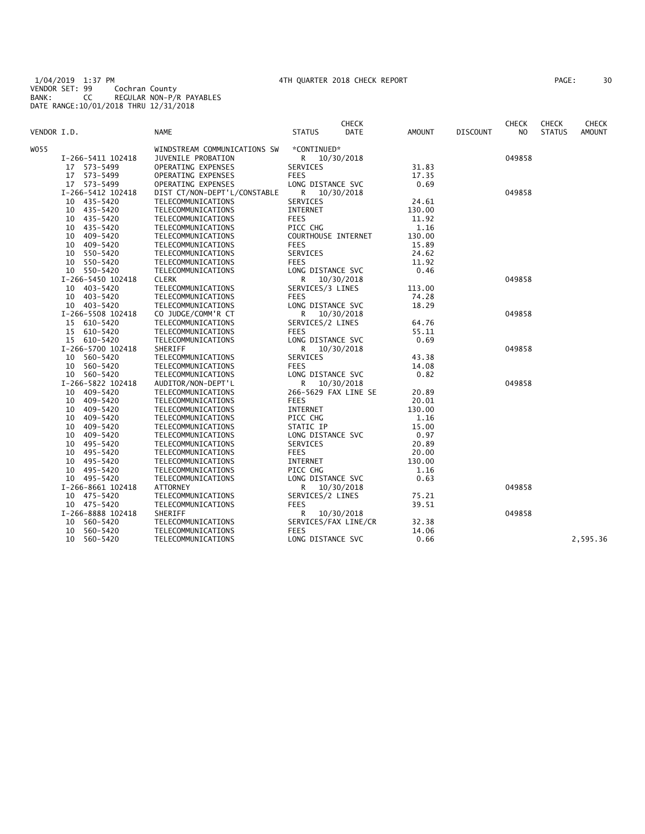1/04/2019 1:37 PM 4TH QUARTER 2018 CHECK REPORT PAGE: 30 VENDOR SET: 99 Cochran County BANK: CC REGULAR NON-P/R PAYABLES DATE RANGE:10/01/2018 THRU 12/31/2018

| PAGE : | 30 |
|--------|----|
|        |    |

| VENDOR I.D. |                                  | <b>NAME</b>                              | <b>STATUS</b>                        | <b>CHECK</b><br><b>DATE</b> | <b>AMOUNT</b>  | <b>DISCOUNT</b> | <b>CHECK</b><br>NO. | <b>CHECK</b><br><b>STATUS</b> | <b>CHECK</b><br><b>AMOUNT</b> |
|-------------|----------------------------------|------------------------------------------|--------------------------------------|-----------------------------|----------------|-----------------|---------------------|-------------------------------|-------------------------------|
|             |                                  |                                          |                                      |                             |                |                 |                     |                               |                               |
| WO55        |                                  | WINDSTREAM COMMUNICATIONS SW             | *CONTINUED*                          |                             |                |                 |                     |                               |                               |
|             | I-266-5411 102418                | JUVENILE PROBATION                       | R.                                   | 10/30/2018                  |                |                 | 049858              |                               |                               |
|             | 17 573-5499                      | OPERATING EXPENSES                       | SERVICES                             |                             | 31.83          |                 |                     |                               |                               |
|             | 17<br>573-5499                   | OPERATING EXPENSES                       | <b>FEES</b>                          |                             | 17.35          |                 |                     |                               |                               |
|             | 17 573-5499                      | OPERATING EXPENSES                       | LONG DISTANCE SVC                    |                             | 0.69           |                 |                     |                               |                               |
|             | I-266-5412 102418                | DIST CT/NON-DEPT'L/CONSTABLE             | R                                    | 10/30/2018                  |                |                 | 049858              |                               |                               |
|             | 10 435-5420                      | TELECOMMUNICATIONS                       | SERVICES                             |                             | 24.61          |                 |                     |                               |                               |
|             | 10 435-5420                      | TELECOMMUNICATIONS                       | <b>INTERNET</b>                      |                             | 130.00         |                 |                     |                               |                               |
|             | 10 435-5420                      | TELECOMMUNICATIONS                       | <b>FEES</b>                          |                             | 11.92          |                 |                     |                               |                               |
|             | 10 435-5420                      | TELECOMMUNICATIONS                       | PICC CHG                             |                             | 1.16           |                 |                     |                               |                               |
|             | 10 409-5420                      | TELECOMMUNICATIONS                       | COURTHOUSE INTERNET                  |                             | 130.00         |                 |                     |                               |                               |
|             | 10 409-5420                      | TELECOMMUNICATIONS                       | FEES                                 |                             | 15.89          |                 |                     |                               |                               |
|             | 10 550-5420                      | TELECOMMUNICATIONS                       | SERVICES                             |                             | 24.62          |                 |                     |                               |                               |
|             | 10 550-5420                      | TELECOMMUNICATIONS                       | <b>FEES</b>                          |                             | 11.92          |                 |                     |                               |                               |
|             | 10 550-5420                      | TELECOMMUNICATIONS                       | LONG DISTANCE SVC                    |                             | 0.46           |                 |                     |                               |                               |
|             | I-266-5450 102418                | <b>CLERK</b>                             | R                                    | 10/30/2018                  | 113.00         |                 | 049858              |                               |                               |
|             | 10 403-5420                      | TELECOMMUNICATIONS                       | SERVICES/3 LINES                     |                             |                |                 |                     |                               |                               |
|             | 10 403-5420                      | TELECOMMUNICATIONS                       | <b>FEES</b><br>LONG DISTANCE SVC     |                             | 74.28<br>18.29 |                 |                     |                               |                               |
|             | 10 403-5420                      | TELECOMMUNICATIONS                       |                                      |                             |                |                 |                     |                               |                               |
|             | I-266-5508 102418                | CO JUDGE/COMM'R CT                       | R                                    | 10/30/2018                  |                |                 | 049858              |                               |                               |
|             | 15 610-5420                      | TELECOMMUNICATIONS                       | SERVICES/2 LINES                     |                             | 64.76          |                 |                     |                               |                               |
|             | 15 610-5420                      | TELECOMMUNICATIONS                       | <b>FEES</b>                          |                             | 55.11<br>0.69  |                 |                     |                               |                               |
|             | 15 610-5420<br>I-266-5700 102418 | TELECOMMUNICATIONS<br>SHERIFF            | LONG DISTANCE SVC                    |                             |                |                 | 049858              |                               |                               |
|             | 10 560-5420                      | TELECOMMUNICATIONS                       | R.<br>SERVICES                       | 10/30/2018                  | 43.38          |                 |                     |                               |                               |
|             | 10 560-5420                      | TELECOMMUNICATIONS                       | <b>FEES</b>                          |                             | 14.08          |                 |                     |                               |                               |
|             | 10 560-5420                      | TELECOMMUNICATIONS                       | LONG DISTANCE SVC                    |                             | 0.82           |                 |                     |                               |                               |
|             | I-266-5822 102418                |                                          |                                      |                             |                |                 | 049858              |                               |                               |
|             | 10 409-5420                      | AUDITOR/NON-DEPT'L<br>TELECOMMUNICATIONS | R 10/30/2018<br>266-5629 FAX LINE SE |                             | 20.89          |                 |                     |                               |                               |
|             | 10 409-5420                      | TELECOMMUNICATIONS                       | <b>FEES</b>                          |                             | 20.01          |                 |                     |                               |                               |
|             | 10 409-5420                      | TELECOMMUNICATIONS                       | INTERNET                             |                             | 130.00         |                 |                     |                               |                               |
|             | 10 409-5420                      | TELECOMMUNICATIONS                       | PICC CHG                             |                             | 1.16           |                 |                     |                               |                               |
|             | 409-5420<br>10                   | TELECOMMUNICATIONS                       | STATIC IP                            |                             | 15.00          |                 |                     |                               |                               |
|             | 10<br>409-5420                   | TELECOMMUNICATIONS                       | LONG DISTANCE SVC                    |                             | 0.97           |                 |                     |                               |                               |
|             | 495-5420<br>10                   | TELECOMMUNICATIONS                       | SERVICES                             |                             | 20.89          |                 |                     |                               |                               |
|             | 10 495-5420                      | TELECOMMUNICATIONS                       | <b>FEES</b>                          |                             | 20.00          |                 |                     |                               |                               |
|             | 495-5420<br>10                   | TELECOMMUNICATIONS                       | INTERNET                             |                             | 130.00         |                 |                     |                               |                               |
|             | 495–5420<br>10                   | TELECOMMUNICATIONS                       | PICC CHG                             |                             | 1.16           |                 |                     |                               |                               |
|             | 10 495-5420                      | TELECOMMUNICATIONS                       | LONG DISTANCE SVC                    |                             | 0.63           |                 |                     |                               |                               |
|             | I-266-8661 102418                | <b>ATTORNEY</b>                          | R                                    | 10/30/2018                  |                |                 | 049858              |                               |                               |
|             | 10 475-5420                      | TELECOMMUNICATIONS                       | SERVICES/2 LINES                     |                             | 75.21          |                 |                     |                               |                               |
|             | 10 475-5420                      | TELECOMMUNICATIONS                       | <b>FEES</b>                          |                             | 39.51          |                 |                     |                               |                               |
|             | I-266-8888 102418                | SHERIFF                                  | R                                    | 10/30/2018                  |                |                 | 049858              |                               |                               |
|             | 10 560-5420                      | TELECOMMUNICATIONS                       | SERVICES/FAX LINE/CR                 |                             | 32.38          |                 |                     |                               |                               |
|             | 560-5420<br>10                   | TELECOMMUNICATIONS                       | <b>FEES</b>                          |                             | 14.06          |                 |                     |                               |                               |
|             | 10 560-5420                      | TELECOMMUNICATIONS                       | LONG DISTANCE SVC                    |                             | 0.66           |                 |                     |                               | 2,595.36                      |
|             |                                  |                                          |                                      |                             |                |                 |                     |                               |                               |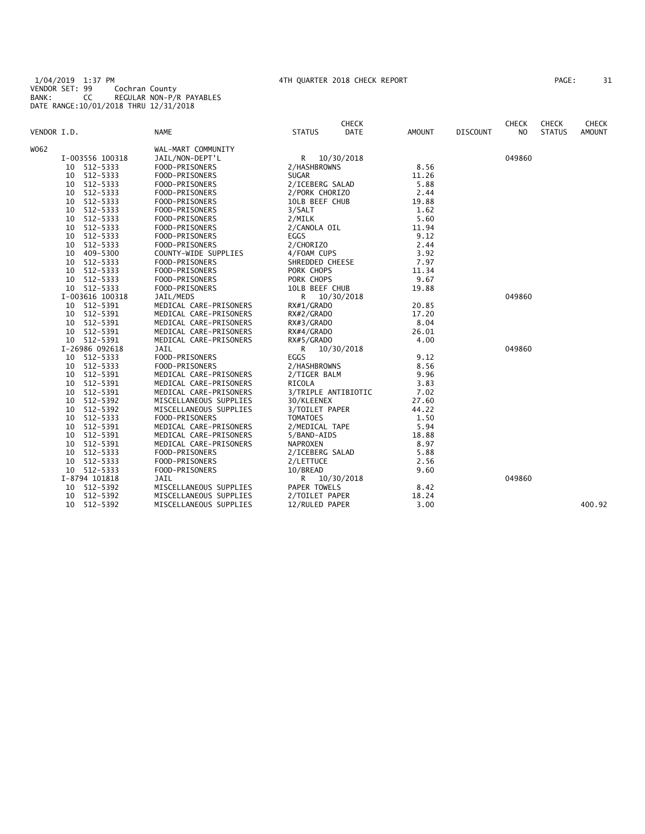1/04/2019 1:37 PM 4TH QUARTER 2018 CHECK REPORT PAGE: 31 VENDOR SET: 99 Cochran County BANK: CC REGULAR NON-P/R PAYABLES DATE RANGE:10/01/2018 THRU 12/31/2018

| PAGE : | 31 |
|--------|----|
|        |    |

|             |                 |                        | <b>CHECK</b>                 |               |                 | <b>CHECK</b>   | <b>CHECK</b>  | <b>CHECK</b>  |
|-------------|-----------------|------------------------|------------------------------|---------------|-----------------|----------------|---------------|---------------|
| VENDOR I.D. |                 | <b>NAME</b>            | <b>STATUS</b><br><b>DATE</b> | <b>AMOUNT</b> | <b>DISCOUNT</b> | N <sub>O</sub> | <b>STATUS</b> | <b>AMOUNT</b> |
| W062        |                 | WAL-MART COMMUNITY     |                              |               |                 |                |               |               |
|             | I-003556 100318 | JAIL/NON-DEPT'L        | R<br>10/30/2018              |               |                 | 049860         |               |               |
|             | 512-5333<br>10  | FOOD-PRISONERS         | 2/HASHBROWNS                 | 8.56          |                 |                |               |               |
|             | 512-5333<br>10  | FOOD-PRISONERS         | <b>SUGAR</b>                 | 11.26         |                 |                |               |               |
|             | 512-5333<br>10  | FOOD-PRISONERS         | 2/ICEBERG SALAD              | 5.88          |                 |                |               |               |
|             | 512-5333<br>10  | FOOD-PRISONERS         | 2/PORK CHORIZO               | 2.44          |                 |                |               |               |
|             | 512-5333<br>10  | FOOD-PRISONERS         | 10LB BEEF CHUB               | 19.88         |                 |                |               |               |
|             | 512-5333<br>10  | FOOD-PRISONERS         | 3/SALT                       | 1.62          |                 |                |               |               |
|             | 512-5333<br>10  | FOOD-PRISONERS         | 2/MILK                       | 5.60          |                 |                |               |               |
|             | 512-5333<br>10  | FOOD-PRISONERS         | 2/CANOLA OIL                 | 11.94         |                 |                |               |               |
|             | 512-5333<br>10  | FOOD-PRISONERS         | <b>EGGS</b>                  | 9.12          |                 |                |               |               |
|             | 512-5333<br>10  | FOOD-PRISONERS         | 2/CHORIZO                    | 2.44          |                 |                |               |               |
|             | 409-5300<br>10  | COUNTY-WIDE SUPPLIES   | 4/FOAM CUPS                  | 3.92          |                 |                |               |               |
|             | 512-5333<br>10  | FOOD-PRISONERS         | SHREDDED CHEESE              | 7.97          |                 |                |               |               |
|             | 512-5333<br>10  | FOOD-PRISONERS         | PORK CHOPS                   | 11.34         |                 |                |               |               |
|             | 512-5333<br>10  | FOOD-PRISONERS         | PORK CHOPS                   | 9.67          |                 |                |               |               |
|             | 10 512-5333     | FOOD-PRISONERS         | 10LB BEEF CHUB               | 19.88         |                 |                |               |               |
|             | I-003616 100318 | JAIL/MEDS              | $\mathsf{R}$<br>10/30/2018   |               |                 | 049860         |               |               |
|             | 10 512-5391     | MEDICAL CARE-PRISONERS | RX#1/GRADO                   | 20.85         |                 |                |               |               |
|             | 10 512-5391     | MEDICAL CARE-PRISONERS | RX#2/GRADO                   | 17.20         |                 |                |               |               |
|             | 512-5391<br>10  | MEDICAL CARE-PRISONERS | RX#3/GRADO                   | 8.04          |                 |                |               |               |
|             | 512-5391<br>10  | MEDICAL CARE-PRISONERS | RX#4/GRADO                   | 26.01         |                 |                |               |               |
|             | 10 512-5391     | MEDICAL CARE-PRISONERS | RX#5/GRADO                   | 4.00          |                 |                |               |               |
|             | I-26986 092618  | JAIL                   | R.<br>10/30/2018             |               |                 | 049860         |               |               |
|             | 10 512-5333     | FOOD-PRISONERS         | EGGS                         | 9.12          |                 |                |               |               |
|             | 512-5333<br>10  | FOOD-PRISONERS         | 2/HASHBROWNS                 | 8.56          |                 |                |               |               |
|             | 512-5391<br>10  | MEDICAL CARE-PRISONERS | 2/TIGER BALM                 | 9.96          |                 |                |               |               |
|             | 512-5391<br>10  | MEDICAL CARE-PRISONERS | RICOLA                       | 3.83          |                 |                |               |               |
|             | 512-5391<br>10  | MEDICAL CARE-PRISONERS | 3/TRIPLE ANTIBIOTIC          | 7.02          |                 |                |               |               |
|             | 512-5392<br>10  | MISCELLANEOUS SUPPLIES | 30/KLEENEX                   | 27.60         |                 |                |               |               |
|             | 512-5392<br>10  | MISCELLANEOUS SUPPLIES | 3/TOILET PAPER               | 44.22         |                 |                |               |               |
|             | 512-5333<br>10  | FOOD-PRISONERS         | <b>TOMATOES</b>              | 1.50          |                 |                |               |               |
|             | 512-5391<br>10  | MEDICAL CARE-PRISONERS | 2/MEDICAL TAPE               | 5.94          |                 |                |               |               |
|             | 512-5391<br>10  | MEDICAL CARE-PRISONERS | 5/BAND-AIDS                  | 18.88         |                 |                |               |               |
|             | 512-5391<br>10  | MEDICAL CARE-PRISONERS | NAPROXEN                     | 8.97          |                 |                |               |               |
|             | 512-5333<br>10  | FOOD-PRISONERS         | 2/ICEBERG SALAD              | 5.88          |                 |                |               |               |
|             | 512-5333<br>10  | FOOD-PRISONERS         | 2/LETTUCE                    | 2.56          |                 |                |               |               |
|             | 10 512-5333     | FOOD-PRISONERS         | 10/BREAD                     | 9.60          |                 |                |               |               |
|             | I-8794 101818   | JAIL                   | R.<br>10/30/2018             |               |                 | 049860         |               |               |
|             | 10 512-5392     | MISCELLANEOUS SUPPLIES | PAPER TOWELS                 | 8.42          |                 |                |               |               |
|             | 10 512-5392     | MISCELLANEOUS SUPPLIES | 2/TOILET PAPER               | 18.24         |                 |                |               |               |
|             | 512-5392<br>10  | MISCELLANEOUS SUPPLIES | 12/RULED PAPER               | 3.00          |                 |                |               | 400.92        |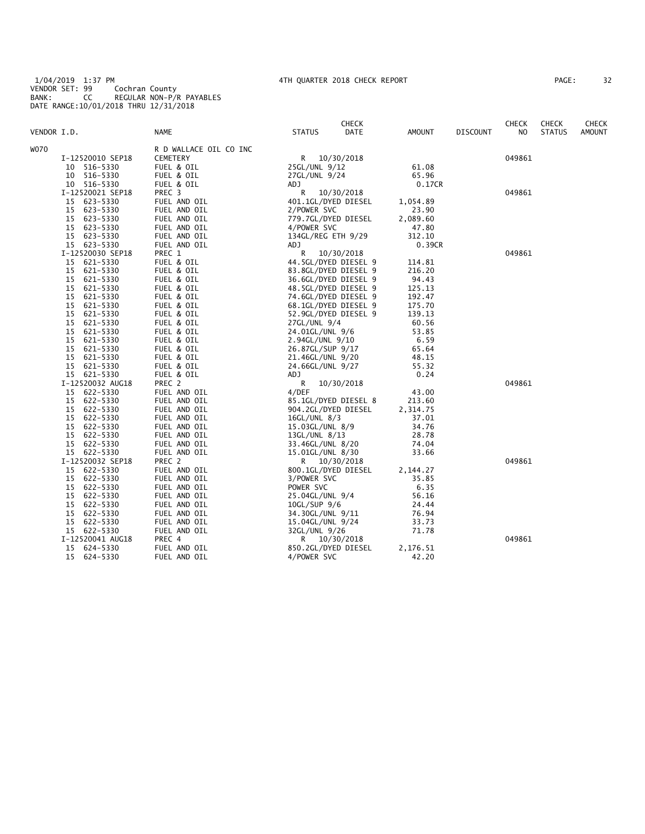1/04/2019 1:37 PM 4TH QUARTER 2018 CHECK REPORT PAGE: 32 VENDOR SET: 99 Cochran County BANK: CC REGULAR NON-P/R PAYABLES DATE RANGE:10/01/2018 THRU 12/31/2018

| 32<br>PAGE : |
|--------------|
|--------------|

| VENDOR I.D.                      | <b>NAME</b>                  | <b>STATUS</b>                        | <b>CHECK</b><br>DATE | <b>AMOUNT</b>  | <b>DISCOUNT</b> | <b>CHECK</b><br>NO. | <b>CHECK</b><br><b>STATUS</b> | <b>CHECK</b><br><b>AMOUNT</b> |
|----------------------------------|------------------------------|--------------------------------------|----------------------|----------------|-----------------|---------------------|-------------------------------|-------------------------------|
| W070                             | R D WALLACE OIL CO INC       |                                      |                      |                |                 |                     |                               |                               |
| I-12520010 SEP18                 | <b>CEMETERY</b>              | R 10/30/2018                         |                      |                |                 | 049861              |                               |                               |
| 516-5330<br>10                   | FUEL & OIL                   | 25GL/UNL 9/12                        |                      | 61.08          |                 |                     |                               |                               |
| 516-5330<br>10                   | FUEL & OIL                   | 27GL/UNL 9/24                        |                      | 65.96          |                 |                     |                               |                               |
| 10 516-5330                      | FUEL & OIL                   | <b>ADJ</b>                           |                      | 0.17CR         |                 |                     |                               |                               |
| I-12520021 SEP18                 | PREC 3                       | R<br>10/30/2018                      |                      |                |                 | 049861              |                               |                               |
| 15 623-5330                      | FUEL AND OIL                 | 401.1GL/DYED DIESEL                  |                      | 1,054.89       |                 |                     |                               |                               |
| 15<br>623-5330                   | FUEL AND OIL                 | 2/POWER SVC                          |                      | 23.90          |                 |                     |                               |                               |
| 623-5330<br>15                   | FUEL AND OIL                 | 779.7GL/DYED DIESEL                  |                      | 2,089.60       |                 |                     |                               |                               |
| 15 623-5330                      | FUEL AND OIL                 | 4/POWER SVC                          |                      | 47.80          |                 |                     |                               |                               |
| 623-5330<br>15                   | FUEL AND OIL                 | 134GL/REG ETH 9/29                   |                      | 312.10         |                 |                     |                               |                               |
| 15 623-5330                      | FUEL AND OIL                 | ADJ                                  |                      | 0.39CR         |                 |                     |                               |                               |
| I-12520030 SEP18                 | PREC 1                       | R<br>10/30/2018                      |                      |                |                 | 049861              |                               |                               |
| 15<br>621-5330                   | FUEL & OIL                   | 44.5GL/DYED DIESEL 9                 |                      | 114.81         |                 |                     |                               |                               |
| 621-5330<br>15                   | FUEL & OIL                   | 83.8GL/DYED DIESEL 9                 |                      | 216.20         |                 |                     |                               |                               |
| 621-5330<br>15                   | FUEL & OIL                   | 36.6GL/DYED DIESEL 9                 |                      | 94.43          |                 |                     |                               |                               |
| 15<br>621-5330                   | FUEL & OIL                   | 48.5GL/DYED DIESEL 9                 |                      | 125.13         |                 |                     |                               |                               |
| 621-5330<br>15                   | FUEL & OIL                   | 74.6GL/DYED DIESEL 9                 |                      | 192.47         |                 |                     |                               |                               |
| 15<br>621-5330                   | FUEL & OIL                   | 68.1GL/DYED DIESEL 9                 |                      | 175.70         |                 |                     |                               |                               |
| 621-5330<br>15                   | FUEL & OIL                   | 52.9GL/DYED DIESEL 9                 |                      | 139.13         |                 |                     |                               |                               |
| 15<br>621-5330                   | FUEL & OIL                   | 27GL/UNL 9/4                         |                      | 60.56          |                 |                     |                               |                               |
| 621-5330<br>15                   | FUEL & OIL                   | 24.01GL/UNL 9/6                      |                      | 53.85          |                 |                     |                               |                               |
| 15<br>621-5330                   | FUEL & OIL                   | 2.94GL/UNL 9/10                      |                      | 6.59           |                 |                     |                               |                               |
| 15<br>621-5330                   | FUEL & OIL                   | 26.87GL/SUP 9/17                     |                      | 65.64          |                 |                     |                               |                               |
| 15<br>621-5330                   | FUEL & OIL                   | 21.46GL/UNL 9/20                     |                      | 48.15          |                 |                     |                               |                               |
| 15<br>621-5330                   | FUEL & OIL                   | 24.66GL/UNL 9/27                     |                      | 55.32          |                 |                     |                               |                               |
| 15 621-5330                      | FUEL & OIL                   | ADJ                                  |                      | 0.24           |                 |                     |                               |                               |
| I-12520032 AUG18                 | PREC 2                       | R<br>10/30/2018                      |                      |                |                 | 049861              |                               |                               |
| 15 622-5330                      | FUEL AND OIL                 | 4/DEF                                |                      | 43.00          |                 |                     |                               |                               |
| 15<br>622-5330                   | FUEL AND OIL                 | 85.1GL/DYED DIESEL 8                 |                      | 213.60         |                 |                     |                               |                               |
| 622-5330<br>15                   | FUEL AND OIL                 | 904.2GL/DYED DIESEL                  |                      | 2,314.75       |                 |                     |                               |                               |
| 15<br>622-5330                   | FUEL AND OIL                 | 16GL/UNL 8/3                         |                      | 37.01          |                 |                     |                               |                               |
| 622-5330<br>15                   | FUEL AND OIL                 | 15.03GL/UNL 8/9                      |                      | 34.76          |                 |                     |                               |                               |
| 15<br>622-5330<br>15<br>622-5330 | FUEL AND OIL<br>FUEL AND OIL | 13GL/UNL 8/13                        |                      | 28.78<br>74.04 |                 |                     |                               |                               |
| 15 622-5330                      | FUEL AND OIL                 | 33.46GL/UNL 8/20<br>15.01GL/UNL 8/30 |                      | 33.66          |                 |                     |                               |                               |
| I-12520032 SEP18                 | PREC 2                       | R 10/30/2018                         |                      |                |                 | 049861              |                               |                               |
| 622-5330<br>15                   | FUEL AND OIL                 | 800.1GL/DYED DIESEL                  |                      | 2,144.27       |                 |                     |                               |                               |
| 622-5330<br>15                   | FUEL AND OIL                 | 3/POWER SVC                          |                      | 35.85          |                 |                     |                               |                               |
| 622-5330<br>15                   | FUEL AND OIL                 | POWER SVC                            |                      | 6.35           |                 |                     |                               |                               |
| 15<br>622-5330                   | FUEL AND OIL                 | 25.04GL/UNL 9/4                      |                      | 56.16          |                 |                     |                               |                               |
| 622-5330<br>15                   | FUEL AND OIL                 | 10GL/SUP 9/6                         |                      | 24.44          |                 |                     |                               |                               |
| 622-5330<br>15                   | FUEL AND OIL                 | 34.30GL/UNL 9/11                     |                      | 76.94          |                 |                     |                               |                               |
| 15<br>622-5330                   | FUEL AND OIL                 | 15.04GL/UNL 9/24                     |                      | 33.73          |                 |                     |                               |                               |
| 15 622-5330                      | FUEL AND OIL                 | 32GL/UNL 9/26                        |                      | 71.78          |                 |                     |                               |                               |
| I-12520041 AUG18                 | PREC 4                       | R 10/30/2018                         |                      |                |                 | 049861              |                               |                               |
| 624-5330<br>15                   | FUEL AND OIL                 | 850.2GL/DYED DIESEL                  |                      | 2,176.51       |                 |                     |                               |                               |
| 15<br>624-5330                   | FUEL AND OIL                 | 4/POWER SVC                          |                      | 42.20          |                 |                     |                               |                               |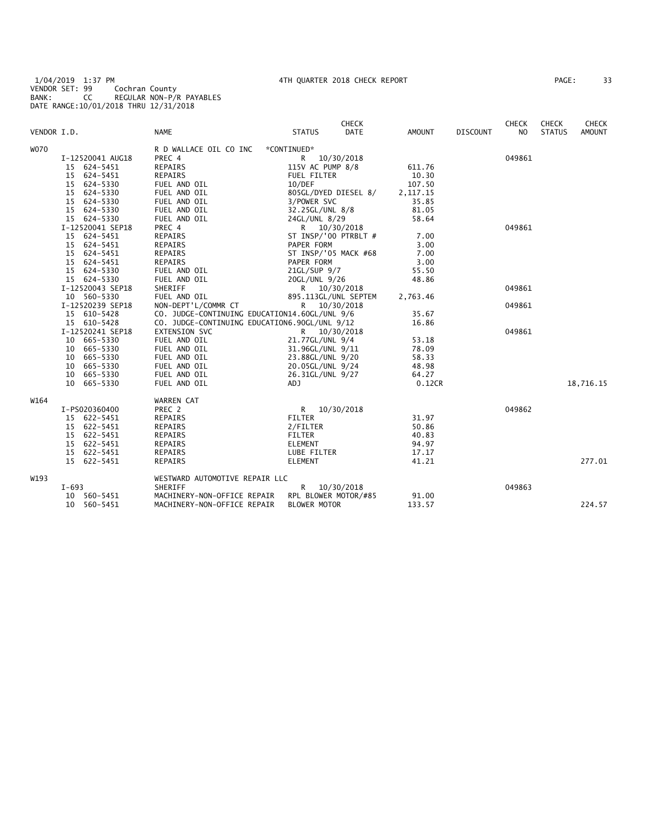1/04/2019 1:37 PM 4TH QUARTER 2018 CHECK REPORT PAGE: 33 VENDOR SET: 99 Cochran County BANK: CC REGULAR NON-P/R PAYABLES DATE RANGE:10/01/2018 THRU 12/31/2018

| 33<br>PAGE : |  |  |
|--------------|--|--|
|--------------|--|--|

|             |                  |                                               |                      | <b>CHECK</b> |            |                 | <b>CHECK</b>   | <b>CHECK</b>  | <b>CHECK</b>  |
|-------------|------------------|-----------------------------------------------|----------------------|--------------|------------|-----------------|----------------|---------------|---------------|
| VENDOR I.D. |                  | <b>NAME</b>                                   | <b>STATUS</b>        | <b>DATE</b>  | AMOUNT     | <b>DISCOUNT</b> | N <sub>O</sub> | <b>STATUS</b> | <b>AMOUNT</b> |
| <b>W070</b> |                  | R D WALLACE OIL CO INC                        | *CONTINUED*          |              |            |                 |                |               |               |
|             | I-12520041 AUG18 | PREC 4                                        | R                    | 10/30/2018   |            |                 | 049861         |               |               |
|             | 15 624-5451      | <b>REPAIRS</b>                                | 115V AC PUMP 8/8     |              | 611.76     |                 |                |               |               |
|             | 15 624-5451      | REPAIRS                                       | <b>FUEL FILTER</b>   |              | 10.30      |                 |                |               |               |
|             | 15 624-5330      | FUEL AND OIL                                  | 10/DEF               |              | 107.50     |                 |                |               |               |
|             | 15 624-5330      | FUEL AND OIL                                  | 805GL/DYED DIESEL 8/ |              | 2, 117. 15 |                 |                |               |               |
|             | 15 624-5330      | FUEL AND OIL                                  | 3/POWER SVC          |              | 35.85      |                 |                |               |               |
|             | 15 624-5330      | FUEL AND OIL                                  | 32.25GL/UNL 8/8      |              | 81.05      |                 |                |               |               |
|             | 15 624-5330      | FUEL AND OIL                                  | 24GL/UNL 8/29        |              | 58.64      |                 |                |               |               |
|             | I-12520041 SEP18 | PREC 4                                        | R 10/30/2018         |              |            |                 | 049861         |               |               |
|             | 15 624-5451      | REPAIRS                                       | ST INSP/'00 PTRBLT # |              | 7.00       |                 |                |               |               |
|             | 15 624-5451      | <b>REPAIRS</b>                                | PAPER FORM           |              | 3.00       |                 |                |               |               |
|             | 15 624-5451      | REPAIRS                                       | ST INSP/'05 MACK #68 |              | 7.00       |                 |                |               |               |
|             | 15 624-5451      | <b>REPAIRS</b>                                | PAPER FORM           |              | 3.00       |                 |                |               |               |
|             | 15 624-5330      | FUEL AND OIL                                  | 21GL/SUP 9/7         |              | 55.50      |                 |                |               |               |
|             | 15 624-5330      | FUEL AND OIL                                  | 20GL/UNL 9/26        |              | 48.86      |                 |                |               |               |
|             | I-12520043 SEP18 | SHERIFF                                       | R 10/30/2018         |              |            |                 | 049861         |               |               |
|             | 10 560-5330      | FUEL AND OIL                                  | 895.113GL/UNL SEPTEM |              | 2,763.46   |                 |                |               |               |
|             | I-12520239 SEP18 | NON-DEPT'L/COMMR CT                           | R                    | 10/30/2018   |            |                 | 049861         |               |               |
|             | 15 610-5428      | CO. JUDGE-CONTINUING EDUCATION14.60GL/UNL 9/6 |                      |              | 35.67      |                 |                |               |               |
|             | 15 610-5428      | CO. JUDGE-CONTINUING EDUCATION6.90GL/UNL 9/12 |                      |              | 16.86      |                 |                |               |               |
|             | I-12520241 SEP18 | EXTENSION SVC                                 | R 10/30/2018         |              |            |                 | 049861         |               |               |
|             | 10 665-5330      | FUEL AND OIL                                  | 21.77GL/UNL 9/4      |              | 53.18      |                 |                |               |               |
|             | 10 665-5330      | FUEL AND OIL                                  | 31.96GL/UNL 9/11     |              | 78.09      |                 |                |               |               |
|             | 10 665-5330      | FUEL AND OIL                                  | 23.88GL/UNL 9/20     |              | 58.33      |                 |                |               |               |
|             | 10 665-5330      | FUEL AND OIL                                  | 20.05GL/UNL 9/24     |              | 48.98      |                 |                |               |               |
|             | 10 665-5330      | FUEL AND OIL                                  | 26.31GL/UNL 9/27     |              | 64.27      |                 |                |               |               |
|             | 10 665-5330      | FUEL AND OIL                                  | ADJ                  |              | 0.12CR     |                 |                |               | 18,716.15     |
| W164        |                  | WARREN CAT                                    |                      |              |            |                 |                |               |               |
|             | I-PS020360400    | PREC 2                                        | R.                   | 10/30/2018   |            |                 | 049862         |               |               |
|             | 15 622-5451      | <b>REPAIRS</b>                                | <b>FILTER</b>        |              | 31.97      |                 |                |               |               |
|             | 15 622-5451      | <b>REPAIRS</b>                                | 2/FILTER             |              | 50.86      |                 |                |               |               |
|             | 15 622-5451      | <b>REPAIRS</b>                                | <b>FILTER</b>        |              | 40.83      |                 |                |               |               |
|             | 15 622-5451      | REPAIRS                                       | <b>ELEMENT</b>       |              | 94.97      |                 |                |               |               |
|             | 15 622-5451      | <b>REPAIRS</b>                                | LUBE FILTER          |              | 17.17      |                 |                |               |               |
|             | 15 622-5451      | <b>REPAIRS</b>                                | <b>ELEMENT</b>       |              | 41.21      |                 |                |               | 277.01        |
| W193        |                  | WESTWARD AUTOMOTIVE REPAIR LLC                |                      |              |            |                 |                |               |               |
|             | I-693            | SHERIFF                                       | R                    | 10/30/2018   |            |                 | 049863         |               |               |
|             | 10 560-5451      | MACHINERY-NON-OFFICE REPAIR                   | RPL BLOWER MOTOR/#85 |              | 91.00      |                 |                |               |               |
|             | 10 560-5451      | MACHINERY-NON-OFFICE REPAIR                   | <b>BLOWER MOTOR</b>  |              | 133.57     |                 |                |               | 224.57        |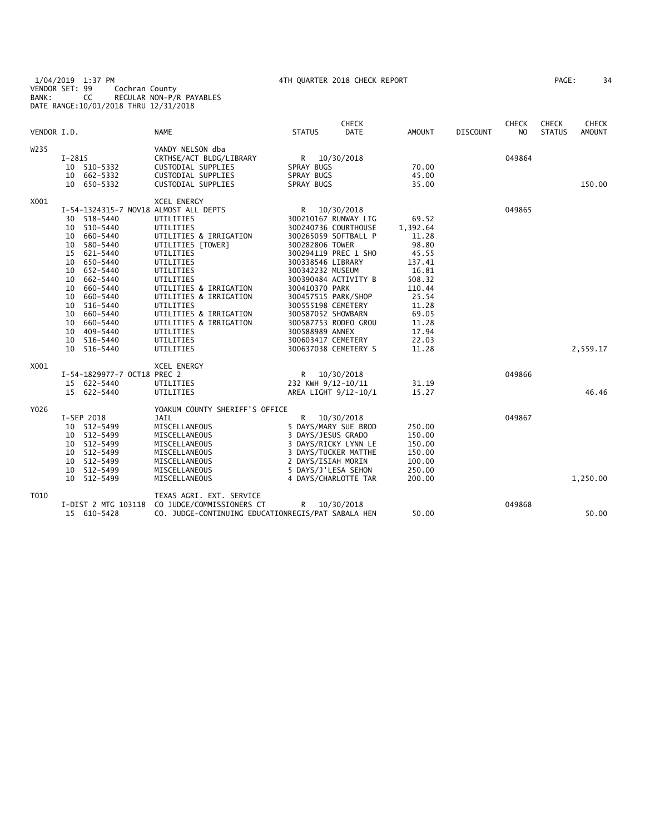|             |                                       |                                                    |                    | <b>CHECK</b>         |               |                 | <b>CHECK</b> | <b>CHECK</b>  | <b>CHECK</b>  |
|-------------|---------------------------------------|----------------------------------------------------|--------------------|----------------------|---------------|-----------------|--------------|---------------|---------------|
| VENDOR I.D. |                                       | <b>NAME</b>                                        | <b>STATUS</b>      | <b>DATE</b>          | <b>AMOUNT</b> | <b>DISCOUNT</b> | NO.          | <b>STATUS</b> | <b>AMOUNT</b> |
| W235        |                                       | VANDY NELSON dba                                   |                    |                      |               |                 |              |               |               |
|             | $I-2815$                              | CRTHSE/ACT BLDG/LIBRARY                            |                    | R 10/30/2018         |               |                 | 049864       |               |               |
|             | 10 510-5332                           | CUSTODIAL SUPPLIES                                 | SPRAY BUGS         |                      | 70.00         |                 |              |               |               |
|             | 10 662-5332                           | CUSTODIAL SUPPLIES                                 | SPRAY BUGS         |                      | 45.00         |                 |              |               |               |
|             | 10 650-5332                           | CUSTODIAL SUPPLIES                                 | SPRAY BUGS         |                      | 35.00         |                 |              |               | 150.00        |
| X001        |                                       | <b>XCEL ENERGY</b>                                 |                    |                      |               |                 |              |               |               |
|             | I-54-1324315-7 NOV18 ALMOST ALL DEPTS |                                                    | R                  | 10/30/2018           |               |                 | 049865       |               |               |
|             | 30 518-5440                           | UTILITIES                                          |                    | 300210167 RUNWAY LIG | 69.52         |                 |              |               |               |
|             | 510-5440<br>10                        | UTILITIES                                          |                    | 300240736 COURTHOUSE | 1,392.64      |                 |              |               |               |
|             | 10 660-5440                           | UTILITIES & IRRIGATION                             |                    | 300265059 SOFTBALL P | 11.28         |                 |              |               |               |
|             | 580-5440<br>10                        | UTILITIES [TOWER]                                  | 300282806 TOWER    |                      | 98.80         |                 |              |               |               |
|             | 15 621-5440                           | UTILITIES                                          |                    | 300294119 PREC 1 SHO | 45.55         |                 |              |               |               |
|             | 650-5440<br>10                        | UTILITIES                                          | 300338546 LIBRARY  |                      | 137.41        |                 |              |               |               |
|             | 652-5440<br>10                        | UTILITIES                                          | 300342232 MUSEUM   |                      | 16.81         |                 |              |               |               |
|             | 10<br>662-5440                        | UTILITIES                                          |                    | 300390484 ACTIVITY B | 508.32        |                 |              |               |               |
|             | 660-5440<br>10                        | UTILITIES & IRRIGATION                             | 300410370 PARK     |                      | 110.44        |                 |              |               |               |
|             | 660-5440<br>10                        | UTILITIES & IRRIGATION                             |                    | 300457515 PARK/SHOP  | 25.54         |                 |              |               |               |
|             | 10<br>516-5440                        | UTILITIES                                          | 300555198 CEMETERY |                      | 11.28         |                 |              |               |               |
|             | 660-5440<br>10                        | UTILITIES & IRRIGATION                             | 300587052 SHOWBARN |                      | 69.05         |                 |              |               |               |
|             | 660-5440<br>10                        | UTILITIES & IRRIGATION                             |                    | 300587753 RODEO GROU | 11.28         |                 |              |               |               |
|             | 409–5440<br>10                        | UTILITIES                                          | 300588989 ANNEX    |                      | 17.94         |                 |              |               |               |
|             | 10<br>516-5440                        | UTILITIES                                          | 300603417 CEMETERY |                      | 22.03         |                 |              |               |               |
|             | 10 516-5440                           | UTILITIES                                          |                    | 300637038 CEMETERY S | 11.28         |                 |              |               | 2,559.17      |
| X001        |                                       | XCEL ENERGY                                        |                    |                      |               |                 |              |               |               |
|             | I-54-1829977-7 OCT18 PREC 2           |                                                    |                    | R 10/30/2018         |               |                 | 049866       |               |               |
|             | 15 622-5440                           | UTILITIES                                          | 232 KWH 9/12-10/11 |                      | 31.19         |                 |              |               |               |
|             | 15 622-5440                           | UTILITIES                                          |                    | AREA LIGHT 9/12-10/1 | 15.27         |                 |              |               | 46.46         |
| Y026        |                                       | YOAKUM COUNTY SHERIFF'S OFFICE                     |                    |                      |               |                 |              |               |               |
|             | I-SEP 2018                            | JAIL                                               | R.                 | 10/30/2018           |               |                 | 049867       |               |               |
|             | 10 512-5499                           | MISCELLANEOUS                                      |                    | 5 DAYS/MARY SUE BROD | 250.00        |                 |              |               |               |
|             | 10 512-5499                           | MISCELLANEOUS                                      | 3 DAYS/JESUS GRADO |                      | 150.00        |                 |              |               |               |
|             | 10 512-5499                           | MISCELLANEOUS                                      |                    | 3 DAYS/RICKY LYNN LE | 150.00        |                 |              |               |               |
|             | 512-5499<br>10                        | MISCELLANEOUS                                      |                    | 3 DAYS/TUCKER MATTHE | 150.00        |                 |              |               |               |
|             | 512-5499<br>10                        | MISCELLANEOUS                                      | 2 DAYS/ISIAH MORIN |                      | 100.00        |                 |              |               |               |
|             | 10<br>512-5499                        | MISCELLANEOUS                                      |                    | 5 DAYS/J'LESA SEHON  | 250.00        |                 |              |               |               |
|             | 512-5499<br>10                        | MISCELLANEOUS                                      |                    | 4 DAYS/CHARLOTTE TAR | 200.00        |                 |              |               | 1,250.00      |
| T010        |                                       | TEXAS AGRI. EXT. SERVICE                           |                    |                      |               |                 |              |               |               |
|             | I-DIST 2 MTG 103118                   | CO JUDGE/COMMISSIONERS CT                          | R                  | 10/30/2018           |               |                 | 049868       |               |               |
|             | 15 610-5428                           | CO. JUDGE-CONTINUING EDUCATIONREGIS/PAT SABALA HEN |                    |                      | 50.00         |                 |              |               | 50.00         |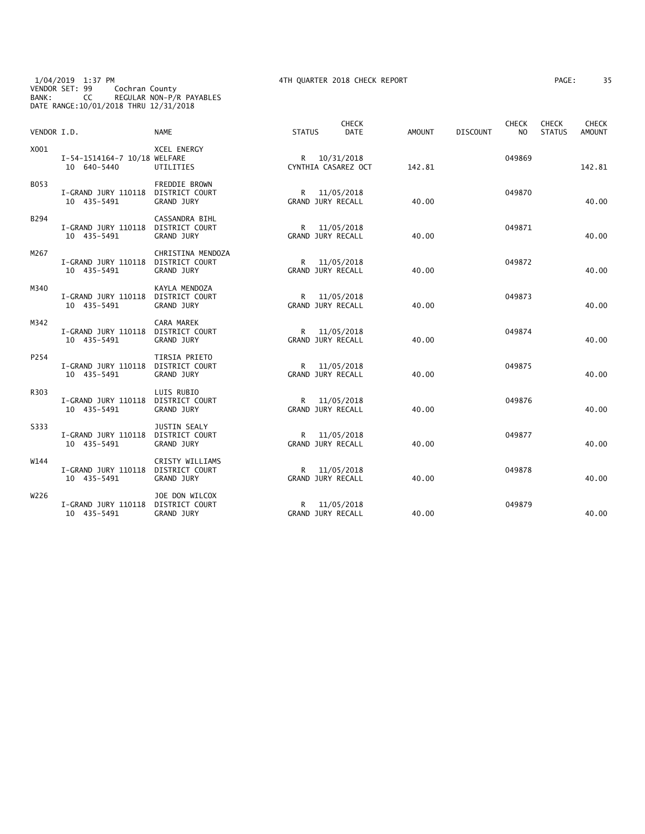1/04/2019 1:37 PM 4TH QUARTER 2018 CHECK REPORT PAGE: 35 VENDOR SET: 99 Cochran County BANK: CC REGULAR NON-P/R PAYABLES DATE RANGE:10/01/2018 THRU 12/31/2018

| PAGE : | 3! |
|--------|----|
|--------|----|

| VENDOR I.D. |                                                   | <b>NAME</b>                                                       | <b>STATUS</b> | <b>CHECK</b><br><b>DATE</b>              | AMOUNT | <b>DISCOUNT</b> | <b>CHECK</b><br>N <sub>O</sub> | <b>CHECK</b><br><b>STATUS</b> | <b>CHECK</b><br><b>AMOUNT</b> |
|-------------|---------------------------------------------------|-------------------------------------------------------------------|---------------|------------------------------------------|--------|-----------------|--------------------------------|-------------------------------|-------------------------------|
| X001        | I-54-1514164-7 10/18 WELFARE<br>10 640-5440       | <b>XCEL ENERGY</b><br>UTILITIES                                   |               | R 10/31/2018<br>CYNTHIA CASAREZ OCT      | 142.81 |                 | 049869                         |                               | 142.81                        |
| B053        | I-GRAND JURY 110118 DISTRICT COURT<br>10 435-5491 | FREDDIE BROWN<br><b>GRAND JURY</b>                                |               | R 11/05/2018<br>GRAND JURY RECALL        | 40.00  |                 | 049870                         |                               | 40.00                         |
| B294        | I-GRAND JURY 110118<br>10 435-5491                | CASSANDRA BIHL<br>DISTRICT COURT<br><b>GRAND JURY</b>             |               | R 11/05/2018<br>GRAND JURY RECALL        | 40.00  |                 | 049871                         |                               | 40.00                         |
| M267        | I-GRAND JURY 110118 DISTRICT COURT<br>10 435-5491 | CHRISTINA MENDOZA<br><b>GRAND JURY</b>                            |               | R 11/05/2018<br>GRAND JURY RECALL        | 40.00  |                 | 049872                         |                               | 40.00                         |
| M340        | I-GRAND JURY 110118<br>10 435-5491                | KAYLA MENDOZA<br><b>DISTRICT COURT</b><br><b>GRAND JURY</b>       | R             | 11/05/2018<br><b>GRAND JURY RECALL</b>   | 40.00  |                 | 049873                         |                               | 40.00                         |
| M342        | I-GRAND JURY 110118 DISTRICT COURT<br>10 435-5491 | CARA MAREK<br><b>GRAND JURY</b>                                   |               | R 11/05/2018<br><b>GRAND JURY RECALL</b> | 40.00  |                 | 049874                         |                               | 40.00                         |
| P254        | I-GRAND JURY 110118<br>10 435-5491                | TIRSIA PRIETO<br>DISTRICT COURT<br><b>GRAND JURY</b>              |               | R 11/05/2018<br><b>GRAND JURY RECALL</b> | 40.00  |                 | 049875                         |                               | 40.00                         |
| R303        | I-GRAND JURY 110118<br>10 435-5491                | LUIS RUBIO<br>DISTRICT COURT<br><b>GRAND JURY</b>                 |               | R 11/05/2018<br><b>GRAND JURY RECALL</b> | 40.00  |                 | 049876                         |                               | 40.00                         |
| S333        | I-GRAND JURY 110118<br>10 435-5491                | <b>JUSTIN SEALY</b><br><b>DISTRICT COURT</b><br><b>GRAND JURY</b> | R             | 11/05/2018<br><b>GRAND JURY RECALL</b>   | 40.00  |                 | 049877                         |                               | 40.00                         |
| W144        | I-GRAND JURY 110118 DISTRICT COURT<br>10 435-5491 | CRISTY WILLIAMS<br><b>GRAND JURY</b>                              | R             | 11/05/2018<br>GRAND JURY RECALL          | 40.00  |                 | 049878                         |                               | 40.00                         |
| W226        | I-GRAND JURY 110118<br>10 435-5491                | JOE DON WILCOX<br>DISTRICT COURT<br><b>GRAND JURY</b>             | R             | 11/05/2018<br>GRAND JURY RECALL          | 40.00  |                 | 049879                         |                               | 40.00                         |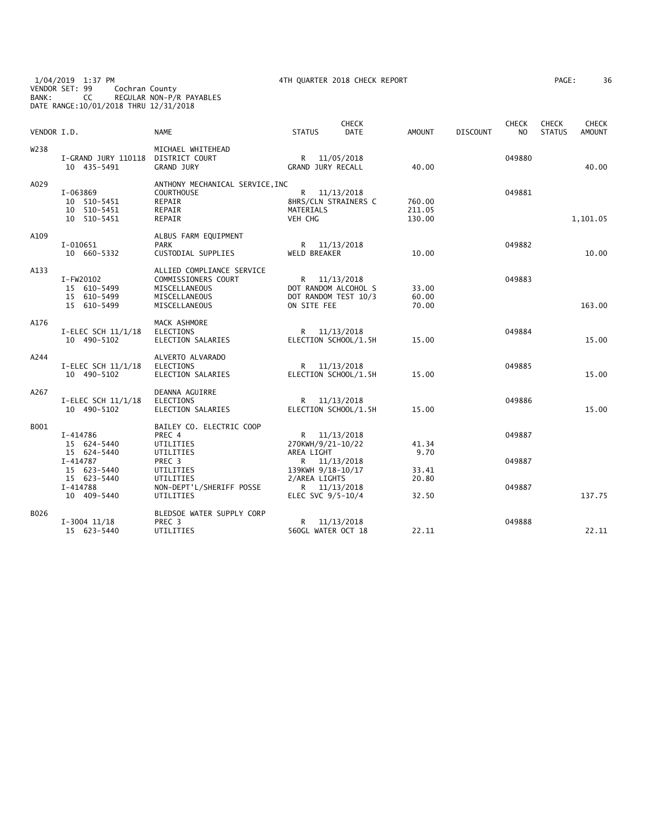1/04/2019 1:37 PM 4TH QUARTER 2018 CHECK REPORT PAGE: 36 VENDOR SET: 99 Cochran County BANK: CC REGULAR NON-P/R PAYABLES DATE RANGE:10/01/2018 THRU 12/31/2018

| VENDOR I.D. |                                                        | <b>NAME</b>                                                                                         | <b>STATUS</b>                      | <b>CHECK</b><br><b>DATE</b>                                  | <b>AMOUNT</b>              | <b>DISCOUNT</b> | <b>CHECK</b><br>N <sub>O</sub> | <b>CHECK</b><br><b>STATUS</b> | <b>CHECK</b><br><b>AMOUNT</b> |
|-------------|--------------------------------------------------------|-----------------------------------------------------------------------------------------------------|------------------------------------|--------------------------------------------------------------|----------------------------|-----------------|--------------------------------|-------------------------------|-------------------------------|
| W238        | I-GRAND JURY 110118<br>10 435-5491                     | MICHAEL WHITEHEAD<br>DISTRICT COURT<br><b>GRAND JURY</b>                                            | R<br><b>GRAND JURY RECALL</b>      | 11/05/2018                                                   | 40.00                      |                 | 049880                         |                               | 40.00                         |
| A029        | I-063869<br>10 510-5451<br>10 510-5451<br>10 510-5451  | ANTHONY MECHANICAL SERVICE, INC<br><b>COURTHOUSE</b><br>REPAIR<br>REPAIR<br>REPAIR                  | R.<br>MATERIALS<br>VEH CHG         | 11/13/2018<br>8HRS/CLN STRAINERS C                           | 760.00<br>211.05<br>130.00 |                 | 049881                         |                               | 1,101.05                      |
| A109        | $I-010651$<br>10 660-5332                              | ALBUS FARM EQUIPMENT<br><b>PARK</b><br>CUSTODIAL SUPPLIES                                           | <b>WELD BREAKER</b>                | R 11/13/2018                                                 | 10.00                      |                 | 049882                         |                               | 10.00                         |
| A133        | I-FW20102<br>15 610-5499<br>15 610-5499<br>15 610-5499 | ALLIED COMPLIANCE SERVICE<br>COMMISSIONERS COURT<br>MISCELLANEOUS<br>MISCELLANEOUS<br>MISCELLANEOUS | ON SITE FEE                        | R 11/13/2018<br>DOT RANDOM ALCOHOL S<br>DOT RANDOM TEST 10/3 | 33.00<br>60.00<br>70.00    |                 | 049883                         |                               | 163.00                        |
| A176        | I-ELEC SCH 11/1/18<br>10 490-5102                      | MACK ASHMORE<br><b>ELECTIONS</b><br>ELECTION SALARIES                                               | $\mathsf{R}$                       | 11/13/2018<br>ELECTION SCHOOL/1.5H                           | 15.00                      |                 | 049884                         |                               | 15.00                         |
| A244        | I-ELEC SCH $11/1/18$<br>10 490-5102                    | ALVERTO ALVARADO<br><b>ELECTIONS</b><br>ELECTION SALARIES                                           |                                    | R 11/13/2018<br>ELECTION SCHOOL/1.5H                         | 15.00                      |                 | 049885                         |                               | 15.00                         |
| A267        | I-ELEC SCH 11/1/18<br>10 490-5102                      | DEANNA AGUIRRE<br><b>ELECTIONS</b><br>ELECTION SALARIES                                             |                                    | R 11/13/2018<br>ELECTION SCHOOL/1.5H                         | 15.00                      |                 | 049886                         |                               | 15.00                         |
| B001        | I-414786<br>15 624-5440<br>15 624-5440                 | BAILEY CO. ELECTRIC COOP<br>PREC 4<br>UTILITIES<br>UTILITIES                                        | 270KWH/9/21-10/22<br>AREA LIGHT    | R 11/13/2018                                                 | 41.34<br>9.70              |                 | 049887                         |                               |                               |
|             | $I - 414787$<br>15 623-5440<br>15 623-5440<br>I-414788 | PREC <sub>3</sub><br>UTILITIES<br>UTILITIES<br>NON-DEPT'L/SHERIFF POSSE                             | 139KWH 9/18-10/17<br>2/AREA LIGHTS | R 11/13/2018<br>R 11/13/2018                                 | 33.41<br>20.80             |                 | 049887<br>049887               |                               |                               |
|             | 10 409-5440                                            | UTILITIES                                                                                           | ELEC SVC 9/5-10/4                  |                                                              | 32.50                      |                 |                                |                               | 137.75                        |
| B026        | $I-3004$ 11/18<br>15 623-5440                          | BLEDSOE WATER SUPPLY CORP<br>PREC <sub>3</sub><br>UTILITIES                                         | R.<br>560GL WATER OCT 18           | 11/13/2018                                                   | 22.11                      |                 | 049888                         |                               | 22.11                         |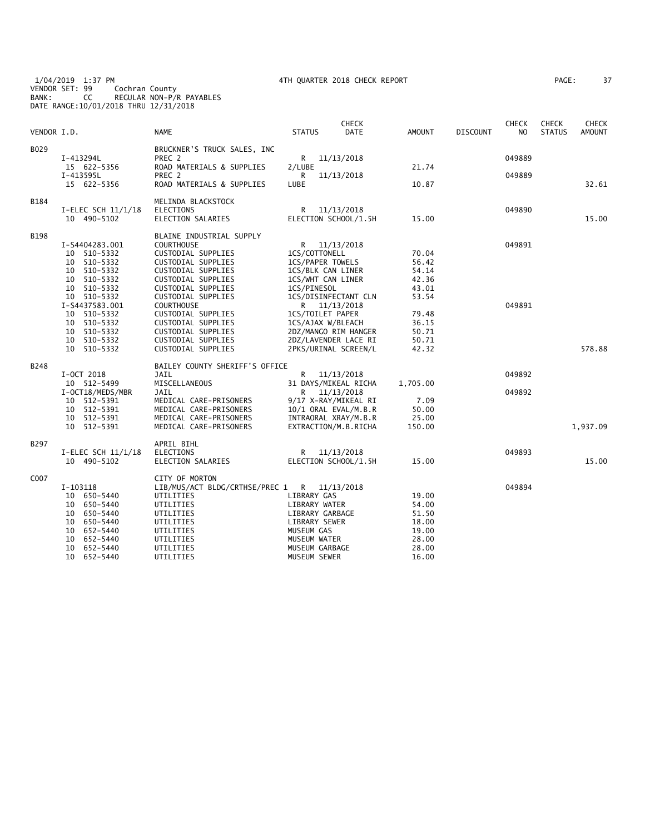1/04/2019 1:37 PM 4TH QUARTER 2018 CHECK REPORT PAGE: 37 VENDOR SET: 99 Cochran County BANK: CC REGULAR NON-P/R PAYABLES DATE RANGE:10/01/2018 THRU 12/31/2018

| AGE: | 37 |
|------|----|
|------|----|

| VENDOR I.D. |                                                                                                                                                                         | NAME                                                                                                                                                                                                                                                                     | <b>STATUS</b>                                             | <b>CHECK</b><br><b>DATE</b>                                                                                                                                                                          | <b>AMOUNT</b>                                                                 | <b>DISCOUNT</b> | CHECK<br>N <sub>O</sub> | <b>CHECK</b><br><b>STATUS</b> | <b>CHECK</b><br><b>AMOUNT</b> |
|-------------|-------------------------------------------------------------------------------------------------------------------------------------------------------------------------|--------------------------------------------------------------------------------------------------------------------------------------------------------------------------------------------------------------------------------------------------------------------------|-----------------------------------------------------------|------------------------------------------------------------------------------------------------------------------------------------------------------------------------------------------------------|-------------------------------------------------------------------------------|-----------------|-------------------------|-------------------------------|-------------------------------|
| B029        | I-413294L                                                                                                                                                               | BRUCKNER'S TRUCK SALES, INC<br>PREC 2                                                                                                                                                                                                                                    | R                                                         | 11/13/2018                                                                                                                                                                                           |                                                                               |                 | 049889                  |                               |                               |
|             | 15 622-5356<br>I-413595L<br>15 622-5356                                                                                                                                 | ROAD MATERIALS & SUPPLIES<br>PREC 2<br>ROAD MATERIALS & SUPPLIES                                                                                                                                                                                                         | 2/LUBE<br>R<br>LUBE                                       | 11/13/2018                                                                                                                                                                                           | 21.74<br>10.87                                                                |                 | 049889                  |                               | 32.61                         |
| B184        | $I-ELEC SCH$ 11/1/18<br>10 490-5102                                                                                                                                     | MELINDA BLACKSTOCK<br><b>ELECTIONS</b><br>ELECTION SALARIES                                                                                                                                                                                                              | R                                                         | 11/13/2018<br>ELECTION SCHOOL/1.5H                                                                                                                                                                   | 15.00                                                                         |                 | 049890                  |                               | 15.00                         |
| B198        | I-S4404283.001<br>10 510-5332<br>10 510-5332<br>10 510-5332<br>10 510-5332<br>10 510-5332<br>10 510-5332<br>I-S4437583.001<br>10 510-5332<br>10 510-5332<br>10 510-5332 | BLAINE INDUSTRIAL SUPPLY<br><b>COURTHOUSE</b><br>CUSTODIAL SUPPLIES<br>CUSTODIAL SUPPLIES<br>CUSTODIAL SUPPLIES<br>CUSTODIAL SUPPLIES<br>CUSTODIAL SUPPLIES<br>CUSTODIAL SUPPLIES<br><b>COURTHOUSE</b><br>CUSTODIAL SUPPLIES<br>CUSTODIAL SUPPLIES<br>CUSTODIAL SUPPLIES | 1CS/PINESOL                                               | R 11/13/2018<br>1CS/COTTONELL<br>1CS/PAPER TOWELS<br>1CS/BLK CAN LINER<br>1CS/WHT CAN LINER<br>1CS/DISINFECTANT CLN<br>R 11/13/2018<br>1CS/TOILET PAPER<br>1CS/AJAX W/BLEACH<br>2DZ/MANGO RIM HANGER | 70.04<br>56.42<br>54.14<br>42.36<br>43.01<br>53.54<br>79.48<br>36.15<br>50.71 |                 | 049891<br>049891        |                               |                               |
|             | 510-5332<br>10<br>510-5332<br>10                                                                                                                                        | CUSTODIAL SUPPLIES<br>CUSTODIAL SUPPLIES                                                                                                                                                                                                                                 |                                                           | 2DZ/LAVENDER LACE RI<br>2PKS/URINAL SCREEN/L                                                                                                                                                         | 50.71<br>42.32                                                                |                 |                         |                               | 578.88                        |
| B248        | I-OCT 2018<br>10 512-5499<br>I-OCT18/MEDS/MBR<br>10 512-5391<br>10 512-5391<br>10 512-5391<br>10 512-5391                                                               | BAILEY COUNTY SHERIFF'S OFFICE<br>JAIL<br>MISCELLANEOUS<br>JAIL<br>MEDICAL CARE-PRISONERS<br>MEDICAL CARE-PRISONERS<br>MEDICAL CARE-PRISONERS<br>MEDICAL CARE-PRISONERS                                                                                                  | R.<br>R.                                                  | 11/13/2018<br>31 DAYS/MIKEAL RICHA<br>11/13/2018<br>9/17 X-RAY/MIKEAL RI<br>10/1 ORAL EVAL/M.B.R<br>INTRAORAL XRAY/M.B.R<br>EXTRACTION/M.B.RICHA                                                     | 1,705.00<br>7.09<br>50.00<br>25.00<br>150.00                                  |                 | 049892<br>049892        |                               | 1,937.09                      |
| B297        | I-ELEC SCH $11/1/18$<br>10 490-5102                                                                                                                                     | APRIL BIHL<br><b>ELECTIONS</b><br>ELECTION SALARIES                                                                                                                                                                                                                      | R                                                         | 11/13/2018<br>ELECTION SCHOOL/1.5H                                                                                                                                                                   | 15.00                                                                         |                 | 049893                  |                               | 15.00                         |
| C007        | I-103118<br>10 650-5440<br>10 650-5440<br>10 650-5440<br>10 650-5440<br>10 652-5440<br>652-5440<br>10<br>652-5440<br>10<br>10 652-5440                                  | CITY OF MORTON<br>LIB/MUS/ACT BLDG/CRTHSE/PREC 1<br>UTILITIES<br>UTILITIES<br>UTILITIES<br>UTILITIES<br>UTILITIES<br>UTILITIES<br>UTILITIES<br>UTILITIES                                                                                                                 | LIBRARY GAS<br>MUSEUM GAS<br>MUSEUM WATER<br>MUSEUM SEWER | R 11/13/2018<br>LIBRARY WATER<br>LIBRARY GARBAGE<br>LIBRARY SEWER<br>MUSEUM GARBAGE                                                                                                                  | 19.00<br>54.00<br>51.50<br>18.00<br>19.00<br>28.00<br>28.00<br>16.00          |                 | 049894                  |                               |                               |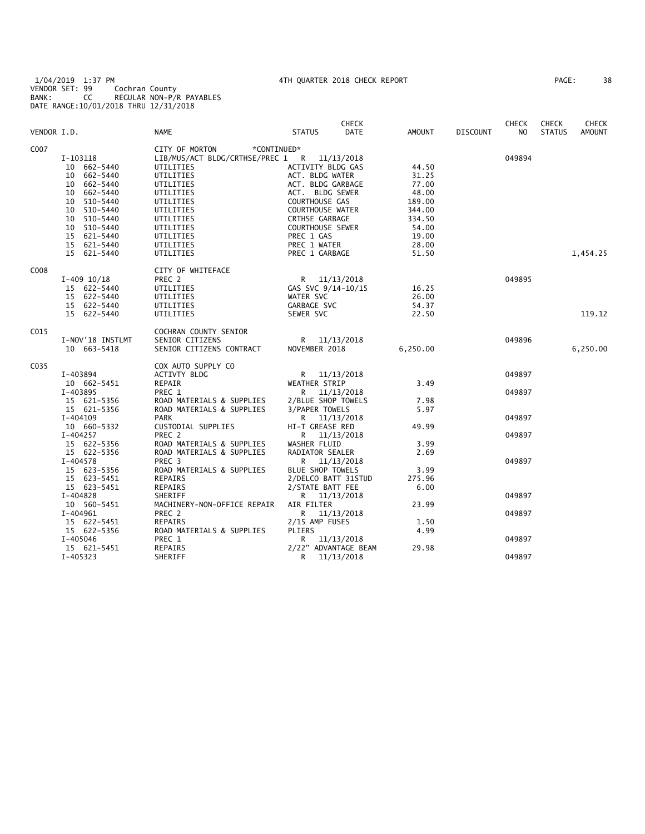1/04/2019 1:37 PM 4TH QUARTER 2018 CHECK REPORT PAGE: 38 VENDOR SET: 99 Cochran County BANK: CC REGULAR NON-P/R PAYABLES DATE RANGE:10/01/2018 THRU 12/31/2018

| PAGE : | 38 |  |
|--------|----|--|
|--------|----|--|

|                  |                  |                                             |                         | <b>CHECK</b> |          |                 | <b>CHECK</b> | <b>CHECK</b>  | <b>CHECK</b>  |
|------------------|------------------|---------------------------------------------|-------------------------|--------------|----------|-----------------|--------------|---------------|---------------|
| VENDOR I.D.      |                  | NAME                                        | <b>STATUS</b>           | DATE         | AMOUNT   | <b>DISCOUNT</b> | NO           | <b>STATUS</b> | <b>AMOUNT</b> |
| C007             |                  | CITY OF MORTON<br>*CONTINUED*               |                         |              |          |                 |              |               |               |
|                  | I-103118         | LIB/MUS/ACT BLDG/CRTHSE/PREC 1 R 11/13/2018 |                         |              |          |                 | 049894       |               |               |
|                  | 10 662-5440      | UTILITIES                                   | ACTIVITY BLDG GAS       |              | 44.50    |                 |              |               |               |
|                  | 10 662-5440      | UTILITIES                                   | ACT. BLDG WATER         |              | 31.25    |                 |              |               |               |
|                  | 10 662-5440      | UTILITIES                                   | ACT. BLDG GARBAGE       |              | 77.00    |                 |              |               |               |
|                  | 10 662-5440      | UTILITIES                                   | ACT. BLDG SEWER         |              | 48.00    |                 |              |               |               |
|                  | 10 510-5440      | UTILITIES                                   | <b>COURTHOUSE GAS</b>   |              | 189.00   |                 |              |               |               |
|                  | 10 510-5440      | UTILITIES                                   | <b>COURTHOUSE WATER</b> |              | 344.00   |                 |              |               |               |
|                  | 10 510-5440      | UTILITIES                                   | CRTHSE GARBAGE          |              | 334.50   |                 |              |               |               |
|                  | 10 510-5440      | UTILITIES                                   | <b>COURTHOUSE SEWER</b> |              | 54.00    |                 |              |               |               |
|                  | 15 621-5440      | UTILITIES                                   | PREC 1 GAS              |              | 19.00    |                 |              |               |               |
|                  | 15 621-5440      | UTILITIES                                   | PREC 1 WATER            |              | 28.00    |                 |              |               |               |
|                  | 15 621-5440      | UTILITIES                                   | PREC 1 GARBAGE          |              | 51.50    |                 |              |               | 1,454.25      |
|                  |                  |                                             |                         |              |          |                 |              |               |               |
| C008             |                  | CITY OF WHITEFACE                           |                         |              |          |                 |              |               |               |
|                  | $I-409$ $10/18$  | PREC <sub>2</sub>                           | R 11/13/2018            |              |          |                 | 049895       |               |               |
|                  | 15 622-5440      | UTILITIES                                   | GAS SVC $9/14-10/15$    |              | 16.25    |                 |              |               |               |
|                  | 15 622-5440      | UTILITIES                                   | WATER SVC               |              | 26.00    |                 |              |               |               |
|                  | 15 622-5440      | UTILITIES                                   | GARBAGE SVC             |              | 54.37    |                 |              |               |               |
|                  | 15 622-5440      | UTILITIES                                   | SEWER SVC               |              | 22.50    |                 |              |               | 119.12        |
| C <sub>015</sub> |                  | COCHRAN COUNTY SENIOR                       |                         |              |          |                 |              |               |               |
|                  | I-NOV'18 INSTLMT | SENIOR CITIZENS                             | R 11/13/2018            |              |          |                 | 049896       |               |               |
|                  | 10 663-5418      | SENIOR CITIZENS CONTRACT                    | NOVEMBER 2018           |              | 6,250.00 |                 |              |               | 6,250.00      |
| C035             |                  | COX AUTO SUPPLY CO                          |                         |              |          |                 |              |               |               |
|                  | I-403894         | ACTIVTY BLDG                                | R 11/13/2018            |              |          |                 | 049897       |               |               |
|                  | 10 662-5451      | REPAIR                                      | WEATHER STRIP           |              | 3.49     |                 |              |               |               |
|                  | I-403895         | PREC 1                                      | R 11/13/2018            |              |          |                 | 049897       |               |               |
|                  | 15 621-5356      | ROAD MATERIALS & SUPPLIES                   | 2/BLUE SHOP TOWELS      |              | 7.98     |                 |              |               |               |
|                  | 15 621-5356      | ROAD MATERIALS & SUPPLIES                   | 3/PAPER TOWELS          |              | 5.97     |                 |              |               |               |
|                  | I-404109         | PARK                                        | R 11/13/2018            |              |          |                 | 049897       |               |               |
|                  | 10 660-5332      | CUSTODIAL SUPPLIES                          | HI-T GREASE RED         |              | 49.99    |                 |              |               |               |
|                  | I-404257         | PREC <sub>2</sub>                           | R 11/13/2018            |              |          |                 | 049897       |               |               |
|                  | 15 622-5356      | ROAD MATERIALS & SUPPLIES                   | WASHER FLUID            |              | 3.99     |                 |              |               |               |
|                  | 15 622-5356      | ROAD MATERIALS & SUPPLIES                   | RADIATOR SEALER         |              | 2.69     |                 |              |               |               |
|                  | I-404578         | PREC <sub>3</sub>                           | R 11/13/2018            |              |          |                 | 049897       |               |               |
|                  | 15 623-5356      | ROAD MATERIALS & SUPPLIES                   | <b>BLUE SHOP TOWELS</b> |              | 3.99     |                 |              |               |               |
|                  | 15 623-5451      | REPAIRS                                     | 2/DELCO BATT 31STUD     |              | 275.96   |                 |              |               |               |
|                  | 15 623-5451      | REPAIRS                                     | 2/STATE BATT FEE        |              | 6.00     |                 |              |               |               |
|                  | I-404828         | SHERIFF                                     | R 11/13/2018            |              |          |                 | 049897       |               |               |
|                  | 10 560-5451      | MACHINERY-NON-OFFICE REPAIR                 | AIR FILTER              |              | 23.99    |                 |              |               |               |
|                  | I-404961         | PREC 2                                      | R 11/13/2018            |              |          |                 | 049897       |               |               |
|                  | 15 622-5451      | REPAIRS                                     | 2/15 AMP FUSES          |              | 1.50     |                 |              |               |               |
|                  | 15 622-5356      | ROAD MATERIALS & SUPPLIES                   | PLIERS                  |              | 4.99     |                 |              |               |               |
|                  | I-405046         | PREC 1                                      | R 11/13/2018            |              |          |                 | 049897       |               |               |
|                  | 15 621-5451      | REPAIRS                                     | 2/22" ADVANTAGE BEAM    |              | 29.98    |                 |              |               |               |
|                  | I-405323         | SHERIFF                                     | R                       | 11/13/2018   |          |                 | 049897       |               |               |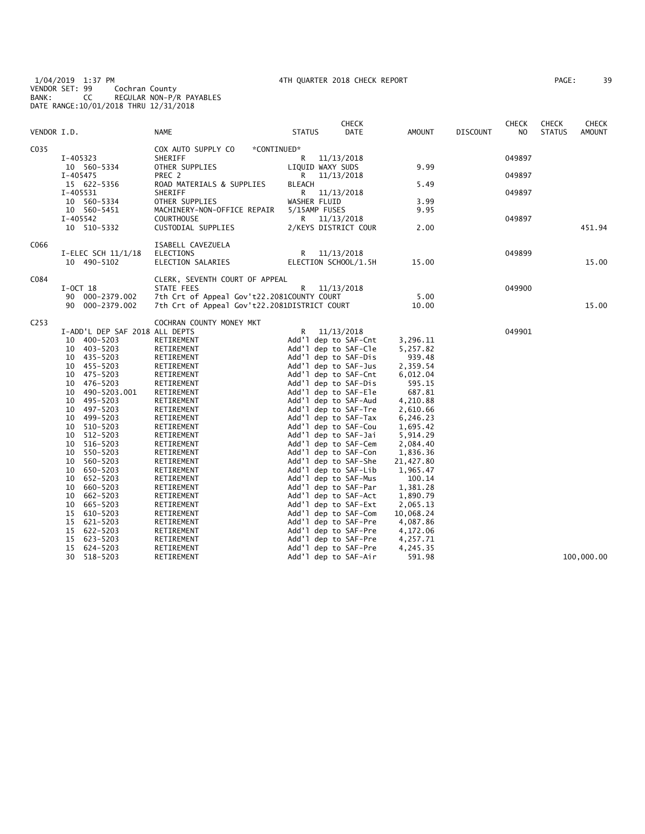1/04/2019 1:37 PM 4TH QUARTER 2018 CHECK REPORT PAGE: 39 VENDOR SET: 99 Cochran County BANK: CC REGULAR NON-P/R PAYABLES DATE RANGE:10/01/2018 THRU 12/31/2018

| PAGE: | 39 |
|-------|----|
|-------|----|

| VENDOR I.D.      |                                  | NAME                                             | <b>STATUS</b>        | <b>CHECK</b><br>DATE                         | AMOUNT                | <b>DISCOUNT</b> | <b>CHECK</b><br>NO. | <b>CHECK</b><br><b>STATUS</b> | CHECK<br><b>AMOUNT</b> |
|------------------|----------------------------------|--------------------------------------------------|----------------------|----------------------------------------------|-----------------------|-----------------|---------------------|-------------------------------|------------------------|
| C035             |                                  | COX AUTO SUPPLY CO<br>*CONTINUED*                |                      |                                              |                       |                 |                     |                               |                        |
|                  | I-405323                         | SHERIFF                                          | R 11/13/2018         |                                              |                       |                 | 049897              |                               |                        |
|                  | 10 560-5334                      | OTHER SUPPLIES                                   | LIQUID WAXY SUDS     |                                              | 9.99                  |                 |                     |                               |                        |
|                  | I-405475                         | PREC 2                                           | R.                   | 11/13/2018                                   |                       |                 | 049897              |                               |                        |
|                  | 15 622-5356                      | ROAD MATERIALS & SUPPLIES                        | <b>BLEACH</b>        |                                              | 5.49                  |                 |                     |                               |                        |
|                  | I-405531                         | SHERIFF                                          |                      | R 11/13/2018                                 |                       |                 | 049897              |                               |                        |
|                  | 10 560-5334<br>10 560-5451       | OTHER SUPPLIES                                   | WASHER FLUID         |                                              | 3.99                  |                 |                     |                               |                        |
|                  | I-405542                         | MACHINERY-NON-OFFICE REPAIR<br><b>COURTHOUSE</b> | 5/15AMP FUSES        | R 11/13/2018                                 | 9.95                  |                 | 049897              |                               |                        |
|                  | 10 510-5332                      | CUSTODIAL SUPPLIES                               |                      | 2/KEYS DISTRICT COUR                         | 2.00                  |                 |                     |                               | 451.94                 |
|                  |                                  |                                                  |                      |                                              |                       |                 |                     |                               |                        |
| C066             |                                  | ISABELL CAVEZUELA                                |                      |                                              |                       |                 |                     |                               |                        |
|                  | $I-ELEC SCH$ 11/1/18             | <b>ELECTIONS</b>                                 |                      | R 11/13/2018                                 |                       |                 | 049899              |                               |                        |
|                  | 10 490-5102                      | ELECTION SALARIES                                |                      | ELECTION SCHOOL/1.5H                         | 15.00                 |                 |                     |                               | 15.00                  |
| C084             |                                  | CLERK, SEVENTH COURT OF APPEAL                   |                      |                                              |                       |                 |                     |                               |                        |
|                  | $I-OCT$ 18                       | STATE FEES                                       |                      | R 11/13/2018                                 |                       |                 | 049900              |                               |                        |
|                  | 90 000-2379.002                  | 7th Crt of Appeal Gov't22.2081COUNTY COURT       |                      |                                              | 5.00                  |                 |                     |                               |                        |
|                  | 90 000-2379.002                  | 7th Crt of Appeal Gov't22.2081DISTRICT COURT     |                      |                                              | 10.00                 |                 |                     |                               | 15.00                  |
| C <sub>253</sub> |                                  | COCHRAN COUNTY MONEY MKT                         |                      |                                              |                       |                 |                     |                               |                        |
|                  | I-ADD'L DEP SAF 2018 ALL DEPTS   |                                                  | R                    | 11/13/2018                                   |                       |                 | 049901              |                               |                        |
|                  | 10 400-5203                      | RETIREMENT                                       |                      | Add'l dep to SAF-Cnt                         | 3,296.11              |                 |                     |                               |                        |
|                  | 10 403-5203                      | RETIREMENT                                       |                      | Add'l dep to SAF-Cle                         | 5,257.82              |                 |                     |                               |                        |
|                  | 10 435-5203                      | RETIREMENT                                       |                      | Add'l dep to SAF-Dis                         | 939.48                |                 |                     |                               |                        |
|                  | 455-5203<br>10<br>10<br>475-5203 | RETIREMENT<br>RETIREMENT                         |                      | Add'l dep to SAF-Jus<br>Add'l dep to SAF-Cnt | 2,359.54<br>6,012.04  |                 |                     |                               |                        |
|                  | 476-5203<br>10                   | RETIREMENT                                       |                      | Add'l dep to SAF-Dis                         | 595.15                |                 |                     |                               |                        |
|                  | 490-5203.001<br>10               | RETIREMENT                                       |                      | Add'l dep to SAF-Ele                         | 687.81                |                 |                     |                               |                        |
|                  | 495-5203<br>10                   | RETIREMENT                                       |                      | Add'l dep to SAF-Aud                         | 4,210.88              |                 |                     |                               |                        |
|                  | 497-5203<br>10                   | RETIREMENT                                       |                      | Add'l dep to SAF-Tre                         | 2,610.66              |                 |                     |                               |                        |
|                  | 10<br>499–5203                   | RETIREMENT                                       |                      | Add'l dep to SAF-Tax                         | 6,246.23              |                 |                     |                               |                        |
|                  | 10<br>510-5203                   | RETIREMENT                                       |                      | Add'l dep to SAF-Cou                         | 1,695.42              |                 |                     |                               |                        |
|                  | 512-5203<br>10                   | RETIREMENT                                       |                      | Add'l dep to SAF-Jai                         | 5,914.29              |                 |                     |                               |                        |
|                  | 10<br>516-5203                   | RETIREMENT                                       |                      | Add'l dep to SAF-Cem                         | 2,084.40              |                 |                     |                               |                        |
|                  | 550-5203<br>10                   | RETIREMENT                                       |                      | Add'l dep to SAF-Con                         | 1,836.36              |                 |                     |                               |                        |
|                  | 560-5203<br>10                   | RETIREMENT                                       |                      | Add'l dep to SAF-She                         | 21,427.80             |                 |                     |                               |                        |
|                  | 10<br>650-5203                   | RETIREMENT                                       |                      | Add'l dep to SAF-Lib                         | 1,965.47              |                 |                     |                               |                        |
|                  | 652-5203<br>10                   | RETIREMENT                                       |                      | Add'l dep to SAF-Mus                         | 100.14                |                 |                     |                               |                        |
|                  | 660-5203<br>10                   | RETIREMENT                                       |                      | Add'l dep to SAF-Par                         | 1,381.28              |                 |                     |                               |                        |
|                  | 10<br>662-5203                   | RETIREMENT                                       |                      | Add'l dep to SAF-Act                         | 1,890.79              |                 |                     |                               |                        |
|                  | 665-5203<br>10<br>15<br>610-5203 | RETIREMENT<br>RETIREMENT                         |                      | Add'l dep to SAF-Ext<br>Add'l dep to SAF-Com | 2,065.13<br>10,068.24 |                 |                     |                               |                        |
|                  | 15<br>621-5203                   | RETIREMENT                                       |                      | Add'l dep to SAF-Pre                         | 4,087.86              |                 |                     |                               |                        |
|                  | 15<br>622-5203                   | RETIREMENT                                       |                      | Add'l dep to SAF-Pre                         | 4,172.06              |                 |                     |                               |                        |
|                  | 623-5203<br>15                   | RETIREMENT                                       |                      | Add'l dep to SAF-Pre                         | 4,257.71              |                 |                     |                               |                        |
|                  | 15<br>624-5203                   | RETIREMENT                                       |                      | Add'l dep to SAF-Pre                         | 4,245.35              |                 |                     |                               |                        |
|                  | 30<br>518-5203                   | RETIREMENT                                       | Add'l dep to SAF-Air |                                              | 591.98                |                 |                     |                               | 100,000.00             |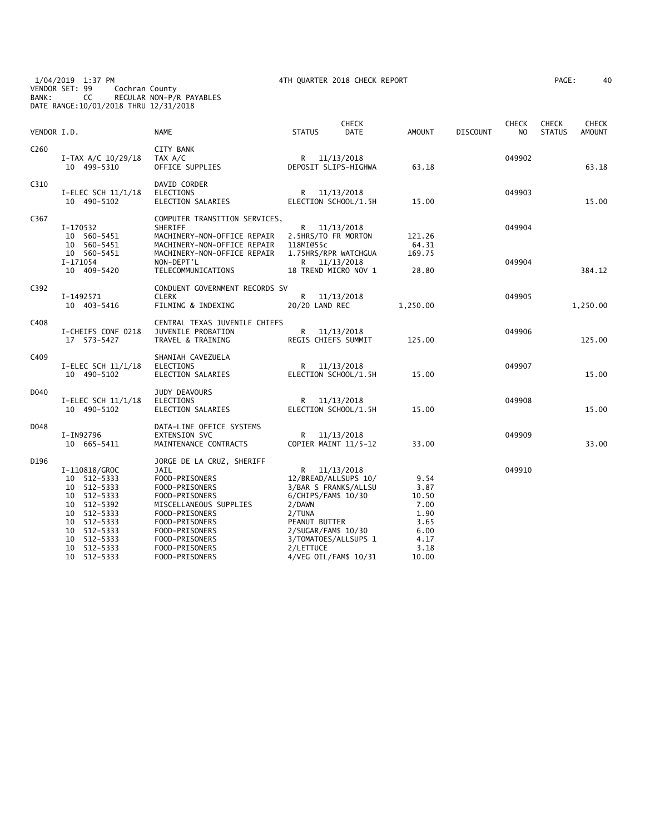1/04/2019 1:37 PM 4TH QUARTER 2018 CHECK REPORT PAGE: 40 VENDOR SET: 99 Cochran County BANK: CC REGULAR NON-P/R PAYABLES DATE RANGE:10/01/2018 THRU 12/31/2018

| 40<br>'AGE : |
|--------------|
|--------------|

| VENDOR I.D.      |                                                                                                                                                                     | <b>NAME</b>                                                                                                                                                                                                                   | <b>STATUS</b>                                  | <b>CHECK</b><br><b>DATE</b>                                                                                                                                 | AMOUNT                                                                         | <b>DISCOUNT</b> | <b>CHECK</b><br>N <sub>O</sub> | <b>CHECK</b><br><b>STATUS</b> | <b>CHECK</b><br><b>AMOUNT</b> |
|------------------|---------------------------------------------------------------------------------------------------------------------------------------------------------------------|-------------------------------------------------------------------------------------------------------------------------------------------------------------------------------------------------------------------------------|------------------------------------------------|-------------------------------------------------------------------------------------------------------------------------------------------------------------|--------------------------------------------------------------------------------|-----------------|--------------------------------|-------------------------------|-------------------------------|
| C <sub>260</sub> | $I-TAX A/C 10/29/18$<br>10 499-5310                                                                                                                                 | CITY BANK<br>TAX A/C<br>OFFICE SUPPLIES                                                                                                                                                                                       |                                                | R 11/13/2018<br>DEPOSIT SLIPS-HIGHWA                                                                                                                        | 63.18                                                                          |                 | 049902                         |                               | 63.18                         |
| C310             | I-ELEC SCH $11/1/18$<br>10 490-5102                                                                                                                                 | DAVID CORDER<br>ELECTIONS<br>ELECTION SALARIES                                                                                                                                                                                |                                                | R 11/13/2018<br>ELECTION SCHOOL/1.5H                                                                                                                        | 15.00                                                                          |                 | 049903                         |                               | 15.00                         |
| C367             | I-170532<br>10 560-5451<br>10 560-5451                                                                                                                              | COMPUTER TRANSITION SERVICES,<br>SHERIFF<br>MACHINERY-NON-OFFICE REPAIR<br>MACHINERY-NON-OFFICE REPAIR                                                                                                                        | 118MI@55c                                      | R 11/13/2018<br>2.5HRS/TO FR MORTON                                                                                                                         | 121.26<br>64.31                                                                |                 | 049904                         |                               |                               |
|                  | 10 560-5451<br>I-171054<br>10 409-5420                                                                                                                              | MACHINERY-NON-OFFICE REPAIR<br>NON-DEPT'L<br>TELECOMMUNICATIONS                                                                                                                                                               |                                                | 1.75HRS/RPR WATCHGUA<br>R 11/13/2018<br>18 TREND MICRO NOV 1                                                                                                | 169.75<br>28.80                                                                |                 | 049904                         |                               | 384.12                        |
| C392             | I-1492571<br>10 403-5416                                                                                                                                            | CONDUENT GOVERNMENT RECORDS SV<br><b>CLERK</b><br>FILMING & INDEXING                                                                                                                                                          | 20/20 LAND REC                                 | R 11/13/2018                                                                                                                                                | 1,250.00                                                                       |                 | 049905                         |                               | 1,250.00                      |
| C408             | I-CHEIFS CONF 0218<br>17 573-5427                                                                                                                                   | CENTRAL TEXAS JUVENILE CHIEFS<br><b>JUVENILE PROBATION</b><br>TRAVEL & TRAINING                                                                                                                                               | R                                              | 11/13/2018<br>REGIS CHIEFS SUMMIT                                                                                                                           | 125.00                                                                         |                 | 049906                         |                               | 125.00                        |
| C409             | I-ELEC SCH 11/1/18<br>10 490-5102                                                                                                                                   | SHANIAH CAVEZUELA<br>ELECTIONS<br>ELECTION SALARIES                                                                                                                                                                           | R                                              | 11/13/2018<br>ELECTION SCHOOL/1.5H                                                                                                                          | 15.00                                                                          |                 | 049907                         |                               | 15.00                         |
| D040             | $I-ELEC SCH$ 11/1/18<br>10 490-5102                                                                                                                                 | JUDY DEAVOURS<br>ELECTIONS<br>ELECTION SALARIES                                                                                                                                                                               |                                                | R 11/13/2018<br>ELECTION SCHOOL/1.5H                                                                                                                        | 15.00                                                                          |                 | 049908                         |                               | 15.00                         |
| D048             | I-IN92796<br>10 665-5411                                                                                                                                            | DATA-LINE OFFICE SYSTEMS<br>EXTENSION SVC<br>MAINTENANCE CONTRACTS                                                                                                                                                            | R <sub>a</sub>                                 | 11/13/2018<br>COPIER MAINT 11/5-12                                                                                                                          | 33.00                                                                          |                 | 049909                         |                               | 33.00                         |
| D196             | I-110818/GROC<br>10 512-5333<br>10 512-5333<br>10 512-5333<br>10 512-5392<br>10 512-5333<br>10 512-5333<br>10 512-5333<br>10 512-5333<br>10 512-5333<br>10 512-5333 | JORGE DE LA CRUZ, SHERIFF<br>JAIL<br>FOOD-PRISONERS<br>FOOD-PRISONERS<br>FOOD-PRISONERS<br>MISCELLANEOUS SUPPLIES<br>FOOD-PRISONERS<br>FOOD-PRISONERS<br>FOOD-PRISONERS<br>FOOD-PRISONERS<br>FOOD-PRISONERS<br>FOOD-PRISONERS | 2/DAWN<br>2/TUNA<br>PEANUT BUTTER<br>2/LETTUCE | R 11/13/2018<br>12/BREAD/ALLSUPS 10/<br>3/BAR S FRANKS/ALLSU<br>6/CHIPS/FAM\$ 10/30<br>2/SUGAR/FAM\$ 10/30<br>3/TOMATOES/ALLSUPS 1<br>4/VEG OIL/FAM\$ 10/31 | 9.54<br>3.87<br>10.50<br>7.00<br>1.90<br>3.65<br>6.00<br>4.17<br>3.18<br>10.00 |                 | 049910                         |                               |                               |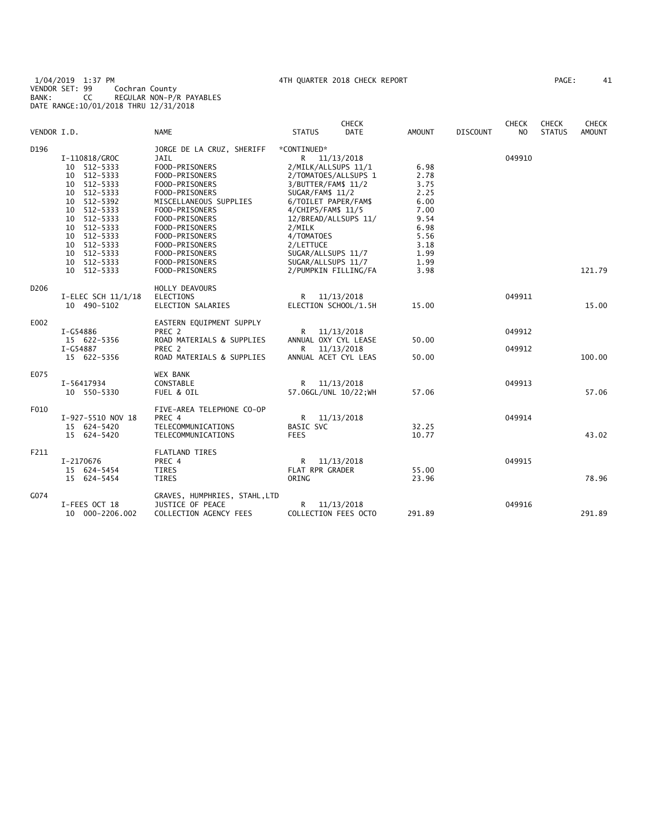1/04/2019 1:37 PM 4TH QUARTER 2018 CHECK REPORT PAGE: 41 VENDOR SET: 99 Cochran County BANK: CC REGULAR NON-P/R PAYABLES DATE RANGE:10/01/2018 THRU 12/31/2018

|                  |                      |                               |                       | <b>CHECK</b> |               |                 | <b>CHECK</b>   | <b>CHECK</b>  | <b>CHECK</b>  |
|------------------|----------------------|-------------------------------|-----------------------|--------------|---------------|-----------------|----------------|---------------|---------------|
| VENDOR I.D.      |                      | <b>NAME</b>                   | <b>STATUS</b>         | <b>DATE</b>  | <b>AMOUNT</b> | <b>DISCOUNT</b> | N <sub>O</sub> | <b>STATUS</b> | <b>AMOUNT</b> |
| D196             |                      | JORGE DE LA CRUZ, SHERIFF     | *CONTINUED*           |              |               |                 |                |               |               |
|                  | I-110818/GROC        | JAIL                          | R 11/13/2018          |              |               |                 | 049910         |               |               |
|                  | 10 512-5333          | FOOD-PRISONERS                | 2/MILK/ALLSUPS 11/1   |              | 6.98          |                 |                |               |               |
|                  | 10 512-5333          | FOOD-PRISONERS                | 2/TOMATOES/ALLSUPS 1  |              | 2.78          |                 |                |               |               |
|                  | 10 512-5333          | FOOD-PRISONERS                | 3/BUTTER/FAM\$ 11/2   |              | 3.75          |                 |                |               |               |
|                  | 10 512-5333          | FOOD-PRISONERS                | SUGAR/FAM\$ 11/2      |              | 2.25          |                 |                |               |               |
|                  | 10 512-5392          | MISCELLANEOUS SUPPLIES        | 6/TOILET PAPER/FAM\$  |              | 6.00          |                 |                |               |               |
|                  | 10 512-5333          | FOOD-PRISONERS                | 4/CHIPS/FAM\$ 11/5    |              | 7.00          |                 |                |               |               |
|                  | 10 512-5333          | FOOD-PRISONERS                | 12/BREAD/ALLSUPS 11/  |              | 9.54          |                 |                |               |               |
|                  | 10 512-5333          | FOOD-PRISONERS                |                       |              | 6.98          |                 |                |               |               |
|                  | 10 512-5333          |                               | 2/MILK                |              |               |                 |                |               |               |
|                  |                      | FOOD-PRISONERS                | 4/TOMATOES            |              | 5.56          |                 |                |               |               |
|                  | 10 512-5333          | FOOD-PRISONERS                | 2/LETTUCE             |              | 3.18          |                 |                |               |               |
|                  | 10 512-5333          | FOOD-PRISONERS                | SUGAR/ALLSUPS 11/7    |              | 1.99          |                 |                |               |               |
|                  | 10 512-5333          | FOOD-PRISONERS                | SUGAR/ALLSUPS 11/7    |              | 1.99          |                 |                |               |               |
|                  | 10 512-5333          | FOOD-PRISONERS                | 2/PUMPKIN FILLING/FA  |              | 3.98          |                 |                |               | 121.79        |
| D <sub>206</sub> |                      | HOLLY DEAVOURS                |                       |              |               |                 |                |               |               |
|                  | I-ELEC SCH $11/1/18$ | <b>ELECTIONS</b>              | R                     | 11/13/2018   |               |                 | 049911         |               |               |
|                  | 10 490-5102          | ELECTION SALARIES             | ELECTION SCHOOL/1.5H  |              | 15.00         |                 |                |               | 15.00         |
| E002             |                      | EASTERN EQUIPMENT SUPPLY      |                       |              |               |                 |                |               |               |
|                  | I-G54886             | PREC 2                        | R                     | 11/13/2018   |               |                 | 049912         |               |               |
|                  | 15 622-5356          | ROAD MATERIALS & SUPPLIES     | ANNUAL OXY CYL LEASE  |              | 50.00         |                 |                |               |               |
|                  | I-G54887             | PREC 2                        | R                     | 11/13/2018   |               |                 | 049912         |               |               |
|                  | 15 622-5356          | ROAD MATERIALS & SUPPLIES     | ANNUAL ACET CYL LEAS  |              | 50.00         |                 |                |               | 100.00        |
|                  |                      |                               |                       |              |               |                 |                |               |               |
| E075             |                      | WEX BANK                      |                       |              |               |                 |                |               |               |
|                  | I-56417934           | CONSTABLE                     | R.                    | 11/13/2018   |               |                 | 049913         |               |               |
|                  | 10 550-5330          | FUEL & OIL                    | 57.06GL/UNL 10/22; WH |              | 57.06         |                 |                |               | 57.06         |
| F010             |                      | FIVE-AREA TELEPHONE CO-OP     |                       |              |               |                 |                |               |               |
|                  | I-927-5510 NOV 18    | PREC 4                        | R                     | 11/13/2018   |               |                 | 049914         |               |               |
|                  | 15 624-5420          | TELECOMMUNICATIONS            | <b>BASIC SVC</b>      |              | 32.25         |                 |                |               |               |
|                  | 15 624-5420          | TELECOMMUNICATIONS            | <b>FEES</b>           |              | 10.77         |                 |                |               | 43.02         |
| F211             |                      | <b>FLATLAND TIRES</b>         |                       |              |               |                 |                |               |               |
|                  | I-2170676            | PREC 4                        | R.                    | 11/13/2018   |               |                 | 049915         |               |               |
|                  | 15 624-5454          | TIRES                         | FLAT RPR GRADER       |              | 55.00         |                 |                |               |               |
|                  | 15 624-5454          | <b>TIRES</b>                  | ORING                 |              | 23.96         |                 |                |               | 78.96         |
|                  |                      |                               |                       |              |               |                 |                |               |               |
| G074             |                      | GRAVES, HUMPHRIES, STAHL, LTD |                       |              |               |                 |                |               |               |
|                  | I-FEES OCT 18        | JUSTICE OF PEACE              | R                     | 11/13/2018   |               |                 | 049916         |               |               |
|                  | 10 000-2206.002      | COLLECTION AGENCY FEES        | COLLECTION FEES OCTO  |              | 291.89        |                 |                |               | 291.89        |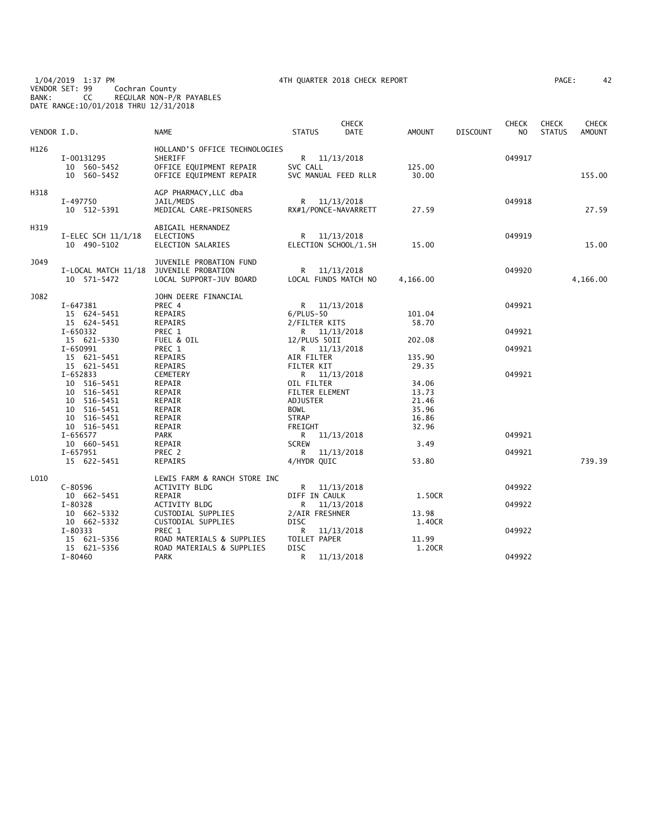1/04/2019 1:37 PM 4TH QUARTER 2018 CHECK REPORT PAGE: 42 VENDOR SET: 99 Cochran County BANK: CC REGULAR NON-P/R PAYABLES DATE RANGE:10/01/2018 THRU 12/31/2018

| VENDOR I.D. |                                                                                                                   | NAME                                                                                           | <b>STATUS</b>                                                                             |                              | <b>CHECK</b><br>DATE | AMOUNT                                                      | <b>DISCOUNT</b> | <b>CHECK</b><br>NO | <b>CHECK</b><br><b>STATUS</b> | <b>CHECK</b><br><b>AMOUNT</b> |
|-------------|-------------------------------------------------------------------------------------------------------------------|------------------------------------------------------------------------------------------------|-------------------------------------------------------------------------------------------|------------------------------|----------------------|-------------------------------------------------------------|-----------------|--------------------|-------------------------------|-------------------------------|
| H126        | I-00131295<br>10 560-5452<br>10 560-5452                                                                          | HOLLAND'S OFFICE TECHNOLOGIES<br>SHERIFF<br>OFFICE EQUIPMENT REPAIR<br>OFFICE EQUIPMENT REPAIR | SVC CALL                                                                                  | R 11/13/2018                 | SVC MANUAL FEED RLLR | 125.00<br>30.00                                             |                 | 049917             |                               | 155.00                        |
| H318        | I-497750<br>10 512-5391                                                                                           | AGP PHARMACY, LLC dba<br>JAIL/MEDS<br>MEDICAL CARE-PRISONERS                                   |                                                                                           | R 11/13/2018                 | RX#1/PONCE-NAVARRETT | 27.59                                                       |                 | 049918             |                               | 27.59                         |
| H319        | I-ELEC SCH 11/1/18<br>10 490-5102                                                                                 | ABIGAIL HERNANDEZ<br>ELECTIONS<br>ELECTION SALARIES                                            |                                                                                           | R 11/13/2018                 | ELECTION SCHOOL/1.5H | 15.00                                                       |                 | 049919             |                               | 15.00                         |
| J049        | I-LOCAL MATCH 11/18 JUVENILE PROBATION<br>10 571-5472                                                             | JUVENILE PROBATION FUND<br>LOCAL SUPPORT-JUV BOARD                                             |                                                                                           | R 11/13/2018                 | LOCAL FUNDS MATCH NO | 4,166.00                                                    |                 | 049920             |                               | 4,166.00                      |
| J082        | I-647381<br>15 624-5451<br>15 624-5451                                                                            | JOHN DEERE FINANCIAL<br>PREC 4<br>REPAIRS<br>REPAIRS                                           | $6/PLUS-50$<br>2/FILTER KITS                                                              | R 11/13/2018                 |                      | 101.04<br>58.70                                             |                 | 049921             |                               |                               |
|             | I-650332<br>15 621-5330<br>I-650991<br>15 621-5451                                                                | PREC 1<br>FUEL & OIL<br>PREC 1<br>REPAIRS                                                      | 12/PLUS 50II<br>AIR FILTER                                                                | R 11/13/2018<br>R 11/13/2018 |                      | 202.08<br>135.90                                            |                 | 049921<br>049921   |                               |                               |
|             | 15 621-5451<br>I-652833<br>10 516-5451<br>10 516-5451<br>10 516-5451<br>10 516-5451<br>10 516-5451<br>10 516-5451 | REPAIRS<br>CEMETERY<br>REPAIR<br>REPAIR<br>REPAIR<br>REPAIR<br>REPAIR<br>REPAIR                | FILTER KIT<br>OIL FILTER<br>FILTER ELEMENT<br>ADJUSTER<br>BOWL<br><b>STRAP</b><br>FREIGHT | R 11/13/2018                 |                      | 29.35<br>34.06<br>13.73<br>21.46<br>35.96<br>16.86<br>32.96 |                 | 049921             |                               |                               |
|             | I-656577<br>10 660-5451<br>I-657951<br>15 622-5451                                                                | PARK<br>REPAIR<br>PREC 2<br>REPAIRS                                                            | <b>SCREW</b><br>R<br>4/HYDR QUIC                                                          | R 11/13/2018                 | 11/13/2018           | 3.49<br>53.80                                               |                 | 049921<br>049921   |                               | 739.39                        |
| L010        | $C - 80596$                                                                                                       | LEWIS FARM & RANCH STORE INC<br>ACTIVITY BLDG                                                  |                                                                                           | R 11/13/2018                 |                      |                                                             |                 | 049922             |                               |                               |
|             | 10 662-5451<br>I-80328<br>10 662-5332                                                                             | REPAIR<br>ACTIVITY BLDG<br>CUSTODIAL SUPPLIES                                                  | DIFF IN CAULK<br>R<br>2/AIR FRESHNER                                                      | 11/13/2018                   |                      | 1.50CR<br>13.98                                             |                 | 049922             |                               |                               |
|             | 10 662-5332<br>I-80333<br>15 621-5356<br>15 621-5356                                                              | CUSTODIAL SUPPLIES<br>PREC 1<br>ROAD MATERIALS & SUPPLIES<br>ROAD MATERIALS & SUPPLIES         | <b>DISC</b><br>R<br>TOILET PAPER<br><b>DISC</b>                                           |                              | 11/13/2018           | 1.40CR<br>11.99<br>1.20CR                                   |                 | 049922             |                               |                               |
|             | $I - 80460$                                                                                                       | <b>PARK</b>                                                                                    | R                                                                                         |                              | 11/13/2018           |                                                             |                 | 049922             |                               |                               |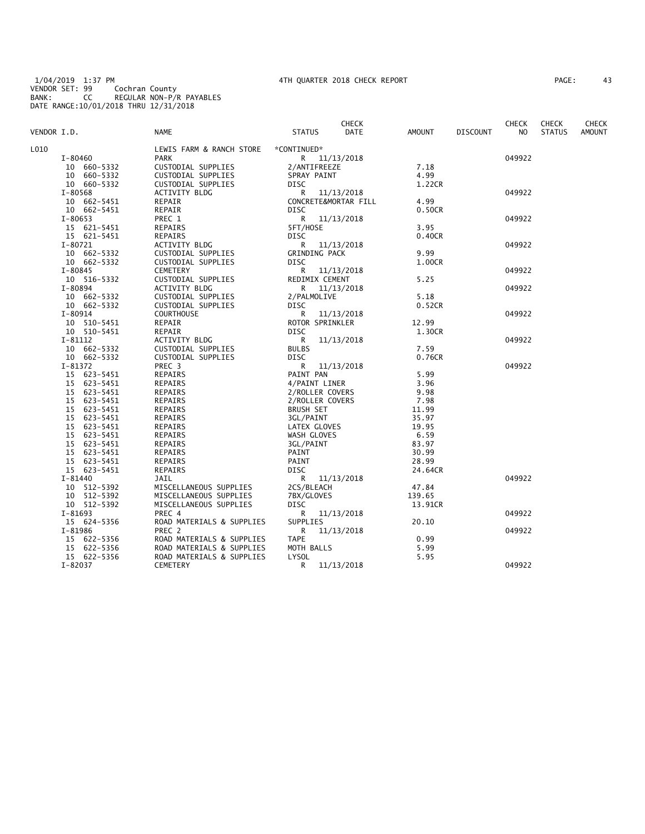1/04/2019 1:37 PM 4TH QUARTER 2018 CHECK REPORT PAGE: 43 VENDOR SET: 99 Cochran County BANK: CC REGULAR NON-P/R PAYABLES DATE RANGE:10/01/2018 THRU 12/31/2018

| AGE: | 43 |  |
|------|----|--|
|------|----|--|

|             |                |                           |                      | <b>CHECK</b> |               |                 | <b>CHECK</b> | <b>CHECK</b>  | <b>CHECK</b>  |
|-------------|----------------|---------------------------|----------------------|--------------|---------------|-----------------|--------------|---------------|---------------|
| VENDOR I.D. |                | <b>NAME</b>               | <b>STATUS</b>        | DATE         | <b>AMOUNT</b> | <b>DISCOUNT</b> | NO.          | <b>STATUS</b> | <b>AMOUNT</b> |
| L010        |                | LEWIS FARM & RANCH STORE  | *CONTINUED*          |              |               |                 |              |               |               |
|             | I-80460        | <b>PARK</b>               | R.                   | 11/13/2018   |               |                 | 049922       |               |               |
|             | 10 660-5332    | CUSTODIAL SUPPLIES        | 2/ANTIFREEZE         |              | 7.18          |                 |              |               |               |
|             | 10 660-5332    | CUSTODIAL SUPPLIES        | SPRAY PAINT          |              | 4.99          |                 |              |               |               |
|             | 10 660-5332    | CUSTODIAL SUPPLIES        | <b>DISC</b>          |              | 1.22CR        |                 |              |               |               |
|             | I-80568        | ACTIVITY BLDG             | R                    | 11/13/2018   |               |                 | 049922       |               |               |
|             | 10 662-5451    | REPAIR                    | CONCRETE&MORTAR FILL |              | 4.99          |                 |              |               |               |
|             | 10 662-5451    | REPAIR                    | <b>DISC</b>          |              | 0.50CR        |                 |              |               |               |
|             | I-80653        | PREC 1                    | R                    | 11/13/2018   |               |                 | 049922       |               |               |
|             | 15 621-5451    | REPAIRS                   | 5FT/HOSE             |              | 3.95          |                 |              |               |               |
|             | 15 621-5451    | REPAIRS                   | <b>DISC</b>          |              | 0.40CR        |                 |              |               |               |
|             | $I - 80721$    | ACTIVITY BLDG             | R                    | 11/13/2018   |               |                 | 049922       |               |               |
|             |                |                           |                      |              | 9.99          |                 |              |               |               |
|             | 10 662-5332    | CUSTODIAL SUPPLIES        | GRINDING PACK        |              |               |                 |              |               |               |
|             | 10 662-5332    | CUSTODIAL SUPPLIES        | <b>DISC</b>          |              | 1.00CR        |                 |              |               |               |
|             | $I - 80845$    | <b>CEMETERY</b>           | R                    | 11/13/2018   |               |                 | 049922       |               |               |
|             | 10 516-5332    | CUSTODIAL SUPPLIES        | REDIMIX CEMENT       |              | 5.25          |                 |              |               |               |
|             | I-80894        | ACTIVITY BLDG             | R                    | 11/13/2018   |               |                 | 049922       |               |               |
|             | 10 662-5332    | CUSTODIAL SUPPLIES        | 2/PALMOLIVE          |              | 5.18          |                 |              |               |               |
|             | 10 662-5332    | CUSTODIAL SUPPLIES        | <b>DISC</b>          |              | 0.52CR        |                 |              |               |               |
|             | I-80914        | <b>COURTHOUSE</b>         | R                    | 11/13/2018   |               |                 | 049922       |               |               |
|             | 10 510-5451    | REPAIR                    | ROTOR SPRINKLER      |              | 12.99         |                 |              |               |               |
|             | 10 510-5451    | REPAIR                    | DISC                 |              | 1.30CR        |                 |              |               |               |
|             | $I - 81112$    | ACTIVITY BLDG             | R                    | 11/13/2018   |               |                 | 049922       |               |               |
|             | 10 662-5332    | CUSTODIAL SUPPLIES        | <b>BULBS</b>         |              | 7.59          |                 |              |               |               |
|             | 10 662-5332    | CUSTODIAL SUPPLIES        | <b>DISC</b>          |              | 0.76CR        |                 |              |               |               |
|             | I-81372        | PREC <sub>3</sub>         | R                    | 11/13/2018   |               |                 | 049922       |               |               |
|             | 15 623-5451    | <b>REPAIRS</b>            | PAINT PAN            |              | 5.99          |                 |              |               |               |
|             | 15 623-5451    | REPAIRS                   | 4/PAINT LINER        |              | 3.96          |                 |              |               |               |
|             | 15 623-5451    | REPAIRS                   | 2/ROLLER COVERS      |              | 9.98          |                 |              |               |               |
|             | 15 623-5451    | REPAIRS                   | 2/ROLLER COVERS      |              | 7.98          |                 |              |               |               |
|             | 623-5451<br>15 | REPAIRS                   | <b>BRUSH SET</b>     |              | 11.99         |                 |              |               |               |
|             | 15 623-5451    | <b>REPAIRS</b>            | 3GL/PAINT            |              | 35.97         |                 |              |               |               |
|             | 15 623-5451    | REPAIRS                   | LATEX GLOVES         |              | 19.95         |                 |              |               |               |
|             | 15 623-5451    | REPAIRS                   | WASH GLOVES          |              | 6.59          |                 |              |               |               |
|             | 15 623-5451    | REPAIRS                   | 3GL/PAINT            |              | 83.97         |                 |              |               |               |
|             | 623–5451<br>15 | REPAIRS                   | PAINT                |              | 30.99         |                 |              |               |               |
|             | 15 623-5451    | <b>REPAIRS</b>            | PAINT                |              | 28.99         |                 |              |               |               |
|             | 15 623-5451    | REPAIRS                   | DISC                 |              | 24.64CR       |                 |              |               |               |
|             | $I - 81440$    | JAIL                      | R                    | 11/13/2018   |               |                 | 049922       |               |               |
|             | 10 512-5392    | MISCELLANEOUS SUPPLIES    | 2CS/BLEACH           |              | 47.84         |                 |              |               |               |
|             | 10 512-5392    | MISCELLANEOUS SUPPLIES    | 7BX/GLOVES           |              | 139.65        |                 |              |               |               |
|             | 10 512-5392    | MISCELLANEOUS SUPPLIES    | DISC                 |              | 13.91CR       |                 |              |               |               |
|             | I-81693        | PREC 4                    | R                    | 11/13/2018   |               |                 | 049922       |               |               |
|             | 15 624-5356    | ROAD MATERIALS & SUPPLIES | SUPPLIES             |              | 20.10         |                 |              |               |               |
|             | I-81986        | PREC 2                    | R                    | 11/13/2018   |               |                 | 049922       |               |               |
|             | 15 622-5356    | ROAD MATERIALS & SUPPLIES | <b>TAPE</b>          |              | 0.99          |                 |              |               |               |
|             | 15 622-5356    | ROAD MATERIALS & SUPPLIES | MOTH BALLS           |              | 5.99          |                 |              |               |               |
|             | 15 622-5356    | ROAD MATERIALS & SUPPLIES | <b>LYSOL</b>         |              | 5.95          |                 |              |               |               |
|             | I-82037        | <b>CEMETERY</b>           | R                    | 11/13/2018   |               |                 | 049922       |               |               |
|             |                |                           |                      |              |               |                 |              |               |               |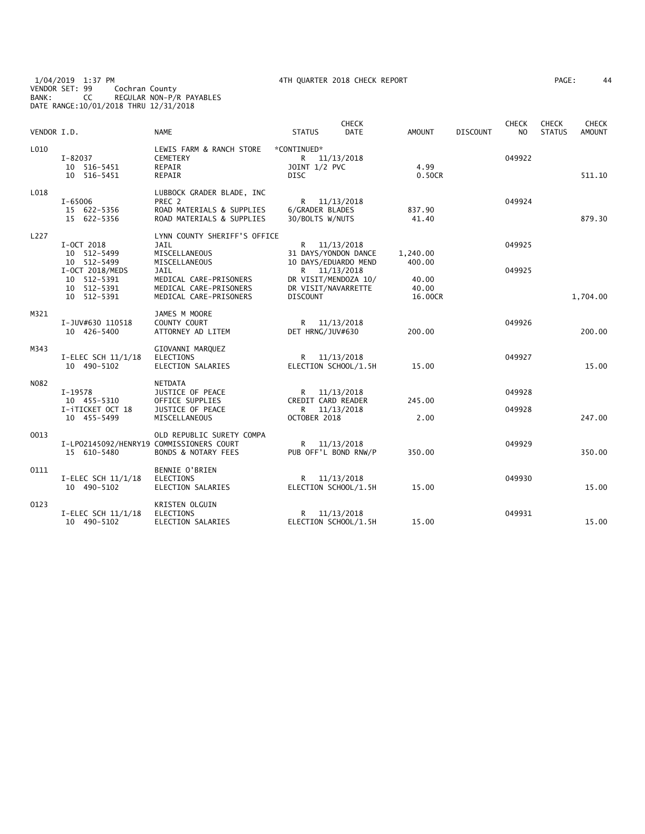1/04/2019 1:37 PM 4TH QUARTER 2018 CHECK REPORT PAGE: 44 VENDOR SET: 99 Cochran County BANK: CC REGULAR NON-P/R PAYABLES DATE RANGE:10/01/2018 THRU 12/31/2018

| AGE: | 44 |
|------|----|
|      |    |

| VENDOR I.D. |                                          | <b>NAME</b>                    | <b>STATUS</b>                          | <b>CHECK</b><br><b>DATE</b> | <b>AMOUNT</b>    | <b>DISCOUNT</b> | <b>CHECK</b><br>N <sub>O</sub> | <b>CHECK</b><br><b>STATUS</b> | <b>CHECK</b><br>AMOUNT |
|-------------|------------------------------------------|--------------------------------|----------------------------------------|-----------------------------|------------------|-----------------|--------------------------------|-------------------------------|------------------------|
| L010        |                                          | LEWIS FARM & RANCH STORE       | *CONTINUED*                            |                             |                  |                 |                                |                               |                        |
|             | $I - 82037$                              | CEMETERY                       |                                        | R 11/13/2018                |                  |                 | 049922                         |                               |                        |
|             | 10 516-5451                              | REPAIR                         | JOINT 1/2 PVC                          |                             | 4.99             |                 |                                |                               |                        |
|             | 10 516-5451                              | REPAIR                         | <b>DISC</b>                            |                             | 0.50CR           |                 |                                |                               | 511.10                 |
| L018        |                                          | LUBBOCK GRADER BLADE, INC      |                                        |                             |                  |                 |                                |                               |                        |
|             | I-65006                                  | PREC 2                         |                                        | R 11/13/2018                |                  |                 | 049924                         |                               |                        |
|             | 15 622-5356                              | ROAD MATERIALS & SUPPLIES      | 6/GRADER BLADES                        |                             | 837.90           |                 |                                |                               |                        |
|             | 15 622-5356                              | ROAD MATERIALS & SUPPLIES      | 30/BOLTS W/NUTS                        |                             | 41.40            |                 |                                |                               | 879.30                 |
| L227        |                                          | LYNN COUNTY SHERIFF'S OFFICE   |                                        |                             |                  |                 |                                |                               |                        |
|             | I-OCT 2018                               | JAIL                           |                                        | R 11/13/2018                |                  |                 | 049925                         |                               |                        |
|             | 10 512-5499                              | MISCELLANEOUS                  |                                        | 31 DAYS/YONDON DANCE        | 1,240.00         |                 |                                |                               |                        |
|             | 10 512-5499                              | MISCELLANEOUS                  |                                        | 10 DAYS/EDUARDO MEND        | 400.00           |                 |                                |                               |                        |
|             | I-OCT 2018/MEDS                          | JAIL                           |                                        | R 11/13/2018                |                  |                 | 049925                         |                               |                        |
|             | 10 512-5391                              | MEDICAL CARE-PRISONERS         |                                        | DR VISIT/MENDOZA 10/        | 40.00            |                 |                                |                               |                        |
|             | 10 512-5391                              | MEDICAL CARE-PRISONERS         | DR VISIT/NAVARRETTE<br><b>DISCOUNT</b> |                             | 40.00<br>16,00CR |                 |                                |                               |                        |
|             | 10 512-5391                              | MEDICAL CARE-PRISONERS         |                                        |                             |                  |                 |                                |                               | 1,704.00               |
| M321        |                                          | JAMES M MOORE                  |                                        |                             |                  |                 |                                |                               |                        |
|             | I-JUV#630 110518                         | COUNTY COURT                   |                                        | R 11/13/2018                |                  |                 | 049926                         |                               |                        |
|             | 10 426-5400                              | ATTORNEY AD LITEM              | DET HRNG/JUV#630                       |                             | 200.00           |                 |                                |                               | 200.00                 |
| M343        |                                          | GIOVANNI MARQUEZ               |                                        |                             |                  |                 |                                |                               |                        |
|             | I-ELEC SCH $11/1/18$                     | ELECTIONS                      |                                        | R 11/13/2018                |                  |                 | 049927                         |                               |                        |
|             | 10 490-5102                              | ELECTION SALARIES              |                                        | ELECTION SCHOOL/1.5H        | 15.00            |                 |                                |                               | 15.00                  |
| N082        |                                          | <b>NETDATA</b>                 |                                        |                             |                  |                 |                                |                               |                        |
|             | I-19578                                  | JUSTICE OF PEACE               |                                        | R 11/13/2018                |                  |                 | 049928                         |                               |                        |
|             | 10 455-5310                              | OFFICE SUPPLIES                | CREDIT CARD READER                     |                             | 245.00           |                 |                                |                               |                        |
|             | I-iTICKET OCT 18                         | JUSTICE OF PEACE               | R                                      | 11/13/2018                  |                  |                 | 049928                         |                               |                        |
|             | 10 455-5499                              | MISCELLANEOUS                  | OCTOBER 2018                           |                             | 2.00             |                 |                                |                               | 247.00                 |
| 0013        |                                          | OLD REPUBLIC SURETY COMPA      |                                        |                             |                  |                 |                                |                               |                        |
|             | I-LP02145092/HENRY19 COMMISSIONERS COURT |                                |                                        | R 11/13/2018                |                  |                 | 049929                         |                               |                        |
|             | 15 610-5480                              | <b>BONDS &amp; NOTARY FEES</b> | PUB OFF'L BOND RNW/P                   |                             | 350.00           |                 |                                |                               | 350.00                 |
| 0111        |                                          | <b>BENNIE O'BRIEN</b>          |                                        |                             |                  |                 |                                |                               |                        |
|             | I-ELEC SCH 11/1/18                       | <b>ELECTIONS</b>               |                                        | R 11/13/2018                |                  |                 | 049930                         |                               |                        |
|             | 10 490-5102                              | ELECTION SALARIES              |                                        | ELECTION SCHOOL/1.5H        | 15.00            |                 |                                |                               | 15.00                  |
| 0123        |                                          | KRISTEN OLGUIN                 |                                        |                             |                  |                 |                                |                               |                        |
|             | I-ELEC SCH 11/1/18                       | <b>ELECTIONS</b>               |                                        | R 11/13/2018                |                  |                 | 049931                         |                               |                        |
|             | 10 490-5102                              | ELECTION SALARIES              |                                        | ELECTION SCHOOL/1.5H        | 15.00            |                 |                                |                               | 15.00                  |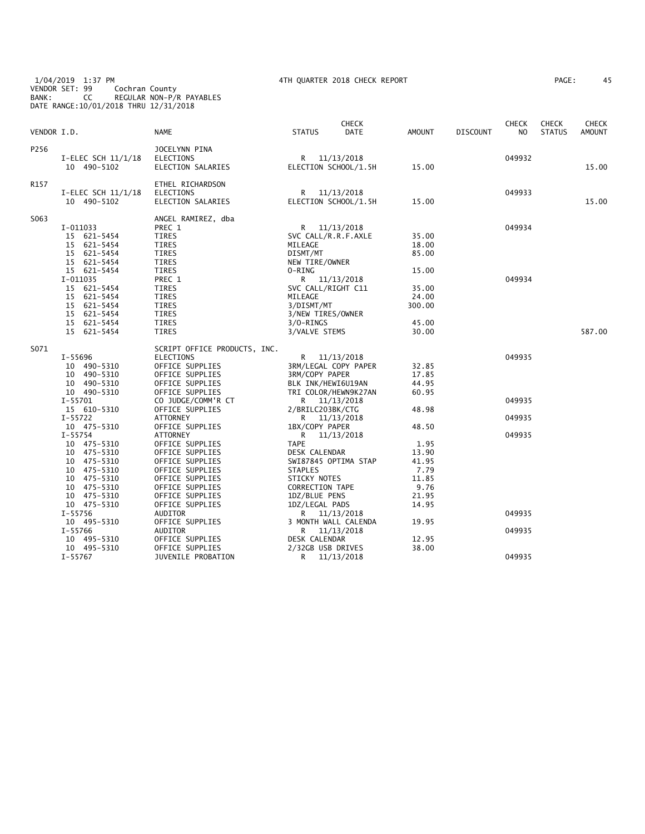1/04/2019 1:37 PM 4TH QUARTER 2018 CHECK REPORT PAGE: 45 VENDOR SET: 99 Cochran County BANK: CC REGULAR NON-P/R PAYABLES DATE RANGE:10/01/2018 THRU 12/31/2018

| PAGE :<br>45 |
|--------------|
|              |

| VENDOR I.D. |                                                                                                                                                                                         | <b>NAME</b>                                                                                                                                                                                                                         | <b>STATUS</b>                                                                                                                                                                                                           | <b>CHECK</b><br>DATE               | AMOUNT                                                                              | DISCOUNT | <b>CHECK</b><br>NO         | <b>CHECK</b><br><b>STATUS</b> | CHECK<br><b>AMOUNT</b> |
|-------------|-----------------------------------------------------------------------------------------------------------------------------------------------------------------------------------------|-------------------------------------------------------------------------------------------------------------------------------------------------------------------------------------------------------------------------------------|-------------------------------------------------------------------------------------------------------------------------------------------------------------------------------------------------------------------------|------------------------------------|-------------------------------------------------------------------------------------|----------|----------------------------|-------------------------------|------------------------|
| P256        | $I-ELEC SCH$ 11/1/18<br>10 490-5102                                                                                                                                                     | JOCELYNN PINA<br><b>ELECTIONS</b><br>ELECTION SALARIES                                                                                                                                                                              | R<br>ELECTION SCHOOL/1.5H                                                                                                                                                                                               | 11/13/2018                         | 15.00                                                                               |          | 049932                     |                               | 15.00                  |
| R157        | I-ELEC SCH 11/1/18<br>10 490-5102                                                                                                                                                       | ETHEL RICHARDSON<br><b>ELECTIONS</b><br>ELECTION SALARIES                                                                                                                                                                           | R<br>ELECTION SCHOOL/1.5H                                                                                                                                                                                               | 11/13/2018                         | 15.00                                                                               |          | 049933                     |                               | 15.00                  |
| S063        | I-011033<br>15 621-5454<br>15 621-5454<br>15 621-5454<br>15 621-5454<br>15 621-5454                                                                                                     | ANGEL RAMIREZ, dba<br>PREC 1<br>TIRES<br>TIRES<br>TIRES<br>TIRES<br><b>TIRES</b>                                                                                                                                                    | R 11/13/2018<br>SVC CALL/R.R.F.AXLE<br>MILEAGE<br>DISMT/MT<br>NEW TIRE/OWNER<br>0-RING                                                                                                                                  |                                    | 35.00<br>18.00<br>85.00<br>15.00                                                    |          | 049934                     |                               |                        |
|             | I-011035<br>15 621-5454<br>15 621-5454<br>15 621-5454<br>15 621-5454<br>15 621-5454<br>15 621-5454                                                                                      | PREC 1<br>TIRES<br><b>TIRES</b><br><b>TIRES</b><br>TIRES<br><b>TIRES</b><br>TIRES                                                                                                                                                   | R 11/13/2018<br>SVC CALL/RIGHT C11<br>MILEAGE<br>3/DISMT/MT<br>3/NEW TIRES/OWNER<br>$3/0 - RINGS$<br>3/VALVE STEMS                                                                                                      |                                    | 35.00<br>24.00<br>300.00<br>45.00<br>30.00                                          |          | 049934                     |                               | 587.00                 |
| S071        | I-55696<br>10 490-5310<br>10 490-5310<br>10 490-5310<br>10 490-5310<br>$I-55701$                                                                                                        | SCRIPT OFFICE PRODUCTS, INC.<br><b>ELECTIONS</b><br>OFFICE SUPPLIES<br>OFFICE SUPPLIES<br>OFFICE SUPPLIES<br>OFFICE SUPPLIES<br>CO JUDGE/COMM'R CT                                                                                  | R.<br>3RM/COPY PAPER<br>BLK INK/HEWI6U19AN<br>TRI COLOR/HEWN9K27AN<br>R 11/13/2018                                                                                                                                      | 11/13/2018<br>3RM/LEGAL COPY PAPER | 32.85<br>17.85<br>44.95<br>60.95                                                    |          | 049935<br>049935           |                               |                        |
|             | 15 610-5310<br>I-55722                                                                                                                                                                  | OFFICE SUPPLIES<br>ATTORNEY                                                                                                                                                                                                         | 2/BRILC203BK/CTG<br>R                                                                                                                                                                                                   | 11/13/2018                         | 48.98                                                                               |          | 049935                     |                               |                        |
|             | 10 475-5310<br>$I-55754$<br>10 475-5310<br>10 475-5310<br>10 475-5310<br>10 475-5310<br>10 475-5310<br>10 475-5310<br>10 475-5310<br>10 475-5310<br>$I-55756$<br>10 495-5310<br>I-55766 | OFFICE SUPPLIES<br><b>ATTORNEY</b><br>OFFICE SUPPLIES<br>OFFICE SUPPLIES<br>OFFICE SUPPLIES<br>OFFICE SUPPLIES<br>OFFICE SUPPLIES<br>OFFICE SUPPLIES<br>OFFICE SUPPLIES<br>OFFICE SUPPLIES<br>AUDITOR<br>OFFICE SUPPLIES<br>AUDITOR | 1BX/COPY PAPER<br>R<br><b>TAPE</b><br>DESK CALENDAR<br>SWI87845 OPTIMA STAP<br><b>STAPLES</b><br>STICKY NOTES<br><b>CORRECTION TAPE</b><br>1DZ/BLUE PENS<br>1DZ/LEGAL PADS<br>R 11/13/2018<br>3 MONTH WALL CALENDA<br>R | 11/13/2018<br>11/13/2018           | 48.50<br>1.95<br>13.90<br>41.95<br>7.79<br>11.85<br>9.76<br>21.95<br>14.95<br>19.95 |          | 049935<br>049935<br>049935 |                               |                        |
|             | 10 495-5310<br>10 495-5310<br>$I-55767$                                                                                                                                                 | OFFICE SUPPLIES<br>OFFICE SUPPLIES<br>JUVENILE PROBATION                                                                                                                                                                            | DESK CALENDAR<br>2/32GB USB DRIVES<br>R                                                                                                                                                                                 | 11/13/2018                         | 12.95<br>38.00                                                                      |          | 049935                     |                               |                        |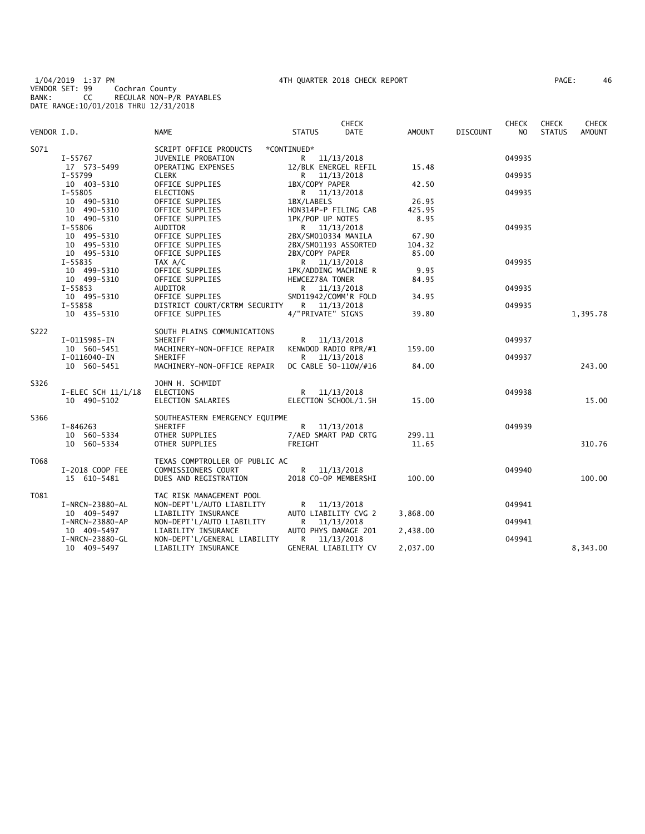1/04/2019 1:37 PM 4TH QUARTER 2018 CHECK REPORT PAGE: 46 VENDOR SET: 99 Cochran County BANK: CC REGULAR NON-P/R PAYABLES DATE RANGE:10/01/2018 THRU 12/31/2018

| PAGE : | 46 |  |
|--------|----|--|
|--------|----|--|

|             |                    |                                           |                      | <b>CHECK</b>         |               |                 | <b>CHECK</b> | <b>CHECK</b>  | <b>CHECK</b>  |
|-------------|--------------------|-------------------------------------------|----------------------|----------------------|---------------|-----------------|--------------|---------------|---------------|
| VENDOR I.D. |                    | <b>NAME</b>                               | <b>STATUS</b>        | <b>DATE</b>          | <b>AMOUNT</b> | <b>DISCOUNT</b> | NO.          | <b>STATUS</b> | <b>AMOUNT</b> |
| S071        |                    | SCRIPT OFFICE PRODUCTS                    | *CONTINUED*          |                      |               |                 |              |               |               |
|             | I-55767            | JUVENILE PROBATION                        | R 11/13/2018         |                      |               |                 | 049935       |               |               |
|             | 17 573-5499        | OPERATING EXPENSES                        | 12/BLK ENERGEL REFIL |                      | 15.48         |                 |              |               |               |
|             | I-55799            | <b>CLERK</b>                              | R.                   | 11/13/2018           |               |                 | 049935       |               |               |
|             | 10 403-5310        | OFFICE SUPPLIES                           | 1BX/COPY PAPER       |                      | 42.50         |                 |              |               |               |
|             | $I - 55805$        | <b>ELECTIONS</b>                          | R 11/13/2018         |                      |               |                 | 049935       |               |               |
|             | 10 490-5310        | OFFICE SUPPLIES                           | 1BX/LABELS           |                      | 26.95         |                 |              |               |               |
|             | 10 490-5310        | OFFICE SUPPLIES                           | HON314P-P FILING CAB |                      | 425.95        |                 |              |               |               |
|             | 10 490-5310        | OFFICE SUPPLIES                           | 1PK/POP UP NOTES     |                      | 8.95          |                 |              |               |               |
|             | I-55806            | <b>AUDITOR</b>                            | R 11/13/2018         |                      |               |                 | 049935       |               |               |
|             | 10 495-5310        | OFFICE SUPPLIES                           | 2BX/SM010334 MANILA  |                      | 67.90         |                 |              |               |               |
|             | 10 495-5310        | OFFICE SUPPLIES                           | 2BX/SM01193 ASSORTED |                      | 104.32        |                 |              |               |               |
|             | 10 495-5310        | OFFICE SUPPLIES                           | 2BX/COPY PAPER       |                      | 85.00         |                 |              |               |               |
|             | $I - 55835$        | TAX A/C                                   | R 11/13/2018         |                      |               |                 | 049935       |               |               |
|             | 10 499-5310        | OFFICE SUPPLIES                           | 1PK/ADDING MACHINE R |                      | 9.95          |                 |              |               |               |
|             | 10 499-5310        | OFFICE SUPPLIES                           | HEWCEZ78A TONER      |                      | 84.95         |                 |              |               |               |
|             | I-55853            | AUDITOR                                   | R 11/13/2018         |                      |               |                 | 049935       |               |               |
|             | 10 495-5310        | OFFICE SUPPLIES                           | SMD11942/COMM'R FOLD |                      | 34.95         |                 |              |               |               |
|             | I-55858            | DISTRICT COURT/CRTRM SECURITY             | R 11/13/2018         |                      |               |                 | 049935       |               |               |
|             | 10 435-5310        | OFFICE SUPPLIES                           | 4/"PRIVATE" SIGNS    |                      | 39.80         |                 |              |               | 1,395.78      |
| S222        |                    | SOUTH PLAINS COMMUNICATIONS               |                      |                      |               |                 |              |               |               |
|             | I-0115985-IN       | SHERIFF                                   | R 11/13/2018         |                      |               |                 | 049937       |               |               |
|             | 10 560-5451        | MACHINERY-NON-OFFICE REPAIR               | KENWOOD RADIO RPR/#1 |                      | 159.00        |                 |              |               |               |
|             | $I-0116040-IN$     | <b>SHERIFF</b>                            | R 11/13/2018         |                      |               |                 | 049937       |               |               |
|             | 10 560-5451        | MACHINERY-NON-OFFICE REPAIR               | DC CABLE 50-110W/#16 |                      | 84.00         |                 |              |               | 243.00        |
| S326        |                    | JOHN H. SCHMIDT                           |                      |                      |               |                 |              |               |               |
|             | I-ELEC SCH 11/1/18 | <b>ELECTIONS</b>                          | R 11/13/2018         |                      |               |                 | 049938       |               |               |
|             | 10 490-5102        | ELECTION SALARIES                         |                      | ELECTION SCHOOL/1.5H | 15.00         |                 |              |               | 15.00         |
| S366        |                    |                                           |                      |                      |               |                 |              |               |               |
|             | I-846263           | SOUTHEASTERN EMERGENCY EQUIPME<br>SHERIFF | R 11/13/2018         |                      |               |                 | 049939       |               |               |
|             | 10 560-5334        | OTHER SUPPLIES                            | 7/AED SMART PAD CRTG |                      | 299.11        |                 |              |               |               |
|             | 10 560-5334        | OTHER SUPPLIES                            | FREIGHT              |                      | 11.65         |                 |              |               | 310.76        |
|             |                    |                                           |                      |                      |               |                 |              |               |               |
| T068        |                    | TEXAS COMPTROLLER OF PUBLIC AC            |                      |                      |               |                 |              |               |               |
|             | I-2018 COOP FEE    | COMMISSIONERS COURT                       | R 11/13/2018         |                      |               |                 | 049940       |               |               |
|             | 15 610-5481        | DUES AND REGISTRATION                     | 2018 CO-OP MEMBERSHI |                      | 100.00        |                 |              |               | 100.00        |
| T081        |                    | TAC RISK MANAGEMENT POOL                  |                      |                      |               |                 |              |               |               |
|             | I-NRCN-23880-AL    | NON-DEPT'L/AUTO LIABILITY                 | R 11/13/2018         |                      |               |                 | 049941       |               |               |
|             | 10 409-5497        | LIABILITY INSURANCE                       | AUTO LIABILITY CVG 2 |                      | 3,868.00      |                 |              |               |               |
|             | I-NRCN-23880-AP    | NON-DEPT'L/AUTO LIABILITY                 | R                    | 11/13/2018           |               |                 | 049941       |               |               |
|             | 10 409-5497        | LIABILITY INSURANCE                       | AUTO PHYS DAMAGE 201 |                      | 2,438.00      |                 |              |               |               |
|             | I-NRCN-23880-GL    | NON-DEPT'L/GENERAL LIABILITY              | R 11/13/2018         |                      |               |                 | 049941       |               |               |
|             | 10 409-5497        | LIABILITY INSURANCE                       | GENERAL LIABILITY CV |                      | 2,037.00      |                 |              |               | 8,343.00      |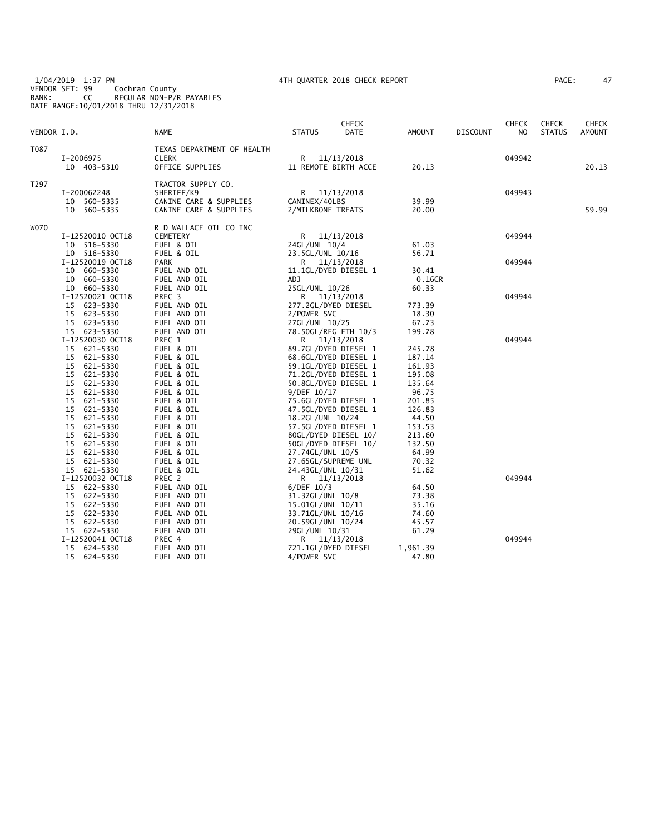1/04/2019 1:37 PM 4TH QUARTER 2018 CHECK REPORT PAGE: 47 VENDOR SET: 99 Cochran County BANK: CC REGULAR NON-P/R PAYABLES DATE RANGE:10/01/2018 THRU 12/31/2018

| AGE: | 47 |
|------|----|
|------|----|

| VENDOR I.D. |                            | NAME                                       | <b>STATUS</b>                          | <b>CHECK</b><br>DATE                 | AMOUNT         | <b>DISCOUNT</b> | <b>CHECK</b><br>NO. | <b>CHECK</b><br><b>STATUS</b> | <b>CHECK</b><br><b>AMOUNT</b> |
|-------------|----------------------------|--------------------------------------------|----------------------------------------|--------------------------------------|----------------|-----------------|---------------------|-------------------------------|-------------------------------|
|             |                            |                                            |                                        |                                      |                |                 |                     |                               |                               |
| T087        |                            | TEXAS DEPARTMENT OF HEALTH<br><b>CLERK</b> |                                        |                                      |                |                 | 049942              |                               |                               |
|             | I-2006975<br>10 403-5310   | OFFICE SUPPLIES                            |                                        | R 11/13/2018<br>11 REMOTE BIRTH ACCE | 20.13          |                 |                     |                               | 20.13                         |
|             |                            |                                            |                                        |                                      |                |                 |                     |                               |                               |
| T297        |                            | TRACTOR SUPPLY CO.                         |                                        |                                      |                |                 |                     |                               |                               |
|             | I-200062248                | SHERIFF/K9                                 |                                        | R 11/13/2018                         |                |                 | 049943              |                               |                               |
|             | 10 560-5335                | CANINE CARE & SUPPLIES                     | CANINEX/40LBS                          |                                      | 39.99          |                 |                     |                               |                               |
|             | 10 560-5335                | CANINE CARE & SUPPLIES                     | 2/MILKBONE TREATS                      |                                      | 20.00          |                 |                     |                               | 59.99                         |
| W070        |                            | R D WALLACE OIL CO INC                     |                                        |                                      |                |                 |                     |                               |                               |
|             | I-12520010 OCT18           | <b>CEMETERY</b>                            |                                        | R 11/13/2018                         |                |                 | 049944              |                               |                               |
|             | 10 516-5330                | FUEL & OIL                                 | 24GL/UNL 10/4                          |                                      | 61.03          |                 |                     |                               |                               |
|             | 10 516-5330                | FUEL & OIL                                 | 23.5GL/UNL 10/16                       |                                      | 56.71          |                 |                     |                               |                               |
|             | I-12520019 OCT18           | <b>PARK</b>                                |                                        | R 11/13/2018                         |                |                 | 049944              |                               |                               |
|             | 10 660-5330                | FUEL AND OIL                               |                                        | 11.1GL/DYED DIESEL 1                 | 30.41          |                 |                     |                               |                               |
|             | 10 660-5330                | FUEL AND OIL                               | ADJ                                    |                                      | 0.16CR         |                 |                     |                               |                               |
|             | 10 660-5330                | FUEL AND OIL                               | 25GL/UNL 10/26                         |                                      | 60.33          |                 |                     |                               |                               |
|             | I-12520021 OCT18           | PREC 3                                     |                                        | R 11/13/2018                         |                |                 | 049944              |                               |                               |
|             | 15 623-5330                | FUEL AND OIL                               | 277.2GL/DYED DIESEL                    |                                      | 773.39         |                 |                     |                               |                               |
|             | 15 623-5330                | FUEL AND OIL                               | 2/POWER SVC                            |                                      | 18.30          |                 |                     |                               |                               |
|             | 15 623-5330                | FUEL AND OIL                               | 27GL/UNL 10/25                         |                                      | 67.73          |                 |                     |                               |                               |
|             | 15 623-5330                | FUEL AND OIL                               |                                        | 78.50GL/REG ETH 10/3                 | 199.78         |                 |                     |                               |                               |
|             | I-12520030 OCT18           | PREC 1                                     |                                        | R 11/13/2018                         |                |                 | 049944              |                               |                               |
|             | 15 621-5330                | FUEL & OIL                                 |                                        | 89.7GL/DYED DIESEL 1                 | 245.78         |                 |                     |                               |                               |
|             | 15 621-5330                | FUEL & OIL                                 |                                        | 68.6GL/DYED DIESEL 1                 | 187.14         |                 |                     |                               |                               |
|             | 15 621-5330                | FUEL & OIL                                 |                                        | 59.1GL/DYED DIESEL 1                 | 161.93         |                 |                     |                               |                               |
|             | 15 621-5330                | FUEL & OIL                                 |                                        | 71.2GL/DYED DIESEL 1                 | 195.08         |                 |                     |                               |                               |
|             | 15 621-5330                | FUEL & OIL                                 |                                        | 50.8GL/DYED DIESEL 1                 | 135.64         |                 |                     |                               |                               |
|             | 15<br>621-5330             | FUEL & OIL                                 | 9/DEF 10/17                            |                                      | 96.75          |                 |                     |                               |                               |
|             | 15 621-5330                | FUEL & OIL                                 |                                        | 75.6GL/DYED DIESEL 1                 | 201.85         |                 |                     |                               |                               |
|             | 621-5330<br>15             | FUEL & OIL                                 |                                        | 47.5GL/DYED DIESEL 1                 | 126.83         |                 |                     |                               |                               |
|             | 15 621-5330                | FUEL & OIL                                 | 18.2GL/UNL 10/24                       |                                      | 44.50          |                 |                     |                               |                               |
|             | 15 621-5330                | FUEL & OIL                                 |                                        | 57.5GL/DYED DIESEL 1                 | 153.53         |                 |                     |                               |                               |
|             | 15 621-5330                | FUEL & OIL                                 |                                        | 80GL/DYED DIESEL 10/                 | 213.60         |                 |                     |                               |                               |
|             | 621-5330<br>15             | FUEL & OIL                                 |                                        | 50GL/DYED DIESEL 10/                 | 132.50         |                 |                     |                               |                               |
|             | 15 621-5330                | FUEL & OIL                                 | 27.74GL/UNL 10/5                       |                                      | 64.99          |                 |                     |                               |                               |
|             | 15 621-5330                | FUEL & OIL                                 | 27.65GL/SUPREME UNL                    |                                      | 70.32          |                 |                     |                               |                               |
|             | 15 621-5330                | FUEL & OIL                                 | 24.43GL/UNL 10/31                      |                                      | 51.62          |                 |                     |                               |                               |
|             | I-12520032 OCT18           | PREC 2                                     |                                        | R 11/13/2018                         |                |                 | 049944              |                               |                               |
|             | 15 622-5330                | FUEL AND OIL                               | $6/DEF$ 10/3                           |                                      | 64.50          |                 |                     |                               |                               |
|             | 15 622-5330<br>15 622-5330 | FUEL AND OIL                               | 31.32GL/UNL 10/8                       |                                      | 73.38<br>35.16 |                 |                     |                               |                               |
|             |                            | FUEL AND OIL                               | 15.01GL/UNL 10/11                      |                                      |                |                 |                     |                               |                               |
|             | 15 622-5330<br>15 622-5330 | FUEL AND OIL<br>FUEL AND OIL               | 33.71GL/UNL 10/16<br>20.59GL/UNL 10/24 |                                      | 74.60<br>45.57 |                 |                     |                               |                               |
|             | 15 622-5330                | FUEL AND OIL                               | 29GL/UNL 10/31                         |                                      | 61.29          |                 |                     |                               |                               |
|             | I-12520041 OCT18           | PREC 4                                     |                                        | R 11/13/2018                         |                |                 | 049944              |                               |                               |
|             | 15 624-5330                | FUEL AND OIL                               | 721.1GL/DYED DIESEL                    |                                      | 1,961.39       |                 |                     |                               |                               |
|             | 15 624-5330                | FUEL AND OIL                               | 4/POWER SVC                            |                                      | 47.80          |                 |                     |                               |                               |
|             |                            |                                            |                                        |                                      |                |                 |                     |                               |                               |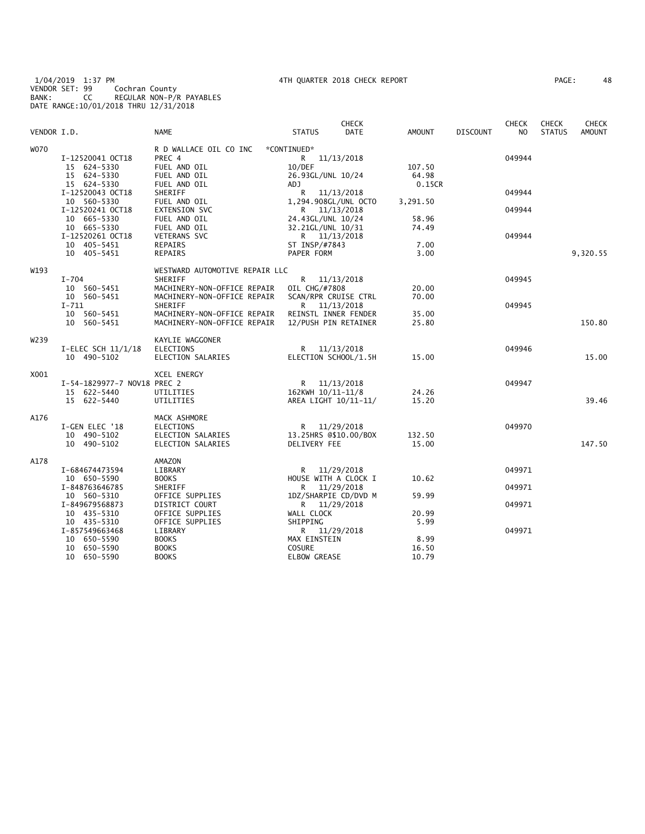1/04/2019 1:37 PM 4TH QUARTER 2018 CHECK REPORT PAGE: 48 VENDOR SET: 99 Cochran County BANK: CC REGULAR NON-P/R PAYABLES DATE RANGE:10/01/2018 THRU 12/31/2018

| PAGE: | 48 |
|-------|----|
|-------|----|

| VENDOR I.D. |                                                                            | <b>NAME</b>                                                                                          | <b>STATUS</b>                                                                        | <b>CHECK</b><br><b>DATE</b> | <b>AMOUNT</b>             | <b>DISCOUNT</b> | <b>CHECK</b><br>N <sub>O</sub> | <b>CHECK</b><br><b>STATUS</b> | <b>CHECK</b><br><b>AMOUNT</b> |
|-------------|----------------------------------------------------------------------------|------------------------------------------------------------------------------------------------------|--------------------------------------------------------------------------------------|-----------------------------|---------------------------|-----------------|--------------------------------|-------------------------------|-------------------------------|
| <b>WO70</b> | I-12520041 OCT18<br>15 624-5330<br>15 624-5330<br>15 624-5330              | R D WALLACE OIL CO INC<br>PREC 4<br>FUEL AND OIL<br>FUEL AND OIL<br>FUEL AND OIL                     | *CONTINUED*<br>R 11/13/2018<br>10/DEF<br>26.93GL/UNL 10/24<br>ADJ.                   |                             | 107.50<br>64.98<br>0.15CR |                 | 049944                         |                               |                               |
|             | I-12520043 OCT18<br>10 560-5330                                            | SHERIFF<br>FUEL AND OIL                                                                              | 11/13/2018<br>R<br>1,294.908GL/UNL OCTO                                              |                             | 3,291.50                  |                 | 049944                         |                               |                               |
|             | I-12520241 OCT18<br>10 665-5330<br>10 665-5330                             | <b>EXTENSION SVC</b><br>FUEL AND OIL<br>FUEL AND OIL                                                 | R 11/13/2018<br>24.43GL/UNL 10/24<br>32.21GL/UNL 10/31                               |                             | 58.96<br>74.49            |                 | 049944                         |                               |                               |
|             | I-12520261 OCT18<br>10 405-5451                                            | <b>VETERANS SVC</b><br>REPAIRS                                                                       | R 11/13/2018<br>ST INSP/#7843                                                        |                             | 7.00                      |                 | 049944                         |                               |                               |
|             | 10 405-5451                                                                | <b>REPAIRS</b>                                                                                       | PAPER FORM                                                                           |                             | 3.00                      |                 |                                |                               | 9,320.55                      |
| W193        | $I-704$<br>10 560-5451                                                     | WESTWARD AUTOMOTIVE REPAIR LLC<br>SHERIFF<br>MACHINERY-NON-OFFICE REPAIR                             | R 11/13/2018<br>OIL CHG/#7808                                                        |                             | 20.00                     |                 | 049945                         |                               |                               |
|             | 10 560-5451<br>$I - 711$<br>10 560-5451<br>10 560-5451                     | MACHINERY-NON-OFFICE REPAIR<br>SHERIFF<br>MACHINERY-NON-OFFICE REPAIR<br>MACHINERY-NON-OFFICE REPAIR | SCAN/RPR CRUISE CTRL<br>R 11/13/2018<br>REINSTL INNER FENDER<br>12/PUSH PIN RETAINER |                             | 70.00<br>35.00<br>25.80   |                 | 049945                         |                               | 150.80                        |
| W239        |                                                                            | KAYLIE WAGGONER                                                                                      |                                                                                      |                             |                           |                 |                                |                               |                               |
|             | I-ELEC SCH 11/1/18<br>10 490-5102                                          | <b>ELECTIONS</b><br>ELECTION SALARIES                                                                | R<br>ELECTION SCHOOL/1.5H                                                            | 11/13/2018                  | 15.00                     |                 | 049946                         |                               | 15.00                         |
| X001        | I-54-1829977-7 NOV18 PREC 2<br>15 622-5440<br>15 622-5440                  | <b>XCEL ENERGY</b><br>UTILITIES<br>UTILITIES                                                         | R 11/13/2018<br>162KWH 10/11-11/8<br>AREA LIGHT 10/11-11/                            |                             | 24.26<br>15.20            |                 | 049947                         |                               | 39.46                         |
| A176        | I-GEN ELEC '18<br>10 490-5102<br>10 490-5102                               | MACK ASHMORE<br><b>ELECTIONS</b><br>ELECTION SALARIES<br>ELECTION SALARIES                           | R<br>13.25HRS @\$10.00/BOX<br>DELIVERY FEE                                           | 11/29/2018                  | 132.50<br>15.00           |                 | 049970                         |                               | 147.50                        |
| A178        |                                                                            | AMAZON                                                                                               |                                                                                      |                             |                           |                 |                                |                               |                               |
|             | I-684674473594<br>10 650-5590                                              | LIBRARY<br><b>BOOKS</b>                                                                              | R<br>HOUSE WITH A CLOCK I                                                            | 11/29/2018                  | 10.62                     |                 | 049971                         |                               |                               |
|             | I-848763646785<br>10 560-5310                                              | SHERIFF<br>OFFICE SUPPLIES                                                                           | R<br>1DZ/SHARPIE CD/DVD M                                                            | 11/29/2018                  | 59.99                     |                 | 049971                         |                               |                               |
|             | I-849679568873<br>10 435-5310                                              | DISTRICT COURT<br>OFFICE SUPPLIES                                                                    | R 11/29/2018<br>WALL CLOCK<br>SHIPPING                                               |                             | 20.99<br>5.99             |                 | 049971                         |                               |                               |
|             | 10 435-5310<br>I-857549663468<br>10 650-5590<br>10 650-5590<br>10 650-5590 | OFFICE SUPPLIES<br>LIBRARY<br><b>BOOKS</b><br><b>BOOKS</b><br><b>BOOKS</b>                           | R 11/29/2018<br>MAX EINSTEIN<br><b>COSURE</b><br><b>ELBOW GREASE</b>                 |                             | 8.99<br>16.50<br>10.79    |                 | 049971                         |                               |                               |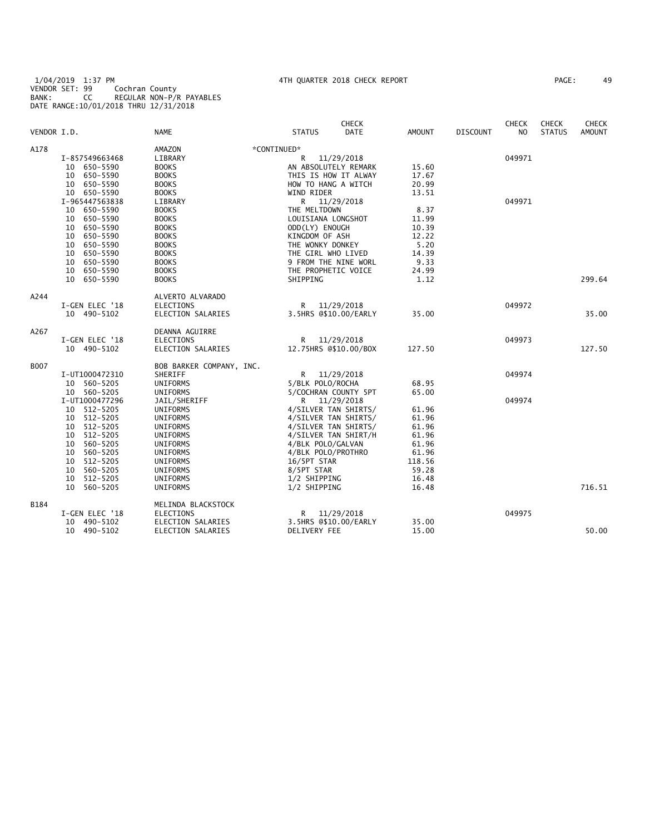## 1/04/2019 1:37 PM 4TH QUARTER 2018 CHECK REPORT PAGE: 49 VENDOR SET: 99 Cochran County BANK: CC REGULAR NON-P/R PAYABLES DATE RANGE:10/01/2018 THRU 12/31/2018

|             |                            |                                 |                                              | <b>CHECK</b> |                |                 | <b>CHECK</b>   | <b>CHECK</b>  | <b>CHECK</b>  |
|-------------|----------------------------|---------------------------------|----------------------------------------------|--------------|----------------|-----------------|----------------|---------------|---------------|
| VENDOR I.D. |                            | <b>NAME</b>                     | <b>STATUS</b>                                | <b>DATE</b>  | <b>AMOUNT</b>  | <b>DISCOUNT</b> | N <sub>O</sub> | <b>STATUS</b> | <b>AMOUNT</b> |
| A178        |                            | AMAZON                          | *CONTINUED*                                  |              |                |                 |                |               |               |
|             | I-857549663468             | LIBRARY                         | R                                            | 11/29/2018   |                |                 | 049971         |               |               |
|             | 10 650-5590                | <b>BOOKS</b>                    | AN ABSOLUTELY REMARK                         |              | 15.60          |                 |                |               |               |
|             | 10 650-5590                | <b>BOOKS</b>                    | THIS IS HOW IT ALWAY                         |              | 17.67          |                 |                |               |               |
|             | 10 650-5590                | <b>BOOKS</b>                    | HOW TO HANG A WITCH                          |              | 20.99          |                 |                |               |               |
|             | 10 650-5590                | <b>BOOKS</b>                    | WIND RIDER                                   |              | 13.51          |                 |                |               |               |
|             | I-965447563838             | LIBRARY                         | R 11/29/2018                                 |              |                |                 | 049971         |               |               |
|             | 10 650-5590                | <b>BOOKS</b>                    | THE MELTDOWN                                 |              | 8.37           |                 |                |               |               |
|             | 10 650-5590                | <b>BOOKS</b>                    | LOUISIANA LONGSHOT                           |              | 11.99          |                 |                |               |               |
|             | 650–5590<br>10             | <b>BOOKS</b>                    | ODD(LY) ENOUGH                               |              | 10.39          |                 |                |               |               |
|             | 10 650-5590                | <b>BOOKS</b>                    | KINGDOM OF ASH                               |              | 12.22          |                 |                |               |               |
|             | 10 650-5590                | <b>BOOKS</b>                    | THE WONKY DONKEY                             |              | 5.20           |                 |                |               |               |
|             | 10 650-5590                | <b>BOOKS</b>                    | THE GIRL WHO LIVED                           |              | 14.39          |                 |                |               |               |
|             | 10 650-5590                | <b>BOOKS</b>                    | 9 FROM THE NINE WORL                         |              | 9.33           |                 |                |               |               |
|             | 10 650-5590                | <b>BOOKS</b>                    | THE PROPHETIC VOICE                          |              | 24.99          |                 |                |               |               |
|             | 10 650-5590                | <b>BOOKS</b>                    | SHIPPING                                     |              | 1.12           |                 |                |               | 299.64        |
| A244        |                            | ALVERTO ALVARADO                |                                              |              |                |                 |                |               |               |
|             | I-GEN ELEC '18             | ELECTIONS                       | R                                            | 11/29/2018   |                |                 | 049972         |               |               |
|             | 10 490-5102                | ELECTION SALARIES               | 3.5HRS @\$10.00/EARLY                        |              | 35.00          |                 |                |               | 35.00         |
| A267        |                            | DEANNA AGUIRRE                  |                                              |              |                |                 |                |               |               |
|             | I-GEN ELEC '18             | <b>ELECTIONS</b>                | R                                            | 11/29/2018   |                |                 | 049973         |               |               |
|             | 10 490-5102                | ELECTION SALARIES               | 12.75HRS @\$10.00/BOX                        |              | 127.50         |                 |                |               | 127.50        |
| B007        |                            | BOB BARKER COMPANY, INC.        |                                              |              |                |                 |                |               |               |
|             | I-UT1000472310             | SHERIFF                         | R                                            | 11/29/2018   |                |                 | 049974         |               |               |
|             | 10 560-5205                | UNIFORMS                        | 5/BLK POLO/ROCHA                             |              | 68.95          |                 |                |               |               |
|             | 10 560-5205                | UNIFORMS                        | 5/COCHRAN COUNTY 5PT                         |              | 65.00          |                 |                |               |               |
|             | I-UT1000477296             | JAIL/SHERIFF                    | R 11/29/2018                                 |              |                |                 | 049974         |               |               |
|             | 10 512-5205<br>10 512-5205 | UNIFORMS<br><b>UNIFORMS</b>     | 4/SILVER TAN SHIRTS/<br>4/SILVER TAN SHIRTS/ |              | 61.96<br>61.96 |                 |                |               |               |
|             | 10 512-5205                | <b>UNIFORMS</b>                 | 4/SILVER TAN SHIRTS/                         |              | 61.96          |                 |                |               |               |
|             | 10 512-5205                | <b>UNIFORMS</b>                 | 4/SILVER TAN SHIRT/H                         |              | 61.96          |                 |                |               |               |
|             | 560-5205<br>10             | <b>UNIFORMS</b>                 | 4/BLK POLO/GALVAN                            |              | 61.96          |                 |                |               |               |
|             | 10 560-5205                | UNIFORMS                        | 4/BLK POLO/PROTHRO                           |              | 61.96          |                 |                |               |               |
|             | 512-5205<br>10             | UNIFORMS                        | 16/5PT STAR                                  |              | 118.56         |                 |                |               |               |
|             | 10 560-5205                | UNIFORMS                        | 8/5PT STAR                                   |              | 59.28          |                 |                |               |               |
|             | 10 512-5205                | UNIFORMS                        | 1/2 SHIPPING                                 |              | 16.48          |                 |                |               |               |
|             |                            |                                 |                                              |              |                |                 |                |               | 716.51        |
|             | 10 560-5205                | UNIFORMS                        | 1/2 SHIPPING                                 |              | 16.48          |                 |                |               |               |
| <b>B184</b> | I-GEN ELEC '18             | MELINDA BLACKSTOCK<br>ELECTIONS | R                                            | 11/29/2018   |                |                 | 049975         |               |               |
|             | 10 490-5102                | ELECTION SALARIES               | 3.5HRS @\$10.00/EARLY                        |              | 35.00          |                 |                |               |               |
|             | 10 490-5102                | ELECTION SALARIES               | DELIVERY FEE                                 |              | 15.00          |                 |                |               | 50.00         |
|             |                            |                                 |                                              |              |                |                 |                |               |               |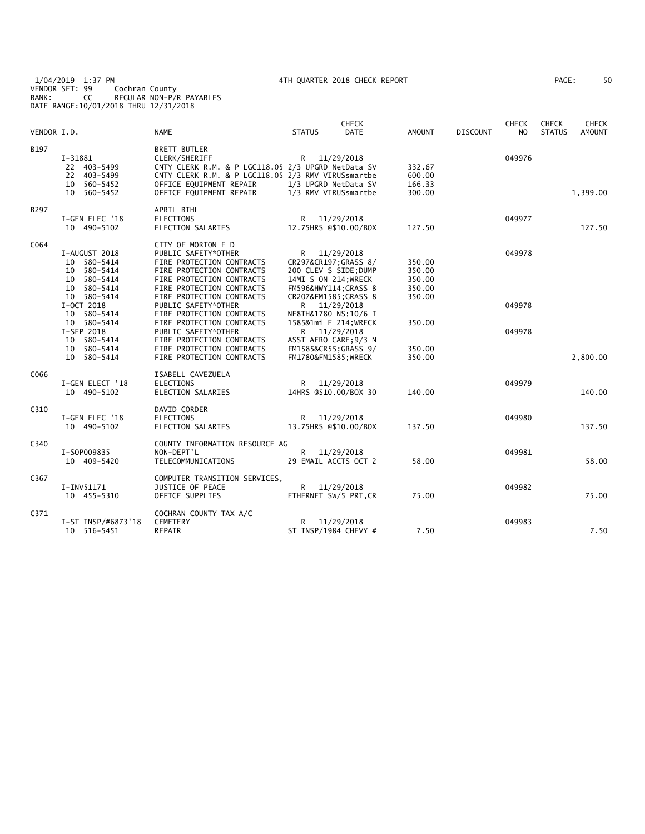1/04/2019 1:37 PM 4TH QUARTER 2018 CHECK REPORT PAGE: 50 VENDOR SET: 99 Cochran County BANK: CC REGULAR NON-P/R PAYABLES DATE RANGE:10/01/2018 THRU 12/31/2018

| 50<br>PAGE : |
|--------------|
|--------------|

| VENDOR I.D. |                                                                                                                                                                                                 | <b>NAME</b>                                                                                                                                                                                                                                                                                                                                                                               | <b>STATUS</b>                                                                                                                                                                                                                                                                                | <b>CHECK</b><br><b>DATE</b> | <b>AMOUNT</b>                                                                | <b>DISCOUNT</b> | <b>CHECK</b><br>N <sub>O</sub> | <b>CHECK</b><br><b>STATUS</b> | <b>CHECK</b><br><b>AMOUNT</b> |
|-------------|-------------------------------------------------------------------------------------------------------------------------------------------------------------------------------------------------|-------------------------------------------------------------------------------------------------------------------------------------------------------------------------------------------------------------------------------------------------------------------------------------------------------------------------------------------------------------------------------------------|----------------------------------------------------------------------------------------------------------------------------------------------------------------------------------------------------------------------------------------------------------------------------------------------|-----------------------------|------------------------------------------------------------------------------|-----------------|--------------------------------|-------------------------------|-------------------------------|
| B197        | I-31881<br>22 403-5499<br>22 403-5499<br>10 560-5452<br>10 560-5452                                                                                                                             | <b>BRETT BUTLER</b><br>CLERK/SHERIFF<br>CNTY CLERK R.M. & P LGC118.05 2/3 UPGRD NetData SV<br>CNTY CLERK R.M. & P LGC118.05 2/3 RMV VIRUSsmartbe<br>OFFICE EQUIPMENT REPAIR<br>OFFICE EQUIPMENT REPAIR                                                                                                                                                                                    | R 11/29/2018<br>1/3 UPGRD NetData SV<br>1/3 RMV VIRUSsmartbe                                                                                                                                                                                                                                 |                             | 332.67<br>600.00<br>166.33<br>300.00                                         |                 | 049976                         |                               | 1,399.00                      |
| B297        | I-GEN ELEC '18<br>10 490-5102                                                                                                                                                                   | APRIL BIHL<br><b>ELECTIONS</b><br>ELECTION SALARIES                                                                                                                                                                                                                                                                                                                                       | R 11/29/2018<br>12.75HRS @\$10.00/BOX                                                                                                                                                                                                                                                        |                             | 127.50                                                                       |                 | 049977                         |                               | 127.50                        |
| C064        | I-AUGUST 2018<br>10 580-5414<br>10 580-5414<br>10 580-5414<br>10 580-5414<br>10 580-5414<br>I-OCT 2018<br>10 580-5414<br>10 580-5414<br>I-SEP 2018<br>10 580-5414<br>10 580-5414<br>10 580-5414 | CITY OF MORTON F D<br>PUBLIC SAFETY*OTHER<br>FIRE PROTECTION CONTRACTS<br>FIRE PROTECTION CONTRACTS<br>FIRE PROTECTION CONTRACTS<br>FIRE PROTECTION CONTRACTS<br>FIRE PROTECTION CONTRACTS<br>PUBLIC SAFETY*OTHER<br>FIRE PROTECTION CONTRACTS<br>FIRE PROTECTION CONTRACTS<br>PUBLIC SAFETY*OTHER<br>FIRE PROTECTION CONTRACTS<br>FIRE PROTECTION CONTRACTS<br>FIRE PROTECTION CONTRACTS | R 11/29/2018<br>CR297&CR197 GRASS 8/<br>200 CLEV S SIDE; DUMP<br>14MI S ON 214; WRECK<br>FM596&HWY114 GRASS 8<br>CR207&FM1585GRASS 8<br>R 11/29/2018<br>NE8TH&1780 NS:10/6 I<br>1585&1mi E 214; WRECK<br>R 11/29/2018<br>ASST AERO CARE; 9/3 N<br>FM1585&CR55GRASS 9/<br>FM1780&FM1585 WRECK |                             | 350.00<br>350.00<br>350.00<br>350.00<br>350.00<br>350.00<br>350.00<br>350.00 |                 | 049978<br>049978<br>049978     |                               | 2,800.00                      |
| C066        | I-GEN ELECT '18<br>10 490-5102                                                                                                                                                                  | ISABELL CAVEZUELA<br><b>ELECTIONS</b><br>ELECTION SALARIES                                                                                                                                                                                                                                                                                                                                | R<br>14HRS @\$10.00/BOX 30                                                                                                                                                                                                                                                                   | 11/29/2018                  | 140.00                                                                       |                 | 049979                         |                               | 140.00                        |
| C310        | I-GEN ELEC '18<br>10 490-5102                                                                                                                                                                   | DAVID CORDER<br><b>ELECTIONS</b><br>ELECTION SALARIES                                                                                                                                                                                                                                                                                                                                     | R 11/29/2018<br>13.75HRS @\$10.00/BOX                                                                                                                                                                                                                                                        |                             | 137.50                                                                       |                 | 049980                         |                               | 137.50                        |
| C340        | I-S0P009835<br>10 409-5420                                                                                                                                                                      | COUNTY INFORMATION RESOURCE AG<br>NON-DEPT'L<br>TELECOMMUNICATIONS                                                                                                                                                                                                                                                                                                                        | R 11/29/2018<br>29 EMAIL ACCTS OCT 2                                                                                                                                                                                                                                                         |                             | 58.00                                                                        |                 | 049981                         |                               | 58.00                         |
| C367        | I-INV51171<br>10 455-5310                                                                                                                                                                       | COMPUTER TRANSITION SERVICES,<br>JUSTICE OF PEACE<br>OFFICE SUPPLIES                                                                                                                                                                                                                                                                                                                      | R 11/29/2018<br>ETHERNET SW/5 PRT.CR                                                                                                                                                                                                                                                         |                             | 75.00                                                                        |                 | 049982                         |                               | 75.00                         |
| C371        | I-ST INSP/#6873'18<br>10 516-5451                                                                                                                                                               | COCHRAN COUNTY TAX A/C<br>CEMETERY<br>REPAIR                                                                                                                                                                                                                                                                                                                                              | R <sub>a</sub><br>ST INSP/1984 CHEVY #                                                                                                                                                                                                                                                       | 11/29/2018                  | 7.50                                                                         |                 | 049983                         |                               | 7.50                          |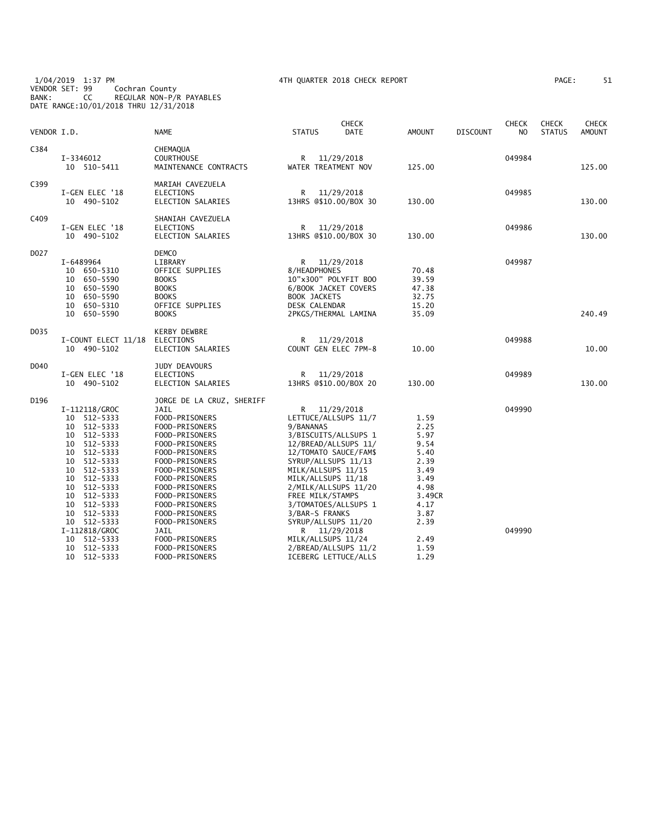1/04/2019 1:37 PM 4TH QUARTER 2018 CHECK REPORT PAGE: 51 VENDOR SET: 99 Cochran County BANK: CC REGULAR NON-P/R PAYABLES DATE RANGE:10/01/2018 THRU 12/31/2018

| AGE: |  |  |
|------|--|--|
|      |  |  |

| VENDOR I.D. |                                                                                                                                                                                                                                                                 | <b>NAME</b>                                                                                                                                                                                                                                                                                                             | <b>STATUS</b>                                                                                                                                                                                                                                                                                                                                                 | CHECK<br><b>DATE</b> | <b>AMOUNT</b>                                                                                                          | <b>DISCOUNT</b> | <b>CHECK</b><br>NO | CHECK<br><b>STATUS</b> | CHECK<br><b>AMOUNT</b> |
|-------------|-----------------------------------------------------------------------------------------------------------------------------------------------------------------------------------------------------------------------------------------------------------------|-------------------------------------------------------------------------------------------------------------------------------------------------------------------------------------------------------------------------------------------------------------------------------------------------------------------------|---------------------------------------------------------------------------------------------------------------------------------------------------------------------------------------------------------------------------------------------------------------------------------------------------------------------------------------------------------------|----------------------|------------------------------------------------------------------------------------------------------------------------|-----------------|--------------------|------------------------|------------------------|
| C384        | I-3346012<br>10 510-5411                                                                                                                                                                                                                                        | CHEMAQUA<br><b>COURTHOUSE</b><br>MAINTENANCE CONTRACTS                                                                                                                                                                                                                                                                  | R<br>WATER TREATMENT NOV                                                                                                                                                                                                                                                                                                                                      | 11/29/2018           | 125.00                                                                                                                 |                 | 049984             |                        | 125.00                 |
| C399        | I-GEN ELEC '18<br>10 490-5102                                                                                                                                                                                                                                   | MARIAH CAVEZUELA<br><b>ELECTIONS</b><br>ELECTION SALARIES                                                                                                                                                                                                                                                               | R<br>13HRS @\$10.00/BOX 30                                                                                                                                                                                                                                                                                                                                    | 11/29/2018           | 130.00                                                                                                                 |                 | 049985             |                        | 130.00                 |
| C409        | I-GEN ELEC '18<br>10 490-5102                                                                                                                                                                                                                                   | SHANIAH CAVEZUELA<br><b>ELECTIONS</b><br>ELECTION SALARIES                                                                                                                                                                                                                                                              | R<br>13HRS @\$10.00/BOX 30                                                                                                                                                                                                                                                                                                                                    | 11/29/2018           | 130.00                                                                                                                 |                 | 049986             |                        | 130.00                 |
| D027        | I-6489964<br>10 650-5310<br>10 650-5590<br>10 650-5590<br>650-5590<br>10<br>10<br>650-5310<br>10 650-5590                                                                                                                                                       | <b>DEMCO</b><br>LIBRARY<br>OFFICE SUPPLIES<br><b>BOOKS</b><br><b>BOOKS</b><br><b>BOOKS</b><br>OFFICE SUPPLIES<br><b>BOOKS</b>                                                                                                                                                                                           | R<br>8/HEADPHONES<br>10"x300" POLYFIT BOO<br>6/BOOK JACKET COVERS<br><b>BOOK JACKETS</b><br>DESK CALENDAR<br>2PKGS/THERMAL LAMINA                                                                                                                                                                                                                             | 11/29/2018           | 70.48<br>39.59<br>47.38<br>32.75<br>15.20<br>35.09                                                                     |                 | 049987             |                        | 240.49                 |
| D035        | I-COUNT ELECT 11/18<br>10 490-5102                                                                                                                                                                                                                              | <b>KERBY DEWBRE</b><br>ELECTIONS<br>ELECTION SALARIES                                                                                                                                                                                                                                                                   | R.<br>COUNT GEN ELEC 7PM-8                                                                                                                                                                                                                                                                                                                                    | 11/29/2018           | 10.00                                                                                                                  |                 | 049988             |                        | 10.00                  |
| D040        | I-GEN ELEC '18<br>10 490-5102                                                                                                                                                                                                                                   | JUDY DEAVOURS<br><b>ELECTIONS</b><br>ELECTION SALARIES                                                                                                                                                                                                                                                                  | R<br>13HRS @\$10.00/BOX 20                                                                                                                                                                                                                                                                                                                                    | 11/29/2018           | 130.00                                                                                                                 |                 | 049989             |                        | 130.00                 |
| D196        | I-112118/GROC<br>10 512-5333<br>10 512-5333<br>10 512-5333<br>10 512-5333<br>10 512-5333<br>10 512-5333<br>10 512-5333<br>10 512-5333<br>10 512-5333<br>10 512-5333<br>10 512-5333<br>10 512-5333<br>10 512-5333<br>I-112818/GROC<br>10 512-5333<br>10 512-5333 | JORGE DE LA CRUZ, SHERIFF<br>JAIL<br>FOOD-PRISONERS<br>FOOD-PRISONERS<br>FOOD-PRISONERS<br>FOOD-PRISONERS<br>FOOD-PRISONERS<br>FOOD-PRISONERS<br>FOOD-PRISONERS<br>FOOD-PRISONERS<br>FOOD-PRISONERS<br>FOOD-PRISONERS<br>FOOD-PRISONERS<br>FOOD-PRISONERS<br>FOOD-PRISONERS<br>JAIL<br>FOOD-PRISONERS<br>FOOD-PRISONERS | R<br>LETTUCE/ALLSUPS 11/7<br>9/BANANAS<br>3/BISCUITS/ALLSUPS 1<br>12/BREAD/ALLSUPS 11/<br>12/TOMATO SAUCE/FAM\$<br>SYRUP/ALLSUPS 11/13<br>MILK/ALLSUPS 11/15<br>MILK/ALLSUPS 11/18<br>2/MILK/ALLSUPS 11/20<br>FREE MILK/STAMPS<br>3/TOMATOES/ALLSUPS 1<br>3/BAR-S FRANKS<br>SYRUP/ALLSUPS 11/20<br>R 11/29/2018<br>MILK/ALLSUPS 11/24<br>2/BREAD/ALLSUPS 11/2 | 11/29/2018           | 1.59<br>2.25<br>5.97<br>9.54<br>5.40<br>2.39<br>3.49<br>3.49<br>4.98<br>3.49CR<br>4.17<br>3.87<br>2.39<br>2.49<br>1.59 |                 | 049990<br>049990   |                        |                        |
|             | 10 512-5333                                                                                                                                                                                                                                                     | FOOD-PRISONERS                                                                                                                                                                                                                                                                                                          | ICEBERG LETTUCE/ALLS                                                                                                                                                                                                                                                                                                                                          |                      | 1.29                                                                                                                   |                 |                    |                        |                        |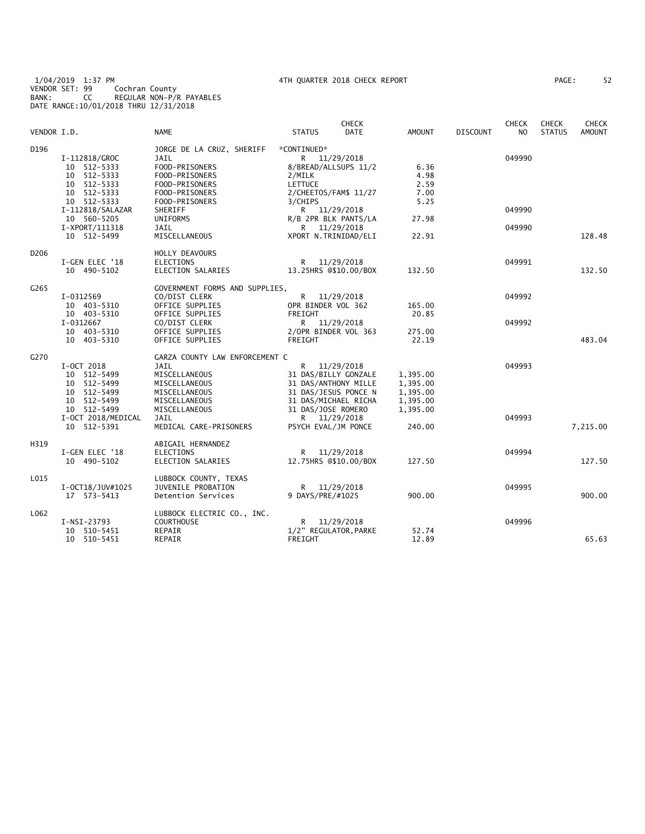1/04/2019 1:37 PM 4TH QUARTER 2018 CHECK REPORT PAGE: 52 VENDOR SET: 99 Cochran County BANK: CC REGULAR NON-P/R PAYABLES DATE RANGE:10/01/2018 THRU 12/31/2018

| PAGE : |  | 52 |
|--------|--|----|
|        |  |    |

| VENDOR I.D. |                                                                                                                                               | <b>NAME</b>                                                                                                                                                | <b>CHECK</b><br><b>DATE</b><br><b>STATUS</b>                                                                                                                            | <b>AMOUNT</b>                                 | <b>DISCOUNT</b> | <b>CHECK</b><br>NO.        | <b>CHECK</b><br><b>STATUS</b> | <b>CHECK</b><br><b>AMOUNT</b> |
|-------------|-----------------------------------------------------------------------------------------------------------------------------------------------|------------------------------------------------------------------------------------------------------------------------------------------------------------|-------------------------------------------------------------------------------------------------------------------------------------------------------------------------|-----------------------------------------------|-----------------|----------------------------|-------------------------------|-------------------------------|
| D196        | I-112818/GROC<br>10 512-5333<br>10 512-5333<br>10 512-5333<br>10 512-5333<br>10 512-5333<br>I-112818/SALAZAR<br>10 560-5205<br>I-XPORT/111318 | JORGE DE LA CRUZ, SHERIFF<br>JAIL<br>FOOD-PRISONERS<br>FOOD-PRISONERS<br>FOOD-PRISONERS<br>FOOD-PRISONERS<br>FOOD-PRISONERS<br>SHERIFF<br>UNIFORMS<br>JAIL | *CONTINUED*<br>R 11/29/2018<br>8/BREAD/ALLSUPS 11/2<br>2/MILK<br>LETTUCE<br>2/CHEETOS/FAM\$ 11/27<br>3/CHIPS<br>R 11/29/2018<br>R/B 2PR BLK PANTS/LA<br>R<br>11/29/2018 | 6.36<br>4.98<br>2.59<br>7.00<br>5.25<br>27.98 |                 | 049990<br>049990<br>049990 |                               |                               |
|             | 10 512-5499                                                                                                                                   | MISCELLANEOUS                                                                                                                                              | XPORT N.TRINIDAD/ELI                                                                                                                                                    | 22.91                                         |                 |                            |                               | 128.48                        |
| D206        | I-GEN ELEC '18<br>10 490-5102                                                                                                                 | HOLLY DEAVOURS<br><b>ELECTIONS</b><br>ELECTION SALARIES                                                                                                    | R<br>11/29/2018<br>13.25HRS @\$10.00/BOX                                                                                                                                | 132.50                                        |                 | 049991                     |                               | 132.50                        |
| G265        | I-0312569<br>10 403-5310                                                                                                                      | GOVERNMENT FORMS AND SUPPLIES,<br>CO/DIST CLERK<br>OFFICE SUPPLIES                                                                                         | R 11/29/2018<br>OPR BINDER VOL 362                                                                                                                                      | 165.00                                        |                 | 049992                     |                               |                               |
|             | 10 403-5310<br>I-0312667<br>10 403-5310<br>10 403-5310                                                                                        | OFFICE SUPPLIES<br>CO/DIST CLERK<br>OFFICE SUPPLIES<br>OFFICE SUPPLIES                                                                                     | FREIGHT<br>R 11/29/2018<br>2/OPR BINDER VOL 363<br>FREIGHT                                                                                                              | 20.85<br>275.00<br>22.19                      |                 | 049992                     |                               | 483.04                        |
| G270        | I-OCT 2018<br>10 512-5499<br>10 512-5499<br>10 512-5499<br>10 512-5499                                                                        | GARZA COUNTY LAW ENFORCEMENT C<br>JAIL<br>MISCELLANEOUS<br>MISCELLANEOUS<br>MISCELLANEOUS<br>MISCELLANEOUS                                                 | R.<br>11/29/2018<br>31 DAS/BILLY GONZALE<br>31 DAS/ANTHONY MILLE<br>31 DAS/JESUS PONCE N<br>31 DAS/MICHAEL RICHA                                                        | 1,395.00<br>1,395.00<br>1,395.00<br>1,395.00  |                 | 049993                     |                               |                               |
|             | 10 512-5499<br>I-OCT 2018/MEDICAL<br>10 512-5391                                                                                              | MISCELLANEOUS<br>JAIL<br>MEDICAL CARE-PRISONERS                                                                                                            | 31 DAS/JOSE ROMERO<br>R 11/29/2018<br>PSYCH EVAL/JM PONCE                                                                                                               | 1,395.00<br>240.00                            |                 | 049993                     |                               | 7,215.00                      |
| H319        | I-GEN ELEC '18<br>10 490-5102                                                                                                                 | ABIGAIL HERNANDEZ<br><b>ELECTIONS</b><br>ELECTION SALARIES                                                                                                 | R.<br>11/29/2018<br>12.75HRS @\$10.00/BOX                                                                                                                               | 127.50                                        |                 | 049994                     |                               | 127.50                        |
| L015        | I-OCT18/JUV#1025<br>17 573-5413                                                                                                               | LUBBOCK COUNTY, TEXAS<br>JUVENILE PROBATION<br>Detention Services                                                                                          | R 11/29/2018<br>9 DAYS/PRE/#1025                                                                                                                                        | 900.00                                        |                 | 049995                     |                               | 900.00                        |
| L062        | I-NSI-23793<br>10 510-5451<br>10 510-5451                                                                                                     | LUBBOCK ELECTRIC CO., INC.<br><b>COURTHOUSE</b><br>REPAIR<br>REPAIR                                                                                        | R 11/29/2018<br>1/2" REGULATOR, PARKE<br>FREIGHT                                                                                                                        | 52.74<br>12.89                                |                 | 049996                     |                               | 65.63                         |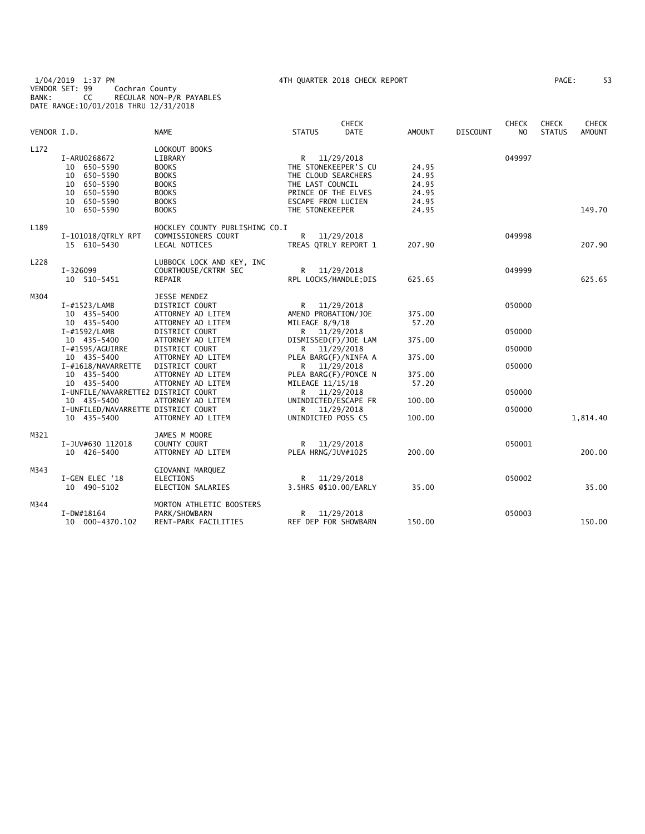1/04/2019 1:37 PM 4TH QUARTER 2018 CHECK REPORT PAGE: 53 VENDOR SET: 99 Cochran County BANK: CC REGULAR NON-P/R PAYABLES DATE RANGE:10/01/2018 THRU 12/31/2018

| VENDOR I.D. |                                                                                                        | <b>NAME</b>                                                                                                              | <b>STATUS</b>                                                                                                                                   | <b>CHECK</b><br><b>DATE</b> | <b>AMOUNT</b>                                      | <b>DISCOUNT</b> | <b>CHECK</b><br>NO. | <b>CHECK</b><br><b>STATUS</b> | <b>CHECK</b><br><b>AMOUNT</b> |
|-------------|--------------------------------------------------------------------------------------------------------|--------------------------------------------------------------------------------------------------------------------------|-------------------------------------------------------------------------------------------------------------------------------------------------|-----------------------------|----------------------------------------------------|-----------------|---------------------|-------------------------------|-------------------------------|
| L172        | I-ARU0268672<br>10 650-5590<br>10 650-5590<br>10 650-5590<br>10 650-5590<br>10 650-5590<br>10 650-5590 | LOOKOUT BOOKS<br>LIBRARY<br><b>BOOKS</b><br><b>BOOKS</b><br><b>BOOKS</b><br><b>BOOKS</b><br><b>BOOKS</b><br><b>BOOKS</b> | R 11/29/2018<br>THE STONEKEEPER'S CU<br>THE CLOUD SEARCHERS<br>THE LAST COUNCIL<br>PRINCE OF THE ELVES<br>ESCAPE FROM LUCIEN<br>THE STONEKEEPER |                             | 24.95<br>24.95<br>24.95<br>24.95<br>24.95<br>24.95 |                 | 049997              |                               | 149.70                        |
| L189        | I-101018/QTRLY RPT<br>15 610-5430                                                                      | HOCKLEY COUNTY PUBLISHING CO.I<br>COMMISSIONERS COURT<br>LEGAL NOTICES                                                   | R.<br>TREAS QTRLY REPORT 1                                                                                                                      | 11/29/2018                  | 207.90                                             |                 | 049998              |                               | 207.90                        |
| L228        | I-326099<br>10 510-5451                                                                                | LUBBOCK LOCK AND KEY, INC<br>COURTHOUSE/CRTRM SEC<br>REPAIR                                                              | R 11/29/2018<br>RPL LOCKS/HANDLE; DIS                                                                                                           |                             | 625.65                                             |                 | 049999              |                               | 625.65                        |
| M304        | $I$ -#1523/LAMB<br>10 435-5400<br>10 435-5400                                                          | JESSE MENDEZ<br>DISTRICT COURT<br>ATTORNEY AD LITEM<br>ATTORNEY AD LITEM                                                 | R.<br>AMEND PROBATION/JOE<br>MILEAGE 8/9/18                                                                                                     | 11/29/2018                  | 375.00<br>57.20                                    |                 | 050000              |                               |                               |
|             | I-#1592/LAMB<br>10 435-5400                                                                            | DISTRICT COURT<br>ATTORNEY AD LITEM                                                                                      | R 11/29/2018<br>DISMISSED(F)/JOE LAM                                                                                                            |                             | 375.00                                             |                 | 050000              |                               |                               |
|             | I-#1595/AGUIRRE<br>10 435-5400                                                                         | DISTRICT COURT<br>ATTORNEY AD LITEM                                                                                      | R 11/29/2018<br>PLEA BARG(F)/NINFA A                                                                                                            |                             | 375.00                                             |                 | 050000              |                               |                               |
|             | I-#1618/NAVARRETTE<br>10 435-5400<br>10 435-5400                                                       | DISTRICT COURT<br>ATTORNEY AD LITEM<br>ATTORNEY AD LITEM                                                                 | R 11/29/2018<br>PLEA BARG(F)/PONCE N<br>MILEAGE 11/15/18                                                                                        |                             | 375.00<br>57.20                                    |                 | 050000              |                               |                               |
|             | I-UNFILE/NAVARRETTE2 DISTRICT COURT<br>10 435-5400                                                     | ATTORNEY AD LITEM                                                                                                        | R 11/29/2018<br>UNINDICTED/ESCAPE FR                                                                                                            |                             | 100.00                                             |                 | 050000              |                               |                               |
|             | I-UNFILED/NAVARRETTE DISTRICT COURT<br>10 435-5400                                                     | ATTORNEY AD LITEM                                                                                                        | R 11/29/2018<br>UNINDICTED POSS CS                                                                                                              |                             | 100.00                                             |                 | 050000              |                               | 1,814.40                      |
| M321        | I-JUV#630 112018<br>10 426-5400                                                                        | JAMES M MOORE<br>COUNTY COURT<br>ATTORNEY AD LITEM                                                                       | R 11/29/2018<br>PLEA HRNG/JUV#1025                                                                                                              |                             | 200.00                                             |                 | 050001              |                               | 200.00                        |
| M343        | I-GEN ELEC '18<br>10 490-5102                                                                          | GIOVANNI MARQUEZ<br><b>ELECTIONS</b><br>ELECTION SALARIES                                                                | R.<br>3.5HRS @\$10.00/EARLY                                                                                                                     | 11/29/2018                  | 35.00                                              |                 | 050002              |                               | 35.00                         |
| M344        | I-DW#18164<br>10 000-4370.102                                                                          | MORTON ATHLETIC BOOSTERS<br>PARK/SHOWBARN<br>RENT-PARK FACILITIES                                                        | R.<br>REF DEP FOR SHOWBARN                                                                                                                      | 11/29/2018                  | 150.00                                             |                 | 050003              |                               | 150.00                        |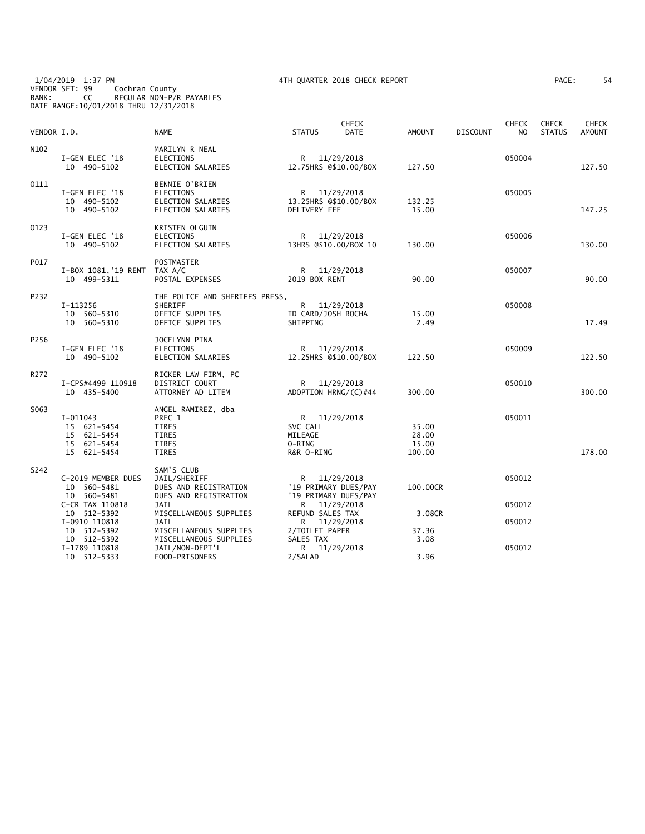1/04/2019 1:37 PM 4TH QUARTER 2018 CHECK REPORT PAGE: 54 VENDOR SET: 99 Cochran County BANK: CC REGULAR NON-P/R PAYABLES DATE RANGE:10/01/2018 THRU 12/31/2018

| AGE: | 54 |
|------|----|
|------|----|

| VENDOR I.D. |                                                                        | <b>NAME</b>                                                                     | <b>STATUS</b>                                                | <b>CHECK</b><br><b>DATE</b> | AMOUNT                            | <b>DISCOUNT</b> | <b>CHECK</b><br>N <sub>O</sub> | <b>CHECK</b><br><b>STATUS</b> | <b>CHECK</b><br><b>AMOUNT</b> |
|-------------|------------------------------------------------------------------------|---------------------------------------------------------------------------------|--------------------------------------------------------------|-----------------------------|-----------------------------------|-----------------|--------------------------------|-------------------------------|-------------------------------|
| N102        | I-GEN ELEC '18<br>10 490-5102                                          | MARILYN R NEAL<br><b>ELECTIONS</b><br>ELECTION SALARIES                         | R 11/29/2018<br>12.75HRS @\$10.00/BOX                        |                             | 127.50                            |                 | 050004                         |                               | 127.50                        |
| 0111        | I-GEN ELEC '18<br>10 490-5102<br>10 490-5102                           | BENNIE O'BRIEN<br><b>ELECTIONS</b><br>ELECTION SALARIES<br>ELECTION SALARIES    | R 11/29/2018<br>13.25HRS @\$10.00/BOX<br>DELIVERY FEE        |                             | 132.25<br>15.00                   |                 | 050005                         |                               | 147.25                        |
| 0123        | I-GEN ELEC '18<br>10 490-5102                                          | KRISTEN OLGUIN<br>ELECTIONS<br>ELECTION SALARIES                                | R 11/29/2018<br>13HRS @\$10.00/BOX 10                        |                             | 130.00                            |                 | 050006                         |                               | 130.00                        |
| P017        | I-BOX 1081, '19 RENT TAX A/C<br>10 499-5311                            | <b>POSTMASTER</b><br>POSTAL EXPENSES                                            | R 11/29/2018<br>2019 BOX RENT                                |                             | 90.00                             |                 | 050007                         |                               | 90.00                         |
| P232        | I-113256<br>10 560-5310<br>10 560-5310                                 | THE POLICE AND SHERIFFS PRESS,<br>SHERIFF<br>OFFICE SUPPLIES<br>OFFICE SUPPLIES | R 11/29/2018<br>ID CARD/JOSH ROCHA<br>SHIPPING               |                             | 15.00<br>2.49                     |                 | 050008                         |                               | 17.49                         |
| P256        | I-GEN ELEC '18<br>10 490-5102                                          | JOCELYNN PINA<br><b>ELECTIONS</b><br>ELECTION SALARIES                          | R 11/29/2018<br>12.25HRS @\$10.00/BOX                        |                             | 122.50                            |                 | 050009                         |                               | 122.50                        |
| R272        | I-CPS#4499 110918<br>10 435-5400                                       | RICKER LAW FIRM, PC<br>DISTRICT COURT<br>ATTORNEY AD LITEM                      | R 11/29/2018<br>ADOPTION HRNG/(C)#44                         |                             | 300.00                            |                 | 050010                         |                               | 300.00                        |
| S063        | $I-011043$<br>15 621-5454<br>15 621-5454<br>15 621-5454<br>15 621-5454 | ANGEL RAMIREZ, dba<br>PREC 1<br>TIRES<br>TIRES<br><b>TIRES</b><br><b>TIRES</b>  | R 11/29/2018<br>SVC CALL<br>MILEAGE<br>O-RING<br>R&R O-RING  |                             | 35.00<br>28.00<br>15.00<br>100.00 |                 | 050011                         |                               | 178.00                        |
| S242        | C-2019 MEMBER DUES<br>10 560-5481<br>10 560-5481                       | SAM'S CLUB<br>JAIL/SHERIFF<br>DUES AND REGISTRATION<br>DUES AND REGISTRATION    | R 11/29/2018<br>'19 PRIMARY DUES/PAY<br>'19 PRIMARY DUES/PAY |                             | 100.00CR                          |                 | 050012                         |                               |                               |
|             | C-CR TAX 110818<br>10 512-5392<br>I-0910 110818                        | <b>JAIL</b><br>MISCELLANEOUS SUPPLIES<br><b>JAIL</b>                            | R 11/29/2018<br>REFUND SALES TAX<br>R 11/29/2018             |                             | 3.08CR                            |                 | 050012<br>050012               |                               |                               |
|             | 10 512-5392<br>10 512-5392                                             | MISCELLANEOUS SUPPLIES<br>MISCELLANEOUS SUPPLIES                                | 2/TOILET PAPER<br>SALES TAX                                  |                             | 37.36<br>3.08                     |                 |                                |                               |                               |
|             | I-1789 110818<br>10 512-5333                                           | JAIL/NON-DEPT'L<br>FOOD-PRISONERS                                               | R 11/29/2018<br>2/SALAD                                      |                             | 3.96                              |                 | 050012                         |                               |                               |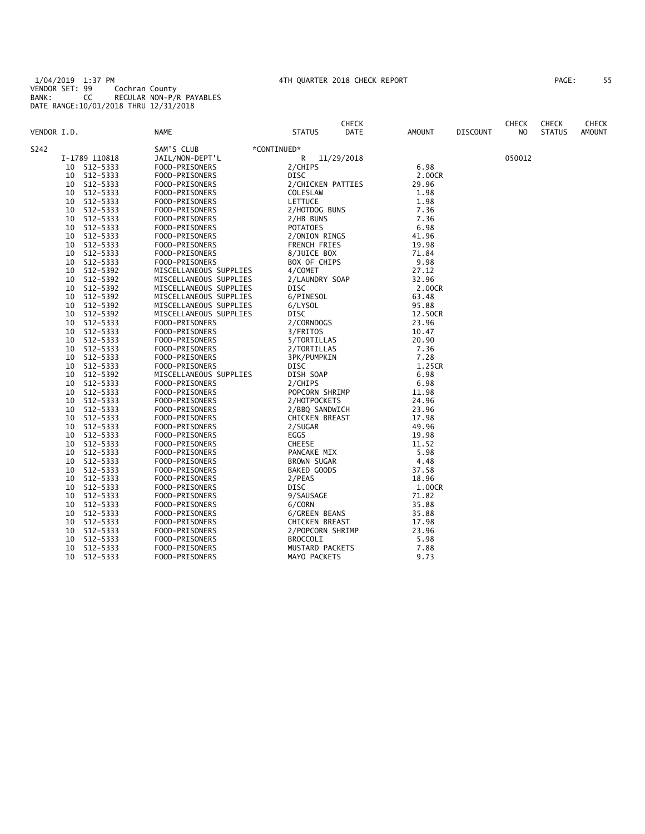|                    |                        |                       | <b>CHECK</b> |               |                 | <b>CHECK</b> | <b>CHECK</b>  | <b>CHECK</b>  |
|--------------------|------------------------|-----------------------|--------------|---------------|-----------------|--------------|---------------|---------------|
| VENDOR I.D.        | NAME                   | <b>STATUS</b>         | DATE         | <b>AMOUNT</b> | <b>DISCOUNT</b> | NO.          | <b>STATUS</b> | <b>AMOUNT</b> |
| S242               | SAM'S CLUB             | *CONTINUED*           |              |               |                 |              |               |               |
| I-1789 110818      | JAIL/NON-DEPT'L        | R                     | 11/29/2018   |               |                 | 050012       |               |               |
| 512-5333<br>10     | FOOD-PRISONERS         | 2/CHIPS               |              | 6.98          |                 |              |               |               |
| 512-5333<br>10     | FOOD-PRISONERS         | <b>DISC</b>           |              | 2.00CR        |                 |              |               |               |
| 512-5333<br>10     | FOOD-PRISONERS         | 2/CHICKEN PATTIES     |              | 29.96         |                 |              |               |               |
| 512-5333<br>10     | FOOD-PRISONERS         | COLESLAW              |              | 1.98          |                 |              |               |               |
| 512-5333<br>10     | FOOD-PRISONERS         | <b>LETTUCE</b>        |              | 1.98          |                 |              |               |               |
| 512-5333<br>10     | FOOD-PRISONERS         | 2/HOTDOG BUNS         |              | 7.36          |                 |              |               |               |
| 512-5333<br>10     | FOOD-PRISONERS         | 2/HB BUNS             |              | 7.36          |                 |              |               |               |
| 512-5333<br>10     | FOOD-PRISONERS         | <b>POTATOES</b>       |              | 6.98          |                 |              |               |               |
| 512-5333<br>10     | FOOD-PRISONERS         | 2/ONION RINGS         |              | 41.96         |                 |              |               |               |
| 512-5333<br>10     | FOOD-PRISONERS         | FRENCH FRIES          |              | 19.98         |                 |              |               |               |
| 512-5333<br>10     | FOOD-PRISONERS         | 8/JUICE BOX           |              | 71.84         |                 |              |               |               |
| 512-5333<br>10     | FOOD-PRISONERS         | BOX OF CHIPS          |              | 9.98          |                 |              |               |               |
| 512-5392<br>10     | MISCELLANEOUS SUPPLIES | 4/COMET               |              | 27.12         |                 |              |               |               |
| 512-5392<br>10     | MISCELLANEOUS SUPPLIES | 2/LAUNDRY SOAP        |              | 32.96         |                 |              |               |               |
| 512-5392<br>10     | MISCELLANEOUS SUPPLIES | DISC                  |              | 2.00CR        |                 |              |               |               |
| 512-5392<br>10     | MISCELLANEOUS SUPPLIES | 6/PINESOL             |              | 63.48         |                 |              |               |               |
| 512-5392<br>10     | MISCELLANEOUS SUPPLIES | 6/LYSOL               |              | 95.88         |                 |              |               |               |
| 512-5392<br>10     | MISCELLANEOUS SUPPLIES | DISC                  |              | 12.50CR       |                 |              |               |               |
| 512-5333<br>10     | FOOD-PRISONERS         | 2/CORNDOGS            |              | 23.96         |                 |              |               |               |
| 512-5333<br>10     | FOOD-PRISONERS         | 3/FRITOS              |              | 10.47         |                 |              |               |               |
| 512-5333<br>10     | FOOD-PRISONERS         | 5/TORTILLAS           |              | 20.90         |                 |              |               |               |
| 512-5333<br>10     | FOOD-PRISONERS         | 2/TORTILLAS           |              | 7.36          |                 |              |               |               |
| 512-5333<br>10     | FOOD-PRISONERS         | 3PK/PUMPKIN           |              | 7.28          |                 |              |               |               |
| 512-5333<br>10     | FOOD-PRISONERS         | DISC                  |              | 1.25CR        |                 |              |               |               |
| 512-5392<br>10     | MISCELLANEOUS SUPPLIES | DISH SOAP             |              | 6.98          |                 |              |               |               |
| 512-5333<br>10     | FOOD-PRISONERS         | 2/CHIPS               |              | 6.98          |                 |              |               |               |
| 10<br>512-5333     | FOOD-PRISONERS         | POPCORN SHRIMP        |              | 11.98         |                 |              |               |               |
| $512 - 5333$<br>10 | FOOD-PRISONERS         | 2/HOTPOCKETS          |              | 24.96         |                 |              |               |               |
| 512-5333<br>10     | FOOD-PRISONERS         | 2/BBQ SANDWICH        |              | 23.96         |                 |              |               |               |
| 512-5333<br>10     | FOOD-PRISONERS         | <b>CHICKEN BREAST</b> |              | 17.98         |                 |              |               |               |
| 512-5333<br>10     | FOOD-PRISONERS         | 2/SUGAR               |              | 49.96         |                 |              |               |               |
| 512-5333<br>10     | FOOD-PRISONERS         | EGGS                  |              | 19.98         |                 |              |               |               |
| 512-5333<br>10     | FOOD-PRISONERS         | <b>CHEESE</b>         |              | 11.52         |                 |              |               |               |
| 512-5333<br>10     | FOOD-PRISONERS         | PANCAKE MIX           |              | 5.98          |                 |              |               |               |
| 512-5333<br>10     | FOOD-PRISONERS         | <b>BROWN SUGAR</b>    |              | 4.48          |                 |              |               |               |
| 512-5333<br>10     | FOOD-PRISONERS         | BAKED GOODS           |              | 37.58         |                 |              |               |               |
| 512-5333<br>10     | FOOD-PRISONERS         | 2/PEAS                |              | 18.96         |                 |              |               |               |
| 10<br>512-5333     | FOOD-PRISONERS         | DISC                  |              | 1.00CR        |                 |              |               |               |
| 512-5333<br>10     | FOOD-PRISONERS         | 9/SAUSAGE             |              | 71.82         |                 |              |               |               |
| 512-5333<br>10     | FOOD-PRISONERS         | 6/CORN                |              | 35.88         |                 |              |               |               |
| 512-5333<br>10     | FOOD-PRISONERS         | 6/GREEN BEANS         |              | 35.88         |                 |              |               |               |
| $512 - 5333$<br>10 | FOOD-PRISONERS         | <b>CHICKEN BREAST</b> |              | 17.98         |                 |              |               |               |
| 512-5333<br>10     | FOOD-PRISONERS         | 2/POPCORN SHRIMP      |              | 23.96         |                 |              |               |               |
| 10<br>512-5333     | FOOD-PRISONERS         | <b>BROCCOLI</b>       |              | 5.98          |                 |              |               |               |
| 10<br>512-5333     | FOOD-PRISONERS         | MUSTARD PACKETS       |              | 7.88          |                 |              |               |               |
| 10<br>512-5333     | FOOD-PRISONERS         | MAYO PACKETS          |              | 9.73          |                 |              |               |               |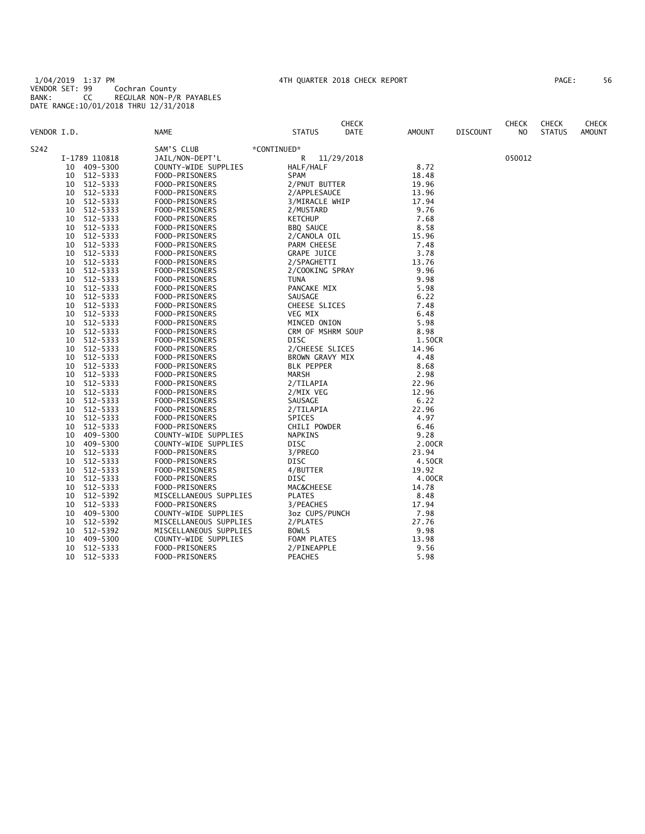1/04/2019 1:37 PM 4TH QUARTER 2018 CHECK REPORT PAGE: 56 VENDOR SET: 99 Cochran County BANK: CC REGULAR NON-P/R PAYABLES DATE RANGE:10/01/2018 THRU 12/31/2018

| AGE: |  | 56 |  |
|------|--|----|--|
|      |  |    |  |

|             |    |               |                        |                       | <b>CHECK</b> |        |                 | <b>CHECK</b> | <b>CHECK</b>  | <b>CHECK</b> |
|-------------|----|---------------|------------------------|-----------------------|--------------|--------|-----------------|--------------|---------------|--------------|
| VENDOR I.D. |    |               | NAME                   | <b>STATUS</b>         | DATE         | AMOUNT | <b>DISCOUNT</b> | NO.          | <b>STATUS</b> | AMOUNT       |
| S242        |    |               | SAM'S CLUB             | *CONTINUED*           |              |        |                 |              |               |              |
|             |    | I-1789 110818 | JAIL/NON-DEPT'L        | R                     | 11/29/2018   |        |                 | 050012       |               |              |
|             | 10 | 409-5300      | COUNTY-WIDE SUPPLIES   | HALF/HALF             |              | 8.72   |                 |              |               |              |
|             | 10 | 512-5333      | FOOD-PRISONERS         | SPAM                  |              | 18.48  |                 |              |               |              |
|             | 10 | 512-5333      | FOOD-PRISONERS         | 2/PNUT BUTTER         |              | 19.96  |                 |              |               |              |
|             | 10 | 512-5333      | FOOD-PRISONERS         | 2/APPLESAUCE          |              | 13.96  |                 |              |               |              |
|             | 10 | 512-5333      | FOOD-PRISONERS         | 3/MIRACLE WHIP        |              | 17.94  |                 |              |               |              |
|             | 10 | 512-5333      | FOOD-PRISONERS         | 2/MUSTARD             |              | 9.76   |                 |              |               |              |
|             | 10 | 512-5333      | FOOD-PRISONERS         | <b>KETCHUP</b>        |              | 7.68   |                 |              |               |              |
|             | 10 | 512-5333      | FOOD-PRISONERS         | BBQ SAUCE             |              | 8.58   |                 |              |               |              |
|             | 10 | 512-5333      | FOOD-PRISONERS         | 2/CANOLA OIL          |              | 15.96  |                 |              |               |              |
|             | 10 | 512-5333      | FOOD-PRISONERS         | PARM CHEESE           |              | 7.48   |                 |              |               |              |
|             | 10 | 512-5333      | FOOD-PRISONERS         | <b>GRAPE JUICE</b>    |              | 3.78   |                 |              |               |              |
|             | 10 | 512-5333      | FOOD-PRISONERS         | 2/SPAGHETTI           |              | 13.76  |                 |              |               |              |
|             | 10 | 512-5333      | FOOD-PRISONERS         | 2/COOKING SPRAY       |              | 9.96   |                 |              |               |              |
|             | 10 | 512-5333      | FOOD-PRISONERS         | <b>TUNA</b>           |              | 9.98   |                 |              |               |              |
|             | 10 | 512-5333      | FOOD-PRISONERS         | PANCAKE MIX           |              | 5.98   |                 |              |               |              |
|             | 10 | 512-5333      | FOOD-PRISONERS         | SAUSAGE               |              | 6.22   |                 |              |               |              |
|             | 10 | 512-5333      | FOOD-PRISONERS         | CHEESE SLICES         |              | 7.48   |                 |              |               |              |
|             | 10 | 512-5333      | FOOD-PRISONERS         | VEG MIX               |              | 6.48   |                 |              |               |              |
|             | 10 | 512-5333      | FOOD-PRISONERS         | MINCED ONION          |              | 5.98   |                 |              |               |              |
|             | 10 | 512-5333      | FOOD-PRISONERS         | CRM OF MSHRM SOUP     |              | 8.98   |                 |              |               |              |
|             | 10 | 512-5333      | FOOD-PRISONERS         | DISC                  |              | 1.50CR |                 |              |               |              |
|             | 10 | 512-5333      | FOOD-PRISONERS         | 2/CHEESE SLICES       |              | 14.96  |                 |              |               |              |
|             | 10 | 512-5333      | FOOD-PRISONERS         | BROWN GRAVY MIX       |              | 4.48   |                 |              |               |              |
|             | 10 | 512-5333      | FOOD-PRISONERS         | <b>BLK PEPPER</b>     |              | 8.68   |                 |              |               |              |
|             | 10 | 512-5333      | FOOD-PRISONERS         | MARSH                 |              | 2.98   |                 |              |               |              |
|             | 10 | 512-5333      | FOOD-PRISONERS         | 2/TILAPIA             |              | 22.96  |                 |              |               |              |
|             | 10 | 512-5333      | FOOD-PRISONERS         | 2/MIX VEG             |              | 12.96  |                 |              |               |              |
|             | 10 | 512-5333      | FOOD-PRISONERS         | SAUSAGE               |              | 6.22   |                 |              |               |              |
|             | 10 | 512-5333      | FOOD-PRISONERS         | 2/TILAPIA             |              | 22.96  |                 |              |               |              |
|             | 10 | 512-5333      | FOOD-PRISONERS         | SPICES                |              | 4.97   |                 |              |               |              |
|             | 10 | 512-5333      | FOOD-PRISONERS         | CHILI POWDER          |              | 6.46   |                 |              |               |              |
|             | 10 | 409-5300      | COUNTY-WIDE SUPPLIES   | NAPKINS               |              | 9.28   |                 |              |               |              |
|             | 10 | 409-5300      | COUNTY-WIDE SUPPLIES   | DISC                  |              | 2.00CR |                 |              |               |              |
|             | 10 | 512-5333      | FOOD-PRISONERS         | 3/PREGO               |              | 23.94  |                 |              |               |              |
|             | 10 | 512-5333      | FOOD-PRISONERS         | DISC                  |              | 4.50CR |                 |              |               |              |
|             | 10 | 512-5333      | FOOD-PRISONERS         | 4/BUTTER              |              | 19.92  |                 |              |               |              |
|             | 10 | 512-5333      | FOOD-PRISONERS         | DISC                  |              | 4.00CR |                 |              |               |              |
|             | 10 | 512-5333      | FOOD-PRISONERS         | <b>MAC&amp;CHEESE</b> |              | 14.78  |                 |              |               |              |
|             | 10 | 512-5392      | MISCELLANEOUS SUPPLIES | <b>PLATES</b>         |              | 8.48   |                 |              |               |              |
|             | 10 | 512-5333      | FOOD-PRISONERS         | 3/PEACHES             |              | 17.94  |                 |              |               |              |
|             | 10 | 409-5300      | COUNTY-WIDE SUPPLIES   | 3oz CUPS/PUNCH        |              | 7.98   |                 |              |               |              |
|             | 10 | 512-5392      | MISCELLANEOUS SUPPLIES | 2/PLATES              |              | 27.76  |                 |              |               |              |
|             | 10 | 512-5392      | MISCELLANEOUS SUPPLIES | <b>BOWLS</b>          |              | 9.98   |                 |              |               |              |
|             | 10 | 409-5300      | COUNTY-WIDE SUPPLIES   | FOAM PLATES           |              | 13.98  |                 |              |               |              |
|             | 10 | 512-5333      | FOOD-PRISONERS         | 2/PINEAPPLE           |              | 9.56   |                 |              |               |              |
|             | 10 | 512-5333      | FOOD-PRISONERS         | <b>PEACHES</b>        |              | 5.98   |                 |              |               |              |
|             |    |               |                        |                       |              |        |                 |              |               |              |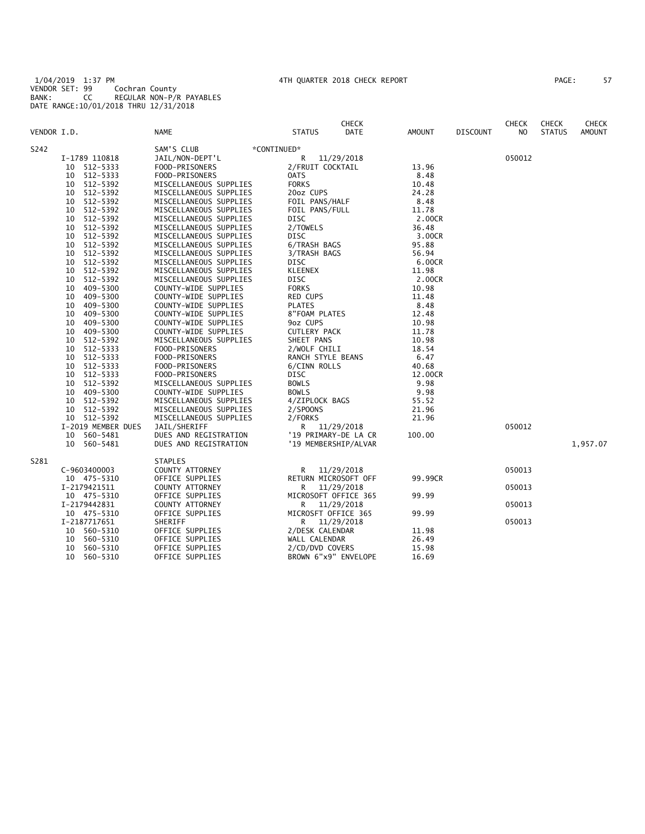1/04/2019 1:37 PM 4TH QUARTER 2018 CHECK REPORT PAGE: 57 VENDOR SET: 99 Cochran County BANK: CC REGULAR NON-P/R PAYABLES DATE RANGE:10/01/2018 THRU 12/31/2018

| PAGE :<br>57 |
|--------------|
|--------------|

|             |                    |                           | CHECK                 |         |                 | CHECK  | <b>CHECK</b>  | <b>CHECK</b>  |
|-------------|--------------------|---------------------------|-----------------------|---------|-----------------|--------|---------------|---------------|
| VENDOR I.D. |                    | <b>NAME</b>               | <b>STATUS</b><br>DATE | AMOUNT  | <b>DISCOUNT</b> | NO     | <b>STATUS</b> | <b>AMOUNT</b> |
| S242        |                    | SAM'S CLUB<br>*CONTINUED* |                       |         |                 |        |               |               |
|             | I-1789 110818      | JAIL/NON-DEPT'L           | R<br>11/29/2018       |         |                 | 050012 |               |               |
|             | 10<br>512-5333     | FOOD-PRISONERS            | 2/FRUIT COCKTAIL      | 13.96   |                 |        |               |               |
|             | 512-5333<br>10     | FOOD-PRISONERS            | 0ATS                  | 8.48    |                 |        |               |               |
|             | 512-5392<br>10     | MISCELLANEOUS SUPPLIES    | <b>FORKS</b>          | 10.48   |                 |        |               |               |
|             | 512-5392<br>10     | MISCELLANEOUS SUPPLIES    | 20oz CUPS             | 24.28   |                 |        |               |               |
|             | 512-5392<br>10     | MISCELLANEOUS SUPPLIES    | FOIL PANS/HALF        | 8.48    |                 |        |               |               |
|             | 512-5392<br>10     | MISCELLANEOUS SUPPLIES    | FOIL PANS/FULL        | 11.78   |                 |        |               |               |
|             | 512-5392<br>10     | MISCELLANEOUS SUPPLIES    | DISC                  | 2.00CR  |                 |        |               |               |
|             | 512-5392<br>10     | MISCELLANEOUS SUPPLIES    | 2/TOWELS              | 36.48   |                 |        |               |               |
|             | 10<br>512-5392     | MISCELLANEOUS SUPPLIES    | DISC                  | 3.00CR  |                 |        |               |               |
|             | 512-5392<br>10     | MISCELLANEOUS SUPPLIES    | 6/TRASH BAGS          | 95.88   |                 |        |               |               |
|             | 512-5392<br>10     | MISCELLANEOUS SUPPLIES    | 3/TRASH BAGS          | 56.94   |                 |        |               |               |
|             | 512-5392<br>10     | MISCELLANEOUS SUPPLIES    | DISC                  | 6.00CR  |                 |        |               |               |
|             | 10<br>512-5392     | MISCELLANEOUS SUPPLIES    | <b>KLEENEX</b>        | 11.98   |                 |        |               |               |
|             | 512-5392<br>10     | MISCELLANEOUS SUPPLIES    | DISC                  | 2.00CR  |                 |        |               |               |
|             | 409-5300<br>10     | COUNTY-WIDE SUPPLIES      | <b>FORKS</b>          | 10.98   |                 |        |               |               |
|             | 10<br>409-5300     | COUNTY-WIDE SUPPLIES      | RED CUPS              | 11.48   |                 |        |               |               |
|             | 409-5300<br>10     | COUNTY-WIDE SUPPLIES      | <b>PLATES</b>         | 8.48    |                 |        |               |               |
|             | 10<br>409-5300     | COUNTY-WIDE SUPPLIES      | 8"FOAM PLATES         | 12.48   |                 |        |               |               |
|             | 409-5300<br>10     | COUNTY-WIDE SUPPLIES      | 9oz CUPS              | 10.98   |                 |        |               |               |
|             | 10<br>409-5300     | COUNTY-WIDE SUPPLIES      | <b>CUTLERY PACK</b>   | 11.78   |                 |        |               |               |
|             | 512-5392<br>10     | MISCELLANEOUS SUPPLIES    | SHEET PANS            | 10.98   |                 |        |               |               |
|             | 10<br>512-5333     | FOOD-PRISONERS            | 2/WOLF CHILI          | 18.54   |                 |        |               |               |
|             | 512-5333<br>10     | FOOD-PRISONERS            | RANCH STYLE BEANS     | 6.47    |                 |        |               |               |
|             | 512-5333<br>10     | FOOD-PRISONERS            | 6/CINN ROLLS          | 40.68   |                 |        |               |               |
|             | 512-5333<br>10     | FOOD-PRISONERS            | DISC                  | 12.00CR |                 |        |               |               |
|             | 512-5392<br>10     | MISCELLANEOUS SUPPLIES    | <b>BOWLS</b>          | 9.98    |                 |        |               |               |
|             | 409-5300<br>10     | COUNTY-WIDE SUPPLIES      | <b>BOWLS</b>          | 9.98    |                 |        |               |               |
|             | 512-5392<br>10     | MISCELLANEOUS SUPPLIES    | 4/ZIPLOCK BAGS        | 55.52   |                 |        |               |               |
|             | 512-5392<br>10     | MISCELLANEOUS SUPPLIES    | 2/SPOONS              | 21.96   |                 |        |               |               |
|             | 10 512-5392        | MISCELLANEOUS SUPPLIES    | 2/FORKS               | 21.96   |                 |        |               |               |
|             | I-2019 MEMBER DUES | JAIL/SHERIFF              | R 11/29/2018          |         |                 | 050012 |               |               |
|             | 560-5481<br>10     | DUES AND REGISTRATION     | '19 PRIMARY-DE LA CR  | 100.00  |                 |        |               |               |
|             | 10 560-5481        | DUES AND REGISTRATION     | '19 MEMBERSHIP/ALVAR  |         |                 |        |               | 1,957.07      |
|             |                    |                           |                       |         |                 |        |               |               |
| S281        |                    | <b>STAPLES</b>            |                       |         |                 |        |               |               |
|             | C-9603400003       | COUNTY ATTORNEY           | R<br>11/29/2018       |         |                 | 050013 |               |               |
|             | 10 475-5310        | OFFICE SUPPLIES           | RETURN MICROSOFT OFF  | 99.99CR |                 |        |               |               |
|             | I-2179421511       | COUNTY ATTORNEY           | R<br>11/29/2018       |         |                 | 050013 |               |               |
|             | 10 475-5310        | OFFICE SUPPLIES           | MICROSOFT OFFICE 365  | 99.99   |                 |        |               |               |
|             | I-2179442831       | COUNTY ATTORNEY           | 11/29/2018<br>R       |         |                 | 050013 |               |               |
|             | 10 475-5310        | OFFICE SUPPLIES           | MICROSFT OFFICE 365   | 99.99   |                 |        |               |               |
|             | I-2187717651       | SHERIFF                   | 11/29/2018<br>R       |         |                 | 050013 |               |               |
|             | 10 560-5310        | OFFICE SUPPLIES           | 2/DESK CALENDAR       | 11.98   |                 |        |               |               |
|             | 560-5310<br>10     | OFFICE SUPPLIES           | WALL CALENDAR         | 26.49   |                 |        |               |               |
|             | 560-5310<br>10     | OFFICE SUPPLIES           | 2/CD/DVD COVERS       | 15.98   |                 |        |               |               |
|             | 560-5310<br>10     | OFFICE SUPPLIES           | BROWN 6"x9" ENVELOPE  | 16.69   |                 |        |               |               |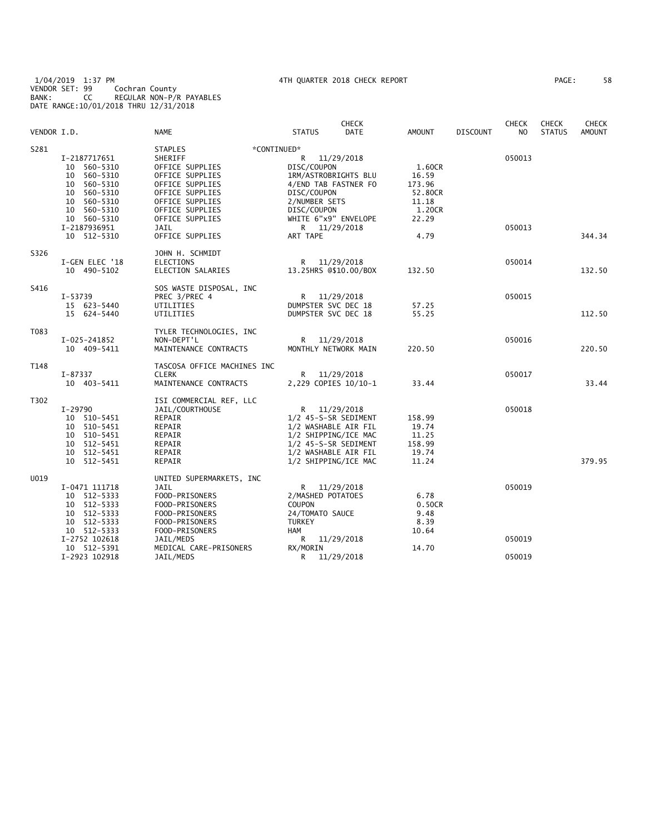1/04/2019 1:37 PM 4TH QUARTER 2018 CHECK REPORT PAGE: 58 VENDOR SET: 99 Cochran County BANK: CC REGULAR NON-P/R PAYABLES DATE RANGE:10/01/2018 THRU 12/31/2018

|             |                                                                                                                                |                                                                                                                                                                          |                                                                                                                                 | <b>CHECK</b>                         |                                                                  |                 | <b>CHECK</b>     | <b>CHECK</b>  | <b>CHECK</b>  |
|-------------|--------------------------------------------------------------------------------------------------------------------------------|--------------------------------------------------------------------------------------------------------------------------------------------------------------------------|---------------------------------------------------------------------------------------------------------------------------------|--------------------------------------|------------------------------------------------------------------|-----------------|------------------|---------------|---------------|
| VENDOR I.D. |                                                                                                                                | NAME                                                                                                                                                                     | <b>STATUS</b>                                                                                                                   | <b>DATE</b>                          | <b>AMOUNT</b>                                                    | <b>DISCOUNT</b> | NO.              | <b>STATUS</b> | <b>AMOUNT</b> |
| S281        | I-2187717651<br>560-5310<br>10<br>560-5310<br>10<br>10 560-5310<br>10<br>560-5310<br>10 560-5310<br>10 560-5310<br>10 560-5310 | STAPLES<br>SHERIFF<br>OFFICE SUPPLIES<br>OFFICE SUPPLIES<br>OFFICE SUPPLIES<br>OFFICE SUPPLIES<br>OFFICE SUPPLIES<br>OFFICE SUPPLIES<br>OFFICE SUPPLIES                  | *CONTINUED*<br>R.<br>DISC/COUPON<br>1RM/ASTROBRIGHTS BLU<br>DISC/COUPON<br>2/NUMBER SETS<br>DISC/COUPON<br>WHITE 6"x9" ENVELOPE | 11/29/2018<br>4/END TAB FASTNER FO   | 1.60CR<br>16.59<br>173.96<br>52.80CR<br>11.18<br>1.20CR<br>22.29 |                 | 050013           |               |               |
|             | I-2187936951<br>10 512-5310                                                                                                    | JAIL<br>OFFICE SUPPLIES                                                                                                                                                  | ART TAPE                                                                                                                        | R 11/29/2018                         | 4.79                                                             |                 | 050013           |               | 344.34        |
| S326        | I-GEN ELEC '18<br>10 490-5102                                                                                                  | JOHN H. SCHMIDT<br><b>ELECTIONS</b><br>ELECTION SALARIES                                                                                                                 | R                                                                                                                               | 11/29/2018<br>13.25HRS @\$10.00/BOX  | 132.50                                                           |                 | 050014           |               | 132.50        |
| S416        | $I - 53739$<br>15 623-5440<br>15 624-5440                                                                                      | SOS WASTE DISPOSAL, INC<br>PREC 3/PREC 4<br>UTILITIES<br>UTILITIES                                                                                                       | DUMPSTER SVC DEC 18<br>DUMPSTER SVC DEC 18                                                                                      | R 11/29/2018                         | 57.25<br>55.25                                                   |                 | 050015           |               | 112.50        |
| T083        | I-025-241852<br>10 409-5411                                                                                                    | TYLER TECHNOLOGIES, INC<br>NON-DEPT'L<br>MAINTENANCE CONTRACTS                                                                                                           | MONTHLY NETWORK MAIN                                                                                                            | R 11/29/2018                         | 220.50                                                           |                 | 050016           |               | 220.50        |
| T148        | I-87337<br>10 403-5411                                                                                                         | TASCOSA OFFICE MACHINES INC<br><b>CLERK</b><br>MAINTENANCE CONTRACTS                                                                                                     | R.                                                                                                                              | 11/29/2018<br>2,229 COPIES 10/10-1   | 33.44                                                            |                 | 050017           |               | 33.44         |
| T302        | I-29790<br>10 510-5451<br>10 510-5451<br>10 510-5451<br>10 512-5451<br>10 512-5451<br>10 512-5451                              | ISI COMMERCIAL REF, LLC<br>JAIL/COURTHOUSE<br>REPAIR<br>REPAIR<br>REPAIR<br>REPAIR<br>REPAIR<br>REPAIR                                                                   | 1/2 45-S-SR SEDIMENT<br>1/2 WASHABLE AIR FIL<br>1/2 SHIPPING/ICE MAC<br>1/2 45-S-SR SEDIMENT<br>1/2 WASHABLE AIR FIL            | R 11/29/2018<br>1/2 SHIPPING/ICE MAC | 158.99<br>19.74<br>11.25<br>158.99<br>19.74<br>11.24             |                 | 050018           |               | 379.95        |
| U019        | I-0471 111718<br>10 512-5333<br>10 512-5333<br>10 512-5333<br>10 512-5333<br>10 512-5333<br>I-2752 102618<br>10 512-5391       | UNITED SUPERMARKETS, INC<br><b>JAIL</b><br>FOOD-PRISONERS<br>FOOD-PRISONERS<br>FOOD-PRISONERS<br>FOOD-PRISONERS<br>FOOD-PRISONERS<br>JAIL/MEDS<br>MEDICAL CARE-PRISONERS | 2/MASHED POTATOES<br><b>COUPON</b><br>24/TOMATO SAUCE<br><b>TURKEY</b><br>HAM<br>R.<br>RX/MORIN                                 | R 11/29/2018<br>11/29/2018           | 6.78<br>0.50CR<br>9.48<br>8.39<br>10.64<br>14.70                 |                 | 050019<br>050019 |               |               |
|             | I-2923 102918                                                                                                                  | JAIL/MEDS                                                                                                                                                                | R                                                                                                                               | 11/29/2018                           |                                                                  |                 | 050019           |               |               |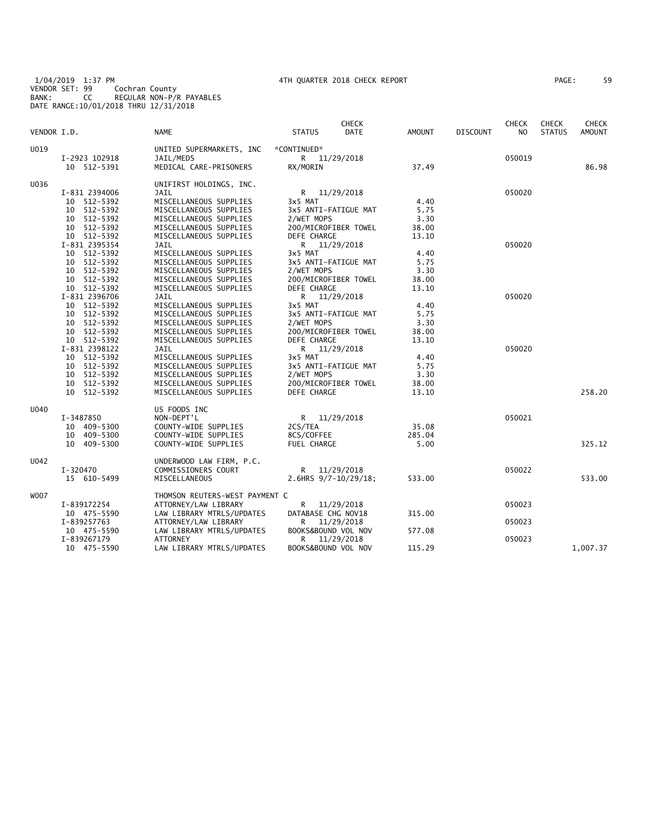1/04/2019 1:37 PM 4TH QUARTER 2018 CHECK REPORT PAGE: 59 VENDOR SET: 99 Cochran County BANK: CC REGULAR NON-P/R PAYABLES DATE RANGE:10/01/2018 THRU 12/31/2018

| 59 |
|----|
|    |

| VENDOR I.D. |               | <b>NAME</b>                    | <b>STATUS</b>        | <b>CHECK</b><br><b>DATE</b> | AMOUNT | <b>DISCOUNT</b> | <b>CHECK</b><br>N <sub>O</sub> | <b>CHECK</b><br><b>STATUS</b> | <b>CHECK</b><br>AMOUNT |
|-------------|---------------|--------------------------------|----------------------|-----------------------------|--------|-----------------|--------------------------------|-------------------------------|------------------------|
|             |               |                                |                      |                             |        |                 |                                |                               |                        |
| U019        |               | UNITED SUPERMARKETS, INC       | *CONTINUED*          |                             |        |                 |                                |                               |                        |
|             | I-2923 102918 | JAIL/MEDS                      | R 11/29/2018         |                             |        |                 | 050019                         |                               | 86.98                  |
|             | 10 512-5391   | MEDICAL CARE-PRISONERS         | RX/MORIN             |                             | 37.49  |                 |                                |                               |                        |
| U036        |               | UNIFIRST HOLDINGS, INC.        |                      |                             |        |                 |                                |                               |                        |
|             | I-831 2394006 | <b>JAIL</b>                    | R 11/29/2018         |                             |        |                 | 050020                         |                               |                        |
|             | 10 512-5392   | MISCELLANEOUS SUPPLIES         | 3x5 MAT              |                             | 4.40   |                 |                                |                               |                        |
|             | 10 512-5392   | MISCELLANEOUS SUPPLIES         | 3x5 ANTI-FATIGUE MAT |                             | 5.75   |                 |                                |                               |                        |
|             | 10 512-5392   | MISCELLANEOUS SUPPLIES         | 2/WET MOPS           |                             | 3.30   |                 |                                |                               |                        |
|             | 10 512-5392   | MISCELLANEOUS SUPPLIES         | 200/MICROFIBER TOWEL |                             | 38.00  |                 |                                |                               |                        |
|             | 10 512-5392   | MISCELLANEOUS SUPPLIES         | DEFE CHARGE          |                             | 13.10  |                 |                                |                               |                        |
|             | I-831 2395354 | JAIL                           | R 11/29/2018         |                             |        |                 | 050020                         |                               |                        |
|             | 10 512-5392   | MISCELLANEOUS SUPPLIES         | 3x5 MAT              |                             | 4.40   |                 |                                |                               |                        |
|             | 10 512-5392   | MISCELLANEOUS SUPPLIES         | 3x5 ANTI-FATIGUE MAT |                             | 5.75   |                 |                                |                               |                        |
|             | 10 512-5392   | MISCELLANEOUS SUPPLIES         | 2/WET MOPS           |                             | 3.30   |                 |                                |                               |                        |
|             | 10 512-5392   | MISCELLANEOUS SUPPLIES         | 200/MICROFIBER TOWEL |                             | 38.00  |                 |                                |                               |                        |
|             | 10 512-5392   | MISCELLANEOUS SUPPLIES         | DEFE CHARGE          |                             | 13.10  |                 |                                |                               |                        |
|             | I-831 2396706 | JAIL                           | R 11/29/2018         |                             |        |                 | 050020                         |                               |                        |
|             | 10 512-5392   | MISCELLANEOUS SUPPLIES         | 3x5 MAT              |                             | 4.40   |                 |                                |                               |                        |
|             | 10 512-5392   | MISCELLANEOUS SUPPLIES         | 3x5 ANTI-FATIGUE MAT |                             | 5.75   |                 |                                |                               |                        |
|             | 10 512-5392   | MISCELLANEOUS SUPPLIES         | 2/WET MOPS           |                             | 3.30   |                 |                                |                               |                        |
|             | 10 512-5392   | MISCELLANEOUS SUPPLIES         | 200/MICROFIBER TOWEL |                             | 38.00  |                 |                                |                               |                        |
|             | 10 512-5392   | MISCELLANEOUS SUPPLIES         | DEFE CHARGE          |                             | 13.10  |                 |                                |                               |                        |
|             | I-831 2398122 | JAIL                           | R 11/29/2018         |                             |        |                 | 050020                         |                               |                        |
|             | 10 512-5392   | MISCELLANEOUS SUPPLIES         | 3x5 MAT              |                             | 4.40   |                 |                                |                               |                        |
|             | 10 512-5392   | MISCELLANEOUS SUPPLIES         | 3x5 ANTI-FATIGUE MAT |                             | 5.75   |                 |                                |                               |                        |
|             | 10 512-5392   | MISCELLANEOUS SUPPLIES         | 2/WET MOPS           |                             | 3.30   |                 |                                |                               |                        |
|             | 10 512-5392   | MISCELLANEOUS SUPPLIES         | 200/MICROFIBER TOWEL |                             | 38.00  |                 |                                |                               |                        |
|             | 10 512-5392   | MISCELLANEOUS SUPPLIES         | DEFE CHARGE          |                             | 13.10  |                 |                                |                               | 258.20                 |
| U040        |               | US FOODS INC                   |                      |                             |        |                 |                                |                               |                        |
|             | I-3487850     | NON-DEPT'L                     | R 11/29/2018         |                             |        |                 | 050021                         |                               |                        |
|             | 10 409-5300   | COUNTY-WIDE SUPPLIES           | 2CS/TEA              |                             | 35.08  |                 |                                |                               |                        |
|             | 10 409-5300   | COUNTY-WIDE SUPPLIES           | 8CS/COFFEE           |                             | 285.04 |                 |                                |                               |                        |
|             | 10 409-5300   | COUNTY-WIDE SUPPLIES           | FUEL CHARGE          |                             | 5.00   |                 |                                |                               | 325.12                 |
| U042        |               | UNDERWOOD LAW FIRM, P.C.       |                      |                             |        |                 |                                |                               |                        |
|             | I-320470      | COMMISSIONERS COURT            | R 11/29/2018         |                             |        |                 | 050022                         |                               |                        |
|             | 15 610-5499   | MISCELLANEOUS                  | 2.6HRS 9/7-10/29/18; |                             | 533.00 |                 |                                |                               | 533.00                 |
| W007        |               | THOMSON REUTERS-WEST PAYMENT C |                      |                             |        |                 |                                |                               |                        |
|             | I-839172254   | ATTORNEY/LAW LIBRARY           | R —                  | 11/29/2018                  |        |                 | 050023                         |                               |                        |
|             | 10 475-5590   | LAW LIBRARY MTRLS/UPDATES      | DATABASE CHG NOV18   |                             | 315.00 |                 |                                |                               |                        |
|             | I-839257763   | ATTORNEY/LAW LIBRARY           | R                    | 11/29/2018                  |        |                 | 050023                         |                               |                        |
|             | 10 475-5590   | LAW LIBRARY MTRLS/UPDATES      | BOOKS&BOUND VOL NOV  |                             | 577.08 |                 |                                |                               |                        |
|             | I-839267179   | ATTORNEY                       | R.                   | 11/29/2018                  |        |                 | 050023                         |                               |                        |
|             | 10 475-5590   | LAW LIBRARY MTRLS/UPDATES      | BOOKS&BOUND VOL NOV  |                             | 115.29 |                 |                                |                               | 1,007.37               |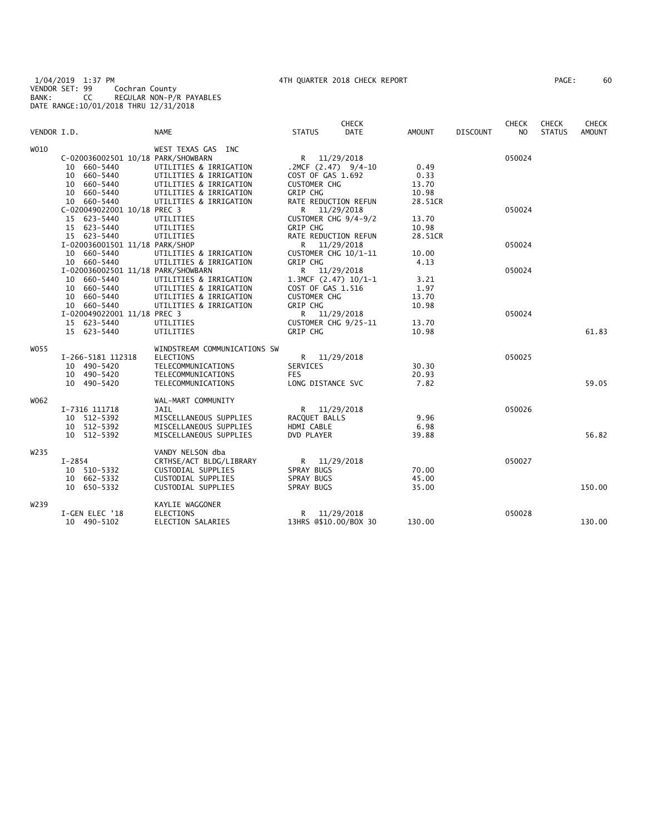1/04/2019 1:37 PM 4TH QUARTER 2018 CHECK REPORT PAGE: 60 VENDOR SET: 99 Cochran County BANK: CC REGULAR NON-P/R PAYABLES DATE RANGE:10/01/2018 THRU 12/31/2018

| AGE: | 60 |
|------|----|
|------|----|

|                  |                                    |                              |                     | <b>CHECK</b>           |               |                 | <b>CHECK</b>   | <b>CHECK</b>  | <b>CHECK</b>  |
|------------------|------------------------------------|------------------------------|---------------------|------------------------|---------------|-----------------|----------------|---------------|---------------|
| VENDOR I.D.      |                                    | <b>NAME</b>                  | <b>STATUS</b>       | <b>DATE</b>            | <b>AMOUNT</b> | <b>DISCOUNT</b> | N <sub>O</sub> | <b>STATUS</b> | <b>AMOUNT</b> |
| W010             |                                    | WEST TEXAS GAS INC           |                     |                        |               |                 |                |               |               |
|                  | C-020036002501 10/18 PARK/SHOWBARN |                              |                     | R 11/29/2018           |               |                 | 050024         |               |               |
|                  | 10 660-5440                        | UTILITIES & IRRIGATION       |                     | .2MCF $(2.47)$ 9/4-10  | 0.49          |                 |                |               |               |
|                  | 10 660-5440                        | UTILITIES & IRRIGATION       | COST OF GAS 1.692   |                        | 0.33          |                 |                |               |               |
|                  | 10 660-5440                        | UTILITIES & IRRIGATION       | <b>CUSTOMER CHG</b> |                        | 13.70         |                 |                |               |               |
|                  | 10 660-5440                        | UTILITIES & IRRIGATION       | GRIP CHG            |                        | 10.98         |                 |                |               |               |
|                  | 10 660-5440                        | UTILITIES & IRRIGATION       |                     | RATE REDUCTION REFUN   | 28.51CR       |                 |                |               |               |
|                  | C-020049022001 10/18 PREC 3        |                              |                     | R 11/29/2018           |               |                 | 050024         |               |               |
|                  | 15 623-5440                        | UTILITIES                    |                     | CUSTOMER CHG 9/4-9/2   | 13.70         |                 |                |               |               |
|                  | 15 623-5440                        | UTILITIES                    | GRIP CHG            |                        | 10.98         |                 |                |               |               |
|                  | 15 623-5440                        | UTILITIES                    |                     | RATE REDUCTION REFUN   | 28.51CR       |                 |                |               |               |
|                  | I-020036001501 11/18 PARK/SHOP     |                              |                     | R 11/29/2018           |               |                 | 050024         |               |               |
|                  |                                    |                              |                     |                        |               |                 |                |               |               |
|                  | 10 660-5440                        | UTILITIES & IRRIGATION       |                     | CUSTOMER CHG 10/1-11   | 10.00         |                 |                |               |               |
|                  | 10 660-5440                        | UTILITIES & IRRIGATION       | GRIP CHG            |                        | 4.13          |                 |                |               |               |
|                  | I-020036002501 11/18 PARK/SHOWBARN |                              |                     | R 11/29/2018           |               |                 | 050024         |               |               |
|                  | 10 660-5440                        | UTILITIES & IRRIGATION       |                     | $1.3MCF (2.47) 10/1-1$ | 3.21          |                 |                |               |               |
|                  | 10 660-5440                        | UTILITIES & IRRIGATION       | COST OF GAS 1.516   |                        | 1.97          |                 |                |               |               |
|                  | 10 660-5440                        | UTILITIES & IRRIGATION       | <b>CUSTOMER CHG</b> |                        | 13.70         |                 |                |               |               |
|                  | 10 660-5440                        | UTILITIES & IRRIGATION       | GRIP CHG            |                        | 10.98         |                 |                |               |               |
|                  | I-020049022001 11/18 PREC 3        |                              |                     | R 11/29/2018           |               |                 | 050024         |               |               |
|                  | 15 623-5440                        | UTILITIES                    |                     | CUSTOMER CHG 9/25-11   | 13.70         |                 |                |               |               |
|                  | 15 623-5440                        | UTILITIES                    | <b>GRIP CHG</b>     |                        | 10.98         |                 |                |               | 61.83         |
|                  |                                    |                              |                     |                        |               |                 |                |               |               |
| W055             |                                    | WINDSTREAM COMMUNICATIONS SW |                     |                        |               |                 |                |               |               |
|                  | I-266-5181 112318                  | <b>ELECTIONS</b>             |                     | R 11/29/2018           |               |                 | 050025         |               |               |
|                  | 10 490-5420                        | TELECOMMUNICATIONS           | SERVICES            |                        | 30.30         |                 |                |               |               |
|                  | 10 490-5420                        | TELECOMMUNICATIONS           | <b>FES</b>          |                        | 20.93         |                 |                |               |               |
|                  | 10 490-5420                        | TELECOMMUNICATIONS           | LONG DISTANCE SVC   |                        | 7.82          |                 |                |               | 59.05         |
|                  |                                    |                              |                     |                        |               |                 |                |               |               |
| W062             |                                    | WAL-MART COMMUNITY           |                     |                        |               |                 |                |               |               |
|                  | I-7316 111718                      | JAIL                         |                     | R 11/29/2018           |               |                 | 050026         |               |               |
|                  | 10 512-5392                        | MISCELLANEOUS SUPPLIES       | RACQUET BALLS       |                        | 9.96          |                 |                |               |               |
|                  | 10 512-5392                        | MISCELLANEOUS SUPPLIES       | HDMI CABLE          |                        | 6.98          |                 |                |               |               |
|                  | 10 512-5392                        | MISCELLANEOUS SUPPLIES       | DVD PLAYER          |                        | 39.88         |                 |                |               | 56.82         |
|                  |                                    |                              |                     |                        |               |                 |                |               |               |
| W235             |                                    | VANDY NELSON dba             |                     |                        |               |                 |                |               |               |
|                  | $I - 2854$                         | CRTHSE/ACT BLDG/LIBRARY      |                     | R 11/29/2018           |               |                 | 050027         |               |               |
|                  | 10 510-5332                        | CUSTODIAL SUPPLIES           | SPRAY BUGS          |                        | 70.00         |                 |                |               |               |
|                  | 10 662-5332                        | CUSTODIAL SUPPLIES           | SPRAY BUGS          |                        | 45.00         |                 |                |               |               |
|                  | 10 650-5332                        | CUSTODIAL SUPPLIES           | SPRAY BUGS          |                        | 35.00         |                 |                |               | 150.00        |
| W <sub>239</sub> |                                    | KAYLIE WAGGONER              |                     |                        |               |                 |                |               |               |
|                  | I-GEN ELEC '18                     | <b>ELECTIONS</b>             | R                   | 11/29/2018             |               |                 | 050028         |               |               |
|                  | 10 490-5102                        | ELECTION SALARIES            |                     | 13HRS @\$10.00/BOX 30  | 130.00        |                 |                |               | 130.00        |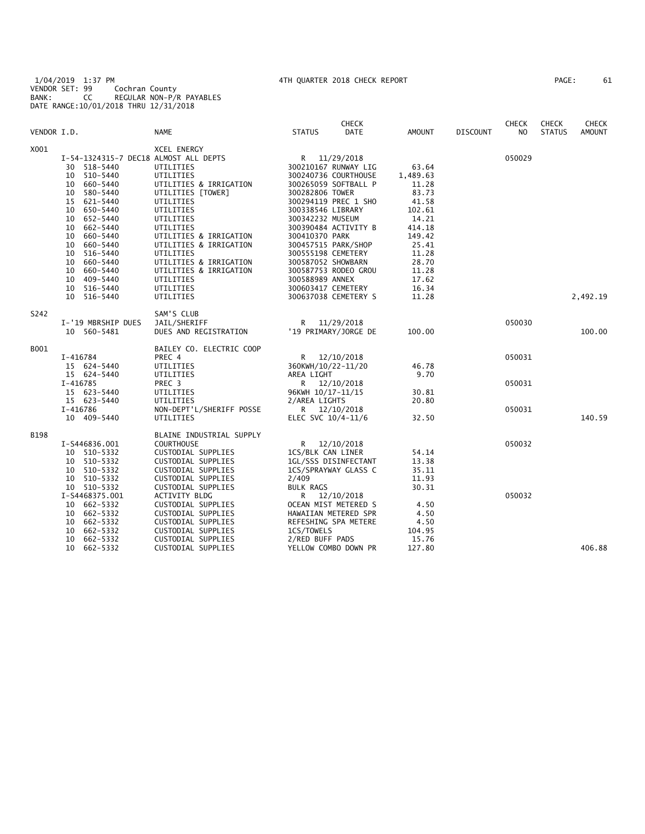1/04/2019 1:37 PM 4TH QUARTER 2018 CHECK REPORT PAGE: 61 VENDOR SET: 99 Cochran County BANK: CC REGULAR NON-P/R PAYABLES DATE RANGE:10/01/2018 THRU 12/31/2018

| PAGE : | 61 |
|--------|----|
|        |    |

|             |                                       |                                               |                                       | <b>CHECK</b>                         |                |                 | <b>CHECK</b>   | <b>CHECK</b>  | <b>CHECK</b>  |
|-------------|---------------------------------------|-----------------------------------------------|---------------------------------------|--------------------------------------|----------------|-----------------|----------------|---------------|---------------|
| VENDOR I.D. |                                       | <b>NAME</b>                                   | <b>STATUS</b>                         | <b>DATE</b>                          | <b>AMOUNT</b>  | <b>DISCOUNT</b> | N <sub>O</sub> | <b>STATUS</b> | <b>AMOUNT</b> |
| X001        |                                       | XCEL ENERGY                                   |                                       |                                      |                |                 |                |               |               |
|             | I-54-1324315-7 DEC18 ALMOST ALL DEPTS |                                               |                                       | R 11/29/2018                         |                |                 | 050029         |               |               |
|             | 30 518-5440                           | UTILITIES                                     |                                       | 300210167 RUNWAY LIG                 | 63.64          |                 |                |               |               |
|             | 510-5440<br>10                        | UTILITIES                                     |                                       | 300240736 COURTHOUSE                 | 1,489.63       |                 |                |               |               |
|             | 660-5440<br>10                        | UTILITIES & IRRIGATION                        |                                       | 300265059 SOFTBALL P                 | 11.28          |                 |                |               |               |
|             | 10<br>580-5440                        | UTILITIES [TOWER]                             | 300282806 TOWER                       |                                      | 83.73          |                 |                |               |               |
|             | 15<br>621-5440                        | UTILITIES                                     |                                       | 300294119 PREC 1 SHO                 | 41.58          |                 |                |               |               |
|             | 650-5440<br>10                        | UTILITIES                                     | 300338546 LIBRARY                     |                                      | 102.61         |                 |                |               |               |
|             | 652-5440<br>10                        | UTILITIES                                     | 300342232 MUSEUM                      |                                      | 14.21          |                 |                |               |               |
|             | 10 662-5440                           | UTILITIES                                     |                                       | 300390484 ACTIVITY B                 | 414.18         |                 |                |               |               |
|             | 10<br>660-5440                        | UTILITIES & IRRIGATION                        | 300410370 PARK                        |                                      | 149.42         |                 |                |               |               |
|             | 660-5440<br>10                        | UTILITIES & IRRIGATION                        |                                       | 300457515 PARK/SHOP                  | 25.41          |                 |                |               |               |
|             | 516-5440<br>10                        | UTILITIES                                     | 300555198 CEMETERY                    |                                      | 11.28          |                 |                |               |               |
|             | 10<br>660-5440                        | UTILITIES & IRRIGATION                        | 300587052 SHOWBARN                    |                                      | 28.70          |                 |                |               |               |
|             | 10<br>660-5440                        | UTILITIES & IRRIGATION                        |                                       | 300587753 RODEO GROU                 | 11.28          |                 |                |               |               |
|             | 409-5440<br>10<br>10<br>516-5440      | UTILITIES<br>UTILITIES                        | 300588989 ANNEX<br>300603417 CEMETERY |                                      | 17.62<br>16.34 |                 |                |               |               |
|             | 10 516-5440                           | UTILITIES                                     |                                       | 300637038 CEMETERY S                 | 11.28          |                 |                |               | 2,492.19      |
|             |                                       |                                               |                                       |                                      |                |                 |                |               |               |
| S242        |                                       | SAM'S CLUB                                    |                                       |                                      |                |                 |                |               |               |
|             | I-'19 MBRSHIP DUES<br>10 560-5481     | JAIL/SHERIFF<br>DUES AND REGISTRATION         |                                       | R 11/29/2018<br>'19 PRIMARY/JORGE DE | 100.00         |                 | 050030         |               | 100.00        |
|             |                                       |                                               |                                       |                                      |                |                 |                |               |               |
| B001        |                                       | BAILEY CO. ELECTRIC COOP                      |                                       |                                      |                |                 |                |               |               |
|             | I-416784                              | PREC 4                                        | R.                                    | 12/10/2018                           | 46.78          |                 | 050031         |               |               |
|             | 15 624-5440<br>15 624-5440            | UTILITIES<br>UTILITIES                        | 360KWH/10/22-11/20<br>AREA LIGHT      |                                      | 9.70           |                 |                |               |               |
|             | I-416785                              | PREC <sub>3</sub>                             |                                       | R 12/10/2018                         |                |                 | 050031         |               |               |
|             | 15 623-5440                           | UTILITIES                                     | 96KWH 10/17-11/15                     |                                      | 30.81          |                 |                |               |               |
|             | 15 623-5440                           | UTILITIES                                     | 2/AREA LIGHTS                         |                                      | 20.80          |                 |                |               |               |
|             | $I-416786$                            | NON-DEPT'L/SHERIFF POSSE                      |                                       | R 12/10/2018                         |                |                 | 050031         |               |               |
|             | 10 409-5440                           | UTILITIES                                     | ELEC SVC 10/4-11/6                    |                                      | 32.50          |                 |                |               | 140.59        |
|             |                                       |                                               |                                       |                                      |                |                 |                |               |               |
| <b>B198</b> | I-S446836.001                         | BLAINE INDUSTRIAL SUPPLY<br><b>COURTHOUSE</b> |                                       | R 12/10/2018                         |                |                 | 050032         |               |               |
|             | 10 510-5332                           | CUSTODIAL SUPPLIES                            | 1CS/BLK CAN LINER                     |                                      | 54.14          |                 |                |               |               |
|             | 510-5332<br>10                        | CUSTODIAL SUPPLIES                            |                                       | 1GL/SSS DISINFECTANT                 | 13.38          |                 |                |               |               |
|             | 510-5332<br>10                        | CUSTODIAL SUPPLIES                            |                                       | 1CS/SPRAYWAY GLASS C                 | 35.11          |                 |                |               |               |
|             | 10<br>510-5332                        | CUSTODIAL SUPPLIES                            | 2/409                                 |                                      | 11.93          |                 |                |               |               |
|             | 10 510-5332                           | CUSTODIAL SUPPLIES                            | <b>BULK RAGS</b>                      |                                      | 30.31          |                 |                |               |               |
|             | I-S4468375.001                        | ACTIVITY BLDG                                 | R                                     | 12/10/2018                           |                |                 | 050032         |               |               |
|             | 10 662-5332                           | CUSTODIAL SUPPLIES                            |                                       | OCEAN MIST METERED S                 | 4.50           |                 |                |               |               |
|             | 662-5332<br>10                        | CUSTODIAL SUPPLIES                            |                                       | HAWAIIAN METERED SPR                 | 4.50           |                 |                |               |               |
|             | 662-5332<br>10                        | CUSTODIAL SUPPLIES                            |                                       | REFESHING SPA METERE                 | 4.50           |                 |                |               |               |
|             | 662-5332<br>10                        | CUSTODIAL SUPPLIES                            | 1CS/TOWELS                            |                                      | 104.95         |                 |                |               |               |
|             | 10<br>662-5332                        | CUSTODIAL SUPPLIES                            | 2/RED BUFF PADS                       |                                      | 15.76          |                 |                |               |               |
|             | 10<br>662-5332                        | CUSTODIAL SUPPLIES                            |                                       | YELLOW COMBO DOWN PR                 | 127.80         |                 |                |               | 406.88        |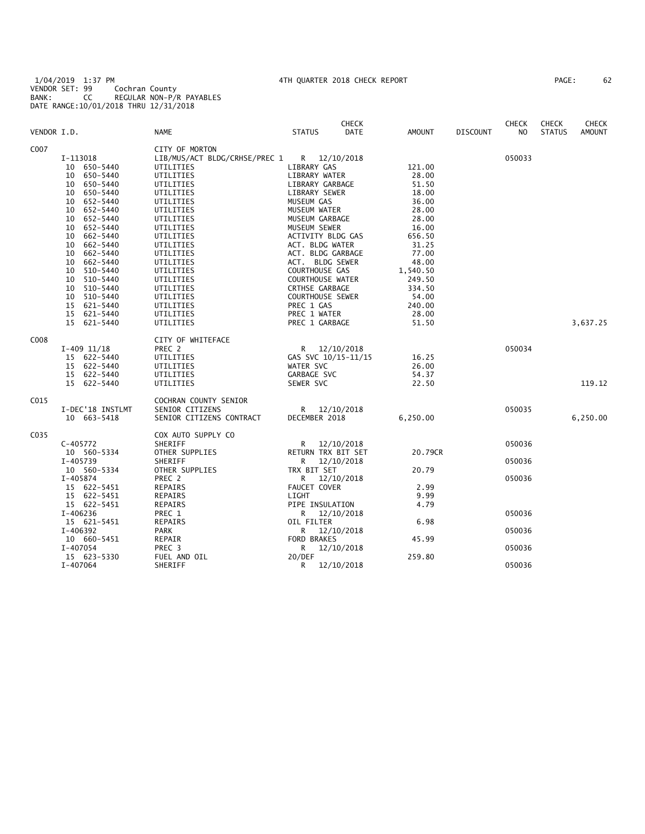1/04/2019 1:37 PM 4TH QUARTER 2018 CHECK REPORT PAGE: 62 VENDOR SET: 99 Cochran County BANK: CC REGULAR NON-P/R PAYABLES DATE RANGE:10/01/2018 THRU 12/31/2018

| PAGE : | 62 |
|--------|----|
|        |    |

|             |                  |                               |                         | <b>CHECK</b> |               |                 | <b>CHECK</b>   | <b>CHECK</b>  | <b>CHECK</b>  |
|-------------|------------------|-------------------------------|-------------------------|--------------|---------------|-----------------|----------------|---------------|---------------|
| VENDOR I.D. |                  | <b>NAME</b>                   | <b>STATUS</b>           | DATE         | <b>AMOUNT</b> | <b>DISCOUNT</b> | N <sub>O</sub> | <b>STATUS</b> | <b>AMOUNT</b> |
| C007        |                  | CITY OF MORTON                |                         |              |               |                 |                |               |               |
|             | I-113018         | LIB/MUS/ACT BLDG/CRHSE/PREC 1 | R 12/10/2018            |              |               |                 | 050033         |               |               |
|             | 10 650-5440      | UTILITIES                     | LIBRARY GAS             |              | 121.00        |                 |                |               |               |
|             | 10 650-5440      | UTILITIES                     | LIBRARY WATER           |              | 28.00         |                 |                |               |               |
|             | 10 650-5440      | UTILITIES                     | LIBRARY GARBAGE         |              | 51.50         |                 |                |               |               |
|             | 10 650-5440      |                               | LIBRARY SEWER           |              | 18.00         |                 |                |               |               |
|             |                  | UTILITIES                     |                         |              |               |                 |                |               |               |
|             | 10 652-5440      | UTILITIES                     | MUSEUM GAS              |              | 36.00         |                 |                |               |               |
|             | 10 652-5440      | UTILITIES                     | MUSEUM WATER            |              | 28.00         |                 |                |               |               |
|             | 10 652-5440      | UTILITIES                     | MUSEUM GARBAGE          |              | 28.00         |                 |                |               |               |
|             | 10 652-5440      | UTILITIES                     | MUSEUM SEWER            |              | 16.00         |                 |                |               |               |
|             | 662-5440<br>10   | UTILITIES                     | ACTIVITY BLDG GAS       |              | 656.50        |                 |                |               |               |
|             | 10 662-5440      | UTILITIES                     | ACT. BLDG WATER         |              | 31.25         |                 |                |               |               |
|             | 10 662-5440      | UTILITIES                     | ACT. BLDG GARBAGE       |              | 77.00         |                 |                |               |               |
|             | 662-5440<br>10   | UTILITIES                     | ACT. BLDG SEWER         |              | 48.00         |                 |                |               |               |
|             | 10<br>510-5440   | UTILITIES                     | COURTHOUSE GAS          |              | 1,540.50      |                 |                |               |               |
|             | 10 510-5440      | UTILITIES                     | <b>COURTHOUSE WATER</b> |              | 249.50        |                 |                |               |               |
|             | 10 510-5440      | UTILITIES                     | CRTHSE GARBAGE          |              | 334.50        |                 |                |               |               |
|             | 10 510-5440      | UTILITIES                     | <b>COURTHOUSE SEWER</b> |              | 54.00         |                 |                |               |               |
|             | 15 621-5440      | UTILITIES                     | PREC 1 GAS              |              | 240.00        |                 |                |               |               |
|             | 15 621-5440      | UTILITIES                     | PREC 1 WATER            |              | 28.00         |                 |                |               |               |
|             | 15 621-5440      | UTILITIES                     | PREC 1 GARBAGE          |              | 51.50         |                 |                |               | 3,637.25      |
|             |                  |                               |                         |              |               |                 |                |               |               |
| C008        |                  | CITY OF WHITEFACE             |                         |              |               |                 |                |               |               |
|             | $I-409$ $11/18$  | PREC 2                        |                         | R 12/10/2018 |               |                 | 050034         |               |               |
|             | 15 622-5440      | UTILITIES                     | GAS SVC 10/15-11/15     |              | 16.25         |                 |                |               |               |
|             | 15 622-5440      | UTILITIES                     | WATER SVC               |              | 26.00         |                 |                |               |               |
|             | 15 622-5440      | UTILITIES                     | GARBAGE SVC             |              | 54.37         |                 |                |               |               |
|             | 15 622-5440      | UTILITIES                     | SEWER SVC               |              | 22.50         |                 |                |               | 119.12        |
|             |                  |                               |                         |              |               |                 |                |               |               |
| C015        |                  | COCHRAN COUNTY SENIOR         |                         |              |               |                 |                |               |               |
|             | I-DEC'18 INSTLMT | SENIOR CITIZENS               | R 12/10/2018            |              |               |                 | 050035         |               |               |
|             | 10 663-5418      | SENIOR CITIZENS CONTRACT      | DECEMBER 2018           |              | 6,250.00      |                 |                |               | 6,250.00      |
| C035        |                  | COX AUTO SUPPLY CO            |                         |              |               |                 |                |               |               |
|             | C-405772         | SHERIFF                       | R                       | 12/10/2018   |               |                 | 050036         |               |               |
|             | 10 560-5334      | OTHER SUPPLIES                | RETURN TRX BIT SET      |              | 20.79CR       |                 |                |               |               |
|             | I-405739         | SHERIFF                       | R.                      | 12/10/2018   |               |                 | 050036         |               |               |
|             | 10 560-5334      | OTHER SUPPLIES                | TRX BIT SET             |              | 20.79         |                 |                |               |               |
|             | I-405874         | PREC 2                        | R                       | 12/10/2018   |               |                 | 050036         |               |               |
|             | 15 622-5451      | REPAIRS                       | <b>FAUCET COVER</b>     |              | 2.99          |                 |                |               |               |
|             |                  |                               | LIGHT                   |              | 9.99          |                 |                |               |               |
|             | 15 622-5451      | REPAIRS                       |                         |              |               |                 |                |               |               |
|             | 15 622-5451      | REPAIRS                       | PIPE INSULATION         |              | 4.79          |                 |                |               |               |
|             | I-406236         | PREC 1                        |                         | R 12/10/2018 |               |                 | 050036         |               |               |
|             | 15 621-5451      | REPAIRS                       | OIL FILTER              |              | 6.98          |                 |                |               |               |
|             | I-406392         | PARK                          | R                       | 12/10/2018   |               |                 | 050036         |               |               |
|             | 10 660-5451      | REPAIR                        | FORD BRAKES             |              | 45.99         |                 |                |               |               |
|             | I-407054         | PREC 3                        | R                       | 12/10/2018   |               |                 | 050036         |               |               |
|             | 15 623-5330      | FUEL AND OIL                  | 20/DEF                  |              | 259.80        |                 |                |               |               |
|             | I-407064         | SHERIFF                       | R                       | 12/10/2018   |               |                 | 050036         |               |               |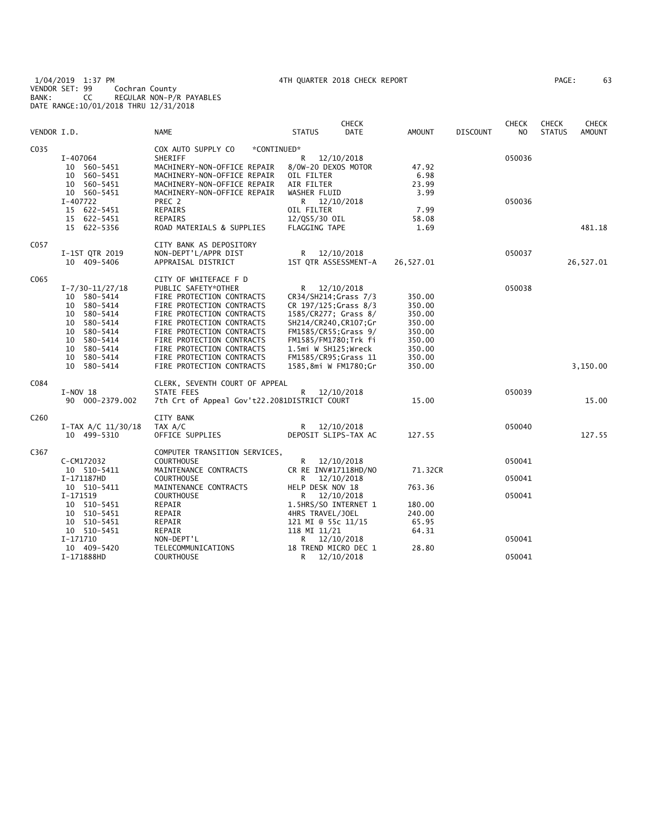1/04/2019 1:37 PM 4TH QUARTER 2018 CHECK REPORT PAGE: 63 VENDOR SET: 99 Cochran County BANK: CC REGULAR NON-P/R PAYABLES DATE RANGE:10/01/2018 THRU 12/31/2018

| PAGE : | 63 |  |
|--------|----|--|
|        |    |  |

| VENDOR I.D.      |                            | NAME                                         | <b>STATUS</b>               | <b>CHECK</b><br>DATE | <b>AMOUNT</b> | <b>DISCOUNT</b> | <b>CHECK</b><br>NO | <b>CHECK</b><br><b>STATUS</b> | <b>CHECK</b><br><b>AMOUNT</b> |
|------------------|----------------------------|----------------------------------------------|-----------------------------|----------------------|---------------|-----------------|--------------------|-------------------------------|-------------------------------|
|                  |                            |                                              |                             |                      |               |                 |                    |                               |                               |
| C035             |                            | COX AUTO SUPPLY CO<br>*CONTINUED*            |                             |                      |               |                 |                    |                               |                               |
|                  | I-407064                   | SHERIFF                                      | R                           | 12/10/2018           |               |                 | 050036             |                               |                               |
|                  | 10 560-5451                | MACHINERY-NON-OFFICE REPAIR                  | 8/0W-20 DEXOS MOTOR         |                      | 47.92         |                 |                    |                               |                               |
|                  | 10 560-5451                | MACHINERY-NON-OFFICE REPAIR                  | OIL FILTER                  |                      | 6.98          |                 |                    |                               |                               |
|                  | 10 560-5451                | MACHINERY-NON-OFFICE REPAIR                  | AIR FILTER                  |                      | 23.99         |                 |                    |                               |                               |
|                  | 10 560-5451                | MACHINERY-NON-OFFICE REPAIR                  | WASHER FLUID                |                      | 3.99          |                 |                    |                               |                               |
|                  | I-407722                   | PREC 2                                       | R 12/10/2018                |                      |               |                 | 050036             |                               |                               |
|                  | 15 622-5451<br>15 622-5451 | REPAIRS<br>REPAIRS                           | OIL FILTER<br>12/QS5/30 OIL |                      | 7.99<br>58.08 |                 |                    |                               |                               |
|                  | 15 622-5356                | ROAD MATERIALS & SUPPLIES                    | <b>FLAGGING TAPE</b>        |                      | 1.69          |                 |                    |                               | 481.18                        |
|                  |                            |                                              |                             |                      |               |                 |                    |                               |                               |
| C057             |                            | CITY BANK AS DEPOSITORY                      |                             |                      |               |                 |                    |                               |                               |
|                  | I-1ST QTR 2019             | NON-DEPT'L/APPR DIST                         | R 12/10/2018                |                      |               |                 | 050037             |                               |                               |
|                  | 10 409-5406                | APPRAISAL DISTRICT                           | 1ST QTR ASSESSMENT-A        |                      | 26,527.01     |                 |                    |                               | 26,527.01                     |
| C065             |                            | CITY OF WHITEFACE F D                        |                             |                      |               |                 |                    |                               |                               |
|                  | $I - 7/30 - 11/27/18$      | PUBLIC SAFETY*OTHER                          | R                           | 12/10/2018           |               |                 | 050038             |                               |                               |
|                  | 10 580-5414                | FIRE PROTECTION CONTRACTS                    | CR34/SH214; Grass 7/3       |                      | 350.00        |                 |                    |                               |                               |
|                  | 10 580-5414                | FIRE PROTECTION CONTRACTS                    | CR 197/125; Grass 8/3       |                      | 350.00        |                 |                    |                               |                               |
|                  | 10 580-5414                | FIRE PROTECTION CONTRACTS                    | 1585/CR277; Grass 8/        |                      | 350.00        |                 |                    |                               |                               |
|                  | 10 580-5414                | FIRE PROTECTION CONTRACTS                    | SH214/CR240, CR107; Gr      |                      | 350.00        |                 |                    |                               |                               |
|                  | 10 580-5414                | FIRE PROTECTION CONTRACTS                    | FM1585/CR55; Grass 9/       |                      | 350.00        |                 |                    |                               |                               |
|                  | 10 580-5414                | FIRE PROTECTION CONTRACTS                    | FM1585/FM1780;Trk fi        |                      | 350.00        |                 |                    |                               |                               |
|                  | 10 580-5414                | FIRE PROTECTION CONTRACTS                    | 1.5mi W SH125;Wreck         |                      | 350.00        |                 |                    |                               |                               |
|                  | 10 580-5414<br>10 580-5414 | FIRE PROTECTION CONTRACTS                    | FM1585/CR95; Grass 11       |                      | 350.00        |                 |                    |                               |                               |
|                  |                            | FIRE PROTECTION CONTRACTS                    | 1585,8mi W FM1780;Gr        |                      | 350.00        |                 |                    |                               | 3,150.00                      |
| C084             |                            | CLERK, SEVENTH COURT OF APPEAL               |                             |                      |               |                 |                    |                               |                               |
|                  | $I-NOV 18$                 | STATE FEES                                   | R                           | 12/10/2018           |               |                 | 050039             |                               |                               |
|                  | 90 000-2379.002            | 7th Crt of Appeal Gov't22.2081DISTRICT COURT |                             |                      | 15.00         |                 |                    |                               | 15.00                         |
| C <sub>260</sub> |                            | <b>CITY BANK</b>                             |                             |                      |               |                 |                    |                               |                               |
|                  | $I-TAX A/C 11/30/18$       | TAX A/C                                      | R 12/10/2018                |                      |               |                 | 050040             |                               |                               |
|                  | 10 499-5310                | OFFICE SUPPLIES                              | DEPOSIT SLIPS-TAX AC        |                      | 127.55        |                 |                    |                               | 127.55                        |
| C367             |                            | COMPUTER TRANSITION SERVICES,                |                             |                      |               |                 |                    |                               |                               |
|                  | C-CM172032                 | <b>COURTHOUSE</b>                            | R                           | 12/10/2018           |               |                 | 050041             |                               |                               |
|                  | 10 510-5411                | MAINTENANCE CONTRACTS                        | CR RE INV#17118HD/NO        |                      | 71.32CR       |                 |                    |                               |                               |
|                  | I-171187HD                 | <b>COURTHOUSE</b>                            | R                           | 12/10/2018           |               |                 | 050041             |                               |                               |
|                  | 10 510-5411                | MAINTENANCE CONTRACTS                        | HELP DESK NOV 18            |                      | 763.36        |                 |                    |                               |                               |
|                  | I-171519                   | <b>COURTHOUSE</b>                            | R                           | 12/10/2018           |               |                 | 050041             |                               |                               |
|                  | 10 510-5451                | REPAIR                                       | 1.5HRS/SO INTERNET 1        |                      | 180.00        |                 |                    |                               |                               |
|                  | 10 510-5451                | REPAIR                                       | 4HRS TRAVEL/JOEL            |                      | 240.00        |                 |                    |                               |                               |
|                  | 10 510-5451                | REPAIR                                       | 121 MI @ 55c 11/15          |                      | 65.95         |                 |                    |                               |                               |
|                  | 10 510-5451                | REPAIR                                       | 118 MI 11/21                |                      | 64.31         |                 |                    |                               |                               |
|                  | I-171710                   | NON-DEPT'L                                   | R                           | 12/10/2018           | 28.80         |                 | 050041             |                               |                               |
|                  | 10 409-5420                | TELECOMMUNICATIONS                           | 18 TREND MICRO DEC 1        |                      |               |                 |                    |                               |                               |
|                  | I-171888HD                 | <b>COURTHOUSE</b>                            | R                           | 12/10/2018           |               |                 | 050041             |                               |                               |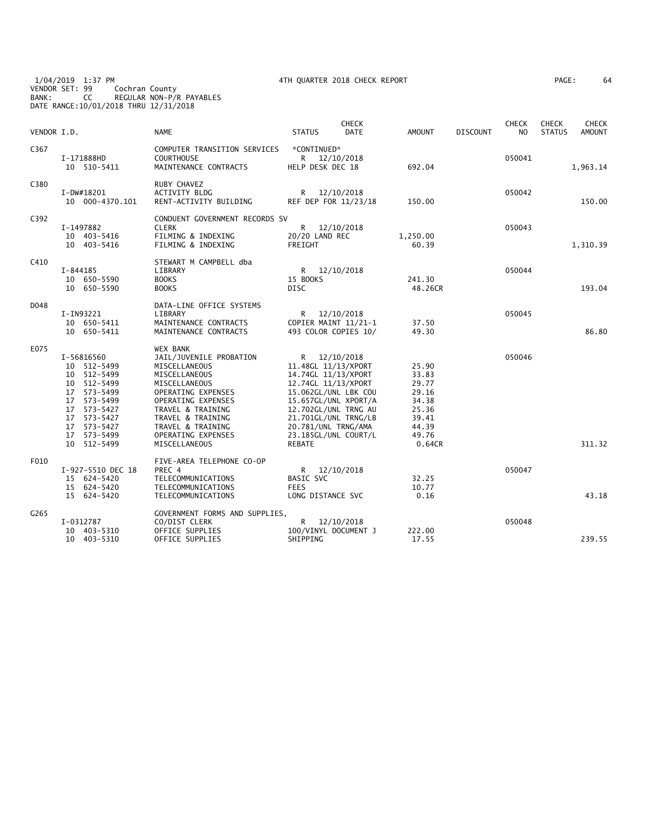1/04/2019 1:37 PM 4TH QUARTER 2018 CHECK REPORT PAGE: 64 VENDOR SET: 99 Cochran County BANK: CC REGULAR NON-P/R PAYABLES DATE RANGE:10/01/2018 THRU 12/31/2018

| 'AGE : | 64 |
|--------|----|
|--------|----|

| VENDOR I.D. |                                                                                                                                                                  | <b>NAME</b>                                                                                                                                                                                                                                     | <b>STATUS</b>                                                                                                                                                                                                                              | <b>CHECK</b><br><b>DATE</b> | AMOUNT                                                                                  | <b>DISCOUNT</b> | <b>CHECK</b><br>NO. | <b>CHECK</b><br><b>STATUS</b> | <b>CHECK</b><br>AMOUNT |
|-------------|------------------------------------------------------------------------------------------------------------------------------------------------------------------|-------------------------------------------------------------------------------------------------------------------------------------------------------------------------------------------------------------------------------------------------|--------------------------------------------------------------------------------------------------------------------------------------------------------------------------------------------------------------------------------------------|-----------------------------|-----------------------------------------------------------------------------------------|-----------------|---------------------|-------------------------------|------------------------|
| C367        | I-171888HD<br>10 510-5411                                                                                                                                        | COMPUTER TRANSITION SERVICES<br><b>COURTHOUSE</b><br>MAINTENANCE CONTRACTS                                                                                                                                                                      | *CONTINUED*<br>R 12/10/2018<br>HELP DESK DEC 18                                                                                                                                                                                            |                             | 692.04                                                                                  |                 | 050041              |                               | 1,963.14               |
| C380        | I-DW#18201<br>10 000-4370.101                                                                                                                                    | RUBY CHAVEZ<br>ACTIVITY BLDG<br>RENT-ACTIVITY BUILDING                                                                                                                                                                                          | R 12/10/2018<br>REF DEP FOR 11/23/18                                                                                                                                                                                                       |                             | 150.00                                                                                  |                 | 050042              |                               | 150.00                 |
| C392        | I-1497882<br>10 403-5416<br>10 403-5416                                                                                                                          | CONDUENT GOVERNMENT RECORDS SV<br><b>CLERK</b><br>FILMING & INDEXING<br>FILMING & INDEXING                                                                                                                                                      | R <sub>a</sub><br>20/20 LAND REC<br>FREIGHT                                                                                                                                                                                                | 12/10/2018                  | 1,250.00<br>60.39                                                                       |                 | 050043              |                               | 1,310.39               |
| C410        | I-844185<br>10 650-5590<br>10 650-5590                                                                                                                           | STEWART M CAMPBELL dba<br>LIBRARY<br><b>BOOKS</b><br><b>BOOKS</b>                                                                                                                                                                               | R 12/10/2018<br>15 BOOKS<br><b>DISC</b>                                                                                                                                                                                                    |                             | 241.30<br>48.26CR                                                                       |                 | 050044              |                               | 193.04                 |
| D048        | I-IN93221<br>10 650-5411<br>10 650-5411                                                                                                                          | DATA-LINE OFFICE SYSTEMS<br>LIBRARY<br>MAINTENANCE CONTRACTS<br>MAINTENANCE CONTRACTS                                                                                                                                                           | R<br>COPIER MAINT 11/21-1<br>493 COLOR COPIES 10/                                                                                                                                                                                          | 12/10/2018                  | 37.50<br>49.30                                                                          |                 | 050045              |                               | 86.80                  |
| E075        | I-56816560<br>10 512-5499<br>10 512-5499<br>10 512-5499<br>17 573-5499<br>17 573-5499<br>17 573-5427<br>17 573-5427<br>17 573-5427<br>17 573-5499<br>10 512-5499 | <b>WEX BANK</b><br>JAIL/JUVENILE PROBATION<br>MISCELLANEOUS<br>MISCELLANEOUS<br>MISCELLANEOUS<br>OPERATING EXPENSES<br>OPERATING EXPENSES<br>TRAVEL & TRAINING<br>TRAVEL & TRAINING<br>TRAVEL & TRAINING<br>OPERATING EXPENSES<br>MISCELLANEOUS | R 12/10/2018<br>11.48GL 11/13/XPORT<br>14.74GL 11/13/XPORT<br>12.74GL 11/13/XPORT<br>15.062GL/UNL LBK COU<br>15.657GL/UNL XPORT/A<br>12.702GL/UNL TRNG AU<br>21.701GL/UNL TRNG/LB<br>20.781/UNL TRNG/AMA<br>23.185GL/UNL COURT/L<br>REBATE |                             | 25.90<br>33.83<br>29.77<br>29.16<br>34.38<br>25.36<br>39.41<br>44.39<br>49.76<br>0.64CR |                 | 050046              |                               | 311.32                 |
| F010        | I-927-5510 DEC 18<br>15 624-5420<br>15 624-5420<br>15 624-5420                                                                                                   | FIVE-AREA TELEPHONE CO-OP<br>PREC 4<br>TELECOMMUNICATIONS<br>TELECOMMUNICATIONS<br>TELECOMMUNICATIONS                                                                                                                                           | R 12/10/2018<br><b>BASIC SVC</b><br><b>FEES</b><br>LONG DISTANCE SVC                                                                                                                                                                       |                             | 32.25<br>10.77<br>0.16                                                                  |                 | 050047              |                               | 43.18                  |
| G265        | I-0312787<br>10 403-5310<br>10 403-5310                                                                                                                          | GOVERNMENT FORMS AND SUPPLIES,<br>CO/DIST CLERK<br>OFFICE SUPPLIES<br>OFFICE SUPPLIES                                                                                                                                                           | R<br>100/VINYL DOCUMENT J<br>SHIPPING                                                                                                                                                                                                      | 12/10/2018                  | 222.00<br>17.55                                                                         |                 | 050048              |                               | 239.55                 |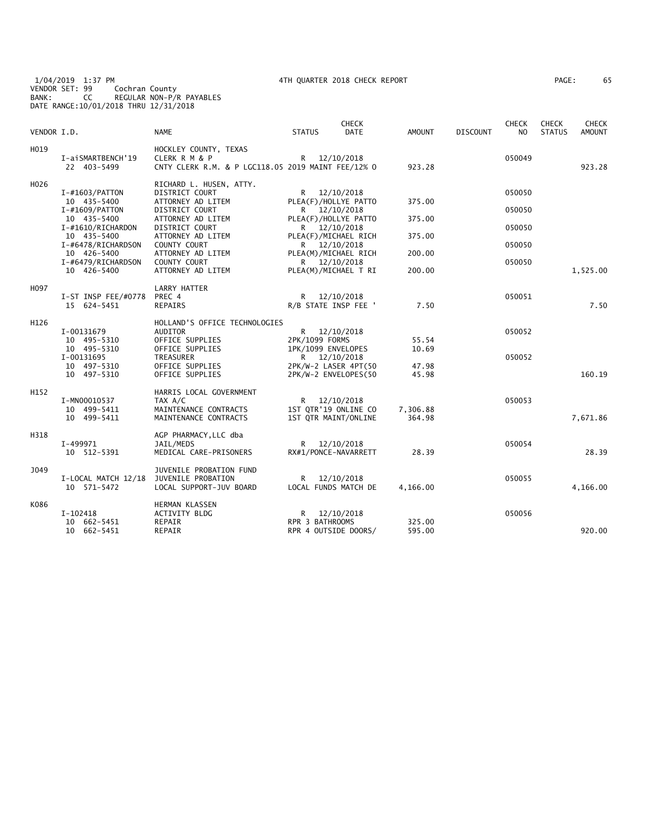1/04/2019 1:37 PM 4TH QUARTER 2018 CHECK REPORT PAGE: 65 VENDOR SET: 99 Cochran County BANK: CC REGULAR NON-P/R PAYABLES DATE RANGE:10/01/2018 THRU 12/31/2018

| AGE: | 6! |
|------|----|
|------|----|

| VENDOR I.D. |                                            | <b>NAME</b>                                                                                  | <b>STATUS</b>                                                | <b>CHECK</b><br><b>DATE</b> | <b>AMOUNT</b>      | <b>DISCOUNT</b> | <b>CHECK</b><br>N <sub>O</sub> | <b>CHECK</b><br><b>STATUS</b> | <b>CHECK</b><br><b>AMOUNT</b> |
|-------------|--------------------------------------------|----------------------------------------------------------------------------------------------|--------------------------------------------------------------|-----------------------------|--------------------|-----------------|--------------------------------|-------------------------------|-------------------------------|
| H019        | I-aiSMARTBENCH'19<br>22 403-5499           | HOCKLEY COUNTY, TEXAS<br>CLERK R M & P<br>CNTY CLERK R.M. & P LGC118.05 2019 MAINT FEE/12% O | R 12/10/2018                                                 |                             | 923.28             |                 | 050049                         |                               | 923.28                        |
| H026        | $I$ -#1603/PATTON                          | RICHARD L. HUSEN, ATTY.<br>DISTRICT COURT                                                    | R 12/10/2018                                                 |                             |                    |                 | 050050                         |                               |                               |
|             | 10 435-5400<br>I-#1609/PATTON              | ATTORNEY AD LITEM<br>DISTRICT COURT                                                          | PLEA(F)/HOLLYE PATTO<br>R 12/10/2018                         |                             | 375.00             |                 | 050050                         |                               |                               |
|             | 10 435-5400<br>I-#1610/RICHARDON           | ATTORNEY AD LITEM<br>DISTRICT COURT                                                          | PLEA(F)/HOLLYE PATTO<br>R 12/10/2018                         |                             | 375.00             |                 | 050050                         |                               |                               |
|             | 10 435-5400<br>I-#6478/RICHARDSON          | ATTORNEY AD LITEM<br>COUNTY COURT                                                            | PLEA(F)/MICHAEL RICH<br>R 12/10/2018                         |                             | 375.00             |                 | 050050                         |                               |                               |
|             | 10 426-5400<br>I-#6479/RICHARDSON          | ATTORNEY AD LITEM<br>COUNTY COURT                                                            | PLEA(M)/MICHAEL RICH<br>R 12/10/2018                         |                             | 200.00             |                 | 050050                         |                               |                               |
|             | 10 426-5400                                | ATTORNEY AD LITEM                                                                            | PLEA(M)/MICHAEL T RI                                         |                             | 200.00             |                 |                                |                               | 1,525.00                      |
| H097        | I-ST INSP FEE/#0778<br>15 624-5451         | <b>LARRY HATTER</b><br>PREC 4<br><b>REPAIRS</b>                                              | R 12/10/2018<br>R/B STATE INSP FEE '                         |                             | 7.50               |                 | 050051                         |                               | 7.50                          |
| H126        |                                            | HOLLAND'S OFFICE TECHNOLOGIES                                                                |                                                              |                             |                    |                 |                                |                               |                               |
|             | I-00131679<br>10 495-5310                  | <b>AUDITOR</b><br>OFFICE SUPPLIES                                                            | $\mathsf{R}$<br>2PK/1099 FORMS                               | 12/10/2018                  | 55.54              |                 | 050052                         |                               |                               |
|             | 10 495-5310<br>I-00131695                  | OFFICE SUPPLIES<br>TREASURER                                                                 | 1PK/1099 ENVELOPES<br>R 12/10/2018                           |                             | 10.69              |                 | 050052                         |                               |                               |
|             | 10 497-5310<br>10 497-5310                 | OFFICE SUPPLIES<br>OFFICE SUPPLIES                                                           | 2PK/W-2 LASER 4PT(50<br>2PK/W-2 ENVELOPES(50                 |                             | 47.98<br>45.98     |                 |                                |                               | 160.19                        |
| H152        |                                            | HARRIS LOCAL GOVERNMENT                                                                      |                                                              |                             |                    |                 |                                |                               |                               |
|             | I-MN00010537<br>10 499-5411<br>10 499-5411 | TAX A/C<br>MAINTENANCE CONTRACTS<br>MAINTENANCE CONTRACTS                                    | R 12/10/2018<br>1ST QTR'19 ONLINE CO<br>1ST QTR MAINT/ONLINE |                             | 7,306.88<br>364.98 |                 | 050053                         |                               | 7,671.86                      |
| H318        |                                            | AGP PHARMACY, LLC dba                                                                        |                                                              |                             |                    |                 |                                |                               |                               |
|             | I-499971<br>10 512-5391                    | JAIL/MEDS<br>MEDICAL CARE-PRISONERS                                                          | R 12/10/2018<br>RX#1/PONCE-NAVARRETT                         |                             | 28.39              |                 | 050054                         |                               | 28.39                         |
| J049        | I-LOCAL MATCH 12/18<br>10 571-5472         | JUVENILE PROBATION FUND<br>JUVENILE PROBATION<br>LOCAL SUPPORT-JUV BOARD                     | R 12/10/2018<br>LOCAL FUNDS MATCH DE                         |                             | 4,166.00           |                 | 050055                         |                               | 4,166.00                      |
| K086        |                                            | <b>HERMAN KLASSEN</b>                                                                        |                                                              |                             |                    |                 |                                |                               |                               |
|             | $I-102418$<br>10 662-5451<br>10 662-5451   | <b>ACTIVITY BLDG</b><br><b>REPAIR</b><br>REPAIR                                              | R 12/10/2018<br>RPR 3 BATHROOMS<br>RPR 4 OUTSIDE DOORS/      |                             | 325.00<br>595.00   |                 | 050056                         |                               | 920.00                        |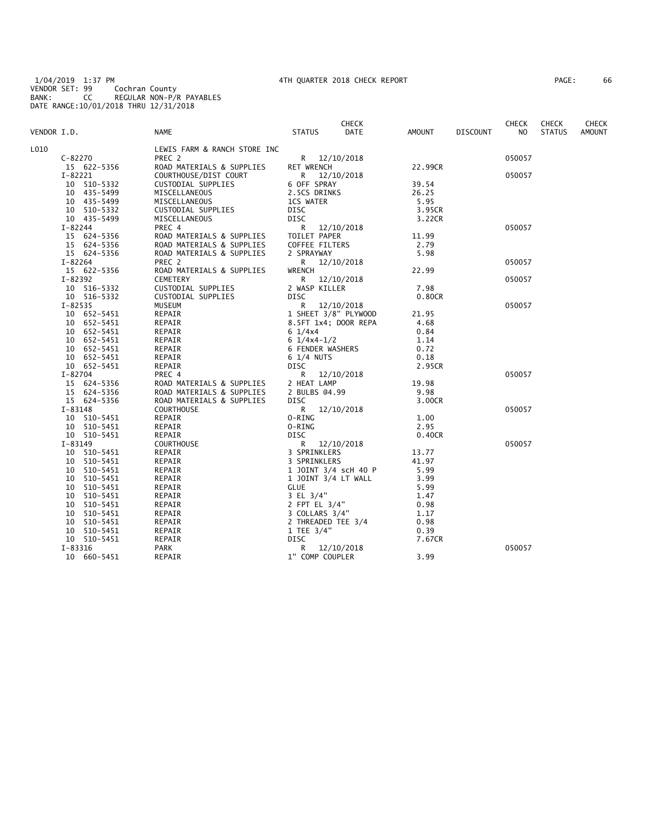1/04/2019 1:37 PM 4TH QUARTER 2018 CHECK REPORT PAGE: 66 VENDOR SET: 99 Cochran County BANK: CC REGULAR NON-P/R PAYABLES DATE RANGE:10/01/2018 THRU 12/31/2018

|  |  | 'AGE : |  | 66 |
|--|--|--------|--|----|
|--|--|--------|--|----|

|             |             |                              |                                        | <b>CHECK</b> |         |                 | <b>CHECK</b> | <b>CHECK</b>  | <b>CHECK</b>  |
|-------------|-------------|------------------------------|----------------------------------------|--------------|---------|-----------------|--------------|---------------|---------------|
| VENDOR I.D. |             | NAME                         | <b>STATUS</b>                          | <b>DATE</b>  | AMOUNT  | <b>DISCOUNT</b> | NO.          | <b>STATUS</b> | <b>AMOUNT</b> |
| L010        |             | LEWIS FARM & RANCH STORE INC |                                        |              |         |                 |              |               |               |
|             | C-82270     | PREC 2                       | R 12/10/2018                           |              |         |                 | 050057       |               |               |
|             | 15 622-5356 | ROAD MATERIALS & SUPPLIES    | <b>RET WRENCH</b>                      |              | 22.99CR |                 |              |               |               |
|             | I-82221     | COURTHOUSE/DIST COURT        | R 12/10/2018                           |              |         |                 | 050057       |               |               |
|             | 10 510-5332 | CUSTODIAL SUPPLIES           | 6 OFF SPRAY                            |              | 39.54   |                 |              |               |               |
|             | 10 435-5499 | MISCELLANEOUS                | 2.5CS DRINKS                           |              | 26.25   |                 |              |               |               |
|             | 10 435-5499 | MISCELLANEOUS                | 1CS WATER                              |              | 5.95    |                 |              |               |               |
|             | 10 510-5332 | CUSTODIAL SUPPLIES           | DISC                                   |              | 3.95CR  |                 |              |               |               |
|             | 10 435-5499 | MISCELLANEOUS                | <b>DISC</b>                            |              | 3.22CR  |                 |              |               |               |
|             | I-82244     | PREC 4                       | R                                      | 12/10/2018   |         |                 | 050057       |               |               |
|             | 15 624-5356 | ROAD MATERIALS & SUPPLIES    | TOILET PAPER                           |              | 11.99   |                 |              |               |               |
|             | 15 624-5356 | ROAD MATERIALS & SUPPLIES    | COFFEE FILTERS                         |              | 2.79    |                 |              |               |               |
|             | 15 624-5356 | ROAD MATERIALS & SUPPLIES    | 2 SPRAYWAY                             |              | 5.98    |                 |              |               |               |
|             | $I - 82264$ | PREC 2                       | R                                      | 12/10/2018   |         |                 | 050057       |               |               |
|             | 15 622-5356 | ROAD MATERIALS & SUPPLIES    | <b>WRENCH</b>                          |              | 22.99   |                 |              |               |               |
|             | $I - 82392$ | <b>CEMETERY</b>              | R 12/10/2018                           |              |         |                 | 050057       |               |               |
|             | 10 516-5332 | CUSTODIAL SUPPLIES           | 2 WASP KILLER                          |              | 7.98    |                 |              |               |               |
|             | 10 516-5332 | CUSTODIAL SUPPLIES           | <b>DISC</b>                            |              | 0.80CR  |                 |              |               |               |
|             | $I - 82535$ | MUSEUM                       | R.                                     | 12/10/2018   |         |                 | 050057       |               |               |
|             | 10 652-5451 | REPAIR                       | 1 SHEET 3/8" PLYWOOD                   |              | 21.95   |                 |              |               |               |
|             | 10 652-5451 | REPAIR                       | 8.5FT 1x4; DOOR REPA                   |              | 4.68    |                 |              |               |               |
|             | 10 652-5451 | REPAIR                       | $6 \frac{1}{4} \times 4$               |              | 0.84    |                 |              |               |               |
|             | 10 652-5451 | REPAIR                       | $6 \frac{1}{4} \times 4 - \frac{1}{2}$ |              | 1.14    |                 |              |               |               |
|             | 10 652-5451 | REPAIR                       | <b>6 FENDER WASHERS</b>                |              | 0.72    |                 |              |               |               |
|             | 10 652-5451 | REPAIR                       | 6 1/4 NUTS                             |              | 0.18    |                 |              |               |               |
|             | 10 652-5451 | REPAIR                       | DISC                                   |              | 2.95CR  |                 |              |               |               |
|             | I-82704     | PREC 4                       | R.                                     | 12/10/2018   |         |                 | 050057       |               |               |
|             | 15 624-5356 | ROAD MATERIALS & SUPPLIES    | 2 HEAT LAMP                            |              | 19.98   |                 |              |               |               |
|             | 15 624-5356 | ROAD MATERIALS & SUPPLIES    | 2 BULBS @4.99                          |              | 9.98    |                 |              |               |               |
|             | 15 624-5356 | ROAD MATERIALS & SUPPLIES    | <b>DISC</b>                            |              | 3.00CR  |                 |              |               |               |
|             | I-83148     | <b>COURTHOUSE</b>            | R                                      | 12/10/2018   |         |                 | 050057       |               |               |
|             | 10 510-5451 | REPAIR                       | 0-RING                                 |              | 1.00    |                 |              |               |               |
|             | 10 510-5451 | REPAIR                       | O-RING                                 |              | 2.95    |                 |              |               |               |
|             | 10 510-5451 | REPAIR                       | <b>DISC</b>                            |              | 0.40CR  |                 |              |               |               |
|             | I-83149     | COURTHOUSE                   | R.                                     | 12/10/2018   |         |                 | 050057       |               |               |
|             | 10 510-5451 | REPAIR                       | 3 SPRINKLERS                           |              | 13.77   |                 |              |               |               |
|             | 10 510-5451 | REPAIR                       | 3 SPRINKLERS                           |              | 41.97   |                 |              |               |               |
|             | 10 510-5451 | REPAIR                       | 1 JOINT 3/4 scH 40 P                   |              | 5.99    |                 |              |               |               |
|             | 10 510-5451 | REPAIR                       | 1 JOINT 3/4 LT WALL                    |              | 3.99    |                 |              |               |               |
|             | 10 510-5451 | REPAIR                       | <b>GLUE</b>                            |              | 5.99    |                 |              |               |               |
|             | 10 510-5451 | REPAIR                       | 3 EL 3/4"                              |              | 1.47    |                 |              |               |               |
|             | 10 510-5451 | REPAIR                       | 2 FPT EL 3/4"                          |              | 0.98    |                 |              |               |               |
|             | 10 510-5451 | REPAIR                       | 3 COLLARS 3/4"                         |              | 1.17    |                 |              |               |               |
|             | 10 510-5451 | REPAIR                       | 2 THREADED TEE 3/4                     |              | 0.98    |                 |              |               |               |
|             | 10 510-5451 | REPAIR                       | 1 TEE $3/4"$                           |              | 0.39    |                 |              |               |               |
|             | 10 510-5451 | REPAIR                       | DISC                                   |              | 7.67CR  |                 |              |               |               |
|             | $I - 83316$ | PARK                         | R.                                     | 12/10/2018   |         |                 | 050057       |               |               |
|             | 10 660-5451 | REPAIR                       | 1" COMP COUPLER                        |              | 3.99    |                 |              |               |               |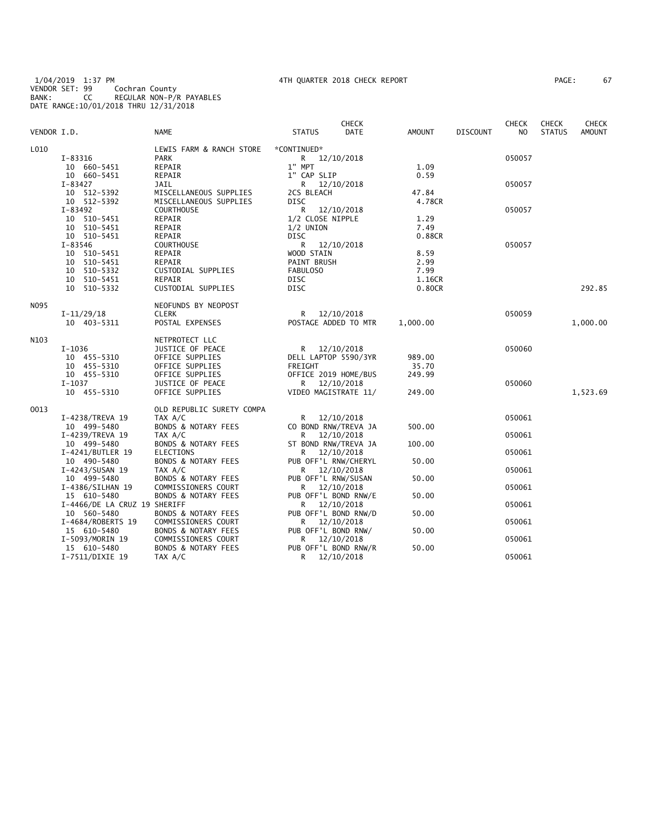1/04/2019 1:37 PM 4TH QUARTER 2018 CHECK REPORT PAGE: 67 VENDOR SET: 99 Cochran County BANK: CC REGULAR NON-P/R PAYABLES DATE RANGE:10/01/2018 THRU 12/31/2018

| AGE: | 67 |
|------|----|
|------|----|

| VENDOR I.D. |                                                                 | <b>NAME</b>                                                                          | <b>STATUS</b>                                                           | CHECK<br>DATE            | AMOUNT                    | <b>DISCOUNT</b> | <b>CHECK</b><br>NO. | <b>CHECK</b><br><b>STATUS</b> | <b>CHECK</b><br>AMOUNT |
|-------------|-----------------------------------------------------------------|--------------------------------------------------------------------------------------|-------------------------------------------------------------------------|--------------------------|---------------------------|-----------------|---------------------|-------------------------------|------------------------|
| L010        | I-83316<br>10 660-5451                                          | LEWIS FARM & RANCH STORE<br><b>PARK</b><br>REPAIR                                    | *CONTINUED*<br>R 12/10/2018<br>1" MPT                                   |                          | 1.09                      |                 | 050057              |                               |                        |
|             | 10 660-5451<br>I-83427<br>10 512-5392                           | REPAIR<br>JAIL<br>MISCELLANEOUS SUPPLIES                                             | 1" CAP SLIP<br>R 12/10/2018<br>2CS BLEACH                               |                          | 0.59<br>47.84             |                 | 050057              |                               |                        |
|             | 10 512-5392<br>I-83492<br>10 510-5451<br>10 510-5451            | MISCELLANEOUS SUPPLIES<br><b>COURTHOUSE</b><br>REPAIR<br>REPAIR                      | <b>DISC</b><br>R.<br>1/2 CLOSE NIPPLE<br>$1/2$ UNION                    | 12/10/2018               | 4.78CR<br>1.29<br>7.49    |                 | 050057              |                               |                        |
|             | 10 510-5451<br>I-83546<br>10 510-5451                           | REPAIR<br><b>COURTHOUSE</b><br>REPAIR                                                | DISC<br>R<br>WOOD STAIN                                                 | 12/10/2018               | 0.88CR<br>8.59            |                 | 050057              |                               |                        |
|             | 10 510-5451<br>10 510-5332<br>10 510-5451                       | REPAIR<br>CUSTODIAL SUPPLIES<br>REPAIR                                               | PAINT BRUSH<br>FABULOSO<br><b>DISC</b>                                  |                          | 2.99<br>7.99<br>1.16CR    |                 |                     |                               |                        |
|             | 10 510-5332                                                     | CUSTODIAL SUPPLIES                                                                   | DISC                                                                    |                          | 0.80CR                    |                 |                     |                               | 292.85                 |
| N095        | $I-11/29/18$<br>10 403-5311                                     | NEOFUNDS BY NEOPOST<br><b>CLERK</b><br>POSTAL EXPENSES                               | R<br>POSTAGE ADDED TO MTR                                               | 12/10/2018               | 1,000.00                  |                 | 050059              |                               | 1,000.00               |
| N103        | $I-1036$<br>10 455-5310                                         | NETPROTECT LLC<br>JUSTICE OF PEACE<br>OFFICE SUPPLIES                                | R 12/10/2018<br>DELL LAPTOP 5590/3YR                                    |                          | 989.00                    |                 | 050060              |                               |                        |
|             | 10 455-5310<br>10 455-5310<br>$I-1037$<br>10 455-5310           | OFFICE SUPPLIES<br>OFFICE SUPPLIES<br>JUSTICE OF PEACE<br>OFFICE SUPPLIES            | FREIGHT<br>OFFICE 2019 HOME/BUS<br>R 12/10/2018<br>VIDEO MAGISTRATE 11/ |                          | 35.70<br>249.99<br>249.00 |                 | 050060              |                               | 1,523.69               |
| 0013        |                                                                 | OLD REPUBLIC SURETY COMPA                                                            |                                                                         |                          |                           |                 |                     |                               |                        |
|             | I-4238/TREVA 19<br>10 499-5480<br>I-4239/TREVA 19               | TAX A/C<br><b>BONDS &amp; NOTARY FEES</b><br>TAX A/C                                 | R<br>CO BOND RNW/TREVA JA<br>R                                          | 12/10/2018<br>12/10/2018 | 500.00                    |                 | 050061<br>050061    |                               |                        |
|             | 10 499-5480<br>I-4241/BUTLER 19<br>10 490-5480                  | <b>BONDS &amp; NOTARY FEES</b><br><b>ELECTIONS</b><br><b>BONDS &amp; NOTARY FEES</b> | ST BOND RNW/TREVA JA<br>R<br>PUB OFF'L RNW/CHERYL                       | 12/10/2018               | 100.00<br>50.00           |                 | 050061              |                               |                        |
|             | I-4243/SUSAN 19<br>10 499-5480                                  | TAX A/C<br>BONDS & NOTARY FEES                                                       | R<br>PUB OFF'L RNW/SUSAN                                                | 12/10/2018               | 50.00                     |                 | 050061              |                               |                        |
|             | I-4386/SILHAN 19<br>15 610-5480<br>I-4466/DE LA CRUZ 19 SHERIFF | COMMISSIONERS COURT<br><b>BONDS &amp; NOTARY FEES</b>                                | R<br>PUB OFF'L BOND RNW/E<br>R                                          | 12/10/2018<br>12/10/2018 | 50.00                     |                 | 050061<br>050061    |                               |                        |
|             | 10 560-5480<br>I-4684/ROBERTS 19<br>15 610-5480                 | <b>BONDS &amp; NOTARY FEES</b><br>COMMISSIONERS COURT<br>BONDS & NOTARY FEES         | PUB OFF'L BOND RNW/D<br>R<br>PUB OFF'L BOND RNW/                        | 12/10/2018               | 50.00<br>50.00            |                 | 050061              |                               |                        |
|             | I-5093/MORIN 19<br>15 610-5480<br>I-7511/DIXIE 19               | COMMISSIONERS COURT<br><b>BONDS &amp; NOTARY FEES</b><br>TAX A/C                     | R.<br>PUB OFF'L BOND RNW/R<br>R                                         | 12/10/2018<br>12/10/2018 | 50.00                     |                 | 050061<br>050061    |                               |                        |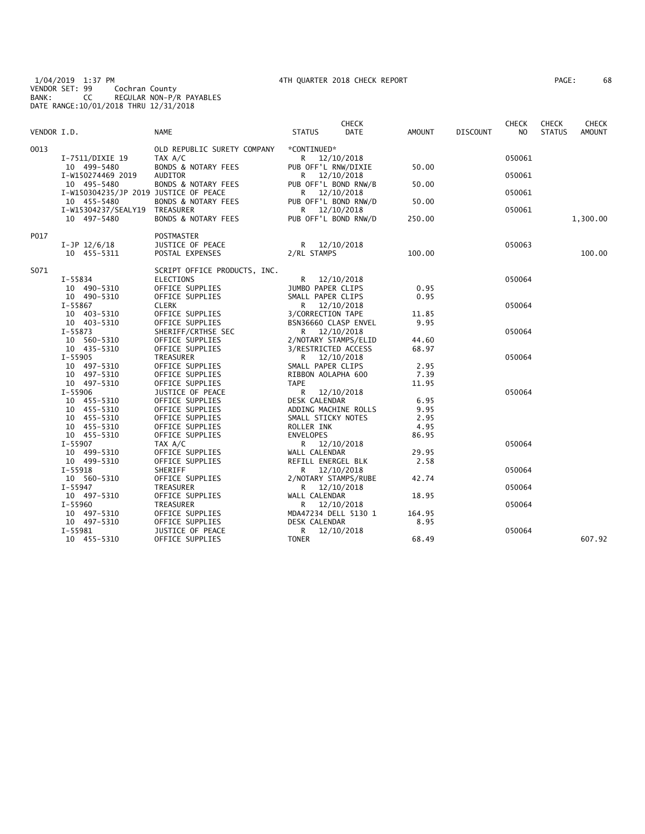1/04/2019 1:37 PM 4TH QUARTER 2018 CHECK REPORT PAGE: 68 VENDOR SET: 99 Cochran County BANK: CC REGULAR NON-P/R PAYABLES DATE RANGE:10/01/2018 THRU 12/31/2018

| AGE : | 68 |
|-------|----|
|-------|----|

| VENDOR I.D. |                                       | <b>NAME</b>                               | <b>STATUS</b>            | <b>CHECK</b><br><b>DATE</b> | <b>AMOUNT</b> | <b>DISCOUNT</b> | <b>CHECK</b><br>N <sub>O</sub> | <b>CHECK</b><br><b>STATUS</b> | <b>CHECK</b><br>AMOUNT |
|-------------|---------------------------------------|-------------------------------------------|--------------------------|-----------------------------|---------------|-----------------|--------------------------------|-------------------------------|------------------------|
|             |                                       |                                           |                          |                             |               |                 |                                |                               |                        |
| 0013        |                                       | OLD REPUBLIC SURETY COMPANY               | *CONTINUED*              |                             |               |                 |                                |                               |                        |
|             | I-7511/DIXIE 19                       | TAX A/C<br><b>BONDS &amp; NOTARY FEES</b> | R.                       | 12/10/2018                  | 50.00         |                 | 050061                         |                               |                        |
|             | 10 499-5480<br>I-W150274469 2019      | <b>AUDITOR</b>                            | PUB OFF'L RNW/DIXIE<br>R | 12/10/2018                  |               |                 | 050061                         |                               |                        |
|             | 10 495-5480                           | <b>BONDS &amp; NOTARY FEES</b>            | PUB OFF'L BOND RNW/B     |                             | 50.00         |                 |                                |                               |                        |
|             | I-W150304235/JP 2019 JUSTICE OF PEACE |                                           | R 12/10/2018             |                             |               |                 | 050061                         |                               |                        |
|             | 10 455-5480                           | BONDS & NOTARY FEES                       | PUB OFF'L BOND RNW/D     |                             | 50.00         |                 |                                |                               |                        |
|             | I-W15304237/SEALY19                   | TREASURER                                 | R                        | 12/10/2018                  |               |                 | 050061                         |                               |                        |
|             | 10 497-5480                           | <b>BONDS &amp; NOTARY FEES</b>            | PUB OFF'L BOND RNW/D     |                             | 250.00        |                 |                                |                               | 1,300.00               |
| P017        |                                       | <b>POSTMASTER</b>                         |                          |                             |               |                 |                                |                               |                        |
|             | $I-JP$ 12/6/18                        | JUSTICE OF PEACE                          | R 12/10/2018             |                             |               |                 | 050063                         |                               |                        |
|             | 10 455-5311                           | POSTAL EXPENSES                           | 2/RL STAMPS              |                             | 100.00        |                 |                                |                               | 100.00                 |
| S071        |                                       | SCRIPT OFFICE PRODUCTS, INC.              |                          |                             |               |                 |                                |                               |                        |
|             | I-55834                               | <b>ELECTIONS</b>                          | R                        | 12/10/2018                  |               |                 | 050064                         |                               |                        |
|             | 10 490-5310                           | OFFICE SUPPLIES                           | JUMBO PAPER CLIPS        |                             | 0.95          |                 |                                |                               |                        |
|             | 10 490-5310                           | OFFICE SUPPLIES                           | SMALL PAPER CLIPS        |                             | 0.95          |                 |                                |                               |                        |
|             | I-55867                               | <b>CLERK</b>                              | R 12/10/2018             |                             |               |                 | 050064                         |                               |                        |
|             | 10 403-5310                           | OFFICE SUPPLIES                           | 3/CORRECTION TAPE        |                             | 11.85         |                 |                                |                               |                        |
|             | 10 403-5310                           | OFFICE SUPPLIES                           | BSN36660 CLASP ENVEL     |                             | 9.95          |                 |                                |                               |                        |
|             | I-55873                               | SHERIFF/CRTHSE SEC                        | R 12/10/2018             |                             |               |                 | 050064                         |                               |                        |
|             | 10 560-5310                           | OFFICE SUPPLIES                           | 2/NOTARY STAMPS/ELID     |                             | 44.60         |                 |                                |                               |                        |
|             | 10 435-5310                           | OFFICE SUPPLIES                           | 3/RESTRICTED ACCESS      |                             | 68.97         |                 |                                |                               |                        |
|             | $I - 55905$                           | TREASURER                                 | R 12/10/2018             |                             |               |                 | 050064                         |                               |                        |
|             | 10 497-5310                           | OFFICE SUPPLIES                           | SMALL PAPER CLIPS        |                             | 2.95          |                 |                                |                               |                        |
|             | 10 497-5310                           | OFFICE SUPPLIES                           | RIBBON AOLAPHA 600       |                             | 7.39          |                 |                                |                               |                        |
|             | 10 497-5310                           | OFFICE SUPPLIES                           | <b>TAPE</b>              |                             | 11.95         |                 |                                |                               |                        |
|             | I-55906                               | JUSTICE OF PEACE                          | R                        | 12/10/2018                  |               |                 | 050064                         |                               |                        |
|             | 10 455-5310                           | OFFICE SUPPLIES                           | DESK CALENDAR            |                             | 6.95          |                 |                                |                               |                        |
|             | 10 455-5310                           | OFFICE SUPPLIES                           | ADDING MACHINE ROLLS     |                             | 9.95          |                 |                                |                               |                        |
|             | 10 455-5310                           | OFFICE SUPPLIES                           | SMALL STICKY NOTES       |                             | 2.95          |                 |                                |                               |                        |
|             | 10 455-5310                           | OFFICE SUPPLIES                           | ROLLER INK               |                             | 4.95          |                 |                                |                               |                        |
|             | 10 455-5310                           | OFFICE SUPPLIES                           | <b>ENVELOPES</b>         |                             | 86.95         |                 |                                |                               |                        |
|             | $I - 55907$                           | TAX A/C                                   | R 12/10/2018             |                             |               |                 | 050064                         |                               |                        |
|             | 10 499-5310                           | OFFICE SUPPLIES                           | WALL CALENDAR            |                             | 29.95         |                 |                                |                               |                        |
|             | 10 499-5310                           | OFFICE SUPPLIES                           | REFILL ENERGEL BLK       |                             | 2.58          |                 |                                |                               |                        |
|             | $I-55918$                             | SHERIFF                                   | R.                       | 12/10/2018                  |               |                 | 050064                         |                               |                        |
|             | 10 560-5310                           | OFFICE SUPPLIES                           | 2/NOTARY STAMPS/RUBE     |                             | 42.74         |                 |                                |                               |                        |
|             | $I - 55947$                           | TREASURER                                 | R                        | 12/10/2018                  |               |                 | 050064                         |                               |                        |
|             | 10 497-5310                           | OFFICE SUPPLIES                           | WALL CALENDAR            |                             | 18.95         |                 |                                |                               |                        |
|             | $I - 55960$                           | TREASURER                                 | R                        | 12/10/2018                  |               |                 | 050064                         |                               |                        |
|             | 10 497-5310                           | OFFICE SUPPLIES                           | MDA47234 DELL 5130 1     |                             | 164.95        |                 |                                |                               |                        |
|             | 10 497-5310                           | OFFICE SUPPLIES                           | DESK CALENDAR            |                             | 8.95          |                 |                                |                               |                        |
|             | I-55981                               | JUSTICE OF PEACE                          | R.                       | 12/10/2018                  |               |                 | 050064                         |                               |                        |
|             | 10 455-5310                           | OFFICE SUPPLIES                           | <b>TONER</b>             |                             | 68.49         |                 |                                |                               | 607.92                 |
|             |                                       |                                           |                          |                             |               |                 |                                |                               |                        |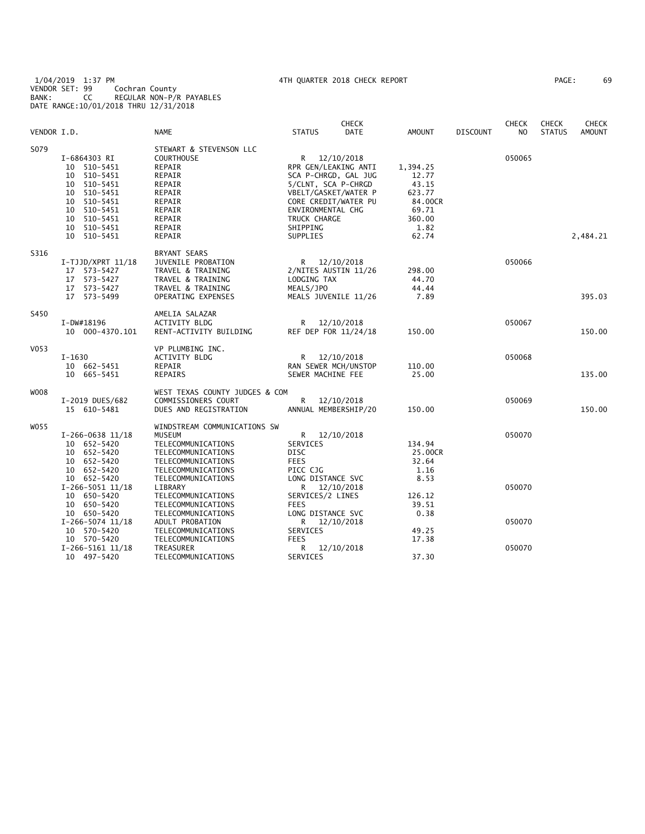1/04/2019 1:37 PM 4TH QUARTER 2018 CHECK REPORT PAGE: 69 VENDOR SET: 99 Cochran County BANK: CC REGULAR NON-P/R PAYABLES DATE RANGE:10/01/2018 THRU 12/31/2018

|             |                                                                                                                                                        |                                                                                                                                                      |                                                                                                                                                                                                  | <b>CHECK</b>             |                                                                                     |          | <b>CHECK</b>     | <b>CHECK</b>  | <b>CHECK</b>  |
|-------------|--------------------------------------------------------------------------------------------------------------------------------------------------------|------------------------------------------------------------------------------------------------------------------------------------------------------|--------------------------------------------------------------------------------------------------------------------------------------------------------------------------------------------------|--------------------------|-------------------------------------------------------------------------------------|----------|------------------|---------------|---------------|
| VENDOR I.D. |                                                                                                                                                        | NAME                                                                                                                                                 | <b>STATUS</b>                                                                                                                                                                                    | DATE                     | <b>AMOUNT</b>                                                                       | DISCOUNT | N <sub>O</sub>   | <b>STATUS</b> | <b>AMOUNT</b> |
| S079        | I-6864303 RI<br>10 510-5451<br>10 510-5451<br>10 510-5451<br>10<br>510-5451<br>10 510-5451<br>10 510-5451<br>10 510-5451<br>10 510-5451<br>10 510-5451 | STEWART & STEVENSON LLC<br><b>COURTHOUSE</b><br>REPAIR<br>REPAIR<br>REPAIR<br>REPAIR<br>REPAIR<br>REPAIR<br>REPAIR<br>REPAIR<br>REPAIR               | R 12/10/2018<br>RPR GEN/LEAKING ANTI<br>SCA P-CHRGD, GAL JUG<br>5/CLNT, SCA P-CHRGD<br>VBELT/GASKET/WATER P<br>CORE CREDIT/WATER PU<br>ENVIRONMENTAL CHG<br>TRUCK CHARGE<br>SHIPPING<br>SUPPLIES |                          | 1,394.25<br>12.77<br>43.15<br>623.77<br>84.00CR<br>69.71<br>360.00<br>1.82<br>62.74 |          | 050065           |               | 2,484.21      |
| S316        | $I-TJJD/XPRT 11/18$<br>17 573-5427<br>17 573-5427<br>17 573-5427<br>17 573-5499                                                                        | <b>BRYANT SEARS</b><br>JUVENILE PROBATION<br>TRAVEL & TRAINING<br>TRAVEL & TRAINING<br>TRAVEL & TRAINING<br>OPERATING EXPENSES                       | R 12/10/2018<br>2/NITES AUSTIN 11/26<br>LODGING TAX<br>MEALS/JPO<br>MEALS JUVENILE 11/26                                                                                                         |                          | 298.00<br>44.70<br>44.44<br>7.89                                                    |          | 050066           |               | 395.03        |
| S450        | I-DW#18196<br>10 000-4370.101                                                                                                                          | AMELIA SALAZAR<br><b>ACTIVITY BLDG</b><br>RENT-ACTIVITY BUILDING                                                                                     | R 12/10/2018<br>REF DEP FOR 11/24/18                                                                                                                                                             |                          | 150.00                                                                              |          | 050067           |               | 150.00        |
| V053        | $I-1630$<br>10 662-5451<br>10 665-5451                                                                                                                 | VP PLUMBING INC.<br>ACTIVITY BLDG<br>REPAIR<br>REPAIRS                                                                                               | $\mathsf{R}$<br>RAN SEWER MCH/UNSTOP<br>SEWER MACHINE FEE                                                                                                                                        | 12/10/2018               | 110.00<br>25.00                                                                     |          | 050068           |               | 135.00        |
| W008        | I-2019 DUES/682<br>15 610-5481                                                                                                                         | WEST TEXAS COUNTY JUDGES & COM<br>COMMISSIONERS COURT<br>DUES AND REGISTRATION                                                                       | R<br>ANNUAL MEMBERSHIP/20                                                                                                                                                                        | 12/10/2018               | 150.00                                                                              |          | 050069           |               | 150.00        |
| W055        | $I-266-0638$ 11/18<br>10 652-5420<br>10 652-5420<br>10 652-5420<br>10 652-5420<br>10 652-5420                                                          | WINDSTREAM COMMUNICATIONS SW<br>MUSEUM<br>TELECOMMUNICATIONS<br>TELECOMMUNICATIONS<br>TELECOMMUNICATIONS<br>TELECOMMUNICATIONS<br>TELECOMMUNICATIONS | R 12/10/2018<br>SERVICES<br>DISC<br><b>FEES</b><br>PICC CJG<br>LONG DISTANCE SVC                                                                                                                 |                          | 134.94<br>25.00CR<br>32.64<br>1.16<br>8.53                                          |          | 050070           |               |               |
|             | $I-266-5051$ 11/18<br>10 650-5420<br>10 650-5420<br>10 650-5420<br>$I-266-5074$ 11/18<br>10 570-5420                                                   | LIBRARY<br>TELECOMMUNICATIONS<br>TELECOMMUNICATIONS<br>TELECOMMUNICATIONS<br>ADULT PROBATION<br>TELECOMMUNICATIONS                                   | R<br>SERVICES/2 LINES<br><b>FEES</b><br>LONG DISTANCE SVC<br>R<br>SERVICES                                                                                                                       | 12/10/2018<br>12/10/2018 | 126.12<br>39.51<br>0.38<br>49.25                                                    |          | 050070<br>050070 |               |               |
|             | 10 570-5420<br>$I-266-5161$ $11/18$<br>10 497-5420                                                                                                     | TELECOMMUNICATIONS<br>TREASURER<br>TELECOMMUNICATIONS                                                                                                | <b>FEES</b><br>R<br>SERVICES                                                                                                                                                                     | 12/10/2018               | 17.38<br>37.30                                                                      |          | 050070           |               |               |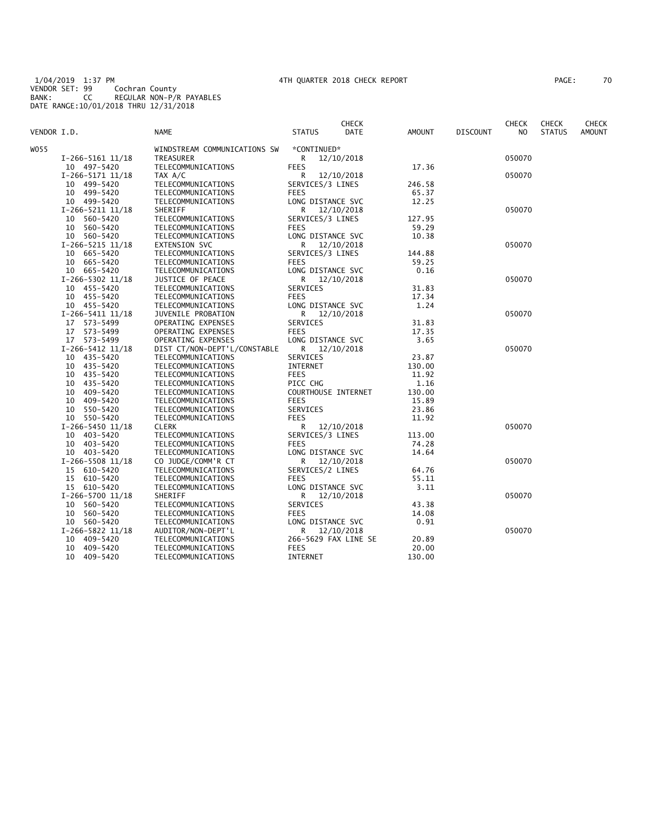1/04/2019 1:37 PM 4TH QUARTER 2018 CHECK REPORT PAGE: 70 VENDOR SET: 99 Cochran County BANK: CC REGULAR NON-P/R PAYABLES DATE RANGE:10/01/2018 THRU 12/31/2018

|  |  | AGE: |  | 70 |
|--|--|------|--|----|
|--|--|------|--|----|

|             |                      |                              |                      | <b>CHECK</b> |        |                 | <b>CHECK</b> | <b>CHECK</b>  | <b>CHECK</b>  |
|-------------|----------------------|------------------------------|----------------------|--------------|--------|-----------------|--------------|---------------|---------------|
| VENDOR I.D. |                      | <b>NAME</b>                  | <b>STATUS</b>        | <b>DATE</b>  | AMOUNT | <b>DISCOUNT</b> | NO.          | <b>STATUS</b> | <b>AMOUNT</b> |
| WO55        |                      | WINDSTREAM COMMUNICATIONS SW | *CONTINUED*          |              |        |                 |              |               |               |
|             | $I-266-5161$ $11/18$ | TREASURER                    | R.                   | 12/10/2018   |        |                 | 050070       |               |               |
|             | 10 497-5420          | TELECOMMUNICATIONS           | <b>FEES</b>          |              | 17.36  |                 |              |               |               |
|             | $I-266-5171$ $11/18$ | TAX A/C                      | R                    | 12/10/2018   |        |                 | 050070       |               |               |
|             | 10 499-5420          | TELECOMMUNICATIONS           | SERVICES/3 LINES     |              | 246.58 |                 |              |               |               |
|             | 10 499-5420          | TELECOMMUNICATIONS           | <b>FEES</b>          |              | 65.37  |                 |              |               |               |
|             | 10 499-5420          | TELECOMMUNICATIONS           | LONG DISTANCE SVC    |              | 12.25  |                 |              |               |               |
|             | $I-266-5211$ $11/18$ | SHERIFF                      | R.                   | 12/10/2018   |        |                 | 050070       |               |               |
|             | 10 560-5420          | TELECOMMUNICATIONS           | SERVICES/3 LINES     |              | 127.95 |                 |              |               |               |
|             | 10 560-5420          | TELECOMMUNICATIONS           | <b>FEES</b>          |              | 59.29  |                 |              |               |               |
|             | 10 560-5420          | TELECOMMUNICATIONS           | LONG DISTANCE SVC    |              | 10.38  |                 |              |               |               |
|             | $I-266-5215$ 11/18   | <b>EXTENSION SVC</b>         | R                    | 12/10/2018   |        |                 | 050070       |               |               |
|             | 10 665-5420          | TELECOMMUNICATIONS           | SERVICES/3 LINES     |              | 144.88 |                 |              |               |               |
|             | 10 665-5420          | TELECOMMUNICATIONS           | <b>FEES</b>          |              | 59.25  |                 |              |               |               |
|             | 10 665-5420          | TELECOMMUNICATIONS           | LONG DISTANCE SVC    |              | 0.16   |                 |              |               |               |
|             | $I-266-5302$ 11/18   | JUSTICE OF PEACE             | R 12/10/2018         |              |        |                 | 050070       |               |               |
|             | 10 455-5420          | TELECOMMUNICATIONS           | SERVICES             |              | 31.83  |                 |              |               |               |
|             | 10 455-5420          | TELECOMMUNICATIONS           | <b>FEES</b>          |              | 17.34  |                 |              |               |               |
|             | 10 455-5420          | TELECOMMUNICATIONS           | LONG DISTANCE SVC    |              | 1.24   |                 |              |               |               |
|             | $I-266-5411$ $11/18$ | JUVENILE PROBATION           | R 12/10/2018         |              |        |                 | 050070       |               |               |
|             | 17 573-5499          | OPERATING EXPENSES           | SERVICES             |              | 31.83  |                 |              |               |               |
|             | 17 573-5499          | OPERATING EXPENSES           | <b>FEES</b>          |              | 17.35  |                 |              |               |               |
|             | 17 573-5499          | OPERATING EXPENSES           | LONG DISTANCE SVC    |              | 3.65   |                 |              |               |               |
|             | $I-266-5412$ 11/18   | DIST CT/NON-DEPT'L/CONSTABLE | R 12/10/2018         |              |        |                 | 050070       |               |               |
|             | 10 435-5420          | TELECOMMUNICATIONS           | SERVICES             |              | 23.87  |                 |              |               |               |
|             | 10 435-5420          | TELECOMMUNICATIONS           | INTERNET             |              | 130.00 |                 |              |               |               |
|             | 10 435-5420          | TELECOMMUNICATIONS           | <b>FEES</b>          |              | 11.92  |                 |              |               |               |
|             | 10 435-5420          | TELECOMMUNICATIONS           | PICC CHG             |              | 1.16   |                 |              |               |               |
|             | 10<br>409–5420       | TELECOMMUNICATIONS           | COURTHOUSE INTERNET  |              | 130.00 |                 |              |               |               |
|             | 10<br>409–5420       | TELECOMMUNICATIONS           | <b>FEES</b>          |              | 15.89  |                 |              |               |               |
|             | 10<br>550-5420       | TELECOMMUNICATIONS           | SERVICES             |              | 23.86  |                 |              |               |               |
|             | 10 550-5420          | TELECOMMUNICATIONS           | <b>FEES</b>          |              | 11.92  |                 |              |               |               |
|             | $I-266-5450$ 11/18   | <b>CLERK</b>                 | R                    | 12/10/2018   |        |                 | 050070       |               |               |
|             | 10 403-5420          | TELECOMMUNICATIONS           | SERVICES/3 LINES     |              | 113.00 |                 |              |               |               |
|             | 10 403-5420          | TELECOMMUNICATIONS           | <b>FEES</b>          |              | 74.28  |                 |              |               |               |
|             | 10 403-5420          | TELECOMMUNICATIONS           | LONG DISTANCE SVC    |              | 14.64  |                 |              |               |               |
|             | $I-266-5508$ 11/18   | CO JUDGE/COMM'R CT           | R                    | 12/10/2018   |        |                 | 050070       |               |               |
|             | 15 610-5420          | TELECOMMUNICATIONS           | SERVICES/2 LINES     |              | 64.76  |                 |              |               |               |
|             | 15 610-5420          | TELECOMMUNICATIONS           | <b>FEES</b>          |              | 55.11  |                 |              |               |               |
|             | 15 610-5420          | TELECOMMUNICATIONS           | LONG DISTANCE SVC    |              | 3.11   |                 |              |               |               |
|             | I-266-5700 11/18     | SHERIFF                      | R                    | 12/10/2018   |        |                 | 050070       |               |               |
|             | 10 560-5420          | TELECOMMUNICATIONS           | SERVICES             |              | 43.38  |                 |              |               |               |
|             | 10 560-5420          | TELECOMMUNICATIONS           | <b>FEES</b>          |              | 14.08  |                 |              |               |               |
|             | 10 560-5420          | TELECOMMUNICATIONS           | LONG DISTANCE SVC    |              | 0.91   |                 |              |               |               |
|             | $I-266-5822$ 11/18   | AUDITOR/NON-DEPT'L           | R                    | 12/10/2018   |        |                 | 050070       |               |               |
|             | 10 409-5420          | TELECOMMUNICATIONS           | 266-5629 FAX LINE SE |              | 20.89  |                 |              |               |               |
|             | 10<br>409–5420       | TELECOMMUNICATIONS           | <b>FEES</b>          |              | 20.00  |                 |              |               |               |
|             | 10 409-5420          | TELECOMMUNICATIONS           | INTERNET             |              | 130.00 |                 |              |               |               |
|             |                      |                              |                      |              |        |                 |              |               |               |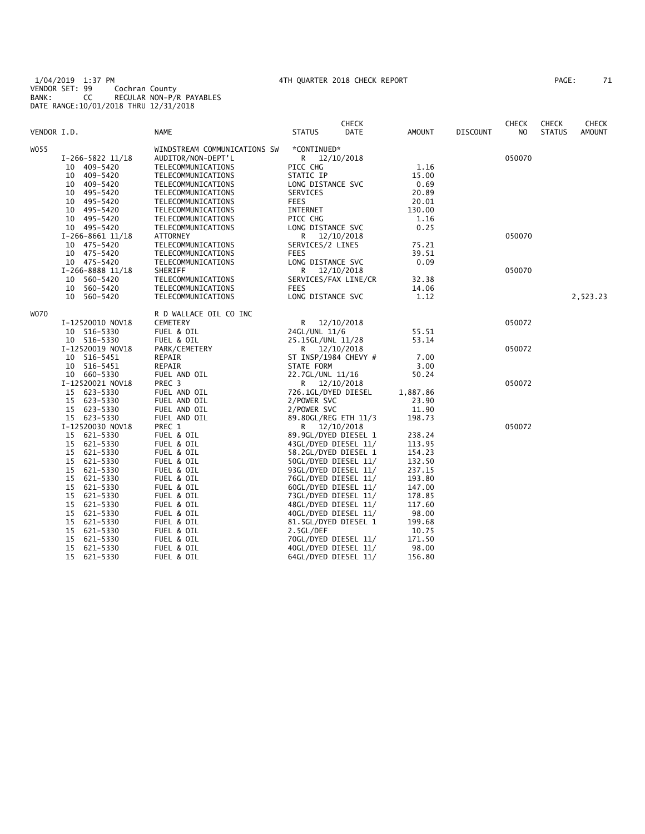1/04/2019 1:37 PM 4TH QUARTER 2018 CHECK REPORT PAGE: 71 VENDOR SET: 99 Cochran County BANK: CC REGULAR NON-P/R PAYABLES DATE RANGE:10/01/2018 THRU 12/31/2018

| AGE: | 71 |  |
|------|----|--|
|      |    |  |

|             |                  |                              |                      | <b>CHECK</b> |          |                 | <b>CHECK</b> | <b>CHECK</b>  | <b>CHECK</b>  |
|-------------|------------------|------------------------------|----------------------|--------------|----------|-----------------|--------------|---------------|---------------|
| VENDOR I.D. |                  | <b>NAME</b>                  | <b>STATUS</b>        | DATE         | AMOUNT   | <b>DISCOUNT</b> | NO.          | <b>STATUS</b> | <b>AMOUNT</b> |
| W055        |                  | WINDSTREAM COMMUNICATIONS SW | *CONTINUED*          |              |          |                 |              |               |               |
|             | I-266-5822 11/18 | AUDITOR/NON-DEPT'L           | R 12/10/2018         |              |          |                 | 050070       |               |               |
|             | 409–5420<br>10   | TELECOMMUNICATIONS           | PICC CHG             |              | 1.16     |                 |              |               |               |
|             | 409-5420<br>10   | TELECOMMUNICATIONS           | STATIC IP            |              | 15.00    |                 |              |               |               |
|             | 409–5420<br>10   | TELECOMMUNICATIONS           | LONG DISTANCE SVC    |              | 0.69     |                 |              |               |               |
|             | 495-5420<br>10   | TELECOMMUNICATIONS           | SERVICES             |              | 20.89    |                 |              |               |               |
|             | 10 495-5420      | TELECOMMUNICATIONS           | <b>FEES</b>          |              | 20.01    |                 |              |               |               |
|             | 10 495-5420      | TELECOMMUNICATIONS           | INTERNET             |              | 130.00   |                 |              |               |               |
|             | 10 495-5420      | TELECOMMUNICATIONS           | PICC CHG             |              | 1.16     |                 |              |               |               |
|             | 10 495-5420      | TELECOMMUNICATIONS           | LONG DISTANCE SVC    |              | 0.25     |                 |              |               |               |
|             | I-266-8661 11/18 | <b>ATTORNEY</b>              | R                    | 12/10/2018   |          |                 | 050070       |               |               |
|             | 10 475-5420      | TELECOMMUNICATIONS           | SERVICES/2 LINES     |              | 75.21    |                 |              |               |               |
|             | 10 475-5420      | TELECOMMUNICATIONS           | <b>FEES</b>          |              | 39.51    |                 |              |               |               |
|             | 10 475-5420      | TELECOMMUNICATIONS           | LONG DISTANCE SVC    |              | 0.09     |                 |              |               |               |
|             | I-266-8888 11/18 | SHERIFF                      | R                    | 12/10/2018   |          |                 | 050070       |               |               |
|             | 10 560-5420      | TELECOMMUNICATIONS           | SERVICES/FAX LINE/CR |              | 32.38    |                 |              |               |               |
|             | 10 560-5420      | TELECOMMUNICATIONS           | <b>FEES</b>          |              | 14.06    |                 |              |               |               |
|             | 10 560-5420      | TELECOMMUNICATIONS           | LONG DISTANCE SVC    |              | 1.12     |                 |              |               | 2,523.23      |
|             |                  |                              |                      |              |          |                 |              |               |               |
| W070        |                  | R D WALLACE OIL CO INC       |                      |              |          |                 |              |               |               |
|             | I-12520010 NOV18 | <b>CEMETERY</b>              | R.                   | 12/10/2018   |          |                 | 050072       |               |               |
|             | 10 516-5330      | FUEL & OIL                   | 24GL/UNL 11/6        |              | 55.51    |                 |              |               |               |
|             | 10 516-5330      | FUEL & OIL                   | 25.15GL/UNL 11/28    |              | 53.14    |                 |              |               |               |
|             | I-12520019 NOV18 | PARK/CEMETERY                | R 12/10/2018         |              |          |                 | 050072       |               |               |
|             | 10 516-5451      | REPAIR                       | ST INSP/1984 CHEVY # |              | 7.00     |                 |              |               |               |
|             | 10 516-5451      | REPAIR                       | STATE FORM           |              | 3.00     |                 |              |               |               |
|             | 10 660-5330      | FUEL AND OIL                 | 22.7GL/UNL 11/16     |              | 50.24    |                 |              |               |               |
|             | I-12520021 NOV18 | PREC <sub>3</sub>            | R 12/10/2018         |              |          |                 | 050072       |               |               |
|             | 15 623-5330      | FUEL AND OIL                 | 726.1GL/DYED DIESEL  |              | 1,887.86 |                 |              |               |               |
|             | 15<br>623-5330   | FUEL AND OIL                 | 2/POWER SVC          |              | 23.90    |                 |              |               |               |
|             | 15 623-5330      | FUEL AND OIL                 | 2/POWER SVC          |              | 11.90    |                 |              |               |               |
|             | 15 623-5330      | FUEL AND OIL                 | 89.80GL/REG ETH 11/3 |              | 198.73   |                 |              |               |               |
|             | I-12520030 NOV18 | PREC 1                       | R 12/10/2018         |              |          |                 | 050072       |               |               |
|             | 15 621-5330      | FUEL & OIL                   | 89.9GL/DYED DIESEL 1 |              | 238.24   |                 |              |               |               |
|             | 15 621-5330      | FUEL & OIL                   | 43GL/DYED DIESEL 11/ |              | 113.95   |                 |              |               |               |
|             | 15<br>621-5330   | FUEL & OIL                   | 58.2GL/DYED DIESEL 1 |              | 154.23   |                 |              |               |               |
|             | 15<br>621-5330   | FUEL & OIL                   | 50GL/DYED DIESEL 11/ |              | 132.50   |                 |              |               |               |
|             | 15<br>621-5330   | FUEL & OIL                   | 93GL/DYED DIESEL 11/ |              | 237.15   |                 |              |               |               |
|             | 621-5330<br>15   | FUEL & OIL                   | 76GL/DYED DIESEL 11/ |              | 193.80   |                 |              |               |               |
|             | 15<br>621-5330   | FUEL & OIL                   | 60GL/DYED DIESEL 11/ |              | 147.00   |                 |              |               |               |
|             | 15<br>621-5330   | FUEL & OIL                   | 73GL/DYED DIESEL 11/ |              | 178.85   |                 |              |               |               |
|             | 15<br>621-5330   | FUEL & OIL                   | 48GL/DYED DIESEL 11/ |              | 117.60   |                 |              |               |               |
|             | 621-5330<br>15   | FUEL & OIL                   | 40GL/DYED DIESEL 11/ |              | 98.00    |                 |              |               |               |
|             | 15<br>621-5330   | FUEL & OIL                   | 81.5GL/DYED DIESEL 1 |              | 199.68   |                 |              |               |               |
|             | 621-5330<br>15   | FUEL & OIL                   | 2.5GL/DEF            |              | 10.75    |                 |              |               |               |
|             | 15<br>621-5330   | FUEL & OIL                   | 70GL/DYED DIESEL 11/ |              | 171.50   |                 |              |               |               |
|             | 15<br>621-5330   | FUEL & OIL                   | 40GL/DYED DIESEL 11/ |              | 98.00    |                 |              |               |               |
|             | 15<br>621-5330   | FUEL & OIL                   | 64GL/DYED DIESEL 11/ |              | 156.80   |                 |              |               |               |
|             |                  |                              |                      |              |          |                 |              |               |               |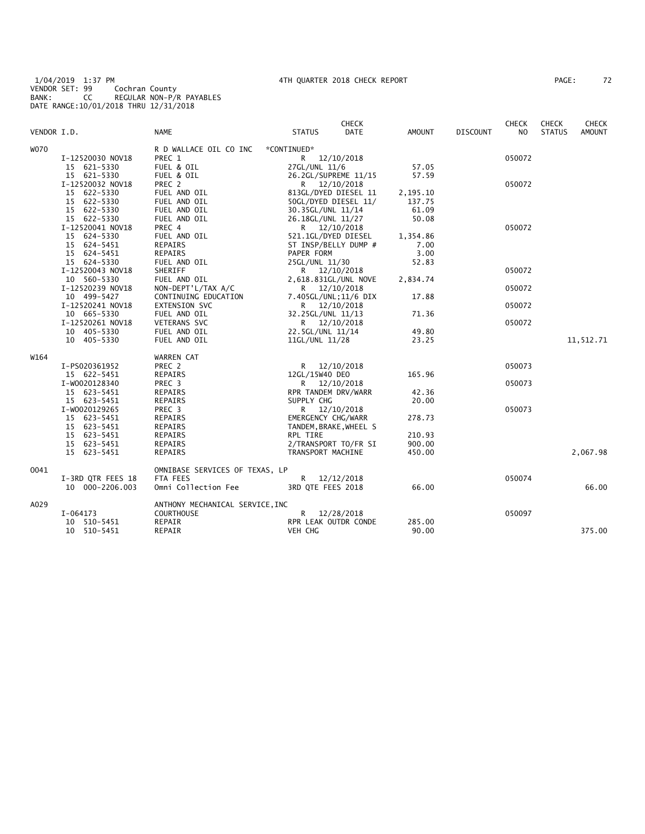1/04/2019 1:37 PM 4TH QUARTER 2018 CHECK REPORT PAGE: 72 VENDOR SET: 99 Cochran County BANK: CC REGULAR NON-P/R PAYABLES DATE RANGE:10/01/2018 THRU 12/31/2018

| PAGE : |  |
|--------|--|
|--------|--|

| W070<br>R D WALLACE OIL CO INC<br>*CONTINUED*<br>PREC 1<br>050072<br>I-12520030 NOV18<br>R 12/10/2018<br>15 621-5330<br>FUEL & OIL<br>27GL/UNL 11/6<br>57.05<br>15 621-5330<br>FUEL & OIL<br>26.2GL/SUPREME 11/15<br>57.59<br>I-12520032 NOV18<br>PREC 2<br>R 12/10/2018<br>050072<br>15 622-5330<br>FUEL AND OIL<br>813GL/DYED DIESEL 11<br>2,195.10<br>15 622-5330<br>FUEL AND OIL<br>50GL/DYED DIESEL 11/<br>137.75<br>15 622-5330<br>FUEL AND OIL<br>30.35GL/UNL 11/14<br>61.09<br>15 622-5330<br>FUEL AND OIL<br>26.18GL/UNL 11/27<br>50.08<br>I-12520041 NOV18<br>PREC 4<br>050072<br>R 12/10/2018<br>15 624-5330<br>FUEL AND OIL<br>521.1GL/DYED DIESEL<br>1,354.86<br>15 624-5451<br>ST INSP/BELLY DUMP #<br>REPAIRS<br>7.00<br>15 624-5451<br>REPAIRS<br>PAPER FORM<br>3.00<br>52.83<br>15 624-5330<br>FUEL AND OIL<br>25GL/UNL 11/30<br>SHERIFF<br>I-12520043 NOV18<br>050072<br>R 12/10/2018<br>FUEL AND OIL<br>10 560-5330<br>2,618.831GL/UNL NOVE<br>2,834.74<br>I-12520239 NOV18<br>NON-DEPT'L/TAX A/C<br>050072<br>R 12/10/2018<br>CONTINUING EDUCATION<br>7.405GL/UNL;11/6 DIX<br>10 499-5427<br>17.88<br>I-12520241 NOV18<br>EXTENSION SVC<br>050072<br>R 12/10/2018<br>10 665-5330<br>FUEL AND OIL<br>32.25GL/UNL 11/13<br>71.36<br>I-12520261 NOV18<br>VETERANS SVC<br>R 12/10/2018<br>050072<br>10 405-5330<br>FUEL AND OIL<br>22.5GL/UNL 11/14<br>49.80<br>23.25<br>10 405-5330<br>FUEL AND OIL<br>11GL/UNL 11/28<br>11,512.71 | <b>CHECK</b><br><b>AMOUNT</b> |
|-----------------------------------------------------------------------------------------------------------------------------------------------------------------------------------------------------------------------------------------------------------------------------------------------------------------------------------------------------------------------------------------------------------------------------------------------------------------------------------------------------------------------------------------------------------------------------------------------------------------------------------------------------------------------------------------------------------------------------------------------------------------------------------------------------------------------------------------------------------------------------------------------------------------------------------------------------------------------------------------------------------------------------------------------------------------------------------------------------------------------------------------------------------------------------------------------------------------------------------------------------------------------------------------------------------------------------------------------------------------------------------------------------------------------------------------------------|-------------------------------|
|                                                                                                                                                                                                                                                                                                                                                                                                                                                                                                                                                                                                                                                                                                                                                                                                                                                                                                                                                                                                                                                                                                                                                                                                                                                                                                                                                                                                                                                     |                               |
|                                                                                                                                                                                                                                                                                                                                                                                                                                                                                                                                                                                                                                                                                                                                                                                                                                                                                                                                                                                                                                                                                                                                                                                                                                                                                                                                                                                                                                                     |                               |
|                                                                                                                                                                                                                                                                                                                                                                                                                                                                                                                                                                                                                                                                                                                                                                                                                                                                                                                                                                                                                                                                                                                                                                                                                                                                                                                                                                                                                                                     |                               |
|                                                                                                                                                                                                                                                                                                                                                                                                                                                                                                                                                                                                                                                                                                                                                                                                                                                                                                                                                                                                                                                                                                                                                                                                                                                                                                                                                                                                                                                     |                               |
|                                                                                                                                                                                                                                                                                                                                                                                                                                                                                                                                                                                                                                                                                                                                                                                                                                                                                                                                                                                                                                                                                                                                                                                                                                                                                                                                                                                                                                                     |                               |
|                                                                                                                                                                                                                                                                                                                                                                                                                                                                                                                                                                                                                                                                                                                                                                                                                                                                                                                                                                                                                                                                                                                                                                                                                                                                                                                                                                                                                                                     |                               |
|                                                                                                                                                                                                                                                                                                                                                                                                                                                                                                                                                                                                                                                                                                                                                                                                                                                                                                                                                                                                                                                                                                                                                                                                                                                                                                                                                                                                                                                     |                               |
|                                                                                                                                                                                                                                                                                                                                                                                                                                                                                                                                                                                                                                                                                                                                                                                                                                                                                                                                                                                                                                                                                                                                                                                                                                                                                                                                                                                                                                                     |                               |
|                                                                                                                                                                                                                                                                                                                                                                                                                                                                                                                                                                                                                                                                                                                                                                                                                                                                                                                                                                                                                                                                                                                                                                                                                                                                                                                                                                                                                                                     |                               |
|                                                                                                                                                                                                                                                                                                                                                                                                                                                                                                                                                                                                                                                                                                                                                                                                                                                                                                                                                                                                                                                                                                                                                                                                                                                                                                                                                                                                                                                     |                               |
|                                                                                                                                                                                                                                                                                                                                                                                                                                                                                                                                                                                                                                                                                                                                                                                                                                                                                                                                                                                                                                                                                                                                                                                                                                                                                                                                                                                                                                                     |                               |
|                                                                                                                                                                                                                                                                                                                                                                                                                                                                                                                                                                                                                                                                                                                                                                                                                                                                                                                                                                                                                                                                                                                                                                                                                                                                                                                                                                                                                                                     |                               |
|                                                                                                                                                                                                                                                                                                                                                                                                                                                                                                                                                                                                                                                                                                                                                                                                                                                                                                                                                                                                                                                                                                                                                                                                                                                                                                                                                                                                                                                     |                               |
|                                                                                                                                                                                                                                                                                                                                                                                                                                                                                                                                                                                                                                                                                                                                                                                                                                                                                                                                                                                                                                                                                                                                                                                                                                                                                                                                                                                                                                                     |                               |
|                                                                                                                                                                                                                                                                                                                                                                                                                                                                                                                                                                                                                                                                                                                                                                                                                                                                                                                                                                                                                                                                                                                                                                                                                                                                                                                                                                                                                                                     |                               |
|                                                                                                                                                                                                                                                                                                                                                                                                                                                                                                                                                                                                                                                                                                                                                                                                                                                                                                                                                                                                                                                                                                                                                                                                                                                                                                                                                                                                                                                     |                               |
|                                                                                                                                                                                                                                                                                                                                                                                                                                                                                                                                                                                                                                                                                                                                                                                                                                                                                                                                                                                                                                                                                                                                                                                                                                                                                                                                                                                                                                                     |                               |
|                                                                                                                                                                                                                                                                                                                                                                                                                                                                                                                                                                                                                                                                                                                                                                                                                                                                                                                                                                                                                                                                                                                                                                                                                                                                                                                                                                                                                                                     |                               |
|                                                                                                                                                                                                                                                                                                                                                                                                                                                                                                                                                                                                                                                                                                                                                                                                                                                                                                                                                                                                                                                                                                                                                                                                                                                                                                                                                                                                                                                     |                               |
|                                                                                                                                                                                                                                                                                                                                                                                                                                                                                                                                                                                                                                                                                                                                                                                                                                                                                                                                                                                                                                                                                                                                                                                                                                                                                                                                                                                                                                                     |                               |
|                                                                                                                                                                                                                                                                                                                                                                                                                                                                                                                                                                                                                                                                                                                                                                                                                                                                                                                                                                                                                                                                                                                                                                                                                                                                                                                                                                                                                                                     |                               |
|                                                                                                                                                                                                                                                                                                                                                                                                                                                                                                                                                                                                                                                                                                                                                                                                                                                                                                                                                                                                                                                                                                                                                                                                                                                                                                                                                                                                                                                     |                               |
|                                                                                                                                                                                                                                                                                                                                                                                                                                                                                                                                                                                                                                                                                                                                                                                                                                                                                                                                                                                                                                                                                                                                                                                                                                                                                                                                                                                                                                                     |                               |
|                                                                                                                                                                                                                                                                                                                                                                                                                                                                                                                                                                                                                                                                                                                                                                                                                                                                                                                                                                                                                                                                                                                                                                                                                                                                                                                                                                                                                                                     |                               |
| W164<br>WARREN CAT                                                                                                                                                                                                                                                                                                                                                                                                                                                                                                                                                                                                                                                                                                                                                                                                                                                                                                                                                                                                                                                                                                                                                                                                                                                                                                                                                                                                                                  |                               |
| PREC <sub>2</sub><br>050073<br>I-PS020361952<br>R<br>12/10/2018                                                                                                                                                                                                                                                                                                                                                                                                                                                                                                                                                                                                                                                                                                                                                                                                                                                                                                                                                                                                                                                                                                                                                                                                                                                                                                                                                                                     |                               |
| 165.96<br>15 622-5451<br>REPAIRS<br>12GL/15W40 DEO                                                                                                                                                                                                                                                                                                                                                                                                                                                                                                                                                                                                                                                                                                                                                                                                                                                                                                                                                                                                                                                                                                                                                                                                                                                                                                                                                                                                  |                               |
| I-W0020128340<br>PREC 3<br>R 12/10/2018<br>050073                                                                                                                                                                                                                                                                                                                                                                                                                                                                                                                                                                                                                                                                                                                                                                                                                                                                                                                                                                                                                                                                                                                                                                                                                                                                                                                                                                                                   |                               |
| 15 623-5451<br>REPAIRS<br>RPR TANDEM DRV/WARR<br>42.36                                                                                                                                                                                                                                                                                                                                                                                                                                                                                                                                                                                                                                                                                                                                                                                                                                                                                                                                                                                                                                                                                                                                                                                                                                                                                                                                                                                              |                               |
| 15 623-5451<br>SUPPLY CHG<br>REPAIRS<br>20.00                                                                                                                                                                                                                                                                                                                                                                                                                                                                                                                                                                                                                                                                                                                                                                                                                                                                                                                                                                                                                                                                                                                                                                                                                                                                                                                                                                                                       |                               |
|                                                                                                                                                                                                                                                                                                                                                                                                                                                                                                                                                                                                                                                                                                                                                                                                                                                                                                                                                                                                                                                                                                                                                                                                                                                                                                                                                                                                                                                     |                               |
| I-W0020129265<br>PREC 3<br>050073<br>R 12/10/2018                                                                                                                                                                                                                                                                                                                                                                                                                                                                                                                                                                                                                                                                                                                                                                                                                                                                                                                                                                                                                                                                                                                                                                                                                                                                                                                                                                                                   |                               |
| 15 623-5451<br>REPAIRS<br>EMERGENCY CHG/WARR<br>278.73                                                                                                                                                                                                                                                                                                                                                                                                                                                                                                                                                                                                                                                                                                                                                                                                                                                                                                                                                                                                                                                                                                                                                                                                                                                                                                                                                                                              |                               |
| 15 623-5451<br>REPAIRS<br>TANDEM, BRAKE, WHEEL S                                                                                                                                                                                                                                                                                                                                                                                                                                                                                                                                                                                                                                                                                                                                                                                                                                                                                                                                                                                                                                                                                                                                                                                                                                                                                                                                                                                                    |                               |
| 15 623-5451<br>REPAIRS<br>RPL TIRE<br>210.93                                                                                                                                                                                                                                                                                                                                                                                                                                                                                                                                                                                                                                                                                                                                                                                                                                                                                                                                                                                                                                                                                                                                                                                                                                                                                                                                                                                                        |                               |
| 15 623-5451<br>REPAIRS<br>900.00<br>2/TRANSPORT TO/FR SI                                                                                                                                                                                                                                                                                                                                                                                                                                                                                                                                                                                                                                                                                                                                                                                                                                                                                                                                                                                                                                                                                                                                                                                                                                                                                                                                                                                            |                               |
| 15 623-5451<br>REPAIRS<br>TRANSPORT MACHINE<br>450.00                                                                                                                                                                                                                                                                                                                                                                                                                                                                                                                                                                                                                                                                                                                                                                                                                                                                                                                                                                                                                                                                                                                                                                                                                                                                                                                                                                                               | 2,067.98                      |
| OMNIBASE SERVICES OF TEXAS, LP<br>0041                                                                                                                                                                                                                                                                                                                                                                                                                                                                                                                                                                                                                                                                                                                                                                                                                                                                                                                                                                                                                                                                                                                                                                                                                                                                                                                                                                                                              |                               |
| FTA FEES<br>I-3RD QTR FEES 18<br>R 12/12/2018<br>050074                                                                                                                                                                                                                                                                                                                                                                                                                                                                                                                                                                                                                                                                                                                                                                                                                                                                                                                                                                                                                                                                                                                                                                                                                                                                                                                                                                                             |                               |
| Omni Collection Fee<br>3RD QTE FEES 2018<br>10 000-2206.003<br>66.00                                                                                                                                                                                                                                                                                                                                                                                                                                                                                                                                                                                                                                                                                                                                                                                                                                                                                                                                                                                                                                                                                                                                                                                                                                                                                                                                                                                | 66.00                         |
| A029<br>ANTHONY MECHANICAL SERVICE, INC                                                                                                                                                                                                                                                                                                                                                                                                                                                                                                                                                                                                                                                                                                                                                                                                                                                                                                                                                                                                                                                                                                                                                                                                                                                                                                                                                                                                             |                               |
| I-064173<br><b>COURTHOUSE</b><br>R.<br>12/28/2018<br>050097                                                                                                                                                                                                                                                                                                                                                                                                                                                                                                                                                                                                                                                                                                                                                                                                                                                                                                                                                                                                                                                                                                                                                                                                                                                                                                                                                                                         |                               |
| REPAIR<br>RPR LEAK OUTDR CONDE<br>285.00<br>10 510-5451                                                                                                                                                                                                                                                                                                                                                                                                                                                                                                                                                                                                                                                                                                                                                                                                                                                                                                                                                                                                                                                                                                                                                                                                                                                                                                                                                                                             |                               |
| VEH CHG<br>90.00<br>10 510-5451<br>REPAIR                                                                                                                                                                                                                                                                                                                                                                                                                                                                                                                                                                                                                                                                                                                                                                                                                                                                                                                                                                                                                                                                                                                                                                                                                                                                                                                                                                                                           | 375.00                        |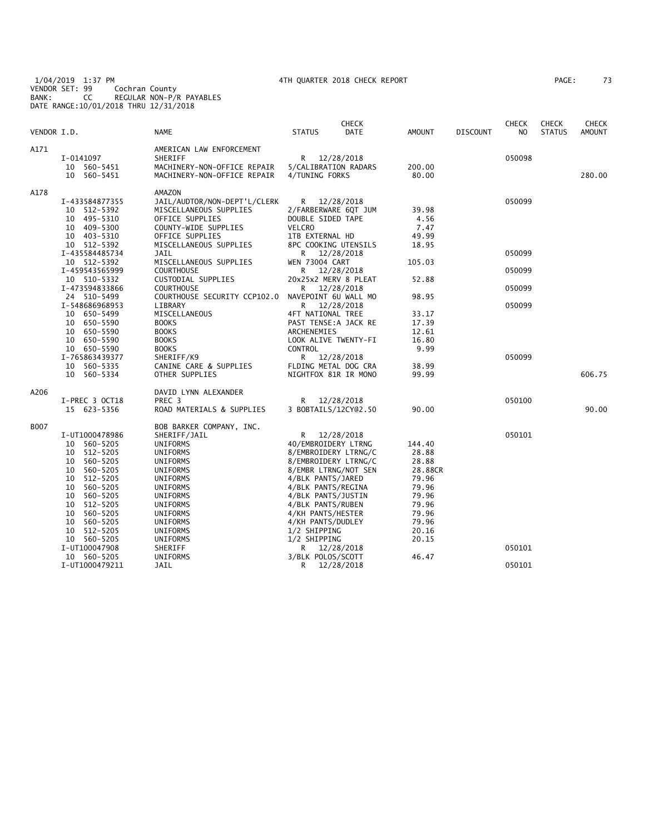1/04/2019 1:37 PM 4TH QUARTER 2018 CHECK REPORT PAGE: 73 VENDOR SET: 99 Cochran County BANK: CC REGULAR NON-P/R PAYABLES DATE RANGE:10/01/2018 THRU 12/31/2018

|             |                |                              |                       | <b>CHECK</b> |         |                 | <b>CHECK</b> | <b>CHECK</b>  | CHECK         |
|-------------|----------------|------------------------------|-----------------------|--------------|---------|-----------------|--------------|---------------|---------------|
| VENDOR I.D. |                | <b>NAME</b>                  | <b>STATUS</b>         | <b>DATE</b>  | AMOUNT  | <b>DISCOUNT</b> | NO.          | <b>STATUS</b> | <b>AMOUNT</b> |
| A171        |                | AMERICAN LAW ENFORCEMENT     |                       |              |         |                 |              |               |               |
|             | I-0141097      | SHERIFF                      | R                     | 12/28/2018   |         |                 | 050098       |               |               |
|             | 10 560-5451    | MACHINERY-NON-OFFICE REPAIR  | 5/CALIBRATION RADARS  |              | 200.00  |                 |              |               |               |
|             | 10 560-5451    | MACHINERY-NON-OFFICE REPAIR  | 4/TUNING FORKS        |              | 80.00   |                 |              |               | 280.00        |
| A178        |                | AMAZON                       |                       |              |         |                 |              |               |               |
|             | I-433584877355 | JAIL/AUDTOR/NON-DEPT'L/CLERK | R                     | 12/28/2018   |         |                 | 050099       |               |               |
|             | 10 512-5392    | MISCELLANEOUS SUPPLIES       | 2/FARBERWARE 6QT JUM  |              | 39.98   |                 |              |               |               |
|             | 10 495-5310    | OFFICE SUPPLIES              | DOUBLE SIDED TAPE     |              | 4.56    |                 |              |               |               |
|             | 409-5300<br>10 | COUNTY-WIDE SUPPLIES         | <b>VELCRO</b>         |              | 7.47    |                 |              |               |               |
|             | 10 403-5310    | OFFICE SUPPLIES              | 1TB EXTERNAL HD       |              | 49.99   |                 |              |               |               |
|             | 10 512-5392    | MISCELLANEOUS SUPPLIES       | 8PC COOKING UTENSILS  |              | 18.95   |                 |              |               |               |
|             | I-435584485734 | JAIL                         | R 12/28/2018          |              |         |                 | 050099       |               |               |
|             | 10 512-5392    | MISCELLANEOUS SUPPLIES       | <b>WEN 73004 CART</b> |              | 105.03  |                 |              |               |               |
|             | I-459543565999 | <b>COURTHOUSE</b>            | R.                    | 12/28/2018   |         |                 | 050099       |               |               |
|             | 10 510-5332    | CUSTODIAL SUPPLIES           | 20x25x2 MERV 8 PLEAT  |              | 52.88   |                 |              |               |               |
|             | I-473594833866 | <b>COURTHOUSE</b>            | R                     | 12/28/2018   |         |                 | 050099       |               |               |
|             | 24 510-5499    | COURTHOUSE SECURITY CCP102.0 | NAVEPOINT 6U WALL MO  |              | 98.95   |                 |              |               |               |
|             | I-548686968953 | LIBRARY                      | R.                    | 12/28/2018   |         |                 | 050099       |               |               |
|             | 10 650-5499    | MISCELLANEOUS                | 4FT NATIONAL TREE     |              | 33.17   |                 |              |               |               |
|             | 10 650-5590    | <b>BOOKS</b>                 | PAST TENSE: A JACK RE |              | 17.39   |                 |              |               |               |
|             | 10 650-5590    | <b>BOOKS</b>                 | ARCHENEMIES           |              | 12.61   |                 |              |               |               |
|             | 10 650-5590    | <b>BOOKS</b>                 | LOOK ALIVE TWENTY-FI  |              | 16.80   |                 |              |               |               |
|             | 10 650-5590    | <b>BOOKS</b>                 | CONTROL               |              | 9.99    |                 |              |               |               |
|             | I-765863439377 | SHERIFF/K9                   | R 12/28/2018          |              |         |                 | 050099       |               |               |
|             | 10 560-5335    | CANINE CARE & SUPPLIES       | FLDING METAL DOG CRA  |              | 38.99   |                 |              |               |               |
|             | 10 560-5334    | OTHER SUPPLIES               | NIGHTFOX 81R IR MONO  |              | 99.99   |                 |              |               | 606.75        |
| A206        |                | DAVID LYNN ALEXANDER         |                       |              |         |                 |              |               |               |
|             | I-PREC 3 OCT18 | PREC <sub>3</sub>            | R                     | 12/28/2018   |         |                 | 050100       |               |               |
|             | 15 623-5356    | ROAD MATERIALS & SUPPLIES    | 3 BOBTAILS/12CY@2.50  |              | 90.00   |                 |              |               | 90.00         |
| B007        |                | BOB BARKER COMPANY, INC.     |                       |              |         |                 |              |               |               |
|             | I-UT1000478986 | SHERIFF/JAIL                 | R                     | 12/28/2018   |         |                 | 050101       |               |               |
|             | 560-5205<br>10 | UNIFORMS                     | 40/EMBROIDERY LTRNG   |              | 144.40  |                 |              |               |               |
|             | 512-5205<br>10 | UNIFORMS                     | 8/EMBROIDERY LTRNG/C  |              | 28.88   |                 |              |               |               |
|             | 560-5205<br>10 | UNIFORMS                     | 8/EMBROIDERY LTRNG/C  |              | 28.88   |                 |              |               |               |
|             | 10<br>560-5205 | UNIFORMS                     | 8/EMBR LTRNG/NOT SEN  |              | 28.88CR |                 |              |               |               |
|             | 10<br>512-5205 | UNIFORMS                     | 4/BLK PANTS/JARED     |              | 79.96   |                 |              |               |               |
|             | 560-5205<br>10 | UNIFORMS                     | 4/BLK PANTS/REGINA    |              | 79.96   |                 |              |               |               |
|             | 560-5205<br>10 | UNIFORMS                     | 4/BLK PANTS/JUSTIN    |              | 79.96   |                 |              |               |               |
|             | 512-5205<br>10 | UNIFORMS                     | 4/BLK PANTS/RUBEN     |              | 79.96   |                 |              |               |               |
|             | 560-5205<br>10 | UNIFORMS                     | 4/KH PANTS/HESTER     |              | 79.96   |                 |              |               |               |
|             | 560-5205<br>10 | <b>UNIFORMS</b>              | 4/KH PANTS/DUDLEY     |              | 79.96   |                 |              |               |               |
|             | 512-5205<br>10 | UNIFORMS                     | 1/2 SHIPPING          |              | 20.16   |                 |              |               |               |
|             | 10 560-5205    | UNIFORMS                     | 1/2 SHIPPING          |              | 20.15   |                 |              |               |               |
|             | I-UT100047908  | SHERIFF                      | R.                    | 12/28/2018   |         |                 | 050101       |               |               |
|             | 10 560-5205    | UNIFORMS                     | 3/BLK POLOS/SCOTT     |              | 46.47   |                 |              |               |               |
|             | I-UT1000479211 | JAIL                         | R                     | 12/28/2018   |         |                 | 050101       |               |               |
|             |                |                              |                       |              |         |                 |              |               |               |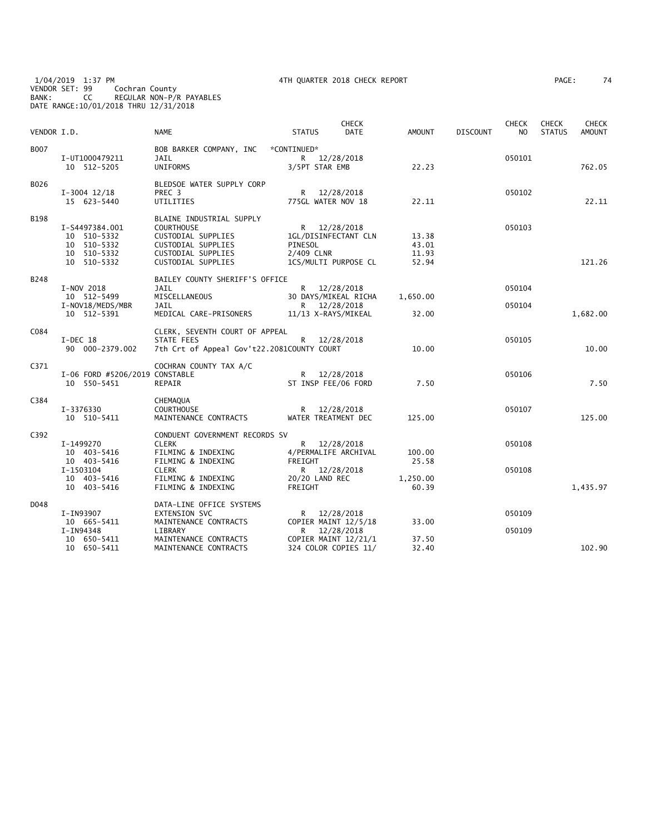1/04/2019 1:37 PM 4TH QUARTER 2018 CHECK REPORT PAGE: 74 VENDOR SET: 99 Cochran County BANK: CC REGULAR NON-P/R PAYABLES DATE RANGE:10/01/2018 THRU 12/31/2018

| AGE: |  | 74 |
|------|--|----|
|      |  |    |

| VENDOR I.D. |                                                                                  | <b>NAME</b>                                                                                                                           | <b>STATUS</b>                                                                         | <b>CHECK</b><br>DATE     | <b>AMOUNT</b>                    | <b>DISCOUNT</b> | <b>CHECK</b><br>N <sub>O</sub> | <b>CHECK</b><br><b>STATUS</b> | <b>CHECK</b><br><b>AMOUNT</b> |
|-------------|----------------------------------------------------------------------------------|---------------------------------------------------------------------------------------------------------------------------------------|---------------------------------------------------------------------------------------|--------------------------|----------------------------------|-----------------|--------------------------------|-------------------------------|-------------------------------|
| <b>B007</b> | I-UT1000479211<br>10 512-5205                                                    | BOB BARKER COMPANY, INC<br>JAIL<br><b>UNIFORMS</b>                                                                                    | *CONTINUED*<br>R 12/28/2018<br>3/5PT STAR EMB                                         |                          | 22.23                            |                 | 050101                         |                               | 762.05                        |
| B026        | $I-3004$ $12/18$<br>15 623-5440                                                  | BLEDSOE WATER SUPPLY CORP<br>PREC <sub>3</sub><br>UTILITIES                                                                           | R<br>775GL WATER NOV 18                                                               | 12/28/2018               | 22.11                            |                 | 050102                         |                               | 22.11                         |
| <b>B198</b> | I-S4497384.001<br>10 510-5332<br>510-5332<br>10<br>510-5332<br>10<br>10 510-5332 | BLAINE INDUSTRIAL SUPPLY<br><b>COURTHOUSE</b><br>CUSTODIAL SUPPLIES<br>CUSTODIAL SUPPLIES<br>CUSTODIAL SUPPLIES<br>CUSTODIAL SUPPLIES | R 12/28/2018<br>1GL/DISINFECTANT CLN<br>PINESOL<br>2/409 CLNR<br>1CS/MULTI PURPOSE CL |                          | 13.38<br>43.01<br>11.93<br>52.94 |                 | 050103                         |                               | 121.26                        |
| B248        | I-NOV 2018<br>10 512-5499<br>I-NOV18/MEDS/MBR<br>10 512-5391                     | BAILEY COUNTY SHERIFF'S OFFICE<br>JAIL<br>MISCELLANEOUS<br>JAIL<br>MEDICAL CARE-PRISONERS                                             | R 12/28/2018<br>30 DAYS/MIKEAL RICHA<br>R<br>11/13 X-RAYS/MIKEAL                      | 12/28/2018               | 1,650.00<br>32.00                |                 | 050104<br>050104               |                               | 1,682.00                      |
| C084        | I-DEC 18<br>90 000-2379.002                                                      | CLERK, SEVENTH COURT OF APPEAL<br><b>STATE FEES</b><br>7th Crt of Appeal Gov't22.2081COUNTY COURT                                     | R                                                                                     | 12/28/2018               | 10.00                            |                 | 050105                         |                               | 10.00                         |
| C371        | I-06 FORD #5206/2019 CONSTABLE<br>10 550-5451                                    | COCHRAN COUNTY TAX A/C<br>REPAIR                                                                                                      | R 12/28/2018<br>ST INSP FEE/06 FORD                                                   |                          | 7.50                             |                 | 050106                         |                               | 7.50                          |
| C384        | I-3376330<br>10 510-5411                                                         | CHEMAQUA<br><b>COURTHOUSE</b><br>MAINTENANCE CONTRACTS                                                                                | R.<br>WATER TREATMENT DEC                                                             | 12/28/2018               | 125.00                           |                 | 050107                         |                               | 125.00                        |
| C392        | I-1499270<br>10 403-5416<br>10 403-5416                                          | CONDUENT GOVERNMENT RECORDS SV<br><b>CLERK</b><br>FILMING & INDEXING<br>FILMING & INDEXING                                            | R 12/28/2018<br>4/PERMALIFE ARCHIVAL<br>FREIGHT                                       |                          | 100.00<br>25.58                  |                 | 050108                         |                               |                               |
|             | I-1503104<br>10 403-5416<br>10 403-5416                                          | <b>CLERK</b><br>FILMING & INDEXING<br>FILMING & INDEXING                                                                              | R.<br>20/20 LAND REC<br>FREIGHT                                                       | 12/28/2018               | 1,250.00<br>60.39                |                 | 050108                         |                               | 1,435.97                      |
| D048        | I-IN93907<br>10 665-5411<br>I-IN94348                                            | DATA-LINE OFFICE SYSTEMS<br><b>EXTENSION SVC</b><br>MAINTENANCE CONTRACTS<br>LIBRARY                                                  | R<br>COPIER MAINT 12/5/18<br>R                                                        | 12/28/2018<br>12/28/2018 | 33.00                            |                 | 050109<br>050109               |                               |                               |
|             | 10 650-5411<br>10 650-5411                                                       | MAINTENANCE CONTRACTS<br>MAINTENANCE CONTRACTS                                                                                        | COPIER MAINT 12/21/1<br>324 COLOR COPIES 11/                                          |                          | 37.50<br>32.40                   |                 |                                |                               | 102.90                        |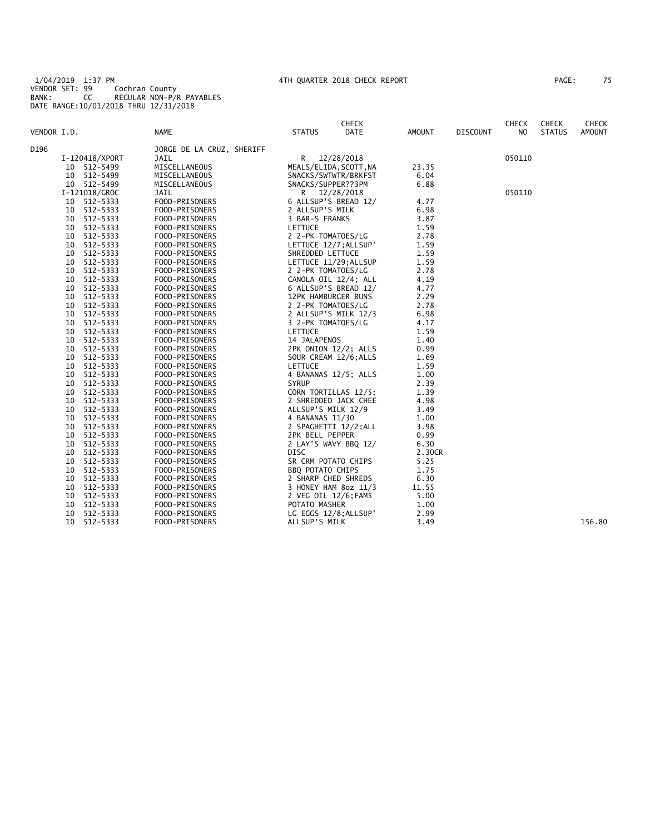1/04/2019 1:37 PM 4TH QUARTER 2018 CHECK REPORT PAGE: 75 VENDOR SET: 99 Cochran County BANK: CC REGULAR NON-P/R PAYABLES DATE RANGE:10/01/2018 THRU 12/31/2018

| PAGE: | 75 |  |
|-------|----|--|
|-------|----|--|

|             |    |                |                           |                       | <b>CHECK</b>           |        |                 | <b>CHECK</b> | <b>CHECK</b>  | <b>CHECK</b>  |
|-------------|----|----------------|---------------------------|-----------------------|------------------------|--------|-----------------|--------------|---------------|---------------|
| VENDOR I.D. |    |                | <b>NAME</b>               | <b>STATUS</b>         | <b>DATE</b>            | AMOUNT | <b>DISCOUNT</b> | NO           | <b>STATUS</b> | <b>AMOUNT</b> |
| D196        |    |                | JORGE DE LA CRUZ, SHERIFF |                       |                        |        |                 |              |               |               |
|             |    | I-120418/XPORT | JAIL                      |                       | R 12/28/2018           |        |                 | 050110       |               |               |
|             |    | 10 512-5499    | MISCELLANEOUS             |                       | MEALS/ELIDA, SCOTT, NA | 23.35  |                 |              |               |               |
|             |    | 10 512-5499    | MISCELLANEOUS             |                       | SNACKS/SWTWTR/BRKFST   | 6.04   |                 |              |               |               |
|             |    | 10 512-5499    | MISCELLANEOUS             | SNACKS/SUPPER??3PM    |                        | 6.88   |                 |              |               |               |
|             |    | I-121018/GROC  | JAIL                      |                       | R 12/28/2018           |        |                 | 050110       |               |               |
|             |    | 10 512-5333    | FOOD-PRISONERS            |                       | 6 ALLSUP'S BREAD 12/   | 4.77   |                 |              |               |               |
|             |    | 10 512-5333    | FOOD-PRISONERS            | 2 ALLSUP'S MILK       |                        | 6.98   |                 |              |               |               |
|             |    | 10 512-5333    | FOOD-PRISONERS            | 3 BAR-S FRANKS        |                        | 3.87   |                 |              |               |               |
|             |    | 10 512-5333    | FOOD-PRISONERS            | LETTUCE               |                        | 1.59   |                 |              |               |               |
|             | 10 | 512-5333       | FOOD-PRISONERS            | 2 2-PK TOMATOES/LG    |                        | 2.78   |                 |              |               |               |
|             |    | 10 512-5333    | FOOD-PRISONERS            |                       | LETTUCE 12/7; ALLSUP'  | 1.59   |                 |              |               |               |
|             |    | 10 512-5333    | FOOD-PRISONERS            | SHREDDED LETTUCE      |                        | 1.59   |                 |              |               |               |
|             | 10 | 512-5333       | FOOD-PRISONERS            |                       | LETTUCE 11/29; ALLSUP  | 1.59   |                 |              |               |               |
|             | 10 | 512-5333       | FOOD-PRISONERS            | 2 2-PK TOMATOES/LG    |                        | 2.78   |                 |              |               |               |
|             | 10 | 512-5333       | FOOD-PRISONERS            |                       | CANOLA OIL 12/4; ALL   | 4.19   |                 |              |               |               |
|             |    | 10 512-5333    | FOOD-PRISONERS            |                       | 6 ALLSUP'S BREAD 12/   | 4.77   |                 |              |               |               |
|             |    | 10 512-5333    | FOOD-PRISONERS            | 12PK HAMBURGER BUNS   |                        | 2.29   |                 |              |               |               |
|             | 10 | 512-5333       | FOOD-PRISONERS            | 2 2-PK TOMATOES/LG    |                        | 2.78   |                 |              |               |               |
|             | 10 | 512-5333       | FOOD-PRISONERS            |                       | 2 ALLSUP'S MILK 12/3   | 6.98   |                 |              |               |               |
|             | 10 | 512-5333       | FOOD-PRISONERS            | 3 2-PK TOMATOES/LG    |                        | 4.17   |                 |              |               |               |
|             | 10 | 512-5333       | FOOD-PRISONERS            | LETTUCE               |                        | 1.59   |                 |              |               |               |
|             | 10 | 512-5333       | FOOD-PRISONERS            | 14 JALAPENOS          |                        | 1.40   |                 |              |               |               |
|             | 10 | 512-5333       | FOOD-PRISONERS            |                       | 2PK ONION 12/2; ALLS   | 0.99   |                 |              |               |               |
|             | 10 | 512-5333       | FOOD-PRISONERS            |                       | SOUR CREAM 12/6; ALLS  | 1.69   |                 |              |               |               |
|             | 10 | 512-5333       | FOOD-PRISONERS            | LETTUCE               |                        | 1.59   |                 |              |               |               |
|             |    | 10 512-5333    | FOOD-PRISONERS            |                       | 4 BANANAS 12/5; ALLS   | 1.00   |                 |              |               |               |
|             |    | 10 512-5333    | FOOD-PRISONERS            | <b>SYRUP</b>          |                        | 2.39   |                 |              |               |               |
|             | 10 | 512-5333       | FOOD-PRISONERS            |                       | CORN TORTILLAS 12/5;   | 1.39   |                 |              |               |               |
|             | 10 | 512-5333       | FOOD-PRISONERS            |                       | 2 SHREDDED JACK CHEE   | 4.98   |                 |              |               |               |
|             | 10 | 512-5333       | FOOD-PRISONERS            | ALLSUP'S MILK 12/9    |                        | 3.49   |                 |              |               |               |
|             | 10 | 512-5333       | FOOD-PRISONERS            | 4 BANANAS 11/30       |                        | 1.00   |                 |              |               |               |
|             | 10 | 512-5333       | FOOD-PRISONERS            |                       | 2 SPAGHETTI 12/2;ALL   | 3.98   |                 |              |               |               |
|             | 10 | 512-5333       | FOOD-PRISONERS            | 2PK BELL PEPPER       |                        | 0.99   |                 |              |               |               |
|             | 10 | 512-5333       | FOOD-PRISONERS            |                       | 2 LAY'S WAVY BBQ 12/   | 6.30   |                 |              |               |               |
|             | 10 | 512-5333       | FOOD-PRISONERS            | <b>DISC</b>           |                        | 2.30CR |                 |              |               |               |
|             | 10 | 512-5333       | FOOD-PRISONERS            | SR CRM POTATO CHIPS   |                        | 5.25   |                 |              |               |               |
|             | 10 | 512-5333       | FOOD-PRISONERS            | BBQ POTATO CHIPS      |                        | 1.75   |                 |              |               |               |
|             | 10 | 512-5333       | FOOD-PRISONERS            | 2 SHARP CHED SHREDS   |                        | 6.30   |                 |              |               |               |
|             | 10 | 512-5333       | FOOD-PRISONERS            |                       | 3 HONEY HAM 8oz 11/3   | 11.55  |                 |              |               |               |
|             | 10 | 512-5333       | FOOD-PRISONERS            | 2 VEG OIL 12/6; FAM\$ |                        | 5.00   |                 |              |               |               |
|             | 10 | 512-5333       | FOOD-PRISONERS            | POTATO MASHER         |                        | 1.00   |                 |              |               |               |
|             | 10 | 512-5333       | FOOD-PRISONERS            |                       | LG EGGS 12/8; ALLSUP'  | 2.99   |                 |              |               |               |
|             | 10 | 512-5333       | FOOD-PRISONERS            | ALLSUP'S MILK         |                        | 3.49   |                 |              |               | 156.80        |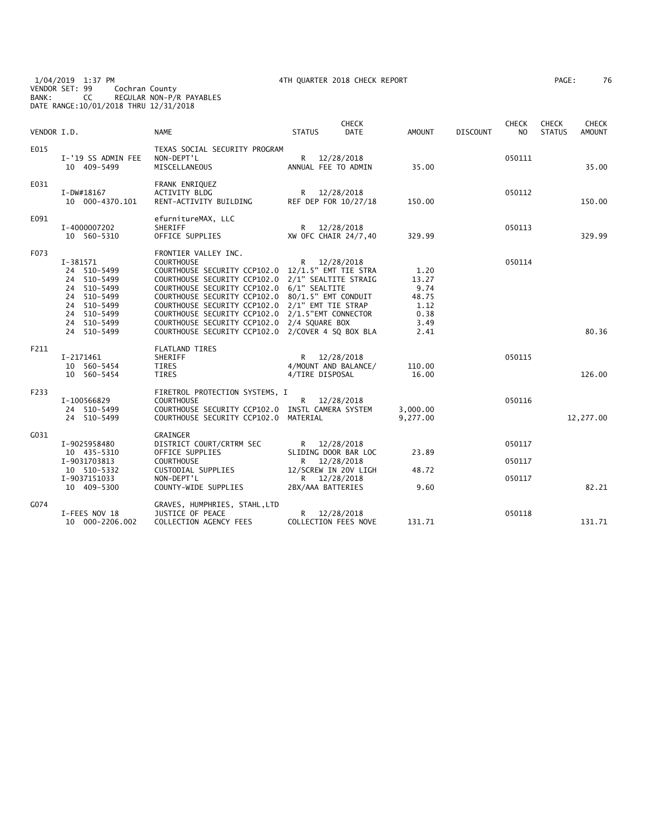1/04/2019 1:37 PM 4TH QUARTER 2018 CHECK REPORT PAGE: 76 VENDOR SET: 99 Cochran County BANK: CC REGULAR NON-P/R PAYABLES DATE RANGE:10/01/2018 THRU 12/31/2018

| 'AGE : | 76 |
|--------|----|
|--------|----|

| VENDOR I.D. |                                                                                                                                  | <b>NAME</b>                                                                                                                                                                                                                                                                                                                                                                                                                                 | <b>CHECK</b><br><b>DATE</b><br><b>STATUS</b>                                 | AMOUNT                                                         | <b>DISCOUNT</b> | <b>CHECK</b><br>N <sub>O</sub> | <b>CHECK</b><br><b>STATUS</b> | <b>CHECK</b><br><b>AMOUNT</b> |
|-------------|----------------------------------------------------------------------------------------------------------------------------------|---------------------------------------------------------------------------------------------------------------------------------------------------------------------------------------------------------------------------------------------------------------------------------------------------------------------------------------------------------------------------------------------------------------------------------------------|------------------------------------------------------------------------------|----------------------------------------------------------------|-----------------|--------------------------------|-------------------------------|-------------------------------|
| E015        | I-'19 SS ADMIN FEE<br>10 409-5499                                                                                                | TEXAS SOCIAL SECURITY PROGRAM<br>NON-DEPT'L<br>MISCELLANEOUS                                                                                                                                                                                                                                                                                                                                                                                | $\mathsf{R}$<br>12/28/2018<br>ANNUAL FEE TO ADMIN                            | 35.00                                                          |                 | 050111                         |                               | 35.00                         |
| E031        | I-DW#18167<br>10 000-4370.101                                                                                                    | FRANK ENRIQUEZ<br><b>ACTIVITY BLDG</b><br>RENT-ACTIVITY BUILDING                                                                                                                                                                                                                                                                                                                                                                            | R 12/28/2018<br>REF DEP FOR 10/27/18                                         | 150.00                                                         |                 | 050112                         |                               | 150.00                        |
| E091        | I-4000007202<br>10 560-5310                                                                                                      | efurnitureMAX, LLC<br>SHERIFF<br>OFFICE SUPPLIES                                                                                                                                                                                                                                                                                                                                                                                            | 12/28/2018<br>R<br>XW OFC CHAIR 24/7,40                                      | 329.99                                                         |                 | 050113                         |                               | 329.99                        |
| F073        | I-381571<br>24 510-5499<br>24 510-5499<br>24 510-5499<br>24 510-5499<br>24 510-5499<br>24 510-5499<br>24 510-5499<br>24 510-5499 | FRONTIER VALLEY INC.<br><b>COURTHOUSE</b><br>COURTHOUSE SECURITY CCP102.0<br>COURTHOUSE SECURITY CCP102.0 2/1" SEALTITE STRAIG<br>COURTHOUSE SECURITY CCP102.0 6/1" SEALTITE<br>COURTHOUSE SECURITY CCP102.0 80/1.5" EMT CONDUIT<br>COURTHOUSE SECURITY CCP102.0 2/1" EMT TIE STRAP<br>COURTHOUSE SECURITY CCP102.0 2/1.5"EMT CONNECTOR<br>COURTHOUSE SECURITY CCP102.0 2/4 SQUARE BOX<br>COURTHOUSE SECURITY CCP102.0 2/COVER 4 SQ BOX BLA | R 12/28/2018<br>12/1.5" EMT TIE STRA                                         | 1.20<br>13.27<br>9.74<br>48.75<br>1.12<br>0.38<br>3.49<br>2.41 |                 | 050114                         |                               | 80.36                         |
| F211        | I-2171461<br>10 560-5454<br>10 560-5454                                                                                          | <b>FLATLAND TIRES</b><br>SHERIFF<br><b>TIRES</b><br><b>TIRES</b>                                                                                                                                                                                                                                                                                                                                                                            | R 12/28/2018<br>4/MOUNT AND BALANCE/<br>4/TIRE DISPOSAL                      | 110.00<br>16.00                                                |                 | 050115                         |                               | 126.00                        |
| F233        | I-100566829<br>24 510-5499<br>24 510-5499                                                                                        | FIRETROL PROTECTION SYSTEMS, I<br><b>COURTHOUSE</b><br>COURTHOUSE SECURITY CCP102.0 INSTL CAMERA SYSTEM<br>COURTHOUSE SECURITY CCP102.0                                                                                                                                                                                                                                                                                                     | R<br>12/28/2018<br>MATERIAL                                                  | 3,000.00<br>9,277.00                                           |                 | 050116                         |                               | 12,277.00                     |
| G031        | I-9025958480<br>10 435-5310                                                                                                      | GRAINGER<br>DISTRICT COURT/CRTRM SEC<br>OFFICE SUPPLIES                                                                                                                                                                                                                                                                                                                                                                                     | R 12/28/2018<br>SLIDING DOOR BAR LOC                                         | 23.89                                                          |                 | 050117                         |                               |                               |
|             | I-9031703813<br>10 510-5332<br>I-9037151033<br>10 409-5300                                                                       | <b>COURTHOUSE</b><br>CUSTODIAL SUPPLIES<br>NON-DEPT'L<br>COUNTY-WIDE SUPPLIES                                                                                                                                                                                                                                                                                                                                                               | R<br>12/28/2018<br>12/SCREW IN 20V LIGH<br>R 12/28/2018<br>2BX/AAA BATTERIES | 48.72<br>9.60                                                  |                 | 050117<br>050117               |                               | 82.21                         |
| G074        | I-FEES NOV 18<br>10 000-2206.002                                                                                                 | GRAVES, HUMPHRIES, STAHL, LTD<br>JUSTICE OF PEACE<br>COLLECTION AGENCY FEES                                                                                                                                                                                                                                                                                                                                                                 | R<br>12/28/2018<br>COLLECTION FEES NOVE                                      | 131.71                                                         |                 | 050118                         |                               | 131.71                        |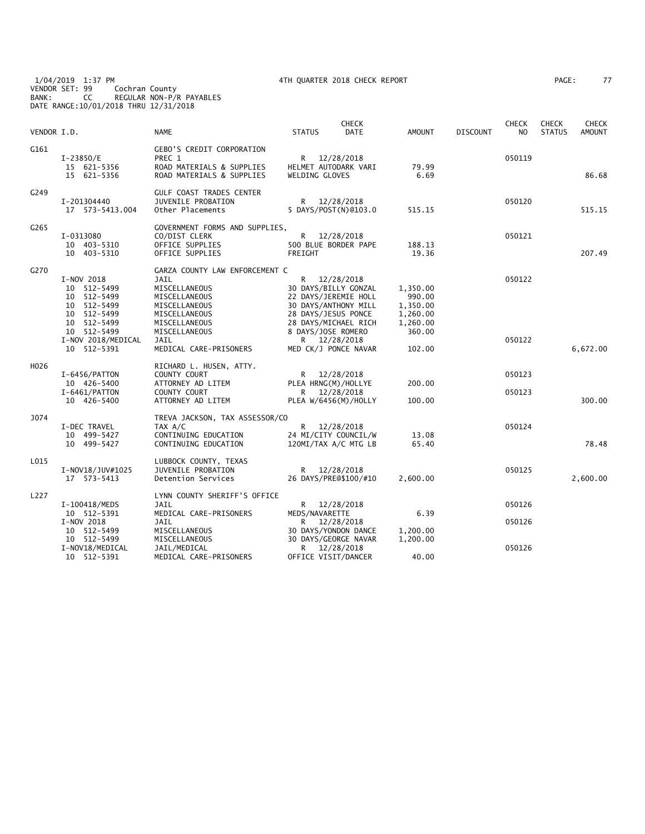1/04/2019 1:37 PM 4TH QUARTER 2018 CHECK REPORT PAGE: 77 VENDOR SET: 99 Cochran County BANK: CC REGULAR NON-P/R PAYABLES DATE RANGE:10/01/2018 THRU 12/31/2018

| PAGE: |  | ź |
|-------|--|---|
|       |  |   |

| VENDOR I.D. |                                                                                                                                           | <b>NAME</b>                                                                                                                                                                           | <b>STATUS</b>                             | <b>CHECK</b><br><b>DATE</b>                                                                                                                          | <b>AMOUNT</b>                                                              | <b>DISCOUNT</b> | <b>CHECK</b><br>N <sub>O</sub> | <b>CHECK</b><br><b>STATUS</b> | <b>CHECK</b><br><b>AMOUNT</b> |
|-------------|-------------------------------------------------------------------------------------------------------------------------------------------|---------------------------------------------------------------------------------------------------------------------------------------------------------------------------------------|-------------------------------------------|------------------------------------------------------------------------------------------------------------------------------------------------------|----------------------------------------------------------------------------|-----------------|--------------------------------|-------------------------------|-------------------------------|
| G161        | I-23850/E<br>15 621-5356<br>15 621-5356                                                                                                   | <b>GEBO'S CREDIT CORPORATION</b><br>PREC 1<br>ROAD MATERIALS & SUPPLIES<br>ROAD MATERIALS & SUPPLIES                                                                                  | HELMET AUTODARK VARI<br>WELDING GLOVES    | R 12/28/2018                                                                                                                                         | 79.99<br>6.69                                                              |                 | 050119                         |                               | 86.68                         |
| G249        | I-201304440<br>17  573-5413.004                                                                                                           | <b>GULF COAST TRADES CENTER</b><br><b>JUVENILE PROBATION</b><br>Other Placements                                                                                                      |                                           | R 12/28/2018<br>5 DAYS/POST(N)@103.0                                                                                                                 | 515.15                                                                     |                 | 050120                         |                               | 515.15                        |
| G265        | I-0313080<br>10 403-5310<br>10 403-5310                                                                                                   | GOVERNMENT FORMS AND SUPPLIES,<br>CO/DIST CLERK<br>OFFICE SUPPLIES<br>OFFICE SUPPLIES                                                                                                 | FREIGHT                                   | R 12/28/2018<br>500 BLUE BORDER PAPE                                                                                                                 | 188.13<br>19.36                                                            |                 | 050121                         |                               | 207.49                        |
| G270        | I-NOV 2018<br>10 512-5499<br>10 512-5499<br>10 512-5499<br>10 512-5499<br>10 512-5499<br>10 512-5499<br>I-NOV 2018/MEDICAL<br>10 512-5391 | GARZA COUNTY LAW ENFORCEMENT C<br>JAIL<br>MISCELLANEOUS<br>MISCELLANEOUS<br>MISCELLANEOUS<br>MISCELLANEOUS<br>MISCELLANEOUS<br>MISCELLANEOUS<br><b>JAIL</b><br>MEDICAL CARE-PRISONERS | 28 DAYS/JESUS PONCE<br>8 DAYS/JOSE ROMERO | R 12/28/2018<br>30 DAYS/BILLY GONZAL<br>22 DAYS/JEREMIE HOLL<br>30 DAYS/ANTHONY MILL<br>28 DAYS/MICHAEL RICH<br>R 12/28/2018<br>MED CK/J PONCE NAVAR | 1,350.00<br>990.00<br>1,350.00<br>1,260.00<br>1,260.00<br>360.00<br>102.00 |                 | 050122<br>050122               |                               | 6,672.00                      |
| H026        | I-6456/PATTON<br>10 426-5400<br>I-6461/PATTON<br>10 426-5400                                                                              | RICHARD L. HUSEN, ATTY.<br>COUNTY COURT<br>ATTORNEY AD LITEM<br>COUNTY COURT<br>ATTORNEY AD LITEM                                                                                     | R.<br>PLEA HRNG(M)/HOLLYE<br>R —          | 12/28/2018<br>12/28/2018<br>PLEA W/6456(M)/HOLLY                                                                                                     | 200.00<br>100.00                                                           |                 | 050123<br>050123               |                               | 300.00                        |
| J074        | I-DEC TRAVEL<br>10 499-5427<br>10 499-5427                                                                                                | TREVA JACKSON, TAX ASSESSOR/CO<br>TAX A/C<br>CONTINUING EDUCATION<br>CONTINUING EDUCATION                                                                                             | R —                                       | 12/28/2018<br>24 MI/CITY COUNCIL/W<br>120MI/TAX A/C MTG LB                                                                                           | 13.08<br>65.40                                                             |                 | 050124                         |                               | 78.48                         |
| L015        | I-NOV18/JUV#1025<br>17 573-5413                                                                                                           | LUBBOCK COUNTY, TEXAS<br>JUVENILE PROBATION<br>Detention Services                                                                                                                     | R.                                        | 12/28/2018<br>26 DAYS/PRE@\$100/#10                                                                                                                  | 2.600.00                                                                   |                 | 050125                         |                               | 2,600.00                      |
| L227        | I-100418/MEDS<br>10 512-5391<br>I-NOV 2018                                                                                                | LYNN COUNTY SHERIFF'S OFFICE<br>JAIL<br>MEDICAL CARE-PRISONERS<br>JAIL                                                                                                                | MEDS/NAVARETTE<br>R.                      | R 12/28/2018<br>12/28/2018                                                                                                                           | 6.39                                                                       |                 | 050126<br>050126               |                               |                               |
|             | 10 512-5499<br>10 512-5499<br>I-NOV18/MEDICAL<br>10 512-5391                                                                              | MISCELLANEOUS<br>MISCELLANEOUS<br>JAIL/MEDICAL<br>MEDICAL CARE-PRISONERS                                                                                                              | OFFICE VISIT/DANCER                       | 30 DAYS/YONDON DANCE<br>30 DAYS/GEORGE NAVAR<br>R 12/28/2018                                                                                         | 1,200.00<br>1,200.00<br>40.00                                              |                 | 050126                         |                               |                               |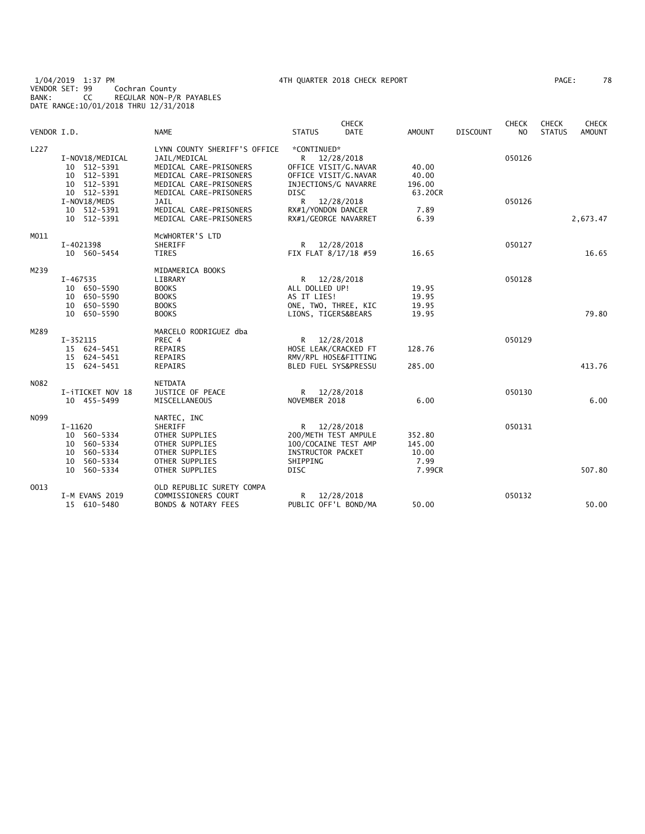1/04/2019 1:37 PM 4TH QUARTER 2018 CHECK REPORT PAGE: 78 VENDOR SET: 99 Cochran County BANK: CC REGULAR NON-P/R PAYABLES DATE RANGE:10/01/2018 THRU 12/31/2018

| VENDOR I.D. |                                                                                    | <b>NAME</b>                                                                                                                | <b>STATUS</b>                                                                                      | <b>CHECK</b><br><b>DATE</b> | AMOUNT                                      | <b>DISCOUNT</b> | <b>CHECK</b><br>NO. | <b>CHECK</b><br><b>STATUS</b> | <b>CHECK</b><br><b>AMOUNT</b> |
|-------------|------------------------------------------------------------------------------------|----------------------------------------------------------------------------------------------------------------------------|----------------------------------------------------------------------------------------------------|-----------------------------|---------------------------------------------|-----------------|---------------------|-------------------------------|-------------------------------|
| L227        | I-NOV18/MEDICAL<br>10 512-5391<br>10 512-5391<br>10 512-5391                       | LYNN COUNTY SHERIFF'S OFFICE<br>JAIL/MEDICAL<br>MEDICAL CARE-PRISONERS<br>MEDICAL CARE-PRISONERS<br>MEDICAL CARE-PRISONERS | *CONTINUED*<br>R<br>OFFICE VISIT/G.NAVAR<br>OFFICE VISIT/G.NAVAR<br>INJECTIONS/G NAVARRE           | 12/28/2018                  | 40.00<br>40.00<br>196.00                    |                 | 050126              |                               |                               |
|             | 10 512-5391<br>I-NOV18/MEDS<br>10 512-5391<br>10 512-5391                          | MEDICAL CARE-PRISONERS<br>JAIL<br>MEDICAL CARE-PRISONERS<br>MEDICAL CARE-PRISONERS                                         | DISC<br>R.<br>RX#1/YONDON DANCER<br>RX#1/GEORGE NAVARRET                                           | 12/28/2018                  | 63.20CR<br>7.89<br>6.39                     |                 | 050126              |                               | 2,673.47                      |
| M011        | I-4021398<br>10 560-5454                                                           | MCWHORTER'S LTD<br>SHERIFF<br><b>TIRES</b>                                                                                 | $\mathsf{R}$<br>FIX FLAT 8/17/18 #59                                                               | 12/28/2018                  | 16.65                                       |                 | 050127              |                               | 16.65                         |
| M239        | $I - 467535$<br>10 650-5590<br>10 650-5590<br>10 650-5590<br>10 650-5590           | MIDAMERICA BOOKS<br>LIBRARY<br><b>BOOKS</b><br><b>BOOKS</b><br><b>BOOKS</b><br><b>BOOKS</b>                                | R 12/28/2018<br>ALL DOLLED UP!<br>AS IT LIES!<br>ONE, TWO, THREE, KIC<br>LIONS, TIGERS&BEARS       |                             | 19.95<br>19.95<br>19.95<br>19.95            |                 | 050128              |                               | 79.80                         |
| M289        | $I-352115$<br>15 624-5451<br>15 624-5451<br>15 624-5451                            | MARCELO RODRIGUEZ dba<br>PREC 4<br>REPAIRS<br>REPAIRS<br><b>REPAIRS</b>                                                    | R 12/28/2018<br>HOSE LEAK/CRACKED FT<br>RMV/RPL HOSE&FITTING<br>BLED FUEL SYS&PRESSU               |                             | 128.76<br>285.00                            |                 | 050129              |                               | 413.76                        |
| N082        | I-iTICKET NOV 18<br>10 455-5499                                                    | <b>NETDATA</b><br>JUSTICE OF PEACE<br>MISCELLANEOUS                                                                        | R<br>NOVEMBER 2018                                                                                 | 12/28/2018                  | 6.00                                        |                 | 050130              |                               | 6.00                          |
| N099        | I-11620<br>10 560-5334<br>10 560-5334<br>10 560-5334<br>10 560-5334<br>10 560-5334 | NARTEC, INC<br>SHERIFF<br>OTHER SUPPLIES<br>OTHER SUPPLIES<br>OTHER SUPPLIES<br>OTHER SUPPLIES<br>OTHER SUPPLIES           | R.<br>200/METH TEST AMPULE<br>100/COCAINE TEST AMP<br>INSTRUCTOR PACKET<br>SHIPPING<br><b>DISC</b> | 12/28/2018                  | 352.80<br>145.00<br>10.00<br>7.99<br>7.99CR |                 | 050131              |                               | 507.80                        |
| 0013        | I-M EVANS 2019<br>15 610-5480                                                      | OLD REPUBLIC SURETY COMPA<br>COMMISSIONERS COURT<br><b>BONDS &amp; NOTARY FEES</b>                                         | R<br>PUBLIC OFF'L BOND/MA                                                                          | 12/28/2018                  | 50.00                                       |                 | 050132              |                               | 50.00                         |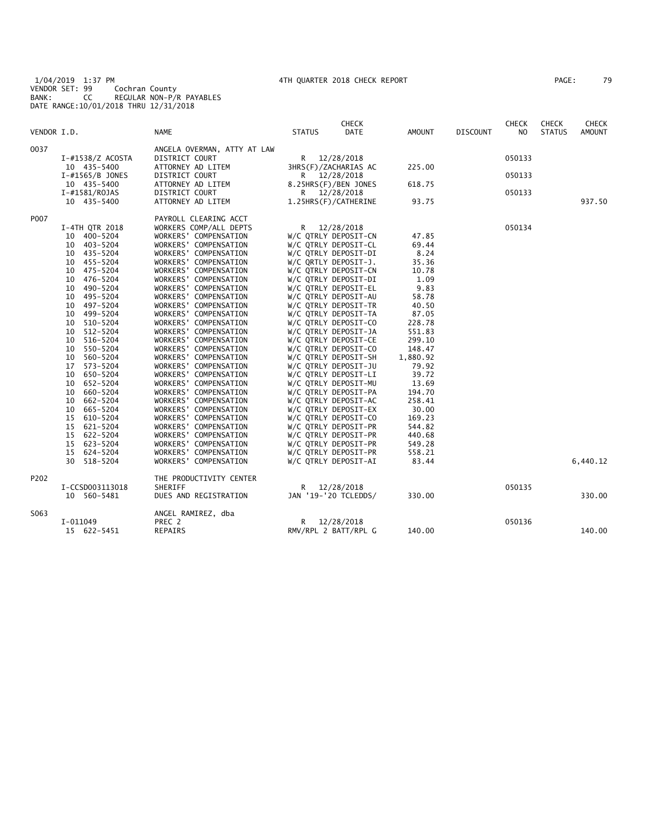1/04/2019 1:37 PM 4TH QUARTER 2018 CHECK REPORT PAGE: 79 VENDOR SET: 99 Cochran County BANK: CC REGULAR NON-P/R PAYABLES DATE RANGE:10/01/2018 THRU 12/31/2018

| PAGE: | 79 |  |
|-------|----|--|
|-------|----|--|

|             |                    |                             |               | <b>CHECK</b>         |               |                 | <b>CHECK</b>   | <b>CHECK</b>  | <b>CHECK</b>  |
|-------------|--------------------|-----------------------------|---------------|----------------------|---------------|-----------------|----------------|---------------|---------------|
| VENDOR I.D. |                    | <b>NAME</b>                 | <b>STATUS</b> | <b>DATE</b>          | <b>AMOUNT</b> | <b>DISCOUNT</b> | N <sub>O</sub> | <b>STATUS</b> | <b>AMOUNT</b> |
| 0037        |                    | ANGELA OVERMAN, ATTY AT LAW |               |                      |               |                 |                |               |               |
|             | I-#1538/Z ACOSTA   | DISTRICT COURT              | R 12/28/2018  |                      |               |                 | 050133         |               |               |
|             | 10 435-5400        | ATTORNEY AD LITEM           |               | 3HRS(F)/ZACHARIAS AC | 225.00        |                 |                |               |               |
|             | $I$ -#1565/B JONES | DISTRICT COURT              |               | R 12/28/2018         |               |                 | 050133         |               |               |
|             | 10 435-5400        | ATTORNEY AD LITEM           |               | 8.25HRS(F)/BEN JONES | 618.75        |                 |                |               |               |
|             | I-#1581/ROJAS      | DISTRICT COURT              |               | R 12/28/2018         |               |                 | 050133         |               |               |
|             | 10 435-5400        | ATTORNEY AD LITEM           |               | 1.25HRS(F)/CATHERINE | 93.75         |                 |                |               | 937.50        |
| P007        |                    | PAYROLL CLEARING ACCT       |               |                      |               |                 |                |               |               |
|             | I-4TH QTR 2018     | WORKERS COMP/ALL DEPTS      | R —           | 12/28/2018           |               |                 | 050134         |               |               |
|             | 10 400-5204        | WORKERS' COMPENSATION       |               | W/C QTRLY DEPOSIT-CN | 47.85         |                 |                |               |               |
|             | 10 403-5204        | WORKERS' COMPENSATION       |               | W/C QTRLY DEPOSIT-CL | 69.44         |                 |                |               |               |
|             | 10 435-5204        | WORKERS' COMPENSATION       |               | W/C QTRLY DEPOSIT-DI | 8.24          |                 |                |               |               |
|             | 10 455-5204        | WORKERS' COMPENSATION       |               | W/C QRTLY DEPOSIT-J. | 35.36         |                 |                |               |               |
|             | 10 475-5204        | WORKERS' COMPENSATION       |               | W/C QTRLY DEPOSIT-CN | 10.78         |                 |                |               |               |
|             | 10 476-5204        | WORKERS' COMPENSATION       |               | W/C QTRLY DEPOSIT-DI | 1.09          |                 |                |               |               |
|             | 10<br>490-5204     | WORKERS' COMPENSATION       |               | W/C QTRLY DEPOSIT-EL | 9.83          |                 |                |               |               |
|             | 10 495-5204        | WORKERS' COMPENSATION       |               | W/C QTRLY DEPOSIT-AU | 58.78         |                 |                |               |               |
|             | 10 497-5204        | WORKERS' COMPENSATION       |               | W/C QTRLY DEPOSIT-TR | 40.50         |                 |                |               |               |
|             | 10 499-5204        | WORKERS' COMPENSATION       |               | W/C QTRLY DEPOSIT-TA | 87.05         |                 |                |               |               |
|             | 10 510-5204        | WORKERS' COMPENSATION       |               | W/C QTRLY DEPOSIT-CO | 228.78        |                 |                |               |               |
|             | 10 512-5204        | WORKERS' COMPENSATION       |               | W/C QTRLY DEPOSIT-JA | 551.83        |                 |                |               |               |
|             | 10 516-5204        | WORKERS' COMPENSATION       |               | W/C QTRLY DEPOSIT-CE | 299.10        |                 |                |               |               |
|             | 10 550-5204        | WORKERS' COMPENSATION       |               | W/C QTRLY DEPOSIT-CO | 148.47        |                 |                |               |               |
|             | 10 560-5204        | WORKERS' COMPENSATION       |               | W/C QTRLY DEPOSIT-SH | 1,880.92      |                 |                |               |               |
|             | 17<br>573-5204     | WORKERS' COMPENSATION       |               | W/C QTRLY DEPOSIT-JU | 79.92         |                 |                |               |               |
|             | 10 650-5204        | WORKERS' COMPENSATION       |               | W/C QTRLY DEPOSIT-LI | 39.72         |                 |                |               |               |
|             | 10 652-5204        | WORKERS' COMPENSATION       |               | W/C QTRLY DEPOSIT-MU | 13.69         |                 |                |               |               |
|             | 660-5204<br>10     | WORKERS' COMPENSATION       |               | W/C QTRLY DEPOSIT-PA | 194.70        |                 |                |               |               |
|             | 662-5204<br>10     | WORKERS' COMPENSATION       |               | W/C QTRLY DEPOSIT-AC | 258.41        |                 |                |               |               |
|             | 665-5204<br>10     | WORKERS' COMPENSATION       |               | W/C QTRLY DEPOSIT-EX | 30.00         |                 |                |               |               |
|             | 15 610-5204        | WORKERS' COMPENSATION       |               | W/C QTRLY DEPOSIT-CO | 169.23        |                 |                |               |               |
|             | 15<br>621-5204     | WORKERS' COMPENSATION       |               | W/C QTRLY DEPOSIT-PR | 544.82        |                 |                |               |               |
|             | 15 622-5204        | WORKERS' COMPENSATION       |               | W/C QTRLY DEPOSIT-PR | 440.68        |                 |                |               |               |
|             | 15 623-5204        | WORKERS' COMPENSATION       |               | W/C QTRLY DEPOSIT-PR | 549.28        |                 |                |               |               |
|             | 15 624-5204        | WORKERS' COMPENSATION       |               | W/C QTRLY DEPOSIT-PR | 558.21        |                 |                |               |               |
|             | 30 518-5204        | WORKERS' COMPENSATION       |               | W/C QTRLY DEPOSIT-AI | 83.44         |                 |                |               | 6,440.12      |
| P202        |                    | THE PRODUCTIVITY CENTER     |               |                      |               |                 |                |               |               |
|             | I-CCSD003113018    | SHERIFF                     |               | R 12/28/2018         |               |                 | 050135         |               |               |
|             | 10 560-5481        | DUES AND REGISTRATION       |               | JAN '19-'20 TCLEDDS/ | 330.00        |                 |                |               | 330.00        |
| S063        |                    | ANGEL RAMIREZ, dba          |               |                      |               |                 |                |               |               |
|             | I-011049           | PREC 2                      |               | R 12/28/2018         |               |                 | 050136         |               |               |
|             | 15 622-5451        | REPAIRS                     |               | RMV/RPL 2 BATT/RPL G | 140.00        |                 |                |               | 140.00        |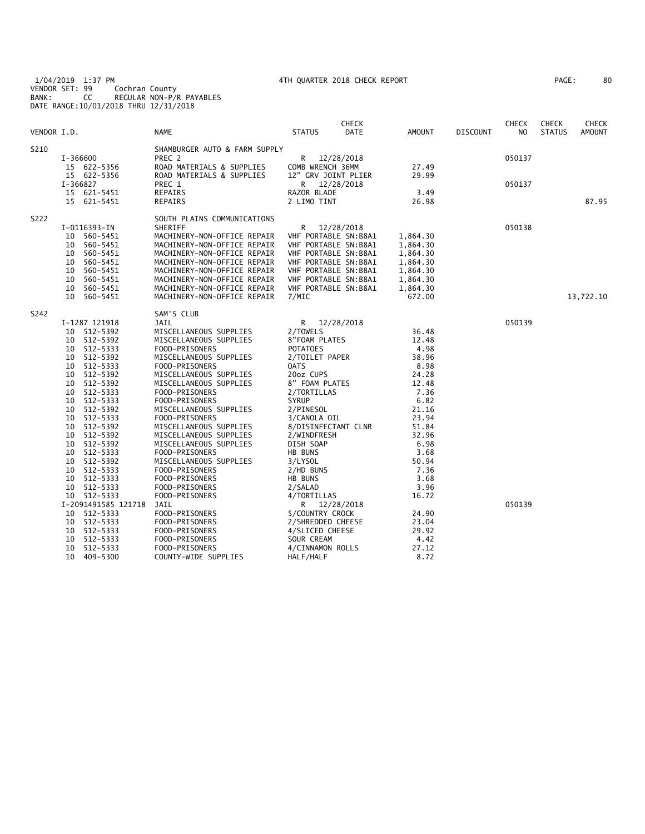1/04/2019 1:37 PM 4TH QUARTER 2018 CHECK REPORT PAGE: 80 VENDOR SET: 99 Cochran County BANK: CC REGULAR NON-P/R PAYABLES DATE RANGE:10/01/2018 THRU 12/31/2018

| 80<br>PAGE : |
|--------------|
|--------------|

|             |          |                     |                               |                      | <b>CHECK</b> |               |                 | <b>CHECK</b> | <b>CHECK</b>  | <b>CHECK</b>  |
|-------------|----------|---------------------|-------------------------------|----------------------|--------------|---------------|-----------------|--------------|---------------|---------------|
| VENDOR I.D. |          |                     | <b>NAME</b>                   | STATUS               | DATE         | <b>AMOUNT</b> | <b>DISCOUNT</b> | NO.          | <b>STATUS</b> | <b>AMOUNT</b> |
| S210        |          |                     | SHAMBURGER AUTO & FARM SUPPLY |                      |              |               |                 |              |               |               |
|             |          | I-366600            | PREC 2                        | R                    | 12/28/2018   |               |                 | 050137       |               |               |
|             |          | 15 622-5356         | ROAD MATERIALS & SUPPLIES     | COMB WRENCH 36MM     |              | 27.49         |                 |              |               |               |
|             |          | 15 622-5356         | ROAD MATERIALS & SUPPLIES     | 12" GRV JOINT PLIER  |              | 29.99         |                 |              |               |               |
|             | I-366827 |                     | PREC 1                        | R                    | 12/28/2018   |               |                 | 050137       |               |               |
|             |          | 15 621-5451         | REPAIRS                       | RAZOR BLADE          |              | 3.49          |                 |              |               |               |
|             |          | 15 621-5451         | REPAIRS                       | 2 LIMO TINT          |              | 26.98         |                 |              |               | 87.95         |
| S222        |          |                     | SOUTH PLAINS COMMUNICATIONS   |                      |              |               |                 |              |               |               |
|             |          | I-0116393-IN        | SHERIFF                       | R                    | 12/28/2018   |               |                 | 050138       |               |               |
|             |          | 10 560-5451         | MACHINERY-NON-OFFICE REPAIR   | VHF PORTABLE SN:B8A1 |              | 1,864.30      |                 |              |               |               |
|             | 10       | 560-5451            | MACHINERY-NON-OFFICE REPAIR   | VHF PORTABLE SN:B8A1 |              | 1,864.30      |                 |              |               |               |
|             | 10       | 560-5451            | MACHINERY-NON-OFFICE REPAIR   | VHF PORTABLE SN:B8A1 |              | 1,864.30      |                 |              |               |               |
|             | 10       | 560-5451            | MACHINERY-NON-OFFICE REPAIR   | VHF PORTABLE SN:B8A1 |              | 1,864.30      |                 |              |               |               |
|             | 10       | 560-5451            | MACHINERY-NON-OFFICE REPAIR   | VHF PORTABLE SN:B8A1 |              | 1,864.30      |                 |              |               |               |
|             | 10       | 560-5451            | MACHINERY-NON-OFFICE REPAIR   | VHF PORTABLE SN:B8A1 |              | 1,864.30      |                 |              |               |               |
|             | 10       | 560-5451            | MACHINERY-NON-OFFICE REPAIR   | VHF PORTABLE SN:B8A1 |              | 1,864.30      |                 |              |               |               |
|             | 10       | 560-5451            | MACHINERY-NON-OFFICE REPAIR   | 7/MIC                |              | 672.00        |                 |              |               | 13,722.10     |
|             |          |                     |                               |                      |              |               |                 |              |               |               |
| S242        |          |                     | SAM'S CLUB                    |                      |              |               |                 |              |               |               |
|             |          | I-1287 121918       | JAIL                          | R                    | 12/28/2018   |               |                 | 050139       |               |               |
|             |          | 10 512-5392         | MISCELLANEOUS SUPPLIES        | 2/TOWELS             |              | 36.48         |                 |              |               |               |
|             |          | 10 512-5392         | MISCELLANEOUS SUPPLIES        | 8"FOAM PLATES        |              | 12.48         |                 |              |               |               |
|             |          | 10 512-5333         | FOOD-PRISONERS                | <b>POTATOES</b>      |              | 4.98          |                 |              |               |               |
|             | 10       | 512-5392            | MISCELLANEOUS SUPPLIES        | 2/TOILET PAPER       |              | 38.96         |                 |              |               |               |
|             |          | 10 512-5333         | FOOD-PRISONERS                | 0ATS                 |              | 8.98          |                 |              |               |               |
|             | 10       | 512-5392            | MISCELLANEOUS SUPPLIES        | 20oz CUPS            |              | 24.28         |                 |              |               |               |
|             |          | 10 512-5392         | MISCELLANEOUS SUPPLIES        | 8" FOAM PLATES       |              | 12.48         |                 |              |               |               |
|             | 10       | 512-5333            | FOOD-PRISONERS                | 2/TORTILLAS          |              | 7.36          |                 |              |               |               |
|             |          | 10 512-5333         | FOOD-PRISONERS                | <b>SYRUP</b>         |              | 6.82          |                 |              |               |               |
|             | 10       | 512-5392            | MISCELLANEOUS SUPPLIES        | 2/PINESOL            |              | 21.16         |                 |              |               |               |
|             | 10       | 512-5333            | FOOD-PRISONERS                | 3/CANOLA OIL         |              | 23.94         |                 |              |               |               |
|             | 10       | 512-5392            | MISCELLANEOUS SUPPLIES        | 8/DISINFECTANT CLNR  |              | 51.84         |                 |              |               |               |
|             | 10       | 512-5392            | MISCELLANEOUS SUPPLIES        | 2/WINDFRESH          |              | 32.96         |                 |              |               |               |
|             | 10       | 512-5392            | MISCELLANEOUS SUPPLIES        | DISH SOAP            |              | 6.98          |                 |              |               |               |
|             | 10       | 512-5333            | FOOD-PRISONERS                | HB BUNS              |              | 3.68          |                 |              |               |               |
|             | 10       | 512-5392            | MISCELLANEOUS SUPPLIES        | 3/LYSOL              |              | 50.94         |                 |              |               |               |
|             | 10       | 512-5333            | FOOD-PRISONERS                | 2/HD BUNS            |              | 7.36          |                 |              |               |               |
|             | 10       | 512-5333            | FOOD-PRISONERS                | HB BUNS              |              | 3.68          |                 |              |               |               |
|             | 10       | 512-5333            | FOOD-PRISONERS                | 2/SALAD              |              | 3.96          |                 |              |               |               |
|             |          | 10 512-5333         | FOOD-PRISONERS                | 4/TORTILLAS          |              | 16.72         |                 |              |               |               |
|             |          | I-2091491585 121718 | JAIL                          | R 12/28/2018         |              |               |                 | 050139       |               |               |
|             |          | 10 512-5333         | FOOD-PRISONERS                | 5/COUNTRY CROCK      |              | 24.90         |                 |              |               |               |
|             | 10       | 512-5333            | FOOD-PRISONERS                | 2/SHREDDED CHEESE    |              | 23.04         |                 |              |               |               |
|             | 10       | 512-5333            | FOOD-PRISONERS                | 4/SLICED CHEESE      |              | 29.92         |                 |              |               |               |
|             | 10       | 512-5333            | FOOD-PRISONERS                | SOUR CREAM           |              | 4.42          |                 |              |               |               |
|             | 10       | 512-5333            | FOOD-PRISONERS                | 4/CINNAMON ROLLS     |              | 27.12         |                 |              |               |               |
|             |          | 10 409-5300         | COUNTY-WIDE SUPPLIES          | HALF/HALF            |              | 8.72          |                 |              |               |               |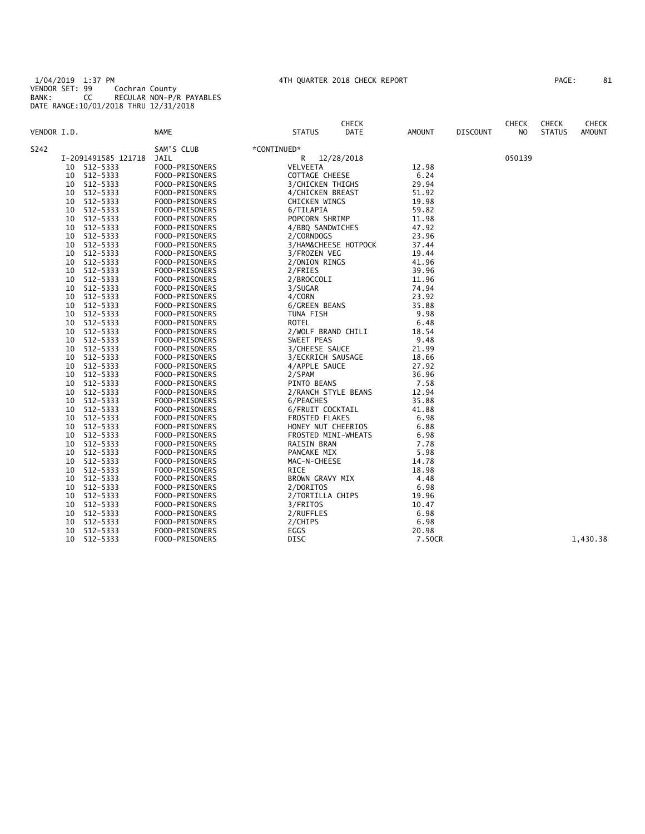1/04/2019 1:37 PM 4TH QUARTER 2018 CHECK REPORT PAGE: 81 VENDOR SET: 99 Cochran County BANK: CC REGULAR NON-P/R PAYABLES DATE RANGE:10/01/2018 THRU 12/31/2018

| VENDOR I.D. |    |                     | NAME               | <b>STATUS</b>        | <b>CHECK</b><br>DATE | <b>AMOUNT</b> | <b>DISCOUNT</b> | <b>CHECK</b><br>NO. | <b>CHECK</b><br><b>STATUS</b> | <b>CHECK</b><br><b>AMOUNT</b> |
|-------------|----|---------------------|--------------------|----------------------|----------------------|---------------|-----------------|---------------------|-------------------------------|-------------------------------|
|             |    |                     |                    |                      |                      |               |                 |                     |                               |                               |
| S242        |    | I-2091491585 121718 | SAM'S CLUB<br>JAIL | *CONTINUED*<br>R     | 12/28/2018           |               |                 | 050139              |                               |                               |
|             | 10 | 512-5333            | FOOD-PRISONERS     | VELVEETA             |                      | 12.98         |                 |                     |                               |                               |
|             | 10 | 512-5333            | FOOD-PRISONERS     | COTTAGE CHEESE       |                      | 6.24          |                 |                     |                               |                               |
|             | 10 | 512-5333            | FOOD-PRISONERS     | 3/CHICKEN THIGHS     |                      | 29.94         |                 |                     |                               |                               |
|             | 10 | 512-5333            | FOOD-PRISONERS     | 4/CHICKEN BREAST     |                      | 51.92         |                 |                     |                               |                               |
|             | 10 | 512-5333            | FOOD-PRISONERS     | <b>CHICKEN WINGS</b> |                      | 19.98         |                 |                     |                               |                               |
|             | 10 | 512-5333            | FOOD-PRISONERS     | 6/TILAPIA            |                      | 59.82         |                 |                     |                               |                               |
|             | 10 | 512-5333            | FOOD-PRISONERS     | POPCORN SHRIMP       |                      | 11.98         |                 |                     |                               |                               |
|             | 10 | 512-5333            | FOOD-PRISONERS     | 4/BBQ SANDWICHES     |                      | 47.92         |                 |                     |                               |                               |
|             | 10 | 512-5333            | FOOD-PRISONERS     | 2/CORNDOGS           |                      | 23.96         |                 |                     |                               |                               |
|             | 10 | 512-5333            | FOOD-PRISONERS     |                      | 3/HAM&CHEESE HOTPOCK | 37.44         |                 |                     |                               |                               |
|             | 10 | 512-5333            | FOOD-PRISONERS     | 3/FROZEN VEG         |                      | 19.44         |                 |                     |                               |                               |
|             | 10 | 512-5333            | FOOD-PRISONERS     | 2/ONION RINGS        |                      | 41.96         |                 |                     |                               |                               |
|             | 10 | 512-5333            | FOOD-PRISONERS     | 2/FRIES              |                      | 39.96         |                 |                     |                               |                               |
|             | 10 | 512-5333            | FOOD-PRISONERS     | 2/BROCCOLI           |                      | 11.96         |                 |                     |                               |                               |
|             | 10 | 512-5333            | FOOD-PRISONERS     | 3/SUGAR              |                      | 74.94         |                 |                     |                               |                               |
|             | 10 | 512-5333            | FOOD-PRISONERS     | 4/CORN               |                      | 23.92         |                 |                     |                               |                               |
|             | 10 | 512-5333            | FOOD-PRISONERS     | 6/GREEN BEANS        |                      | 35.88         |                 |                     |                               |                               |
|             | 10 | 512-5333            | FOOD-PRISONERS     | TUNA FISH            |                      | 9.98          |                 |                     |                               |                               |
|             | 10 | 512-5333            | FOOD-PRISONERS     | ROTEL                |                      | 6.48          |                 |                     |                               |                               |
|             | 10 | 512-5333            | FOOD-PRISONERS     | 2/WOLF BRAND CHILI   |                      | 18.54         |                 |                     |                               |                               |
|             | 10 | 512-5333            | FOOD-PRISONERS     | SWEET PEAS           |                      | 9.48          |                 |                     |                               |                               |
|             | 10 | 512-5333            | FOOD-PRISONERS     | 3/CHEESE SAUCE       |                      | 21.99         |                 |                     |                               |                               |
|             | 10 | 512-5333            | FOOD-PRISONERS     | 3/ECKRICH SAUSAGE    |                      | 18.66         |                 |                     |                               |                               |
|             | 10 | 512-5333            | FOOD-PRISONERS     | 4/APPLE SAUCE        |                      | 27.92         |                 |                     |                               |                               |
|             | 10 | 512-5333            | FOOD-PRISONERS     | 2/SPAM               |                      | 36.96         |                 |                     |                               |                               |
|             | 10 | 512-5333            | FOOD-PRISONERS     | PINTO BEANS          |                      | 7.58          |                 |                     |                               |                               |
|             | 10 | 512-5333            | FOOD-PRISONERS     | 2/RANCH STYLE BEANS  |                      | 12.94         |                 |                     |                               |                               |
|             | 10 | 512-5333            | FOOD-PRISONERS     | 6/PEACHES            |                      | 35.88         |                 |                     |                               |                               |
|             | 10 | 512-5333            | FOOD-PRISONERS     | 6/FRUIT COCKTAIL     |                      | 41.88         |                 |                     |                               |                               |
|             | 10 | 512-5333            | FOOD-PRISONERS     | FROSTED FLAKES       |                      | 6.98          |                 |                     |                               |                               |
|             | 10 | 512-5333            | FOOD-PRISONERS     | HONEY NUT CHEERIOS   |                      | 6.88          |                 |                     |                               |                               |
|             | 10 | 512-5333            | FOOD-PRISONERS     | FROSTED MINI-WHEATS  |                      | 6.98          |                 |                     |                               |                               |
|             | 10 | 512-5333            | FOOD-PRISONERS     | RAISIN BRAN          |                      | 7.78          |                 |                     |                               |                               |
|             | 10 | 512-5333            | FOOD-PRISONERS     | PANCAKE MIX          |                      | 5.98          |                 |                     |                               |                               |
|             | 10 | 512-5333            | FOOD-PRISONERS     | MAC-N-CHEESE         |                      | 14.78         |                 |                     |                               |                               |
|             | 10 | 512-5333            | FOOD-PRISONERS     | RICE                 |                      | 18.98         |                 |                     |                               |                               |
|             | 10 | 512-5333            | FOOD-PRISONERS     | BROWN GRAVY MIX      |                      | 4.48          |                 |                     |                               |                               |
|             | 10 | 512-5333            | FOOD-PRISONERS     | 2/DORITOS            |                      | 6.98          |                 |                     |                               |                               |
|             | 10 | 512-5333            | FOOD-PRISONERS     | 2/TORTILLA CHIPS     |                      | 19.96         |                 |                     |                               |                               |
|             | 10 | 512-5333            | FOOD-PRISONERS     | 3/FRITOS             |                      | 10.47         |                 |                     |                               |                               |
|             | 10 | 512-5333            | FOOD-PRISONERS     | 2/RUFFLES            |                      | 6.98          |                 |                     |                               |                               |
|             | 10 | 512-5333            | FOOD-PRISONERS     | 2/CHIPS              |                      | 6.98          |                 |                     |                               |                               |
|             | 10 | 512-5333            | FOOD-PRISONERS     | EGGS                 |                      | 20.98         |                 |                     |                               |                               |
|             | 10 | 512-5333            | FOOD-PRISONERS     | <b>DISC</b>          |                      | 7.50CR        |                 |                     |                               | 1,430.38                      |
|             |    |                     |                    |                      |                      |               |                 |                     |                               |                               |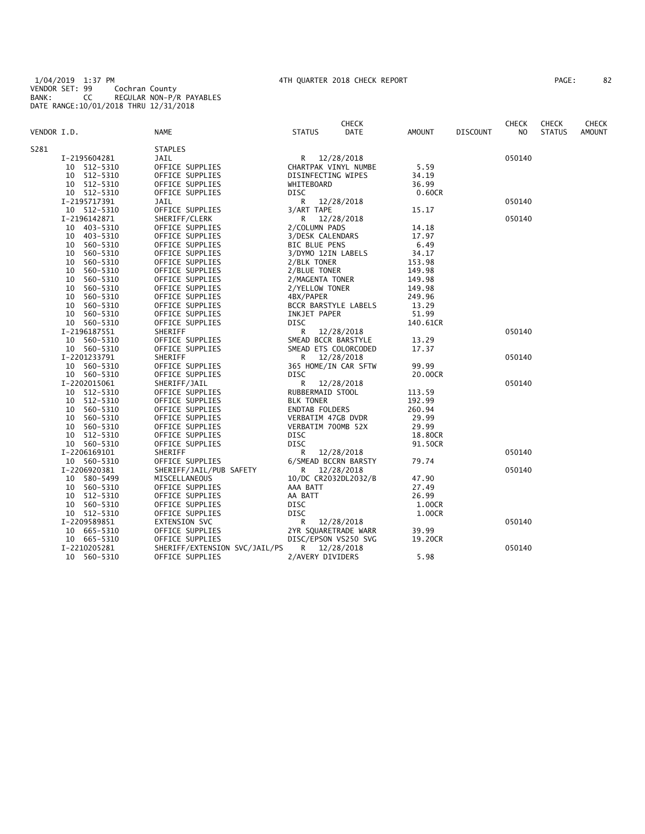1/04/2019 1:37 PM 4TH QUARTER 2018 CHECK REPORT PAGE: 82 VENDOR SET: 99 Cochran County BANK: CC REGULAR NON-P/R PAYABLES DATE RANGE:10/01/2018 THRU 12/31/2018

| PAGE: | 82 |
|-------|----|
|-------|----|

|                |                               | <b>CHECK</b>          |               |                 | <b>CHECK</b> | <b>CHECK</b>  | <b>CHECK</b>  |
|----------------|-------------------------------|-----------------------|---------------|-----------------|--------------|---------------|---------------|
| VENDOR I.D.    | NAME                          | <b>STATUS</b><br>DATE | <b>AMOUNT</b> | <b>DISCOUNT</b> | NO.          | <b>STATUS</b> | <b>AMOUNT</b> |
| S281           | <b>STAPLES</b>                |                       |               |                 |              |               |               |
| I-2195604281   | JAIL                          | R 12/28/2018          |               |                 | 050140       |               |               |
| 10 512-5310    | OFFICE SUPPLIES               | CHARTPAK VINYL NUMBE  | 5.59          |                 |              |               |               |
| 10 512-5310    | OFFICE SUPPLIES               | DISINFECTING WIPES    | 34.19         |                 |              |               |               |
| 10 512-5310    | OFFICE SUPPLIES               | WHITEBOARD            | 36.99         |                 |              |               |               |
| 10 512-5310    | OFFICE SUPPLIES               | DISC                  | 0.60CR        |                 |              |               |               |
| I-2195717391   | JAIL                          | R<br>12/28/2018       |               |                 | 050140       |               |               |
| 10 512-5310    | OFFICE SUPPLIES               | 3/ART TAPE            | 15.17         |                 |              |               |               |
| I-2196142871   | SHERIFF/CLERK                 | 12/28/2018<br>R       |               |                 | 050140       |               |               |
| 10 403-5310    | OFFICE SUPPLIES               | 2/COLUMN PADS         | 14.18         |                 |              |               |               |
| 403-5310<br>10 | OFFICE SUPPLIES               | 3/DESK CALENDARS      | 17.97         |                 |              |               |               |
| 560-5310<br>10 | OFFICE SUPPLIES               | <b>BIC BLUE PENS</b>  | 6.49          |                 |              |               |               |
| 560-5310<br>10 | OFFICE SUPPLIES               | 3/DYMO 12IN LABELS    | 34.17         |                 |              |               |               |
| 560-5310<br>10 | OFFICE SUPPLIES               | 2/BLK TONER           | 153.98        |                 |              |               |               |
| 560-5310<br>10 | OFFICE SUPPLIES               | 2/BLUE TONER          | 149.98        |                 |              |               |               |
| 560-5310<br>10 | OFFICE SUPPLIES               | 2/MAGENTA TONER       | 149.98        |                 |              |               |               |
| 560-5310<br>10 | OFFICE SUPPLIES               | 2/YELLOW TONER        | 149.98        |                 |              |               |               |
| 10<br>560-5310 | OFFICE SUPPLIES               | 4BX/PAPER             | 249.96        |                 |              |               |               |
| 10<br>560-5310 | OFFICE SUPPLIES               | BCCR BARSTYLE LABELS  | 13.29         |                 |              |               |               |
| 10<br>560-5310 | OFFICE SUPPLIES               | INKJET PAPER          | 51.99         |                 |              |               |               |
| 10 560-5310    | OFFICE SUPPLIES               | <b>DISC</b>           | 140.61CR      |                 |              |               |               |
| I-2196187551   | SHERIFF                       | R<br>12/28/2018       |               |                 | 050140       |               |               |
| 10 560-5310    | OFFICE SUPPLIES               | SMEAD BCCR BARSTYLE   | 13.29         |                 |              |               |               |
| 10 560-5310    | OFFICE SUPPLIES               | SMEAD ETS COLORCODED  | 17.37         |                 |              |               |               |
| I-2201233791   | SHERIFF                       | 12/28/2018<br>R       |               |                 | 050140       |               |               |
| 10 560-5310    | OFFICE SUPPLIES               | 365 HOME/IN CAR SFTW  | 99.99         |                 |              |               |               |
| 10 560-5310    | OFFICE SUPPLIES               | DISC                  | 20.00CR       |                 |              |               |               |
| I-2202015061   | SHERIFF/JAIL                  | R<br>12/28/2018       |               |                 | 050140       |               |               |
| 10 512-5310    | OFFICE SUPPLIES               | RUBBERMAID STOOL      | 113.59        |                 |              |               |               |
| 512-5310<br>10 | OFFICE SUPPLIES               | <b>BLK TONER</b>      | 192.99        |                 |              |               |               |
| 560-5310<br>10 | OFFICE SUPPLIES               | <b>ENDTAB FOLDERS</b> | 260.94        |                 |              |               |               |
| 560-5310<br>10 | OFFICE SUPPLIES               | VERBATIM 47GB DVDR    | 29.99         |                 |              |               |               |
| 10<br>560-5310 | OFFICE SUPPLIES               | VERBATIM 700MB 52X    | 29.99         |                 |              |               |               |
| 10<br>512-5310 | OFFICE SUPPLIES               | <b>DISC</b>           | 18.80CR       |                 |              |               |               |
| 10 560-5310    | OFFICE SUPPLIES               | DISC                  | 91.50CR       |                 |              |               |               |
| I-2206169101   | SHERIFF                       | R<br>12/28/2018       |               |                 | 050140       |               |               |
| 10 560-5310    | OFFICE SUPPLIES               | 6/SMEAD BCCRN BARSTY  | 79.74         |                 |              |               |               |
| I-2206920381   | SHERIFF/JAIL/PUB SAFETY       | 12/28/2018<br>R       |               |                 | 050140       |               |               |
| 10 580-5499    | MISCELLANEOUS                 | 10/DC CR2032DL2032/B  | 47.90         |                 |              |               |               |
| 560-5310<br>10 | OFFICE SUPPLIES               | AAA BATT              | 27.49         |                 |              |               |               |
| 512-5310<br>10 | OFFICE SUPPLIES               | AA BATT               | 26.99         |                 |              |               |               |
| 10<br>560-5310 | OFFICE SUPPLIES               | DISC                  | 1.00CR        |                 |              |               |               |
| 10 512-5310    | OFFICE SUPPLIES               | DISC                  | 1.00CR        |                 |              |               |               |
| I-2209589851   | EXTENSION SVC                 | R<br>12/28/2018       |               |                 | 050140       |               |               |
| 10 665-5310    | OFFICE SUPPLIES               | 2YR SQUARETRADE WARR  | 39.99         |                 |              |               |               |
| 10 665-5310    | OFFICE SUPPLIES               | DISC/EPSON VS250 SVG  | 19.20CR       |                 |              |               |               |
| I-2210205281   | SHERIFF/EXTENSION SVC/JAIL/PS | R 12/28/2018          |               |                 | 050140       |               |               |
| 10<br>560-5310 | OFFICE SUPPLIES               | 2/AVERY DIVIDERS      | 5.98          |                 |              |               |               |
|                |                               |                       |               |                 |              |               |               |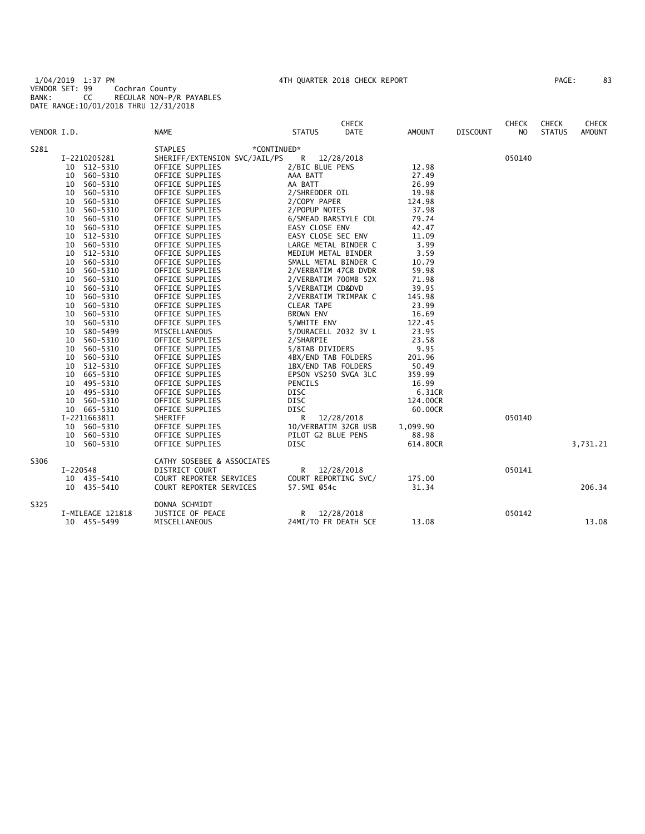1/04/2019 1:37 PM 4TH QUARTER 2018 CHECK REPORT PAGE: 83 VENDOR SET: 99 Cochran County BANK: CC REGULAR NON-P/R PAYABLES DATE RANGE:10/01/2018 THRU 12/31/2018

| PAGE : | 83 |
|--------|----|
|--------|----|

| VENDOR I.D. |                  | <b>NAME</b>                   | <b>CHECK</b><br><b>DATE</b><br><b>STATUS</b> | AMOUNT   | <b>DISCOUNT</b> | <b>CHECK</b><br>N <sub>O</sub> | <b>CHECK</b><br><b>STATUS</b> | <b>CHECK</b><br><b>AMOUNT</b> |
|-------------|------------------|-------------------------------|----------------------------------------------|----------|-----------------|--------------------------------|-------------------------------|-------------------------------|
| S281        |                  | <b>STAPLES</b><br>*CONTINUED* |                                              |          |                 |                                |                               |                               |
|             | I-2210205281     | SHERIFF/EXTENSION SVC/JAIL/PS | R<br>12/28/2018                              |          |                 | 050140                         |                               |                               |
|             | 10 512-5310      | OFFICE SUPPLIES               | 2/BIC BLUE PENS                              | 12.98    |                 |                                |                               |                               |
|             | 560-5310<br>10   | OFFICE SUPPLIES               | AAA BATT                                     | 27.49    |                 |                                |                               |                               |
|             | 560-5310<br>10   | OFFICE SUPPLIES               | AA BATT                                      | 26.99    |                 |                                |                               |                               |
|             | 560-5310<br>10   | OFFICE SUPPLIES               | 2/SHREDDER OIL                               | 19.98    |                 |                                |                               |                               |
|             | 560-5310<br>10   | OFFICE SUPPLIES               | 2/COPY PAPER                                 | 124.98   |                 |                                |                               |                               |
|             | 560-5310<br>10   | OFFICE SUPPLIES               | 2/POPUP NOTES                                | 37.98    |                 |                                |                               |                               |
|             | 560-5310<br>10   | OFFICE SUPPLIES               | 6/SMEAD BARSTYLE COL                         | 79.74    |                 |                                |                               |                               |
|             | 560-5310<br>10   | OFFICE SUPPLIES               | EASY CLOSE ENV                               | 42.47    |                 |                                |                               |                               |
|             | 512-5310<br>10   | OFFICE SUPPLIES               | EASY CLOSE SEC ENV                           | 11.09    |                 |                                |                               |                               |
|             | 560-5310<br>10   | OFFICE SUPPLIES               | LARGE METAL BINDER C                         | 3.99     |                 |                                |                               |                               |
|             | 512-5310<br>10   | OFFICE SUPPLIES               | MEDIUM METAL BINDER                          | 3.59     |                 |                                |                               |                               |
|             | 560-5310<br>10   | OFFICE SUPPLIES               | SMALL METAL BINDER C                         | 10.79    |                 |                                |                               |                               |
|             | 560-5310<br>10   | OFFICE SUPPLIES               | 2/VERBATIM 47GB DVDR                         | 59.98    |                 |                                |                               |                               |
|             | 10<br>560-5310   | OFFICE SUPPLIES               | 2/VERBATIM 700MB 52X                         | 71.98    |                 |                                |                               |                               |
|             | 560-5310<br>10   | OFFICE SUPPLIES               | 5/VERBATIM CD&DVD                            | 39.95    |                 |                                |                               |                               |
|             | 560-5310<br>10   | OFFICE SUPPLIES               | 2/VERBATIM TRIMPAK C                         | 145.98   |                 |                                |                               |                               |
|             | 560-5310<br>10   | OFFICE SUPPLIES               | <b>CLEAR TAPE</b>                            | 23.99    |                 |                                |                               |                               |
|             | 560-5310<br>10   | OFFICE SUPPLIES               | BROWN ENV                                    | 16.69    |                 |                                |                               |                               |
|             | 560-5310<br>10   | OFFICE SUPPLIES               | 5/WHITE ENV                                  | 122.45   |                 |                                |                               |                               |
|             | 580-5499<br>10   | MISCELLANEOUS                 | 5/DURACELL 2032 3V L                         | 23.95    |                 |                                |                               |                               |
|             | 560-5310<br>10   | OFFICE SUPPLIES               | 2/SHARPIE                                    | 23.58    |                 |                                |                               |                               |
|             | 560-5310<br>10   | OFFICE SUPPLIES               | 5/8TAB DIVIDERS                              | 9.95     |                 |                                |                               |                               |
|             | 560-5310<br>10   | OFFICE SUPPLIES               | 4BX/END TAB FOLDERS                          | 201.96   |                 |                                |                               |                               |
|             | 512-5310<br>10   | OFFICE SUPPLIES               | 1BX/END TAB FOLDERS                          | 50.49    |                 |                                |                               |                               |
|             | 665-5310<br>10   | OFFICE SUPPLIES               | EPSON VS250 SVGA 3LC                         | 359.99   |                 |                                |                               |                               |
|             | 10 495-5310      | OFFICE SUPPLIES               | PENCILS                                      | 16.99    |                 |                                |                               |                               |
|             | 10 495-5310      | OFFICE SUPPLIES               | DISC                                         | 6.31CR   |                 |                                |                               |                               |
|             | 560-5310<br>10   | OFFICE SUPPLIES               | DISC                                         | 124.00CR |                 |                                |                               |                               |
|             | 10 665-5310      | OFFICE SUPPLIES               | <b>DISC</b>                                  | 60.00CR  |                 |                                |                               |                               |
|             | I-2211663811     | SHERIFF                       | R<br>12/28/2018                              |          |                 | 050140                         |                               |                               |
|             | 10 560-5310      | OFFICE SUPPLIES               | 10/VERBATIM 32GB USB                         | 1,099.90 |                 |                                |                               |                               |
|             | 10 560-5310      | OFFICE SUPPLIES               | PILOT G2 BLUE PENS                           | 88.98    |                 |                                |                               |                               |
|             | 10 560-5310      | OFFICE SUPPLIES               | <b>DISC</b>                                  | 614.80CR |                 |                                |                               | 3,731.21                      |
| S306        |                  | CATHY SOSEBEE & ASSOCIATES    |                                              |          |                 |                                |                               |                               |
|             | I-220548         | DISTRICT COURT                | R.<br>12/28/2018                             |          |                 | 050141                         |                               |                               |
|             | 10 435-5410      | COURT REPORTER SERVICES       | COURT REPORTING SVC/                         | 175.00   |                 |                                |                               |                               |
|             | 10 435-5410      | COURT REPORTER SERVICES       | 57.5MI @54c                                  | 31.34    |                 |                                |                               | 206.34                        |
| S325        |                  | DONNA SCHMIDT                 |                                              |          |                 |                                |                               |                               |
|             | I-MILEAGE 121818 | JUSTICE OF PEACE              | R.<br>12/28/2018                             |          |                 | 050142                         |                               |                               |
|             | 10 455-5499      | MISCELLANEOUS                 | 24MI/TO FR DEATH SCE                         | 13.08    |                 |                                |                               | 13.08                         |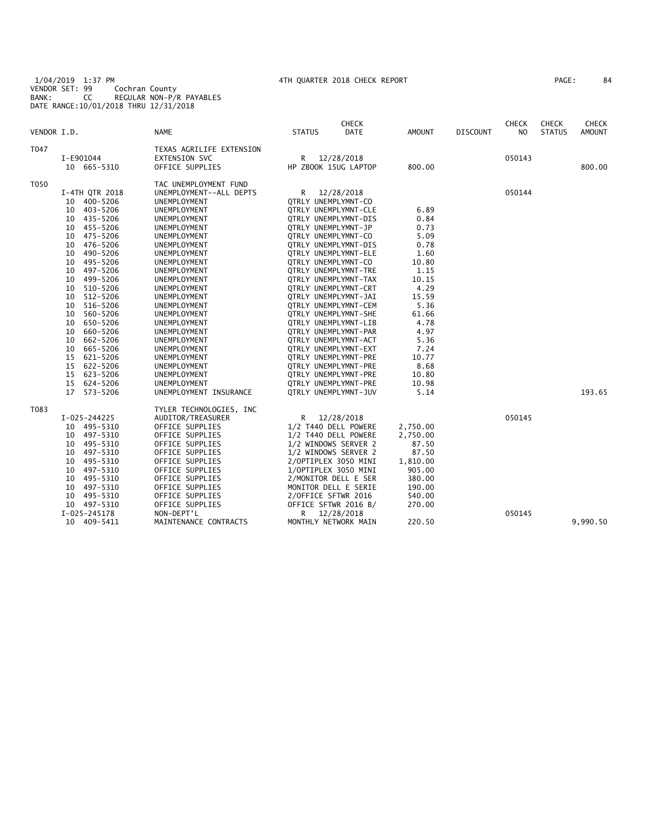1/04/2019 1:37 PM 4TH QUARTER 2018 CHECK REPORT PAGE: 84 VENDOR SET: 99 Cochran County BANK: CC REGULAR NON-P/R PAYABLES DATE RANGE:10/01/2018 THRU 12/31/2018

|  | PAGE : | 8. |
|--|--------|----|
|--|--------|----|

|             |                |                          |                     | <b>CHECK</b>         |               |                 | <b>CHECK</b> | <b>CHECK</b>  | CHECK         |
|-------------|----------------|--------------------------|---------------------|----------------------|---------------|-----------------|--------------|---------------|---------------|
| VENDOR I.D. |                | <b>NAME</b>              | <b>STATUS</b>       | <b>DATE</b>          | <b>AMOUNT</b> | <b>DISCOUNT</b> | NO.          | <b>STATUS</b> | <b>AMOUNT</b> |
| T047        |                | TEXAS AGRILIFE EXTENSION |                     |                      |               |                 |              |               |               |
|             | I-E901044      | <b>EXTENSION SVC</b>     | R                   | 12/28/2018           |               |                 | 050143       |               |               |
|             | 10 665-5310    | OFFICE SUPPLIES          |                     | HP ZBOOK 15UG LAPTOP | 800.00        |                 |              |               | 800.00        |
| T050        |                | TAC UNEMPLOYMENT FUND    |                     |                      |               |                 |              |               |               |
|             | I-4TH QTR 2018 | UNEMPLOYMENT--ALL DEPTS  | R                   | 12/28/2018           |               |                 | 050144       |               |               |
|             | 10 400-5206    | UNEMPLOYMENT             | QTRLY UNEMPLYMNT-CO |                      |               |                 |              |               |               |
|             | 403-5206<br>10 | UNEMPLOYMENT             |                     | QTRLY UNEMPLYMNT-CLE | 6.89          |                 |              |               |               |
|             | 10 435-5206    | UNEMPLOYMENT             |                     | QTRLY UNEMPLYMNT-DIS | 0.84          |                 |              |               |               |
|             | 455-5206<br>10 | UNEMPLOYMENT             | QTRLY UNEMPLYMNT-JP |                      | 0.73          |                 |              |               |               |
|             | 475-5206<br>10 | UNEMPLOYMENT             | QTRLY UNEMPLYMNT-CO |                      | 5.09          |                 |              |               |               |
|             | 476-5206<br>10 | UNEMPLOYMENT             |                     | QTRLY UNEMPLYMNT-DIS | 0.78          |                 |              |               |               |
|             | 490-5206<br>10 | UNEMPLOYMENT             |                     | QTRLY UNEMPLYMNT-ELE | 1.60          |                 |              |               |               |
|             | 495-5206<br>10 | UNEMPLOYMENT             | QTRLY UNEMPLYMNT-CO |                      | 10.80         |                 |              |               |               |
|             | 497-5206<br>10 | UNEMPLOYMENT             |                     | QTRLY UNEMPLYMNT-TRE | 1.15          |                 |              |               |               |
|             | 499-5206<br>10 | UNEMPLOYMENT             |                     | OTRLY UNEMPLYMNT-TAX | 10.15         |                 |              |               |               |
|             | 510-5206<br>10 | UNEMPLOYMENT             |                     | QTRLY UNEMPLYMNT-CRT | 4.29          |                 |              |               |               |
|             | 512-5206<br>10 | <b>UNEMPLOYMENT</b>      |                     | OTRLY UNEMPLYMNT-JAI | 15.59         |                 |              |               |               |
|             | 516-5206<br>10 | UNEMPLOYMENT             |                     | QTRLY UNEMPLYMNT-CEM | 5.36          |                 |              |               |               |
|             | 560-5206<br>10 | UNEMPLOYMENT             |                     | QTRLY UNEMPLYMNT-SHE | 61.66         |                 |              |               |               |
|             | 650-5206<br>10 | UNEMPLOYMENT             |                     | QTRLY UNEMPLYMNT-LIB | 4.78          |                 |              |               |               |
|             | 660-5206<br>10 | UNEMPLOYMENT             |                     | QTRLY UNEMPLYMNT-PAR | 4.97          |                 |              |               |               |
|             | 662-5206<br>10 | UNEMPLOYMENT             |                     | QTRLY UNEMPLYMNT-ACT | 5.36          |                 |              |               |               |
|             | 665-5206<br>10 | UNEMPLOYMENT             |                     | QTRLY UNEMPLYMNT-EXT | 7.24          |                 |              |               |               |
|             | 15<br>621-5206 | UNEMPLOYMENT             |                     | QTRLY UNEMPLYMNT-PRE | 10.77         |                 |              |               |               |
|             | 622-5206<br>15 | UNEMPLOYMENT             |                     | QTRLY UNEMPLYMNT-PRE | 8.68          |                 |              |               |               |
|             | 623-5206<br>15 | UNEMPLOYMENT             |                     | QTRLY UNEMPLYMNT-PRE | 10.80         |                 |              |               |               |
|             | 624-5206<br>15 | UNEMPLOYMENT             |                     | QTRLY UNEMPLYMNT-PRE | 10.98         |                 |              |               |               |
|             | 17<br>573-5206 | UNEMPLOYMENT INSURANCE   |                     | QTRLY UNEMPLYMNT-JUV | 5.14          |                 |              |               | 193.65        |
| T083        |                | TYLER TECHNOLOGIES, INC  |                     |                      |               |                 |              |               |               |
|             | $I-025-244225$ | AUDITOR/TREASURER        |                     | R 12/28/2018         |               |                 | 050145       |               |               |
|             | 10 495-5310    | OFFICE SUPPLIES          |                     | 1/2 T440 DELL POWERE | 2,750.00      |                 |              |               |               |
|             | 497-5310<br>10 | OFFICE SUPPLIES          |                     | 1/2 T440 DELL POWERE | 2,750.00      |                 |              |               |               |
|             | 495-5310<br>10 | OFFICE SUPPLIES          |                     | 1/2 WINDOWS SERVER 2 | 87.50         |                 |              |               |               |
|             | 497-5310<br>10 | OFFICE SUPPLIES          |                     | 1/2 WINDOWS SERVER 2 | 87.50         |                 |              |               |               |
|             | 495-5310<br>10 | OFFICE SUPPLIES          |                     | 2/OPTIPLEX 3050 MINI | 1,810.00      |                 |              |               |               |
|             | 497-5310<br>10 | OFFICE SUPPLIES          |                     | 1/OPTIPLEX 3050 MINI | 905.00        |                 |              |               |               |
|             | 495-5310<br>10 | OFFICE SUPPLIES          |                     | 2/MONITOR DELL E SER | 380.00        |                 |              |               |               |
|             | 10<br>497-5310 | OFFICE SUPPLIES          |                     | MONITOR DELL E SERIE | 190.00        |                 |              |               |               |
|             | 495-5310<br>10 | OFFICE SUPPLIES          | 2/OFFICE SFTWR 2016 |                      | 540.00        |                 |              |               |               |
|             | 10 497-5310    | OFFICE SUPPLIES          |                     | OFFICE SFTWR 2016 B/ | 270.00        |                 |              |               |               |
|             | $I-025-245178$ | NON-DEPT'L               | R                   | 12/28/2018           |               |                 | 050145       |               |               |
|             | 10 409-5411    | MAINTENANCE CONTRACTS    |                     | MONTHLY NETWORK MAIN | 220.50        |                 |              |               | 9,990.50      |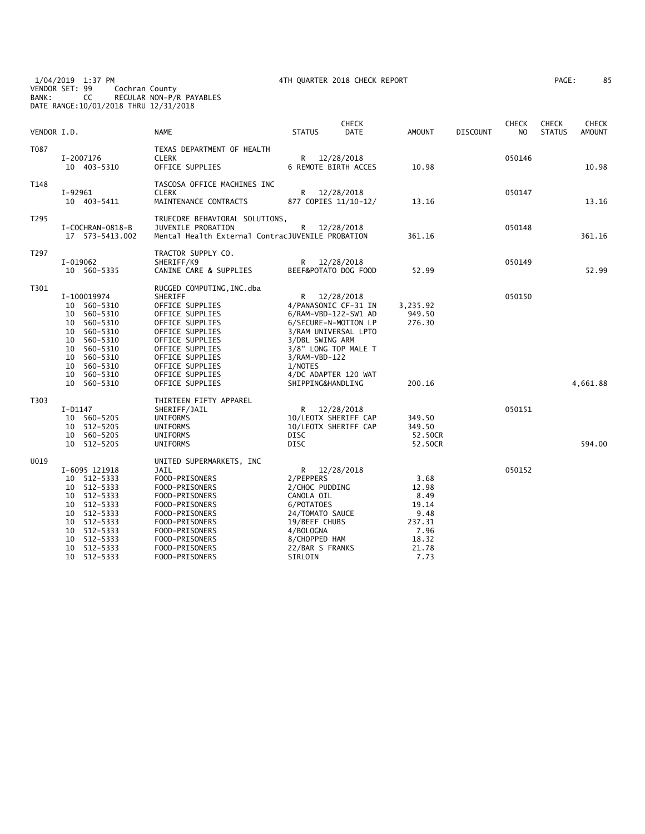1/04/2019 1:37 PM 4TH QUARTER 2018 CHECK REPORT PAGE: 85 VENDOR SET: 99 Cochran County BANK: CC REGULAR NON-P/R PAYABLES

DATE RANGE:10/01/2018 THRU 12/31/2018

| AGE: | 85 |
|------|----|
|------|----|

| VENDOR I.D. |                                                                                                                                                                                                | <b>NAME</b>                                                                                                                                                                                                                        | <b>STATUS</b>                                                                                                                                           | <b>CHECK</b><br>DATE                                                                                                                                       | <b>AMOUNT</b>                                                                      | <b>DISCOUNT</b> | <b>CHECK</b><br>N <sub>O</sub> | <b>CHECK</b><br><b>STATUS</b> | CHECK<br><b>AMOUNT</b> |
|-------------|------------------------------------------------------------------------------------------------------------------------------------------------------------------------------------------------|------------------------------------------------------------------------------------------------------------------------------------------------------------------------------------------------------------------------------------|---------------------------------------------------------------------------------------------------------------------------------------------------------|------------------------------------------------------------------------------------------------------------------------------------------------------------|------------------------------------------------------------------------------------|-----------------|--------------------------------|-------------------------------|------------------------|
| T087        | I-2007176<br>10 403-5310                                                                                                                                                                       | TEXAS DEPARTMENT OF HEALTH<br><b>CLERK</b><br>OFFICE SUPPLIES                                                                                                                                                                      |                                                                                                                                                         | R 12/28/2018<br><b>6 REMOTE BIRTH ACCES</b>                                                                                                                | 10.98                                                                              |                 | 050146                         |                               | 10.98                  |
| T148        | $I-92961$<br>10 403-5411                                                                                                                                                                       | TASCOSA OFFICE MACHINES INC<br><b>CLERK</b><br>MAINTENANCE CONTRACTS                                                                                                                                                               |                                                                                                                                                         | R 12/28/2018<br>877 COPIES 11/10-12/                                                                                                                       | 13.16                                                                              |                 | 050147                         |                               | 13.16                  |
| T295        | I-COCHRAN-0818-B<br>17  573-5413.002                                                                                                                                                           | TRUECORE BEHAVIORAL SOLUTIONS,<br>JUVENILE PROBATION<br>Mental Health External ContracJUVENILE PROBATION                                                                                                                           | R                                                                                                                                                       | 12/28/2018                                                                                                                                                 | 361.16                                                                             |                 | 050148                         |                               | 361.16                 |
| T297        | I-019062<br>10 560-5335                                                                                                                                                                        | TRACTOR SUPPLY CO.<br>SHERIFF/K9<br>CANINE CARE & SUPPLIES                                                                                                                                                                         |                                                                                                                                                         | R 12/28/2018<br>BEEF&POTATO DOG FOOD                                                                                                                       | 52.99                                                                              |                 | 050149                         |                               | 52.99                  |
| T301        | I-100019974<br>10 560-5310<br>560-5310<br>10<br>560-5310<br>10<br>10<br>560-5310<br>560-5310<br>10<br>560-5310<br>10<br>560-5310<br>10<br>560-5310<br>10<br>560-5310<br>10<br>10 560-5310      | RUGGED COMPUTING, INC.dba<br>SHERIFF<br>OFFICE SUPPLIES<br>OFFICE SUPPLIES<br>OFFICE SUPPLIES<br>OFFICE SUPPLIES<br>OFFICE SUPPLIES<br>OFFICE SUPPLIES<br>OFFICE SUPPLIES<br>OFFICE SUPPLIES<br>OFFICE SUPPLIES<br>OFFICE SUPPLIES | R.<br>3/DBL SWING ARM<br>3/RAM-VBD-122<br>1/NOTES<br>SHIPPING&HANDLING                                                                                  | 12/28/2018<br>4/PANASONIC CF-31 IN<br>6/RAM-VBD-122-SW1 AD<br>6/SECURE-N-MOTION LP<br>3/RAM UNIVERSAL LPTO<br>3/8" LONG TOP MALE T<br>4/DC ADAPTER 120 WAT | 3,235.92<br>949.50<br>276.30<br>200.16                                             |                 | 050150                         |                               | 4,661.88               |
| T303        | I-D1147<br>10 560-5205<br>10 512-5205<br>560-5205<br>10<br>10 512-5205                                                                                                                         | THIRTEEN FIFTY APPAREL<br>SHERIFF/JAIL<br>UNIFORMS<br>UNIFORMS<br>UNIFORMS<br>UNIFORMS                                                                                                                                             | DISC<br><b>DISC</b>                                                                                                                                     | R 12/28/2018<br>10/LEOTX SHERIFF CAP<br>10/LEOTX SHERIFF CAP                                                                                               | 349.50<br>349.50<br>52.50CR<br>52.50CR                                             |                 | 050151                         |                               | 594.00                 |
| U019        | I-6095 121918<br>10<br>512-5333<br>512-5333<br>10<br>512-5333<br>10<br>512-5333<br>10<br>512-5333<br>10<br>512-5333<br>10<br>512-5333<br>10<br>512-5333<br>10<br>512-5333<br>10<br>10 512-5333 | UNITED SUPERMARKETS, INC<br>JAIL<br>FOOD-PRISONERS<br>FOOD-PRISONERS<br>FOOD-PRISONERS<br>FOOD-PRISONERS<br>FOOD-PRISONERS<br>FOOD-PRISONERS<br>FOOD-PRISONERS<br>FOOD-PRISONERS<br>FOOD-PRISONERS<br>FOOD-PRISONERS               | 2/PEPPERS<br>2/CHOC PUDDING<br>CANOLA OIL<br>6/POTATOES<br>24/TOMATO SAUCE<br>19/BEEF CHUBS<br>4/BOLOGNA<br>8/CHOPPED HAM<br>22/BAR S FRANKS<br>SIRLOIN | R 12/28/2018                                                                                                                                               | 3.68<br>12.98<br>8.49<br>19.14<br>9.48<br>237.31<br>7.96<br>18.32<br>21.78<br>7.73 |                 | 050152                         |                               |                        |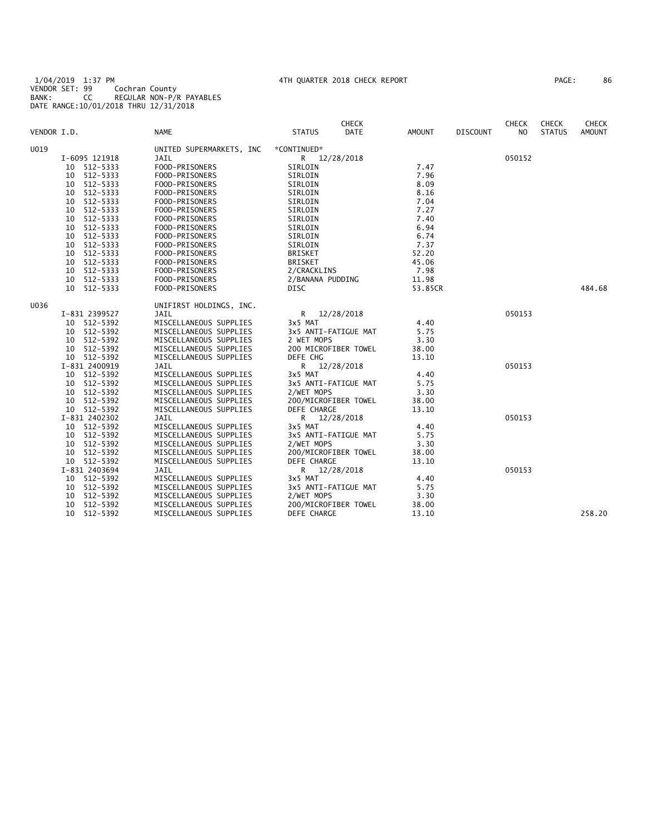1/04/2019 1:37 PM 4TH QUARTER 2018 CHECK REPORT PAGE: 86 VENDOR SET: 99 Cochran County BANK: CC REGULAR NON-P/R PAYABLES DATE RANGE:10/01/2018 THRU 12/31/2018

| 'AGE : | 86 |
|--------|----|
|--------|----|

| VENDOR I.D. |                | <b>NAME</b>              | <b>CHECK</b><br><b>STATUS</b> | <b>DATE</b><br>AMOUNT | <b>DISCOUNT</b> | <b>CHECK</b><br>N <sub>O</sub> | <b>CHECK</b><br><b>STATUS</b> | <b>CHECK</b><br><b>AMOUNT</b> |
|-------------|----------------|--------------------------|-------------------------------|-----------------------|-----------------|--------------------------------|-------------------------------|-------------------------------|
| U019        |                | UNITED SUPERMARKETS, INC | *CONTINUED*                   |                       |                 |                                |                               |                               |
|             | I-6095 121918  | JAIL                     | R 12/28/2018                  |                       |                 | 050152                         |                               |                               |
|             | 512-5333<br>10 | FOOD-PRISONERS           | SIRLOIN                       |                       | 7.47            |                                |                               |                               |
|             | 512-5333<br>10 | FOOD-PRISONERS           | SIRLOIN                       |                       | 7.96            |                                |                               |                               |
|             | 512-5333<br>10 | FOOD-PRISONERS           | SIRLOIN                       |                       | 8.09            |                                |                               |                               |
|             | 512-5333<br>10 | FOOD-PRISONERS           | SIRLOIN                       |                       | 8.16            |                                |                               |                               |
|             | 512-5333<br>10 | FOOD-PRISONERS           | SIRLOIN                       |                       | 7.04            |                                |                               |                               |
|             | 512-5333<br>10 | FOOD-PRISONERS           | SIRLOIN                       |                       | 7.27            |                                |                               |                               |
|             | 512-5333<br>10 | FOOD-PRISONERS           | SIRLOIN                       |                       | 7.40            |                                |                               |                               |
|             | 512-5333<br>10 | FOOD-PRISONERS           | SIRLOIN                       |                       | 6.94            |                                |                               |                               |
|             | 512-5333<br>10 | FOOD-PRISONERS           | SIRLOIN                       |                       | 6.74            |                                |                               |                               |
|             | 512-5333<br>10 | FOOD-PRISONERS           | SIRLOIN                       |                       | 7.37            |                                |                               |                               |
|             | 512-5333<br>10 | FOOD-PRISONERS           | <b>BRISKET</b>                |                       | 52.20           |                                |                               |                               |
|             | 512-5333<br>10 | FOOD-PRISONERS           | <b>BRISKET</b>                |                       | 45.06           |                                |                               |                               |
|             | 512-5333<br>10 | FOOD-PRISONERS           | 2/CRACKLINS                   |                       | 7.98            |                                |                               |                               |
|             | 512-5333<br>10 | FOOD-PRISONERS           | 2/BANANA PUDDING              |                       | 11.98           |                                |                               |                               |
|             | 10<br>512-5333 | FOOD-PRISONERS           | DISC                          |                       | 53.85CR         |                                |                               | 484.68                        |
| U036        |                | UNIFIRST HOLDINGS, INC.  |                               |                       |                 |                                |                               |                               |
|             | I-831 2399527  | <b>JAIL</b>              | R 12/28/2018                  |                       |                 | 050153                         |                               |                               |
|             | 10 512-5392    | MISCELLANEOUS SUPPLIES   | 3x5 MAT                       |                       | 4.40            |                                |                               |                               |
|             | 512-5392<br>10 | MISCELLANEOUS SUPPLIES   | 3x5 ANTI-FATIGUE MAT          |                       | 5.75            |                                |                               |                               |
|             | 512-5392<br>10 | MISCELLANEOUS SUPPLIES   | 2 WET MOPS                    |                       | 3.30            |                                |                               |                               |
|             | 512-5392<br>10 | MISCELLANEOUS SUPPLIES   | 200 MICROFIBER TOWEL          |                       | 38.00           |                                |                               |                               |
|             | 10 512-5392    | MISCELLANEOUS SUPPLIES   | DEFE CHG                      |                       | 13.10           |                                |                               |                               |
|             | I-831 2400919  | <b>JAIL</b>              | R.<br>12/28/2018              |                       |                 | 050153                         |                               |                               |
|             | 512-5392<br>10 | MISCELLANEOUS SUPPLIES   | 3x5 MAT                       |                       | 4.40            |                                |                               |                               |
|             | 512-5392<br>10 | MISCELLANEOUS SUPPLIES   | 3x5 ANTI-FATIGUE MAT          |                       | 5.75            |                                |                               |                               |
|             | 512-5392<br>10 | MISCELLANEOUS SUPPLIES   | 2/WET MOPS                    |                       | 3.30            |                                |                               |                               |
|             | 512-5392<br>10 | MISCELLANEOUS SUPPLIES   | 200/MICROFIBER TOWEL          |                       | 38.00           |                                |                               |                               |
|             | 10 512-5392    | MISCELLANEOUS SUPPLIES   | <b>DEFE CHARGE</b>            |                       | 13.10           |                                |                               |                               |
|             | I-831 2402302  | JAIL                     | R 12/28/2018                  |                       |                 | 050153                         |                               |                               |
|             | 10 512-5392    | MISCELLANEOUS SUPPLIES   | 3x5 MAT                       |                       | 4.40            |                                |                               |                               |
|             | 512-5392<br>10 | MISCELLANEOUS SUPPLIES   | 3x5 ANTI-FATIGUE MAT          |                       | 5.75            |                                |                               |                               |
|             | 512-5392<br>10 | MISCELLANEOUS SUPPLIES   | 2/WET MOPS                    |                       | 3.30            |                                |                               |                               |
|             | 512-5392<br>10 | MISCELLANEOUS SUPPLIES   | 200/MICROFIBER TOWEL          |                       | 38.00           |                                |                               |                               |
|             | 10 512-5392    | MISCELLANEOUS SUPPLIES   | DEFE CHARGE                   |                       | 13.10           |                                |                               |                               |
|             | I-831 2403694  | JAIL                     | R<br>12/28/2018               |                       |                 | 050153                         |                               |                               |
|             | 10 512-5392    | MISCELLANEOUS SUPPLIES   | 3x5 MAT                       |                       | 4.40            |                                |                               |                               |
|             | 512-5392<br>10 | MISCELLANEOUS SUPPLIES   | 3x5 ANTI-FATIGUE MAT          |                       | 5.75            |                                |                               |                               |
|             | 512-5392<br>10 | MISCELLANEOUS SUPPLIES   | 2/WET MOPS                    |                       | 3.30            |                                |                               |                               |
|             | 512-5392<br>10 | MISCELLANEOUS SUPPLIES   | 200/MICROFIBER TOWEL          |                       | 38.00           |                                |                               |                               |
|             | 512-5392<br>10 | MISCELLANEOUS SUPPLIES   | <b>DEFE CHARGE</b>            |                       | 13.10           |                                |                               | 258.20                        |
|             |                |                          |                               |                       |                 |                                |                               |                               |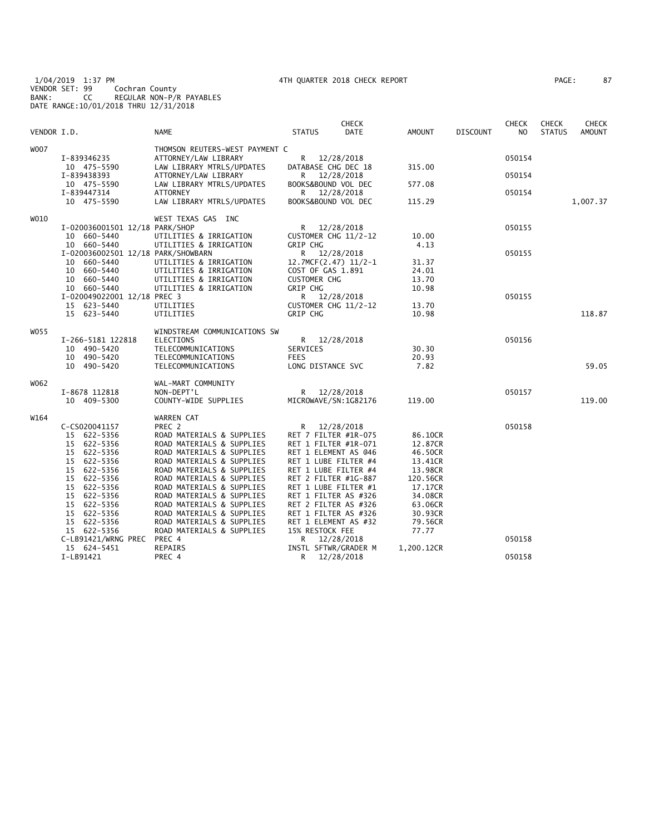1/04/2019 1:37 PM 4TH QUARTER 2018 CHECK REPORT PAGE: 87 VENDOR SET: 99 Cochran County BANK: CC REGULAR NON-P/R PAYABLES DATE RANGE:10/01/2018 THRU 12/31/2018

| PAGE : | 87 |
|--------|----|
|--------|----|

|             |                                            |                                     |                                      | CHECK      |            |                 | CHECK  | <b>CHECK</b>  | CHECK         |
|-------------|--------------------------------------------|-------------------------------------|--------------------------------------|------------|------------|-----------------|--------|---------------|---------------|
| VENDOR I.D. |                                            | <b>NAME</b>                         | <b>STATUS</b>                        | DATE       | AMOUNT     | <b>DISCOUNT</b> | NO     | <b>STATUS</b> | <b>AMOUNT</b> |
| W007        |                                            | THOMSON REUTERS-WEST PAYMENT C      |                                      |            |            |                 |        |               |               |
|             | I-839346235                                | ATTORNEY/LAW LIBRARY                | R                                    | 12/28/2018 |            |                 | 050154 |               |               |
|             | 10 475-5590                                | LAW LIBRARY MTRLS/UPDATES           | DATABASE CHG DEC 18                  |            | 315.00     |                 |        |               |               |
|             | I-839438393                                | ATTORNEY/LAW LIBRARY                | R                                    | 12/28/2018 |            |                 | 050154 |               |               |
|             | 10 475-5590                                | LAW LIBRARY MTRLS/UPDATES           | BOOKS&BOUND VOL DEC                  |            | 577.08     |                 |        |               |               |
|             | I-839447314                                | <b>ATTORNEY</b>                     | R.                                   | 12/28/2018 |            |                 | 050154 |               |               |
|             | 10 475-5590                                | LAW LIBRARY MTRLS/UPDATES           | BOOKS&BOUND VOL DEC                  |            | 115.29     |                 |        |               | 1,007.37      |
| W010        |                                            | WEST TEXAS GAS INC                  |                                      |            |            |                 |        |               |               |
|             | I-020036001501 12/18 PARK/SHOP             |                                     | R                                    | 12/28/2018 |            |                 | 050155 |               |               |
|             | 10 660-5440                                | UTILITIES & IRRIGATION              | CUSTOMER CHG 11/2-12                 |            | 10.00      |                 |        |               |               |
|             | 10 660-5440                                | UTILITIES & IRRIGATION              | GRIP CHG                             |            | 4.13       |                 |        |               |               |
|             | I-020036002501 12/18 PARK/SHOWBARN         |                                     | $\mathsf{R}$                         | 12/28/2018 |            |                 | 050155 |               |               |
|             | 10 660-5440                                | UTILITIES & IRRIGATION              | 12.7MCF(2.47) 11/2-1                 |            | 31.37      |                 |        |               |               |
|             | 10 660-5440                                | UTILITIES & IRRIGATION              | COST OF GAS 1.891                    |            | 24.01      |                 |        |               |               |
|             | 10 660-5440                                | UTILITIES & IRRIGATION              | <b>CUSTOMER CHG</b>                  |            | 13.70      |                 |        |               |               |
|             | 10 660-5440                                | UTILITIES & IRRIGATION              | <b>GRIP CHG</b>                      |            | 10.98      |                 |        |               |               |
|             | I-020049022001 12/18 PREC 3<br>15 623-5440 | UTILITIES                           | R 12/28/2018<br>CUSTOMER CHG 11/2-12 |            | 13.70      |                 | 050155 |               |               |
|             | 15 623-5440                                | UTILITIES                           | <b>GRIP CHG</b>                      |            | 10.98      |                 |        |               | 118.87        |
|             |                                            |                                     |                                      |            |            |                 |        |               |               |
| W055        |                                            | WINDSTREAM COMMUNICATIONS SW        |                                      |            |            |                 |        |               |               |
|             | I-266-5181 122818                          | ELECTIONS                           | R <sub>a</sub>                       | 12/28/2018 |            |                 | 050156 |               |               |
|             | 10 490-5420                                | TELECOMMUNICATIONS                  | SERVICES                             |            | 30.30      |                 |        |               |               |
|             | 10 490-5420                                | TELECOMMUNICATIONS                  | <b>FEES</b>                          |            | 20.93      |                 |        |               |               |
|             | 10 490-5420                                | TELECOMMUNICATIONS                  | LONG DISTANCE SVC                    |            | 7.82       |                 |        |               | 59.05         |
| W062        |                                            | WAL-MART COMMUNITY                  |                                      |            |            |                 |        |               |               |
|             | I-8678 112818                              | NON-DEPT'L                          | R 12/28/2018                         |            |            |                 | 050157 |               |               |
|             | 10 409-5300                                | COUNTY-WIDE SUPPLIES                | MICROWAVE/SN:1G82176                 |            | 119.00     |                 |        |               | 119.00        |
|             |                                            |                                     |                                      |            |            |                 |        |               |               |
| W164        |                                            | WARREN CAT                          |                                      |            |            |                 |        |               |               |
|             | C-CS020041157<br>15 622-5356               | PREC 2<br>ROAD MATERIALS & SUPPLIES | R<br>RET 7 FILTER #1R-075            | 12/28/2018 | 86.10CR    |                 | 050158 |               |               |
|             | 15 622-5356                                | ROAD MATERIALS & SUPPLIES           | RET 1 FILTER #1R-071                 |            | 12.87CR    |                 |        |               |               |
|             | 15 622-5356                                | ROAD MATERIALS & SUPPLIES           | RET 1 ELEMENT AS @46                 |            | 46.50CR    |                 |        |               |               |
|             | 15 622-5356                                | ROAD MATERIALS & SUPPLIES           | RET 1 LUBE FILTER #4                 |            | 13.41CR    |                 |        |               |               |
|             | 622-5356<br>15                             | ROAD MATERIALS & SUPPLIES           | RET 1 LUBE FILTER #4                 |            | 13.98CR    |                 |        |               |               |
|             | 15 622-5356                                | ROAD MATERIALS & SUPPLIES           | RET 2 FILTER #1G-887                 |            | 120.56CR   |                 |        |               |               |
|             | 15<br>622-5356                             | ROAD MATERIALS & SUPPLIES           | RET 1 LUBE FILTER #1                 |            | 17.17CR    |                 |        |               |               |
|             | 15 622-5356                                | ROAD MATERIALS & SUPPLIES           | RET 1 FILTER AS #326                 |            | 34.08CR    |                 |        |               |               |
|             | 15 622-5356                                | ROAD MATERIALS & SUPPLIES           | RET 2 FILTER AS #326                 |            | 63.06CR    |                 |        |               |               |
|             | 15 622-5356                                | ROAD MATERIALS & SUPPLIES           | RET 1 FILTER AS #326                 |            | 30.93CR    |                 |        |               |               |
|             | 15 622-5356                                | ROAD MATERIALS & SUPPLIES           | RET 1 ELEMENT AS #32                 |            | 79.56CR    |                 |        |               |               |
|             | 15 622-5356                                | ROAD MATERIALS & SUPPLIES           | 15% RESTOCK FEE                      |            | 77.77      |                 |        |               |               |
|             | C-LB91421/WRNG PREC                        | PREC 4                              | R                                    | 12/28/2018 |            |                 | 050158 |               |               |
|             | 15 624-5451                                | REPAIRS                             | INSTL SFTWR/GRADER M                 |            | 1,200.12CR |                 |        |               |               |
|             | I-LB91421                                  | PREC 4                              | R                                    | 12/28/2018 |            |                 | 050158 |               |               |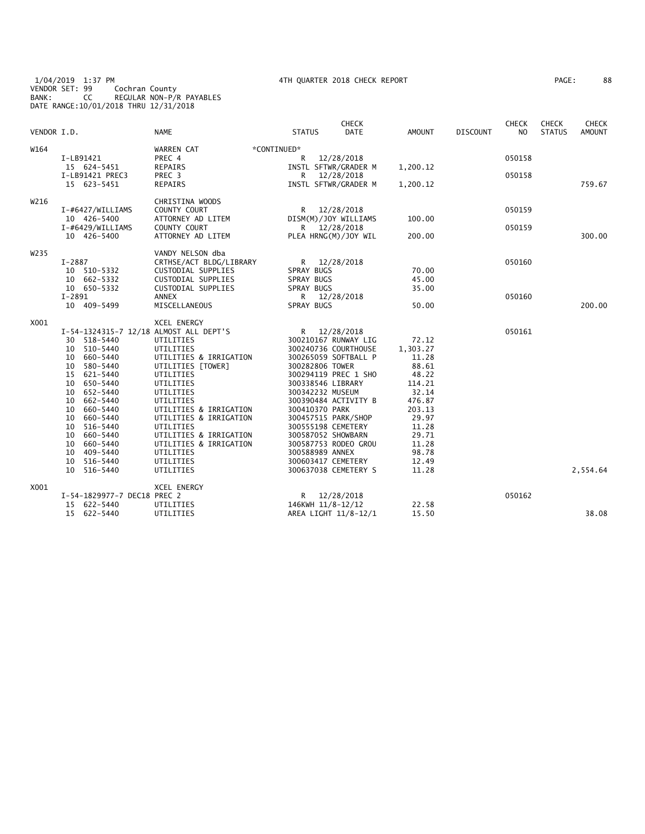#### 1/04/2019 1:37 PM 4TH QUARTER 2018 CHECK REPORT PAGE: 88 VENDOR SET: 99 Cochran County BANK: CC REGULAR NON-P/R PAYABLES DATE RANGE:10/01/2018 THRU 12/31/2018

| 88<br>AGE: |  |  |  |
|------------|--|--|--|
|------------|--|--|--|

| VENDOR I.D. |                                        | <b>NAME</b>               | <b>STATUS</b>        | <b>CHECK</b><br><b>DATE</b> | AMOUNT   | <b>DISCOUNT</b> | <b>CHECK</b><br>N <sub>O</sub> | <b>CHECK</b><br><b>STATUS</b> | <b>CHECK</b><br><b>AMOUNT</b> |
|-------------|----------------------------------------|---------------------------|----------------------|-----------------------------|----------|-----------------|--------------------------------|-------------------------------|-------------------------------|
| W164        |                                        | WARREN CAT<br>*CONTINUED* |                      |                             |          |                 |                                |                               |                               |
|             | I-LB91421                              | PREC 4                    | R                    | 12/28/2018                  |          |                 | 050158                         |                               |                               |
|             | 15 624-5451                            | REPAIRS                   | INSTL SFTWR/GRADER M |                             | 1,200.12 |                 |                                |                               |                               |
|             | I-LB91421 PREC3                        | PREC 3                    | R                    | 12/28/2018                  |          |                 | 050158                         |                               |                               |
|             | 15 623-5451                            | REPAIRS                   | INSTL SFTWR/GRADER M |                             | 1,200.12 |                 |                                |                               | 759.67                        |
| W216        |                                        | CHRISTINA WOODS           |                      |                             |          |                 |                                |                               |                               |
|             | I-#6427/WILLIAMS                       | COUNTY COURT              | R                    | 12/28/2018                  |          |                 | 050159                         |                               |                               |
|             | 10 426-5400                            | ATTORNEY AD LITEM         | DISM(M)/JOY WILLIAMS |                             | 100.00   |                 |                                |                               |                               |
|             | I-#6429/WILLIAMS                       | COUNTY COURT              | R 12/28/2018         |                             |          |                 | 050159                         |                               |                               |
|             | 10 426-5400                            | ATTORNEY AD LITEM         | PLEA HRNG(M)/JOY WIL |                             | 200.00   |                 |                                |                               | 300.00                        |
| W235        |                                        | VANDY NELSON dba          |                      |                             |          |                 |                                |                               |                               |
|             | $I-2887$                               | CRTHSE/ACT BLDG/LIBRARY   | R 12/28/2018         |                             |          |                 | 050160                         |                               |                               |
|             | 10 510-5332                            | CUSTODIAL SUPPLIES        | SPRAY BUGS           |                             | 70.00    |                 |                                |                               |                               |
|             | 10 662-5332                            | CUSTODIAL SUPPLIES        | SPRAY BUGS           |                             | 45.00    |                 |                                |                               |                               |
|             | 10 650-5332                            | CUSTODIAL SUPPLIES        | SPRAY BUGS           |                             | 35.00    |                 |                                |                               |                               |
|             | $I - 2891$                             | ANNEX                     | R 12/28/2018         |                             |          |                 | 050160                         |                               |                               |
|             | 10 409-5499                            | MISCELLANEOUS             | SPRAY BUGS           |                             | 50.00    |                 |                                |                               | 200.00                        |
| X001        |                                        | XCEL ENERGY               |                      |                             |          |                 |                                |                               |                               |
|             | I-54-1324315-7 12/18 ALMOST ALL DEPT'S |                           | R 12/28/2018         |                             |          |                 | 050161                         |                               |                               |
|             | 30 518-5440                            | UTILITIES                 | 300210167 RUNWAY LIG |                             | 72.12    |                 |                                |                               |                               |
|             | 10 510-5440                            | UTILITIES                 | 300240736 COURTHOUSE |                             | 1,303.27 |                 |                                |                               |                               |
|             | 10 660-5440                            | UTILITIES & IRRIGATION    | 300265059 SOFTBALL P |                             | 11.28    |                 |                                |                               |                               |
|             | 10 580-5440                            | UTILITIES [TOWER]         | 300282806 TOWER      |                             | 88.61    |                 |                                |                               |                               |
|             | 15 621-5440                            | UTILITIES                 | 300294119 PREC 1 SHO |                             | 48.22    |                 |                                |                               |                               |
|             | 10 650-5440                            | UTILITIES                 | 300338546 LIBRARY    |                             | 114.21   |                 |                                |                               |                               |
|             | 10 652-5440                            | UTILITIES                 | 300342232 MUSEUM     |                             | 32.14    |                 |                                |                               |                               |
|             | 10 662-5440                            | UTILITIES                 | 300390484 ACTIVITY B |                             | 476.87   |                 |                                |                               |                               |
|             | 10 660-5440                            | UTILITIES & IRRIGATION    | 300410370 PARK       |                             | 203.13   |                 |                                |                               |                               |
|             | 10 660-5440                            | UTILITIES & IRRIGATION    | 300457515 PARK/SHOP  |                             | 29.97    |                 |                                |                               |                               |
|             | 10 516-5440                            | UTILITIES                 | 300555198 CEMETERY   |                             | 11.28    |                 |                                |                               |                               |
|             | 10 660-5440                            | UTILITIES & IRRIGATION    | 300587052 SHOWBARN   |                             | 29.71    |                 |                                |                               |                               |
|             | 10 660-5440                            | UTILITIES & IRRIGATION    | 300587753 RODEO GROU |                             | 11.28    |                 |                                |                               |                               |
|             | 10 409-5440                            | UTILITIES                 | 300588989 ANNEX      |                             | 98.78    |                 |                                |                               |                               |
|             | 10 516-5440                            | UTILITIES                 | 300603417 CEMETERY   |                             | 12.49    |                 |                                |                               |                               |
|             | 10 516-5440                            | UTILITIES                 | 300637038 CEMETERY S |                             | 11.28    |                 |                                |                               | 2,554.64                      |
| X001        |                                        | XCEL ENERGY               |                      |                             |          |                 |                                |                               |                               |
|             | I-54-1829977-7 DEC18 PREC 2            |                           | R 12/28/2018         |                             |          |                 | 050162                         |                               |                               |
|             | 15 622-5440                            | UTILITIES                 | 146KWH 11/8-12/12    |                             | 22.58    |                 |                                |                               |                               |
|             | 15<br>622-5440                         | UTILITIES                 | AREA LIGHT 11/8-12/1 |                             | 15.50    |                 |                                |                               | 38.08                         |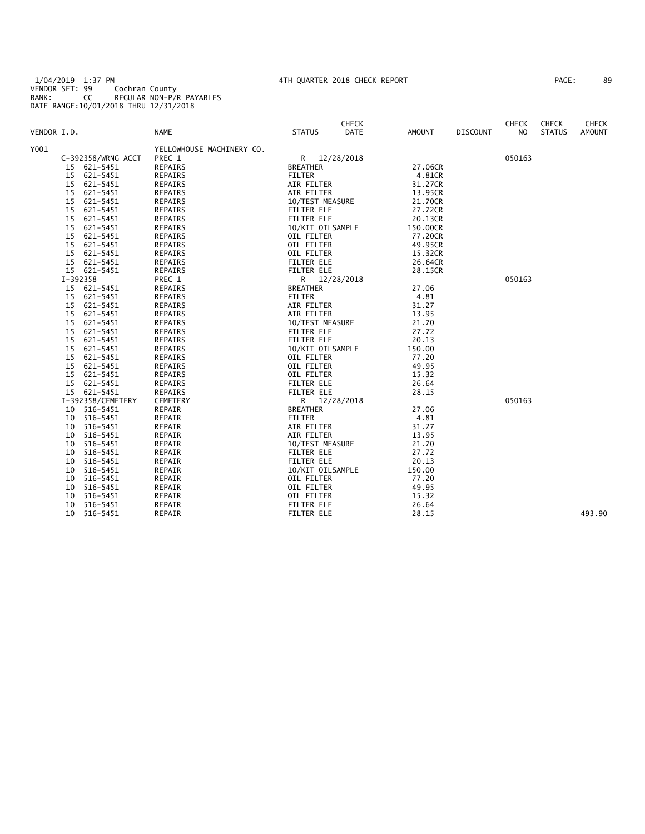1/04/2019 1:37 PM 4TH QUARTER 2018 CHECK REPORT PAGE: 89 VENDOR SET: 99 Cochran County BANK: CC REGULAR NON-P/R PAYABLES DATE RANGE:10/01/2018 THRU 12/31/2018

| AGE: | 89 |
|------|----|
|------|----|

| VENDOR I.D. |          |                    | <b>NAME</b>                         | <b>STATUS</b>                   | <b>CHECK</b><br>DATE | AMOUNT             | <b>DISCOUNT</b> | <b>CHECK</b><br>NO. | <b>CHECK</b><br><b>STATUS</b> | <b>CHECK</b><br><b>AMOUNT</b> |
|-------------|----------|--------------------|-------------------------------------|---------------------------------|----------------------|--------------------|-----------------|---------------------|-------------------------------|-------------------------------|
|             |          |                    |                                     |                                 |                      |                    |                 |                     |                               |                               |
| Y001        |          | C-392358/WRNG ACCT | YELLOWHOUSE MACHINERY CO.<br>PREC 1 | R 12/28/2018                    |                      |                    |                 | 050163              |                               |                               |
|             |          | 15 621-5451        | REPAIRS                             | <b>BREATHER</b>                 |                      | 27.06CR            |                 |                     |                               |                               |
|             | 15       | 621-5451           | REPAIRS                             | FILTER                          |                      | 4.81CR             |                 |                     |                               |                               |
|             | 15       | 621-5451           | REPAIRS                             | AIR FILTER                      |                      | 31.27CR            |                 |                     |                               |                               |
|             | 15       | 621-5451           | <b>REPAIRS</b>                      | AIR FILTER                      |                      | 13.95CR            |                 |                     |                               |                               |
|             | 15       | 621-5451           | <b>REPAIRS</b>                      | 10/TEST MEASURE                 |                      | 21.70CR            |                 |                     |                               |                               |
|             | 15       | 621-5451           | REPAIRS                             | <b>FILTER ELE</b>               |                      | 27.72CR            |                 |                     |                               |                               |
|             | 15       | 621-5451           | <b>REPAIRS</b>                      | <b>FILTER ELE</b>               |                      | 20.13CR            |                 |                     |                               |                               |
|             | 15       | 621-5451           | <b>REPAIRS</b>                      | 10/KIT OILSAMPLE                |                      | 150.00CR           |                 |                     |                               |                               |
|             | 15       | 621-5451           | <b>REPAIRS</b>                      | OIL FILTER                      |                      | 77.20CR            |                 |                     |                               |                               |
|             | 15       | 621-5451           | <b>REPAIRS</b>                      | OIL FILTER                      |                      | 49.95CR            |                 |                     |                               |                               |
|             | 15       | 621-5451           | REPAIRS                             | OIL FILTER                      |                      |                    |                 |                     |                               |                               |
|             |          | 15 621-5451        | <b>REPAIRS</b>                      | <b>FILTER ELE</b>               |                      | 15.32CR<br>26.64CR |                 |                     |                               |                               |
|             |          | 15 621-5451        | REPAIRS                             | <b>FILTER ELE</b>               |                      | 28.15CR            |                 |                     |                               |                               |
|             |          |                    |                                     |                                 |                      |                    |                 |                     |                               |                               |
|             | I-392358 | 15 621-5451        | PREC 1<br>REPAIRS                   | R 12/28/2018<br><b>BREATHER</b> |                      | 27.06              |                 | 050163              |                               |                               |
|             |          |                    |                                     |                                 |                      |                    |                 |                     |                               |                               |
|             | 15       | 621-5451           | <b>REPAIRS</b>                      | <b>FILTER</b>                   |                      | 4.81               |                 |                     |                               |                               |
|             | 15       | 621-5451           | <b>REPAIRS</b>                      | AIR FILTER                      |                      | 31.27              |                 |                     |                               |                               |
|             | 15       | 621-5451           | <b>REPAIRS</b>                      | AIR FILTER                      |                      | 13.95              |                 |                     |                               |                               |
|             | 15       | 621-5451           | REPAIRS                             | 10/TEST MEASURE                 |                      | 21.70              |                 |                     |                               |                               |
|             | 15       | 621-5451           | REPAIRS                             | <b>FILTER ELE</b>               |                      | 27.72              |                 |                     |                               |                               |
|             | 15       | 621-5451           | <b>REPAIRS</b>                      | <b>FILTER ELE</b>               |                      | 20.13              |                 |                     |                               |                               |
|             | 15       | 621-5451           | <b>REPAIRS</b>                      | 10/KIT OILSAMPLE                |                      | 150.00             |                 |                     |                               |                               |
|             | 15       | 621-5451           | <b>REPAIRS</b>                      | OIL FILTER                      |                      | 77.20              |                 |                     |                               |                               |
|             | 15       | 621-5451           | REPAIRS                             | OIL FILTER                      |                      | 49.95              |                 |                     |                               |                               |
|             | 15       | 621-5451           | <b>REPAIRS</b>                      | OIL FILTER                      |                      | 15.32              |                 |                     |                               |                               |
|             | 15       | 621-5451           | <b>REPAIRS</b>                      | <b>FILTER ELE</b>               |                      | 26.64              |                 |                     |                               |                               |
|             |          | 15 621-5451        | <b>REPAIRS</b>                      | <b>FILTER ELE</b>               |                      | 28.15              |                 |                     |                               |                               |
|             |          | I-392358/CEMETERY  | CEMETERY                            | R 12/28/2018                    |                      |                    |                 | 050163              |                               |                               |
|             |          | 10 516-5451        | REPAIR                              | <b>BREATHER</b>                 |                      | 27.06              |                 |                     |                               |                               |
|             | 10       | 516-5451           | REPAIR                              | FILTER                          |                      | 4.81               |                 |                     |                               |                               |
|             | 10       | 516-5451           | REPAIR                              | AIR FILTER                      |                      | 31.27              |                 |                     |                               |                               |
|             | 10       | 516-5451           | REPAIR                              | AIR FILTER                      |                      | 13.95              |                 |                     |                               |                               |
|             | 10       | 516-5451           | REPAIR                              | 10/TEST MEASURE                 |                      | 21.70              |                 |                     |                               |                               |
|             | 10       | 516-5451           | REPAIR                              | <b>FILTER ELE</b>               |                      | 27.72              |                 |                     |                               |                               |
|             | 10       | 516-5451           | REPAIR                              | <b>FILTER ELE</b>               |                      | 20.13              |                 |                     |                               |                               |
|             | 10       | 516-5451           | REPAIR                              | 10/KIT OILSAMPLE                |                      | 150.00             |                 |                     |                               |                               |
|             | 10       | 516-5451           | REPAIR                              | OIL FILTER                      |                      | 77.20              |                 |                     |                               |                               |
|             | 10       | 516-5451           | REPAIR                              | OIL FILTER                      |                      | 49.95              |                 |                     |                               |                               |
|             | 10       | 516-5451           | REPAIR                              | OIL FILTER                      |                      | 15.32              |                 |                     |                               |                               |
|             | 10       | 516-5451           | REPAIR                              | <b>FILTER ELE</b>               |                      | 26.64              |                 |                     |                               |                               |
|             | 10       | 516-5451           | REPAIR                              | <b>FILTER ELE</b>               |                      | 28.15              |                 |                     |                               | 493.90                        |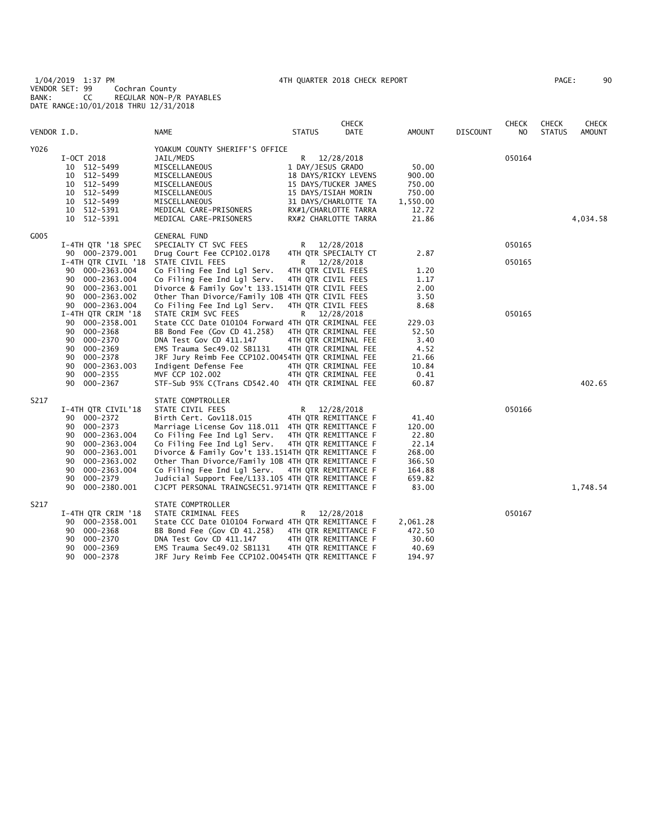1/04/2019 1:37 PM 4TH QUARTER 2018 CHECK REPORT PAGE: 90 VENDOR SET: 99 Cochran County BANK: CC REGULAR NON-P/R PAYABLES DATE RANGE:10/01/2018 THRU 12/31/2018

| PAGE : |  | 90 |
|--------|--|----|
|        |  |    |

|             |                                                                                                                                                                                                           |                                                                                                                                                                                                                                                                                                                                                                                                                                           |                                                                                                                                                                       | <b>CHECK</b>             |                                                                                    |                 | CHECK            | <b>CHECK</b>  | <b>CHECK</b>  |
|-------------|-----------------------------------------------------------------------------------------------------------------------------------------------------------------------------------------------------------|-------------------------------------------------------------------------------------------------------------------------------------------------------------------------------------------------------------------------------------------------------------------------------------------------------------------------------------------------------------------------------------------------------------------------------------------|-----------------------------------------------------------------------------------------------------------------------------------------------------------------------|--------------------------|------------------------------------------------------------------------------------|-----------------|------------------|---------------|---------------|
| VENDOR I.D. |                                                                                                                                                                                                           | <b>NAME</b>                                                                                                                                                                                                                                                                                                                                                                                                                               | <b>STATUS</b>                                                                                                                                                         | DATE                     | <b>AMOUNT</b>                                                                      | <b>DISCOUNT</b> | NO               | <b>STATUS</b> | <b>AMOUNT</b> |
| Y026        | I-OCT 2018<br>512-5499<br>10<br>512-5499<br>10<br>10 512-5499<br>10 512-5499<br>512-5499<br>10<br>512-5391<br>10<br>10 512-5391                                                                           | YOAKUM COUNTY SHERIFF'S OFFICE<br>JAIL/MEDS<br>MISCELLANEOUS<br>MISCELLANEOUS<br>MISCELLANEOUS<br>MISCELLANEOUS<br>MISCELLANEOUS<br>MEDICAL CARE-PRISONERS<br>MEDICAL CARE-PRISONERS                                                                                                                                                                                                                                                      | R<br>1 DAY/JESUS GRADO<br>18 DAYS/RICKY LEVENS<br>15 DAYS/TUCKER JAMES<br>15 DAYS/ISIAH MORIN<br>31 DAYS/CHARLOTTE TA<br>RX#1/CHARLOTTE TARRA<br>RX#2 CHARLOTTE TARRA | 12/28/2018               | 50.00<br>900.00<br>750.00<br>750.00<br>1,550.00<br>12.72<br>21.86                  |                 | 050164           |               | 4,034.58      |
| G005        | I-4TH QTR '18 SPEC<br>90 000-2379.001<br>I-4TH QTR CIVIL '18<br>000-2363.004<br>90<br>000-2363.004<br>90<br>000-2363.001<br>90<br>90<br>000-2363.002<br>90 000-2363.004                                   | <b>GENERAL FUND</b><br>SPECIALTY CT SVC FEES<br>Drug Court Fee CCP102.0178<br>STATE CIVIL FEES<br>Co Filing Fee Ind Lgl Serv.<br>Co Filing Fee Ind Lgl Serv.<br>Divorce & Family Gov't 133.1514TH QTR CIVIL FEES<br>Other Than Divorce/Family 10B 4TH QTR CIVIL FEES<br>Co Filing Fee Ind Lgl Serv.                                                                                                                                       | R<br>4TH QTR SPECIALTY CT<br>R<br>4TH QTR CIVIL FEES<br>4TH QTR CIVIL FEES<br>4TH QTR CIVIL FEES                                                                      | 12/28/2018<br>12/28/2018 | 2.87<br>1.20<br>1.17<br>2.00<br>3.50<br>8.68                                       |                 | 050165<br>050165 |               |               |
|             | I-4TH QTR CRIM '18<br>90 000-2358.001<br>90<br>000-2368<br>000-2370<br>90<br>90<br>000-2369<br>90<br>000-2378<br>000-2363.003<br>90<br>000-2355<br>90<br>90<br>000-2367                                   | STATE CRIM SVC FEES<br>State CCC Date 010104 Forward 4TH QTR CRIMINAL FEE<br>BB Bond Fee (Gov CD 41.258)<br>DNA Test Gov CD 411.147<br>EMS Trauma Sec49.02 SB1131<br>JRF Jury Reimb Fee CCP102.00454TH QTR CRIMINAL FEE<br>Indigent Defense Fee<br>MVF CCP 102.002<br>STF-Sub 95% C(Trans CD542.40 4TH QTR CRIMINAL FEE                                                                                                                   | R 12/28/2018<br>4TH QTR CRIMINAL FEE<br>4TH QTR CRIMINAL FEE<br>4TH QTR CRIMINAL FEE<br>4TH QTR CRIMINAL FEE<br>4TH QTR CRIMINAL FEE                                  |                          | 229.03<br>52.50<br>3.40<br>4.52<br>21.66<br>10.84<br>0.41<br>60.87                 |                 | 050165           |               | 402.65        |
| S217        | I-4TH QTR CIVIL'18<br>90 000-2372<br>000-2373<br>90<br>000-2363.004<br>90<br>90<br>000-2363.004<br>90<br>000-2363.001<br>90<br>000-2363.002<br>90<br>000-2363.004<br>90<br>000-2379<br>90<br>000-2380.001 | STATE COMPTROLLER<br>STATE CIVIL FEES<br>Birth Cert. Gov118.015<br>Marriage License Gov 118.011 4TH QTR REMITTANCE F<br>Co Filing Fee Ind Lgl Serv.<br>Co Filing Fee Ind Lgl Serv.<br>Divorce & Family Gov't 133.1514TH QTR REMITTANCE F<br>Other Than Divorce/Family 10B 4TH QTR REMITTANCE F<br>Co Filing Fee Ind Lgl Serv.<br>Judicial Support Fee/L133.105 4TH QTR REMITTANCE F<br>CJCPT PERSONAL TRAINGSEC51.9714TH QTR REMITTANCE F | R<br>4TH QTR REMITTANCE F<br>4TH QTR REMITTANCE F<br>4TH QTR REMITTANCE F<br>4TH QTR REMITTANCE F                                                                     | 12/28/2018               | 41.40<br>120.00<br>22.80<br>22.14<br>268.00<br>366.50<br>164.88<br>659.82<br>83.00 |                 | 050166           |               | 1,748.54      |
| S217        | I-4TH QTR CRIM '18<br>000-2358.001<br>90<br>000-2368<br>90<br>000-2370<br>90<br>000-2369<br>90<br>90<br>000-2378                                                                                          | STATE COMPTROLLER<br>STATE CRIMINAL FEES<br>State CCC Date 010104 Forward 4TH QTR REMITTANCE F<br>BB Bond Fee (Gov CD 41.258)<br>DNA Test Gov CD 411.147<br>EMS Trauma Sec49.02 SB1131<br>JRF Jury Reimb Fee CCP102.00454TH QTR REMITTANCE F                                                                                                                                                                                              | R<br>4TH QTR REMITTANCE F<br>4TH QTR REMITTANCE F<br>4TH QTR REMITTANCE F                                                                                             | 12/28/2018               | 2,061.28<br>472.50<br>30.60<br>40.69<br>194.97                                     |                 | 050167           |               |               |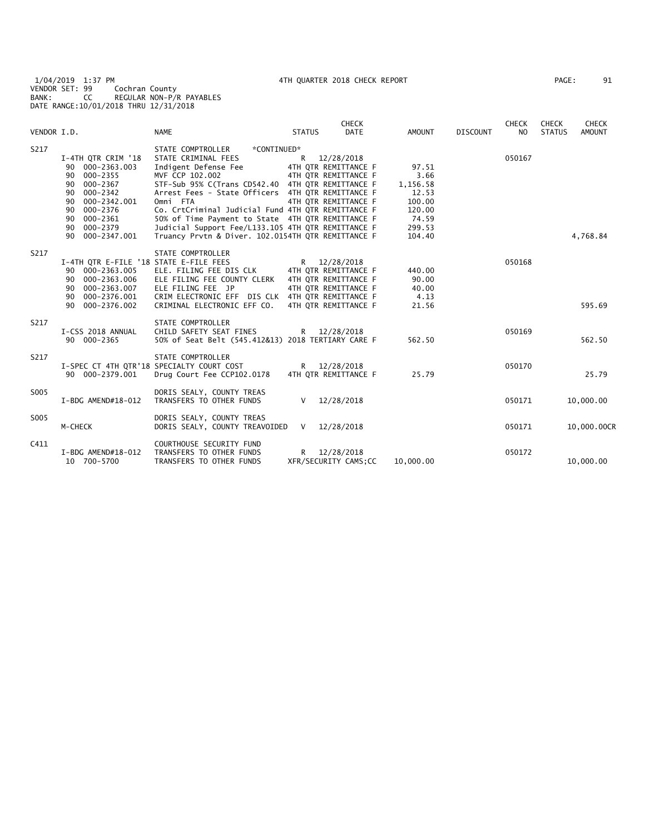1/04/2019 1:37 PM 4TH QUARTER 2018 CHECK REPORT PAGE: 91 VENDOR SET: 99 Cochran County BANK: CC REGULAR NON-P/R PAYABLES DATE RANGE:10/01/2018 THRU 12/31/2018

| PAGE : | 91 |
|--------|----|
|        |    |

| VENDOR I.D. |                                                                                                                                                                                           | <b>NAME</b>                                                                                                                                                                                                                                                                                                                                                                                                                                     | <b>STATUS</b> | <b>CHECK</b><br>DATE                                                                                         | <b>AMOUNT</b>                                                                       | <b>DISCOUNT</b> | <b>CHECK</b><br>NO | <b>CHECK</b><br><b>STATUS</b> | <b>CHECK</b><br><b>AMOUNT</b> |
|-------------|-------------------------------------------------------------------------------------------------------------------------------------------------------------------------------------------|-------------------------------------------------------------------------------------------------------------------------------------------------------------------------------------------------------------------------------------------------------------------------------------------------------------------------------------------------------------------------------------------------------------------------------------------------|---------------|--------------------------------------------------------------------------------------------------------------|-------------------------------------------------------------------------------------|-----------------|--------------------|-------------------------------|-------------------------------|
|             |                                                                                                                                                                                           |                                                                                                                                                                                                                                                                                                                                                                                                                                                 |               |                                                                                                              |                                                                                     |                 |                    |                               |                               |
| S217        | I-4TH QTR CRIM '18<br>90 000-2363.003<br>90 000-2355<br>$000 - 2367$<br>90<br>$000 - 2342$<br>90<br>000-2342.001<br>90<br>000-2376<br>90<br>90 000-2361<br>90 000-2379<br>90 000-2347.001 | STATE COMPTROLLER<br>*CONTINUED*<br>STATE CRIMINAL FEES<br>Indigent Defense Fee<br>MVF CCP 102.002<br>STF-Sub 95% C(Trans CD542.40 4TH QTR REMITTANCE F<br>Arrest Fees - State Officers 4TH QTR REMITTANCE F<br>Omni FTA<br>Co. CrtCriminal Judicial Fund 4TH QTR REMITTANCE F<br>50% of Time Payment to State 4TH QTR REMITTANCE F<br>Judicial Support Fee/L133.105 4TH QTR REMITTANCE F<br>Truancy Prvtn & Diver. 102.0154TH QTR REMITTANCE F | R —           | 12/28/2018<br>4TH OTR REMITTANCE F<br>4TH OTR REMITTANCE F<br>4TH OTR REMITTANCE F                           | 97.51<br>3.66<br>1,156.58<br>12.53<br>100.00<br>120.00<br>74.59<br>299.53<br>104.40 |                 | 050167             |                               | 4,768.84                      |
| S217        | I-4TH QTR E-FILE '18 STATE E-FILE FEES<br>90 000-2363.005<br>000-2363.006<br>90<br>90 000-2363.007<br>90 000-2376.001<br>90 000-2376.002                                                  | STATE COMPTROLLER<br>ELE. FILING FEE DIS CLK<br>ELE FILING FEE COUNTY CLERK<br>ELE FILING FEE JP<br>CRIM ELECTRONIC EFF DIS CLK 4TH OTR REMITTANCE F<br>CRIMINAL ELECTRONIC EFF CO.                                                                                                                                                                                                                                                             |               | R 12/28/2018<br>4TH OTR REMITTANCE F<br>4TH QTR REMITTANCE F<br>4TH OTR REMITTANCE F<br>4TH OTR REMITTANCE F | 440.00<br>90.00<br>40.00<br>4.13<br>21.56                                           |                 | 050168             |                               | 595.69                        |
| S217        | I-CSS 2018 ANNUAL<br>90 000-2365                                                                                                                                                          | STATE COMPTROLLER<br>CHILD SAFETY SEAT FINES<br>50% of Seat Belt (545.412&13) 2018 TERTIARY CARE F                                                                                                                                                                                                                                                                                                                                              |               | R 12/28/2018                                                                                                 | 562.50                                                                              |                 | 050169             |                               | 562.50                        |
| S217        | 90 000-2379.001                                                                                                                                                                           | STATE COMPTROLLER<br>I-SPEC CT 4TH QTR'18 SPECIALTY COURT COST<br>Drug Court Fee CCP102.0178                                                                                                                                                                                                                                                                                                                                                    |               | R 12/28/2018<br>4TH OTR REMITTANCE F                                                                         | 25.79                                                                               |                 | 050170             |                               | 25.79                         |
| S005        | I-BDG AMEND#18-012                                                                                                                                                                        | DORIS SEALY, COUNTY TREAS<br>TRANSFERS TO OTHER FUNDS                                                                                                                                                                                                                                                                                                                                                                                           | $\vee$        | 12/28/2018                                                                                                   |                                                                                     |                 | 050171             |                               | 10,000.00                     |
| S005        | M-CHECK                                                                                                                                                                                   | DORIS SEALY, COUNTY TREAS<br>DORIS SEALY, COUNTY TREAVOIDED V                                                                                                                                                                                                                                                                                                                                                                                   |               | 12/28/2018                                                                                                   |                                                                                     |                 | 050171             |                               | 10,000.00CR                   |
| C411        | I-BDG AMEND#18-012<br>10 700-5700                                                                                                                                                         | COURTHOUSE SECURITY FUND<br>TRANSFERS TO OTHER FUNDS<br>TRANSFERS TO OTHER FUNDS                                                                                                                                                                                                                                                                                                                                                                | R —           | 12/28/2018<br>XFR/SECURITY CAMS; CC                                                                          | 10,000.00                                                                           |                 | 050172             |                               | 10,000.00                     |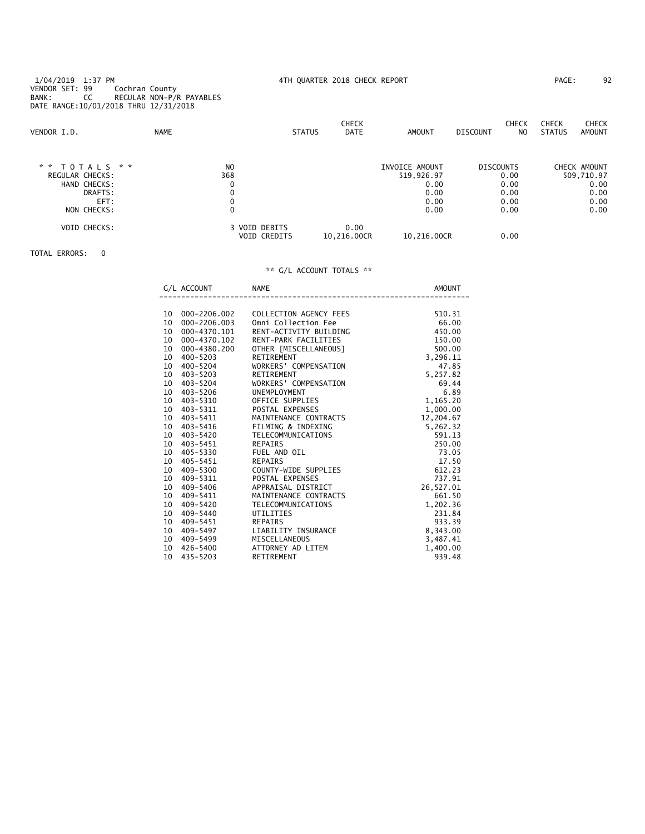1/04/2019 1:37 PM 4TH QUARTER 2018 CHECK REPORT PAGE: 92 VENDOR SET: 99 Cochran County BANK: CC REGULAR NON-P/R PAYABLES DATE RANGE:10/01/2018 THRU 12/31/2018

| VENDOR I.D.         | <b>NAME</b> |                | <b>STATUS</b>       | <b>CHECK</b><br>DATE | AMOUNT         | <b>DISCOUNT</b>  | <b>CHECK</b><br>N <sub>0</sub> | <b>CHECK</b><br><b>STATUS</b> | <b>CHECK</b><br>AMOUNT |
|---------------------|-------------|----------------|---------------------|----------------------|----------------|------------------|--------------------------------|-------------------------------|------------------------|
| * *<br>T O T A L S  | * *         | N <sub>0</sub> |                     |                      | INVOICE AMOUNT | <b>DISCOUNTS</b> |                                |                               | CHECK AMOUNT           |
| REGULAR CHECKS:     |             | 368            |                     |                      | 519,926.97     |                  | 0.00                           |                               | 509,710.97             |
| HAND CHECKS:        |             | 0              |                     |                      | 0.00           |                  | 0.00                           |                               | 0.00                   |
| DRAFTS:             |             | 0              |                     |                      | 0.00           |                  | 0.00                           |                               | 0.00                   |
| EFT:                |             | 0              |                     |                      | 0.00           |                  | 0.00                           |                               | 0.00                   |
| NON CHECKS:         |             | 0              |                     |                      | 0.00           |                  | 0.00                           |                               | 0.00                   |
| <b>VOID CHECKS:</b> |             | 3 VOID DEBITS  | <b>VOID CREDITS</b> | 0.00<br>10.216.00CR  | 10.216.00CR    |                  | 0.00                           |                               |                        |

### TOTAL ERRORS: 0

|    | G/L ACCOUNT     | <b>NAME</b><br>____________________________ | AMOUNT       |
|----|-----------------|---------------------------------------------|--------------|
|    |                 |                                             |              |
|    | 10 000-2206.002 | COLLECTION AGENCY FEES                      | 510.31       |
|    | 10 000-2206.003 | Omni Collection Fee                         | 66.00        |
|    | 10 000-4370.101 | RENT-ACTIVITY BUILDING                      | 450.00       |
|    | 10 000-4370.102 | RENT-PARK FACILITIES                        | 150.00       |
|    | 10 000-4380.200 | OTHER [MISCELLANEOUS]                       | 500.00       |
|    | 10 400-5203     | RETIREMENT                                  | 3,296.11     |
|    | 10 400-5204     | WORKERS' COMPENSATION                       | 47.85        |
|    | 10 403-5203     | RETIREMENT                                  | 5,257.82     |
|    | 10 403-5204     | WORKERS' COMPENSATION                       | 5,2<br>69.44 |
|    | 10 403-5206     | UNEMPLOYMENT                                | 6.89         |
|    | 10 403-5310     | UNEMPLOYMENT<br>OFFICE SUPPLIES             | 1,165.20     |
|    | 10 403-5311     | POSTAL EXPENSES                             | 1,000.00     |
|    | 10 403-5411     | MAINTENANCE CONTRACTS                       | 12,204.67    |
|    | 10 403-5416     | FILMING & INDEXING                          | 5,262.32     |
|    | 10 403-5420     | TELECOMMUNICATIONS                          | 591.13       |
|    | 10 403-5451     | REPAIRS                                     | 250.00       |
|    | 10 405-5330     | FUEL AND OIL                                | 73.05        |
|    | 10 405-5451     | REPAIRS                                     | 17.50        |
|    | 10 409-5300     | COUNTY-WIDE SUPPLIES                        | 612.23       |
|    | 10 409-5311     | POSTAL EXPENSES                             | 737.91       |
|    | 10 409-5406     | APPRAISAL DISTRICT                          | 26,527.01    |
|    | 10 409-5411     | MAINTENANCE CONTRACTS                       | 661.50       |
|    | 10 409-5420     | TELECOMMUNICATIONS                          | 1,202.36     |
|    | 10 409-5440     | UTILITIES                                   | 231.84       |
| 10 | 409-5451        | <b>REPAIRS</b>                              | 933.39       |
|    | 10 409-5497     | LIABILITY INSURANCE                         | 8,343.00     |
|    | 10 409-5499     | MISCELLANEOUS                               | 3,487.41     |
|    | 10 426-5400     | ATTORNEY AD LITEM                           | 1,400.00     |
|    | 10 435-5203     | RETIREMENT                                  | 939.48       |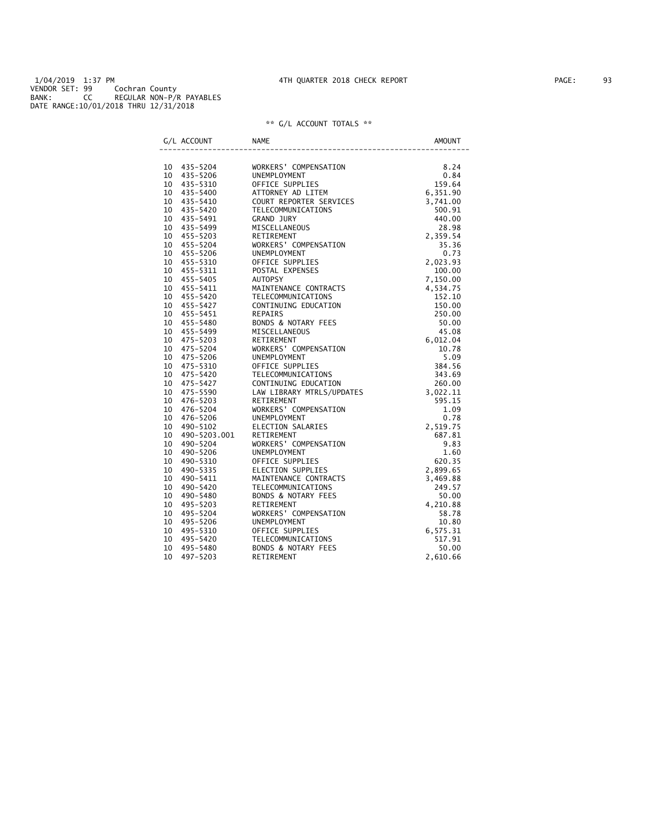1/04/2019 1:37 PM 4TH QUARTER 2018 CHECK REPORT PAGE: 93 VENDOR SET: 99 Cochran County BANK: CC REGULAR NON-P/R PAYABLES DATE RANGE:10/01/2018 THRU 12/31/2018

| G/L ACCOUNT     | <b>NAME</b>                                                                                                                                                                                                                                    | <b>AMOUNT</b> |
|-----------------|------------------------------------------------------------------------------------------------------------------------------------------------------------------------------------------------------------------------------------------------|---------------|
|                 | NAME (NORKERS' COMPENSATION<br>NORKERS' COMPENSATION<br>UNEMPLOYMENT (DETEM 1990 64<br>CEPTCE SUPPLIES (SANCERS 5)<br>CAND UNEMPLOYMENT (DETEM 1990 91<br>CELECOMMUNICATIONS 440.00<br>CELECOMMUNICATIONS 440.00<br>MISCELLANEOUS<br>MISCELLAN |               |
| 10 435-5204     |                                                                                                                                                                                                                                                |               |
| 10 435-5206     |                                                                                                                                                                                                                                                |               |
| 10 435-5310     |                                                                                                                                                                                                                                                |               |
| 10 435-5400     |                                                                                                                                                                                                                                                |               |
| 10 435-5410     |                                                                                                                                                                                                                                                |               |
| 10 435-5420     |                                                                                                                                                                                                                                                |               |
| 10 435-5491     |                                                                                                                                                                                                                                                |               |
| 10 435-5499     |                                                                                                                                                                                                                                                |               |
| 10 455-5203     |                                                                                                                                                                                                                                                |               |
| 10 455-5204     |                                                                                                                                                                                                                                                |               |
| 10 455-5206     |                                                                                                                                                                                                                                                |               |
| 10 455-5310     |                                                                                                                                                                                                                                                |               |
| 10 455-5311     |                                                                                                                                                                                                                                                |               |
| 10 455-5405     |                                                                                                                                                                                                                                                |               |
| 10 455-5411     |                                                                                                                                                                                                                                                |               |
| 10 455-5420     |                                                                                                                                                                                                                                                |               |
| 10 455-5427     |                                                                                                                                                                                                                                                |               |
| 10 455-5451     |                                                                                                                                                                                                                                                |               |
| 10 455-5480     |                                                                                                                                                                                                                                                |               |
| 10 455-5499     |                                                                                                                                                                                                                                                |               |
| 10 475-5203     |                                                                                                                                                                                                                                                |               |
| 10 475-5204     |                                                                                                                                                                                                                                                |               |
| 10 475-5206     |                                                                                                                                                                                                                                                |               |
| 10 475-5310     |                                                                                                                                                                                                                                                |               |
| 10 475-5420     |                                                                                                                                                                                                                                                |               |
| 10 475-5427     |                                                                                                                                                                                                                                                |               |
| 10 475-5590     |                                                                                                                                                                                                                                                |               |
| 10 476-5203     |                                                                                                                                                                                                                                                |               |
| 10 476-5204     |                                                                                                                                                                                                                                                |               |
| 10 476-5206     |                                                                                                                                                                                                                                                |               |
| 10 490-5102     |                                                                                                                                                                                                                                                |               |
| 10 490-5203.001 |                                                                                                                                                                                                                                                |               |
| 10 490-5204     |                                                                                                                                                                                                                                                |               |
| 10 490-5206     |                                                                                                                                                                                                                                                |               |
| 10 490-5310     |                                                                                                                                                                                                                                                |               |
| 10 490-5335     |                                                                                                                                                                                                                                                |               |
| 10 490-5411     |                                                                                                                                                                                                                                                |               |
| 10 490-5420     |                                                                                                                                                                                                                                                |               |
| 10 490-5480     |                                                                                                                                                                                                                                                |               |
| 10 495-5203     |                                                                                                                                                                                                                                                |               |
| 10 495-5204     |                                                                                                                                                                                                                                                |               |
| 10 495-5206     |                                                                                                                                                                                                                                                |               |
| 10 495-5310     |                                                                                                                                                                                                                                                |               |
| 10 495-5420     |                                                                                                                                                                                                                                                |               |
| 10 495-5480     |                                                                                                                                                                                                                                                |               |
| 10<br>497-5203  |                                                                                                                                                                                                                                                |               |
|                 |                                                                                                                                                                                                                                                |               |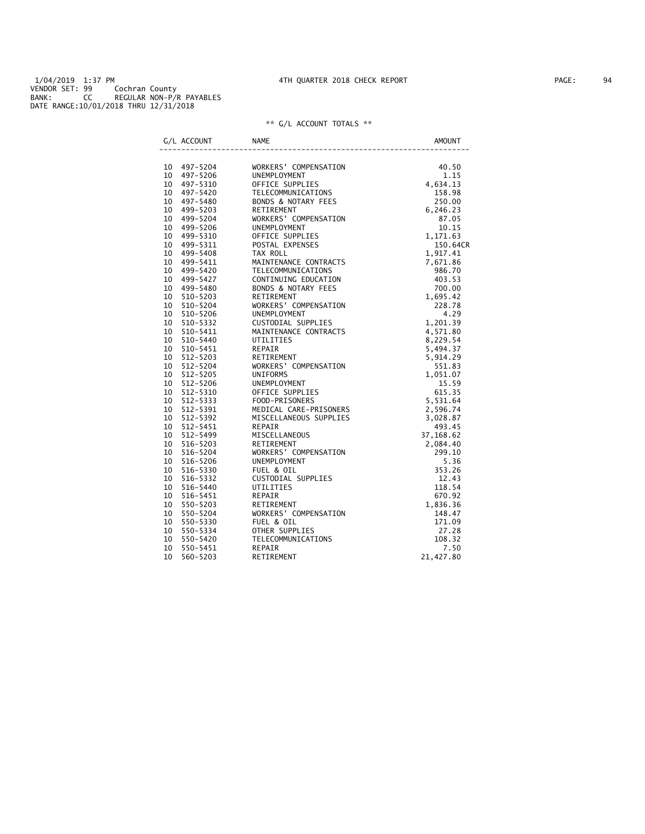1/04/2019 1:37 PM 4TH QUARTER 2018 CHECK REPORT PAGE: 94 VENDOR SET: 99 Cochran County BANK: CC REGULAR NON-P/R PAYABLES DATE RANGE:10/01/2018 THRU 12/31/2018

| G/L ACCOUNT                | <b>NAME</b>                                                                                                                                                                                                                                                    | <b>AMOUNT</b> |
|----------------------------|----------------------------------------------------------------------------------------------------------------------------------------------------------------------------------------------------------------------------------------------------------------|---------------|
|                            | VORKERS' COMPENSATION<br>UNEMPLOYMENT<br>OFFICE SUPPLIES<br>OFFICE SUPPLIES<br>TELECOMMUNICATIONS<br>TELECOMMUNICATIONS<br>RETIREMENT<br>COMPENSATION<br>COMPENSATION<br>OFFICE SUPPLIES<br>UNEMPLOYMENT<br>OFFICE SUPPLIES<br>OFFICE SUPPLIES<br>1,917.       |               |
| 10 497-5204<br>10 497-5206 |                                                                                                                                                                                                                                                                |               |
| 10 497-5310                |                                                                                                                                                                                                                                                                |               |
| 10 497-5420                |                                                                                                                                                                                                                                                                |               |
| 10 497-5480                |                                                                                                                                                                                                                                                                |               |
| 10 499-5203                |                                                                                                                                                                                                                                                                |               |
| 10 499-5204                |                                                                                                                                                                                                                                                                |               |
| 10 499-5206                |                                                                                                                                                                                                                                                                |               |
| 10 499-5310                |                                                                                                                                                                                                                                                                |               |
| 10 499-5311                |                                                                                                                                                                                                                                                                | 150.64CR      |
| 10 499-5408                |                                                                                                                                                                                                                                                                |               |
| 10 499-5411                |                                                                                                                                                                                                                                                                |               |
| 10 499-5420                |                                                                                                                                                                                                                                                                |               |
| 10 499-5427                |                                                                                                                                                                                                                                                                |               |
| 10 499-5480                |                                                                                                                                                                                                                                                                |               |
| 10<br>510-5203             |                                                                                                                                                                                                                                                                |               |
| 10<br>510-5204             |                                                                                                                                                                                                                                                                |               |
| 10<br>510-5206             |                                                                                                                                                                                                                                                                |               |
| 10 510-5332                |                                                                                                                                                                                                                                                                |               |
| 10<br>510-5411             |                                                                                                                                                                                                                                                                |               |
| 10 510-5440                |                                                                                                                                                                                                                                                                |               |
| 10<br>510-5451             |                                                                                                                                                                                                                                                                |               |
| 10 512-5203                |                                                                                                                                                                                                                                                                |               |
| 10 512-5204                |                                                                                                                                                                                                                                                                |               |
| 10 512-5205                |                                                                                                                                                                                                                                                                |               |
| 10 512-5206                |                                                                                                                                                                                                                                                                |               |
| 10 512-5310                |                                                                                                                                                                                                                                                                |               |
| 10 512-5333                |                                                                                                                                                                                                                                                                |               |
| 10 512-5391                |                                                                                                                                                                                                                                                                |               |
| 10 512-5392                |                                                                                                                                                                                                                                                                |               |
| 10 512-5451                |                                                                                                                                                                                                                                                                |               |
| 10 512-5499                |                                                                                                                                                                                                                                                                |               |
| 10 516-5203                |                                                                                                                                                                                                                                                                |               |
| 10 516-5204                |                                                                                                                                                                                                                                                                |               |
| 10 516-5206                |                                                                                                                                                                                                                                                                |               |
| 10 516-5330                |                                                                                                                                                                                                                                                                |               |
| 10<br>516-5332             |                                                                                                                                                                                                                                                                |               |
| 10 516-5440                |                                                                                                                                                                                                                                                                |               |
| 10 516-5451                |                                                                                                                                                                                                                                                                |               |
| 10 550-5203                |                                                                                                                                                                                                                                                                |               |
| 10<br>550-5204             |                                                                                                                                                                                                                                                                |               |
| 10<br>550-5330             |                                                                                                                                                                                                                                                                |               |
| 550-5334<br>10             |                                                                                                                                                                                                                                                                |               |
| 10<br>550-5420             | MAINTENANCE CONTRACTS<br>UTILITTIES<br>UTILITTIES<br>CONTRACTS<br>REFIREMENT<br>RETIREMENT<br>WORKERS' COMPENSATION<br>S.494.32<br>UNIFORMS<br>UNIFORMS<br>UNIFORMS<br>UNIFORMS<br>UNIFORMS<br>OFFICE SUPPLIES<br>OP-PRISONERS<br>OD-PRISONERS<br>TEDGLARE PRI |               |
| 10<br>550-5451             | REPAIR                                                                                                                                                                                                                                                         | 7.50          |
| 10<br>560-5203             | RETIREMENT                                                                                                                                                                                                                                                     | 21,427.80     |
|                            |                                                                                                                                                                                                                                                                |               |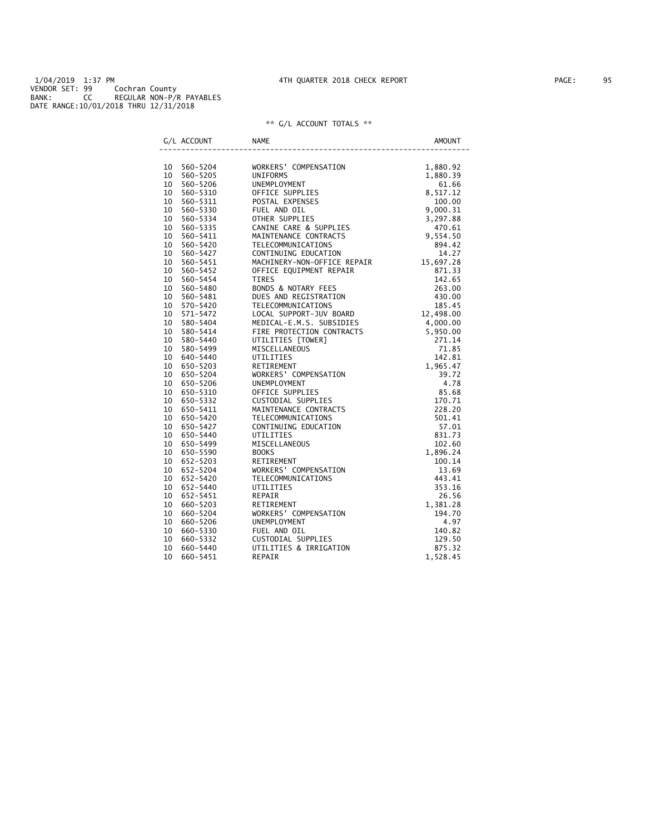1/04/2019 1:37 PM 4TH QUARTER 2018 CHECK REPORT PAGE: 95 VENDOR SET: 99 Cochran County BANK: CC REGULAR NON-P/R PAYABLES DATE RANGE:10/01/2018 THRU 12/31/2018

|    | G/L ACCOUNT | <b>NAME</b>                                                                                                                                                                                                                                  | <b>AMOUNT</b> |
|----|-------------|----------------------------------------------------------------------------------------------------------------------------------------------------------------------------------------------------------------------------------------------|---------------|
|    |             | NAME (NORREST COMPERSATION 1, 880.92<br>NORKERS' COMPENSATION 1, 880.92<br>UNIFORMS COMPENSATION 1, 880.93<br>UNIFORMS COMPENSATION 1, 880.92<br>DUEMPLOYMENT 1, 880.92<br>DUEMPLOYMENT 1, 880.92<br>TOLE SUPPLITES 9, 100.00<br>OUTLINUITRE |               |
|    | 10 560-5204 |                                                                                                                                                                                                                                              |               |
|    | 10 560-5205 |                                                                                                                                                                                                                                              |               |
|    | 10 560-5206 |                                                                                                                                                                                                                                              |               |
|    | 10 560-5310 |                                                                                                                                                                                                                                              |               |
|    | 10 560-5311 |                                                                                                                                                                                                                                              |               |
|    | 10 560-5330 |                                                                                                                                                                                                                                              |               |
|    | 10 560-5334 |                                                                                                                                                                                                                                              |               |
|    | 10 560-5335 |                                                                                                                                                                                                                                              |               |
|    | 10 560-5411 |                                                                                                                                                                                                                                              |               |
|    | 10 560-5420 |                                                                                                                                                                                                                                              |               |
|    | 10 560-5427 |                                                                                                                                                                                                                                              |               |
|    | 10 560-5451 |                                                                                                                                                                                                                                              |               |
|    | 10 560-5452 |                                                                                                                                                                                                                                              |               |
|    | 10 560-5454 |                                                                                                                                                                                                                                              |               |
|    | 10 560-5480 |                                                                                                                                                                                                                                              |               |
|    | 10 560-5481 |                                                                                                                                                                                                                                              |               |
|    | 10 570-5420 |                                                                                                                                                                                                                                              |               |
|    | 10 571-5472 |                                                                                                                                                                                                                                              |               |
|    | 10 580-5404 |                                                                                                                                                                                                                                              |               |
|    | 10 580-5414 |                                                                                                                                                                                                                                              |               |
|    | 10 580-5440 |                                                                                                                                                                                                                                              |               |
|    | 10 580-5499 |                                                                                                                                                                                                                                              |               |
|    | 10 640-5440 |                                                                                                                                                                                                                                              |               |
|    | 10 650-5203 |                                                                                                                                                                                                                                              |               |
|    | 10 650-5204 |                                                                                                                                                                                                                                              |               |
|    | 10 650-5206 |                                                                                                                                                                                                                                              |               |
|    | 10 650-5310 |                                                                                                                                                                                                                                              |               |
|    | 10 650-5332 |                                                                                                                                                                                                                                              |               |
|    | 10 650-5411 |                                                                                                                                                                                                                                              |               |
|    | 10 650-5420 |                                                                                                                                                                                                                                              |               |
|    | 10 650-5427 |                                                                                                                                                                                                                                              |               |
|    | 10 650-5440 |                                                                                                                                                                                                                                              |               |
|    | 10 650-5499 |                                                                                                                                                                                                                                              |               |
|    | 10 650-5590 |                                                                                                                                                                                                                                              |               |
|    | 10 652-5203 |                                                                                                                                                                                                                                              |               |
|    | 10 652-5204 |                                                                                                                                                                                                                                              |               |
|    | 10 652-5420 |                                                                                                                                                                                                                                              |               |
|    | 10 652-5440 |                                                                                                                                                                                                                                              |               |
|    | 10 652-5451 |                                                                                                                                                                                                                                              |               |
|    | 10 660-5203 |                                                                                                                                                                                                                                              |               |
| 10 | 660-5204    |                                                                                                                                                                                                                                              |               |
|    | 10 660-5206 |                                                                                                                                                                                                                                              |               |
|    | 10 660-5330 |                                                                                                                                                                                                                                              |               |
|    | 10 660-5332 |                                                                                                                                                                                                                                              |               |
| 10 | 660–5440    |                                                                                                                                                                                                                                              |               |
| 10 | 660-5451    |                                                                                                                                                                                                                                              |               |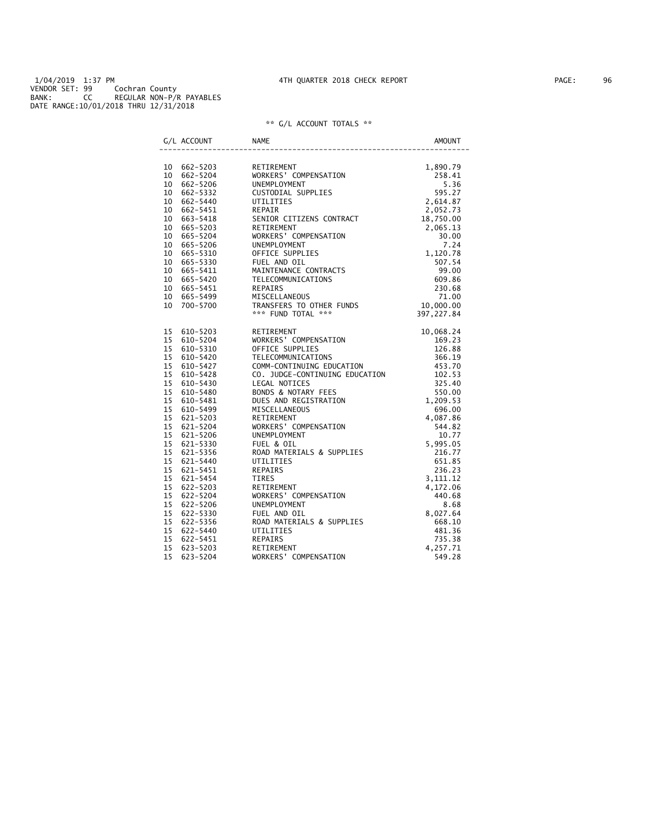| G/L ACCOUNT                | <b>NAME</b>                                                                                                                                                                                                                                              | AMOUNT |
|----------------------------|----------------------------------------------------------------------------------------------------------------------------------------------------------------------------------------------------------------------------------------------------------|--------|
|                            | RETIREMENT<br>RETIREMENT<br>WORKERS' COMPENSATION<br>UNEMPLOYMENT<br>UNEMPLOYMENT<br>USITODIAL SUPPLIES<br>USITODIAL SUPPLIES<br>SPS.27<br>USITODIAL SUPPLIES<br>2,652.73<br>SENIOR CITIZENS CONTRACT<br>2,062.73<br>SENIOR CITIZENS CONTRACT<br>2,065.1 |        |
| 10 662-5203<br>10 662-5204 |                                                                                                                                                                                                                                                          |        |
| 10 662-5206                |                                                                                                                                                                                                                                                          |        |
| 10 662-5332                |                                                                                                                                                                                                                                                          |        |
| $10 662 - 5440$            |                                                                                                                                                                                                                                                          |        |
| 10 662-5451                |                                                                                                                                                                                                                                                          |        |
| $10 663 - 5418$            |                                                                                                                                                                                                                                                          |        |
| 10 665-5203                |                                                                                                                                                                                                                                                          |        |
| 10 665-5204                |                                                                                                                                                                                                                                                          |        |
| 10 665-5206                |                                                                                                                                                                                                                                                          |        |
| 10 665-5310                |                                                                                                                                                                                                                                                          |        |
|                            |                                                                                                                                                                                                                                                          |        |
| 10 665-5330<br>10 665-5411 |                                                                                                                                                                                                                                                          |        |
| 10 665-5420                |                                                                                                                                                                                                                                                          |        |
| $10 665 - 5451$            |                                                                                                                                                                                                                                                          |        |
|                            |                                                                                                                                                                                                                                                          |        |
| 10 665-5499<br>10 700-5700 |                                                                                                                                                                                                                                                          |        |
|                            |                                                                                                                                                                                                                                                          |        |
|                            | 4.337, 227.84<br>NORKERS' COMPENSATION<br>THE SUPPLIES<br>OFFICE SUPPLIES<br>OFFICE SUPPLIES<br>CONN-CONTINUING EDUCATION<br>TELECOMMUNICATIONS<br>CONN-CONTINUING EDUCATION<br>453.70<br>CO. JUDGE-CONTINUING EDUCATION<br>453.70<br>CO. JUDGE-CONT     |        |
| 15 610-5203                |                                                                                                                                                                                                                                                          |        |
| 15 610-5204                |                                                                                                                                                                                                                                                          |        |
| 15 610-5310                |                                                                                                                                                                                                                                                          |        |
| 15 610-5420                |                                                                                                                                                                                                                                                          |        |
| 15 610-5427                |                                                                                                                                                                                                                                                          |        |
| 15 610-5428                |                                                                                                                                                                                                                                                          |        |
| 15 610-5430                |                                                                                                                                                                                                                                                          |        |
| 15 610-5480                |                                                                                                                                                                                                                                                          |        |
| 15 610-5481                |                                                                                                                                                                                                                                                          |        |
| 15 610-5499                |                                                                                                                                                                                                                                                          |        |
| 15 621-5203                |                                                                                                                                                                                                                                                          |        |
| 15 621-5204                |                                                                                                                                                                                                                                                          |        |
| 15 621-5206                |                                                                                                                                                                                                                                                          |        |
| 15 621-5330                |                                                                                                                                                                                                                                                          |        |
| 15 621-5356                |                                                                                                                                                                                                                                                          |        |
| 15 621-5440                |                                                                                                                                                                                                                                                          |        |
| 15 621-5451                |                                                                                                                                                                                                                                                          |        |
| 15 621-5454                |                                                                                                                                                                                                                                                          |        |
| 15 622-5203                |                                                                                                                                                                                                                                                          |        |
| 15 622-5204                |                                                                                                                                                                                                                                                          |        |
| 15 622-5206                |                                                                                                                                                                                                                                                          |        |
| 15 622-5330                |                                                                                                                                                                                                                                                          |        |
| 15 622-5356                |                                                                                                                                                                                                                                                          |        |
| 15 622-5440                |                                                                                                                                                                                                                                                          |        |
| 15 622-5451                |                                                                                                                                                                                                                                                          |        |
| 15 623-5203                |                                                                                                                                                                                                                                                          |        |
| 15<br>623-5204             |                                                                                                                                                                                                                                                          |        |
|                            |                                                                                                                                                                                                                                                          |        |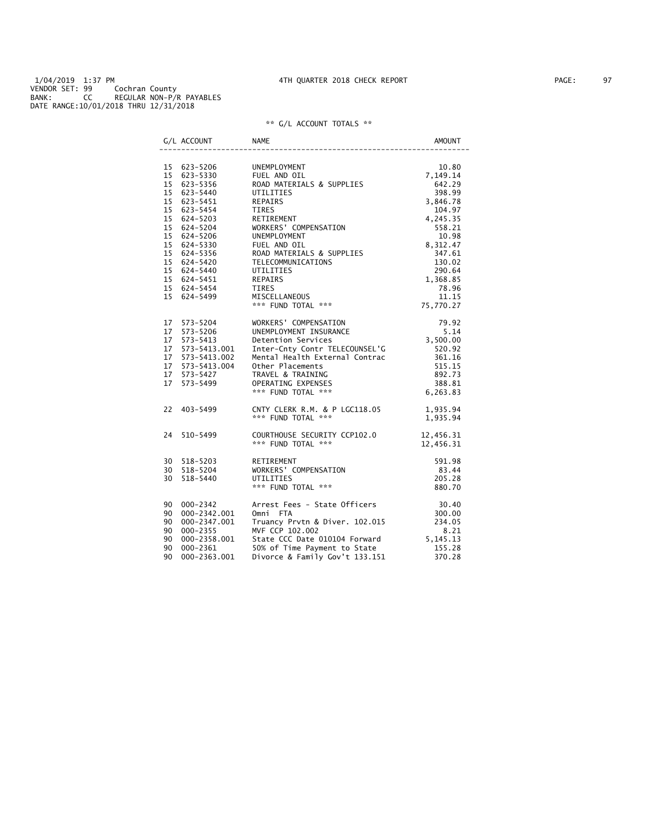#### 1/04/2019 1:37 PM 4TH QUARTER 2018 CHECK REPORT PAGE: 97 VENDOR SET: 99 Cochran County BANK: CC REGULAR NON-P/R PAYABLES DATE RANGE:10/01/2018 THRU 12/31/2018

|     | G/L ACCOUNT                    | <b>NAME</b>                                                                                                                                                                                                                                  | AMOUNT                        |
|-----|--------------------------------|----------------------------------------------------------------------------------------------------------------------------------------------------------------------------------------------------------------------------------------------|-------------------------------|
|     |                                |                                                                                                                                                                                                                                              |                               |
|     | 15 623-5206<br>15 623-5330     | UNEMPLOYMENT<br>FUEL AND OIL                                                                                                                                                                                                                 | 10.80<br>7,149.14             |
|     | 15 623-5356                    | FUEL AND OIL<br>ROAD MATERIALS & SUPPLIES                                                                                                                                                                                                    | 642.29                        |
|     | 15 623-5440                    | UTILITIES                                                                                                                                                                                                                                    | 398.99                        |
|     | 15 623-5451                    | REPAIRS                                                                                                                                                                                                                                      | 3,846.78                      |
|     | 15 623-5454                    |                                                                                                                                                                                                                                              |                               |
|     | 15 624-5203                    |                                                                                                                                                                                                                                              |                               |
|     | 15 624-5204                    |                                                                                                                                                                                                                                              |                               |
|     | 15 624-5206                    | TIRES<br>TIRES<br>RETIREMENT 4,245.35<br>WORKERS' COMPENSATION 558.21<br>10.98<br><b>UNEMPLOYMENT</b>                                                                                                                                        |                               |
|     | 15 624-5330                    |                                                                                                                                                                                                                                              |                               |
|     | 15 624-5356                    | FUEL AND OIL<br>ROAD MATERIALS & SUPPLIES                                                                                                                                                                                                    | $10.2$<br>8, 312.47<br>347.61 |
|     | 15 624-5420                    |                                                                                                                                                                                                                                              |                               |
|     | 15 624-5440                    |                                                                                                                                                                                                                                              |                               |
|     | 15 624-5451                    |                                                                                                                                                                                                                                              |                               |
|     | 15 624-5454                    |                                                                                                                                                                                                                                              |                               |
|     | 15 624-5499                    |                                                                                                                                                                                                                                              |                               |
|     |                                | TELECOMMUNICATIONS<br>UTILITIES<br>UTILITIES<br>290.64<br>REPAIRS<br>TIRES<br>MISCELLANEOUS<br>*** FUND TOTAL<br>*** SUND TOTAL<br>275,770.27                                                                                                |                               |
|     |                                |                                                                                                                                                                                                                                              |                               |
|     | 17 573-5204                    |                                                                                                                                                                                                                                              |                               |
|     | 17 573-5206                    |                                                                                                                                                                                                                                              |                               |
|     | 17 573-5413                    |                                                                                                                                                                                                                                              |                               |
|     | 17 573-5413.001                |                                                                                                                                                                                                                                              |                               |
|     | 17 573-5413.002                |                                                                                                                                                                                                                                              |                               |
|     |                                |                                                                                                                                                                                                                                              |                               |
|     | 17 573-5427                    |                                                                                                                                                                                                                                              |                               |
|     | 17 573-5499                    |                                                                                                                                                                                                                                              |                               |
|     |                                | %WORKERS' COMPENSATION 79.92<br>UNEMPLOYMENT INSURANCE 5.14<br>Detention Services 5.14<br>Detention Services 3,500.00<br>Inter-Cinty Contr TELECOUNSEL'G 520.92<br>Mental Health External Contrac 361.16<br>Other Placements 515.15<br>TRAVE |                               |
|     | 22 403-5499                    | CNTY CLERK R.M. & P LGC118.05 1,935.94                                                                                                                                                                                                       |                               |
|     |                                | *** FUND TOTAL ***                                                                                                                                                                                                                           | 1,935.94                      |
|     | 24 510-5499                    | COURTHOUSE SECURITY CCP102.0                                                                                                                                                                                                                 | 12,456.31<br>12,456.31        |
|     |                                | *** FUND TOTAL ***                                                                                                                                                                                                                           |                               |
|     | 30 518-5203                    | RETIREMENT                                                                                                                                                                                                                                   | 591.98                        |
|     | 30 518-5204                    |                                                                                                                                                                                                                                              | 83.44                         |
|     | 30 518-5440                    |                                                                                                                                                                                                                                              | 205.28                        |
|     |                                | ENSINES AND TOTAL ***<br>*** FUND TOTAL ***<br>Arrest For                                                                                                                                                                                    | 880.70                        |
|     | 90 000-2342                    | Arrest Fees - State Officers                                                                                                                                                                                                                 | 30.40<br>300.00               |
|     | 90 000-2342.001                | Omni FTA                                                                                                                                                                                                                                     |                               |
|     | 90 000-2347.001                | Ummi Fin<br>Truancy Prvtn & Diver. 102.015                                                                                                                                                                                                   | 234.05                        |
|     | 90 000-2355                    | MVF CCP 102.002                                                                                                                                                                                                                              | 8.21                          |
|     | 90 000-2358.001<br>90 000-2361 |                                                                                                                                                                                                                                              |                               |
|     |                                | 8.21<br>State CCC Date 010104 Forward 5,145.13<br>50% of Time Payment to State 5.145.13<br>90% of Time Payment to State 155.28                                                                                                               |                               |
| 90. | 000-2363.001                   | Divorce & Family Gov't 133.151                                                                                                                                                                                                               | 370.28                        |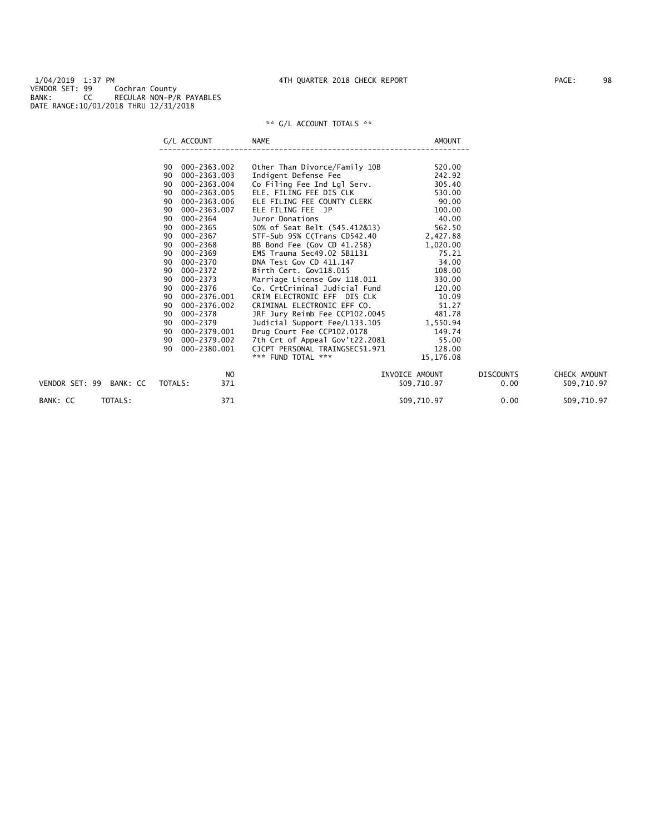| 90 000-2363.002<br>Other Than Divorce/Family 10B<br>520.00<br>242.92<br>000-2363.003<br>Indigent Defense Fee<br>90<br>Co Filing Fee Ind Lgl Serv.<br>000-2363.004<br>305.40<br>90 |              |
|-----------------------------------------------------------------------------------------------------------------------------------------------------------------------------------|--------------|
|                                                                                                                                                                                   |              |
|                                                                                                                                                                                   |              |
|                                                                                                                                                                                   |              |
|                                                                                                                                                                                   |              |
| 530.00<br>000-2363.005<br>ELE. FILING FEE DIS CLK<br>90                                                                                                                           |              |
| 90.00<br>ELE FILING FEE COUNTY CLERK<br>000-2363.006<br>90                                                                                                                        |              |
| 100.00<br>000-2363.007<br>ELE FILING FEE JP<br>90                                                                                                                                 |              |
| 40.00<br>000-2364<br>Juror Donations<br>90                                                                                                                                        |              |
| 50% of Seat Belt (545.412&13)<br>562.50<br>000-2365<br>90                                                                                                                         |              |
| 000-2367<br>STF-Sub 95% C(Trans CD542.40 2,427.88<br>90                                                                                                                           |              |
| BB Bond Fee (Gov CD 41.258)<br>000-2368<br>1,020.00<br>90                                                                                                                         |              |
| 000-2369<br>75.21<br>90<br>EMS Trauma Sec49.02 SB1131                                                                                                                             |              |
| 34.00<br>000-2370<br>DNA Test Gov CD 411.147<br>90                                                                                                                                |              |
| 108.00<br>000-2372<br>Birth Cert. Gov118.015<br>90                                                                                                                                |              |
| Marriage License Gov 118.011<br>000-2373<br>330.00<br>90                                                                                                                          |              |
| Co. CrtCriminal Judicial Fund<br>000-2376<br>120.00<br>90                                                                                                                         |              |
| 10.09<br>000-2376.001<br>CRIM ELECTRONIC EFF DIS CLK<br>90                                                                                                                        |              |
| 51.27<br>000-2376.002<br>CRIMINAL ELECTRONIC EFF CO.<br>90                                                                                                                        |              |
| JRF Jury Reimb Fee CCP102.0045 481.78<br>000-2378<br>90                                                                                                                           |              |
| 000-2379<br>90<br>Judicial Support Fee/L133.105<br>1,550.94                                                                                                                       |              |
| Drug Court Fee CCP102.0178<br>7th Crt of Appeal Gov't22.2081<br>000-2379.001<br>149.74<br>90                                                                                      |              |
| 000-2379.002<br>55.00<br>90                                                                                                                                                       |              |
| 000-2380.001<br>128.00<br>90<br>CJCPT PERSONAL TRAINGSEC51.971                                                                                                                    |              |
| *** FUND TOTAL ***<br>15,176.08                                                                                                                                                   |              |
| <b>DISCOUNTS</b><br>NO.<br>INVOICE AMOUNT                                                                                                                                         | CHECK AMOUNT |
| VENDOR SET: 99 BANK: CC<br>TOTALS:<br>371<br>509,710.97<br>0.00                                                                                                                   | 509,710.97   |
| 371<br>BANK: CC<br>TOTALS:<br>509,710.97<br>0.00                                                                                                                                  | 509,710.97   |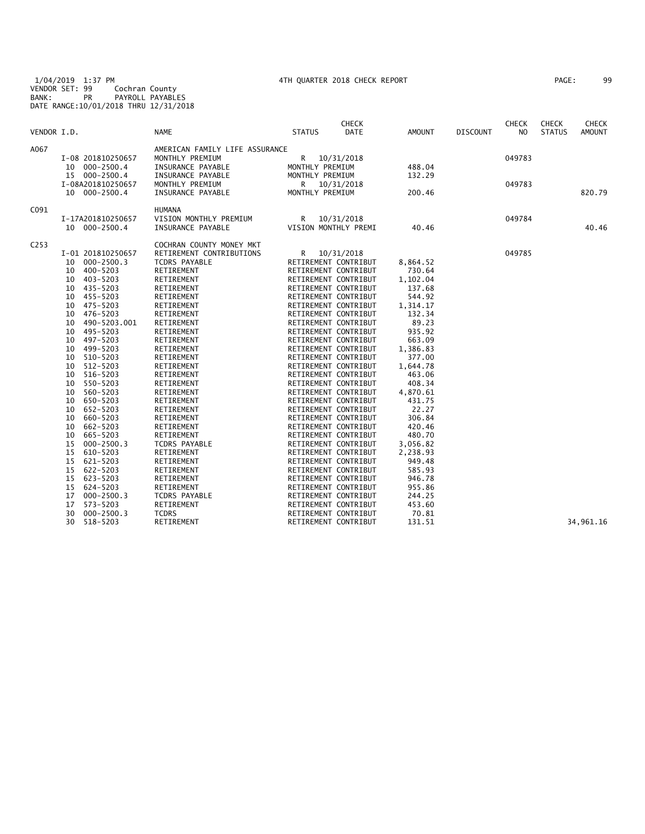1/04/2019 1:37 PM 4TH QUARTER 2018 CHECK REPORT PAGE: 99 VENDOR SET: 99 Cochran County BANK: PR PAYROLL PAYABLES DATE RANGE:10/01/2018 THRU 12/31/2018

|                  |                      |                                | <b>CHECK</b>                 |               |                 | <b>CHECK</b> | <b>CHECK</b>  | <b>CHECK</b>  |
|------------------|----------------------|--------------------------------|------------------------------|---------------|-----------------|--------------|---------------|---------------|
| VENDOR I.D.      |                      | <b>NAME</b>                    | <b>DATE</b><br><b>STATUS</b> | <b>AMOUNT</b> | <b>DISCOUNT</b> | NO.          | <b>STATUS</b> | <b>AMOUNT</b> |
| A067             |                      | AMERICAN FAMILY LIFE ASSURANCE |                              |               |                 |              |               |               |
|                  | I-08 201810250657    | MONTHLY PREMIUM                | R<br>10/31/2018              |               |                 | 049783       |               |               |
|                  | 10 000-2500.4        | INSURANCE PAYABLE              | MONTHLY PREMIUM              | 488.04        |                 |              |               |               |
|                  | 15 000-2500.4        | INSURANCE PAYABLE              | MONTHLY PREMIUM              | 132.29        |                 |              |               |               |
|                  | I-08A201810250657    | MONTHLY PREMIUM                | R —<br>10/31/2018            |               |                 | 049783       |               |               |
|                  | 10 000-2500.4        | INSURANCE PAYABLE              | MONTHLY PREMIUM              | 200.46        |                 |              |               | 820.79        |
| C091             |                      | <b>HUMANA</b>                  |                              |               |                 |              |               |               |
|                  | I-17A201810250657    | VISION MONTHLY PREMIUM         | R<br>10/31/2018              |               |                 | 049784       |               |               |
|                  | 10 000-2500.4        | INSURANCE PAYABLE              | VISION MONTHLY PREMI         | 40.46         |                 |              |               | 40.46         |
| C <sub>253</sub> |                      | COCHRAN COUNTY MONEY MKT       |                              |               |                 |              |               |               |
|                  | I-01 201810250657    | RETIREMENT CONTRIBUTIONS       | R<br>10/31/2018              |               |                 | 049785       |               |               |
|                  | $000 - 2500.3$<br>10 | TCDRS PAYABLE                  | RETIREMENT CONTRIBUT         | 8,864.52      |                 |              |               |               |
|                  | 400-5203<br>10       | RETIREMENT                     | RETIREMENT CONTRIBUT         | 730.64        |                 |              |               |               |
|                  | 403-5203<br>10       | RETIREMENT                     | RETIREMENT CONTRIBUT         | 1,102.04      |                 |              |               |               |
|                  | 435-5203<br>10       | RETIREMENT                     | RETIREMENT CONTRIBUT         | 137.68        |                 |              |               |               |
|                  | 455-5203<br>10       | RETIREMENT                     | RETIREMENT CONTRIBUT         | 544.92        |                 |              |               |               |
|                  | 475-5203<br>10       | RETIREMENT                     | RETIREMENT CONTRIBUT         | 1,314.17      |                 |              |               |               |
|                  | 476-5203<br>10       | RETIREMENT                     | RETIREMENT CONTRIBUT         | 132.34        |                 |              |               |               |
|                  | 490-5203.001<br>10   | RETIREMENT                     | RETIREMENT CONTRIBUT         | 89.23         |                 |              |               |               |
|                  | 495-5203<br>10       | RETIREMENT                     | RETIREMENT CONTRIBUT         | 935.92        |                 |              |               |               |
|                  | 497-5203<br>10       | RETIREMENT                     | RETIREMENT CONTRIBUT         | 663.09        |                 |              |               |               |
|                  | 499-5203<br>10       | RETIREMENT                     | RETIREMENT CONTRIBUT         | 1,386.83      |                 |              |               |               |
|                  | 510-5203<br>10       | RETIREMENT                     | RETIREMENT CONTRIBUT         | 377.00        |                 |              |               |               |
|                  | $512 - 5203$<br>10   | RETIREMENT                     | RETIREMENT CONTRIBUT         | 1,644.78      |                 |              |               |               |
|                  | 516-5203<br>10       | RETIREMENT                     | RETIREMENT CONTRIBUT         | 463.06        |                 |              |               |               |
|                  | 550-5203<br>10       | RETIREMENT                     | RETIREMENT CONTRIBUT         | 408.34        |                 |              |               |               |
|                  | 560-5203<br>10       | RETIREMENT                     | RETIREMENT CONTRIBUT         | 4,870.61      |                 |              |               |               |
|                  | 10<br>650-5203       | RETIREMENT                     | RETIREMENT CONTRIBUT         | 431.75        |                 |              |               |               |
|                  | 652-5203<br>10       | RETIREMENT                     | RETIREMENT CONTRIBUT         | 22.27         |                 |              |               |               |
|                  | 10<br>660-5203       | RETIREMENT                     | RETIREMENT CONTRIBUT         | 306.84        |                 |              |               |               |
|                  | 662-5203<br>10       | RETIREMENT                     | RETIREMENT CONTRIBUT         | 420.46        |                 |              |               |               |
|                  | 10<br>665-5203       | RETIREMENT                     | RETIREMENT CONTRIBUT         | 480.70        |                 |              |               |               |
|                  | 15<br>$000 - 2500.3$ | <b>TCDRS PAYABLE</b>           | RETIREMENT CONTRIBUT         | 3,056.82      |                 |              |               |               |
|                  | 610-5203<br>15       | RETIREMENT                     | RETIREMENT CONTRIBUT         | 2,238.93      |                 |              |               |               |
|                  | 621-5203<br>15       | RETIREMENT                     | RETIREMENT CONTRIBUT         | 949.48        |                 |              |               |               |
|                  | 622-5203<br>15       | RETIREMENT                     | RETIREMENT CONTRIBUT         | 585.93        |                 |              |               |               |
|                  | 15<br>623-5203       | RETIREMENT                     | RETIREMENT CONTRIBUT         | 946.78        |                 |              |               |               |
|                  | 15<br>624-5203       | RETIREMENT                     | RETIREMENT CONTRIBUT         | 955.86        |                 |              |               |               |
|                  | $000 - 2500.3$<br>17 | <b>TCDRS PAYABLE</b>           | RETIREMENT CONTRIBUT         | 244.25        |                 |              |               |               |
|                  | $573 - 5203$<br>17   | RETIREMENT                     | RETIREMENT CONTRIBUT         | 453.60        |                 |              |               |               |
|                  | 30<br>$000 - 2500.3$ | <b>TCDRS</b>                   | RETIREMENT CONTRIBUT         | 70.81         |                 |              |               |               |
|                  | 30<br>518-5203       | RETIREMENT                     | RETIREMENT CONTRIBUT         | 131.51        |                 |              |               | 34,961.16     |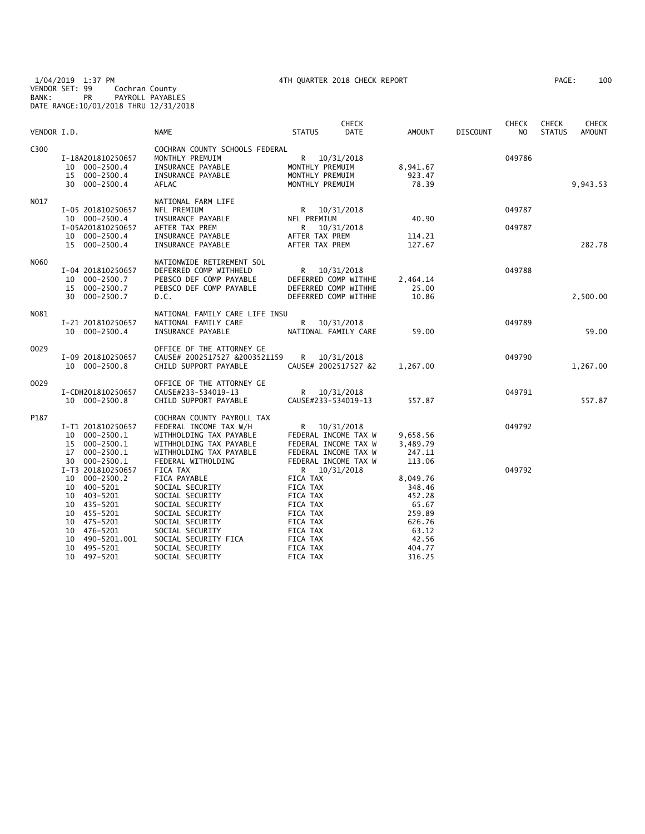1/04/2019 1:37 PM 4TH QUARTER 2018 CHECK REPORT PAGE: 100 VENDOR SET: 99 Cochran County BANK: PR PAYROLL PAYABLES DATE RANGE:10/01/2018 THRU 12/31/2018

| VENDOR I.D. |                                                                                                                                                                                                           | <b>NAME</b>                                                                                                                                                                                              | <b>STATUS</b>                                                                                                                        | <b>CHECK</b><br>DATE     | AMOUNT                                                                                          | <b>DISCOUNT</b> | <b>CHECK</b><br>NO | <b>CHECK</b><br><b>STATUS</b> | <b>CHECK</b><br><b>AMOUNT</b> |
|-------------|-----------------------------------------------------------------------------------------------------------------------------------------------------------------------------------------------------------|----------------------------------------------------------------------------------------------------------------------------------------------------------------------------------------------------------|--------------------------------------------------------------------------------------------------------------------------------------|--------------------------|-------------------------------------------------------------------------------------------------|-----------------|--------------------|-------------------------------|-------------------------------|
| C300        | I-18A201810250657<br>000-2500.4<br>10<br>$000 - 2500.4$<br>15<br>30 000-2500.4                                                                                                                            | COCHRAN COUNTY SCHOOLS FEDERAL<br>MONTHLY PREMUIM<br>INSURANCE PAYABLE<br>INSURANCE PAYABLE<br><b>AFLAC</b>                                                                                              | R 10/31/2018<br>MONTHLY PREMUIM<br>MONTHLY PREMUIM<br>MONTHLY PREMUIM                                                                |                          | 8,941.67<br>923.47<br>78.39                                                                     |                 | 049786             |                               | 9,943.53                      |
| N017        | I-05 201810250657<br>10 000-2500.4<br>I-05A201810250657<br>10 000-2500.4<br>15 000-2500.4                                                                                                                 | NATIONAL FARM LIFE<br>NFL PREMIUM<br>INSURANCE PAYABLE<br>AFTER TAX PREM<br>INSURANCE PAYABLE<br>INSURANCE PAYABLE                                                                                       | R<br>NFL PREMIUM<br>R<br>AFTER TAX PREM<br>AFTER TAX PREM                                                                            | 10/31/2018<br>10/31/2018 | 40.90<br>114.21<br>127.67                                                                       |                 | 049787<br>049787   |                               | 282.78                        |
| N060        | I-04 201810250657<br>$000 - 2500.7$<br>10<br>000-2500.7<br>15<br>30<br>$000 - 2500.7$                                                                                                                     | NATIONWIDE RETIREMENT SOL<br>DEFERRED COMP WITHHELD<br>PEBSCO DEF COMP PAYABLE<br>PEBSCO DEF COMP PAYABLE<br>D.C.                                                                                        | R<br>DEFERRED COMP WITHHE<br>DEFERRED COMP WITHHE<br>DEFERRED COMP WITHHE                                                            | 10/31/2018               | 2,464.14<br>25.00<br>10.86                                                                      |                 | 049788             |                               | 2,500.00                      |
| N081        | I-21 201810250657<br>10 000-2500.4                                                                                                                                                                        | NATIONAL FAMILY CARE LIFE INSU<br>NATIONAL FAMILY CARE<br>INSURANCE PAYABLE                                                                                                                              | R<br>NATIONAL FAMILY CARE                                                                                                            | 10/31/2018               | 59.00                                                                                           |                 | 049789             |                               | 59.00                         |
| 0029        | I-09 201810250657<br>10 000-2500.8                                                                                                                                                                        | OFFICE OF THE ATTORNEY GE<br>CAUSE# 2002517527 &2003521159<br>CHILD SUPPORT PAYABLE                                                                                                                      | R<br>CAUSE# 2002517527 &2                                                                                                            | 10/31/2018               | 1,267.00                                                                                        |                 | 049790             |                               | 1,267.00                      |
| 0029        | I-CDH201810250657<br>10 000-2500.8                                                                                                                                                                        | OFFICE OF THE ATTORNEY GE<br>CAUSE#233-534019-13<br>CHILD SUPPORT PAYABLE                                                                                                                                | R <sub>a</sub><br>CAUSE#233-534019-13                                                                                                | 10/31/2018               | 557.87                                                                                          |                 | 049791             |                               | 557.87                        |
| P187        | I-T1 201810250657<br>000-2500.1<br>10<br>$000 - 2500.1$<br>15<br>$000 - 2500.1$<br>17<br>000-2500.1<br>30                                                                                                 | COCHRAN COUNTY PAYROLL TAX<br>FEDERAL INCOME TAX W/H<br>WITHHOLDING TAX PAYABLE<br>WITHHOLDING TAX PAYABLE<br>WITHHOLDING TAX PAYABLE<br>FEDERAL WITHOLDING                                              | R<br>FEDERAL INCOME TAX W<br>FEDERAL INCOME TAX W<br>FEDERAL INCOME TAX W<br>FEDERAL INCOME TAX W                                    | 10/31/2018               | 9,658.56<br>3,489.79<br>247.11<br>113.06                                                        |                 | 049792             |                               |                               |
|             | I-T3 201810250657<br>$000 - 2500.2$<br>10<br>400-5201<br>10<br>403-5201<br>10<br>10<br>435-5201<br>10 455-5201<br>475-5201<br>10<br>10<br>476-5201<br>490-5201.001<br>10<br>495-5201<br>10<br>10 497-5201 | FICA TAX<br>FICA PAYABLE<br>SOCIAL SECURITY<br>SOCIAL SECURITY<br>SOCIAL SECURITY<br>SOCIAL SECURITY<br>SOCIAL SECURITY<br>SOCIAL SECURITY<br>SOCIAL SECURITY FICA<br>SOCIAL SECURITY<br>SOCIAL SECURITY | R 10/31/2018<br>FICA TAX<br>FICA TAX<br>FICA TAX<br>FICA TAX<br>FICA TAX<br>FICA TAX<br>FICA TAX<br>FICA TAX<br>FICA TAX<br>FICA TAX |                          | 8,049.76<br>348.46<br>452.28<br>65.67<br>259.89<br>626.76<br>63.12<br>42.56<br>404.77<br>316.25 |                 | 049792             |                               |                               |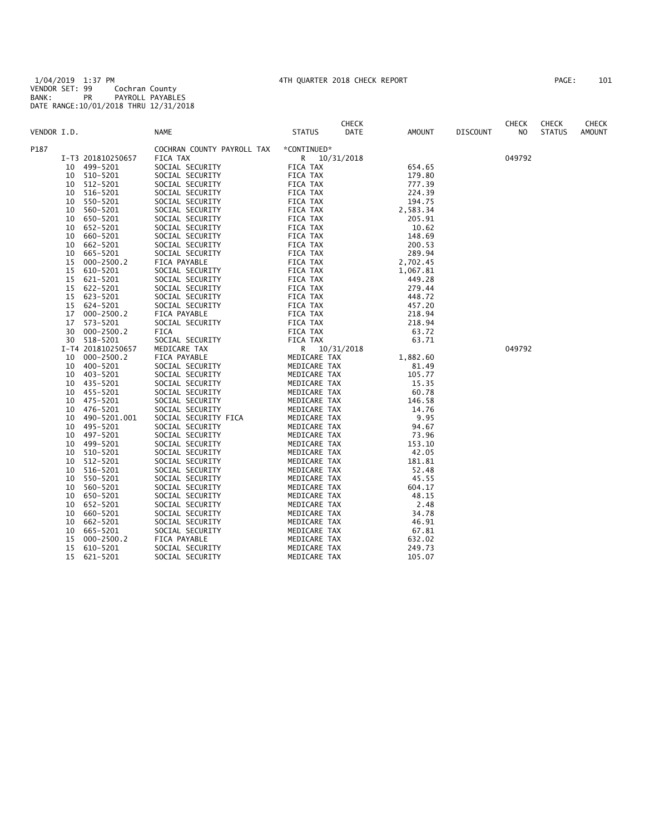1/04/2019 1:37 PM 4TH QUARTER 2018 CHECK REPORT PAGE: 101 VENDOR SET: 99 Cochran County BANK: PR PAYROLL PAYABLES DATE RANGE:10/01/2018 THRU 12/31/2018

| PAGE : |  | 101 |
|--------|--|-----|
|        |  |     |

| VENDOR I.D. |    |                   | <b>NAME</b>                | <b>STATUS</b> | <b>CHECK</b><br>DATE | AMOUNT   | <b>DISCOUNT</b> | <b>CHECK</b><br>NO. | <b>CHECK</b><br><b>STATUS</b> | <b>CHECK</b><br><b>AMOUNT</b> |
|-------------|----|-------------------|----------------------------|---------------|----------------------|----------|-----------------|---------------------|-------------------------------|-------------------------------|
| P187        |    |                   | COCHRAN COUNTY PAYROLL TAX | *CONTINUED*   |                      |          |                 |                     |                               |                               |
|             |    | I-T3 201810250657 | FICA TAX                   | R 10/31/2018  |                      |          |                 | 049792              |                               |                               |
|             | 10 | 499-5201          | SOCIAL SECURITY            | FICA TAX      |                      | 654.65   |                 |                     |                               |                               |
|             | 10 | 510-5201          | SOCIAL SECURITY            | FICA TAX      |                      | 179.80   |                 |                     |                               |                               |
|             | 10 | 512-5201          | SOCIAL SECURITY            | FICA TAX      |                      | 777.39   |                 |                     |                               |                               |
|             | 10 | 516-5201          | SOCIAL SECURITY            | FICA TAX      |                      | 224.39   |                 |                     |                               |                               |
|             | 10 | 550-5201          | SOCIAL SECURITY            | FICA TAX      |                      | 194.75   |                 |                     |                               |                               |
|             | 10 | 560-5201          | SOCIAL SECURITY            | FICA TAX      |                      | 2,583.34 |                 |                     |                               |                               |
|             | 10 | 650-5201          | SOCIAL SECURITY            | FICA TAX      |                      | 205.91   |                 |                     |                               |                               |
|             | 10 | 652-5201          | SOCIAL SECURITY            | FICA TAX      |                      | 10.62    |                 |                     |                               |                               |
|             | 10 | 660-5201          | SOCIAL SECURITY            | FICA TAX      |                      | 148.69   |                 |                     |                               |                               |
|             | 10 | 662-5201          | SOCIAL SECURITY            | FICA TAX      |                      | 200.53   |                 |                     |                               |                               |
|             | 10 | 665-5201          | SOCIAL SECURITY            | FICA TAX      |                      | 289.94   |                 |                     |                               |                               |
|             | 15 | $000 - 2500.2$    | FICA PAYABLE               | FICA TAX      |                      | 2,702.45 |                 |                     |                               |                               |
|             | 15 | 610-5201          | SOCIAL SECURITY            | FICA TAX      |                      | 1,067.81 |                 |                     |                               |                               |
|             | 15 | 621-5201          | SOCIAL SECURITY            | FICA TAX      |                      | 449.28   |                 |                     |                               |                               |
|             | 15 | 622-5201          | SOCIAL SECURITY            | FICA TAX      |                      | 279.44   |                 |                     |                               |                               |
|             | 15 | 623-5201          | SOCIAL SECURITY            | FICA TAX      |                      | 448.72   |                 |                     |                               |                               |
|             | 15 | 624-5201          | SOCIAL SECURITY            | FICA TAX      |                      | 457.20   |                 |                     |                               |                               |
|             | 17 | $000 - 2500.2$    | FICA PAYABLE               | FICA TAX      |                      | 218.94   |                 |                     |                               |                               |
|             | 17 | 573-5201          | SOCIAL SECURITY            | FICA TAX      |                      | 218.94   |                 |                     |                               |                               |
|             | 30 | $000 - 2500.2$    | FICA                       | FICA TAX      |                      | 63.72    |                 |                     |                               |                               |
|             | 30 | 518-5201          | SOCIAL SECURITY            | FICA TAX      |                      | 63.71    |                 |                     |                               |                               |
|             |    | I-T4 201810250657 | MEDICARE TAX               | R.            | 10/31/2018           |          |                 | 049792              |                               |                               |
|             | 10 | $000 - 2500.2$    | FICA PAYABLE               | MEDICARE TAX  |                      | 1,882.60 |                 |                     |                               |                               |
|             | 10 | 400-5201          | SOCIAL SECURITY            | MEDICARE TAX  |                      | 81.49    |                 |                     |                               |                               |
|             | 10 | 403-5201          | SOCIAL SECURITY            | MEDICARE TAX  |                      | 105.77   |                 |                     |                               |                               |
|             | 10 | 435-5201          | SOCIAL SECURITY            | MEDICARE TAX  |                      | 15.35    |                 |                     |                               |                               |
|             | 10 | 455-5201          | SOCIAL SECURITY            | MEDICARE TAX  |                      | 60.78    |                 |                     |                               |                               |
|             | 10 | 475-5201          | SOCIAL SECURITY            | MEDICARE TAX  |                      | 146.58   |                 |                     |                               |                               |
|             | 10 | 476-5201          | SOCIAL SECURITY            | MEDICARE TAX  |                      | 14.76    |                 |                     |                               |                               |
|             | 10 | 490-5201.001      | SOCIAL SECURITY FICA       | MEDICARE TAX  |                      | 9.95     |                 |                     |                               |                               |
|             | 10 | 495-5201          | SOCIAL SECURITY            | MEDICARE TAX  |                      | 94.67    |                 |                     |                               |                               |
|             | 10 | 497-5201          | SOCIAL SECURITY            | MEDICARE TAX  |                      | 73.96    |                 |                     |                               |                               |
|             | 10 | 499-5201          | SOCIAL SECURITY            | MEDICARE TAX  |                      | 153.10   |                 |                     |                               |                               |
|             | 10 | 510-5201          | SOCIAL SECURITY            | MEDICARE TAX  |                      | 42.05    |                 |                     |                               |                               |
|             | 10 | 512-5201          | SOCIAL SECURITY            | MEDICARE TAX  |                      | 181.81   |                 |                     |                               |                               |
|             | 10 | 516-5201          | SOCIAL SECURITY            | MEDICARE TAX  |                      | 52.48    |                 |                     |                               |                               |
|             | 10 | 550-5201          | SOCIAL SECURITY            | MEDICARE TAX  |                      | 45.55    |                 |                     |                               |                               |
|             | 10 | 560-5201          | SOCIAL SECURITY            | MEDICARE TAX  |                      | 604.17   |                 |                     |                               |                               |
|             | 10 | 650-5201          | SOCIAL SECURITY            | MEDICARE TAX  |                      | 48.15    |                 |                     |                               |                               |
|             | 10 | 652-5201          | SOCIAL SECURITY            | MEDICARE TAX  |                      | 2.48     |                 |                     |                               |                               |
|             | 10 | 660-5201          | SOCIAL SECURITY            | MEDICARE TAX  |                      | 34.78    |                 |                     |                               |                               |
|             | 10 | 662-5201          | SOCIAL SECURITY            | MEDICARE TAX  |                      | 46.91    |                 |                     |                               |                               |
|             | 10 | 665-5201          | SOCIAL SECURITY            | MEDICARE TAX  |                      | 67.81    |                 |                     |                               |                               |
|             | 15 | $000 - 2500.2$    | FICA PAYABLE               | MEDICARE TAX  |                      | 632.02   |                 |                     |                               |                               |
|             | 15 | 610-5201          | SOCIAL SECURITY            | MEDICARE TAX  |                      | 249.73   |                 |                     |                               |                               |
|             | 15 | 621-5201          | SOCIAL SECURITY            | MEDICARE TAX  |                      | 105.07   |                 |                     |                               |                               |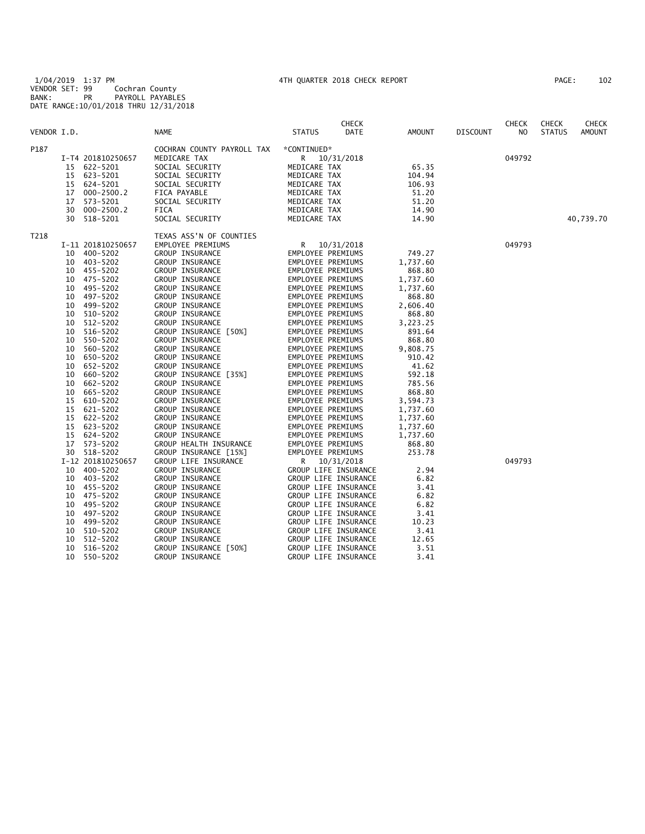1/04/2019 1:37 PM 4TH QUARTER 2018 CHECK REPORT PAGE: 102 VENDOR SET: 99 Cochran County BANK: PR PAYROLL PAYABLES DATE RANGE:10/01/2018 THRU 12/31/2018

| 102<br>PAGE : |  |
|---------------|--|
|---------------|--|

|             |    |                   |                            |                   | <b>CHECK</b>         |          |                 | <b>CHECK</b> | <b>CHECK</b>  | <b>CHECK</b>  |
|-------------|----|-------------------|----------------------------|-------------------|----------------------|----------|-----------------|--------------|---------------|---------------|
| VENDOR I.D. |    |                   | NAME                       | <b>STATUS</b>     | DATE                 | AMOUNT   | <b>DISCOUNT</b> | NO.          | <b>STATUS</b> | <b>AMOUNT</b> |
| P187        |    |                   | COCHRAN COUNTY PAYROLL TAX | *CONTINUED*       |                      |          |                 |              |               |               |
|             |    | I-T4 201810250657 | MEDICARE TAX               |                   | R 10/31/2018         |          |                 | 049792       |               |               |
|             |    | 15 622-5201       | SOCIAL SECURITY            | MEDICARE TAX      |                      | 65.35    |                 |              |               |               |
|             | 15 | 623-5201          | SOCIAL SECURITY            | MEDICARE TAX      |                      | 104.94   |                 |              |               |               |
|             | 15 | 624-5201          | SOCIAL SECURITY            | MEDICARE TAX      |                      | 106.93   |                 |              |               |               |
|             | 17 | $000 - 2500.2$    | FICA PAYABLE               | MEDICARE TAX      |                      | 51.20    |                 |              |               |               |
|             | 17 | 573-5201          | SOCIAL SECURITY            | MEDICARE TAX      |                      | 51.20    |                 |              |               |               |
|             | 30 | $000 - 2500.2$    | FICA                       | MEDICARE TAX      |                      | 14.90    |                 |              |               |               |
|             | 30 | 518-5201          | SOCIAL SECURITY            | MEDICARE TAX      |                      | 14.90    |                 |              |               | 40,739.70     |
| T218        |    |                   | TEXAS ASS'N OF COUNTIES    |                   |                      |          |                 |              |               |               |
|             |    | I-11 201810250657 | EMPLOYEE PREMIUMS          |                   | R 10/31/2018         |          |                 | 049793       |               |               |
|             | 10 | 400-5202          | GROUP INSURANCE            | EMPLOYEE PREMIUMS |                      | 749.27   |                 |              |               |               |
|             | 10 | 403-5202          | <b>GROUP INSURANCE</b>     | EMPLOYEE PREMIUMS |                      | 1,737.60 |                 |              |               |               |
|             | 10 | 455-5202          | GROUP INSURANCE            | EMPLOYEE PREMIUMS |                      | 868.80   |                 |              |               |               |
|             | 10 | 475-5202          | GROUP INSURANCE            | EMPLOYEE PREMIUMS |                      | 1,737.60 |                 |              |               |               |
|             | 10 | 495-5202          | GROUP INSURANCE            | EMPLOYEE PREMIUMS |                      | 1,737.60 |                 |              |               |               |
|             | 10 | 497-5202          | GROUP INSURANCE            | EMPLOYEE PREMIUMS |                      | 868.80   |                 |              |               |               |
|             | 10 | 499-5202          | GROUP INSURANCE            | EMPLOYEE PREMIUMS |                      | 2,606.40 |                 |              |               |               |
|             | 10 | 510-5202          | GROUP INSURANCE            | EMPLOYEE PREMIUMS |                      | 868.80   |                 |              |               |               |
|             | 10 | 512-5202          | GROUP INSURANCE            | EMPLOYEE PREMIUMS |                      | 3,223.25 |                 |              |               |               |
|             | 10 | 516-5202          | GROUP INSURANCE [50%]      | EMPLOYEE PREMIUMS |                      | 891.64   |                 |              |               |               |
|             | 10 | 550-5202          | GROUP INSURANCE            | EMPLOYEE PREMIUMS |                      | 868.80   |                 |              |               |               |
|             | 10 | 560-5202          | GROUP INSURANCE            | EMPLOYEE PREMIUMS |                      | 9,808.75 |                 |              |               |               |
|             | 10 | 650-5202          | <b>GROUP INSURANCE</b>     | EMPLOYEE PREMIUMS |                      | 910.42   |                 |              |               |               |
|             | 10 | 652-5202          | GROUP INSURANCE            | EMPLOYEE PREMIUMS |                      | 41.62    |                 |              |               |               |
|             | 10 | 660-5202          | GROUP INSURANCE [35%]      | EMPLOYEE PREMIUMS |                      | 592.18   |                 |              |               |               |
|             | 10 | 662-5202          | GROUP INSURANCE            | EMPLOYEE PREMIUMS |                      | 785.56   |                 |              |               |               |
|             | 10 | 665-5202          | <b>GROUP INSURANCE</b>     | EMPLOYEE PREMIUMS |                      | 868.80   |                 |              |               |               |
|             | 15 | 610-5202          | <b>GROUP INSURANCE</b>     | EMPLOYEE PREMIUMS |                      | 3,594.73 |                 |              |               |               |
|             | 15 | 621-5202          | GROUP INSURANCE            | EMPLOYEE PREMIUMS |                      | 1,737.60 |                 |              |               |               |
|             | 15 | 622-5202          | <b>GROUP INSURANCE</b>     | EMPLOYEE PREMIUMS |                      | 1,737.60 |                 |              |               |               |
|             | 15 | 623-5202          | GROUP INSURANCE            | EMPLOYEE PREMIUMS |                      | 1,737.60 |                 |              |               |               |
|             | 15 | 624-5202          | <b>GROUP INSURANCE</b>     | EMPLOYEE PREMIUMS |                      | 1,737.60 |                 |              |               |               |
|             | 17 | 573-5202          | GROUP HEALTH INSURANCE     | EMPLOYEE PREMIUMS |                      | 868.80   |                 |              |               |               |
|             |    | 30 518-5202       | GROUP INSURANCE [15%]      | EMPLOYEE PREMIUMS |                      | 253.78   |                 |              |               |               |
|             |    | I-12 201810250657 | GROUP LIFE INSURANCE       | R.                | 10/31/2018           |          |                 | 049793       |               |               |
|             | 10 | 400-5202          | <b>GROUP INSURANCE</b>     |                   | GROUP LIFE INSURANCE | 2.94     |                 |              |               |               |
|             | 10 | 403-5202          | GROUP INSURANCE            |                   | GROUP LIFE INSURANCE | 6.82     |                 |              |               |               |
|             | 10 | 455-5202          | <b>GROUP INSURANCE</b>     |                   | GROUP LIFE INSURANCE | 3.41     |                 |              |               |               |
|             | 10 | 475-5202          | <b>GROUP INSURANCE</b>     |                   | GROUP LIFE INSURANCE | 6.82     |                 |              |               |               |
|             | 10 | 495-5202          | <b>GROUP INSURANCE</b>     |                   | GROUP LIFE INSURANCE | 6.82     |                 |              |               |               |
|             | 10 | 497-5202          | GROUP INSURANCE            |                   | GROUP LIFE INSURANCE | 3.41     |                 |              |               |               |
|             | 10 | 499-5202          | <b>GROUP INSURANCE</b>     |                   | GROUP LIFE INSURANCE | 10.23    |                 |              |               |               |
|             | 10 | 510-5202          | GROUP INSURANCE            |                   | GROUP LIFE INSURANCE | 3.41     |                 |              |               |               |
|             | 10 | 512-5202          | GROUP INSURANCE            |                   | GROUP LIFE INSURANCE | 12.65    |                 |              |               |               |
|             | 10 | 516-5202          | GROUP INSURANCE [50%]      |                   | GROUP LIFE INSURANCE | 3.51     |                 |              |               |               |
|             | 10 | 550-5202          | GROUP INSURANCE            |                   | GROUP LIFE INSURANCE | 3.41     |                 |              |               |               |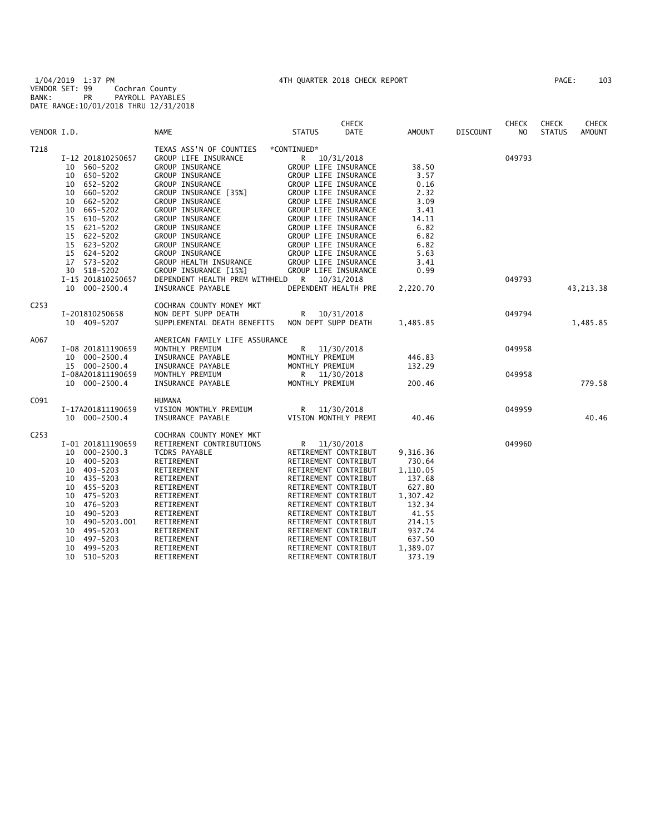1/04/2019 1:37 PM 4TH QUARTER 2018 CHECK REPORT PAGE: 103 VENDOR SET: 99 Cochran County BANK: PR PAYROLL PAYABLES DATE RANGE:10/01/2018 THRU 12/31/2018

| VENDOR I.D.<br><b>NAME</b><br><b>STATUS</b><br>DATE<br>AMOUNT<br><b>DISCOUNT</b><br>NO<br><b>STATUS</b><br><b>AMOUNT</b><br>T218<br>TEXAS ASS'N OF COUNTIES<br>*CONTINUED*<br>GROUP LIFE INSURANCE<br>I-12 201810250657<br>10/31/2018<br>049793<br>R<br>10 560-5202<br>GROUP INSURANCE<br>GROUP LIFE INSURANCE<br>38.50<br>650-5202<br>GROUP INSURANCE<br>GROUP LIFE INSURANCE<br>3.57<br>10<br>652-5202<br>GROUP INSURANCE<br>GROUP LIFE INSURANCE<br>0.16<br>10<br>660-5202<br>GROUP INSURANCE [35%]<br>GROUP LIFE INSURANCE<br>2.32<br>10<br>3.09<br>662-5202<br>GROUP INSURANCE<br>GROUP LIFE INSURANCE<br>10<br>10<br>665-5202<br>GROUP INSURANCE<br>GROUP LIFE INSURANCE<br>3.41<br>15 610-5202<br>GROUP INSURANCE<br>GROUP LIFE INSURANCE<br>14.11<br>6.82<br>15<br>621-5202<br>GROUP INSURANCE<br>GROUP LIFE INSURANCE<br>15 622-5202<br>GROUP INSURANCE<br>GROUP LIFE INSURANCE<br>6.82<br>623-5202<br>GROUP LIFE INSURANCE<br>6.82<br>15<br>GROUP INSURANCE<br>15 624-5202<br>GROUP INSURANCE<br>GROUP LIFE INSURANCE<br>5.63<br>17<br>573-5202<br>GROUP HEALTH INSURANCE<br>GROUP LIFE INSURANCE<br>3.41<br>30 518-5202<br>GROUP INSURANCE [15%]<br>GROUP LIFE INSURANCE<br>0.99<br>I-15 201810250657<br>DEPENDENT HEALTH PREM WITHHELD<br>R 10/31/2018<br>049793<br>DEPENDENT HEALTH PRE<br>10 000-2500.4<br>INSURANCE PAYABLE<br>2,220.70<br>43, 213. 38<br>C <sub>253</sub><br>COCHRAN COUNTY MONEY MKT<br>NON DEPT SUPP DEATH<br>049794<br>I-201810250658<br>R 10/31/2018<br>10 409-5207<br>SUPPLEMENTAL DEATH BENEFITS<br>NON DEPT SUPP DEATH<br>1,485.85<br>1,485.85<br>A067<br>AMERICAN FAMILY LIFE ASSURANCE<br>MONTHLY PREMIUM<br>R 11/30/2018<br>049958<br>I-08 201811190659<br>10 000-2500.4<br>INSURANCE PAYABLE<br>MONTHLY PREMIUM<br>446.83<br>15 000-2500.4<br>INSURANCE PAYABLE<br>MONTHLY PREMIUM<br>132.29<br>I-08A201811190659<br>MONTHLY PREMIUM<br>R<br>11/30/2018<br>049958<br>MONTHLY PREMIUM<br>779.58<br>10 000-2500.4<br>INSURANCE PAYABLE<br>200.46<br>C091<br><b>HUMANA</b><br>VISION MONTHLY PREMIUM<br>049959<br>I-17A201811190659<br>R.<br>11/30/2018<br>40.46<br>10 000-2500.4<br>INSURANCE PAYABLE<br>VISION MONTHLY PREMI<br>40.46<br>C <sub>253</sub><br>COCHRAN COUNTY MONEY MKT<br>I-01 201811190659<br>RETIREMENT CONTRIBUTIONS<br>R<br>11/30/2018<br>049960<br>$000 - 2500.3$<br>RETIREMENT CONTRIBUT<br>10<br>TCDRS PAYABLE<br>9,316.36<br>400-5203<br>RETIREMENT<br>RETIREMENT CONTRIBUT<br>730.64<br>10<br>403-5203<br>RETIREMENT CONTRIBUT<br>RETIREMENT<br>1,110.05<br>10<br>435-5203<br>RETIREMENT CONTRIBUT<br>137.68<br>10<br>RETIREMENT<br>455-5203<br>RETIREMENT<br>RETIREMENT CONTRIBUT<br>627.80<br>10<br>10<br>475-5203<br>RETIREMENT<br>RETIREMENT CONTRIBUT<br>1,307.42<br>476-5203<br>RETIREMENT CONTRIBUT<br>132.34<br>10<br>RETIREMENT<br>10<br>490-5203<br>RETIREMENT<br>RETIREMENT CONTRIBUT<br>41.55<br>10<br>490-5203.001<br>RETIREMENT<br>RETIREMENT CONTRIBUT<br>214.15<br>495-5203<br>937.74<br>10<br>RETIREMENT<br>RETIREMENT CONTRIBUT<br>10<br>497-5203<br>RETIREMENT CONTRIBUT<br>637.50<br>RETIREMENT<br>499-5203<br>1,389.07<br>10<br>RETIREMENT<br>RETIREMENT CONTRIBUT<br>10<br>510-5203<br>RETIREMENT<br>RETIREMENT CONTRIBUT<br>373.19 |  |  | <b>CHECK</b> |  | <b>CHECK</b> | <b>CHECK</b> | <b>CHECK</b> |
|-----------------------------------------------------------------------------------------------------------------------------------------------------------------------------------------------------------------------------------------------------------------------------------------------------------------------------------------------------------------------------------------------------------------------------------------------------------------------------------------------------------------------------------------------------------------------------------------------------------------------------------------------------------------------------------------------------------------------------------------------------------------------------------------------------------------------------------------------------------------------------------------------------------------------------------------------------------------------------------------------------------------------------------------------------------------------------------------------------------------------------------------------------------------------------------------------------------------------------------------------------------------------------------------------------------------------------------------------------------------------------------------------------------------------------------------------------------------------------------------------------------------------------------------------------------------------------------------------------------------------------------------------------------------------------------------------------------------------------------------------------------------------------------------------------------------------------------------------------------------------------------------------------------------------------------------------------------------------------------------------------------------------------------------------------------------------------------------------------------------------------------------------------------------------------------------------------------------------------------------------------------------------------------------------------------------------------------------------------------------------------------------------------------------------------------------------------------------------------------------------------------------------------------------------------------------------------------------------------------------------------------------------------------------------------------------------------------------------------------------------------------------------------------------------------------------------------------------------------------------------------------------------------------------------------------------------------------------------------------------------------------------------------------------------------------------------------------------------------------------------------------------------------------------------------------------------------------------------------|--|--|--------------|--|--------------|--------------|--------------|
|                                                                                                                                                                                                                                                                                                                                                                                                                                                                                                                                                                                                                                                                                                                                                                                                                                                                                                                                                                                                                                                                                                                                                                                                                                                                                                                                                                                                                                                                                                                                                                                                                                                                                                                                                                                                                                                                                                                                                                                                                                                                                                                                                                                                                                                                                                                                                                                                                                                                                                                                                                                                                                                                                                                                                                                                                                                                                                                                                                                                                                                                                                                                                                                                                             |  |  |              |  |              |              |              |
|                                                                                                                                                                                                                                                                                                                                                                                                                                                                                                                                                                                                                                                                                                                                                                                                                                                                                                                                                                                                                                                                                                                                                                                                                                                                                                                                                                                                                                                                                                                                                                                                                                                                                                                                                                                                                                                                                                                                                                                                                                                                                                                                                                                                                                                                                                                                                                                                                                                                                                                                                                                                                                                                                                                                                                                                                                                                                                                                                                                                                                                                                                                                                                                                                             |  |  |              |  |              |              |              |
|                                                                                                                                                                                                                                                                                                                                                                                                                                                                                                                                                                                                                                                                                                                                                                                                                                                                                                                                                                                                                                                                                                                                                                                                                                                                                                                                                                                                                                                                                                                                                                                                                                                                                                                                                                                                                                                                                                                                                                                                                                                                                                                                                                                                                                                                                                                                                                                                                                                                                                                                                                                                                                                                                                                                                                                                                                                                                                                                                                                                                                                                                                                                                                                                                             |  |  |              |  |              |              |              |
|                                                                                                                                                                                                                                                                                                                                                                                                                                                                                                                                                                                                                                                                                                                                                                                                                                                                                                                                                                                                                                                                                                                                                                                                                                                                                                                                                                                                                                                                                                                                                                                                                                                                                                                                                                                                                                                                                                                                                                                                                                                                                                                                                                                                                                                                                                                                                                                                                                                                                                                                                                                                                                                                                                                                                                                                                                                                                                                                                                                                                                                                                                                                                                                                                             |  |  |              |  |              |              |              |
|                                                                                                                                                                                                                                                                                                                                                                                                                                                                                                                                                                                                                                                                                                                                                                                                                                                                                                                                                                                                                                                                                                                                                                                                                                                                                                                                                                                                                                                                                                                                                                                                                                                                                                                                                                                                                                                                                                                                                                                                                                                                                                                                                                                                                                                                                                                                                                                                                                                                                                                                                                                                                                                                                                                                                                                                                                                                                                                                                                                                                                                                                                                                                                                                                             |  |  |              |  |              |              |              |
|                                                                                                                                                                                                                                                                                                                                                                                                                                                                                                                                                                                                                                                                                                                                                                                                                                                                                                                                                                                                                                                                                                                                                                                                                                                                                                                                                                                                                                                                                                                                                                                                                                                                                                                                                                                                                                                                                                                                                                                                                                                                                                                                                                                                                                                                                                                                                                                                                                                                                                                                                                                                                                                                                                                                                                                                                                                                                                                                                                                                                                                                                                                                                                                                                             |  |  |              |  |              |              |              |
|                                                                                                                                                                                                                                                                                                                                                                                                                                                                                                                                                                                                                                                                                                                                                                                                                                                                                                                                                                                                                                                                                                                                                                                                                                                                                                                                                                                                                                                                                                                                                                                                                                                                                                                                                                                                                                                                                                                                                                                                                                                                                                                                                                                                                                                                                                                                                                                                                                                                                                                                                                                                                                                                                                                                                                                                                                                                                                                                                                                                                                                                                                                                                                                                                             |  |  |              |  |              |              |              |
|                                                                                                                                                                                                                                                                                                                                                                                                                                                                                                                                                                                                                                                                                                                                                                                                                                                                                                                                                                                                                                                                                                                                                                                                                                                                                                                                                                                                                                                                                                                                                                                                                                                                                                                                                                                                                                                                                                                                                                                                                                                                                                                                                                                                                                                                                                                                                                                                                                                                                                                                                                                                                                                                                                                                                                                                                                                                                                                                                                                                                                                                                                                                                                                                                             |  |  |              |  |              |              |              |
|                                                                                                                                                                                                                                                                                                                                                                                                                                                                                                                                                                                                                                                                                                                                                                                                                                                                                                                                                                                                                                                                                                                                                                                                                                                                                                                                                                                                                                                                                                                                                                                                                                                                                                                                                                                                                                                                                                                                                                                                                                                                                                                                                                                                                                                                                                                                                                                                                                                                                                                                                                                                                                                                                                                                                                                                                                                                                                                                                                                                                                                                                                                                                                                                                             |  |  |              |  |              |              |              |
|                                                                                                                                                                                                                                                                                                                                                                                                                                                                                                                                                                                                                                                                                                                                                                                                                                                                                                                                                                                                                                                                                                                                                                                                                                                                                                                                                                                                                                                                                                                                                                                                                                                                                                                                                                                                                                                                                                                                                                                                                                                                                                                                                                                                                                                                                                                                                                                                                                                                                                                                                                                                                                                                                                                                                                                                                                                                                                                                                                                                                                                                                                                                                                                                                             |  |  |              |  |              |              |              |
|                                                                                                                                                                                                                                                                                                                                                                                                                                                                                                                                                                                                                                                                                                                                                                                                                                                                                                                                                                                                                                                                                                                                                                                                                                                                                                                                                                                                                                                                                                                                                                                                                                                                                                                                                                                                                                                                                                                                                                                                                                                                                                                                                                                                                                                                                                                                                                                                                                                                                                                                                                                                                                                                                                                                                                                                                                                                                                                                                                                                                                                                                                                                                                                                                             |  |  |              |  |              |              |              |
|                                                                                                                                                                                                                                                                                                                                                                                                                                                                                                                                                                                                                                                                                                                                                                                                                                                                                                                                                                                                                                                                                                                                                                                                                                                                                                                                                                                                                                                                                                                                                                                                                                                                                                                                                                                                                                                                                                                                                                                                                                                                                                                                                                                                                                                                                                                                                                                                                                                                                                                                                                                                                                                                                                                                                                                                                                                                                                                                                                                                                                                                                                                                                                                                                             |  |  |              |  |              |              |              |
|                                                                                                                                                                                                                                                                                                                                                                                                                                                                                                                                                                                                                                                                                                                                                                                                                                                                                                                                                                                                                                                                                                                                                                                                                                                                                                                                                                                                                                                                                                                                                                                                                                                                                                                                                                                                                                                                                                                                                                                                                                                                                                                                                                                                                                                                                                                                                                                                                                                                                                                                                                                                                                                                                                                                                                                                                                                                                                                                                                                                                                                                                                                                                                                                                             |  |  |              |  |              |              |              |
|                                                                                                                                                                                                                                                                                                                                                                                                                                                                                                                                                                                                                                                                                                                                                                                                                                                                                                                                                                                                                                                                                                                                                                                                                                                                                                                                                                                                                                                                                                                                                                                                                                                                                                                                                                                                                                                                                                                                                                                                                                                                                                                                                                                                                                                                                                                                                                                                                                                                                                                                                                                                                                                                                                                                                                                                                                                                                                                                                                                                                                                                                                                                                                                                                             |  |  |              |  |              |              |              |
|                                                                                                                                                                                                                                                                                                                                                                                                                                                                                                                                                                                                                                                                                                                                                                                                                                                                                                                                                                                                                                                                                                                                                                                                                                                                                                                                                                                                                                                                                                                                                                                                                                                                                                                                                                                                                                                                                                                                                                                                                                                                                                                                                                                                                                                                                                                                                                                                                                                                                                                                                                                                                                                                                                                                                                                                                                                                                                                                                                                                                                                                                                                                                                                                                             |  |  |              |  |              |              |              |
|                                                                                                                                                                                                                                                                                                                                                                                                                                                                                                                                                                                                                                                                                                                                                                                                                                                                                                                                                                                                                                                                                                                                                                                                                                                                                                                                                                                                                                                                                                                                                                                                                                                                                                                                                                                                                                                                                                                                                                                                                                                                                                                                                                                                                                                                                                                                                                                                                                                                                                                                                                                                                                                                                                                                                                                                                                                                                                                                                                                                                                                                                                                                                                                                                             |  |  |              |  |              |              |              |
|                                                                                                                                                                                                                                                                                                                                                                                                                                                                                                                                                                                                                                                                                                                                                                                                                                                                                                                                                                                                                                                                                                                                                                                                                                                                                                                                                                                                                                                                                                                                                                                                                                                                                                                                                                                                                                                                                                                                                                                                                                                                                                                                                                                                                                                                                                                                                                                                                                                                                                                                                                                                                                                                                                                                                                                                                                                                                                                                                                                                                                                                                                                                                                                                                             |  |  |              |  |              |              |              |
|                                                                                                                                                                                                                                                                                                                                                                                                                                                                                                                                                                                                                                                                                                                                                                                                                                                                                                                                                                                                                                                                                                                                                                                                                                                                                                                                                                                                                                                                                                                                                                                                                                                                                                                                                                                                                                                                                                                                                                                                                                                                                                                                                                                                                                                                                                                                                                                                                                                                                                                                                                                                                                                                                                                                                                                                                                                                                                                                                                                                                                                                                                                                                                                                                             |  |  |              |  |              |              |              |
|                                                                                                                                                                                                                                                                                                                                                                                                                                                                                                                                                                                                                                                                                                                                                                                                                                                                                                                                                                                                                                                                                                                                                                                                                                                                                                                                                                                                                                                                                                                                                                                                                                                                                                                                                                                                                                                                                                                                                                                                                                                                                                                                                                                                                                                                                                                                                                                                                                                                                                                                                                                                                                                                                                                                                                                                                                                                                                                                                                                                                                                                                                                                                                                                                             |  |  |              |  |              |              |              |
|                                                                                                                                                                                                                                                                                                                                                                                                                                                                                                                                                                                                                                                                                                                                                                                                                                                                                                                                                                                                                                                                                                                                                                                                                                                                                                                                                                                                                                                                                                                                                                                                                                                                                                                                                                                                                                                                                                                                                                                                                                                                                                                                                                                                                                                                                                                                                                                                                                                                                                                                                                                                                                                                                                                                                                                                                                                                                                                                                                                                                                                                                                                                                                                                                             |  |  |              |  |              |              |              |
|                                                                                                                                                                                                                                                                                                                                                                                                                                                                                                                                                                                                                                                                                                                                                                                                                                                                                                                                                                                                                                                                                                                                                                                                                                                                                                                                                                                                                                                                                                                                                                                                                                                                                                                                                                                                                                                                                                                                                                                                                                                                                                                                                                                                                                                                                                                                                                                                                                                                                                                                                                                                                                                                                                                                                                                                                                                                                                                                                                                                                                                                                                                                                                                                                             |  |  |              |  |              |              |              |
|                                                                                                                                                                                                                                                                                                                                                                                                                                                                                                                                                                                                                                                                                                                                                                                                                                                                                                                                                                                                                                                                                                                                                                                                                                                                                                                                                                                                                                                                                                                                                                                                                                                                                                                                                                                                                                                                                                                                                                                                                                                                                                                                                                                                                                                                                                                                                                                                                                                                                                                                                                                                                                                                                                                                                                                                                                                                                                                                                                                                                                                                                                                                                                                                                             |  |  |              |  |              |              |              |
|                                                                                                                                                                                                                                                                                                                                                                                                                                                                                                                                                                                                                                                                                                                                                                                                                                                                                                                                                                                                                                                                                                                                                                                                                                                                                                                                                                                                                                                                                                                                                                                                                                                                                                                                                                                                                                                                                                                                                                                                                                                                                                                                                                                                                                                                                                                                                                                                                                                                                                                                                                                                                                                                                                                                                                                                                                                                                                                                                                                                                                                                                                                                                                                                                             |  |  |              |  |              |              |              |
|                                                                                                                                                                                                                                                                                                                                                                                                                                                                                                                                                                                                                                                                                                                                                                                                                                                                                                                                                                                                                                                                                                                                                                                                                                                                                                                                                                                                                                                                                                                                                                                                                                                                                                                                                                                                                                                                                                                                                                                                                                                                                                                                                                                                                                                                                                                                                                                                                                                                                                                                                                                                                                                                                                                                                                                                                                                                                                                                                                                                                                                                                                                                                                                                                             |  |  |              |  |              |              |              |
|                                                                                                                                                                                                                                                                                                                                                                                                                                                                                                                                                                                                                                                                                                                                                                                                                                                                                                                                                                                                                                                                                                                                                                                                                                                                                                                                                                                                                                                                                                                                                                                                                                                                                                                                                                                                                                                                                                                                                                                                                                                                                                                                                                                                                                                                                                                                                                                                                                                                                                                                                                                                                                                                                                                                                                                                                                                                                                                                                                                                                                                                                                                                                                                                                             |  |  |              |  |              |              |              |
|                                                                                                                                                                                                                                                                                                                                                                                                                                                                                                                                                                                                                                                                                                                                                                                                                                                                                                                                                                                                                                                                                                                                                                                                                                                                                                                                                                                                                                                                                                                                                                                                                                                                                                                                                                                                                                                                                                                                                                                                                                                                                                                                                                                                                                                                                                                                                                                                                                                                                                                                                                                                                                                                                                                                                                                                                                                                                                                                                                                                                                                                                                                                                                                                                             |  |  |              |  |              |              |              |
|                                                                                                                                                                                                                                                                                                                                                                                                                                                                                                                                                                                                                                                                                                                                                                                                                                                                                                                                                                                                                                                                                                                                                                                                                                                                                                                                                                                                                                                                                                                                                                                                                                                                                                                                                                                                                                                                                                                                                                                                                                                                                                                                                                                                                                                                                                                                                                                                                                                                                                                                                                                                                                                                                                                                                                                                                                                                                                                                                                                                                                                                                                                                                                                                                             |  |  |              |  |              |              |              |
|                                                                                                                                                                                                                                                                                                                                                                                                                                                                                                                                                                                                                                                                                                                                                                                                                                                                                                                                                                                                                                                                                                                                                                                                                                                                                                                                                                                                                                                                                                                                                                                                                                                                                                                                                                                                                                                                                                                                                                                                                                                                                                                                                                                                                                                                                                                                                                                                                                                                                                                                                                                                                                                                                                                                                                                                                                                                                                                                                                                                                                                                                                                                                                                                                             |  |  |              |  |              |              |              |
|                                                                                                                                                                                                                                                                                                                                                                                                                                                                                                                                                                                                                                                                                                                                                                                                                                                                                                                                                                                                                                                                                                                                                                                                                                                                                                                                                                                                                                                                                                                                                                                                                                                                                                                                                                                                                                                                                                                                                                                                                                                                                                                                                                                                                                                                                                                                                                                                                                                                                                                                                                                                                                                                                                                                                                                                                                                                                                                                                                                                                                                                                                                                                                                                                             |  |  |              |  |              |              |              |
|                                                                                                                                                                                                                                                                                                                                                                                                                                                                                                                                                                                                                                                                                                                                                                                                                                                                                                                                                                                                                                                                                                                                                                                                                                                                                                                                                                                                                                                                                                                                                                                                                                                                                                                                                                                                                                                                                                                                                                                                                                                                                                                                                                                                                                                                                                                                                                                                                                                                                                                                                                                                                                                                                                                                                                                                                                                                                                                                                                                                                                                                                                                                                                                                                             |  |  |              |  |              |              |              |
|                                                                                                                                                                                                                                                                                                                                                                                                                                                                                                                                                                                                                                                                                                                                                                                                                                                                                                                                                                                                                                                                                                                                                                                                                                                                                                                                                                                                                                                                                                                                                                                                                                                                                                                                                                                                                                                                                                                                                                                                                                                                                                                                                                                                                                                                                                                                                                                                                                                                                                                                                                                                                                                                                                                                                                                                                                                                                                                                                                                                                                                                                                                                                                                                                             |  |  |              |  |              |              |              |
|                                                                                                                                                                                                                                                                                                                                                                                                                                                                                                                                                                                                                                                                                                                                                                                                                                                                                                                                                                                                                                                                                                                                                                                                                                                                                                                                                                                                                                                                                                                                                                                                                                                                                                                                                                                                                                                                                                                                                                                                                                                                                                                                                                                                                                                                                                                                                                                                                                                                                                                                                                                                                                                                                                                                                                                                                                                                                                                                                                                                                                                                                                                                                                                                                             |  |  |              |  |              |              |              |
|                                                                                                                                                                                                                                                                                                                                                                                                                                                                                                                                                                                                                                                                                                                                                                                                                                                                                                                                                                                                                                                                                                                                                                                                                                                                                                                                                                                                                                                                                                                                                                                                                                                                                                                                                                                                                                                                                                                                                                                                                                                                                                                                                                                                                                                                                                                                                                                                                                                                                                                                                                                                                                                                                                                                                                                                                                                                                                                                                                                                                                                                                                                                                                                                                             |  |  |              |  |              |              |              |
|                                                                                                                                                                                                                                                                                                                                                                                                                                                                                                                                                                                                                                                                                                                                                                                                                                                                                                                                                                                                                                                                                                                                                                                                                                                                                                                                                                                                                                                                                                                                                                                                                                                                                                                                                                                                                                                                                                                                                                                                                                                                                                                                                                                                                                                                                                                                                                                                                                                                                                                                                                                                                                                                                                                                                                                                                                                                                                                                                                                                                                                                                                                                                                                                                             |  |  |              |  |              |              |              |
|                                                                                                                                                                                                                                                                                                                                                                                                                                                                                                                                                                                                                                                                                                                                                                                                                                                                                                                                                                                                                                                                                                                                                                                                                                                                                                                                                                                                                                                                                                                                                                                                                                                                                                                                                                                                                                                                                                                                                                                                                                                                                                                                                                                                                                                                                                                                                                                                                                                                                                                                                                                                                                                                                                                                                                                                                                                                                                                                                                                                                                                                                                                                                                                                                             |  |  |              |  |              |              |              |
|                                                                                                                                                                                                                                                                                                                                                                                                                                                                                                                                                                                                                                                                                                                                                                                                                                                                                                                                                                                                                                                                                                                                                                                                                                                                                                                                                                                                                                                                                                                                                                                                                                                                                                                                                                                                                                                                                                                                                                                                                                                                                                                                                                                                                                                                                                                                                                                                                                                                                                                                                                                                                                                                                                                                                                                                                                                                                                                                                                                                                                                                                                                                                                                                                             |  |  |              |  |              |              |              |
|                                                                                                                                                                                                                                                                                                                                                                                                                                                                                                                                                                                                                                                                                                                                                                                                                                                                                                                                                                                                                                                                                                                                                                                                                                                                                                                                                                                                                                                                                                                                                                                                                                                                                                                                                                                                                                                                                                                                                                                                                                                                                                                                                                                                                                                                                                                                                                                                                                                                                                                                                                                                                                                                                                                                                                                                                                                                                                                                                                                                                                                                                                                                                                                                                             |  |  |              |  |              |              |              |
|                                                                                                                                                                                                                                                                                                                                                                                                                                                                                                                                                                                                                                                                                                                                                                                                                                                                                                                                                                                                                                                                                                                                                                                                                                                                                                                                                                                                                                                                                                                                                                                                                                                                                                                                                                                                                                                                                                                                                                                                                                                                                                                                                                                                                                                                                                                                                                                                                                                                                                                                                                                                                                                                                                                                                                                                                                                                                                                                                                                                                                                                                                                                                                                                                             |  |  |              |  |              |              |              |
|                                                                                                                                                                                                                                                                                                                                                                                                                                                                                                                                                                                                                                                                                                                                                                                                                                                                                                                                                                                                                                                                                                                                                                                                                                                                                                                                                                                                                                                                                                                                                                                                                                                                                                                                                                                                                                                                                                                                                                                                                                                                                                                                                                                                                                                                                                                                                                                                                                                                                                                                                                                                                                                                                                                                                                                                                                                                                                                                                                                                                                                                                                                                                                                                                             |  |  |              |  |              |              |              |
|                                                                                                                                                                                                                                                                                                                                                                                                                                                                                                                                                                                                                                                                                                                                                                                                                                                                                                                                                                                                                                                                                                                                                                                                                                                                                                                                                                                                                                                                                                                                                                                                                                                                                                                                                                                                                                                                                                                                                                                                                                                                                                                                                                                                                                                                                                                                                                                                                                                                                                                                                                                                                                                                                                                                                                                                                                                                                                                                                                                                                                                                                                                                                                                                                             |  |  |              |  |              |              |              |
|                                                                                                                                                                                                                                                                                                                                                                                                                                                                                                                                                                                                                                                                                                                                                                                                                                                                                                                                                                                                                                                                                                                                                                                                                                                                                                                                                                                                                                                                                                                                                                                                                                                                                                                                                                                                                                                                                                                                                                                                                                                                                                                                                                                                                                                                                                                                                                                                                                                                                                                                                                                                                                                                                                                                                                                                                                                                                                                                                                                                                                                                                                                                                                                                                             |  |  |              |  |              |              |              |
|                                                                                                                                                                                                                                                                                                                                                                                                                                                                                                                                                                                                                                                                                                                                                                                                                                                                                                                                                                                                                                                                                                                                                                                                                                                                                                                                                                                                                                                                                                                                                                                                                                                                                                                                                                                                                                                                                                                                                                                                                                                                                                                                                                                                                                                                                                                                                                                                                                                                                                                                                                                                                                                                                                                                                                                                                                                                                                                                                                                                                                                                                                                                                                                                                             |  |  |              |  |              |              |              |
|                                                                                                                                                                                                                                                                                                                                                                                                                                                                                                                                                                                                                                                                                                                                                                                                                                                                                                                                                                                                                                                                                                                                                                                                                                                                                                                                                                                                                                                                                                                                                                                                                                                                                                                                                                                                                                                                                                                                                                                                                                                                                                                                                                                                                                                                                                                                                                                                                                                                                                                                                                                                                                                                                                                                                                                                                                                                                                                                                                                                                                                                                                                                                                                                                             |  |  |              |  |              |              |              |
|                                                                                                                                                                                                                                                                                                                                                                                                                                                                                                                                                                                                                                                                                                                                                                                                                                                                                                                                                                                                                                                                                                                                                                                                                                                                                                                                                                                                                                                                                                                                                                                                                                                                                                                                                                                                                                                                                                                                                                                                                                                                                                                                                                                                                                                                                                                                                                                                                                                                                                                                                                                                                                                                                                                                                                                                                                                                                                                                                                                                                                                                                                                                                                                                                             |  |  |              |  |              |              |              |
|                                                                                                                                                                                                                                                                                                                                                                                                                                                                                                                                                                                                                                                                                                                                                                                                                                                                                                                                                                                                                                                                                                                                                                                                                                                                                                                                                                                                                                                                                                                                                                                                                                                                                                                                                                                                                                                                                                                                                                                                                                                                                                                                                                                                                                                                                                                                                                                                                                                                                                                                                                                                                                                                                                                                                                                                                                                                                                                                                                                                                                                                                                                                                                                                                             |  |  |              |  |              |              |              |
|                                                                                                                                                                                                                                                                                                                                                                                                                                                                                                                                                                                                                                                                                                                                                                                                                                                                                                                                                                                                                                                                                                                                                                                                                                                                                                                                                                                                                                                                                                                                                                                                                                                                                                                                                                                                                                                                                                                                                                                                                                                                                                                                                                                                                                                                                                                                                                                                                                                                                                                                                                                                                                                                                                                                                                                                                                                                                                                                                                                                                                                                                                                                                                                                                             |  |  |              |  |              |              |              |
|                                                                                                                                                                                                                                                                                                                                                                                                                                                                                                                                                                                                                                                                                                                                                                                                                                                                                                                                                                                                                                                                                                                                                                                                                                                                                                                                                                                                                                                                                                                                                                                                                                                                                                                                                                                                                                                                                                                                                                                                                                                                                                                                                                                                                                                                                                                                                                                                                                                                                                                                                                                                                                                                                                                                                                                                                                                                                                                                                                                                                                                                                                                                                                                                                             |  |  |              |  |              |              |              |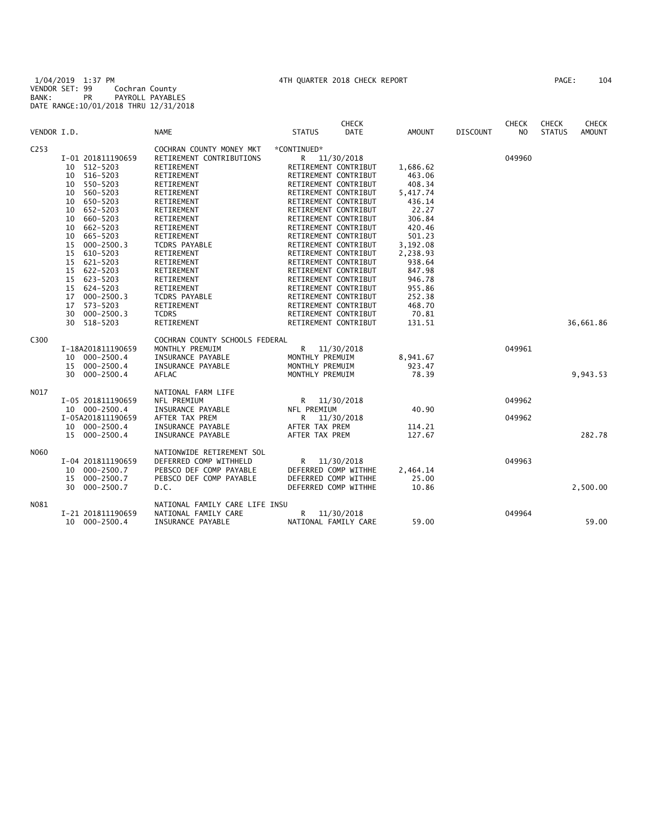|                  |                      |                                                        | <b>CHECK</b>                 |               |                 | <b>CHECK</b>   | <b>CHECK</b>  | <b>CHECK</b>  |
|------------------|----------------------|--------------------------------------------------------|------------------------------|---------------|-----------------|----------------|---------------|---------------|
| VENDOR I.D.      |                      | <b>NAME</b>                                            | <b>STATUS</b><br><b>DATE</b> | <b>AMOUNT</b> | <b>DISCOUNT</b> | N <sub>O</sub> | <b>STATUS</b> | <b>AMOUNT</b> |
| C <sub>253</sub> |                      | COCHRAN COUNTY MONEY MKT                               | *CONTINUED*                  |               |                 |                |               |               |
|                  | I-01 201811190659    | RETIREMENT CONTRIBUTIONS                               | R<br>11/30/2018              |               |                 | 049960         |               |               |
|                  | 10 512-5203          | RETIREMENT                                             | RETIREMENT CONTRIBUT         | 1,686.62      |                 |                |               |               |
|                  | 516-5203<br>10       | RETIREMENT                                             | RETIREMENT CONTRIBUT         | 463.06        |                 |                |               |               |
|                  | 550-5203<br>10       | RETIREMENT                                             | RETIREMENT CONTRIBUT         | 408.34        |                 |                |               |               |
|                  | 560-5203<br>10       | RETIREMENT                                             | RETIREMENT CONTRIBUT         | 5,417.74      |                 |                |               |               |
|                  | 650-5203<br>10       | RETIREMENT                                             | RETIREMENT CONTRIBUT         | 436.14        |                 |                |               |               |
|                  | 652-5203<br>10       | RETIREMENT                                             | RETIREMENT CONTRIBUT         | 22.27         |                 |                |               |               |
|                  | 660-5203<br>10       | RETIREMENT                                             | RETIREMENT CONTRIBUT         | 306.84        |                 |                |               |               |
|                  | 662-5203<br>10       | RETIREMENT                                             | RETIREMENT CONTRIBUT         | 420.46        |                 |                |               |               |
|                  | 665-5203<br>10       | RETIREMENT                                             | RETIREMENT CONTRIBUT         | 501.23        |                 |                |               |               |
|                  | 15<br>$000 - 2500.3$ | TCDRS PAYABLE                                          | RETIREMENT CONTRIBUT         | 3,192.08      |                 |                |               |               |
|                  | 610-5203<br>15       | RETIREMENT                                             | RETIREMENT CONTRIBUT         | 2,238.93      |                 |                |               |               |
|                  | 621-5203<br>15       | RETIREMENT                                             | RETIREMENT CONTRIBUT         | 938.64        |                 |                |               |               |
|                  | 15<br>622-5203       | RETIREMENT                                             | RETIREMENT CONTRIBUT         | 847.98        |                 |                |               |               |
|                  | $623 - 5203$<br>15   | RETIREMENT                                             | RETIREMENT CONTRIBUT         | 946.78        |                 |                |               |               |
|                  | 15<br>624-5203       | RETIREMENT                                             | RETIREMENT CONTRIBUT         | 955.86        |                 |                |               |               |
|                  | 17<br>$000 - 2500.3$ | <b>TCDRS PAYABLE</b>                                   | RETIREMENT CONTRIBUT         | 252.38        |                 |                |               |               |
|                  | 17<br>573-5203       | RETIREMENT                                             | RETIREMENT CONTRIBUT         | 468.70        |                 |                |               |               |
|                  | 30<br>$000 - 2500.3$ | <b>TCDRS</b>                                           | RETIREMENT CONTRIBUT         | 70.81         |                 |                |               |               |
|                  | 30<br>518-5203       | RETIREMENT                                             | RETIREMENT CONTRIBUT         | 131.51        |                 |                |               | 36,661.86     |
|                  |                      |                                                        |                              |               |                 |                |               |               |
| C300             |                      | COCHRAN COUNTY SCHOOLS FEDERAL                         |                              |               |                 |                |               |               |
|                  | I-18A201811190659    | MONTHLY PREMUIM                                        | R 11/30/2018                 |               |                 | 049961         |               |               |
|                  | $000 - 2500.4$<br>10 | INSURANCE PAYABLE                                      | MONTHLY PREMUIM              | 8,941.67      |                 |                |               |               |
|                  | 15<br>$000 - 2500.4$ | INSURANCE PAYABLE                                      | MONTHLY PREMUIM              | 923.47        |                 |                |               |               |
|                  | 30 000-2500.4        | AFLAC                                                  | MONTHLY PREMUIM              | 78.39         |                 |                |               | 9,943.53      |
| N017             |                      |                                                        |                              |               |                 |                |               |               |
|                  |                      | NATIONAL FARM LIFE<br>NFL PREMIUM                      |                              |               |                 | 049962         |               |               |
|                  | I-05 201811190659    |                                                        | R<br>11/30/2018              |               |                 |                |               |               |
|                  | 10 000-2500.4        | INSURANCE PAYABLE                                      | NFL PREMIUM                  | 40.90         |                 |                |               |               |
|                  | I-05A201811190659    | AFTER TAX PREM                                         | 11/30/2018<br>R              |               |                 | 049962         |               |               |
|                  | 10 000-2500.4        | INSURANCE PAYABLE                                      | AFTER TAX PREM               | 114.21        |                 |                |               |               |
|                  | 15 000-2500.4        | INSURANCE PAYABLE                                      | AFTER TAX PREM               | 127.67        |                 |                |               | 282.78        |
| N060             |                      | NATIONWIDE RETIREMENT SOL                              |                              |               |                 |                |               |               |
|                  | I-04 201811190659    | DEFERRED COMP WITHHELD                                 | R<br>11/30/2018              |               |                 | 049963         |               |               |
|                  | $000 - 2500.7$<br>10 | PEBSCO DEF COMP PAYABLE                                | DEFERRED COMP WITHHE         | 2,464.14      |                 |                |               |               |
|                  | 15<br>$000 - 2500.7$ | PEBSCO DEF COMP PAYABLE                                | DEFERRED COMP WITHHE         | 25.00         |                 |                |               |               |
|                  | $000 - 2500.7$<br>30 | D.C.                                                   | DEFERRED COMP WITHHE         | 10.86         |                 |                |               | 2,500.00      |
|                  |                      |                                                        |                              |               |                 |                |               |               |
| N081             | I-21 201811190659    | NATIONAL FAMILY CARE LIFE INSU<br>NATIONAL FAMILY CARE | R<br>11/30/2018              |               |                 | 049964         |               |               |
|                  | 10<br>$000 - 2500.4$ | INSURANCE PAYABLE                                      | NATIONAL FAMILY CARE         | 59.00         |                 |                |               | 59.00         |
|                  |                      |                                                        |                              |               |                 |                |               |               |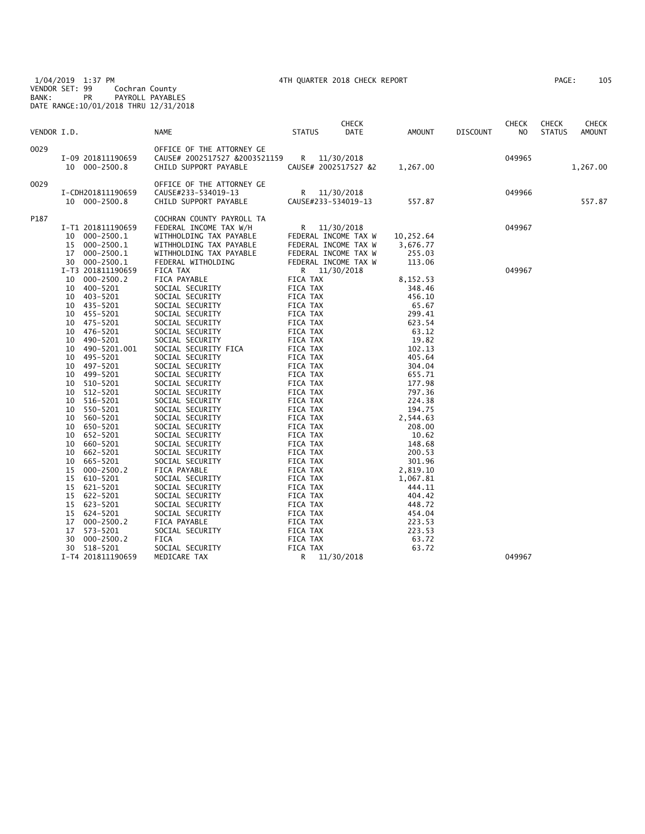1/04/2019 1:37 PM 4TH QUARTER 2018 CHECK REPORT PAGE: 105 VENDOR SET: 99 Cochran County BANK: PR PAYROLL PAYABLES DATE RANGE:10/01/2018 THRU 12/31/2018

| VENDOR I.D. |                                                                                                                                                                          | <b>NAME</b>                                                                                                                                                               | <b>STATUS</b>                                                                                            | <b>CHECK</b><br>DATE                                                                                                       | <b>AMOUNT</b>                                                                         | <b>DISCOUNT</b> | <b>CHECK</b><br>NO | <b>CHECK</b><br><b>STATUS</b> | CHECK<br><b>AMOUNT</b> |
|-------------|--------------------------------------------------------------------------------------------------------------------------------------------------------------------------|---------------------------------------------------------------------------------------------------------------------------------------------------------------------------|----------------------------------------------------------------------------------------------------------|----------------------------------------------------------------------------------------------------------------------------|---------------------------------------------------------------------------------------|-----------------|--------------------|-------------------------------|------------------------|
| 0029        | I-09 201811190659<br>10 000-2500.8                                                                                                                                       | OFFICE OF THE ATTORNEY GE<br>CAUSE# 2002517527 &2003521159<br>CHILD SUPPORT PAYABLE                                                                                       | R                                                                                                        | 11/30/2018<br>CAUSE# 2002517527 &2                                                                                         | 1,267.00                                                                              |                 | 049965             |                               | 1,267.00               |
| 0029        | I-CDH201811190659<br>10 000-2500.8                                                                                                                                       | OFFICE OF THE ATTORNEY GE<br>CAUSE#233-534019-13<br>CHILD SUPPORT PAYABLE                                                                                                 | CAUSE#233-534019-13                                                                                      | R 11/30/2018                                                                                                               | 557.87                                                                                |                 | 049966             |                               | 557.87                 |
| P187        | I-T1 201811190659<br>$000 - 2500.1$<br>10<br>$000 - 2500.1$<br>15<br>17<br>$000 - 2500.1$<br>000-2500.1<br>30<br>I-T3 201811190659                                       | COCHRAN COUNTY PAYROLL TA<br>FEDERAL INCOME TAX W/H<br>WITHHOLDING TAX PAYABLE<br>WITHHOLDING TAX PAYABLE<br>WITHHOLDING TAX PAYABLE<br>FEDERAL WITHOLDING<br>FICA TAX    | R.                                                                                                       | 11/30/2018<br>FEDERAL INCOME TAX W<br>FEDERAL INCOME TAX W<br>FEDERAL INCOME TAX W<br>FEDERAL INCOME TAX W<br>R 11/30/2018 | 10,252.64<br>3,676.77<br>255.03<br>113.06                                             |                 | 049967<br>049967   |                               |                        |
|             | $000 - 2500.2$<br>10<br>400-5201<br>10<br>403-5201<br>10<br>435-5201<br>10<br>455-5201<br>10<br>475-5201<br>10<br>476-5201<br>10<br>490-5201<br>10<br>490-5201.001<br>10 | FICA PAYABLE<br>SOCIAL SECURITY<br>SOCIAL SECURITY<br>SOCIAL SECURITY<br>SOCIAL SECURITY<br>SOCIAL SECURITY<br>SOCIAL SECURITY<br>SOCIAL SECURITY<br>SOCIAL SECURITY FICA | FICA TAX<br>FICA TAX<br>FICA TAX<br>FICA TAX<br>FICA TAX<br>FICA TAX<br>FICA TAX<br>FICA TAX<br>FICA TAX |                                                                                                                            | 8,152.53<br>348.46<br>456.10<br>65.67<br>299.41<br>623.54<br>63.12<br>19.82<br>102.13 |                 |                    |                               |                        |
|             | 495-5201<br>10<br>10<br>497-5201<br>499-5201<br>10<br>510-5201<br>10<br>512-5201<br>10<br>516-5201<br>10<br>550-5201<br>10                                               | SOCIAL SECURITY<br>SOCIAL SECURITY<br>SOCIAL SECURITY<br>SOCIAL SECURITY<br>SOCIAL SECURITY<br>SOCIAL SECURITY<br>SOCIAL SECURITY                                         | FICA TAX<br>FICA TAX<br>FICA TAX<br>FICA TAX<br>FICA TAX<br>FICA TAX<br>FICA TAX                         |                                                                                                                            | 405.64<br>304.04<br>655.71<br>177.98<br>797.36<br>224.38<br>194.75                    |                 |                    |                               |                        |
|             | 560-5201<br>10<br>650-5201<br>10<br>652-5201<br>10<br>660-5201<br>10<br>662-5201<br>10<br>665-5201<br>10<br>15<br>$000 - 2500.2$<br>610-5201<br>15                       | SOCIAL SECURITY<br>SOCIAL SECURITY<br>SOCIAL SECURITY<br>SOCIAL SECURITY<br>SOCIAL SECURITY<br>SOCIAL SECURITY<br>FICA PAYABLE<br>SOCIAL SECURITY                         | FICA TAX<br>FICA TAX<br>FICA TAX<br>FICA TAX<br>FICA TAX<br>FICA TAX<br>FICA TAX<br>FICA TAX             |                                                                                                                            | 2,544.63<br>208.00<br>10.62<br>148.68<br>200.53<br>301.96<br>2,819.10<br>1,067.81     |                 |                    |                               |                        |
|             | 15<br>621-5201<br>15<br>622-5201<br>623-5201<br>15<br>15<br>624-5201<br>17<br>$000 - 2500.2$<br>573-5201<br>17<br>$000 - 2500.2$<br>30<br>518-5201<br>30                 | SOCIAL SECURITY<br>SOCIAL SECURITY<br>SOCIAL SECURITY<br>SOCIAL SECURITY<br>FICA PAYABLE<br>SOCIAL SECURITY<br><b>FICA</b><br>SOCIAL SECURITY                             | FICA TAX<br>FICA TAX<br>FICA TAX<br>FICA TAX<br>FICA TAX<br>FICA TAX<br>FICA TAX<br>FICA TAX             |                                                                                                                            | 444.11<br>404.42<br>448.72<br>454.04<br>223.53<br>223.53<br>63.72<br>63.72            |                 |                    |                               |                        |
|             | I-T4 201811190659                                                                                                                                                        | MEDICARE TAX                                                                                                                                                              | R                                                                                                        | 11/30/2018                                                                                                                 |                                                                                       |                 | 049967             |                               |                        |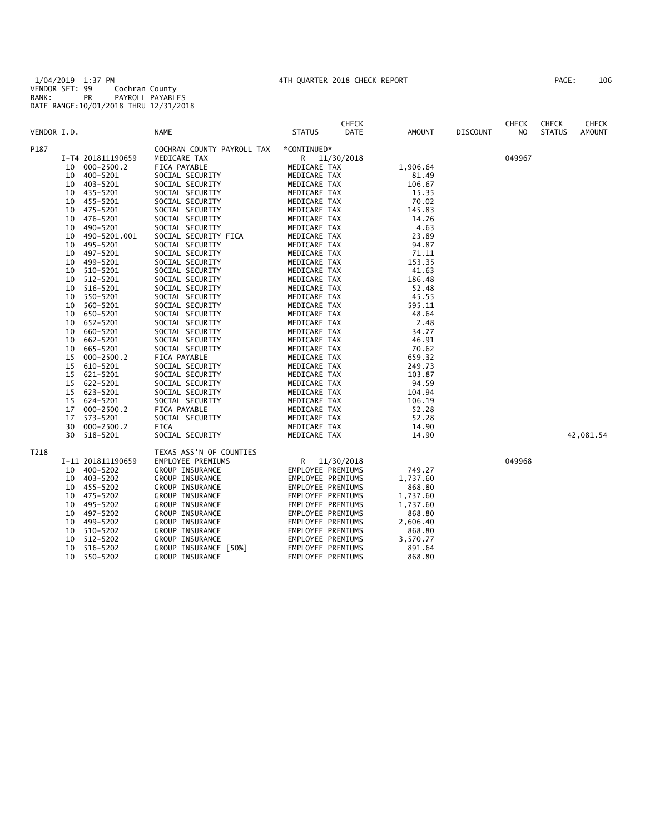1/04/2019 1:37 PM 4TH QUARTER 2018 CHECK REPORT PAGE: 106 VENDOR SET: 99 Cochran County BANK: PR PAYROLL PAYABLES DATE RANGE:10/01/2018 THRU 12/31/2018

| PAGE : | 106 |
|--------|-----|
|        |     |

|             |    |                   |                            |                   | <b>CHECK</b> |          |                 | <b>CHECK</b> | <b>CHECK</b>  | <b>CHECK</b>  |
|-------------|----|-------------------|----------------------------|-------------------|--------------|----------|-----------------|--------------|---------------|---------------|
| VENDOR I.D. |    |                   | NAME                       | <b>STATUS</b>     | DATE         | AMOUNT   | <b>DISCOUNT</b> | NO.          | <b>STATUS</b> | <b>AMOUNT</b> |
| P187        |    |                   | COCHRAN COUNTY PAYROLL TAX | *CONTINUED*       |              |          |                 |              |               |               |
|             |    | I-T4 201811190659 | MEDICARE TAX               | R.                | 11/30/2018   |          |                 | 049967       |               |               |
|             | 10 | $000 - 2500.2$    | FICA PAYABLE               | MEDICARE TAX      |              | 1,906.64 |                 |              |               |               |
|             | 10 | 400-5201          | SOCIAL SECURITY            | MEDICARE TAX      |              | 81.49    |                 |              |               |               |
|             | 10 | 403-5201          | SOCIAL SECURITY            | MEDICARE TAX      |              | 106.67   |                 |              |               |               |
|             | 10 | 435-5201          | SOCIAL SECURITY            | MEDICARE TAX      |              | 15.35    |                 |              |               |               |
|             | 10 | 455-5201          | SOCIAL SECURITY            | MEDICARE TAX      |              | 70.02    |                 |              |               |               |
|             | 10 | 475-5201          | SOCIAL SECURITY            | MEDICARE TAX      |              | 145.83   |                 |              |               |               |
|             | 10 | 476-5201          | SOCIAL SECURITY            | MEDICARE TAX      |              | 14.76    |                 |              |               |               |
|             | 10 | 490-5201          | SOCIAL SECURITY            | MEDICARE TAX      |              | 4.63     |                 |              |               |               |
|             | 10 | 490-5201.001      | SOCIAL SECURITY FICA       | MEDICARE TAX      |              | 23.89    |                 |              |               |               |
|             | 10 | 495-5201          | SOCIAL SECURITY            | MEDICARE TAX      |              | 94.87    |                 |              |               |               |
|             | 10 | 497-5201          | SOCIAL SECURITY            | MEDICARE TAX      |              | 71.11    |                 |              |               |               |
|             | 10 | 499-5201          |                            | MEDICARE TAX      |              | 153.35   |                 |              |               |               |
|             |    |                   | SOCIAL SECURITY            |                   |              |          |                 |              |               |               |
|             | 10 | 510-5201          | SOCIAL SECURITY            | MEDICARE TAX      |              | 41.63    |                 |              |               |               |
|             | 10 | 512-5201          | SOCIAL SECURITY            | MEDICARE TAX      |              | 186.48   |                 |              |               |               |
|             | 10 | 516-5201          | SOCIAL SECURITY            | MEDICARE TAX      |              | 52.48    |                 |              |               |               |
|             | 10 | 550-5201          | SOCIAL SECURITY            | MEDICARE TAX      |              | 45.55    |                 |              |               |               |
|             | 10 | 560-5201          | SOCIAL SECURITY            | MEDICARE TAX      |              | 595.11   |                 |              |               |               |
|             | 10 | 650-5201          | SOCIAL SECURITY            | MEDICARE TAX      |              | 48.64    |                 |              |               |               |
|             | 10 | 652-5201          | SOCIAL SECURITY            | MEDICARE TAX      |              | 2.48     |                 |              |               |               |
|             | 10 | 660-5201          | SOCIAL SECURITY            | MEDICARE TAX      |              | 34.77    |                 |              |               |               |
|             | 10 | 662-5201          | SOCIAL SECURITY            | MEDICARE TAX      |              | 46.91    |                 |              |               |               |
|             | 10 | 665-5201          | SOCIAL SECURITY            | MEDICARE TAX      |              | 70.62    |                 |              |               |               |
|             | 15 | $000 - 2500.2$    | FICA PAYABLE               | MEDICARE TAX      |              | 659.32   |                 |              |               |               |
|             | 15 | 610-5201          | SOCIAL SECURITY            | MEDICARE TAX      |              | 249.73   |                 |              |               |               |
|             | 15 | 621-5201          | SOCIAL SECURITY            | MEDICARE TAX      |              | 103.87   |                 |              |               |               |
|             | 15 | 622-5201          | SOCIAL SECURITY            | MEDICARE TAX      |              | 94.59    |                 |              |               |               |
|             | 15 | 623-5201          | SOCIAL SECURITY            | MEDICARE TAX      |              | 104.94   |                 |              |               |               |
|             | 15 | 624-5201          | SOCIAL SECURITY            | MEDICARE TAX      |              | 106.19   |                 |              |               |               |
|             | 17 | $000 - 2500.2$    | FICA PAYABLE               | MEDICARE TAX      |              | 52.28    |                 |              |               |               |
|             | 17 | 573-5201          | SOCIAL SECURITY            | MEDICARE TAX      |              | 52.28    |                 |              |               |               |
|             | 30 | $000 - 2500.2$    | FICA                       | MEDICARE TAX      |              | 14.90    |                 |              |               |               |
|             | 30 | 518-5201          | SOCIAL SECURITY            | MEDICARE TAX      |              | 14.90    |                 |              |               | 42,081.54     |
| T218        |    |                   | TEXAS ASS'N OF COUNTIES    |                   |              |          |                 |              |               |               |
|             |    | I-11 201811190659 | EMPLOYEE PREMIUMS          | R —               | 11/30/2018   |          |                 | 049968       |               |               |
|             | 10 | 400-5202          | GROUP INSURANCE            | EMPLOYEE PREMIUMS |              | 749.27   |                 |              |               |               |
|             | 10 | 403-5202          | GROUP INSURANCE            | EMPLOYEE PREMIUMS |              | 1,737.60 |                 |              |               |               |
|             | 10 | 455-5202          | GROUP INSURANCE            | EMPLOYEE PREMIUMS |              | 868.80   |                 |              |               |               |
|             | 10 | 475-5202          | GROUP INSURANCE            | EMPLOYEE PREMIUMS |              | 1,737.60 |                 |              |               |               |
|             | 10 | 495-5202          | GROUP INSURANCE            | EMPLOYEE PREMIUMS |              | 1,737.60 |                 |              |               |               |
|             | 10 | 497-5202          | GROUP INSURANCE            | EMPLOYEE PREMIUMS |              | 868.80   |                 |              |               |               |
|             | 10 | 499-5202          | <b>GROUP INSURANCE</b>     | EMPLOYEE PREMIUMS |              | 2,606.40 |                 |              |               |               |
|             | 10 | 510-5202          | GROUP INSURANCE            | EMPLOYEE PREMIUMS |              | 868.80   |                 |              |               |               |
|             | 10 | 512-5202          | GROUP INSURANCE            | EMPLOYEE PREMIUMS |              | 3,570.77 |                 |              |               |               |
|             | 10 | 516-5202          | GROUP INSURANCE [50%]      | EMPLOYEE PREMIUMS |              | 891.64   |                 |              |               |               |
|             | 10 | 550-5202          | GROUP INSURANCE            | EMPLOYEE PREMIUMS |              | 868.80   |                 |              |               |               |
|             |    |                   |                            |                   |              |          |                 |              |               |               |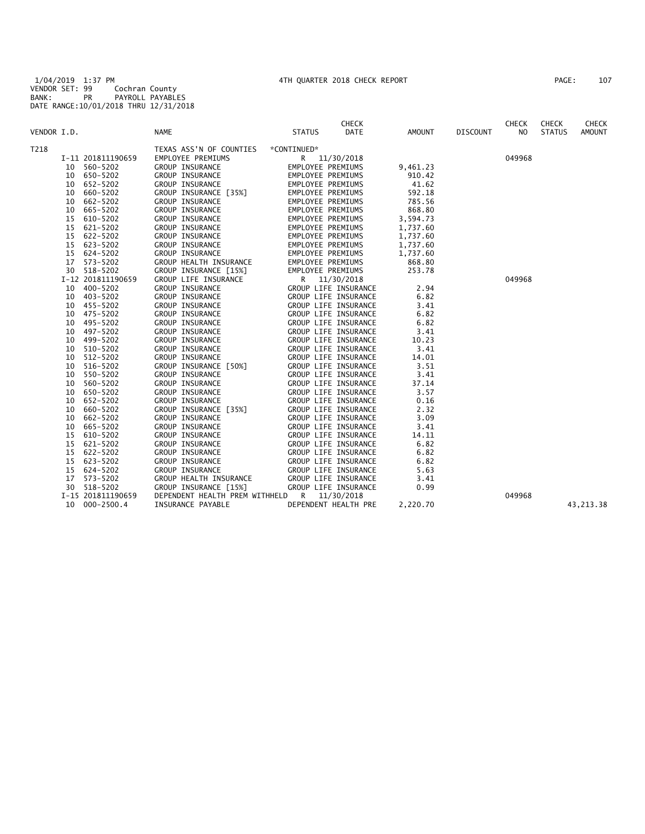1/04/2019 1:37 PM 4TH QUARTER 2018 CHECK REPORT PAGE: 107 VENDOR SET: 99 Cochran County BANK: PR PAYROLL PAYABLES DATE RANGE:10/01/2018 THRU 12/31/2018

| VENDOR I.D. |    |                   | <b>NAME</b>                    | <b>CHECK</b><br><b>STATUS</b><br><b>DATE</b> | <b>AMOUNT</b> | <b>DISCOUNT</b> | <b>CHECK</b><br>N <sub>O</sub> | <b>CHECK</b><br><b>STATUS</b> | <b>CHECK</b><br><b>AMOUNT</b> |
|-------------|----|-------------------|--------------------------------|----------------------------------------------|---------------|-----------------|--------------------------------|-------------------------------|-------------------------------|
| T218        |    |                   | TEXAS ASS'N OF COUNTIES        | *CONTINUED*                                  |               |                 |                                |                               |                               |
|             |    | I-11 201811190659 | EMPLOYEE PREMIUMS              | R 11/30/2018                                 |               |                 | 049968                         |                               |                               |
|             | 10 | 560-5202          | GROUP INSURANCE                | EMPLOYEE PREMIUMS                            | 9,461.23      |                 |                                |                               |                               |
|             | 10 | 650-5202          | GROUP INSURANCE                | EMPLOYEE PREMIUMS                            | 910.42        |                 |                                |                               |                               |
|             |    | 10 652-5202       | GROUP INSURANCE                | EMPLOYEE PREMIUMS                            | 41.62         |                 |                                |                               |                               |
|             | 10 | 660-5202          | GROUP INSURANCE [35%]          | EMPLOYEE PREMIUMS                            | 592.18        |                 |                                |                               |                               |
|             | 10 | 662-5202          | GROUP INSURANCE                | EMPLOYEE PREMIUMS                            | 785.56        |                 |                                |                               |                               |
|             | 10 | 665-5202          | GROUP INSURANCE                | EMPLOYEE PREMIUMS                            | 868.80        |                 |                                |                               |                               |
|             | 15 | 610-5202          | GROUP INSURANCE                | EMPLOYEE PREMIUMS                            | 3,594.73      |                 |                                |                               |                               |
|             | 15 | 621-5202          | GROUP INSURANCE                | EMPLOYEE PREMIUMS                            | 1,737.60      |                 |                                |                               |                               |
|             | 15 | 622-5202          | GROUP INSURANCE                | EMPLOYEE PREMIUMS                            | 1,737.60      |                 |                                |                               |                               |
|             | 15 | 623-5202          | GROUP INSURANCE                | EMPLOYEE PREMIUMS                            | 1,737.60      |                 |                                |                               |                               |
|             | 15 | 624-5202          | GROUP INSURANCE                | EMPLOYEE PREMIUMS                            | 1,737.60      |                 |                                |                               |                               |
|             | 17 | 573-5202          | GROUP HEALTH INSURANCE         | EMPLOYEE PREMIUMS                            | 868.80        |                 |                                |                               |                               |
|             |    | 30 518-5202       | GROUP INSURANCE [15%]          | EMPLOYEE PREMIUMS                            | 253.78        |                 |                                |                               |                               |
|             |    | I-12 201811190659 | GROUP LIFE INSURANCE           | R<br>11/30/2018                              |               |                 | 049968                         |                               |                               |
|             | 10 | 400-5202          | GROUP INSURANCE                | GROUP LIFE INSURANCE                         | 2.94          |                 |                                |                               |                               |
|             | 10 | 403-5202          | GROUP INSURANCE                | GROUP LIFE INSURANCE                         | 6.82          |                 |                                |                               |                               |
|             | 10 | 455-5202          | GROUP INSURANCE                | GROUP LIFE INSURANCE                         | 3.41          |                 |                                |                               |                               |
|             | 10 | 475-5202          | GROUP INSURANCE                | GROUP LIFE INSURANCE                         | 6.82          |                 |                                |                               |                               |
|             | 10 | 495-5202          | GROUP INSURANCE                | GROUP LIFE INSURANCE                         | 6.82          |                 |                                |                               |                               |
|             | 10 | 497-5202          | GROUP INSURANCE                | GROUP LIFE INSURANCE                         | 3.41          |                 |                                |                               |                               |
|             | 10 | 499-5202          | GROUP INSURANCE                | GROUP LIFE INSURANCE                         | 10.23         |                 |                                |                               |                               |
|             | 10 | 510-5202          | GROUP INSURANCE                | GROUP LIFE INSURANCE                         | 3.41          |                 |                                |                               |                               |
|             | 10 | 512-5202          | GROUP INSURANCE                | GROUP LIFE INSURANCE                         | 14.01         |                 |                                |                               |                               |
|             | 10 | 516-5202          | GROUP INSURANCE [50%]          | GROUP LIFE INSURANCE                         | 3.51          |                 |                                |                               |                               |
|             | 10 | 550-5202          | GROUP INSURANCE                | GROUP LIFE INSURANCE                         | 3.41          |                 |                                |                               |                               |
|             | 10 | 560-5202          | GROUP INSURANCE                | GROUP LIFE INSURANCE                         | 37.14         |                 |                                |                               |                               |
|             | 10 | 650-5202          | GROUP INSURANCE                | GROUP LIFE INSURANCE                         | 3.57          |                 |                                |                               |                               |
|             | 10 | 652-5202          | GROUP INSURANCE                | GROUP LIFE INSURANCE                         | 0.16          |                 |                                |                               |                               |
|             | 10 | 660-5202          | GROUP INSURANCE [35%]          | GROUP LIFE INSURANCE                         | 2.32          |                 |                                |                               |                               |
|             | 10 | 662-5202          | GROUP INSURANCE                | GROUP LIFE INSURANCE                         | 3.09          |                 |                                |                               |                               |
|             | 10 | 665-5202          | GROUP INSURANCE                | GROUP LIFE INSURANCE                         | 3.41          |                 |                                |                               |                               |
|             | 15 | 610-5202          | GROUP INSURANCE                | GROUP LIFE INSURANCE                         | 14.11         |                 |                                |                               |                               |
|             | 15 | 621-5202          | GROUP INSURANCE                | GROUP LIFE INSURANCE                         | 6.82          |                 |                                |                               |                               |
|             | 15 | 622-5202          | GROUP INSURANCE                | GROUP LIFE INSURANCE                         | 6.82          |                 |                                |                               |                               |
|             | 15 | 623-5202          | GROUP INSURANCE                | GROUP LIFE INSURANCE                         | 6.82          |                 |                                |                               |                               |
|             | 15 | 624-5202          | GROUP INSURANCE                | GROUP LIFE INSURANCE                         | 5.63          |                 |                                |                               |                               |
|             |    | 17 573-5202       | GROUP HEALTH INSURANCE         | GROUP LIFE INSURANCE                         | 3.41          |                 |                                |                               |                               |
|             |    | 30 518-5202       | GROUP INSURANCE [15%]          | GROUP LIFE INSURANCE                         | 0.99          |                 |                                |                               |                               |
|             |    | I-15 201811190659 | DEPENDENT HEALTH PREM WITHHELD | R 11/30/2018                                 |               |                 | 049968                         |                               |                               |
|             |    | 10 000-2500.4     | INSURANCE PAYABLE              | DEPENDENT HEALTH PRE                         | 2,220.70      |                 |                                |                               | 43, 213. 38                   |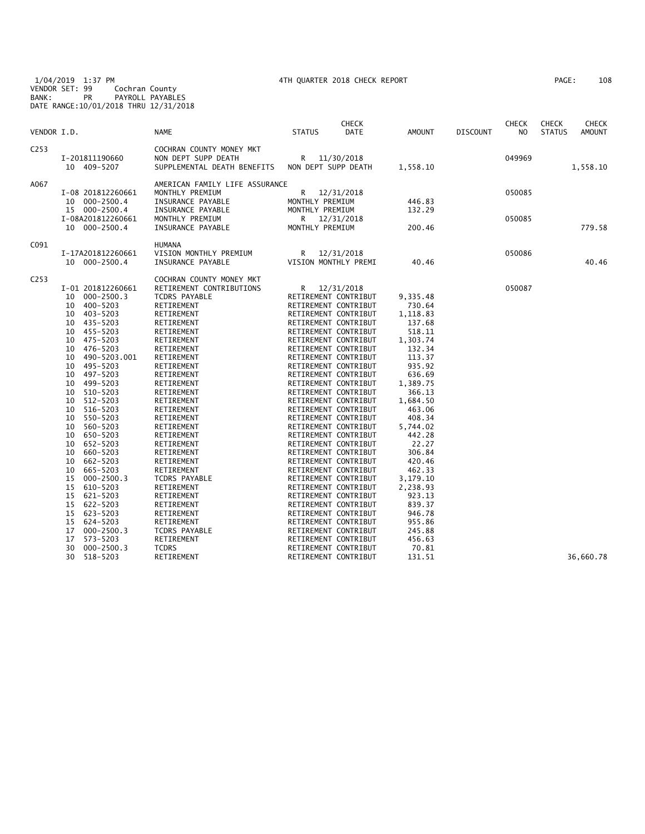1/04/2019 1:37 PM 4TH QUARTER 2018 CHECK REPORT PAGE: 108 VENDOR SET: 99 Cochran County BANK: PR PAYROLL PAYABLES DATE RANGE:10/01/2018 THRU 12/31/2018

| VENDOR I.D.      |                                                     | <b>NAME</b>                                                                    | <b>STATUS</b>                           | <b>CHECK</b><br>DATE               | <b>AMOUNT</b>    | <b>DISCOUNT</b> | <b>CHECK</b><br>N <sub>O</sub> | CHECK<br><b>STATUS</b> | <b>CHECK</b><br><b>AMOUNT</b> |
|------------------|-----------------------------------------------------|--------------------------------------------------------------------------------|-----------------------------------------|------------------------------------|------------------|-----------------|--------------------------------|------------------------|-------------------------------|
| C253             | I-201811190660<br>10 409-5207                       | COCHRAN COUNTY MONEY MKT<br>NON DEPT SUPP DEATH<br>SUPPLEMENTAL DEATH BENEFITS | NON DEPT SUPP DEATH                     | R 11/30/2018                       | 1,558.10         |                 | 049969                         |                        | 1,558.10                      |
| A067             | I-08 201812260661<br>10 000-2500.4                  | AMERICAN FAMILY LIFE ASSURANCE<br>MONTHLY PREMIUM<br>INSURANCE PAYABLE         | R<br>MONTHLY PREMIUM                    | 12/31/2018                         | 446.83           |                 | 050085                         |                        |                               |
|                  | 15 000-2500.4<br>I-08A201812260661<br>10 000-2500.4 | INSURANCE PAYABLE<br>MONTHLY PREMIUM<br>INSURANCE PAYABLE                      | MONTHLY PREMIUM<br>R<br>MONTHLY PREMIUM | 12/31/2018                         | 132.29<br>200.46 |                 | 050085                         |                        | 779.58                        |
| C091             |                                                     | <b>HUMANA</b>                                                                  |                                         |                                    |                  |                 |                                |                        |                               |
|                  | I-17A201812260661<br>10 000-2500.4                  | VISION MONTHLY PREMIUM<br>INSURANCE PAYABLE                                    | R                                       | 12/31/2018<br>VISION MONTHLY PREMI | 40.46            |                 | 050086                         |                        | 40.46                         |
| C <sub>253</sub> | I-01 201812260661                                   | COCHRAN COUNTY MONEY MKT<br>RETIREMENT CONTRIBUTIONS                           | R                                       | 12/31/2018                         |                  |                 | 050087                         |                        |                               |
|                  | $000 - 2500.3$<br>10                                | <b>TCDRS PAYABLE</b>                                                           |                                         | RETIREMENT CONTRIBUT               | 9,335.48         |                 |                                |                        |                               |
|                  | 10 400-5203                                         | RETIREMENT                                                                     |                                         | RETIREMENT CONTRIBUT               | 730.64           |                 |                                |                        |                               |
|                  | 10 403-5203                                         | RETIREMENT                                                                     |                                         | RETIREMENT CONTRIBUT               | 1,118.83         |                 |                                |                        |                               |
|                  | 435-5203<br>10                                      | RETIREMENT                                                                     |                                         | RETIREMENT CONTRIBUT               | 137.68           |                 |                                |                        |                               |
|                  | 455-5203<br>10                                      | RETIREMENT                                                                     |                                         | RETIREMENT CONTRIBUT               | 518.11           |                 |                                |                        |                               |
|                  | 475-5203<br>10                                      | RETIREMENT                                                                     |                                         | RETIREMENT CONTRIBUT               | 1,303.74         |                 |                                |                        |                               |
|                  | 476-5203<br>10                                      | RETIREMENT                                                                     |                                         | RETIREMENT CONTRIBUT               | 132.34           |                 |                                |                        |                               |
|                  | 490-5203.001<br>10                                  | RETIREMENT                                                                     |                                         | RETIREMENT CONTRIBUT               | 113.37           |                 |                                |                        |                               |
|                  | 495-5203<br>10                                      | RETIREMENT                                                                     |                                         | RETIREMENT CONTRIBUT               | 935.92           |                 |                                |                        |                               |
|                  | 497-5203<br>10                                      | RETIREMENT                                                                     |                                         | RETIREMENT CONTRIBUT               | 636.69           |                 |                                |                        |                               |
|                  | 499–5203<br>10                                      | RETIREMENT                                                                     |                                         | RETIREMENT CONTRIBUT               | 1,389.75         |                 |                                |                        |                               |
|                  | 510-5203<br>10                                      | RETIREMENT                                                                     |                                         | RETIREMENT CONTRIBUT               | 366.13           |                 |                                |                        |                               |
|                  | 10 512-5203                                         | RETIREMENT                                                                     |                                         | RETIREMENT CONTRIBUT               | 1,684.50         |                 |                                |                        |                               |
|                  | 516-5203<br>10                                      | RETIREMENT                                                                     |                                         | RETIREMENT CONTRIBUT               | 463.06           |                 |                                |                        |                               |
|                  | 10 550-5203                                         | RETIREMENT                                                                     |                                         | RETIREMENT CONTRIBUT               | 408.34           |                 |                                |                        |                               |
|                  | 560-5203<br>10                                      | RETIREMENT                                                                     |                                         | RETIREMENT CONTRIBUT               | 5,744.02         |                 |                                |                        |                               |
|                  | 10 650-5203                                         | RETIREMENT                                                                     |                                         | RETIREMENT CONTRIBUT               | 442.28           |                 |                                |                        |                               |
|                  | 652-5203<br>10                                      | RETIREMENT                                                                     |                                         | RETIREMENT CONTRIBUT               | 22.27            |                 |                                |                        |                               |
|                  | 660-5203<br>10                                      | RETIREMENT                                                                     |                                         | RETIREMENT CONTRIBUT               | 306.84           |                 |                                |                        |                               |
|                  | 662-5203<br>10                                      | RETIREMENT                                                                     |                                         | RETIREMENT CONTRIBUT               | 420.46           |                 |                                |                        |                               |
|                  | 665-5203<br>10                                      | RETIREMENT                                                                     |                                         | RETIREMENT CONTRIBUT               | 462.33           |                 |                                |                        |                               |
|                  | $000 - 2500.3$<br>15                                | TCDRS PAYABLE                                                                  |                                         | RETIREMENT CONTRIBUT               | 3,179.10         |                 |                                |                        |                               |
|                  | 610-5203<br>15                                      | RETIREMENT                                                                     |                                         | RETIREMENT CONTRIBUT               | 2,238.93         |                 |                                |                        |                               |
|                  | 621-5203<br>15                                      | RETIREMENT                                                                     |                                         | RETIREMENT CONTRIBUT               | 923.13           |                 |                                |                        |                               |
|                  | 15<br>622-5203                                      | RETIREMENT                                                                     |                                         | RETIREMENT CONTRIBUT               | 839.37           |                 |                                |                        |                               |
|                  | 15<br>623-5203                                      | RETIREMENT                                                                     |                                         | RETIREMENT CONTRIBUT               | 946.78           |                 |                                |                        |                               |
|                  | 15<br>624-5203                                      | RETIREMENT                                                                     |                                         | RETIREMENT CONTRIBUT               | 955.86           |                 |                                |                        |                               |
|                  | 17<br>$000 - 2500.3$                                | TCDRS PAYABLE                                                                  |                                         | RETIREMENT CONTRIBUT               | 245.88           |                 |                                |                        |                               |
|                  | 17<br>573-5203                                      | RETIREMENT                                                                     |                                         | RETIREMENT CONTRIBUT               | 456.63           |                 |                                |                        |                               |
|                  | 30<br>$000 - 2500.3$                                | <b>TCDRS</b>                                                                   |                                         | RETIREMENT CONTRIBUT               | 70.81            |                 |                                |                        |                               |
|                  | 30<br>518-5203                                      | RETIREMENT                                                                     |                                         | RETIREMENT CONTRIBUT               | 131.51           |                 |                                |                        | 36,660.78                     |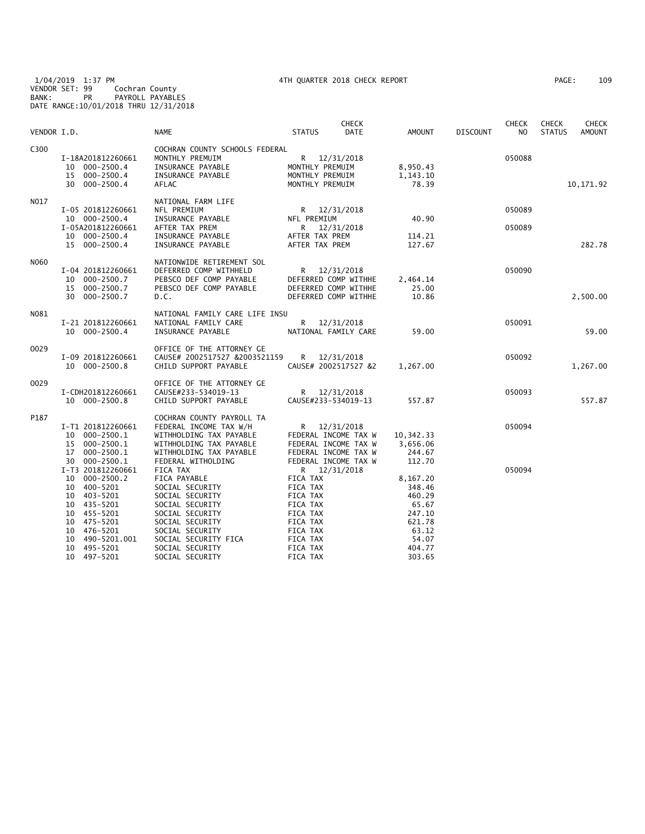1/04/2019 1:37 PM 4TH QUARTER 2018 CHECK REPORT PAGE: 109 VENDOR SET: 99 Cochran County BANK: PR PAYROLL PAYABLES DATE RANGE:10/01/2018 THRU 12/31/2018

| VENDOR I.D. |                                                                                                                                                                                                              | <b>NAME</b>                                                                                                                                                                                              | <b>STATUS</b>                                                                                                               | <b>CHECK</b><br><b>DATE</b>                                                                                | <b>AMOUNT</b>                                                                                   | <b>DISCOUNT</b> | CHECK<br>N <sub>O</sub> | CHECK<br><b>STATUS</b> | <b>CHECK</b><br><b>AMOUNT</b> |
|-------------|--------------------------------------------------------------------------------------------------------------------------------------------------------------------------------------------------------------|----------------------------------------------------------------------------------------------------------------------------------------------------------------------------------------------------------|-----------------------------------------------------------------------------------------------------------------------------|------------------------------------------------------------------------------------------------------------|-------------------------------------------------------------------------------------------------|-----------------|-------------------------|------------------------|-------------------------------|
| C300        | I-18A201812260661<br>10 000-2500.4<br>15 000-2500.4<br>30 000-2500.4                                                                                                                                         | COCHRAN COUNTY SCHOOLS FEDERAL<br>MONTHLY PREMUIM<br>INSURANCE PAYABLE<br>INSURANCE PAYABLE<br><b>AFLAC</b>                                                                                              | MONTHLY PREMUIM<br>MONTHLY PREMUIM<br>MONTHLY PREMUIM                                                                       | R 12/31/2018                                                                                               | 8,950.43<br>1,143.10<br>78.39                                                                   |                 | 050088                  |                        | 10, 171.92                    |
| N017        | I-05 201812260661<br>10 000-2500.4<br>I-05A201812260661<br>10 000-2500.4<br>15 000-2500.4                                                                                                                    | NATIONAL FARM LIFE<br>NFL PREMIUM<br>INSURANCE PAYABLE<br>AFTER TAX PREM<br>INSURANCE PAYABLE<br>INSURANCE PAYABLE                                                                                       | NFL PREMIUM<br>R<br>AFTER TAX PREM<br>AFTER TAX PREM                                                                        | R 12/31/2018<br>12/31/2018                                                                                 | 40.90<br>114.21<br>127.67                                                                       |                 | 050089<br>050089        |                        | 282.78                        |
| N060        | I-04 201812260661<br>$000 - 2500.7$<br>10<br>15 000-2500.7<br>30 000-2500.7                                                                                                                                  | NATIONWIDE RETIREMENT SOL<br>DEFERRED COMP WITHHELD<br>PEBSCO DEF COMP PAYABLE<br>PEBSCO DEF COMP PAYABLE<br>D.C.                                                                                        |                                                                                                                             | R 12/31/2018<br>DEFERRED COMP WITHHE<br>DEFERRED COMP WITHHE<br>DEFERRED COMP WITHHE                       | 2,464.14<br>25.00<br>10.86                                                                      |                 | 050090                  |                        | 2,500.00                      |
| N081        | I-21 201812260661<br>10 000-2500.4                                                                                                                                                                           | NATIONAL FAMILY CARE LIFE INSU<br>NATIONAL FAMILY CARE<br>INSURANCE PAYABLE                                                                                                                              |                                                                                                                             | R 12/31/2018<br>NATIONAL FAMILY CARE                                                                       | 59.00                                                                                           |                 | 050091                  |                        | 59.00                         |
| 0029        | I-09 201812260661<br>10 000-2500.8                                                                                                                                                                           | OFFICE OF THE ATTORNEY GE<br>CAUSE# 2002517527 &2003521159<br>CHILD SUPPORT PAYABLE                                                                                                                      | R                                                                                                                           | 12/31/2018<br>CAUSE# 2002517527 &2                                                                         | 1,267.00                                                                                        |                 | 050092                  |                        | 1,267.00                      |
| 0029        | I-CDH201812260661<br>10 000-2500.8                                                                                                                                                                           | OFFICE OF THE ATTORNEY GE<br>CAUSE#233-534019-13<br>CHILD SUPPORT PAYABLE                                                                                                                                | CAUSE#233-534019-13                                                                                                         | R 12/31/2018                                                                                               | 557.87                                                                                          |                 | 050093                  |                        | 557.87                        |
| P187        | I-T1 201812260661<br>$000 - 2500.1$<br>10<br>$000 - 2500.1$<br>15<br>$000 - 2500.1$<br>17<br>000-2500.1<br>30                                                                                                | COCHRAN COUNTY PAYROLL TA<br>FEDERAL INCOME TAX W/H<br>WITHHOLDING TAX PAYABLE<br>WITHHOLDING TAX PAYABLE<br>WITHHOLDING TAX PAYABLE<br>FEDERAL WITHOLDING                                               | R <sub>a</sub>                                                                                                              | 12/31/2018<br>FEDERAL INCOME TAX W<br>FEDERAL INCOME TAX W<br>FEDERAL INCOME TAX W<br>FEDERAL INCOME TAX W | 10,342.33<br>3,656.06<br>244.67<br>112.70                                                       |                 | 050094                  |                        |                               |
|             | I-T3 201812260661<br>10<br>$000 - 2500.2$<br>400-5201<br>10<br>403-5201<br>10<br>10<br>435-5201<br>455-5201<br>10<br>475-5201<br>10<br>476-5201<br>10<br>10<br>490-5201.001<br>10<br>495-5201<br>10 497-5201 | FICA TAX<br>FICA PAYABLE<br>SOCIAL SECURITY<br>SOCIAL SECURITY<br>SOCIAL SECURITY<br>SOCIAL SECURITY<br>SOCIAL SECURITY<br>SOCIAL SECURITY<br>SOCIAL SECURITY FICA<br>SOCIAL SECURITY<br>SOCIAL SECURITY | <b>FICA TAX</b><br>FICA TAX<br>FICA TAX<br>FICA TAX<br>FICA TAX<br>FICA TAX<br>FICA TAX<br>FICA TAX<br>FICA TAX<br>FICA TAX | R 12/31/2018                                                                                               | 8,167.20<br>348.46<br>460.29<br>65.67<br>247.10<br>621.78<br>63.12<br>54.07<br>404.77<br>303.65 |                 | 050094                  |                        |                               |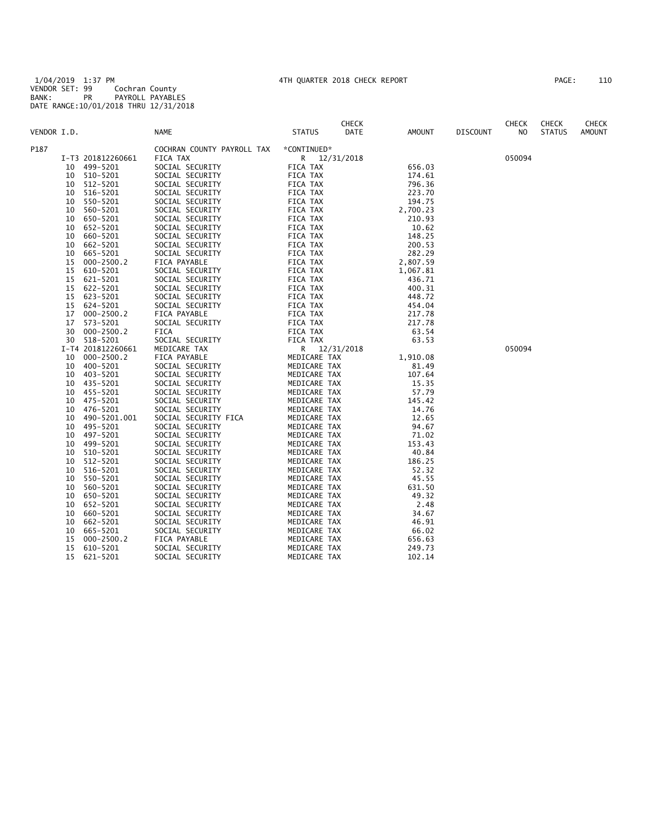1/04/2019 1:37 PM 4TH QUARTER 2018 CHECK REPORT PAGE: 110 VENDOR SET: 99 Cochran County BANK: PR PAYROLL PAYABLES DATE RANGE:10/01/2018 THRU 12/31/2018

| AGE : |  | 110 |
|-------|--|-----|
|       |  |     |

|             |    |                   |                            |               | <b>CHECK</b> |               |                 | <b>CHECK</b> | <b>CHECK</b>  | <b>CHECK</b>  |
|-------------|----|-------------------|----------------------------|---------------|--------------|---------------|-----------------|--------------|---------------|---------------|
| VENDOR I.D. |    |                   | <b>NAME</b>                | <b>STATUS</b> | DATE         | <b>AMOUNT</b> | <b>DISCOUNT</b> | NO.          | <b>STATUS</b> | <b>AMOUNT</b> |
| P187        |    |                   | COCHRAN COUNTY PAYROLL TAX | *CONTINUED*   |              |               |                 |              |               |               |
|             |    | I-T3 201812260661 | FICA TAX                   | R 12/31/2018  |              |               |                 | 050094       |               |               |
|             | 10 | 499-5201          | SOCIAL SECURITY            | FICA TAX      |              | 656.03        |                 |              |               |               |
|             | 10 | 510-5201          | SOCIAL SECURITY            | FICA TAX      |              | 174.61        |                 |              |               |               |
|             | 10 | 512-5201          | SOCIAL SECURITY            | FICA TAX      |              | 796.36        |                 |              |               |               |
|             | 10 | 516-5201          | SOCIAL SECURITY            | FICA TAX      |              | 223.70        |                 |              |               |               |
|             | 10 | 550-5201          | SOCIAL SECURITY            | FICA TAX      |              | 194.75        |                 |              |               |               |
|             | 10 | 560-5201          | SOCIAL SECURITY            | FICA TAX      |              | 2,700.23      |                 |              |               |               |
|             | 10 | 650-5201          | SOCIAL SECURITY            | FICA TAX      |              | 210.93        |                 |              |               |               |
|             | 10 | 652-5201          | SOCIAL SECURITY            | FICA TAX      |              | 10.62         |                 |              |               |               |
|             | 10 | 660-5201          | SOCIAL SECURITY            | FICA TAX      |              | 148.25        |                 |              |               |               |
|             | 10 | 662-5201          | SOCIAL SECURITY            | FICA TAX      |              | 200.53        |                 |              |               |               |
|             | 10 | 665-5201          | SOCIAL SECURITY            | FICA TAX      |              | 282.29        |                 |              |               |               |
|             | 15 | $000 - 2500.2$    | FICA PAYABLE               | FICA TAX      |              | 2,807.59      |                 |              |               |               |
|             | 15 | 610-5201          | SOCIAL SECURITY            | FICA TAX      |              | 1,067.81      |                 |              |               |               |
|             | 15 | 621-5201          | SOCIAL SECURITY            | FICA TAX      |              | 436.71        |                 |              |               |               |
|             | 15 | 622-5201          | SOCIAL SECURITY            | FICA TAX      |              | 400.31        |                 |              |               |               |
|             | 15 | 623-5201          | SOCIAL SECURITY            | FICA TAX      |              | 448.72        |                 |              |               |               |
|             | 15 | 624-5201          | SOCIAL SECURITY            | FICA TAX      |              | 454.04        |                 |              |               |               |
|             | 17 | $000 - 2500.2$    | FICA PAYABLE               | FICA TAX      |              | 217.78        |                 |              |               |               |
|             | 17 | 573-5201          | SOCIAL SECURITY            | FICA TAX      |              | 217.78        |                 |              |               |               |
|             | 30 | $000 - 2500.2$    | FICA                       | FICA TAX      |              | 63.54         |                 |              |               |               |
|             | 30 | 518-5201          | SOCIAL SECURITY            | FICA TAX      |              | 63.53         |                 |              |               |               |
|             |    | I-T4 201812260661 | MEDICARE TAX               | R.            | 12/31/2018   |               |                 | 050094       |               |               |
|             | 10 | $000 - 2500.2$    | FICA PAYABLE               | MEDICARE TAX  |              | 1,910.08      |                 |              |               |               |
|             | 10 | 400-5201          | SOCIAL SECURITY            | MEDICARE TAX  |              | 81.49         |                 |              |               |               |
|             | 10 | 403-5201          | SOCIAL SECURITY            | MEDICARE TAX  |              | 107.64        |                 |              |               |               |
|             | 10 | 435-5201          | SOCIAL SECURITY            | MEDICARE TAX  |              | 15.35         |                 |              |               |               |
|             | 10 | 455-5201          | SOCIAL SECURITY            | MEDICARE TAX  |              | 57.79         |                 |              |               |               |
|             | 10 | 475-5201          | SOCIAL SECURITY            | MEDICARE TAX  |              | 145.42        |                 |              |               |               |
|             | 10 | 476-5201          | SOCIAL SECURITY            | MEDICARE TAX  |              | 14.76         |                 |              |               |               |
|             | 10 | 490-5201.001      | SOCIAL SECURITY FICA       | MEDICARE TAX  |              | 12.65         |                 |              |               |               |
|             | 10 | 495-5201          | SOCIAL SECURITY            | MEDICARE TAX  |              | 94.67         |                 |              |               |               |
|             | 10 | 497-5201          | SOCIAL SECURITY            | MEDICARE TAX  |              | 71.02         |                 |              |               |               |
|             | 10 | 499-5201          | SOCIAL SECURITY            | MEDICARE TAX  |              | 153.43        |                 |              |               |               |
|             | 10 | 510-5201          | SOCIAL SECURITY            | MEDICARE TAX  |              | 40.84         |                 |              |               |               |
|             | 10 | 512-5201          | SOCIAL SECURITY            | MEDICARE TAX  |              | 186.25        |                 |              |               |               |
|             | 10 | 516-5201          | SOCIAL SECURITY            | MEDICARE TAX  |              | 52.32         |                 |              |               |               |
|             | 10 | 550-5201          | SOCIAL SECURITY            | MEDICARE TAX  |              | 45.55         |                 |              |               |               |
|             | 10 | 560-5201          | SOCIAL SECURITY            | MEDICARE TAX  |              | 631.50        |                 |              |               |               |
|             | 10 | 650-5201          | SOCIAL SECURITY            | MEDICARE TAX  |              | 49.32         |                 |              |               |               |
|             | 10 | 652-5201          | SOCIAL SECURITY            | MEDICARE TAX  |              | 2.48          |                 |              |               |               |
|             | 10 | 660-5201          | SOCIAL SECURITY            | MEDICARE TAX  |              | 34.67         |                 |              |               |               |
|             | 10 | 662-5201          | SOCIAL SECURITY            | MEDICARE TAX  |              | 46.91         |                 |              |               |               |
|             | 10 | 665-5201          | SOCIAL SECURITY            | MEDICARE TAX  |              | 66.02         |                 |              |               |               |
|             | 15 | $000 - 2500.2$    | FICA PAYABLE               | MEDICARE TAX  |              | 656.63        |                 |              |               |               |
|             | 15 | 610-5201          | SOCIAL SECURITY            | MEDICARE TAX  |              | 249.73        |                 |              |               |               |
|             | 15 | 621-5201          | SOCIAL SECURITY            | MEDICARE TAX  |              | 102.14        |                 |              |               |               |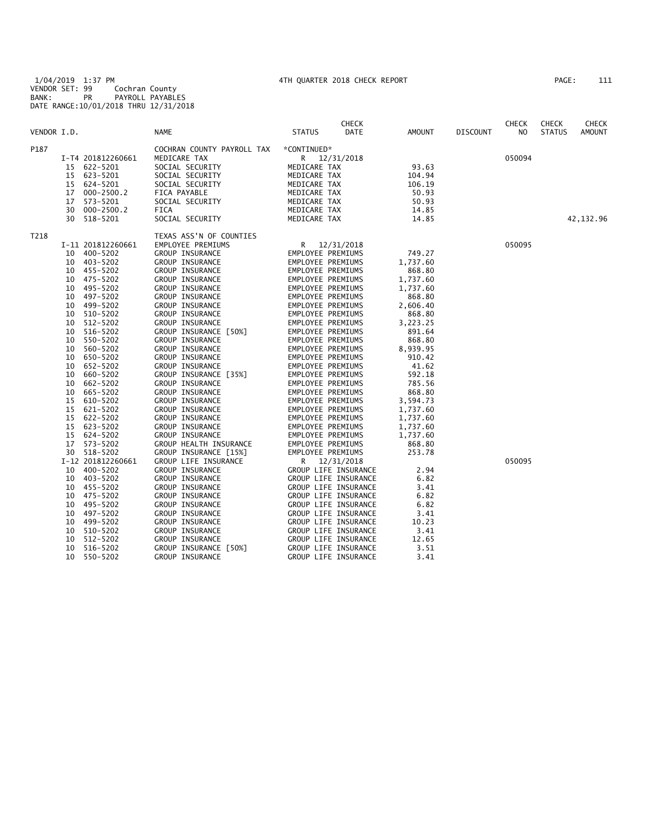1/04/2019 1:37 PM 4TH QUARTER 2018 CHECK REPORT PAGE: 111 VENDOR SET: 99 Cochran County BANK: PR PAYROLL PAYABLES DATE RANGE:10/01/2018 THRU 12/31/2018

| AGE : |  | 111 |  |
|-------|--|-----|--|
|       |  |     |  |

|             |    |                   |                            |                   | <b>CHECK</b>         |          |                 | <b>CHECK</b> | <b>CHECK</b>  | <b>CHECK</b>  |
|-------------|----|-------------------|----------------------------|-------------------|----------------------|----------|-----------------|--------------|---------------|---------------|
| VENDOR I.D. |    |                   | NAME                       | <b>STATUS</b>     | DATE                 | AMOUNT   | <b>DISCOUNT</b> | NO.          | <b>STATUS</b> | <b>AMOUNT</b> |
| P187        |    |                   | COCHRAN COUNTY PAYROLL TAX | *CONTINUED*       |                      |          |                 |              |               |               |
|             |    | I-T4 201812260661 | MEDICARE TAX               |                   | R 12/31/2018         |          |                 | 050094       |               |               |
|             |    | 15 622-5201       | SOCIAL SECURITY            | MEDICARE TAX      |                      | 93.63    |                 |              |               |               |
|             | 15 | 623-5201          | SOCIAL SECURITY            | MEDICARE TAX      |                      | 104.94   |                 |              |               |               |
|             | 15 | 624-5201          | SOCIAL SECURITY            | MEDICARE TAX      |                      | 106.19   |                 |              |               |               |
|             | 17 | $000 - 2500.2$    | FICA PAYABLE               | MEDICARE TAX      |                      | 50.93    |                 |              |               |               |
|             | 17 | 573-5201          | SOCIAL SECURITY            | MEDICARE TAX      |                      | 50.93    |                 |              |               |               |
|             | 30 | 000-2500.2        | FICA                       | MEDICARE TAX      |                      | 14.85    |                 |              |               |               |
|             | 30 | 518-5201          | SOCIAL SECURITY            | MEDICARE TAX      |                      | 14.85    |                 |              |               | 42,132.96     |
| T218        |    |                   | TEXAS ASS'N OF COUNTIES    |                   |                      |          |                 |              |               |               |
|             |    | I-11 201812260661 | EMPLOYEE PREMIUMS          |                   | R 12/31/2018         |          |                 | 050095       |               |               |
|             | 10 | 400-5202          | GROUP INSURANCE            | EMPLOYEE PREMIUMS |                      | 749.27   |                 |              |               |               |
|             | 10 | 403-5202          | GROUP INSURANCE            | EMPLOYEE PREMIUMS |                      | 1,737.60 |                 |              |               |               |
|             | 10 | 455-5202          | <b>GROUP INSURANCE</b>     | EMPLOYEE PREMIUMS |                      | 868.80   |                 |              |               |               |
|             | 10 | 475-5202          | <b>GROUP INSURANCE</b>     | EMPLOYEE PREMIUMS |                      | 1,737.60 |                 |              |               |               |
|             | 10 | 495-5202          | GROUP INSURANCE            | EMPLOYEE PREMIUMS |                      | 1,737.60 |                 |              |               |               |
|             | 10 | 497-5202          | GROUP INSURANCE            | EMPLOYEE PREMIUMS |                      | 868.80   |                 |              |               |               |
|             | 10 | 499-5202          | GROUP INSURANCE            | EMPLOYEE PREMIUMS |                      | 2,606.40 |                 |              |               |               |
|             | 10 | 510-5202          | GROUP INSURANCE            | EMPLOYEE PREMIUMS |                      | 868.80   |                 |              |               |               |
|             | 10 | 512-5202          | GROUP INSURANCE            | EMPLOYEE PREMIUMS |                      | 3,223.25 |                 |              |               |               |
|             | 10 | 516-5202          | GROUP INSURANCE [50%]      | EMPLOYEE PREMIUMS |                      | 891.64   |                 |              |               |               |
|             | 10 | 550-5202          | GROUP INSURANCE            | EMPLOYEE PREMIUMS |                      | 868.80   |                 |              |               |               |
|             | 10 | 560-5202          | GROUP INSURANCE            | EMPLOYEE PREMIUMS |                      | 8,939.95 |                 |              |               |               |
|             | 10 | 650-5202          | GROUP INSURANCE            | EMPLOYEE PREMIUMS |                      | 910.42   |                 |              |               |               |
|             | 10 | 652-5202          | GROUP INSURANCE            | EMPLOYEE PREMIUMS |                      | 41.62    |                 |              |               |               |
|             | 10 | 660-5202          | GROUP INSURANCE [35%]      | EMPLOYEE PREMIUMS |                      | 592.18   |                 |              |               |               |
|             | 10 | 662-5202          | GROUP INSURANCE            | EMPLOYEE PREMIUMS |                      | 785.56   |                 |              |               |               |
|             | 10 | 665-5202          | GROUP INSURANCE            | EMPLOYEE PREMIUMS |                      | 868.80   |                 |              |               |               |
|             | 15 | 610-5202          | <b>GROUP INSURANCE</b>     | EMPLOYEE PREMIUMS |                      | 3,594.73 |                 |              |               |               |
|             | 15 | 621-5202          | GROUP INSURANCE            | EMPLOYEE PREMIUMS |                      | 1,737.60 |                 |              |               |               |
|             | 15 | 622-5202          | GROUP INSURANCE            | EMPLOYEE PREMIUMS |                      | 1,737.60 |                 |              |               |               |
|             | 15 | 623-5202          | <b>GROUP INSURANCE</b>     | EMPLOYEE PREMIUMS |                      | 1,737.60 |                 |              |               |               |
|             | 15 | 624-5202          | <b>GROUP INSURANCE</b>     | EMPLOYEE PREMIUMS |                      | 1,737.60 |                 |              |               |               |
|             | 17 | 573-5202          | GROUP HEALTH INSURANCE     | EMPLOYEE PREMIUMS |                      | 868.80   |                 |              |               |               |
|             | 30 | 518-5202          | GROUP INSURANCE [15%]      | EMPLOYEE PREMIUMS |                      | 253.78   |                 |              |               |               |
|             |    | I-12 201812260661 | GROUP LIFE INSURANCE       |                   | R 12/31/2018         |          |                 | 050095       |               |               |
|             | 10 | 400-5202          | <b>GROUP INSURANCE</b>     |                   | GROUP LIFE INSURANCE | 2.94     |                 |              |               |               |
|             | 10 | 403-5202          | <b>GROUP INSURANCE</b>     |                   | GROUP LIFE INSURANCE | 6.82     |                 |              |               |               |
|             | 10 | 455-5202          | GROUP INSURANCE            |                   | GROUP LIFE INSURANCE | 3.41     |                 |              |               |               |
|             | 10 | 475-5202          | <b>GROUP INSURANCE</b>     |                   | GROUP LIFE INSURANCE | 6.82     |                 |              |               |               |
|             | 10 | 495–5202          | GROUP INSURANCE            |                   | GROUP LIFE INSURANCE | 6.82     |                 |              |               |               |
|             | 10 | 497-5202          | GROUP INSURANCE            |                   | GROUP LIFE INSURANCE | 3.41     |                 |              |               |               |
|             | 10 | 499-5202          | GROUP INSURANCE            |                   | GROUP LIFE INSURANCE | 10.23    |                 |              |               |               |
|             | 10 | 510-5202          | GROUP INSURANCE            |                   | GROUP LIFE INSURANCE | 3.41     |                 |              |               |               |
|             | 10 | 512-5202          | GROUP INSURANCE            |                   | GROUP LIFE INSURANCE | 12.65    |                 |              |               |               |
|             | 10 | 516-5202          | GROUP INSURANCE [50%]      |                   | GROUP LIFE INSURANCE | 3.51     |                 |              |               |               |
|             | 10 | 550-5202          | GROUP INSURANCE            |                   | GROUP LIFE INSURANCE | 3.41     |                 |              |               |               |
|             |    |                   |                            |                   |                      |          |                 |              |               |               |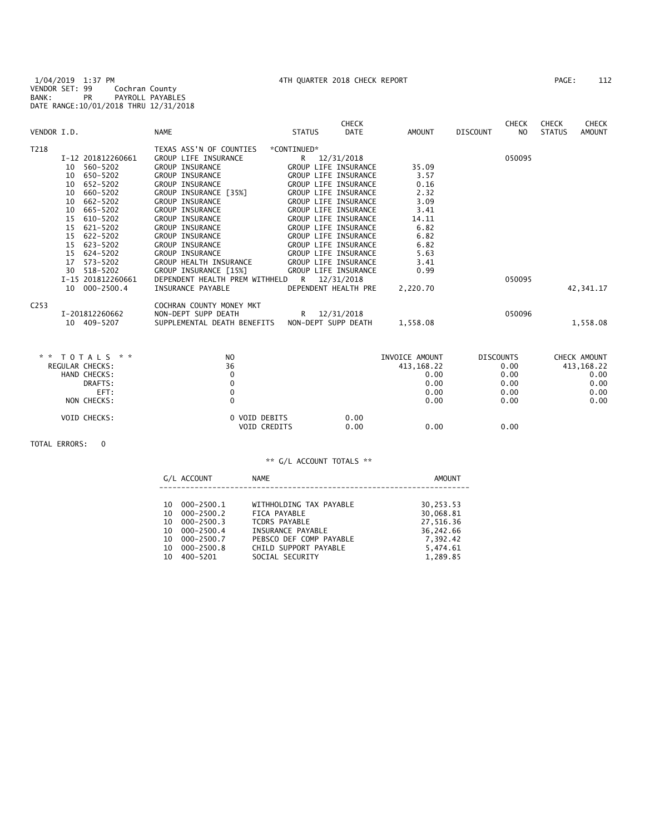1/04/2019 1:37 PM 4TH QUARTER 2018 CHECK REPORT PAGE: 112 VENDOR SET: 99 Cochran County BANK: PR PAYROLL PAYABLES DATE RANGE:10/01/2018 THRU 12/31/2018

| VENDOR I.D.      |                                                                                                                                                                                                                             | <b>NAME</b>                                                                                                                                                                                                                                                                                                                           | <b>STATUS</b>                                                                                                                                                                                                                                                                                          | <b>CHECK</b><br>DATE | AMOUNT                                                                                 | <b>DISCOUNT</b>  | <b>CHECK</b><br>N <sub>O</sub> | <b>CHECK</b><br><b>STATUS</b> | <b>CHECK</b><br><b>AMOUNT</b>                 |
|------------------|-----------------------------------------------------------------------------------------------------------------------------------------------------------------------------------------------------------------------------|---------------------------------------------------------------------------------------------------------------------------------------------------------------------------------------------------------------------------------------------------------------------------------------------------------------------------------------|--------------------------------------------------------------------------------------------------------------------------------------------------------------------------------------------------------------------------------------------------------------------------------------------------------|----------------------|----------------------------------------------------------------------------------------|------------------|--------------------------------|-------------------------------|-----------------------------------------------|
| T218             | I-12 201812260661<br>560-5202<br>10<br>650-5202<br>10<br>652-5202<br>10<br>10<br>660-5202<br>10<br>662-5202<br>665-5202<br>10<br>15<br>610-5202<br>621-5202<br>15<br>15<br>$622 - 5202$<br>15<br>623-5202<br>15<br>624-5202 | TEXAS ASS'N OF COUNTIES<br>GROUP LIFE INSURANCE<br><b>GROUP INSURANCE</b><br>GROUP INSURANCE<br><b>GROUP INSURANCE</b><br>GROUP INSURANCE [35%]<br><b>GROUP INSURANCE</b><br><b>GROUP INSURANCE</b><br><b>GROUP INSURANCE</b><br><b>GROUP INSURANCE</b><br><b>GROUP INSURANCE</b><br><b>GROUP INSURANCE</b><br><b>GROUP INSURANCE</b> | *CONTINUED*<br>R<br>GROUP LIFE INSURANCE<br>GROUP LIFE INSURANCE<br><b>GROUP LIFE INSURANCE</b><br>GROUP LIFE INSURANCE<br>GROUP LIFE INSURANCE<br><b>GROUP LIFE INSURANCE</b><br>GROUP LIFE INSURANCE<br>GROUP LIFE INSURANCE<br>GROUP LIFE INSURANCE<br>GROUP LIFE INSURANCE<br>GROUP LIFE INSURANCE | 12/31/2018           | 35.09<br>3.57<br>0.16<br>2.32<br>3.09<br>3.41<br>14.11<br>6.82<br>6.82<br>6.82<br>5.63 |                  | 050095                         |                               |                                               |
|                  | 17<br>573-5202<br>30<br>$518 - 5202$<br>I-15 201812260661<br>$000 - 2500.4$<br>10                                                                                                                                           | GROUP HEALTH INSURANCE<br>GROUP INSURANCE [15%]<br>DEPENDENT HEALTH PREM WITHHELD<br>INSURANCE PAYABLE                                                                                                                                                                                                                                | GROUP LIFE INSURANCE<br>GROUP LIFE INSURANCE<br>R 12/31/2018<br>DEPENDENT HEALTH PRE                                                                                                                                                                                                                   |                      | 3.41<br>0.99<br>2,220.70                                                               |                  | 050095                         |                               | 42,341.17                                     |
| C <sub>253</sub> | I-201812260662<br>10 409-5207                                                                                                                                                                                               | COCHRAN COUNTY MONEY MKT<br>NON-DEPT SUPP DEATH<br>SUPPLEMENTAL DEATH BENEFITS                                                                                                                                                                                                                                                        | R 12/31/2018<br>NON-DEPT SUPP DEATH                                                                                                                                                                                                                                                                    |                      | 1,558.08                                                                               |                  | 050096                         |                               | 1,558.08                                      |
|                  | * * TOTALS * *<br><b>REGULAR CHECKS:</b><br>$\cdots$                                                                                                                                                                        | NO.<br>36                                                                                                                                                                                                                                                                                                                             |                                                                                                                                                                                                                                                                                                        |                      | INVOICE AMOUNT<br>413,168.22<br>$\sim$ 0.0                                             | <b>DISCOUNTS</b> | 0.00<br>$\sim$ $\sim$          |                               | CHECK AMOUNT<br>413, 168. 22<br>$\sim$ $\sim$ |

| 1 U I A L J     | IV            | LIVVULLE APIUUNT | <b>ULJLUUINIJ</b> | CHLCK APOUNT |
|-----------------|---------------|------------------|-------------------|--------------|
| REGULAR CHECKS: | 36            | 413,168.22       | 0.00              | 413, 168. 22 |
| HAND CHECKS:    |               | 0.00             | 0.00              | 0.00         |
| DRAFTS:         |               | 0.00             | 0.00              | 0.00         |
| EFT:            |               | 0.00             | 0.00              | 0.00         |
| NON CHECKS:     |               | 0.00             | 0.00              | 0.00         |
| VOID CHECKS:    | 0 VOID DEBITS | 0.00             |                   |              |
|                 | VOID CREDITS  | 0.00<br>0.00     | 0.00              |              |
|                 |               |                  |                   |              |

TOTAL ERRORS: 0

|     | G/L ACCOUNT    | NAME                    | AMOUNT    |
|-----|----------------|-------------------------|-----------|
|     |                |                         |           |
| 10. | $000 - 2500.1$ | WITHHOLDING TAX PAYABLE | 30,253.53 |
| 10. | $000 - 2500.2$ | FICA PAYABLE            | 30,068.81 |
| 10  | $000 - 2500.3$ | TCDRS PAYABLE           | 27.516.36 |
| 10  | 000-2500.4     | INSURANCE PAYABLE       | 36,242.66 |
| 10. | 000-2500.7     | PEBSCO DEF COMP PAYABLE | 7.392.42  |
| 10  | $000 - 2500.8$ | CHILD SUPPORT PAYABLE   | 5,474.61  |
| 10  | 400-5201       | SOCIAL SECURITY         | 1.289.85  |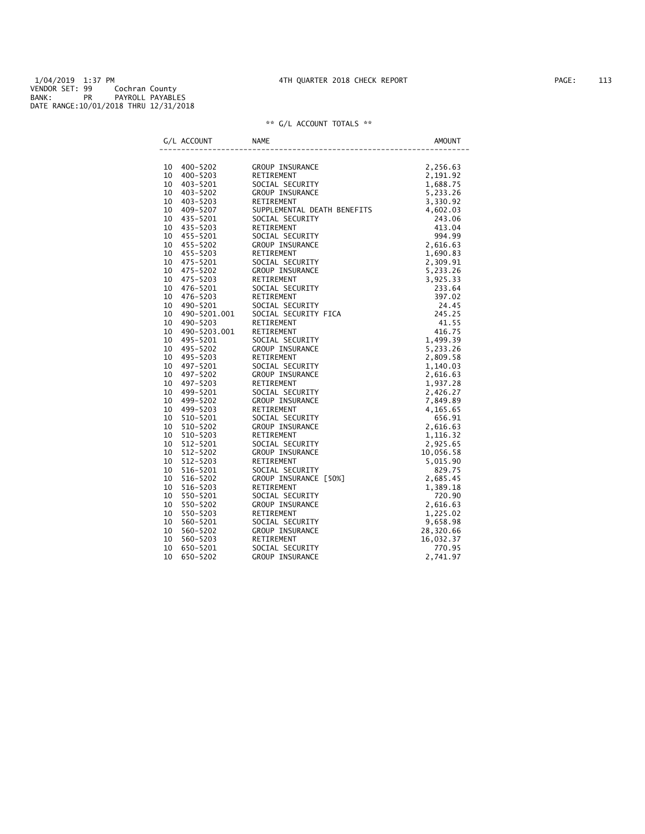1/04/2019 1:37 PM 4TH QUARTER 2018 CHECK REPORT PAGE: 113 VENDOR SET: 99 Cochran County BANK: PR PAYROLL PAYABLES DATE RANGE:10/01/2018 THRU 12/31/2018

| G/L ACCOUNT |              |                                                                                                                                                                                                                                                            |  |
|-------------|--------------|------------------------------------------------------------------------------------------------------------------------------------------------------------------------------------------------------------------------------------------------------------|--|
|             |              | NAME<br>CROUP INSURANCE<br>CROUP INSURANCE<br>SOCIAL SECURITY<br>CROUP INSURANCE<br>CROUP INSURANCE<br>CROUP INSURANCE<br>THEFTTS<br>CROUP INSURANCE<br>THEFTTS<br>4,602.03<br>243.06                                                                      |  |
| 10 400-5202 |              |                                                                                                                                                                                                                                                            |  |
| 10          | 400-5203     |                                                                                                                                                                                                                                                            |  |
| 10 403-5201 |              |                                                                                                                                                                                                                                                            |  |
| 10 403-5202 |              |                                                                                                                                                                                                                                                            |  |
| 10 403-5203 |              |                                                                                                                                                                                                                                                            |  |
| 10 409-5207 |              |                                                                                                                                                                                                                                                            |  |
| 10 435-5201 |              |                                                                                                                                                                                                                                                            |  |
| 10 435-5203 |              |                                                                                                                                                                                                                                                            |  |
| 10 455-5201 |              |                                                                                                                                                                                                                                                            |  |
| 10 455-5202 |              |                                                                                                                                                                                                                                                            |  |
| 10 455-5203 |              |                                                                                                                                                                                                                                                            |  |
| 10 475-5201 |              |                                                                                                                                                                                                                                                            |  |
| 10 475-5202 |              |                                                                                                                                                                                                                                                            |  |
| 10          | 475-5203     |                                                                                                                                                                                                                                                            |  |
| 10 476-5201 |              |                                                                                                                                                                                                                                                            |  |
| 10          | 476-5203     |                                                                                                                                                                                                                                                            |  |
| 10 490-5201 |              |                                                                                                                                                                                                                                                            |  |
| 10          | 490-5201.001 |                                                                                                                                                                                                                                                            |  |
| 10 490-5203 |              |                                                                                                                                                                                                                                                            |  |
| 10          | 490-5203.001 |                                                                                                                                                                                                                                                            |  |
| 10 495-5201 |              |                                                                                                                                                                                                                                                            |  |
| 10 495-5202 |              |                                                                                                                                                                                                                                                            |  |
| 10 495-5203 |              |                                                                                                                                                                                                                                                            |  |
| 10 497-5201 |              |                                                                                                                                                                                                                                                            |  |
| 10 497-5202 |              |                                                                                                                                                                                                                                                            |  |
| 10 497-5203 |              |                                                                                                                                                                                                                                                            |  |
| 10 499-5201 |              |                                                                                                                                                                                                                                                            |  |
| 10 499-5202 |              |                                                                                                                                                                                                                                                            |  |
| 10 499-5203 |              |                                                                                                                                                                                                                                                            |  |
| 10          | 510-5201     |                                                                                                                                                                                                                                                            |  |
| 10          | 510-5202     |                                                                                                                                                                                                                                                            |  |
| 10          | 510-5203     |                                                                                                                                                                                                                                                            |  |
| 10          | 512-5201     |                                                                                                                                                                                                                                                            |  |
| 10          | 512-5202     |                                                                                                                                                                                                                                                            |  |
| 10          | 512-5203     |                                                                                                                                                                                                                                                            |  |
| 10          | 516-5201     |                                                                                                                                                                                                                                                            |  |
| 10          | 516-5202     |                                                                                                                                                                                                                                                            |  |
| 10          | 516-5203     |                                                                                                                                                                                                                                                            |  |
| 10          | 550-5201     |                                                                                                                                                                                                                                                            |  |
| 10          | 550-5202     |                                                                                                                                                                                                                                                            |  |
| 10          | 550-5203     |                                                                                                                                                                                                                                                            |  |
| 10          | 560-5201     |                                                                                                                                                                                                                                                            |  |
| 10          | 560-5202     |                                                                                                                                                                                                                                                            |  |
| 10          | 560-5203     |                                                                                                                                                                                                                                                            |  |
| 10          | 650-5201     |                                                                                                                                                                                                                                                            |  |
| 10          | 650-5202     | RETTREMENT<br>SOCIAL SECURITY<br>SOCIAL SECURITY<br>RETTREMENT<br>RETTREMENT<br>RETTREMENT<br>RETTREMENT<br>CROUP INSURANCE<br>CROUP INSURANCE<br>SOCIAL SECURITY<br>CROUP INSURANCE<br>CROUP INSURANCE<br>SOCIAL SECURITY<br>SOCIAL SECURITY<br>SOCIAL SE |  |
|             |              |                                                                                                                                                                                                                                                            |  |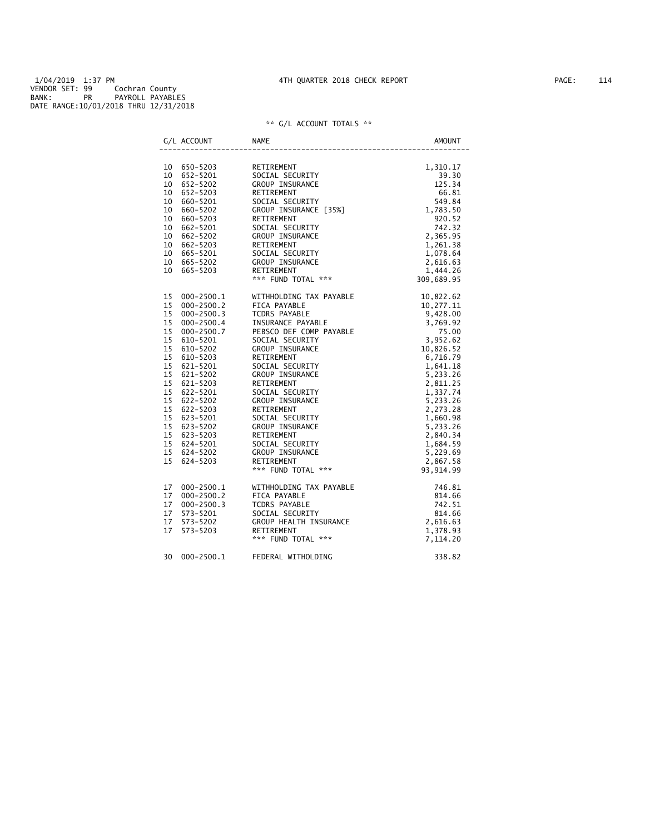|    | G/L ACCOUNT                             | NAME                                                                                                                                                                                                                                                                         | AMOUNT |
|----|-----------------------------------------|------------------------------------------------------------------------------------------------------------------------------------------------------------------------------------------------------------------------------------------------------------------------------|--------|
|    |                                         | 4.310.17<br>SOCIAL SECURITY<br>SOCIAL SECURITY<br>RETIREMENT<br>SOCIAL SECURITY<br>SOCIAL SECURITY<br>SOCIAL SECURITY<br>549.84<br>GROUP INSURANCE [35%]<br>THE SOCIAL SECURITY<br>SOCIAL SECURITY<br>742.32<br>SOCIAL SECURITY<br>742.32<br>RETIREMENT<br>2                 |        |
|    | 10 650-5203<br>10 652-5201              |                                                                                                                                                                                                                                                                              |        |
|    |                                         |                                                                                                                                                                                                                                                                              |        |
|    | 10 652-5202                             |                                                                                                                                                                                                                                                                              |        |
|    | 10 652-5203                             |                                                                                                                                                                                                                                                                              |        |
|    | $10$ 660-5201<br>10 660-5202            |                                                                                                                                                                                                                                                                              |        |
|    | 10 660-5202<br>10 660-5203              |                                                                                                                                                                                                                                                                              |        |
|    |                                         |                                                                                                                                                                                                                                                                              |        |
|    | 10 662-5201<br>$10 662 - 5202$          |                                                                                                                                                                                                                                                                              |        |
|    |                                         |                                                                                                                                                                                                                                                                              |        |
|    | 10 662-5203                             |                                                                                                                                                                                                                                                                              |        |
|    | 10 665-5201                             |                                                                                                                                                                                                                                                                              |        |
|    | 10 665-5202                             |                                                                                                                                                                                                                                                                              |        |
|    | 10 665-5203                             |                                                                                                                                                                                                                                                                              |        |
|    |                                         |                                                                                                                                                                                                                                                                              |        |
|    | 15 000-2500.1<br>15 000-2500.2          |                                                                                                                                                                                                                                                                              |        |
|    |                                         |                                                                                                                                                                                                                                                                              |        |
|    |                                         |                                                                                                                                                                                                                                                                              |        |
|    | 15 000-2500.3<br>15 000-2500.4          |                                                                                                                                                                                                                                                                              |        |
|    |                                         |                                                                                                                                                                                                                                                                              |        |
|    | 15 $000-2500.7$<br>15 000-2500.7        |                                                                                                                                                                                                                                                                              |        |
|    | 15 610-5202                             |                                                                                                                                                                                                                                                                              |        |
|    | 15 610-5203                             |                                                                                                                                                                                                                                                                              |        |
|    | $15$ 621-5201<br>15 621-5202            |                                                                                                                                                                                                                                                                              |        |
|    | 15 621-5202                             |                                                                                                                                                                                                                                                                              |        |
|    | $\overline{15}$ 621-5203<br>15 622-5201 |                                                                                                                                                                                                                                                                              |        |
|    | 15 622-5201                             |                                                                                                                                                                                                                                                                              |        |
|    |                                         |                                                                                                                                                                                                                                                                              |        |
|    | 15 622-5202<br>15 622-5203              |                                                                                                                                                                                                                                                                              |        |
|    |                                         |                                                                                                                                                                                                                                                                              |        |
|    | 15 623-5201<br>15 623-5202              |                                                                                                                                                                                                                                                                              |        |
|    |                                         |                                                                                                                                                                                                                                                                              |        |
|    | 15 623-5203<br>15 624-5201              |                                                                                                                                                                                                                                                                              |        |
|    | 15 624-5202                             |                                                                                                                                                                                                                                                                              |        |
|    | 15 624-5203                             |                                                                                                                                                                                                                                                                              |        |
|    |                                         | VITHHOLDING TAX PAYABLE<br>TCORS PAYABLE<br>TORS PAYABLE<br>TORS PAYABLE<br>TORS PAYABLE<br>TORS PAYABLE<br>TORS PAYABLE<br>TORS PAYABLE<br>TORS PAYABLE<br>SOCTAL SECURITY<br>SOCTAL SECURITY<br>3, 952.62<br>75.00<br>SOCTAL SECURITY<br>8, 9769.92<br>SOC                 |        |
| 17 | 000-2500.1                              |                                                                                                                                                                                                                                                                              |        |
| 17 | $000 - 2500.2$                          |                                                                                                                                                                                                                                                                              |        |
| 17 | $000 - 2500.3$                          |                                                                                                                                                                                                                                                                              |        |
| 17 | 573-5201                                |                                                                                                                                                                                                                                                                              |        |
| 17 | 573-5202                                |                                                                                                                                                                                                                                                                              |        |
| 17 | 573-5203                                |                                                                                                                                                                                                                                                                              |        |
|    |                                         | WITHHOLDING TAX PAYABLE<br>FICA PAYABLE<br>TCDRS PAYABLE<br>SOCIAL SECURITY<br>SOCIAL SECURITY<br>SOCIAL SECURITY<br>SALE<br>SOCIAL SECURITY<br>SALE<br>SALE<br>SALE<br>SALE<br>SALE<br>SALE<br>SALE<br>SALE<br>SALE<br>SALE<br>SALE<br>SALE<br>SALE<br>SALE<br>SALE<br>SALE |        |
| 30 |                                         | 000-2500.1 FEDERAL WITHOLDING                                                                                                                                                                                                                                                | 338.82 |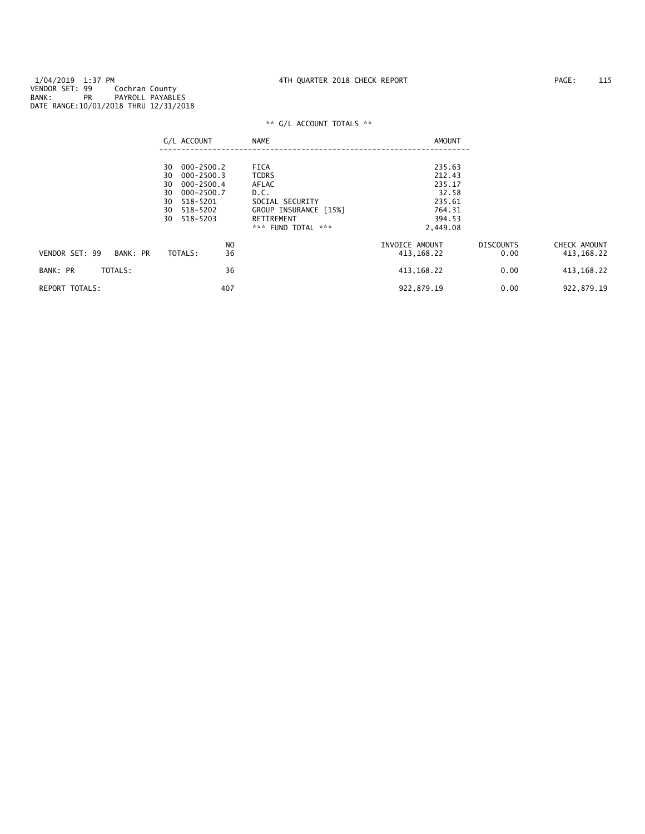|                            | G/L ACCOUNT                                                                                                    | <b>NAME</b>                                                     | AMOUNT                                        |                          |                              |
|----------------------------|----------------------------------------------------------------------------------------------------------------|-----------------------------------------------------------------|-----------------------------------------------|--------------------------|------------------------------|
|                            | $000 - 2500.2$<br>30<br>$000 - 2500.3$<br>30<br>$000 - 2500.4$<br>30<br>$000 - 2500.7$<br>30<br>518-5201<br>30 | <b>FICA</b><br><b>TCDRS</b><br>AFLAC<br>D.C.<br>SOCIAL SECURITY | 235.63<br>212.43<br>235.17<br>32.58<br>235.61 |                          |                              |
|                            | 518-5202<br>30<br>518-5203<br>30                                                                               | GROUP INSURANCE [15%]<br>RETIREMENT<br>*** FUND TOTAL ***       | 764.31<br>394.53<br>2,449.08                  |                          |                              |
| VENDOR SET: 99<br>BANK: PR | N <sub>O</sub><br>36<br>TOTALS:                                                                                |                                                                 | INVOICE AMOUNT<br>413, 168. 22                | <b>DISCOUNTS</b><br>0.00 | CHECK AMOUNT<br>413, 168. 22 |
| TOTALS:<br>BANK: PR        | 36                                                                                                             |                                                                 | 413, 168. 22                                  | 0.00                     | 413, 168.22                  |
| <b>REPORT TOTALS:</b>      | 407                                                                                                            |                                                                 | 922,879.19                                    | 0.00                     | 922,879.19                   |